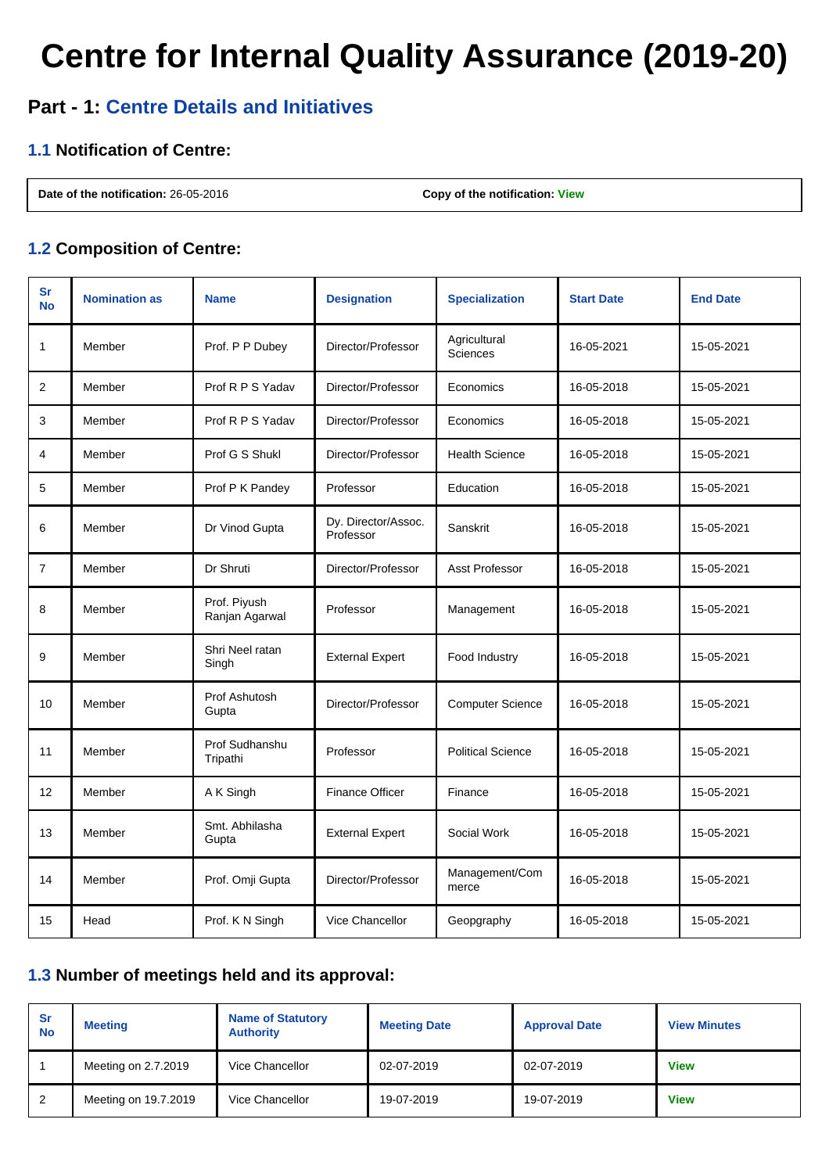# **Centre for Internal Quality Assurance (2019-20)**

## **Part - 1: Centre Details and Initiatives**

#### **1.1 Notification of Centre:**

**Date of the notification:** 26-05-2016 **Copy of the notification: [View](http://deb.ugc.ac.in/Uploads/ODL/HEI-U-0546/CIQA/2019-20_notification_5037.pdf)** 

#### **1.2 Composition of Centre:**

| sr<br><b>No</b> | <b>Nomination as</b> | <b>Name</b>                    | <b>Designation</b>               | <b>Specialization</b>    | <b>Start Date</b> | <b>End Date</b> |
|-----------------|----------------------|--------------------------------|----------------------------------|--------------------------|-------------------|-----------------|
| 1               | Member               | Prof. P P Dubey                | Director/Professor               | Agricultural<br>Sciences | 16-05-2021        | 15-05-2021      |
| 2               | Member               | Prof R P S Yadav               | Director/Professor               | Economics                | 16-05-2018        | 15-05-2021      |
| 3               | Member               | Prof R P S Yadav               | Director/Professor               | Economics                | 16-05-2018        | 15-05-2021      |
| 4               | Member               | Prof G S Shukl                 | Director/Professor               | <b>Health Science</b>    | 16-05-2018        | 15-05-2021      |
| 5               | Member               | Prof P K Pandey                | Professor                        | Education                | 16-05-2018        | 15-05-2021      |
| 6               | Member               | Dr Vinod Gupta                 | Dy. Director/Assoc.<br>Professor | Sanskrit                 | 16-05-2018        | 15-05-2021      |
| $\overline{7}$  | Member               | Dr Shruti                      | Director/Professor               | Asst Professor           | 16-05-2018        | 15-05-2021      |
| 8               | Member               | Prof. Piyush<br>Ranjan Agarwal | Professor                        | Management               | 16-05-2018        | 15-05-2021      |
| 9               | Member               | Shri Neel ratan<br>Singh       | <b>External Expert</b>           | Food Industry            | 16-05-2018        | 15-05-2021      |
| 10              | Member               | Prof Ashutosh<br>Gupta         | Director/Professor               | <b>Computer Science</b>  | 16-05-2018        | 15-05-2021      |
| 11              | Member               | Prof Sudhanshu<br>Tripathi     | Professor                        | <b>Political Science</b> | 16-05-2018        | 15-05-2021      |
| 12              | Member               | A K Singh                      | <b>Finance Officer</b>           | Finance                  | 16-05-2018        | 15-05-2021      |
| 13              | Member               | Smt. Abhilasha<br>Gupta        | <b>External Expert</b>           | Social Work              | 16-05-2018        | 15-05-2021      |
| 14              | Member               | Prof. Omji Gupta               | Director/Professor               | Management/Com<br>merce  | 16-05-2018        | 15-05-2021      |
| 15              | Head                 | Prof. K N Singh                | Vice Chancellor                  | Geopgraphy               | 16-05-2018        | 15-05-2021      |

#### **1.3 Number of meetings held and its approval:**

| <b>Sr</b><br><b>No</b> | <b>Meeting</b>       | <b>Name of Statutory</b><br><b>Authority</b> | <b>Meeting Date</b> | <b>Approval Date</b> | <b>View Minutes</b> |
|------------------------|----------------------|----------------------------------------------|---------------------|----------------------|---------------------|
|                        | Meeting on 2.7.2019  | Vice Chancellor                              | 02-07-2019          | 02-07-2019           | <b>View</b>         |
| 2                      | Meeting on 19.7.2019 | Vice Chancellor                              | 19-07-2019          | 19-07-2019           | <b>View</b>         |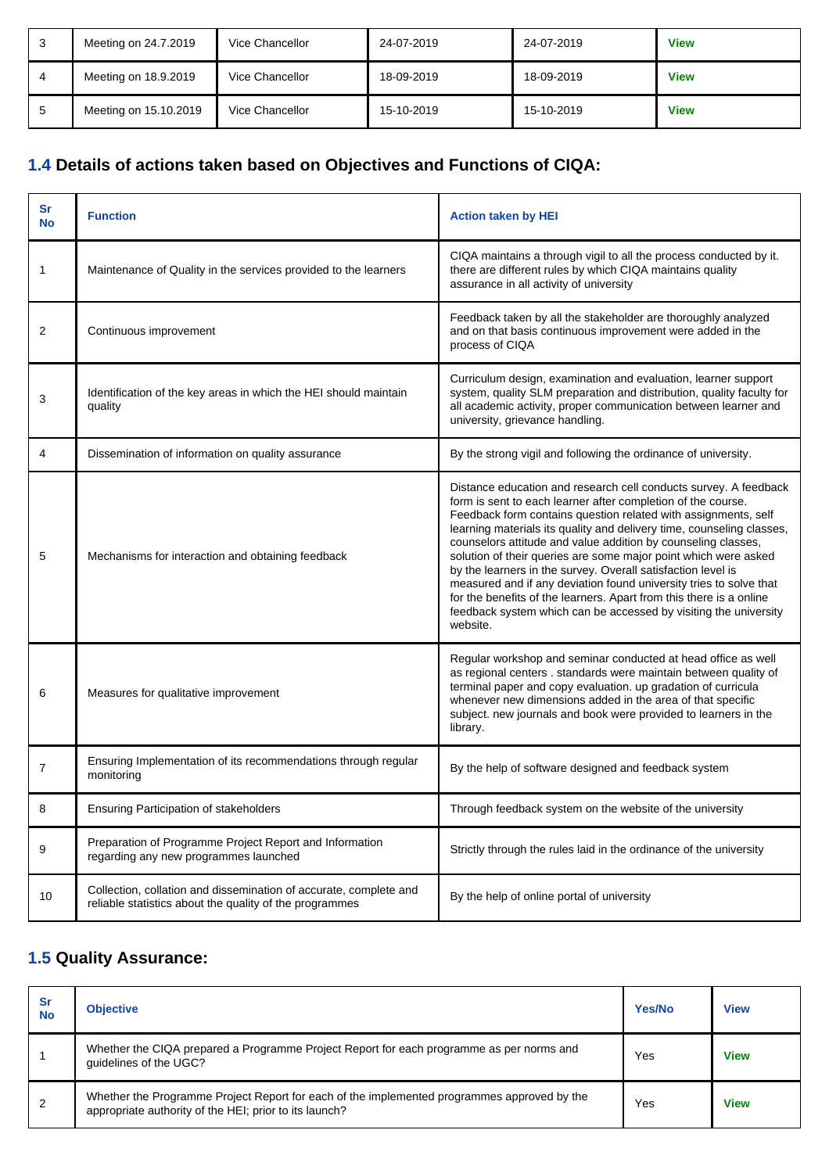| J | Meeting on 24.7.2019  | Vice Chancellor | 24-07-2019 | 24-07-2019 | <b>View</b> |
|---|-----------------------|-----------------|------------|------------|-------------|
|   | Meeting on 18.9.2019  | Vice Chancellor | 18-09-2019 | 18-09-2019 | <b>View</b> |
|   | Meeting on 15.10.2019 | Vice Chancellor | 15-10-2019 | 15-10-2019 | <b>View</b> |

## **1.4 Details of actions taken based on Objectives and Functions of CIQA:**

| sr<br><b>No</b> | <b>Function</b>                                                                                                              | <b>Action taken by HEI</b>                                                                                                                                                                                                                                                                                                                                                                                                                                                                                                                                                                                                                                                                                   |
|-----------------|------------------------------------------------------------------------------------------------------------------------------|--------------------------------------------------------------------------------------------------------------------------------------------------------------------------------------------------------------------------------------------------------------------------------------------------------------------------------------------------------------------------------------------------------------------------------------------------------------------------------------------------------------------------------------------------------------------------------------------------------------------------------------------------------------------------------------------------------------|
| 1               | Maintenance of Quality in the services provided to the learners                                                              | CIQA maintains a through vigil to all the process conducted by it.<br>there are different rules by which CIQA maintains quality<br>assurance in all activity of university                                                                                                                                                                                                                                                                                                                                                                                                                                                                                                                                   |
| 2               | Continuous improvement                                                                                                       | Feedback taken by all the stakeholder are thoroughly analyzed<br>and on that basis continuous improvement were added in the<br>process of CIQA                                                                                                                                                                                                                                                                                                                                                                                                                                                                                                                                                               |
| 3               | Identification of the key areas in which the HEI should maintain<br>quality                                                  | Curriculum design, examination and evaluation, learner support<br>system, quality SLM preparation and distribution, quality faculty for<br>all academic activity, proper communication between learner and<br>university, grievance handling.                                                                                                                                                                                                                                                                                                                                                                                                                                                                |
| 4               | Dissemination of information on quality assurance                                                                            | By the strong vigil and following the ordinance of university.                                                                                                                                                                                                                                                                                                                                                                                                                                                                                                                                                                                                                                               |
| 5               | Mechanisms for interaction and obtaining feedback                                                                            | Distance education and research cell conducts survey. A feedback<br>form is sent to each learner after completion of the course.<br>Feedback form contains question related with assignments, self<br>learning materials its quality and delivery time, counseling classes,<br>counselors attitude and value addition by counseling classes,<br>solution of their queries are some major point which were asked<br>by the learners in the survey. Overall satisfaction level is<br>measured and if any deviation found university tries to solve that<br>for the benefits of the learners. Apart from this there is a online<br>feedback system which can be accessed by visiting the university<br>website. |
| 6               | Measures for qualitative improvement                                                                                         | Regular workshop and seminar conducted at head office as well<br>as regional centers . standards were maintain between quality of<br>terminal paper and copy evaluation. up gradation of curricula<br>whenever new dimensions added in the area of that specific<br>subject. new journals and book were provided to learners in the<br>library.                                                                                                                                                                                                                                                                                                                                                              |
| 7               | Ensuring Implementation of its recommendations through regular<br>monitoring                                                 | By the help of software designed and feedback system                                                                                                                                                                                                                                                                                                                                                                                                                                                                                                                                                                                                                                                         |
| 8               | <b>Ensuring Participation of stakeholders</b>                                                                                | Through feedback system on the website of the university                                                                                                                                                                                                                                                                                                                                                                                                                                                                                                                                                                                                                                                     |
| 9               | Preparation of Programme Project Report and Information<br>regarding any new programmes launched                             | Strictly through the rules laid in the ordinance of the university                                                                                                                                                                                                                                                                                                                                                                                                                                                                                                                                                                                                                                           |
| $10$            | Collection, collation and dissemination of accurate, complete and<br>reliable statistics about the quality of the programmes | By the help of online portal of university                                                                                                                                                                                                                                                                                                                                                                                                                                                                                                                                                                                                                                                                   |

## **1.5 Quality Assurance:**

| <b>Sr</b><br><b>No</b> | <b>Objective</b>                                                                                                                                      | Yes/No | <b>View</b> |
|------------------------|-------------------------------------------------------------------------------------------------------------------------------------------------------|--------|-------------|
|                        | Whether the CIQA prepared a Programme Project Report for each programme as per norms and<br>quidelines of the UGC?                                    | Yes    | <b>View</b> |
|                        | Whether the Programme Project Report for each of the implemented programmes approved by the<br>appropriate authority of the HEI; prior to its launch? | Yes    | <b>View</b> |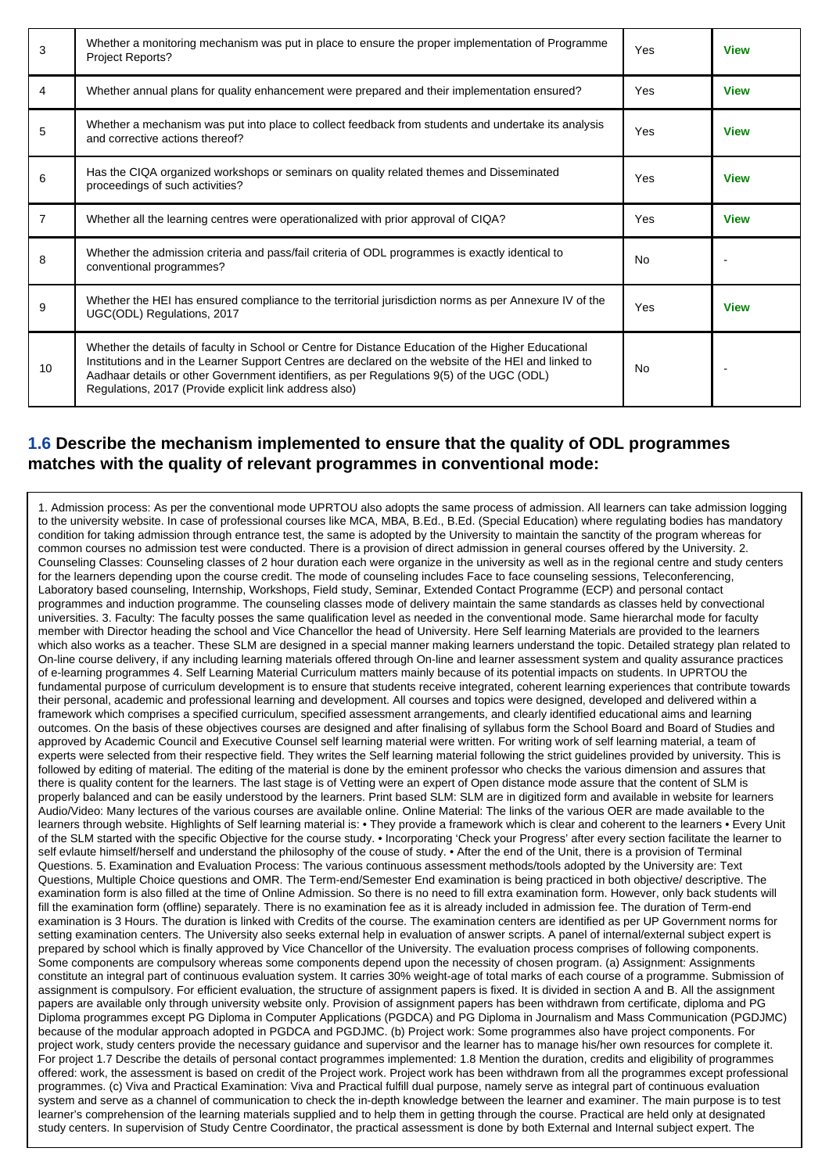| 3              | Whether a monitoring mechanism was put in place to ensure the proper implementation of Programme<br>Project Reports?                                                                                                                                                                                                                                               | Yes       | <b>View</b> |
|----------------|--------------------------------------------------------------------------------------------------------------------------------------------------------------------------------------------------------------------------------------------------------------------------------------------------------------------------------------------------------------------|-----------|-------------|
| 4              | Whether annual plans for quality enhancement were prepared and their implementation ensured?                                                                                                                                                                                                                                                                       | Yes       | <b>View</b> |
| 5              | Whether a mechanism was put into place to collect feedback from students and undertake its analysis<br>and corrective actions thereof?                                                                                                                                                                                                                             | Yes       | <b>View</b> |
| 6              | Has the CIQA organized workshops or seminars on quality related themes and Disseminated<br>proceedings of such activities?                                                                                                                                                                                                                                         | Yes       | <b>View</b> |
| $\overline{7}$ | Whether all the learning centres were operationalized with prior approval of CIQA?                                                                                                                                                                                                                                                                                 | Yes       | <b>View</b> |
| 8              | Whether the admission criteria and pass/fail criteria of ODL programmes is exactly identical to<br>conventional programmes?                                                                                                                                                                                                                                        | <b>No</b> |             |
| 9              | Whether the HEI has ensured compliance to the territorial jurisdiction norms as per Annexure IV of the<br>UGC(ODL) Regulations, 2017                                                                                                                                                                                                                               | Yes       | <b>View</b> |
| 10             | Whether the details of faculty in School or Centre for Distance Education of the Higher Educational<br>Institutions and in the Learner Support Centres are declared on the website of the HEI and linked to<br>Aadhaar details or other Government identifiers, as per Regulations 9(5) of the UGC (ODL)<br>Regulations, 2017 (Provide explicit link address also) | No        |             |

#### **1.6 Describe the mechanism implemented to ensure that the quality of ODL programmes matches with the quality of relevant programmes in conventional mode:**

1. Admission process: As per the conventional mode UPRTOU also adopts the same process of admission. All learners can take admission logging to the university website. In case of professional courses like MCA, MBA, B.Ed., B.Ed. (Special Education) where regulating bodies has mandatory condition for taking admission through entrance test, the same is adopted by the University to maintain the sanctity of the program whereas for common courses no admission test were conducted. There is a provision of direct admission in general courses offered by the University. 2. Counseling Classes: Counseling classes of 2 hour duration each were organize in the university as well as in the regional centre and study centers for the learners depending upon the course credit. The mode of counseling includes Face to face counseling sessions, Teleconferencing, Laboratory based counseling, Internship, Workshops, Field study, Seminar, Extended Contact Programme (ECP) and personal contact programmes and induction programme. The counseling classes mode of delivery maintain the same standards as classes held by convectional universities. 3. Faculty: The faculty posses the same qualification level as needed in the conventional mode. Same hierarchal mode for faculty member with Director heading the school and Vice Chancellor the head of University. Here Self learning Materials are provided to the learners which also works as a teacher. These SLM are designed in a special manner making learners understand the topic. Detailed strategy plan related to On-line course delivery, if any including learning materials offered through On-line and learner assessment system and quality assurance practices of e-learning programmes 4. Self Learning Material Curriculum matters mainly because of its potential impacts on students. In UPRTOU the fundamental purpose of curriculum development is to ensure that students receive integrated, coherent learning experiences that contribute towards their personal, academic and professional learning and development. All courses and topics were designed, developed and delivered within a framework which comprises a specified curriculum, specified assessment arrangements, and clearly identified educational aims and learning outcomes. On the basis of these objectives courses are designed and after finalising of syllabus form the School Board and Board of Studies and approved by Academic Council and Executive Counsel self learning material were written. For writing work of self learning material, a team of experts were selected from their respective field. They writes the Self learning material following the strict guidelines provided by university. This is followed by editing of material. The editing of the material is done by the eminent professor who checks the various dimension and assures that there is quality content for the learners. The last stage is of Vetting were an expert of Open distance mode assure that the content of SLM is properly balanced and can be easily understood by the learners. Print based SLM: SLM are in digitized form and available in website for learners Audio/Video: Many lectures of the various courses are available online. Online Material: The links of the various OER are made available to the learners through website. Highlights of Self learning material is: • They provide a framework which is clear and coherent to the learners • Every Unit of the SLM started with the specific Objective for the course study. • Incorporating 'Check your Progress' after every section facilitate the learner to self evlaute himself/herself and understand the philosophy of the couse of study. • After the end of the Unit, there is a provision of Terminal Questions. 5. Examination and Evaluation Process: The various continuous assessment methods/tools adopted by the University are: Text Questions, Multiple Choice questions and OMR. The Term-end/Semester End examination is being practiced in both objective/ descriptive. The examination form is also filled at the time of Online Admission. So there is no need to fill extra examination form. However, only back students will fill the examination form (offline) separately. There is no examination fee as it is already included in admission fee. The duration of Term-end examination is 3 Hours. The duration is linked with Credits of the course. The examination centers are identified as per UP Government norms for setting examination centers. The University also seeks external help in evaluation of answer scripts. A panel of internal/external subject expert is prepared by school which is finally approved by Vice Chancellor of the University. The evaluation process comprises of following components. Some components are compulsory whereas some components depend upon the necessity of chosen program. (a) Assignment: Assignments constitute an integral part of continuous evaluation system. It carries 30% weight-age of total marks of each course of a programme. Submission of assignment is compulsory. For efficient evaluation, the structure of assignment papers is fixed. It is divided in section A and B. All the assignment papers are available only through university website only. Provision of assignment papers has been withdrawn from certificate, diploma and PG Diploma programmes except PG Diploma in Computer Applications (PGDCA) and PG Diploma in Journalism and Mass Communication (PGDJMC) because of the modular approach adopted in PGDCA and PGDJMC. (b) Project work: Some programmes also have project components. For project work, study centers provide the necessary guidance and supervisor and the learner has to manage his/her own resources for complete it. For project 1.7 Describe the details of personal contact programmes implemented: 1.8 Mention the duration, credits and eligibility of programmes offered: work, the assessment is based on credit of the Project work. Project work has been withdrawn from all the programmes except professional programmes. (c) Viva and Practical Examination: Viva and Practical fulfill dual purpose, namely serve as integral part of continuous evaluation system and serve as a channel of communication to check the in-depth knowledge between the learner and examiner. The main purpose is to test learner's comprehension of the learning materials supplied and to help them in getting through the course. Practical are held only at designated study centers. In supervision of Study Centre Coordinator, the practical assessment is done by both External and Internal subject expert. The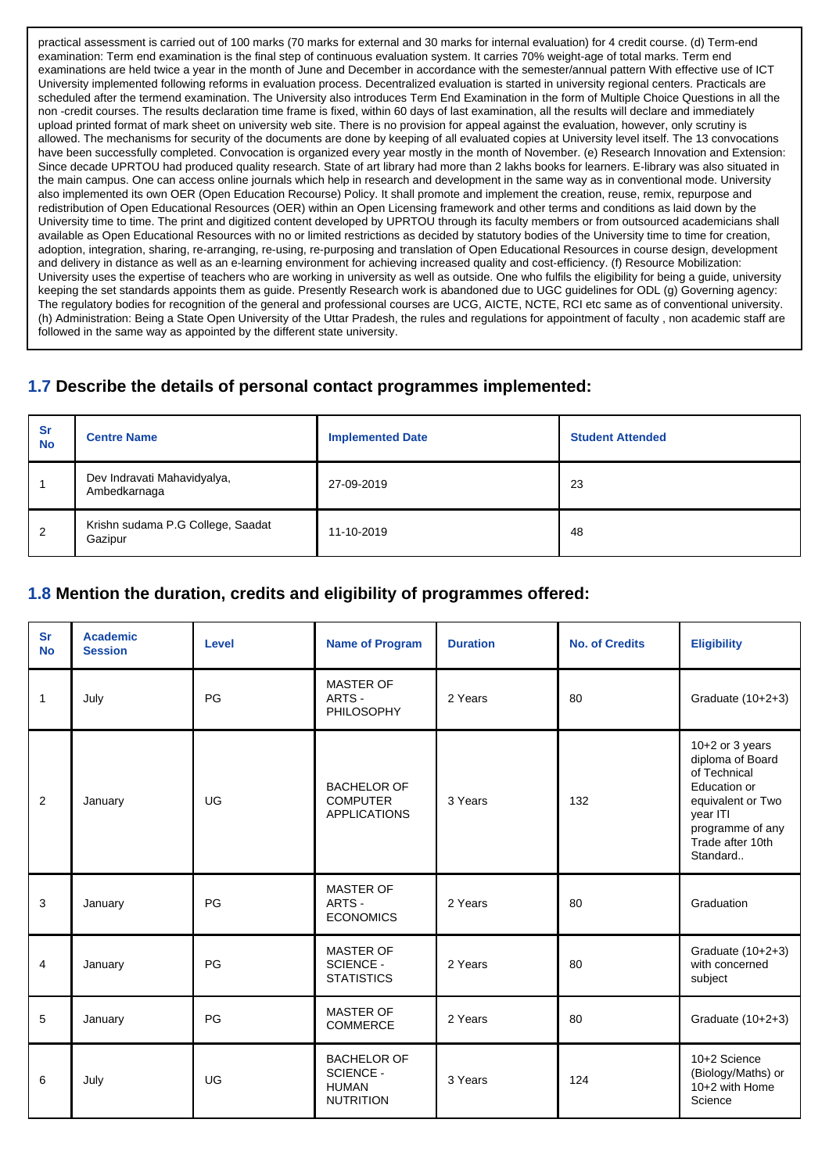practical assessment is carried out of 100 marks (70 marks for external and 30 marks for internal evaluation) for 4 credit course. (d) Term-end examination: Term end examination is the final step of continuous evaluation system. It carries 70% weight-age of total marks. Term end examinations are held twice a year in the month of June and December in accordance with the semester/annual pattern With effective use of ICT University implemented following reforms in evaluation process. Decentralized evaluation is started in university regional centers. Practicals are scheduled after the termend examination. The University also introduces Term End Examination in the form of Multiple Choice Questions in all the non -credit courses. The results declaration time frame is fixed, within 60 days of last examination, all the results will declare and immediately upload printed format of mark sheet on university web site. There is no provision for appeal against the evaluation, however, only scrutiny is allowed. The mechanisms for security of the documents are done by keeping of all evaluated copies at University level itself. The 13 convocations have been successfully completed. Convocation is organized every year mostly in the month of November. (e) Research Innovation and Extension: Since decade UPRTOU had produced quality research. State of art library had more than 2 lakhs books for learners. E-library was also situated in the main campus. One can access online journals which help in research and development in the same way as in conventional mode. University also implemented its own OER (Open Education Recourse) Policy. It shall promote and implement the creation, reuse, remix, repurpose and redistribution of Open Educational Resources (OER) within an Open Licensing framework and other terms and conditions as laid down by the University time to time. The print and digitized content developed by UPRTOU through its faculty members or from outsourced academicians shall available as Open Educational Resources with no or limited restrictions as decided by statutory bodies of the University time to time for creation, adoption, integration, sharing, re-arranging, re-using, re-purposing and translation of Open Educational Resources in course design, development and delivery in distance as well as an e-learning environment for achieving increased quality and cost-efficiency. (f) Resource Mobilization: University uses the expertise of teachers who are working in university as well as outside. One who fulfils the eligibility for being a guide, university keeping the set standards appoints them as guide. Presently Research work is abandoned due to UGC guidelines for ODL (g) Governing agency: The regulatory bodies for recognition of the general and professional courses are UCG, AICTE, NCTE, RCI etc same as of conventional university. (h) Administration: Being a State Open University of the Uttar Pradesh, the rules and regulations for appointment of faculty , non academic staff are followed in the same way as appointed by the different state university.

#### **1.7 Describe the details of personal contact programmes implemented:**

| <b>Sr</b><br><b>No</b> | <b>Centre Name</b>                           | <b>Implemented Date</b> | <b>Student Attended</b> |
|------------------------|----------------------------------------------|-------------------------|-------------------------|
|                        | Dev Indravati Mahavidyalya,<br>Ambedkarnaga  | 27-09-2019              | 23                      |
| -2                     | Krishn sudama P.G College, Saadat<br>Gazipur | 11-10-2019              | 48                      |

#### **1.8 Mention the duration, credits and eligibility of programmes offered:**

| <b>Sr</b><br><b>No</b> | <b>Academic</b><br><b>Session</b> | Level     | <b>Name of Program</b>                                                     | <b>Duration</b> | <b>No. of Credits</b> | <b>Eligibility</b>                                                                                                                                         |
|------------------------|-----------------------------------|-----------|----------------------------------------------------------------------------|-----------------|-----------------------|------------------------------------------------------------------------------------------------------------------------------------------------------------|
| -1                     | July                              | PG        | MASTER OF<br>ARTS -<br><b>PHILOSOPHY</b>                                   | 2 Years         | 80                    | Graduate (10+2+3)                                                                                                                                          |
| 2                      | January                           | UG        | <b>BACHELOR OF</b><br><b>COMPUTER</b><br><b>APPLICATIONS</b>               | 3 Years         | 132                   | $10+2$ or 3 years<br>diploma of Board<br>of Technical<br>Education or<br>equivalent or Two<br>year ITI<br>programme of any<br>Trade after 10th<br>Standard |
| 3                      | January                           | PG        | <b>MASTER OF</b><br>ARTS -<br><b>ECONOMICS</b>                             | 2 Years         | 80                    | Graduation                                                                                                                                                 |
| $\overline{4}$         | January                           | PG        | <b>MASTER OF</b><br><b>SCIENCE -</b><br><b>STATISTICS</b>                  | 2 Years         | 80                    | Graduate (10+2+3)<br>with concerned<br>subject                                                                                                             |
| 5                      | January                           | PG        | <b>MASTER OF</b><br><b>COMMERCE</b>                                        | 2 Years         | 80                    | Graduate (10+2+3)                                                                                                                                          |
| 6                      | July                              | <b>UG</b> | <b>BACHELOR OF</b><br><b>SCIENCE -</b><br><b>HUMAN</b><br><b>NUTRITION</b> | 3 Years         | 124                   | 10+2 Science<br>(Biology/Maths) or<br>10+2 with Home<br>Science                                                                                            |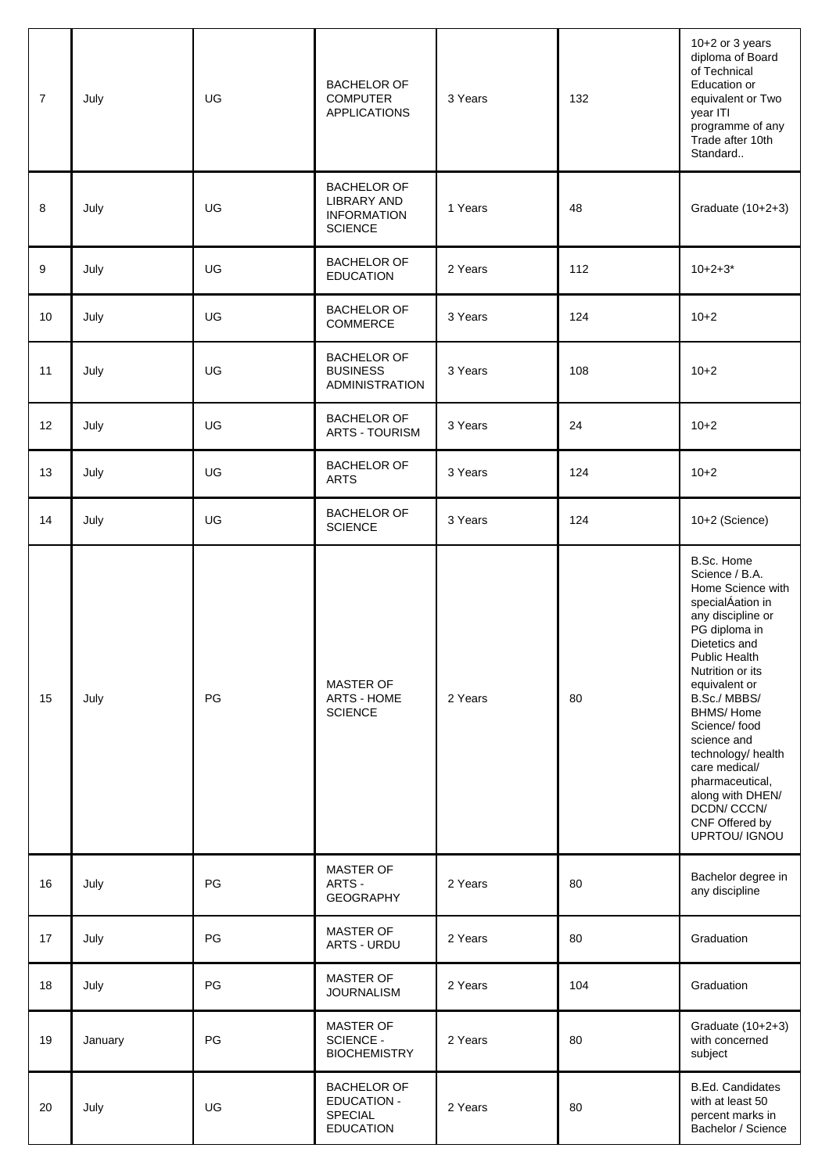| $\overline{7}$ | July    | <b>UG</b> | <b>BACHELOR OF</b><br><b>COMPUTER</b><br><b>APPLICATIONS</b>              | 3 Years | 132 | 10+2 or 3 years<br>diploma of Board<br>of Technical<br>Education or<br>equivalent or Two<br>year ITI<br>programme of any<br>Trade after 10th<br>Standard                                                                                                                                                                                                                            |
|----------------|---------|-----------|---------------------------------------------------------------------------|---------|-----|-------------------------------------------------------------------------------------------------------------------------------------------------------------------------------------------------------------------------------------------------------------------------------------------------------------------------------------------------------------------------------------|
| 8              | July    | UG        | <b>BACHELOR OF</b><br>LIBRARY AND<br><b>INFORMATION</b><br><b>SCIENCE</b> | 1 Years | 48  | Graduate (10+2+3)                                                                                                                                                                                                                                                                                                                                                                   |
| 9              | July    | UG        | <b>BACHELOR OF</b><br><b>EDUCATION</b>                                    | 2 Years | 112 | $10+2+3*$                                                                                                                                                                                                                                                                                                                                                                           |
| 10             | July    | UG        | <b>BACHELOR OF</b><br>COMMERCE                                            | 3 Years | 124 | $10+2$                                                                                                                                                                                                                                                                                                                                                                              |
| 11             | July    | UG        | <b>BACHELOR OF</b><br><b>BUSINESS</b><br><b>ADMINISTRATION</b>            | 3 Years | 108 | $10+2$                                                                                                                                                                                                                                                                                                                                                                              |
| 12             | July    | UG        | <b>BACHELOR OF</b><br><b>ARTS - TOURISM</b>                               | 3 Years | 24  | $10+2$                                                                                                                                                                                                                                                                                                                                                                              |
| 13             | July    | UG        | <b>BACHELOR OF</b><br><b>ARTS</b>                                         | 3 Years | 124 | $10+2$                                                                                                                                                                                                                                                                                                                                                                              |
| 14             | July    | UG        | <b>BACHELOR OF</b><br><b>SCIENCE</b>                                      | 3 Years | 124 | 10+2 (Science)                                                                                                                                                                                                                                                                                                                                                                      |
| 15             | July    | PG        | MASTER OF<br>ARTS - HOME<br><b>SCIENCE</b>                                | 2 Years | 80  | B.Sc. Home<br>Science / B.A.<br>Home Science with<br>specialÁation in<br>any discipline or<br>PG diploma in<br>Dietetics and<br>Public Health<br>Nutrition or its<br>equivalent or<br>B.Sc./MBBS/<br><b>BHMS/Home</b><br>Science/food<br>science and<br>technology/ health<br>care medical/<br>pharmaceutical,<br>along with DHEN/<br>DCDN/CCCN/<br>CNF Offered by<br>UPRTOU/ IGNOU |
| 16             | July    | PG        | MASTER OF<br>ARTS -<br><b>GEOGRAPHY</b>                                   | 2 Years | 80  | Bachelor degree in<br>any discipline                                                                                                                                                                                                                                                                                                                                                |
| 17             | July    | PG        | MASTER OF<br>ARTS - URDU                                                  | 2 Years | 80  | Graduation                                                                                                                                                                                                                                                                                                                                                                          |
| 18             | July    | PG        | <b>MASTER OF</b><br><b>JOURNALISM</b>                                     | 2 Years | 104 | Graduation                                                                                                                                                                                                                                                                                                                                                                          |
| 19             | January | PG        | MASTER OF<br>SCIENCE -<br><b>BIOCHEMISTRY</b>                             | 2 Years | 80  | Graduate (10+2+3)<br>with concerned<br>subject                                                                                                                                                                                                                                                                                                                                      |
| 20             | July    | UG        | <b>BACHELOR OF</b><br><b>EDUCATION -</b><br>SPECIAL<br><b>EDUCATION</b>   | 2 Years | 80  | <b>B.Ed. Candidates</b><br>with at least 50<br>percent marks in<br>Bachelor / Science                                                                                                                                                                                                                                                                                               |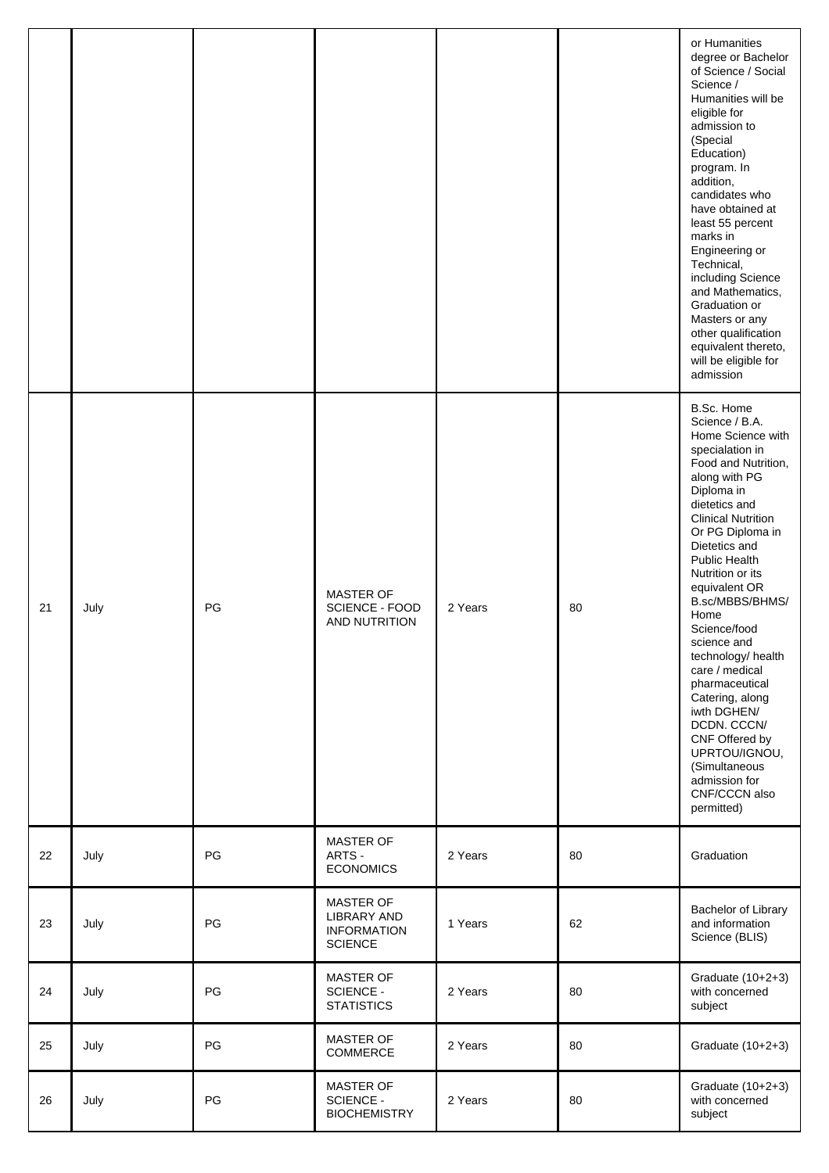|    |      |    |                                                                  |         |    | or Humanities<br>degree or Bachelor<br>of Science / Social<br>Science /<br>Humanities will be<br>eligible for<br>admission to<br>(Special<br>Education)<br>program. In<br>addition,<br>candidates who<br>have obtained at<br>least 55 percent<br>marks in<br>Engineering or<br>Technical,<br>including Science<br>and Mathematics,<br>Graduation or<br>Masters or any<br>other qualification<br>equivalent thereto,<br>will be eligible for<br>admission                                                                                     |
|----|------|----|------------------------------------------------------------------|---------|----|----------------------------------------------------------------------------------------------------------------------------------------------------------------------------------------------------------------------------------------------------------------------------------------------------------------------------------------------------------------------------------------------------------------------------------------------------------------------------------------------------------------------------------------------|
| 21 | July | PG | MASTER OF<br>SCIENCE - FOOD<br>AND NUTRITION                     | 2 Years | 80 | B.Sc. Home<br>Science / B.A.<br>Home Science with<br>specialation in<br>Food and Nutrition,<br>along with PG<br>Diploma in<br>dietetics and<br><b>Clinical Nutrition</b><br>Or PG Diploma in<br>Dietetics and<br>Public Health<br>Nutrition or its<br>equivalent OR<br>B.sc/MBBS/BHMS/<br>Home<br>Science/food<br>science and<br>technology/ health<br>care / medical<br>pharmaceutical<br>Catering, along<br>iwth DGHEN/<br>DCDN. CCCN/<br>CNF Offered by<br>UPRTOU/IGNOU,<br>(Simultaneous<br>admission for<br>CNF/CCCN also<br>permitted) |
| 22 | July | PG | MASTER OF<br>ARTS -<br><b>ECONOMICS</b>                          | 2 Years | 80 | Graduation                                                                                                                                                                                                                                                                                                                                                                                                                                                                                                                                   |
| 23 | July | PG | MASTER OF<br>LIBRARY AND<br><b>INFORMATION</b><br><b>SCIENCE</b> | 1 Years | 62 | Bachelor of Library<br>and information<br>Science (BLIS)                                                                                                                                                                                                                                                                                                                                                                                                                                                                                     |
| 24 | July | PG | <b>MASTER OF</b><br>SCIENCE -<br><b>STATISTICS</b>               | 2 Years | 80 | Graduate (10+2+3)<br>with concerned<br>subject                                                                                                                                                                                                                                                                                                                                                                                                                                                                                               |
| 25 | July | PG | MASTER OF<br>COMMERCE                                            | 2 Years | 80 | Graduate (10+2+3)                                                                                                                                                                                                                                                                                                                                                                                                                                                                                                                            |
| 26 | July | PG | MASTER OF<br><b>SCIENCE -</b><br><b>BIOCHEMISTRY</b>             | 2 Years | 80 | Graduate (10+2+3)<br>with concerned<br>subject                                                                                                                                                                                                                                                                                                                                                                                                                                                                                               |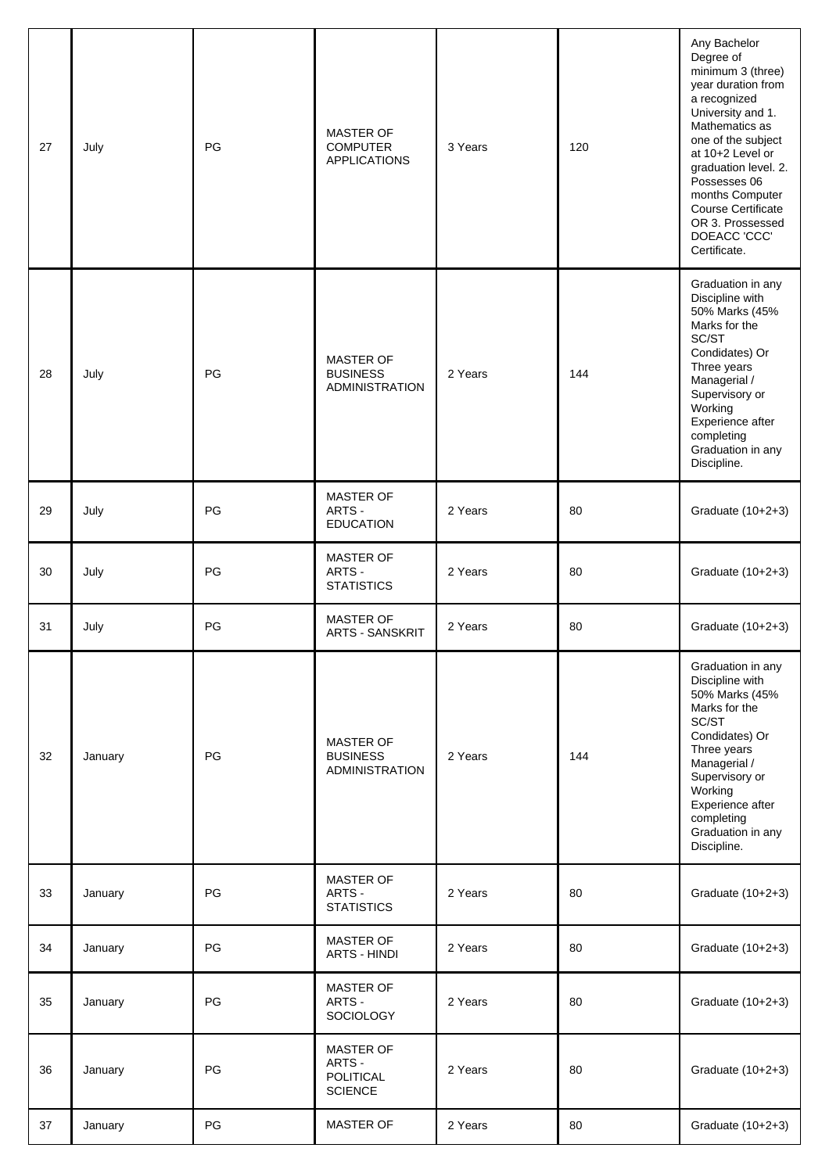| 27 | July    | PG | MASTER OF<br><b>COMPUTER</b><br><b>APPLICATIONS</b>              | 3 Years | 120 | Any Bachelor<br>Degree of<br>minimum 3 (three)<br>year duration from<br>a recognized<br>University and 1.<br>Mathematics as<br>one of the subject<br>at 10+2 Level or<br>graduation level. 2.<br>Possesses 06<br>months Computer<br><b>Course Certificate</b><br>OR 3. Prossessed<br>DOEACC 'CCC'<br>Certificate. |
|----|---------|----|------------------------------------------------------------------|---------|-----|-------------------------------------------------------------------------------------------------------------------------------------------------------------------------------------------------------------------------------------------------------------------------------------------------------------------|
| 28 | July    | PG | MASTER OF<br><b>BUSINESS</b><br><b>ADMINISTRATION</b>            | 2 Years | 144 | Graduation in any<br>Discipline with<br>50% Marks (45%<br>Marks for the<br>SC/ST<br>Condidates) Or<br>Three years<br>Managerial /<br>Supervisory or<br>Working<br>Experience after<br>completing<br>Graduation in any<br>Discipline.                                                                              |
| 29 | July    | PG | MASTER OF<br>ARTS -<br><b>EDUCATION</b>                          | 2 Years | 80  | Graduate (10+2+3)                                                                                                                                                                                                                                                                                                 |
| 30 | July    | PG | <b>MASTER OF</b><br>ARTS -<br><b>STATISTICS</b>                  | 2 Years | 80  | Graduate (10+2+3)                                                                                                                                                                                                                                                                                                 |
| 31 | July    | PG | MASTER OF<br><b>ARTS - SANSKRIT</b>                              | 2 Years | 80  | Graduate (10+2+3)                                                                                                                                                                                                                                                                                                 |
| 32 | January | PG | <b>MASTER OF</b><br><b>BUSINESS</b><br><b>ADMINISTRATION</b>     | 2 Years | 144 | Graduation in any<br>Discipline with<br>50% Marks (45%<br>Marks for the<br>SC/ST<br>Condidates) Or<br>Three years<br>Managerial /<br>Supervisory or<br>Working<br>Experience after<br>completing<br>Graduation in any<br>Discipline.                                                                              |
| 33 | January | PG | MASTER OF<br>ARTS -<br><b>STATISTICS</b>                         | 2 Years | 80  | Graduate (10+2+3)                                                                                                                                                                                                                                                                                                 |
| 34 | January | PG | <b>MASTER OF</b><br><b>ARTS - HINDI</b>                          | 2 Years | 80  | Graduate (10+2+3)                                                                                                                                                                                                                                                                                                 |
| 35 | January | PG | MASTER OF<br>ARTS -<br>SOCIOLOGY                                 | 2 Years | 80  | Graduate (10+2+3)                                                                                                                                                                                                                                                                                                 |
| 36 | January | PG | <b>MASTER OF</b><br>ARTS -<br><b>POLITICAL</b><br><b>SCIENCE</b> | 2 Years | 80  | Graduate (10+2+3)                                                                                                                                                                                                                                                                                                 |
| 37 | January | PG | MASTER OF                                                        | 2 Years | 80  | Graduate (10+2+3)                                                                                                                                                                                                                                                                                                 |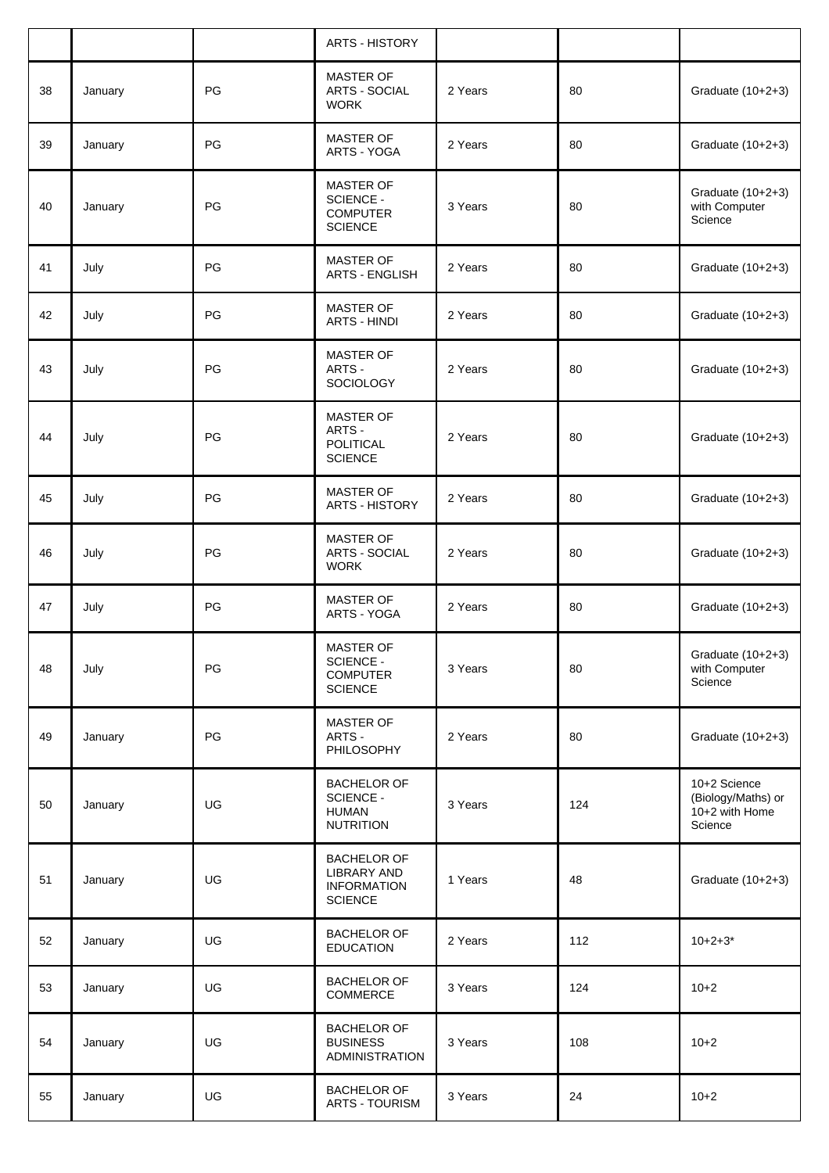|    |         |    | <b>ARTS - HISTORY</b>                                                      |         |     |                                                                 |
|----|---------|----|----------------------------------------------------------------------------|---------|-----|-----------------------------------------------------------------|
| 38 | January | PG | <b>MASTER OF</b><br><b>ARTS - SOCIAL</b><br><b>WORK</b>                    | 2 Years | 80  | Graduate (10+2+3)                                               |
| 39 | January | PG | <b>MASTER OF</b><br>ARTS - YOGA                                            | 2 Years | 80  | Graduate (10+2+3)                                               |
| 40 | January | PG | MASTER OF<br>SCIENCE -<br><b>COMPUTER</b><br><b>SCIENCE</b>                | 3 Years | 80  | Graduate (10+2+3)<br>with Computer<br>Science                   |
| 41 | July    | PG | MASTER OF<br><b>ARTS - ENGLISH</b>                                         | 2 Years | 80  | Graduate (10+2+3)                                               |
| 42 | July    | PG | MASTER OF<br><b>ARTS - HINDI</b>                                           | 2 Years | 80  | Graduate (10+2+3)                                               |
| 43 | July    | PG | MASTER OF<br>ARTS -<br><b>SOCIOLOGY</b>                                    | 2 Years | 80  | Graduate (10+2+3)                                               |
| 44 | July    | PG | MASTER OF<br>ARTS -<br>POLITICAL<br><b>SCIENCE</b>                         | 2 Years | 80  | Graduate (10+2+3)                                               |
| 45 | July    | PG | <b>MASTER OF</b><br>ARTS - HISTORY                                         | 2 Years | 80  | Graduate (10+2+3)                                               |
| 46 | July    | PG | <b>MASTER OF</b><br><b>ARTS - SOCIAL</b><br><b>WORK</b>                    | 2 Years | 80  | Graduate (10+2+3)                                               |
| 47 | July    | PG | <b>MASTER OF</b><br>ARTS - YOGA                                            | 2 Years | 80  | Graduate (10+2+3)                                               |
| 48 | July    | PG | <b>MASTER OF</b><br>SCIENCE -<br><b>COMPUTER</b><br><b>SCIENCE</b>         | 3 Years | 80  | Graduate (10+2+3)<br>with Computer<br>Science                   |
| 49 | January | PG | MASTER OF<br>ARTS -<br>PHILOSOPHY                                          | 2 Years | 80  | Graduate (10+2+3)                                               |
| 50 | January | UG | <b>BACHELOR OF</b><br><b>SCIENCE -</b><br><b>HUMAN</b><br><b>NUTRITION</b> | 3 Years | 124 | 10+2 Science<br>(Biology/Maths) or<br>10+2 with Home<br>Science |
| 51 | January | UG | <b>BACHELOR OF</b><br>LIBRARY AND<br><b>INFORMATION</b><br><b>SCIENCE</b>  | 1 Years | 48  | Graduate (10+2+3)                                               |
| 52 | January | UG | <b>BACHELOR OF</b><br><b>EDUCATION</b>                                     | 2 Years | 112 | $10+2+3*$                                                       |
| 53 | January | UG | <b>BACHELOR OF</b><br>COMMERCE                                             | 3 Years | 124 | $10+2$                                                          |
| 54 | January | UG | <b>BACHELOR OF</b><br><b>BUSINESS</b><br>ADMINISTRATION                    | 3 Years | 108 | $10 + 2$                                                        |
| 55 | January | UG | <b>BACHELOR OF</b><br>ARTS - TOURISM                                       | 3 Years | 24  | $10+2$                                                          |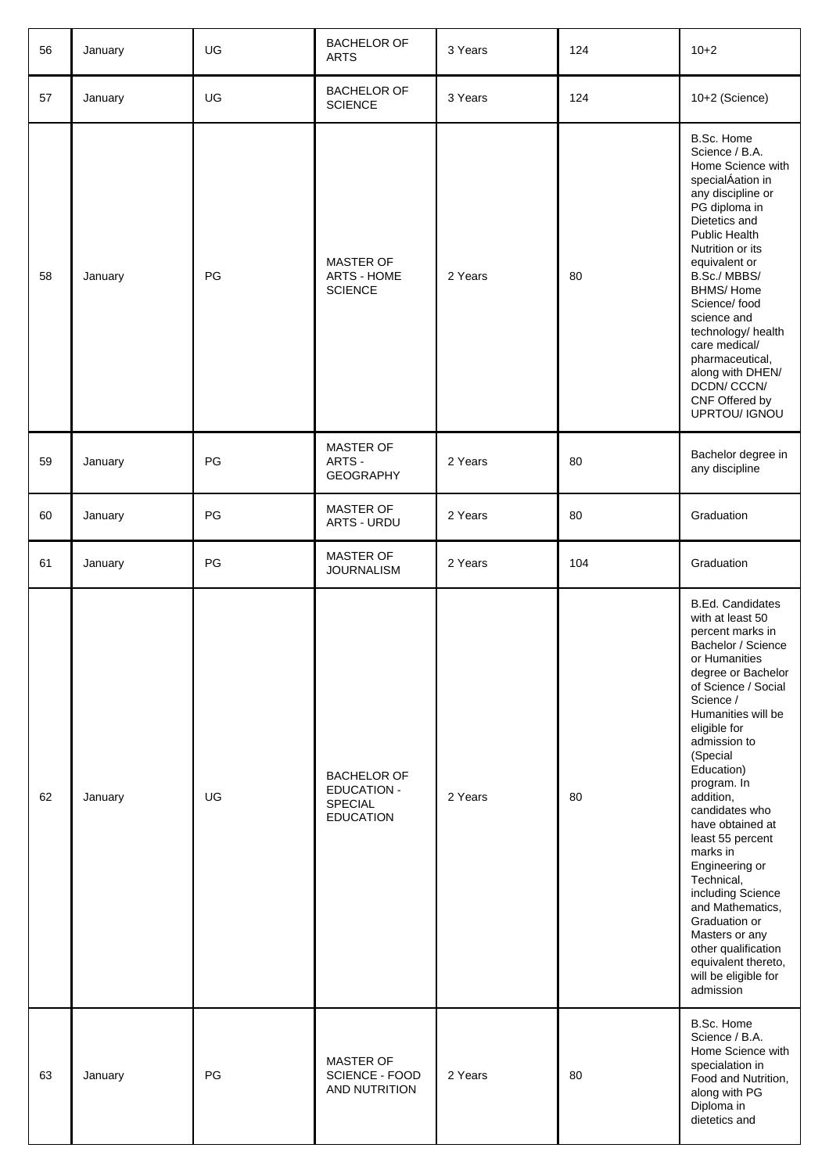| 56 | January | UG | <b>BACHELOR OF</b><br><b>ARTS</b>                                              | 3 Years | 124 | $10+2$                                                                                                                                                                                                                                                                                                                                                                                                                                                                                                                                            |
|----|---------|----|--------------------------------------------------------------------------------|---------|-----|---------------------------------------------------------------------------------------------------------------------------------------------------------------------------------------------------------------------------------------------------------------------------------------------------------------------------------------------------------------------------------------------------------------------------------------------------------------------------------------------------------------------------------------------------|
| 57 | January | UG | <b>BACHELOR OF</b><br><b>SCIENCE</b>                                           | 3 Years | 124 | 10+2 (Science)                                                                                                                                                                                                                                                                                                                                                                                                                                                                                                                                    |
| 58 | January | PG | MASTER OF<br>ARTS - HOME<br><b>SCIENCE</b>                                     | 2 Years | 80  | B.Sc. Home<br>Science / B.A.<br>Home Science with<br>specialÁation in<br>any discipline or<br>PG diploma in<br>Dietetics and<br>Public Health<br>Nutrition or its<br>equivalent or<br>B.Sc./MBBS/<br><b>BHMS/Home</b><br>Science/food<br>science and<br>technology/ health<br>care medical/<br>pharmaceutical,<br>along with DHEN/<br>DCDN/ CCCN/<br>CNF Offered by<br>UPRTOU/ IGNOU                                                                                                                                                              |
| 59 | January | PG | MASTER OF<br>ARTS -<br><b>GEOGRAPHY</b>                                        | 2 Years | 80  | Bachelor degree in<br>any discipline                                                                                                                                                                                                                                                                                                                                                                                                                                                                                                              |
| 60 | January | PG | MASTER OF<br>ARTS - URDU                                                       | 2 Years | 80  | Graduation                                                                                                                                                                                                                                                                                                                                                                                                                                                                                                                                        |
| 61 | January | PG | MASTER OF<br><b>JOURNALISM</b>                                                 | 2 Years | 104 | Graduation                                                                                                                                                                                                                                                                                                                                                                                                                                                                                                                                        |
|    |         |    |                                                                                |         |     |                                                                                                                                                                                                                                                                                                                                                                                                                                                                                                                                                   |
| 62 | January | UG | <b>BACHELOR OF</b><br><b>EDUCATION -</b><br><b>SPECIAL</b><br><b>EDUCATION</b> | 2 Years | 80  | <b>B.Ed. Candidates</b><br>with at least 50<br>percent marks in<br>Bachelor / Science<br>or Humanities<br>degree or Bachelor<br>of Science / Social<br>Science /<br>Humanities will be<br>eligible for<br>admission to<br>(Special<br>Education)<br>program. In<br>addition,<br>candidates who<br>have obtained at<br>least 55 percent<br>marks in<br>Engineering or<br>Technical,<br>including Science<br>and Mathematics,<br>Graduation or<br>Masters or any<br>other qualification<br>equivalent thereto,<br>will be eligible for<br>admission |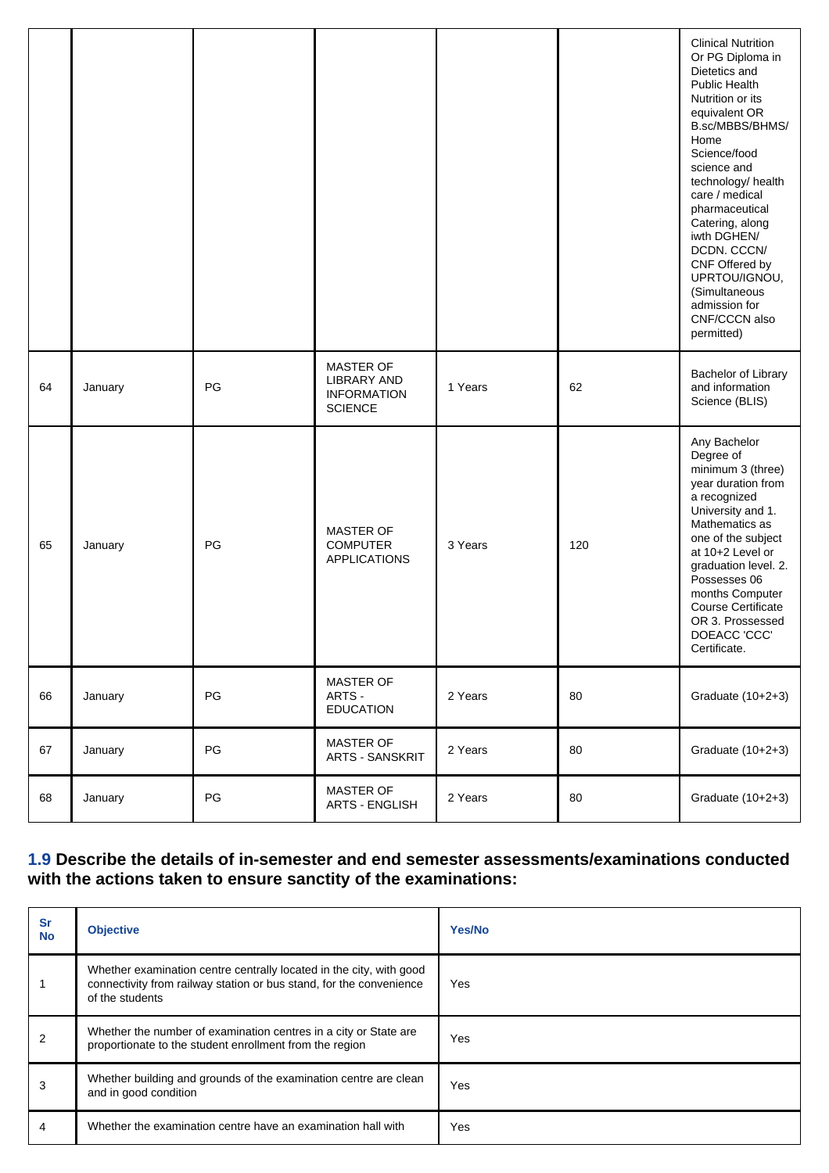|    |         |    |                                                                                |         |     | <b>Clinical Nutrition</b><br>Or PG Diploma in<br>Dietetics and<br><b>Public Health</b><br>Nutrition or its<br>equivalent OR<br>B.sc/MBBS/BHMS/<br>Home<br>Science/food<br>science and<br>technology/ health<br>care / medical<br>pharmaceutical<br>Catering, along<br>iwth DGHEN/<br>DCDN. CCCN/<br>CNF Offered by<br>UPRTOU/IGNOU,<br>(Simultaneous<br>admission for<br>CNF/CCCN also<br>permitted) |
|----|---------|----|--------------------------------------------------------------------------------|---------|-----|------------------------------------------------------------------------------------------------------------------------------------------------------------------------------------------------------------------------------------------------------------------------------------------------------------------------------------------------------------------------------------------------------|
| 64 | January | PG | <b>MASTER OF</b><br><b>LIBRARY AND</b><br><b>INFORMATION</b><br><b>SCIENCE</b> | 1 Years | 62  | Bachelor of Library<br>and information<br>Science (BLIS)                                                                                                                                                                                                                                                                                                                                             |
| 65 | January | PG | <b>MASTER OF</b><br><b>COMPUTER</b><br><b>APPLICATIONS</b>                     | 3 Years | 120 | Any Bachelor<br>Degree of<br>minimum 3 (three)<br>year duration from<br>a recognized<br>University and 1.<br>Mathematics as<br>one of the subject<br>at 10+2 Level or<br>graduation level. 2.<br>Possesses 06<br>months Computer<br><b>Course Certificate</b><br>OR 3. Prossessed<br>DOEACC 'CCC'<br>Certificate.                                                                                    |
| 66 | January | PG | <b>MASTER OF</b><br>ARTS -<br><b>EDUCATION</b>                                 | 2 Years | 80  | Graduate (10+2+3)                                                                                                                                                                                                                                                                                                                                                                                    |
| 67 | January | PG | MASTER OF<br><b>ARTS - SANSKRIT</b>                                            | 2 Years | 80  | Graduate (10+2+3)                                                                                                                                                                                                                                                                                                                                                                                    |
| 68 | January | PG | MASTER OF<br><b>ARTS - ENGLISH</b>                                             | 2 Years | 80  | Graduate (10+2+3)                                                                                                                                                                                                                                                                                                                                                                                    |

#### **1.9 Describe the details of in-semester and end semester assessments/examinations conducted with the actions taken to ensure sanctity of the examinations:**

| <b>Sr</b><br><b>No</b> | <b>Objective</b>                                                                                                                                              | Yes/No |
|------------------------|---------------------------------------------------------------------------------------------------------------------------------------------------------------|--------|
|                        | Whether examination centre centrally located in the city, with good<br>connectivity from railway station or bus stand, for the convenience<br>of the students | Yes    |
|                        | Whether the number of examination centres in a city or State are<br>proportionate to the student enrollment from the region                                   | Yes    |
| 3                      | Whether building and grounds of the examination centre are clean<br>and in good condition                                                                     | Yes    |
| 4                      | Whether the examination centre have an examination hall with                                                                                                  | Yes    |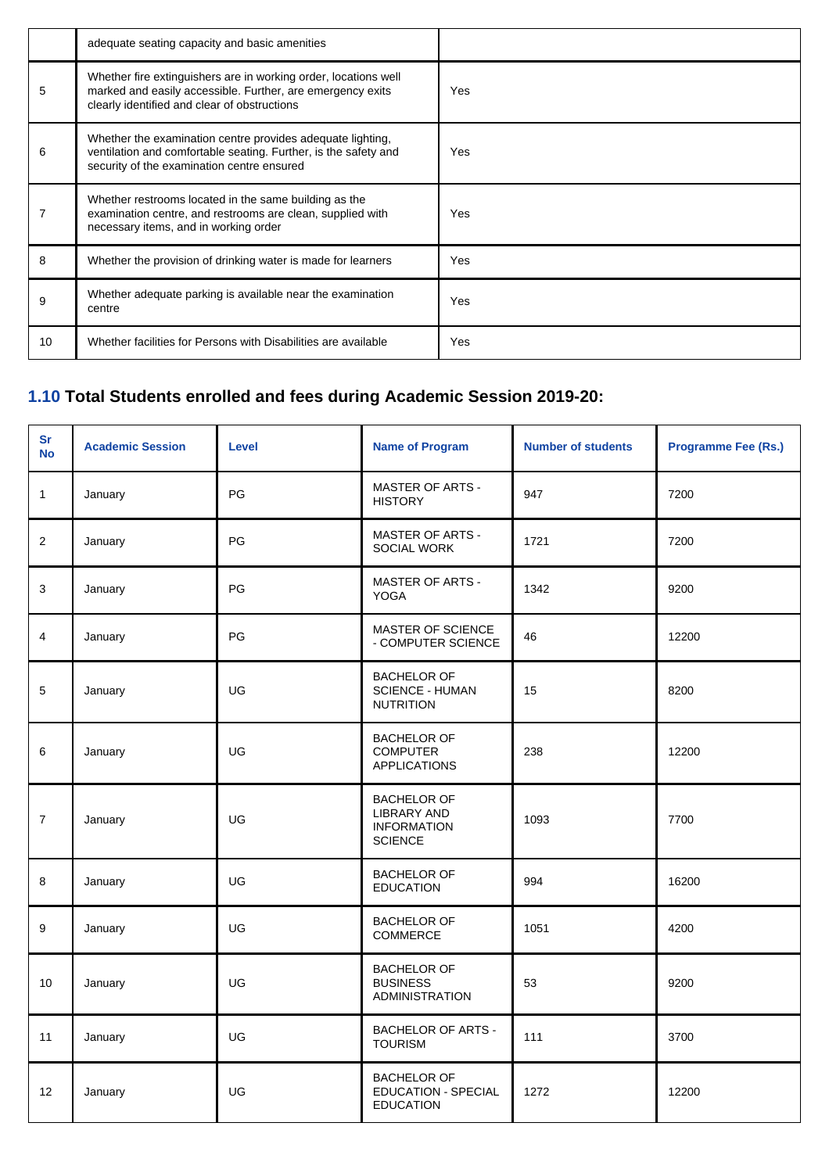|    | adequate seating capacity and basic amenities                                                                                                                                 |            |
|----|-------------------------------------------------------------------------------------------------------------------------------------------------------------------------------|------------|
| 5  | Whether fire extinguishers are in working order, locations well<br>marked and easily accessible. Further, are emergency exits<br>clearly identified and clear of obstructions | Yes        |
| 6  | Whether the examination centre provides adequate lighting,<br>ventilation and comfortable seating. Further, is the safety and<br>security of the examination centre ensured   | Yes        |
|    | Whether restrooms located in the same building as the<br>examination centre, and restrooms are clean, supplied with<br>necessary items, and in working order                  | <b>Yes</b> |
| 8  | Whether the provision of drinking water is made for learners                                                                                                                  | <b>Yes</b> |
| 9  | Whether adequate parking is available near the examination<br>centre                                                                                                          | <b>Yes</b> |
| 10 | Whether facilities for Persons with Disabilities are available                                                                                                                | <b>Yes</b> |

## **1.10 Total Students enrolled and fees during Academic Session 2019-20:**

| Sr<br><b>No</b> | <b>Academic Session</b> | <b>Level</b> | <b>Name of Program</b>                                                           | <b>Number of students</b> | <b>Programme Fee (Rs.)</b> |
|-----------------|-------------------------|--------------|----------------------------------------------------------------------------------|---------------------------|----------------------------|
| $\mathbf{1}$    | January                 | PG           | <b>MASTER OF ARTS -</b><br><b>HISTORY</b>                                        | 947                       | 7200                       |
| 2               | January                 | PG           | <b>MASTER OF ARTS -</b><br>SOCIAL WORK                                           | 1721                      | 7200                       |
| 3               | January                 | PG           | <b>MASTER OF ARTS -</b><br><b>YOGA</b>                                           | 1342                      | 9200                       |
| $\overline{4}$  | January                 | PG           | MASTER OF SCIENCE<br>- COMPUTER SCIENCE                                          | 46                        | 12200                      |
| 5               | January                 | UG           | <b>BACHELOR OF</b><br><b>SCIENCE - HUMAN</b><br><b>NUTRITION</b>                 | 15                        | 8200                       |
| 6               | January                 | UG           | <b>BACHELOR OF</b><br><b>COMPUTER</b><br><b>APPLICATIONS</b>                     | 238                       | 12200                      |
| $\overline{7}$  | January                 | UG           | <b>BACHELOR OF</b><br><b>LIBRARY AND</b><br><b>INFORMATION</b><br><b>SCIENCE</b> | 1093                      | 7700                       |
| 8               | January                 | UG           | <b>BACHELOR OF</b><br><b>EDUCATION</b>                                           | 994                       | 16200                      |
| 9               | January                 | UG           | <b>BACHELOR OF</b><br>COMMERCE                                                   | 1051                      | 4200                       |
| 10              | January                 | UG           | <b>BACHELOR OF</b><br><b>BUSINESS</b><br><b>ADMINISTRATION</b>                   | 53                        | 9200                       |
| 11              | January                 | UG           | <b>BACHELOR OF ARTS -</b><br><b>TOURISM</b>                                      | 111                       | 3700                       |
| 12              | January                 | UG           | <b>BACHELOR OF</b><br><b>EDUCATION - SPECIAL</b><br><b>EDUCATION</b>             | 1272                      | 12200                      |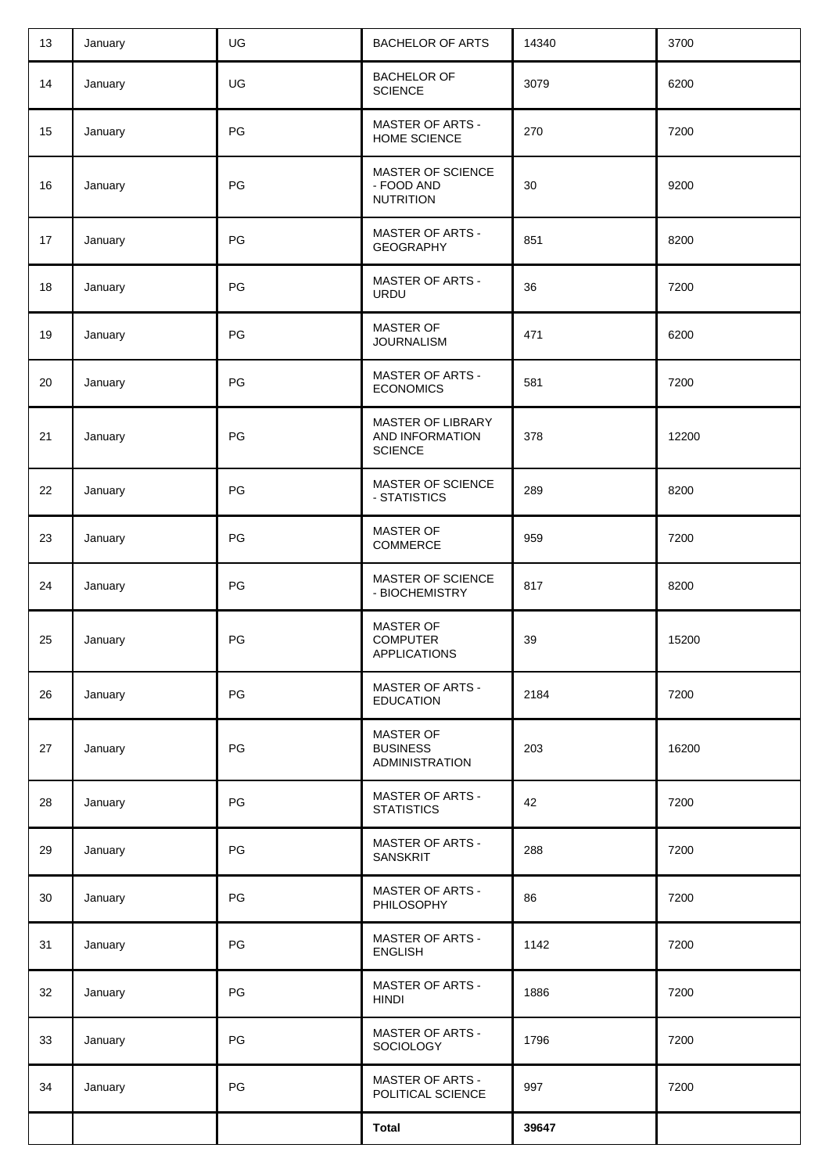| 13 | January | UG | <b>BACHELOR OF ARTS</b>                                      | 14340 | 3700  |
|----|---------|----|--------------------------------------------------------------|-------|-------|
| 14 | January | UG | <b>BACHELOR OF</b><br><b>SCIENCE</b>                         | 3079  | 6200  |
| 15 | January | PG | <b>MASTER OF ARTS -</b><br>HOME SCIENCE                      | 270   | 7200  |
| 16 | January | PG | MASTER OF SCIENCE<br>- FOOD AND<br><b>NUTRITION</b>          | 30    | 9200  |
| 17 | January | PG | <b>MASTER OF ARTS -</b><br><b>GEOGRAPHY</b>                  | 851   | 8200  |
| 18 | January | PG | <b>MASTER OF ARTS -</b><br><b>URDU</b>                       | 36    | 7200  |
| 19 | January | PG | MASTER OF<br><b>JOURNALISM</b>                               | 471   | 6200  |
| 20 | January | PG | <b>MASTER OF ARTS -</b><br><b>ECONOMICS</b>                  | 581   | 7200  |
| 21 | January | PG | MASTER OF LIBRARY<br>AND INFORMATION<br><b>SCIENCE</b>       | 378   | 12200 |
| 22 | January | PG | MASTER OF SCIENCE<br>- STATISTICS                            | 289   | 8200  |
| 23 | January | PG | <b>MASTER OF</b><br>COMMERCE                                 | 959   | 7200  |
| 24 | January | PG | MASTER OF SCIENCE<br>- BIOCHEMISTRY                          | 817   | 8200  |
| 25 | January | PG | <b>MASTER OF</b><br><b>COMPUTER</b><br><b>APPLICATIONS</b>   | 39    | 15200 |
| 26 | January | PG | <b>MASTER OF ARTS -</b><br><b>EDUCATION</b>                  | 2184  | 7200  |
| 27 | January | PG | <b>MASTER OF</b><br><b>BUSINESS</b><br><b>ADMINISTRATION</b> | 203   | 16200 |
| 28 | January | PG | <b>MASTER OF ARTS -</b><br><b>STATISTICS</b>                 | 42    | 7200  |
| 29 | January | PG | <b>MASTER OF ARTS -</b><br><b>SANSKRIT</b>                   | 288   | 7200  |
| 30 | January | PG | <b>MASTER OF ARTS -</b><br>PHILOSOPHY                        | 86    | 7200  |
| 31 | January | PG | <b>MASTER OF ARTS -</b><br><b>ENGLISH</b>                    | 1142  | 7200  |
| 32 | January | PG | <b>MASTER OF ARTS -</b><br><b>HINDI</b>                      | 1886  | 7200  |
| 33 | January | PG | <b>MASTER OF ARTS -</b><br>SOCIOLOGY                         | 1796  | 7200  |
| 34 | January | PG | <b>MASTER OF ARTS -</b><br>POLITICAL SCIENCE                 | 997   | 7200  |
|    |         |    | <b>Total</b>                                                 | 39647 |       |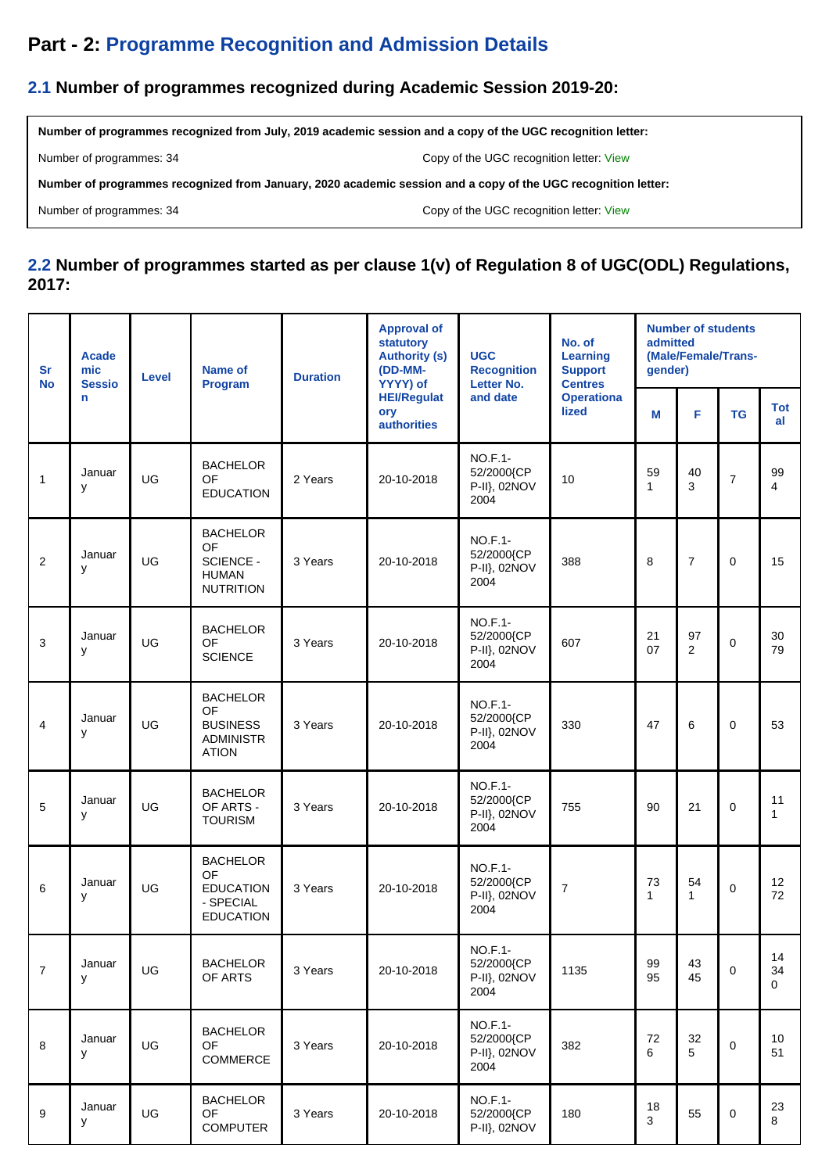## **Part - 2: Programme Recognition and Admission Details**

### **2.1 Number of programmes recognized during Academic Session 2019-20:**

**Number of programmes recognized from July, 2019 academic session and a copy of the UGC recognition letter:**

Number of programmes: 34 Copy of the UGC recognition letter: [View](http://deb.ugc.ac.in/Uploads/ODL/HEI-U-0546/CIQA/2019-20_projul_5087.pdf)

**Number of programmes recognized from January, 2020 academic session and a copy of the UGC recognition letter:**

Number of programmes: 34 Copy of the UGC recognition letter: [View](http://deb.ugc.ac.in/Uploads/ODL/HEI-U-0546/CIQA/2019-20_projan_5088.pdf)

#### **2.2 Number of programmes started as per clause 1(v) of Regulation 8 of UGC(ODL) Regulations, 2017:**

| <b>Sr</b><br><b>No</b> | <b>Acade</b><br>mic<br><b>Sessio</b> | Level | Name of<br>Program                                                           | <b>Duration</b> | <b>Approval of</b><br>statutory<br><b>Authority (s)</b><br>(DD-MM-<br>YYYY) of | <b>UGC</b><br><b>Recognition</b><br>Letter No.       | No. of<br>Learning<br><b>Support</b><br><b>Centres</b> | admitted<br>gender) | <b>Number of students</b><br>(Male/Female/Trans- |                |                  |
|------------------------|--------------------------------------|-------|------------------------------------------------------------------------------|-----------------|--------------------------------------------------------------------------------|------------------------------------------------------|--------------------------------------------------------|---------------------|--------------------------------------------------|----------------|------------------|
|                        | n                                    |       |                                                                              |                 | <b>HEI/Regulat</b><br>ory<br><b>authorities</b>                                | and date                                             | <b>Operationa</b><br><b>lized</b>                      | M                   | F                                                | <b>TG</b>      | <b>Tot</b><br>al |
| 1                      | Januar<br>y                          | UG    | <b>BACHELOR</b><br>OF<br><b>EDUCATION</b>                                    | 2 Years         | 20-10-2018                                                                     | <b>NO.F.1-</b><br>52/2000{CP<br>P-II}, 02NOV<br>2004 | 10                                                     | 59<br>$\mathbf{1}$  | 40<br>3                                          | $\overline{7}$ | 99<br>4          |
| $\mathbf{2}$           | Januar<br>y                          | UG    | <b>BACHELOR</b><br>OF<br>SCIENCE -<br><b>HUMAN</b><br><b>NUTRITION</b>       | 3 Years         | 20-10-2018                                                                     | <b>NO.F.1-</b><br>52/2000{CP<br>P-II}, 02NOV<br>2004 | 388                                                    | 8                   | $\boldsymbol{7}$                                 | $\mathbf 0$    | 15               |
| 3                      | Januar<br>y                          | UG    | <b>BACHELOR</b><br>OF<br><b>SCIENCE</b>                                      | 3 Years         | 20-10-2018                                                                     | <b>NO.F.1-</b><br>52/2000{CP<br>P-II}, 02NOV<br>2004 | 607                                                    | 21<br>07            | 97<br>$\overline{2}$                             | $\mathbf 0$    | 30<br>79         |
| 4                      | Januar<br>y                          | UG    | <b>BACHELOR</b><br>OF<br><b>BUSINESS</b><br><b>ADMINISTR</b><br><b>ATION</b> | 3 Years         | 20-10-2018                                                                     | <b>NO.F.1-</b><br>52/2000{CP<br>P-II}, 02NOV<br>2004 | 330                                                    | 47                  | 6                                                | $\mathbf 0$    | 53               |
| 5                      | Januar<br>y                          | UG    | <b>BACHELOR</b><br>OF ARTS -<br><b>TOURISM</b>                               | 3 Years         | 20-10-2018                                                                     | NO.F.1-<br>52/2000{CP<br>P-II}, 02NOV<br>2004        | 755                                                    | 90                  | 21                                               | $\mathbf 0$    | 11<br>1          |
| 6                      | Januar<br>у                          | UG    | <b>BACHELOR</b><br>OF<br><b>EDUCATION</b><br>- SPECIAL<br><b>EDUCATION</b>   | 3 Years         | 20-10-2018                                                                     | NO.F.1-<br>52/2000{CP<br>P-II}, 02NOV<br>2004        | $\overline{7}$                                         | 73<br>1             | 54<br>$\mathbf{1}$                               | $\mathbf 0$    | 12<br>72         |
| $\overline{7}$         | Januar<br>y                          | UG    | <b>BACHELOR</b><br>OF ARTS                                                   | 3 Years         | 20-10-2018                                                                     | <b>NO.F.1-</b><br>52/2000{CP<br>P-II}, 02NOV<br>2004 | 1135                                                   | 99<br>95            | 43<br>45                                         | $\mathbf 0$    | 14<br>34<br>0    |
| 8                      | Januar<br>y                          | UG    | <b>BACHELOR</b><br>OF<br><b>COMMERCE</b>                                     | 3 Years         | 20-10-2018                                                                     | <b>NO.F.1-</b><br>52/2000{CP<br>P-II}, 02NOV<br>2004 | 382                                                    | 72<br>6             | 32<br>5                                          | $\mathbf 0$    | 10<br>51         |
| 9                      | Januar<br>у                          | UG    | <b>BACHELOR</b><br><b>OF</b><br><b>COMPUTER</b>                              | 3 Years         | 20-10-2018                                                                     | NO.F.1-<br>52/2000{CP<br>P-II}, 02NOV                | 180                                                    | 18<br>3             | 55                                               | 0              | 23<br>8          |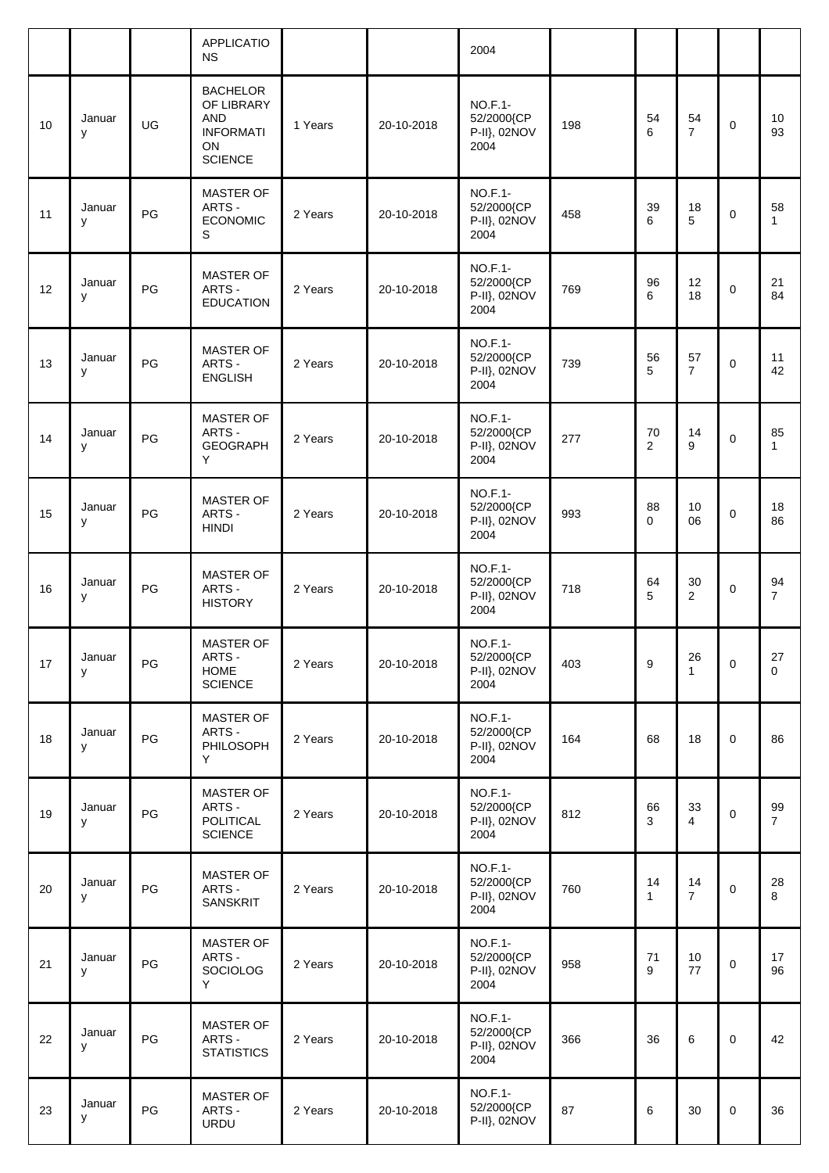|    |             |    | <b>APPLICATIO</b><br><b>NS</b>                                                          |         |            | 2004                                                 |     |                    |                      |             |                      |
|----|-------------|----|-----------------------------------------------------------------------------------------|---------|------------|------------------------------------------------------|-----|--------------------|----------------------|-------------|----------------------|
| 10 | Januar<br>у | UG | <b>BACHELOR</b><br>OF LIBRARY<br><b>AND</b><br><b>INFORMATI</b><br>ON<br><b>SCIENCE</b> | 1 Years | 20-10-2018 | NO.F.1-<br>52/2000{CP<br>P-II}, 02NOV<br>2004        | 198 | 54<br>6            | 54<br>$\overline{7}$ | $\mathbf 0$ | 10<br>93             |
| 11 | Januar<br>y | PG | <b>MASTER OF</b><br>ARTS -<br><b>ECONOMIC</b><br>S                                      | 2 Years | 20-10-2018 | NO.F.1-<br>52/2000{CP<br>P-II}, 02NOV<br>2004        | 458 | 39<br>6            | 18<br>5              | $\mathbf 0$ | 58<br>$\mathbf{1}$   |
| 12 | Januar<br>У | PG | <b>MASTER OF</b><br>ARTS -<br><b>EDUCATION</b>                                          | 2 Years | 20-10-2018 | <b>NO.F.1-</b><br>52/2000{CP<br>P-II}, 02NOV<br>2004 | 769 | 96<br>6            | 12<br>18             | $\mathbf 0$ | 21<br>84             |
| 13 | Januar<br>у | PG | <b>MASTER OF</b><br>ARTS -<br><b>ENGLISH</b>                                            | 2 Years | 20-10-2018 | NO.F.1-<br>52/2000{CP<br>P-II}, 02NOV<br>2004        | 739 | 56<br>5            | 57<br>$\overline{7}$ | $\pmb{0}$   | 11<br>42             |
| 14 | Januar<br>У | PG | <b>MASTER OF</b><br>ARTS -<br><b>GEOGRAPH</b><br>Y                                      | 2 Years | 20-10-2018 | <b>NO.F.1-</b><br>52/2000{CP<br>P-II}, 02NOV<br>2004 | 277 | 70<br>2            | 14<br>9              | $\mathbf 0$ | 85<br>1              |
| 15 | Januar<br>у | PG | <b>MASTER OF</b><br>ARTS -<br><b>HINDI</b>                                              | 2 Years | 20-10-2018 | NO.F.1-<br>52/2000{CP<br>P-II}, 02NOV<br>2004        | 993 | 88<br>$\mathbf 0$  | 10<br>06             | $\mathbf 0$ | 18<br>86             |
| 16 | Januar<br>У | PG | MASTER OF<br>ARTS -<br><b>HISTORY</b>                                                   | 2 Years | 20-10-2018 | <b>NO.F.1-</b><br>52/2000{CP<br>P-II}, 02NOV<br>2004 | 718 | 64<br>5            | 30<br>$\overline{2}$ | $\mathbf 0$ | 94<br>$\overline{7}$ |
| 17 | Januar<br>У | PG | MASTER OF<br>ARTS -<br><b>HOME</b><br><b>SCIENCE</b>                                    | 2 Years | 20-10-2018 | NO.F.1-<br>52/2000{CP<br>P-II}, 02NOV<br>2004        | 403 | 9                  | 26<br>$\mathbf{1}$   | $\mathbf 0$ | 27<br>$\mathbf 0$    |
| 18 | Januar<br>У | PG | MASTER OF<br>ARTS -<br>PHILOSOPH<br>Y                                                   | 2 Years | 20-10-2018 | NO.F.1-<br>52/2000 (CP<br>P-II}, 02NOV<br>2004       | 164 | 68                 | 18                   | $\mathbf 0$ | 86                   |
| 19 | Januar<br>У | PG | MASTER OF<br>ARTS -<br><b>POLITICAL</b><br><b>SCIENCE</b>                               | 2 Years | 20-10-2018 | <b>NO.F.1-</b><br>52/2000{CP<br>P-II}, 02NOV<br>2004 | 812 | 66<br>3            | 33<br>4              | $\mathbf 0$ | 99<br>$\overline{7}$ |
| 20 | Januar<br>У | PG | <b>MASTER OF</b><br>ARTS -<br>SANSKRIT                                                  | 2 Years | 20-10-2018 | <b>NO.F.1-</b><br>52/2000{CP<br>P-II}, 02NOV<br>2004 | 760 | 14<br>$\mathbf{1}$ | 14<br>$\overline{7}$ | $\mathbf 0$ | 28<br>8              |
| 21 | Januar<br>У | PG | MASTER OF<br>ARTS -<br>SOCIOLOG<br>Y                                                    | 2 Years | 20-10-2018 | <b>NO.F.1-</b><br>52/2000{CP<br>P-II}, 02NOV<br>2004 | 958 | 71<br>9            | 10<br>77             | $\pmb{0}$   | 17<br>96             |
| 22 | Januar<br>у | PG | MASTER OF<br>ARTS -<br><b>STATISTICS</b>                                                | 2 Years | 20-10-2018 | <b>NO.F.1-</b><br>52/2000{CP<br>P-II}, 02NOV<br>2004 | 366 | 36                 | 6                    | $\mathbf 0$ | 42                   |
| 23 | Januar<br>у | PG | MASTER OF<br>ARTS -<br><b>URDU</b>                                                      | 2 Years | 20-10-2018 | <b>NO.F.1-</b><br>52/2000{CP<br>P-II}, 02NOV         | 87  | 6                  | 30                   | $\mathbf 0$ | 36                   |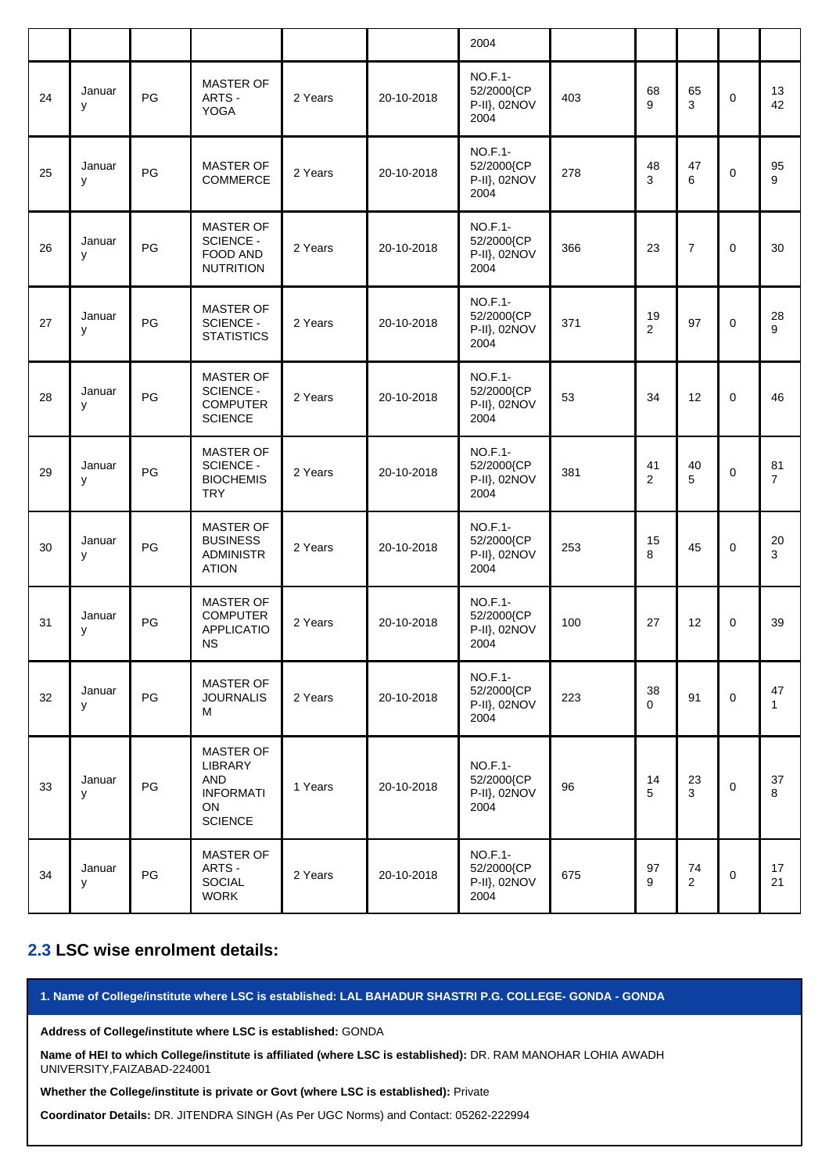|    |             |    |                                                                                       |         |            | 2004                                                 |     |                      |                      |             |                      |
|----|-------------|----|---------------------------------------------------------------------------------------|---------|------------|------------------------------------------------------|-----|----------------------|----------------------|-------------|----------------------|
| 24 | Januar<br>y | PG | <b>MASTER OF</b><br>ARTS -<br><b>YOGA</b>                                             | 2 Years | 20-10-2018 | <b>NO.F.1-</b><br>52/2000{CP<br>P-II}, 02NOV<br>2004 | 403 | 68<br>9              | 65<br>3              | 0           | 13<br>42             |
| 25 | Januar<br>y | PG | MASTER OF<br>COMMERCE                                                                 | 2 Years | 20-10-2018 | <b>NO.F.1-</b><br>52/2000{CP<br>P-II}, 02NOV<br>2004 | 278 | 48<br>3              | 47<br>6              | 0           | 95<br>9              |
| 26 | Januar<br>y | PG | <b>MASTER OF</b><br><b>SCIENCE -</b><br><b>FOOD AND</b><br><b>NUTRITION</b>           | 2 Years | 20-10-2018 | <b>NO.F.1-</b><br>52/2000{CP<br>P-II}, 02NOV<br>2004 | 366 | 23                   | $\overline{7}$       | $\mathbf 0$ | 30                   |
| 27 | Januar<br>y | PG | <b>MASTER OF</b><br><b>SCIENCE -</b><br><b>STATISTICS</b>                             | 2 Years | 20-10-2018 | <b>NO.F.1-</b><br>52/2000{CP<br>P-II}, 02NOV<br>2004 | 371 | 19<br>$\overline{2}$ | 97                   | $\mathbf 0$ | 28<br>9              |
| 28 | Januar<br>y | PG | <b>MASTER OF</b><br><b>SCIENCE -</b><br><b>COMPUTER</b><br><b>SCIENCE</b>             | 2 Years | 20-10-2018 | <b>NO.F.1-</b><br>52/2000{CP<br>P-II}, 02NOV<br>2004 | 53  | 34                   | 12                   | 0           | 46                   |
| 29 | Januar<br>y | PG | <b>MASTER OF</b><br><b>SCIENCE -</b><br><b>BIOCHEMIS</b><br><b>TRY</b>                | 2 Years | 20-10-2018 | <b>NO.F.1-</b><br>52/2000{CP<br>P-II}, 02NOV<br>2004 | 381 | 41<br>$\overline{2}$ | 40<br>5              | 0           | 81<br>$\overline{7}$ |
| 30 | Januar<br>y | PG | <b>MASTER OF</b><br><b>BUSINESS</b><br><b>ADMINISTR</b><br><b>ATION</b>               | 2 Years | 20-10-2018 | <b>NO.F.1-</b><br>52/2000{CP<br>P-II}, 02NOV<br>2004 | 253 | 15<br>8              | 45                   | $\mathbf 0$ | 20<br>3              |
| 31 | Januar<br>y | PG | MASTER OF<br><b>COMPUTER</b><br><b>APPLICATIO</b><br><b>NS</b>                        | 2 Years | 20-10-2018 | <b>NO.F.1-</b><br>52/2000{CP<br>P-II}, 02NOV<br>2004 | 100 | 27                   | 12                   | $\mathbf 0$ | 39                   |
| 32 | Januar<br>y | PG | MASTER OF<br><b>JOURNALIS</b><br>м                                                    | 2 Years | 20-10-2018 | NO.F.1-<br>52/2000{CP<br>P-II}, 02NOV<br>2004        | 223 | 38<br>0              | 91                   | $\mathbf 0$ | 47<br>$\mathbf{1}$   |
| 33 | Januar<br>y | PG | <b>MASTER OF</b><br>LIBRARY<br><b>AND</b><br><b>INFORMATI</b><br>ON<br><b>SCIENCE</b> | 1 Years | 20-10-2018 | <b>NO.F.1-</b><br>52/2000{CP<br>P-II}, 02NOV<br>2004 | 96  | 14<br>5              | 23<br>3              | $\mathbf 0$ | 37<br>8              |
| 34 | Januar<br>у | PG | <b>MASTER OF</b><br>ARTS -<br>SOCIAL<br><b>WORK</b>                                   | 2 Years | 20-10-2018 | <b>NO.F.1-</b><br>52/2000{CP<br>P-II}, 02NOV<br>2004 | 675 | 97<br>9              | 74<br>$\overline{2}$ | 0           | 17<br>21             |

#### **2.3 LSC wise enrolment details:**

**1. Name of College/institute where LSC is established: LAL BAHADUR SHASTRI P.G. COLLEGE- GONDA - GONDA**

**Address of College/institute where LSC is established:** GONDA

**Name of HEI to which College/institute is affiliated (where LSC is established):** DR. RAM MANOHAR LOHIA AWADH UNIVERSITY,FAIZABAD-224001

#### **Whether the College/institute is private or Govt (where LSC is established):** Private

**Coordinator Details:** DR. JITENDRA SINGH (As Per UGC Norms) and Contact: 05262-222994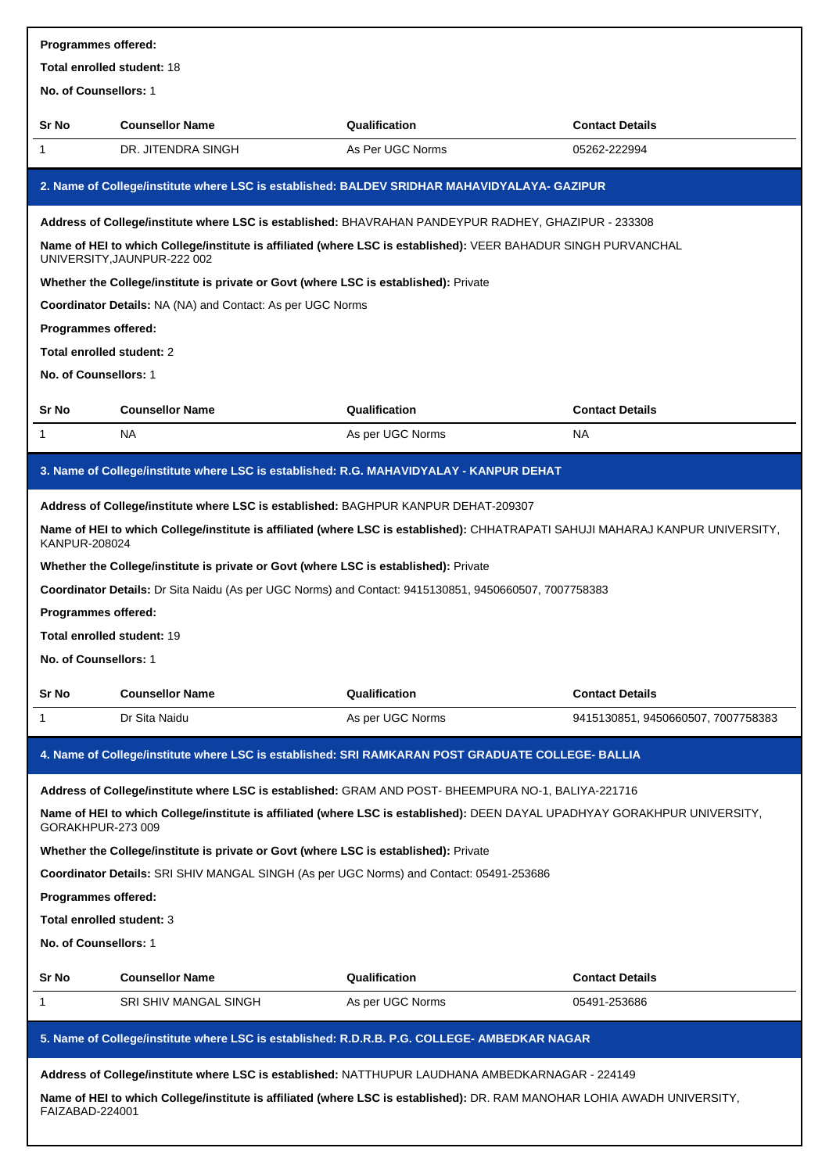| Programmes offered:               |                                                                                                                                               |                  |                                    |
|-----------------------------------|-----------------------------------------------------------------------------------------------------------------------------------------------|------------------|------------------------------------|
| <b>Total enrolled student: 18</b> |                                                                                                                                               |                  |                                    |
| No. of Counsellors: 1             |                                                                                                                                               |                  |                                    |
| Sr No                             | <b>Counsellor Name</b>                                                                                                                        | Qualification    | <b>Contact Details</b>             |
| 1                                 | DR. JITENDRA SINGH                                                                                                                            | As Per UGC Norms | 05262-222994                       |
|                                   | 2. Name of College/institute where LSC is established: BALDEV SRIDHAR MAHAVIDYALAYA- GAZIPUR                                                  |                  |                                    |
|                                   | Address of College/institute where LSC is established: BHAVRAHAN PANDEYPUR RADHEY, GHAZIPUR - 233308                                          |                  |                                    |
|                                   | Name of HEI to which College/institute is affiliated (where LSC is established): VEER BAHADUR SINGH PURVANCHAL<br>UNIVERSITY, JAUNPUR-222 002 |                  |                                    |
|                                   | Whether the College/institute is private or Govt (where LSC is established): Private                                                          |                  |                                    |
|                                   | <b>Coordinator Details: NA (NA) and Contact: As per UGC Norms</b>                                                                             |                  |                                    |
| Programmes offered:               |                                                                                                                                               |                  |                                    |
| Total enrolled student: 2         |                                                                                                                                               |                  |                                    |
| No. of Counsellors: 1             |                                                                                                                                               |                  |                                    |
| <b>Sr No</b>                      | <b>Counsellor Name</b>                                                                                                                        | Qualification    | <b>Contact Details</b>             |
| 1                                 | NA.                                                                                                                                           | As per UGC Norms | <b>NA</b>                          |
|                                   | 3. Name of College/institute where LSC is established: R.G. MAHAVIDYALAY - KANPUR DEHAT                                                       |                  |                                    |
|                                   | Address of College/institute where LSC is established: BAGHPUR KANPUR DEHAT-209307                                                            |                  |                                    |
| <b>KANPUR-208024</b>              | Name of HEI to which College/institute is affiliated (where LSC is established): CHHATRAPATI SAHUJI MAHARAJ KANPUR UNIVERSITY,                |                  |                                    |
|                                   | Whether the College/institute is private or Govt (where LSC is established): Private                                                          |                  |                                    |
|                                   | Coordinator Details: Dr Sita Naidu (As per UGC Norms) and Contact: 9415130851, 9450660507, 7007758383                                         |                  |                                    |
| <b>Programmes offered:</b>        |                                                                                                                                               |                  |                                    |
| Total enrolled student: 19        |                                                                                                                                               |                  |                                    |
| No. of Counsellors: 1             |                                                                                                                                               |                  |                                    |
| Sr No                             | <b>Counsellor Name</b>                                                                                                                        | Qualification    | <b>Contact Details</b>             |
| 1                                 | Dr Sita Naidu                                                                                                                                 | As per UGC Norms | 9415130851, 9450660507, 7007758383 |
|                                   | 4. Name of College/institute where LSC is established: SRI RAMKARAN POST GRADUATE COLLEGE- BALLIA                                             |                  |                                    |
|                                   | Address of College/institute where LSC is established: GRAM AND POST- BHEEMPURA NO-1, BALIYA-221716                                           |                  |                                    |
| GORAKHPUR-273 009                 | Name of HEI to which College/institute is affiliated (where LSC is established): DEEN DAYAL UPADHYAY GORAKHPUR UNIVERSITY,                    |                  |                                    |
|                                   | Whether the College/institute is private or Govt (where LSC is established): Private                                                          |                  |                                    |
|                                   | Coordinator Details: SRI SHIV MANGAL SINGH (As per UGC Norms) and Contact: 05491-253686                                                       |                  |                                    |
| Programmes offered:               |                                                                                                                                               |                  |                                    |
| Total enrolled student: 3         |                                                                                                                                               |                  |                                    |
| No. of Counsellors: 1             |                                                                                                                                               |                  |                                    |
| <b>Sr No</b>                      | <b>Counsellor Name</b>                                                                                                                        | Qualification    | <b>Contact Details</b>             |
| 1                                 | SRI SHIV MANGAL SINGH                                                                                                                         | As per UGC Norms | 05491-253686                       |
|                                   | 5. Name of College/institute where LSC is established: R.D.R.B. P.G. COLLEGE- AMBEDKAR NAGAR                                                  |                  |                                    |
|                                   | Address of College/institute where LSC is established: NATTHUPUR LAUDHANA AMBEDKARNAGAR - 224149                                              |                  |                                    |
| FAIZABAD-224001                   | Name of HEI to which College/institute is affiliated (where LSC is established): DR. RAM MANOHAR LOHIA AWADH UNIVERSITY,                      |                  |                                    |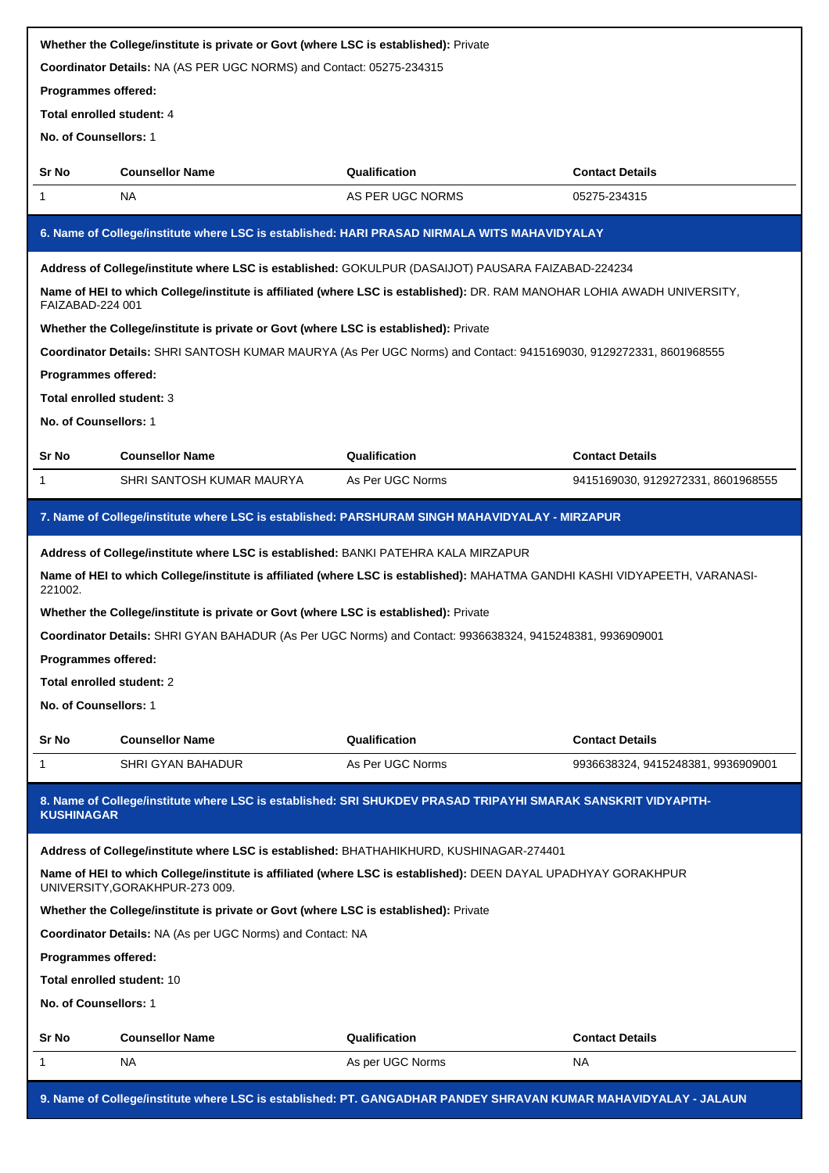|                            | Whether the College/institute is private or Govt (where LSC is established): Private                                                             |                  |                                    |
|----------------------------|--------------------------------------------------------------------------------------------------------------------------------------------------|------------------|------------------------------------|
|                            | Coordinator Details: NA (AS PER UGC NORMS) and Contact: 05275-234315                                                                             |                  |                                    |
| Programmes offered:        |                                                                                                                                                  |                  |                                    |
| Total enrolled student: 4  |                                                                                                                                                  |                  |                                    |
| No. of Counsellors: 1      |                                                                                                                                                  |                  |                                    |
| Sr No                      | <b>Counsellor Name</b>                                                                                                                           | Qualification    | <b>Contact Details</b>             |
| 1                          | NA.                                                                                                                                              | AS PER UGC NORMS | 05275-234315                       |
|                            | 6. Name of College/institute where LSC is established: HARI PRASAD NIRMALA WITS MAHAVIDYALAY                                                     |                  |                                    |
|                            | Address of College/institute where LSC is established: GOKULPUR (DASAIJOT) PAUSARA FAIZABAD-224234                                               |                  |                                    |
| FAIZABAD-224 001           | Name of HEI to which College/institute is affiliated (where LSC is established): DR. RAM MANOHAR LOHIA AWADH UNIVERSITY,                         |                  |                                    |
|                            | Whether the College/institute is private or Govt (where LSC is established): Private                                                             |                  |                                    |
|                            | Coordinator Details: SHRI SANTOSH KUMAR MAURYA (As Per UGC Norms) and Contact: 9415169030, 9129272331, 8601968555                                |                  |                                    |
| Programmes offered:        |                                                                                                                                                  |                  |                                    |
| Total enrolled student: 3  |                                                                                                                                                  |                  |                                    |
| No. of Counsellors: 1      |                                                                                                                                                  |                  |                                    |
| Sr No                      | <b>Counsellor Name</b>                                                                                                                           | Qualification    | <b>Contact Details</b>             |
| 1                          | SHRI SANTOSH KUMAR MAURYA                                                                                                                        | As Per UGC Norms | 9415169030, 9129272331, 8601968555 |
|                            | 7. Name of College/institute where LSC is established: PARSHURAM SINGH MAHAVIDYALAY - MIRZAPUR                                                   |                  |                                    |
|                            | Address of College/institute where LSC is established: BANKI PATEHRA KALA MIRZAPUR                                                               |                  |                                    |
| 221002.                    | Name of HEI to which College/institute is affiliated (where LSC is established): MAHATMA GANDHI KASHI VIDYAPEETH, VARANASI-                      |                  |                                    |
|                            | Whether the College/institute is private or Govt (where LSC is established): Private                                                             |                  |                                    |
|                            | Coordinator Details: SHRI GYAN BAHADUR (As Per UGC Norms) and Contact: 9936638324, 9415248381, 9936909001                                        |                  |                                    |
| Programmes offered:        |                                                                                                                                                  |                  |                                    |
| Total enrolled student: 2  |                                                                                                                                                  |                  |                                    |
| No. of Counsellors: 1      |                                                                                                                                                  |                  |                                    |
| Sr No                      | <b>Counsellor Name</b>                                                                                                                           | Qualification    | <b>Contact Details</b>             |
| 1                          | <b>SHRI GYAN BAHADUR</b>                                                                                                                         | As Per UGC Norms | 9936638324, 9415248381, 9936909001 |
| <b>KUSHINAGAR</b>          | 8. Name of College/institute where LSC is established: SRI SHUKDEV PRASAD TRIPAYHI SMARAK SANSKRIT VIDYAPITH-                                    |                  |                                    |
|                            | Address of College/institute where LSC is established: BHATHAHIKHURD, KUSHINAGAR-274401                                                          |                  |                                    |
|                            | Name of HEI to which College/institute is affiliated (where LSC is established): DEEN DAYAL UPADHYAY GORAKHPUR<br>UNIVERSITY, GORAKHPUR-273 009. |                  |                                    |
|                            | Whether the College/institute is private or Govt (where LSC is established): Private                                                             |                  |                                    |
|                            | Coordinator Details: NA (As per UGC Norms) and Contact: NA                                                                                       |                  |                                    |
| Programmes offered:        |                                                                                                                                                  |                  |                                    |
| Total enrolled student: 10 |                                                                                                                                                  |                  |                                    |
| No. of Counsellors: 1      |                                                                                                                                                  |                  |                                    |
| Sr No                      | <b>Counsellor Name</b>                                                                                                                           | Qualification    | <b>Contact Details</b>             |
| 1                          | NA                                                                                                                                               | As per UGC Norms | NA                                 |
|                            | 9. Name of College/institute where LSC is established: PT. GANGADHAR PANDEY SHRAVAN KUMAR MAHAVIDYALAY - JALAUN                                  |                  |                                    |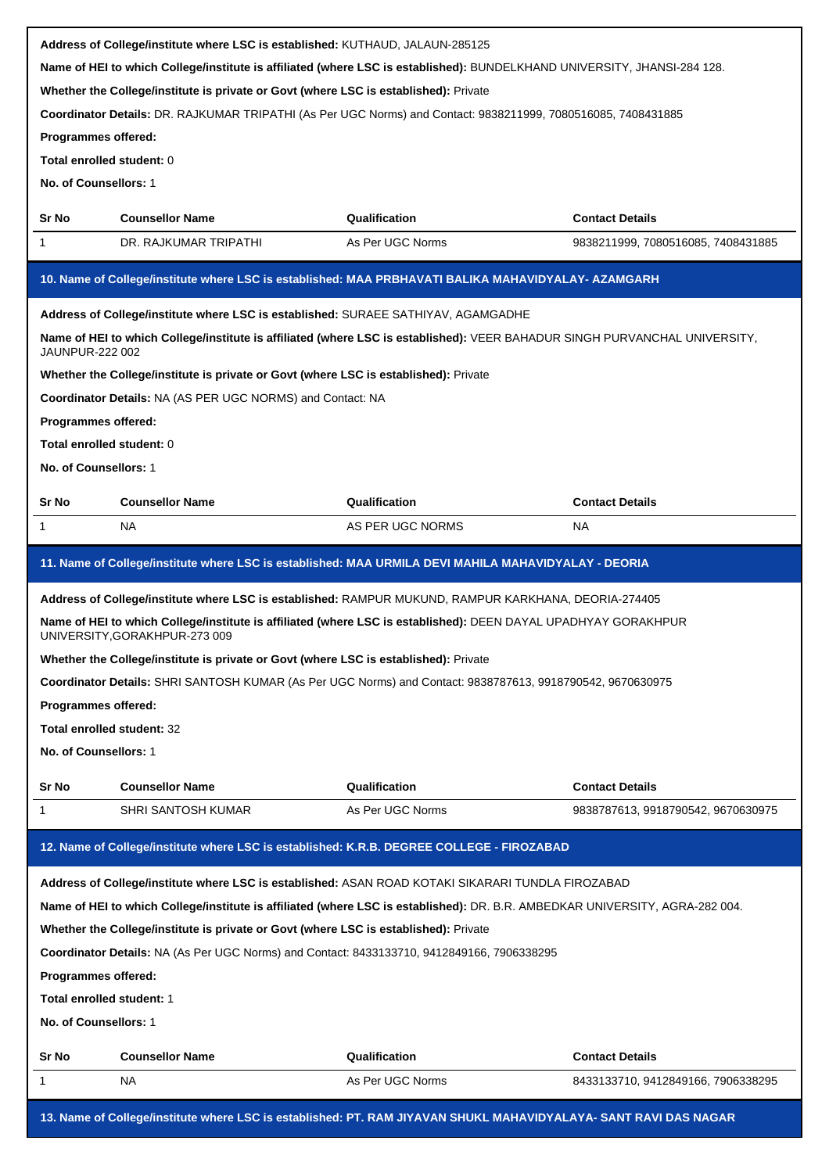|                                                                                                                                                                                                                        | Address of College/institute where LSC is established: KUTHAUD, JALAUN-285125                                                                                                                                   |                  |                                    |  |  |
|------------------------------------------------------------------------------------------------------------------------------------------------------------------------------------------------------------------------|-----------------------------------------------------------------------------------------------------------------------------------------------------------------------------------------------------------------|------------------|------------------------------------|--|--|
|                                                                                                                                                                                                                        | Name of HEI to which College/institute is affiliated (where LSC is established): BUNDELKHAND UNIVERSITY, JHANSI-284 128.                                                                                        |                  |                                    |  |  |
|                                                                                                                                                                                                                        | Whether the College/institute is private or Govt (where LSC is established): Private                                                                                                                            |                  |                                    |  |  |
|                                                                                                                                                                                                                        | Coordinator Details: DR. RAJKUMAR TRIPATHI (As Per UGC Norms) and Contact: 9838211999, 7080516085, 7408431885                                                                                                   |                  |                                    |  |  |
| Programmes offered:                                                                                                                                                                                                    |                                                                                                                                                                                                                 |                  |                                    |  |  |
| Total enrolled student: 0                                                                                                                                                                                              |                                                                                                                                                                                                                 |                  |                                    |  |  |
| No. of Counsellors: 1                                                                                                                                                                                                  |                                                                                                                                                                                                                 |                  |                                    |  |  |
| Sr No                                                                                                                                                                                                                  | <b>Counsellor Name</b>                                                                                                                                                                                          | Qualification    | <b>Contact Details</b>             |  |  |
| 1                                                                                                                                                                                                                      | DR. RAJKUMAR TRIPATHI                                                                                                                                                                                           | As Per UGC Norms | 9838211999, 7080516085, 7408431885 |  |  |
|                                                                                                                                                                                                                        | 10. Name of College/institute where LSC is established: MAA PRBHAVATI BALIKA MAHAVIDYALAY- AZAMGARH                                                                                                             |                  |                                    |  |  |
|                                                                                                                                                                                                                        |                                                                                                                                                                                                                 |                  |                                    |  |  |
| JAUNPUR-222 002                                                                                                                                                                                                        | Address of College/institute where LSC is established: SURAEE SATHIYAV, AGAMGADHE<br>Name of HEI to which College/institute is affiliated (where LSC is established): VEER BAHADUR SINGH PURVANCHAL UNIVERSITY, |                  |                                    |  |  |
|                                                                                                                                                                                                                        | Whether the College/institute is private or Govt (where LSC is established): Private                                                                                                                            |                  |                                    |  |  |
|                                                                                                                                                                                                                        | Coordinator Details: NA (AS PER UGC NORMS) and Contact: NA                                                                                                                                                      |                  |                                    |  |  |
| <b>Programmes offered:</b>                                                                                                                                                                                             |                                                                                                                                                                                                                 |                  |                                    |  |  |
| Total enrolled student: 0                                                                                                                                                                                              |                                                                                                                                                                                                                 |                  |                                    |  |  |
| No. of Counsellors: 1                                                                                                                                                                                                  |                                                                                                                                                                                                                 |                  |                                    |  |  |
|                                                                                                                                                                                                                        |                                                                                                                                                                                                                 |                  |                                    |  |  |
| <b>Sr No</b>                                                                                                                                                                                                           | <b>Counsellor Name</b>                                                                                                                                                                                          | Qualification    | <b>Contact Details</b>             |  |  |
| 1                                                                                                                                                                                                                      | NA.                                                                                                                                                                                                             | AS PER UGC NORMS | <b>NA</b>                          |  |  |
|                                                                                                                                                                                                                        | 11. Name of College/institute where LSC is established: MAA URMILA DEVI MAHILA MAHAVIDYALAY - DEORIA                                                                                                            |                  |                                    |  |  |
|                                                                                                                                                                                                                        |                                                                                                                                                                                                                 |                  |                                    |  |  |
| Address of College/institute where LSC is established: RAMPUR MUKUND, RAMPUR KARKHANA, DEORIA-274405<br>Name of HEI to which College/institute is affiliated (where LSC is established): DEEN DAYAL UPADHYAY GORAKHPUR |                                                                                                                                                                                                                 |                  |                                    |  |  |
|                                                                                                                                                                                                                        | UNIVERSITY, GORAKHPUR-273 009                                                                                                                                                                                   |                  |                                    |  |  |
|                                                                                                                                                                                                                        | Whether the College/institute is private or Govt (where LSC is established): Private                                                                                                                            |                  |                                    |  |  |
|                                                                                                                                                                                                                        | Coordinator Details: SHRI SANTOSH KUMAR (As Per UGC Norms) and Contact: 9838787613, 9918790542, 9670630975                                                                                                      |                  |                                    |  |  |
| Programmes offered:                                                                                                                                                                                                    |                                                                                                                                                                                                                 |                  |                                    |  |  |
| Total enrolled student: 32                                                                                                                                                                                             |                                                                                                                                                                                                                 |                  |                                    |  |  |
| No. of Counsellors: 1                                                                                                                                                                                                  |                                                                                                                                                                                                                 |                  |                                    |  |  |
|                                                                                                                                                                                                                        |                                                                                                                                                                                                                 |                  |                                    |  |  |
| Sr No                                                                                                                                                                                                                  | <b>Counsellor Name</b>                                                                                                                                                                                          | Qualification    | <b>Contact Details</b>             |  |  |
| 1                                                                                                                                                                                                                      | SHRI SANTOSH KUMAR                                                                                                                                                                                              | As Per UGC Norms | 9838787613, 9918790542, 9670630975 |  |  |
|                                                                                                                                                                                                                        | 12. Name of College/institute where LSC is established: K.R.B. DEGREE COLLEGE - FIROZABAD                                                                                                                       |                  |                                    |  |  |
|                                                                                                                                                                                                                        | Address of College/institute where LSC is established: ASAN ROAD KOTAKI SIKARARI TUNDLA FIROZABAD                                                                                                               |                  |                                    |  |  |
|                                                                                                                                                                                                                        | Name of HEI to which College/institute is affiliated (where LSC is established): DR. B.R. AMBEDKAR UNIVERSITY, AGRA-282 004.                                                                                    |                  |                                    |  |  |
|                                                                                                                                                                                                                        | Whether the College/institute is private or Govt (where LSC is established): Private                                                                                                                            |                  |                                    |  |  |
|                                                                                                                                                                                                                        | Coordinator Details: NA (As Per UGC Norms) and Contact: 8433133710, 9412849166, 7906338295                                                                                                                      |                  |                                    |  |  |
| Programmes offered:                                                                                                                                                                                                    |                                                                                                                                                                                                                 |                  |                                    |  |  |
| Total enrolled student: 1                                                                                                                                                                                              |                                                                                                                                                                                                                 |                  |                                    |  |  |
| No. of Counsellors: 1                                                                                                                                                                                                  |                                                                                                                                                                                                                 |                  |                                    |  |  |
| Sr No                                                                                                                                                                                                                  | <b>Counsellor Name</b>                                                                                                                                                                                          | Qualification    | <b>Contact Details</b>             |  |  |
| 1                                                                                                                                                                                                                      | NA                                                                                                                                                                                                              | As Per UGC Norms | 8433133710, 9412849166, 7906338295 |  |  |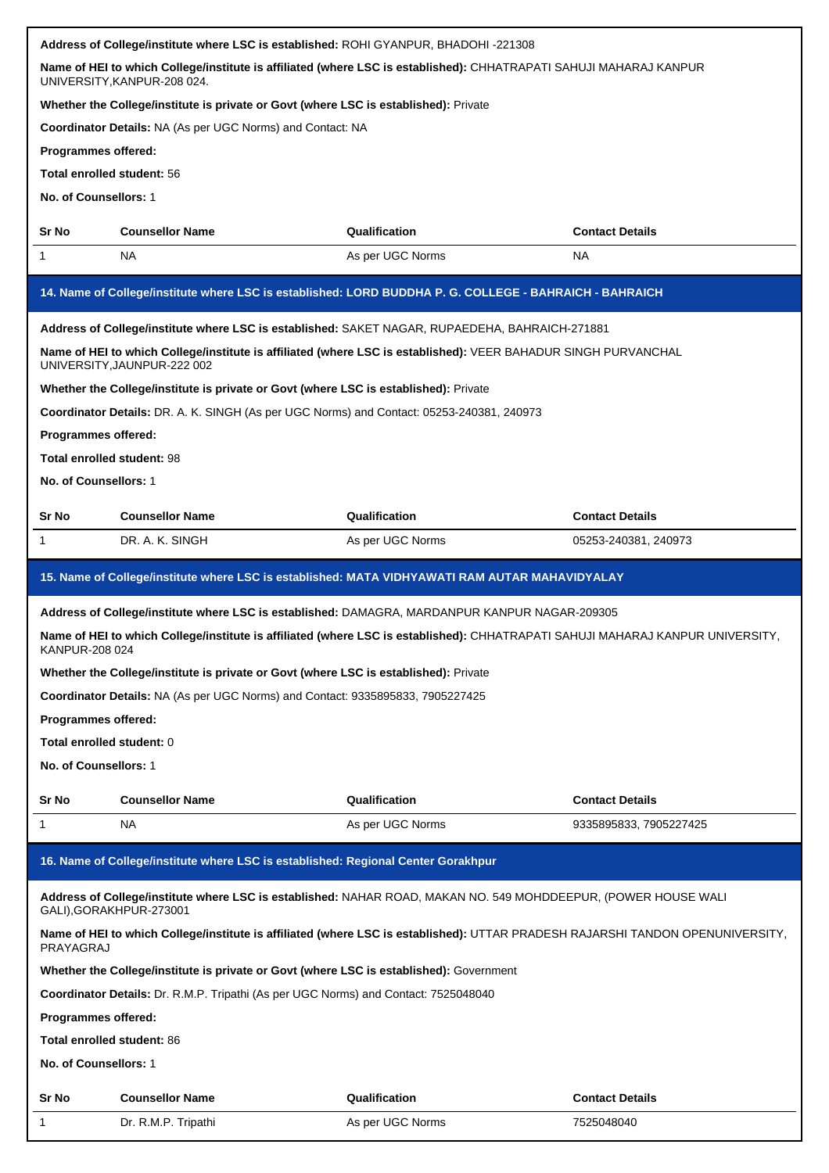|                                                                                                                                                   | Address of College/institute where LSC is established: ROHI GYANPUR, BHADOHI -221308      |                                                                                                                                |                        |
|---------------------------------------------------------------------------------------------------------------------------------------------------|-------------------------------------------------------------------------------------------|--------------------------------------------------------------------------------------------------------------------------------|------------------------|
| Name of HEI to which College/institute is affiliated (where LSC is established): CHHATRAPATI SAHUJI MAHARAJ KANPUR<br>UNIVERSITY, KANPUR-208 024. |                                                                                           |                                                                                                                                |                        |
|                                                                                                                                                   | Whether the College/institute is private or Govt (where LSC is established): Private      |                                                                                                                                |                        |
|                                                                                                                                                   | <b>Coordinator Details: NA (As per UGC Norms) and Contact: NA</b>                         |                                                                                                                                |                        |
| Programmes offered:                                                                                                                               |                                                                                           |                                                                                                                                |                        |
| Total enrolled student: 56                                                                                                                        |                                                                                           |                                                                                                                                |                        |
| No. of Counsellors: 1                                                                                                                             |                                                                                           |                                                                                                                                |                        |
| Sr No                                                                                                                                             | <b>Counsellor Name</b>                                                                    | Qualification                                                                                                                  | <b>Contact Details</b> |
| 1                                                                                                                                                 | <b>NA</b>                                                                                 | As per UGC Norms                                                                                                               | NA.                    |
|                                                                                                                                                   |                                                                                           | 14. Name of College/institute where LSC is established: LORD BUDDHA P. G. COLLEGE - BAHRAICH - BAHRAICH                        |                        |
|                                                                                                                                                   |                                                                                           | Address of College/institute where LSC is established: SAKET NAGAR, RUPAEDEHA, BAHRAICH-271881                                 |                        |
|                                                                                                                                                   | UNIVERSITY, JAUNPUR-222 002                                                               | Name of HEI to which College/institute is affiliated (where LSC is established): VEER BAHADUR SINGH PURVANCHAL                 |                        |
|                                                                                                                                                   | Whether the College/institute is private or Govt (where LSC is established): Private      |                                                                                                                                |                        |
|                                                                                                                                                   | Coordinator Details: DR. A. K. SINGH (As per UGC Norms) and Contact: 05253-240381, 240973 |                                                                                                                                |                        |
| Programmes offered:                                                                                                                               |                                                                                           |                                                                                                                                |                        |
| Total enrolled student: 98                                                                                                                        |                                                                                           |                                                                                                                                |                        |
| No. of Counsellors: 1                                                                                                                             |                                                                                           |                                                                                                                                |                        |
| Sr No                                                                                                                                             | <b>Counsellor Name</b>                                                                    | Qualification                                                                                                                  | <b>Contact Details</b> |
| 1                                                                                                                                                 | DR. A. K. SINGH                                                                           | As per UGC Norms                                                                                                               | 05253-240381, 240973   |
|                                                                                                                                                   |                                                                                           | 15. Name of College/institute where LSC is established: MATA VIDHYAWATI RAM AUTAR MAHAVIDYALAY                                 |                        |
|                                                                                                                                                   |                                                                                           | Address of College/institute where LSC is established: DAMAGRA, MARDANPUR KANPUR NAGAR-209305                                  |                        |
|                                                                                                                                                   |                                                                                           | Name of HEI to which College/institute is affiliated (where LSC is established): CHHATRAPATI SAHUJI MAHARAJ KANPUR UNIVERSITY, |                        |
| KANPUR-208 024                                                                                                                                    |                                                                                           |                                                                                                                                |                        |
|                                                                                                                                                   | Whether the College/institute is private or Govt (where LSC is established): Private      |                                                                                                                                |                        |
|                                                                                                                                                   | Coordinator Details: NA (As per UGC Norms) and Contact: 9335895833, 7905227425            |                                                                                                                                |                        |
| Programmes offered:                                                                                                                               |                                                                                           |                                                                                                                                |                        |
| Total enrolled student: 0                                                                                                                         |                                                                                           |                                                                                                                                |                        |
| No. of Counsellors: 1                                                                                                                             |                                                                                           |                                                                                                                                |                        |
|                                                                                                                                                   |                                                                                           |                                                                                                                                |                        |
| Sr No                                                                                                                                             | <b>Counsellor Name</b>                                                                    | Qualification                                                                                                                  | <b>Contact Details</b> |
| 1                                                                                                                                                 | NA                                                                                        | As per UGC Norms                                                                                                               | 9335895833, 7905227425 |
|                                                                                                                                                   | 16. Name of College/institute where LSC is established: Regional Center Gorakhpur         |                                                                                                                                |                        |
|                                                                                                                                                   | GALI), GORAKHPUR-273001                                                                   | Address of College/institute where LSC is established: NAHAR ROAD, MAKAN NO. 549 MOHDDEEPUR, (POWER HOUSE WALI                 |                        |
| PRAYAGRAJ                                                                                                                                         |                                                                                           | Name of HEI to which College/institute is affiliated (where LSC is established): UTTAR PRADESH RAJARSHI TANDON OPENUNIVERSITY, |                        |
|                                                                                                                                                   | Whether the College/institute is private or Govt (where LSC is established): Government   |                                                                                                                                |                        |
|                                                                                                                                                   | Coordinator Details: Dr. R.M.P. Tripathi (As per UGC Norms) and Contact: 7525048040       |                                                                                                                                |                        |
| Programmes offered:                                                                                                                               |                                                                                           |                                                                                                                                |                        |
| Total enrolled student: 86                                                                                                                        |                                                                                           |                                                                                                                                |                        |
| No. of Counsellors: 1                                                                                                                             |                                                                                           |                                                                                                                                |                        |
| Sr No                                                                                                                                             | <b>Counsellor Name</b>                                                                    | Qualification                                                                                                                  | <b>Contact Details</b> |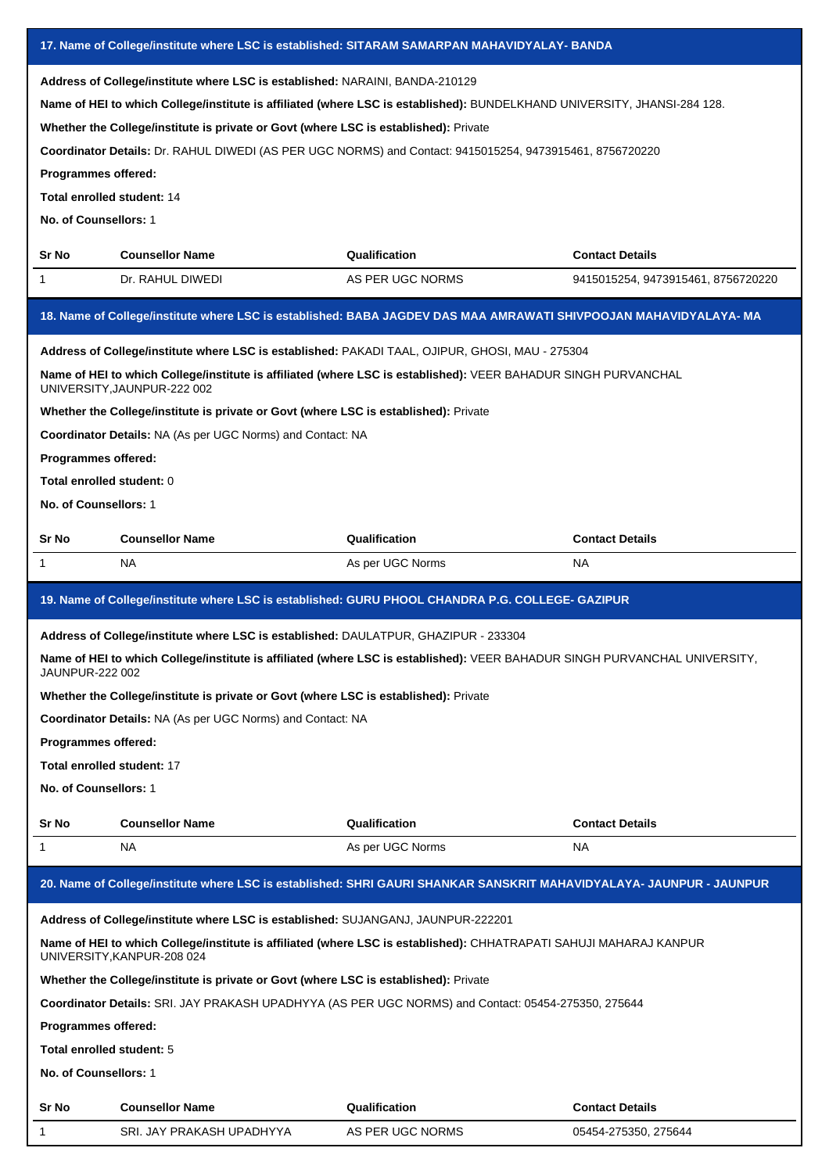| 17. Name of College/institute where LSC is established: SITARAM SAMARPAN MAHAVIDYALAY- BANDA |                                                                                                                                                                      |                                                                                                                                                                                                                                      |                                    |  |
|----------------------------------------------------------------------------------------------|----------------------------------------------------------------------------------------------------------------------------------------------------------------------|--------------------------------------------------------------------------------------------------------------------------------------------------------------------------------------------------------------------------------------|------------------------------------|--|
| Programmes offered:<br>Total enrolled student: 14<br>No. of Counsellors: 1                   | Address of College/institute where LSC is established: NARAINI, BANDA-210129<br>Whether the College/institute is private or Govt (where LSC is established): Private | Name of HEI to which College/institute is affiliated (where LSC is established): BUNDELKHAND UNIVERSITY, JHANSI-284 128.<br>Coordinator Details: Dr. RAHUL DIWEDI (AS PER UGC NORMS) and Contact: 9415015254, 9473915461, 8756720220 |                                    |  |
| Sr No                                                                                        | <b>Counsellor Name</b>                                                                                                                                               | Qualification                                                                                                                                                                                                                        | <b>Contact Details</b>             |  |
| 1                                                                                            | Dr. RAHUL DIWEDI                                                                                                                                                     | AS PER UGC NORMS                                                                                                                                                                                                                     | 9415015254, 9473915461, 8756720220 |  |
|                                                                                              |                                                                                                                                                                      | 18. Name of College/institute where LSC is established: BABA JAGDEV DAS MAA AMRAWATI SHIVPOOJAN MAHAVIDYALAYA-MA                                                                                                                     |                                    |  |
|                                                                                              |                                                                                                                                                                      | Address of College/institute where LSC is established: PAKADI TAAL, OJIPUR, GHOSI, MAU - 275304                                                                                                                                      |                                    |  |
|                                                                                              | UNIVERSITY, JAUNPUR-222 002                                                                                                                                          | Name of HEI to which College/institute is affiliated (where LSC is established): VEER BAHADUR SINGH PURVANCHAL                                                                                                                       |                                    |  |
|                                                                                              | Whether the College/institute is private or Govt (where LSC is established): Private                                                                                 |                                                                                                                                                                                                                                      |                                    |  |
|                                                                                              | Coordinator Details: NA (As per UGC Norms) and Contact: NA                                                                                                           |                                                                                                                                                                                                                                      |                                    |  |
| Programmes offered:                                                                          |                                                                                                                                                                      |                                                                                                                                                                                                                                      |                                    |  |
| Total enrolled student: 0                                                                    |                                                                                                                                                                      |                                                                                                                                                                                                                                      |                                    |  |
| No. of Counsellors: 1                                                                        |                                                                                                                                                                      |                                                                                                                                                                                                                                      |                                    |  |
| Sr No                                                                                        | <b>Counsellor Name</b>                                                                                                                                               | Qualification                                                                                                                                                                                                                        | <b>Contact Details</b>             |  |
| 1                                                                                            | NA                                                                                                                                                                   | As per UGC Norms                                                                                                                                                                                                                     | <b>NA</b>                          |  |
|                                                                                              |                                                                                                                                                                      |                                                                                                                                                                                                                                      |                                    |  |
|                                                                                              |                                                                                                                                                                      | 19. Name of College/institute where LSC is established: GURU PHOOL CHANDRA P.G. COLLEGE- GAZIPUR                                                                                                                                     |                                    |  |
|                                                                                              | Address of College/institute where LSC is established: DAULATPUR, GHAZIPUR - 233304                                                                                  |                                                                                                                                                                                                                                      |                                    |  |
| <b>JAUNPUR-222 002</b>                                                                       |                                                                                                                                                                      | Name of HEI to which College/institute is affiliated (where LSC is established): VEER BAHADUR SINGH PURVANCHAL UNIVERSITY                                                                                                            |                                    |  |
|                                                                                              | Whether the College/institute is private or Govt (where LSC is established): Private                                                                                 |                                                                                                                                                                                                                                      |                                    |  |
|                                                                                              | Coordinator Details: NA (As per UGC Norms) and Contact: NA                                                                                                           |                                                                                                                                                                                                                                      |                                    |  |
| Programmes offered:                                                                          |                                                                                                                                                                      |                                                                                                                                                                                                                                      |                                    |  |
| Total enrolled student: 17                                                                   |                                                                                                                                                                      |                                                                                                                                                                                                                                      |                                    |  |
| No. of Counsellors: 1                                                                        |                                                                                                                                                                      |                                                                                                                                                                                                                                      |                                    |  |
| Sr No                                                                                        | <b>Counsellor Name</b>                                                                                                                                               | Qualification                                                                                                                                                                                                                        | <b>Contact Details</b>             |  |
| 1                                                                                            | NA.                                                                                                                                                                  | As per UGC Norms                                                                                                                                                                                                                     | NA.                                |  |
|                                                                                              |                                                                                                                                                                      | 20. Name of College/institute where LSC is established: SHRI GAURI SHANKAR SANSKRIT MAHAVIDYALAYA- JAUNPUR - JAUNPUR                                                                                                                 |                                    |  |
|                                                                                              | Address of College/institute where LSC is established: SUJANGANJ, JAUNPUR-222201                                                                                     |                                                                                                                                                                                                                                      |                                    |  |
|                                                                                              | UNIVERSITY, KANPUR-208 024                                                                                                                                           | Name of HEI to which College/institute is affiliated (where LSC is established): CHHATRAPATI SAHUJI MAHARAJ KANPUR                                                                                                                   |                                    |  |
|                                                                                              | Whether the College/institute is private or Govt (where LSC is established): Private                                                                                 |                                                                                                                                                                                                                                      |                                    |  |
|                                                                                              |                                                                                                                                                                      | Coordinator Details: SRI. JAY PRAKASH UPADHYYA (AS PER UGC NORMS) and Contact: 05454-275350, 275644                                                                                                                                  |                                    |  |
| Programmes offered:                                                                          |                                                                                                                                                                      |                                                                                                                                                                                                                                      |                                    |  |
| Total enrolled student: 5                                                                    |                                                                                                                                                                      |                                                                                                                                                                                                                                      |                                    |  |
| No. of Counsellors: 1                                                                        |                                                                                                                                                                      |                                                                                                                                                                                                                                      |                                    |  |
| Sr No                                                                                        | <b>Counsellor Name</b>                                                                                                                                               | Qualification                                                                                                                                                                                                                        | <b>Contact Details</b>             |  |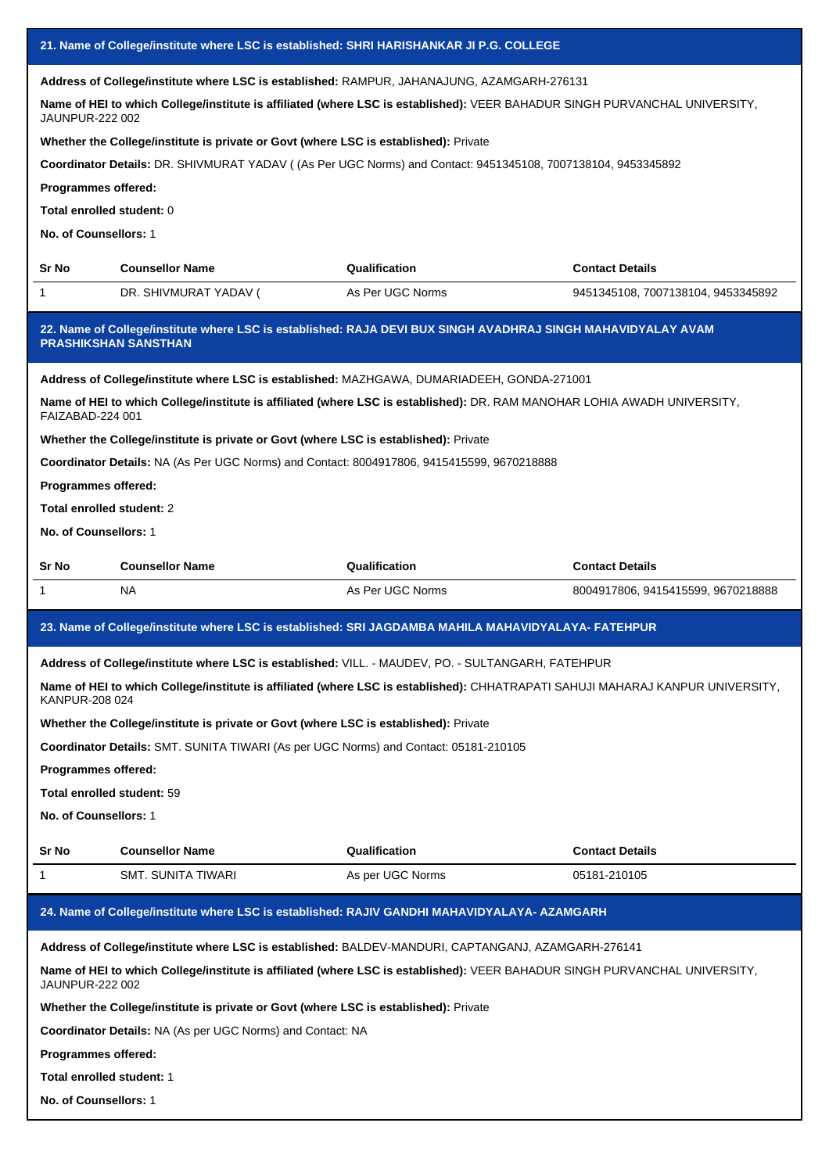| 21. Name of College/institute where LSC is established: SHRI HARISHANKAR JI P.G. COLLEGE |                                                                                                                                               |                  |                                    |  |  |
|------------------------------------------------------------------------------------------|-----------------------------------------------------------------------------------------------------------------------------------------------|------------------|------------------------------------|--|--|
|                                                                                          | Address of College/institute where LSC is established: RAMPUR, JAHANAJUNG, AZAMGARH-276131                                                    |                  |                                    |  |  |
|                                                                                          | Name of HEI to which College/institute is affiliated (where LSC is established): VEER BAHADUR SINGH PURVANCHAL UNIVERSITY,<br>JAUNPUR-222 002 |                  |                                    |  |  |
|                                                                                          | Whether the College/institute is private or Govt (where LSC is established): Private                                                          |                  |                                    |  |  |
|                                                                                          | Coordinator Details: DR. SHIVMURAT YADAV ((As Per UGC Norms) and Contact: 9451345108, 7007138104, 9453345892                                  |                  |                                    |  |  |
| Programmes offered:                                                                      |                                                                                                                                               |                  |                                    |  |  |
| Total enrolled student: 0                                                                |                                                                                                                                               |                  |                                    |  |  |
| No. of Counsellors: 1                                                                    |                                                                                                                                               |                  |                                    |  |  |
| Sr No                                                                                    | <b>Counsellor Name</b>                                                                                                                        | Qualification    | <b>Contact Details</b>             |  |  |
| 1                                                                                        | DR. SHIVMURAT YADAV (                                                                                                                         | As Per UGC Norms | 9451345108, 7007138104, 9453345892 |  |  |
|                                                                                          | 22. Name of College/institute where LSC is established: RAJA DEVI BUX SINGH AVADHRAJ SINGH MAHAVIDYALAY AVAM<br><b>PRASHIKSHAN SANSTHAN</b>   |                  |                                    |  |  |
|                                                                                          | Address of College/institute where LSC is established: MAZHGAWA, DUMARIADEEH, GONDA-271001                                                    |                  |                                    |  |  |
| FAIZABAD-224 001                                                                         | Name of HEI to which College/institute is affiliated (where LSC is established): DR. RAM MANOHAR LOHIA AWADH UNIVERSITY,                      |                  |                                    |  |  |
|                                                                                          | Whether the College/institute is private or Govt (where LSC is established): Private                                                          |                  |                                    |  |  |
|                                                                                          | Coordinator Details: NA (As Per UGC Norms) and Contact: 8004917806, 9415415599, 9670218888                                                    |                  |                                    |  |  |
| Programmes offered:                                                                      |                                                                                                                                               |                  |                                    |  |  |
| Total enrolled student: 2                                                                |                                                                                                                                               |                  |                                    |  |  |
| No. of Counsellors: 1                                                                    |                                                                                                                                               |                  |                                    |  |  |
|                                                                                          |                                                                                                                                               |                  |                                    |  |  |
| Sr No                                                                                    | <b>Counsellor Name</b>                                                                                                                        | Qualification    | <b>Contact Details</b>             |  |  |
| 1                                                                                        | NA.                                                                                                                                           | As Per UGC Norms | 8004917806, 9415415599, 9670218888 |  |  |
|                                                                                          | 23. Name of College/institute where LSC is established: SRI JAGDAMBA MAHILA MAHAVIDYALAYA- FATEHPUR                                           |                  |                                    |  |  |
|                                                                                          |                                                                                                                                               |                  |                                    |  |  |
|                                                                                          | Address of College/institute where LSC is established: VILL. - MAUDEV, PO. - SULTANGARH, FATEHPUR                                             |                  |                                    |  |  |
| KANPUR-208 024                                                                           | Name of HEI to which College/institute is affiliated (where LSC is established): CHHATRAPATI SAHUJI MAHARAJ KANPUR UNIVERSITY,                |                  |                                    |  |  |
|                                                                                          | Whether the College/institute is private or Govt (where LSC is established): Private                                                          |                  |                                    |  |  |
|                                                                                          | Coordinator Details: SMT. SUNITA TIWARI (As per UGC Norms) and Contact: 05181-210105                                                          |                  |                                    |  |  |
| Programmes offered:                                                                      |                                                                                                                                               |                  |                                    |  |  |
| Total enrolled student: 59                                                               |                                                                                                                                               |                  |                                    |  |  |
| No. of Counsellors: 1                                                                    |                                                                                                                                               |                  |                                    |  |  |
| Sr No                                                                                    | <b>Counsellor Name</b>                                                                                                                        | Qualification    | <b>Contact Details</b>             |  |  |
| 1                                                                                        | SMT. SUNITA TIWARI                                                                                                                            | As per UGC Norms | 05181-210105                       |  |  |
|                                                                                          | 24. Name of College/institute where LSC is established: RAJIV GANDHI MAHAVIDYALAYA- AZAMGARH                                                  |                  |                                    |  |  |
|                                                                                          | Address of College/institute where LSC is established: BALDEV-MANDURI, CAPTANGANJ, AZAMGARH-276141                                            |                  |                                    |  |  |
| JAUNPUR-222 002                                                                          | Name of HEI to which College/institute is affiliated (where LSC is established): VEER BAHADUR SINGH PURVANCHAL UNIVERSITY,                    |                  |                                    |  |  |
|                                                                                          | Whether the College/institute is private or Govt (where LSC is established): Private                                                          |                  |                                    |  |  |
|                                                                                          | <b>Coordinator Details: NA (As per UGC Norms) and Contact: NA</b>                                                                             |                  |                                    |  |  |
| Programmes offered:                                                                      |                                                                                                                                               |                  |                                    |  |  |
| Total enrolled student: 1                                                                |                                                                                                                                               |                  |                                    |  |  |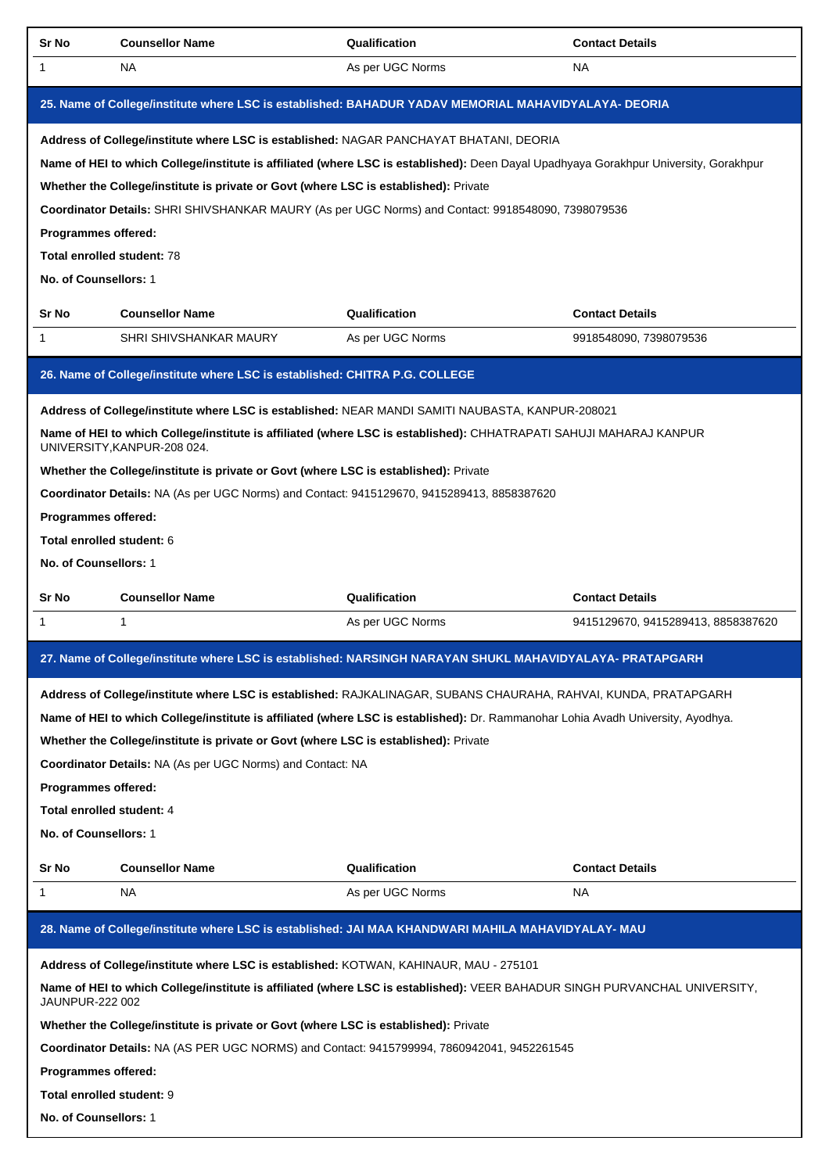| <b>Sr No</b>                                                               | <b>Counsellor Name</b>                                                                                                                                                                                                                                                                                                                                                                                                                      | Qualification    | <b>Contact Details</b>             |
|----------------------------------------------------------------------------|---------------------------------------------------------------------------------------------------------------------------------------------------------------------------------------------------------------------------------------------------------------------------------------------------------------------------------------------------------------------------------------------------------------------------------------------|------------------|------------------------------------|
| 1                                                                          | <b>NA</b>                                                                                                                                                                                                                                                                                                                                                                                                                                   | As per UGC Norms | <b>NA</b>                          |
|                                                                            | 25. Name of College/institute where LSC is established: BAHADUR YADAV MEMORIAL MAHAVIDYALAYA- DEORIA                                                                                                                                                                                                                                                                                                                                        |                  |                                    |
| Programmes offered:<br>Total enrolled student: 78<br>No. of Counsellors: 1 | Address of College/institute where LSC is established: NAGAR PANCHAYAT BHATANI, DEORIA<br>Name of HEI to which College/institute is affiliated (where LSC is established): Deen Dayal Upadhyaya Gorakhpur University, Gorakhpur<br>Whether the College/institute is private or Govt (where LSC is established): Private<br>Coordinator Details: SHRI SHIVSHANKAR MAURY (As per UGC Norms) and Contact: 9918548090, 7398079536               |                  |                                    |
| Sr No                                                                      | <b>Counsellor Name</b>                                                                                                                                                                                                                                                                                                                                                                                                                      | Qualification    | <b>Contact Details</b>             |
| 1                                                                          | SHRI SHIVSHANKAR MAURY                                                                                                                                                                                                                                                                                                                                                                                                                      | As per UGC Norms | 9918548090, 7398079536             |
|                                                                            | 26. Name of College/institute where LSC is established: CHITRA P.G. COLLEGE                                                                                                                                                                                                                                                                                                                                                                 |                  |                                    |
| Programmes offered:<br>Total enrolled student: 6<br>No. of Counsellors: 1  | Address of College/institute where LSC is established: NEAR MANDI SAMITI NAUBASTA, KANPUR-208021<br>Name of HEI to which College/institute is affiliated (where LSC is established): CHHATRAPATI SAHUJI MAHARAJ KANPUR<br>UNIVERSITY, KANPUR-208 024.<br>Whether the College/institute is private or Govt (where LSC is established): Private<br>Coordinator Details: NA (As per UGC Norms) and Contact: 9415129670, 9415289413, 8858387620 |                  |                                    |
|                                                                            |                                                                                                                                                                                                                                                                                                                                                                                                                                             |                  |                                    |
| Sr No                                                                      | <b>Counsellor Name</b>                                                                                                                                                                                                                                                                                                                                                                                                                      | Qualification    | <b>Contact Details</b>             |
| 1                                                                          | 1                                                                                                                                                                                                                                                                                                                                                                                                                                           | As per UGC Norms | 9415129670, 9415289413, 8858387620 |
|                                                                            | 27. Name of College/institute where LSC is established: NARSINGH NARAYAN SHUKL MAHAVIDYALAYA- PRATAPGARH                                                                                                                                                                                                                                                                                                                                    |                  |                                    |
| Programmes offered:<br>Total enrolled student: 4<br>No. of Counsellors: 1  | Address of College/institute where LSC is established: RAJKALINAGAR, SUBANS CHAURAHA, RAHVAI, KUNDA, PRATAPGARH<br>Name of HEI to which College/institute is affiliated (where LSC is established): Dr. Rammanohar Lohia Avadh University, Ayodhya.<br>Whether the College/institute is private or Govt (where LSC is established): Private<br>Coordinator Details: NA (As per UGC Norms) and Contact: NA                                   |                  |                                    |
| Sr No                                                                      | <b>Counsellor Name</b>                                                                                                                                                                                                                                                                                                                                                                                                                      | Qualification    | <b>Contact Details</b>             |
| 1                                                                          | NA                                                                                                                                                                                                                                                                                                                                                                                                                                          | As per UGC Norms | NA                                 |
|                                                                            | 28. Name of College/institute where LSC is established: JAI MAA KHANDWARI MAHILA MAHAVIDYALAY- MAU                                                                                                                                                                                                                                                                                                                                          |                  |                                    |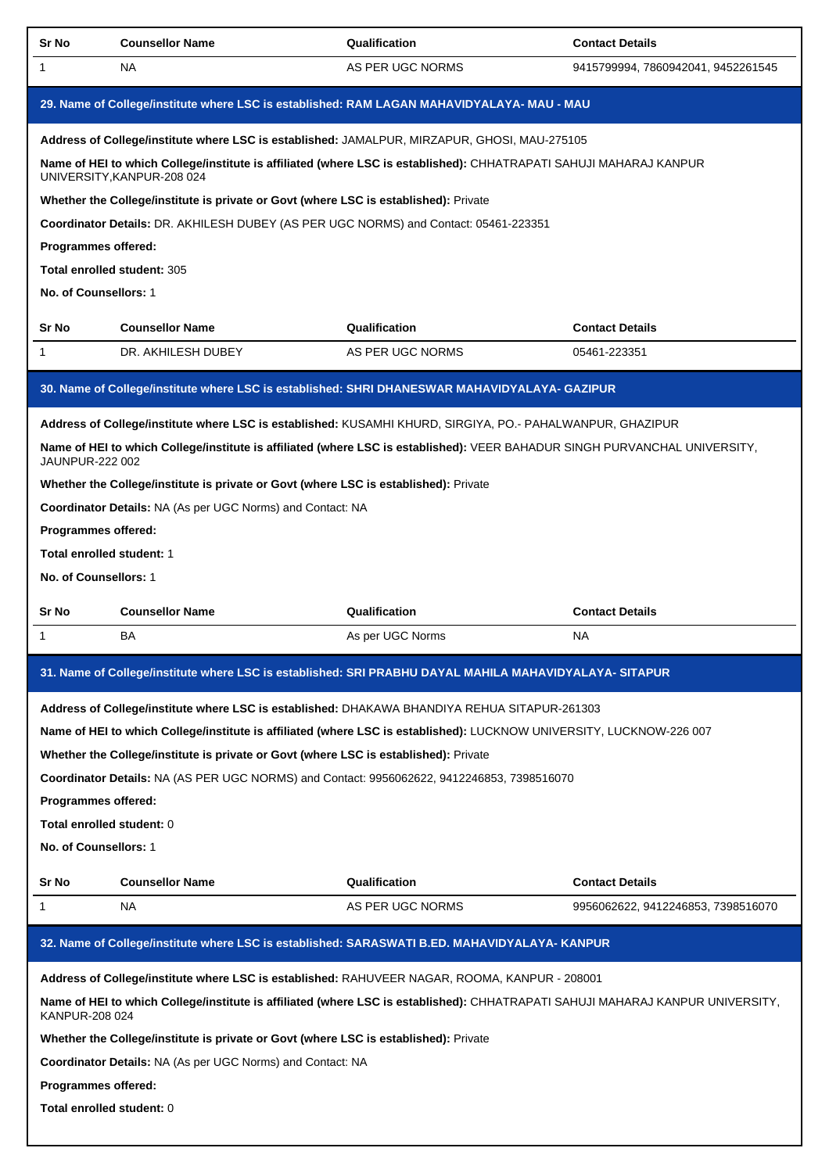| Sr No                       | <b>Counsellor Name</b>                                                                      | Qualification                                                                                                                  | <b>Contact Details</b>             |
|-----------------------------|---------------------------------------------------------------------------------------------|--------------------------------------------------------------------------------------------------------------------------------|------------------------------------|
| 1                           | NA                                                                                          | AS PER UGC NORMS                                                                                                               | 9415799994, 7860942041, 9452261545 |
|                             |                                                                                             | 29. Name of College/institute where LSC is established: RAM LAGAN MAHAVIDYALAYA- MAU - MAU                                     |                                    |
|                             |                                                                                             | Address of College/institute where LSC is established: JAMALPUR, MIRZAPUR, GHOSI, MAU-275105                                   |                                    |
|                             | UNIVERSITY, KANPUR-208 024                                                                  | Name of HEI to which College/institute is affiliated (where LSC is established): CHHATRAPATI SAHUJI MAHARAJ KANPUR             |                                    |
|                             | Whether the College/institute is private or Govt (where LSC is established): Private        |                                                                                                                                |                                    |
|                             | <b>Coordinator Details:</b> DR. AKHILESH DUBEY (AS PER UGC NORMS) and Contact: 05461-223351 |                                                                                                                                |                                    |
| <b>Programmes offered:</b>  |                                                                                             |                                                                                                                                |                                    |
| Total enrolled student: 305 |                                                                                             |                                                                                                                                |                                    |
| No. of Counsellors: 1       |                                                                                             |                                                                                                                                |                                    |
| Sr No                       | <b>Counsellor Name</b>                                                                      | Qualification                                                                                                                  | <b>Contact Details</b>             |
| 1                           | DR. AKHILESH DUBEY                                                                          | AS PER UGC NORMS                                                                                                               | 05461-223351                       |
|                             |                                                                                             | 30. Name of College/institute where LSC is established: SHRI DHANESWAR MAHAVIDYALAYA- GAZIPUR                                  |                                    |
|                             |                                                                                             | Address of College/institute where LSC is established: KUSAMHI KHURD, SIRGIYA, PO.- PAHALWANPUR, GHAZIPUR                      |                                    |
| JAUNPUR-222 002             |                                                                                             | Name of HEI to which College/institute is affiliated (where LSC is established): VEER BAHADUR SINGH PURVANCHAL UNIVERSITY,     |                                    |
|                             | Whether the College/institute is private or Govt (where LSC is established): Private        |                                                                                                                                |                                    |
|                             | Coordinator Details: NA (As per UGC Norms) and Contact: NA                                  |                                                                                                                                |                                    |
| Programmes offered:         |                                                                                             |                                                                                                                                |                                    |
| Total enrolled student: 1   |                                                                                             |                                                                                                                                |                                    |
| No. of Counsellors: 1       |                                                                                             |                                                                                                                                |                                    |
| Sr No                       | <b>Counsellor Name</b>                                                                      | Qualification                                                                                                                  | <b>Contact Details</b>             |
|                             |                                                                                             | As per UGC Norms                                                                                                               | NA                                 |
| 1                           | BA                                                                                          |                                                                                                                                |                                    |
|                             |                                                                                             | 31. Name of College/institute where LSC is established: SRI PRABHU DAYAL MAHILA MAHAVIDYALAYA- SITAPUR                         |                                    |
|                             |                                                                                             | Address of College/institute where LSC is established: DHAKAWA BHANDIYA REHUA SITAPUR-261303                                   |                                    |
|                             |                                                                                             | Name of HEI to which College/institute is affiliated (where LSC is established): LUCKNOW UNIVERSITY, LUCKNOW-226 007           |                                    |
|                             | Whether the College/institute is private or Govt (where LSC is established): Private        |                                                                                                                                |                                    |
|                             |                                                                                             | Coordinator Details: NA (AS PER UGC NORMS) and Contact: 9956062622, 9412246853, 7398516070                                     |                                    |
| Programmes offered:         |                                                                                             |                                                                                                                                |                                    |
| Total enrolled student: 0   |                                                                                             |                                                                                                                                |                                    |
| No. of Counsellors: 1       |                                                                                             |                                                                                                                                |                                    |
| Sr No                       | <b>Counsellor Name</b>                                                                      | Qualification                                                                                                                  | <b>Contact Details</b>             |
| 1                           | NA                                                                                          | AS PER UGC NORMS                                                                                                               | 9956062622, 9412246853, 7398516070 |
|                             |                                                                                             | 32. Name of College/institute where LSC is established: SARASWATI B.ED. MAHAVIDYALAYA-KANPUR                                   |                                    |
|                             |                                                                                             | Address of College/institute where LSC is established: RAHUVEER NAGAR, ROOMA, KANPUR - 208001                                  |                                    |
| KANPUR-208 024              |                                                                                             | Name of HEI to which College/institute is affiliated (where LSC is established): CHHATRAPATI SAHUJI MAHARAJ KANPUR UNIVERSITY, |                                    |
|                             | Whether the College/institute is private or Govt (where LSC is established): Private        |                                                                                                                                |                                    |
|                             | Coordinator Details: NA (As per UGC Norms) and Contact: NA                                  |                                                                                                                                |                                    |
| <b>Programmes offered:</b>  |                                                                                             |                                                                                                                                |                                    |
| Total enrolled student: 0   |                                                                                             |                                                                                                                                |                                    |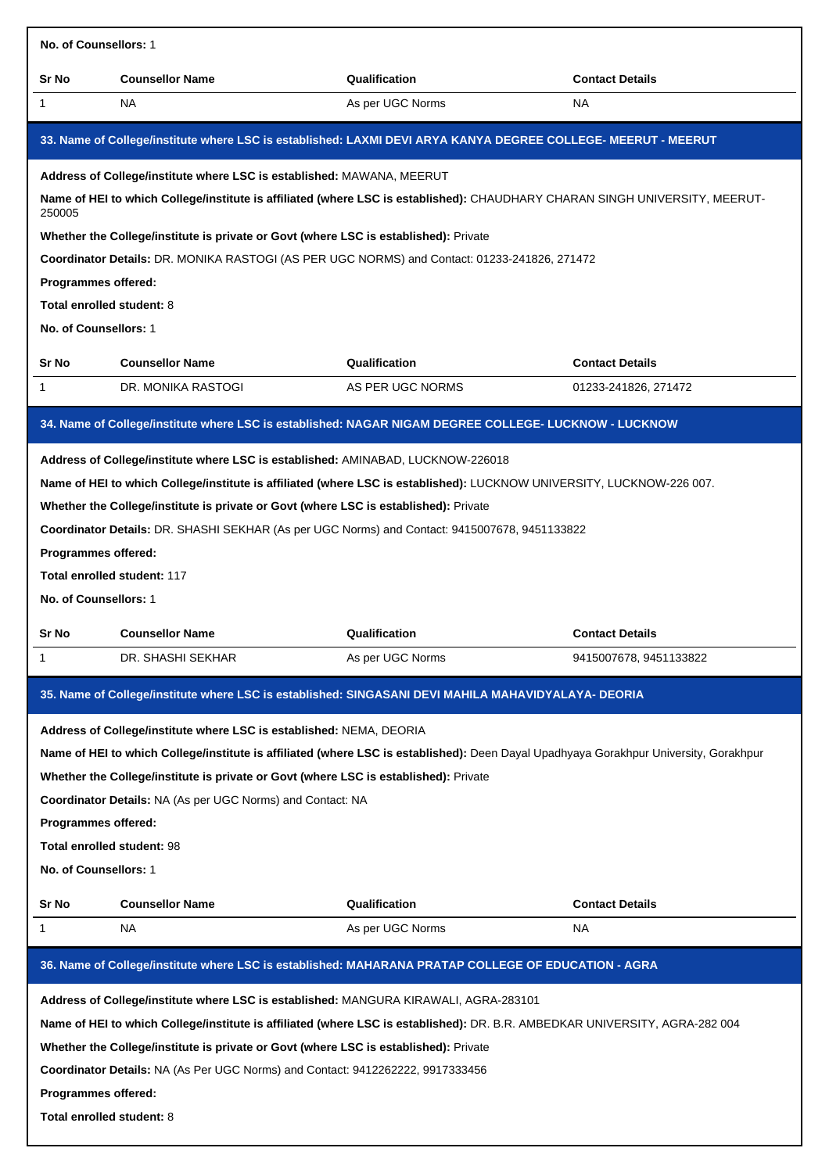| No. of Counsellors: 1      |                                                                                                                                       |                  |                        |
|----------------------------|---------------------------------------------------------------------------------------------------------------------------------------|------------------|------------------------|
| Sr No                      | <b>Counsellor Name</b>                                                                                                                | Qualification    | <b>Contact Details</b> |
| 1                          | NA.                                                                                                                                   | As per UGC Norms | <b>NA</b>              |
|                            | 33. Name of College/institute where LSC is established: LAXMI DEVI ARYA KANYA DEGREE COLLEGE- MEERUT - MEERUT                         |                  |                        |
|                            | Address of College/institute where LSC is established: MAWANA, MEERUT                                                                 |                  |                        |
| 250005                     | Name of HEI to which College/institute is affiliated (where LSC is established): CHAUDHARY CHARAN SINGH UNIVERSITY, MEERUT-           |                  |                        |
|                            | Whether the College/institute is private or Govt (where LSC is established): Private                                                  |                  |                        |
|                            | Coordinator Details: DR. MONIKA RASTOGI (AS PER UGC NORMS) and Contact: 01233-241826, 271472                                          |                  |                        |
| Programmes offered:        |                                                                                                                                       |                  |                        |
| Total enrolled student: 8  |                                                                                                                                       |                  |                        |
| No. of Counsellors: 1      |                                                                                                                                       |                  |                        |
| Sr No                      | <b>Counsellor Name</b>                                                                                                                | Qualification    | <b>Contact Details</b> |
| 1                          | DR. MONIKA RASTOGI                                                                                                                    | AS PER UGC NORMS | 01233-241826, 271472   |
|                            |                                                                                                                                       |                  |                        |
|                            | 34. Name of College/institute where LSC is established: NAGAR NIGAM DEGREE COLLEGE- LUCKNOW - LUCKNOW                                 |                  |                        |
|                            | Address of College/institute where LSC is established: AMINABAD, LUCKNOW-226018                                                       |                  |                        |
|                            | Name of HEI to which College/institute is affiliated (where LSC is established): LUCKNOW UNIVERSITY, LUCKNOW-226 007.                 |                  |                        |
|                            | Whether the College/institute is private or Govt (where LSC is established): Private                                                  |                  |                        |
|                            | Coordinator Details: DR. SHASHI SEKHAR (As per UGC Norms) and Contact: 9415007678, 9451133822                                         |                  |                        |
| Programmes offered:        |                                                                                                                                       |                  |                        |
|                            | <b>Total enrolled student: 117</b>                                                                                                    |                  |                        |
| No. of Counsellors: 1      |                                                                                                                                       |                  |                        |
| Sr No                      | <b>Counsellor Name</b>                                                                                                                | Qualification    | <b>Contact Details</b> |
|                            | DR. SHASHI SEKHAR                                                                                                                     | As per UGC Norms | 9415007678, 9451133822 |
|                            |                                                                                                                                       |                  |                        |
|                            | 35. Name of College/institute where LSC is established: SINGASANI DEVI MAHILA MAHAVIDYALAYA- DEORIA                                   |                  |                        |
|                            | Address of College/institute where LSC is established: NEMA, DEORIA                                                                   |                  |                        |
|                            | Name of HEI to which College/institute is affiliated (where LSC is established): Deen Dayal Upadhyaya Gorakhpur University, Gorakhpur |                  |                        |
|                            | Whether the College/institute is private or Govt (where LSC is established): Private                                                  |                  |                        |
|                            | Coordinator Details: NA (As per UGC Norms) and Contact: NA                                                                            |                  |                        |
| Programmes offered:        |                                                                                                                                       |                  |                        |
| Total enrolled student: 98 |                                                                                                                                       |                  |                        |
| No. of Counsellors: 1      |                                                                                                                                       |                  |                        |
| Sr No                      | <b>Counsellor Name</b>                                                                                                                | Qualification    | <b>Contact Details</b> |
| 1                          | NA.                                                                                                                                   | As per UGC Norms | NA.                    |
|                            | 36. Name of College/institute where LSC is established: MAHARANA PRATAP COLLEGE OF EDUCATION - AGRA                                   |                  |                        |
|                            | Address of College/institute where LSC is established: MANGURA KIRAWALI, AGRA-283101                                                  |                  |                        |
|                            | Name of HEI to which College/institute is affiliated (where LSC is established): DR. B.R. AMBEDKAR UNIVERSITY, AGRA-282 004           |                  |                        |
|                            | Whether the College/institute is private or Govt (where LSC is established): Private                                                  |                  |                        |
|                            | Coordinator Details: NA (As Per UGC Norms) and Contact: 9412262222, 9917333456                                                        |                  |                        |
| Programmes offered:        |                                                                                                                                       |                  |                        |
| Total enrolled student: 8  |                                                                                                                                       |                  |                        |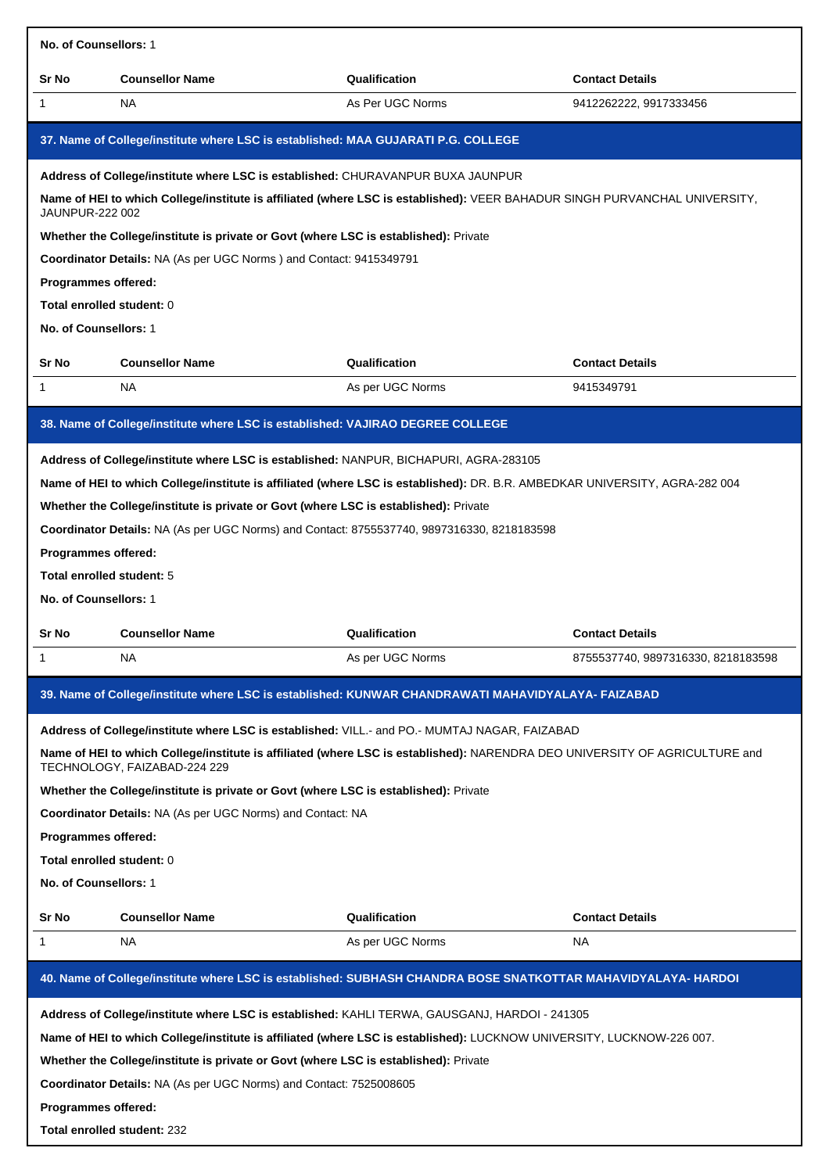| No. of Counsellors: 1                                                     |                                                                                                                                                                                                                                                                             |                                                                                                                                                                                                                              |                                    |
|---------------------------------------------------------------------------|-----------------------------------------------------------------------------------------------------------------------------------------------------------------------------------------------------------------------------------------------------------------------------|------------------------------------------------------------------------------------------------------------------------------------------------------------------------------------------------------------------------------|------------------------------------|
| Sr No                                                                     | <b>Counsellor Name</b>                                                                                                                                                                                                                                                      | Qualification                                                                                                                                                                                                                | <b>Contact Details</b>             |
| 1                                                                         | NA.                                                                                                                                                                                                                                                                         | As Per UGC Norms                                                                                                                                                                                                             | 9412262222, 9917333456             |
|                                                                           | 37. Name of College/institute where LSC is established: MAA GUJARATI P.G. COLLEGE                                                                                                                                                                                           |                                                                                                                                                                                                                              |                                    |
| <b>JAUNPUR-222 002</b>                                                    | Address of College/institute where LSC is established: CHURAVANPUR BUXA JAUNPUR<br>Whether the College/institute is private or Govt (where LSC is established): Private                                                                                                     | Name of HEI to which College/institute is affiliated (where LSC is established): VEER BAHADUR SINGH PURVANCHAL UNIVERSITY,                                                                                                   |                                    |
| Programmes offered:                                                       | Coordinator Details: NA (As per UGC Norms) and Contact: 9415349791                                                                                                                                                                                                          |                                                                                                                                                                                                                              |                                    |
| Total enrolled student: 0                                                 |                                                                                                                                                                                                                                                                             |                                                                                                                                                                                                                              |                                    |
| No. of Counsellors: 1                                                     |                                                                                                                                                                                                                                                                             |                                                                                                                                                                                                                              |                                    |
| Sr No                                                                     | <b>Counsellor Name</b>                                                                                                                                                                                                                                                      | Qualification                                                                                                                                                                                                                | <b>Contact Details</b>             |
| 1.                                                                        | NA.                                                                                                                                                                                                                                                                         | As per UGC Norms                                                                                                                                                                                                             | 9415349791                         |
|                                                                           | 38. Name of College/institute where LSC is established: VAJIRAO DEGREE COLLEGE                                                                                                                                                                                              |                                                                                                                                                                                                                              |                                    |
| Programmes offered:<br>Total enrolled student: 5<br>No. of Counsellors: 1 | Address of College/institute where LSC is established: NANPUR, BICHAPURI, AGRA-283105<br>Whether the College/institute is private or Govt (where LSC is established): Private<br>Coordinator Details: NA (As per UGC Norms) and Contact: 8755537740, 9897316330, 8218183598 | Name of HEI to which College/institute is affiliated (where LSC is established): DR. B.R. AMBEDKAR UNIVERSITY, AGRA-282 004                                                                                                  |                                    |
| Sr No                                                                     | <b>Counsellor Name</b>                                                                                                                                                                                                                                                      | Qualification                                                                                                                                                                                                                | <b>Contact Details</b>             |
|                                                                           | ΝA                                                                                                                                                                                                                                                                          | As per UGC Norms                                                                                                                                                                                                             | 8755537740, 9897316330, 8218183598 |
|                                                                           |                                                                                                                                                                                                                                                                             | 39. Name of College/institute where LSC is established: KUNWAR CHANDRAWATI MAHAVIDYALAYA- FAIZABAD                                                                                                                           |                                    |
| Programmes offered:<br>Total enrolled student: 0<br>No. of Counsellors: 1 | TECHNOLOGY, FAIZABAD-224 229<br>Whether the College/institute is private or Govt (where LSC is established): Private<br>Coordinator Details: NA (As per UGC Norms) and Contact: NA                                                                                          | Address of College/institute where LSC is established: VILL.- and PO.- MUMTAJ NAGAR, FAIZABAD<br>Name of HEI to which College/institute is affiliated (where LSC is established): NARENDRA DEO UNIVERSITY OF AGRICULTURE and |                                    |
| Sr No                                                                     | <b>Counsellor Name</b>                                                                                                                                                                                                                                                      | Qualification                                                                                                                                                                                                                | <b>Contact Details</b>             |
| 1                                                                         | NA.                                                                                                                                                                                                                                                                         | As per UGC Norms                                                                                                                                                                                                             | NA                                 |
|                                                                           |                                                                                                                                                                                                                                                                             | 40. Name of College/institute where LSC is established: SUBHASH CHANDRA BOSE SNATKOTTAR MAHAVIDYALAYA- HARDOI                                                                                                                |                                    |
| Programmes offered:                                                       | Whether the College/institute is private or Govt (where LSC is established): Private<br>Coordinator Details: NA (As per UGC Norms) and Contact: 7525008605                                                                                                                  | Address of College/institute where LSC is established: KAHLI TERWA, GAUSGANJ, HARDOI - 241305<br>Name of HEI to which College/institute is affiliated (where LSC is established): LUCKNOW UNIVERSITY, LUCKNOW-226 007.       |                                    |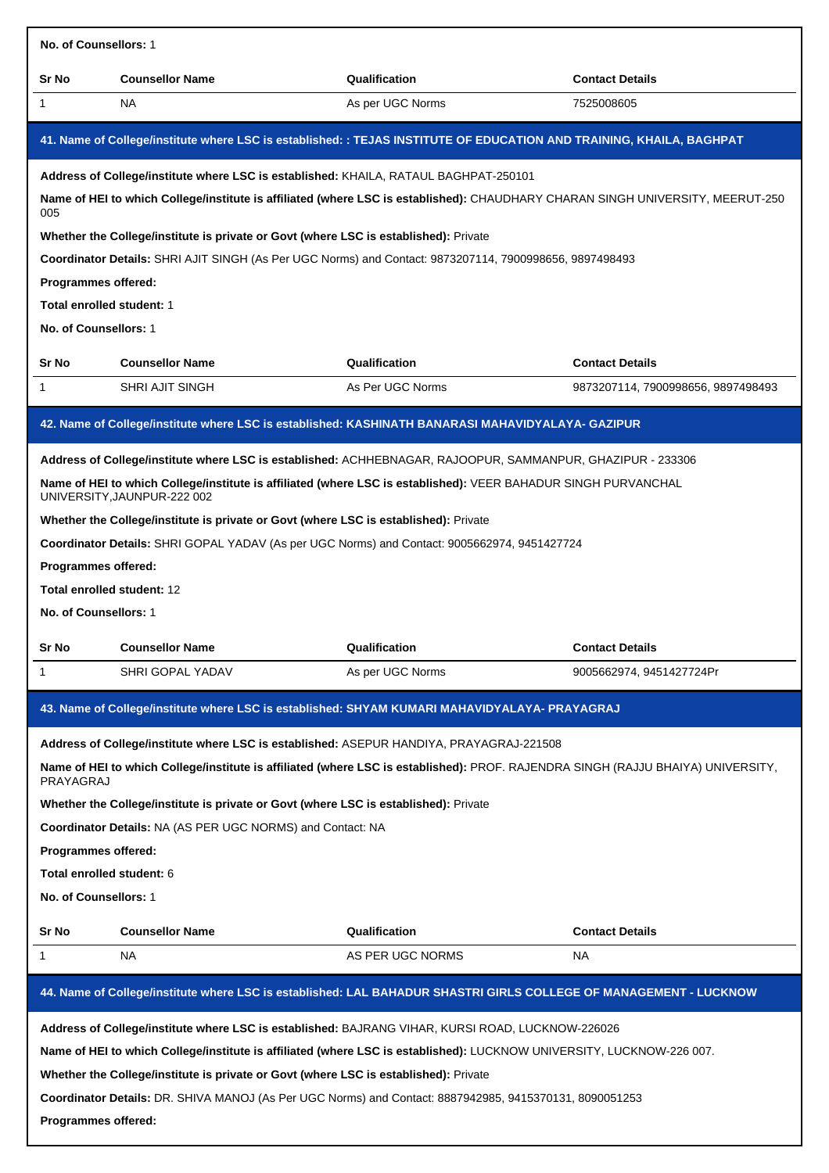| No. of Counsellors: 1                                                                                   |                                                                                                                                               |                  |                                    |  |  |
|---------------------------------------------------------------------------------------------------------|-----------------------------------------------------------------------------------------------------------------------------------------------|------------------|------------------------------------|--|--|
| Sr No                                                                                                   | <b>Counsellor Name</b>                                                                                                                        | Qualification    | <b>Contact Details</b>             |  |  |
| 1                                                                                                       | <b>NA</b>                                                                                                                                     | As per UGC Norms | 7525008605                         |  |  |
|                                                                                                         | 41. Name of College/institute where LSC is established: : TEJAS INSTITUTE OF EDUCATION AND TRAINING, KHAILA, BAGHPAT                          |                  |                                    |  |  |
|                                                                                                         | Address of College/institute where LSC is established: KHAILA, RATAUL BAGHPAT-250101                                                          |                  |                                    |  |  |
| 005                                                                                                     | Name of HEI to which College/institute is affiliated (where LSC is established): CHAUDHARY CHARAN SINGH UNIVERSITY, MEERUT-250                |                  |                                    |  |  |
| Whether the College/institute is private or Govt (where LSC is established): Private                    |                                                                                                                                               |                  |                                    |  |  |
| Coordinator Details: SHRI AJIT SINGH (As Per UGC Norms) and Contact: 9873207114, 7900998656, 9897498493 |                                                                                                                                               |                  |                                    |  |  |
| <b>Programmes offered:</b>                                                                              |                                                                                                                                               |                  |                                    |  |  |
| Total enrolled student: 1                                                                               |                                                                                                                                               |                  |                                    |  |  |
| No. of Counsellors: 1                                                                                   |                                                                                                                                               |                  |                                    |  |  |
| Sr No                                                                                                   | <b>Counsellor Name</b>                                                                                                                        | Qualification    | <b>Contact Details</b>             |  |  |
| 1                                                                                                       | <b>SHRI AJIT SINGH</b>                                                                                                                        | As Per UGC Norms | 9873207114, 7900998656, 9897498493 |  |  |
|                                                                                                         | 42. Name of College/institute where LSC is established: KASHINATH BANARASI MAHAVIDYALAYA- GAZIPUR                                             |                  |                                    |  |  |
|                                                                                                         | Address of College/institute where LSC is established: ACHHEBNAGAR, RAJOOPUR, SAMMANPUR, GHAZIPUR - 233306                                    |                  |                                    |  |  |
|                                                                                                         | Name of HEI to which College/institute is affiliated (where LSC is established): VEER BAHADUR SINGH PURVANCHAL<br>UNIVERSITY, JAUNPUR-222 002 |                  |                                    |  |  |
|                                                                                                         | Whether the College/institute is private or Govt (where LSC is established): Private                                                          |                  |                                    |  |  |
|                                                                                                         | Coordinator Details: SHRI GOPAL YADAV (As per UGC Norms) and Contact: 9005662974, 9451427724                                                  |                  |                                    |  |  |
| Programmes offered:                                                                                     |                                                                                                                                               |                  |                                    |  |  |
| Total enrolled student: 12                                                                              |                                                                                                                                               |                  |                                    |  |  |
| No. of Counsellors: 1                                                                                   |                                                                                                                                               |                  |                                    |  |  |
| Sr No                                                                                                   | <b>Counsellor Name</b>                                                                                                                        | Qualification    | <b>Contact Details</b>             |  |  |
| 1                                                                                                       | SHRI GOPAL YADAV                                                                                                                              | As per UGC Norms | 9005662974, 9451427724Pr           |  |  |
|                                                                                                         | 43. Name of College/institute where LSC is established: SHYAM KUMARI MAHAVIDYALAYA- PRAYAGRAJ                                                 |                  |                                    |  |  |
|                                                                                                         | Address of College/institute where LSC is established: ASEPUR HANDIYA, PRAYAGRAJ-221508                                                       |                  |                                    |  |  |
| PRAYAGRAJ                                                                                               | Name of HEI to which College/institute is affiliated (where LSC is established): PROF. RAJENDRA SINGH (RAJJU BHAIYA) UNIVERSITY,              |                  |                                    |  |  |
|                                                                                                         | Whether the College/institute is private or Govt (where LSC is established): Private                                                          |                  |                                    |  |  |
|                                                                                                         | Coordinator Details: NA (AS PER UGC NORMS) and Contact: NA                                                                                    |                  |                                    |  |  |
| Programmes offered:                                                                                     |                                                                                                                                               |                  |                                    |  |  |
| Total enrolled student: 6                                                                               |                                                                                                                                               |                  |                                    |  |  |
| No. of Counsellors: 1                                                                                   |                                                                                                                                               |                  |                                    |  |  |
| Sr No                                                                                                   | <b>Counsellor Name</b>                                                                                                                        | Qualification    | <b>Contact Details</b>             |  |  |
| 1                                                                                                       | NA                                                                                                                                            | AS PER UGC NORMS | NA.                                |  |  |
|                                                                                                         | 44. Name of College/institute where LSC is established: LAL BAHADUR SHASTRI GIRLS COLLEGE OF MANAGEMENT - LUCKNOW                             |                  |                                    |  |  |
|                                                                                                         | Address of College/institute where LSC is established: BAJRANG VIHAR, KURSI ROAD, LUCKNOW-226026                                              |                  |                                    |  |  |
|                                                                                                         | Name of HEI to which College/institute is affiliated (where LSC is established): LUCKNOW UNIVERSITY, LUCKNOW-226 007.                         |                  |                                    |  |  |
|                                                                                                         | Whether the College/institute is private or Govt (where LSC is established): Private                                                          |                  |                                    |  |  |
|                                                                                                         | Coordinator Details: DR. SHIVA MANOJ (As Per UGC Norms) and Contact: 8887942985, 9415370131, 8090051253                                       |                  |                                    |  |  |
| Programmes offered:                                                                                     |                                                                                                                                               |                  |                                    |  |  |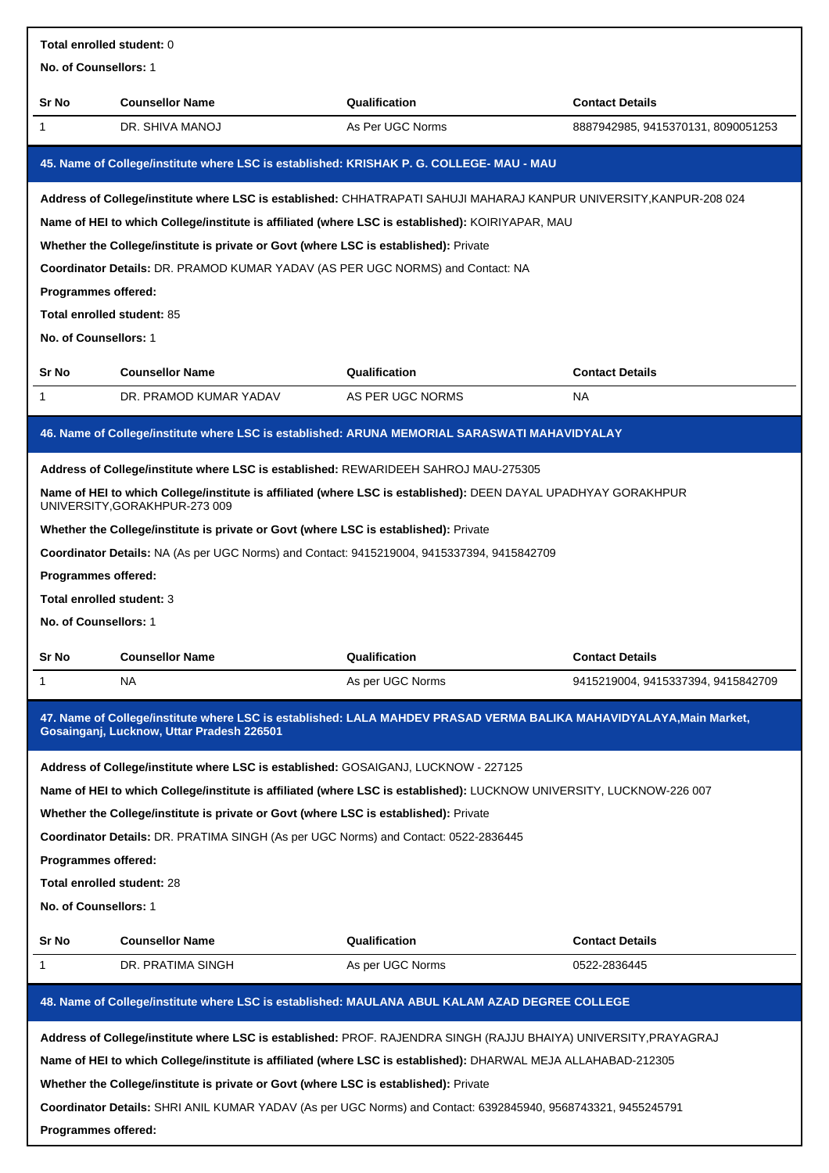| Total enrolled student: 0                                                                                           |                                                                                                                                                                  |                  |                                    |  |
|---------------------------------------------------------------------------------------------------------------------|------------------------------------------------------------------------------------------------------------------------------------------------------------------|------------------|------------------------------------|--|
| No. of Counsellors: 1                                                                                               |                                                                                                                                                                  |                  |                                    |  |
| Sr No                                                                                                               | <b>Counsellor Name</b>                                                                                                                                           | Qualification    | <b>Contact Details</b>             |  |
| 1                                                                                                                   | DR. SHIVA MANOJ                                                                                                                                                  | As Per UGC Norms | 8887942985, 9415370131, 8090051253 |  |
|                                                                                                                     | 45. Name of College/institute where LSC is established: KRISHAK P. G. COLLEGE- MAU - MAU                                                                         |                  |                                    |  |
| Address of College/institute where LSC is established: CHHATRAPATI SAHUJI MAHARAJ KANPUR UNIVERSITY, KANPUR-208 024 |                                                                                                                                                                  |                  |                                    |  |
| Name of HEI to which College/institute is affiliated (where LSC is established): KOIRIYAPAR, MAU                    |                                                                                                                                                                  |                  |                                    |  |
| Whether the College/institute is private or Govt (where LSC is established): Private                                |                                                                                                                                                                  |                  |                                    |  |
|                                                                                                                     | Coordinator Details: DR. PRAMOD KUMAR YADAV (AS PER UGC NORMS) and Contact: NA                                                                                   |                  |                                    |  |
| Programmes offered:                                                                                                 |                                                                                                                                                                  |                  |                                    |  |
| Total enrolled student: 85                                                                                          |                                                                                                                                                                  |                  |                                    |  |
| No. of Counsellors: 1                                                                                               |                                                                                                                                                                  |                  |                                    |  |
| Sr No                                                                                                               | <b>Counsellor Name</b>                                                                                                                                           | Qualification    | <b>Contact Details</b>             |  |
| $\mathbf{1}$                                                                                                        | DR. PRAMOD KUMAR YADAV                                                                                                                                           | AS PER UGC NORMS | <b>NA</b>                          |  |
|                                                                                                                     | 46. Name of College/institute where LSC is established: ARUNA MEMORIAL SARASWATI MAHAVIDYALAY                                                                    |                  |                                    |  |
|                                                                                                                     | Address of College/institute where LSC is established: REWARIDEEH SAHROJ MAU-275305                                                                              |                  |                                    |  |
|                                                                                                                     | Name of HEI to which College/institute is affiliated (where LSC is established): DEEN DAYAL UPADHYAY GORAKHPUR<br>UNIVERSITY, GORAKHPUR-273 009                  |                  |                                    |  |
|                                                                                                                     | Whether the College/institute is private or Govt (where LSC is established): Private                                                                             |                  |                                    |  |
|                                                                                                                     | Coordinator Details: NA (As per UGC Norms) and Contact: 9415219004, 9415337394, 9415842709                                                                       |                  |                                    |  |
| Programmes offered:                                                                                                 |                                                                                                                                                                  |                  |                                    |  |
| Total enrolled student: 3                                                                                           |                                                                                                                                                                  |                  |                                    |  |
| No. of Counsellors: 1                                                                                               |                                                                                                                                                                  |                  |                                    |  |
| Sr No                                                                                                               | <b>Counsellor Name</b>                                                                                                                                           | Qualification    | Contact Details                    |  |
| 1                                                                                                                   | <b>NA</b>                                                                                                                                                        | As per UGC Norms | 9415219004, 9415337394, 9415842709 |  |
|                                                                                                                     | 47. Name of College/institute where LSC is established: LALA MAHDEV PRASAD VERMA BALIKA MAHAVIDYALAYA, Main Market,<br>Gosainganj, Lucknow, Uttar Pradesh 226501 |                  |                                    |  |
|                                                                                                                     | Address of College/institute where LSC is established: GOSAIGANJ, LUCKNOW - 227125                                                                               |                  |                                    |  |
|                                                                                                                     | Name of HEI to which College/institute is affiliated (where LSC is established): LUCKNOW UNIVERSITY, LUCKNOW-226 007                                             |                  |                                    |  |
|                                                                                                                     | Whether the College/institute is private or Govt (where LSC is established): Private                                                                             |                  |                                    |  |
|                                                                                                                     | Coordinator Details: DR. PRATIMA SINGH (As per UGC Norms) and Contact: 0522-2836445                                                                              |                  |                                    |  |
| Programmes offered:                                                                                                 |                                                                                                                                                                  |                  |                                    |  |
| Total enrolled student: 28                                                                                          |                                                                                                                                                                  |                  |                                    |  |
| No. of Counsellors: 1                                                                                               |                                                                                                                                                                  |                  |                                    |  |
| Sr No                                                                                                               | <b>Counsellor Name</b>                                                                                                                                           | Qualification    | <b>Contact Details</b>             |  |
| 1                                                                                                                   | DR. PRATIMA SINGH                                                                                                                                                | As per UGC Norms | 0522-2836445                       |  |
|                                                                                                                     | 48. Name of College/institute where LSC is established: MAULANA ABUL KALAM AZAD DEGREE COLLEGE                                                                   |                  |                                    |  |
|                                                                                                                     | Address of College/institute where LSC is established: PROF. RAJENDRA SINGH (RAJJU BHAIYA) UNIVERSITY, PRAYAGRAJ                                                 |                  |                                    |  |
|                                                                                                                     | Name of HEI to which College/institute is affiliated (where LSC is established): DHARWAL MEJA ALLAHABAD-212305                                                   |                  |                                    |  |
|                                                                                                                     | Whether the College/institute is private or Govt (where LSC is established): Private                                                                             |                  |                                    |  |
|                                                                                                                     | Coordinator Details: SHRI ANIL KUMAR YADAV (As per UGC Norms) and Contact: 6392845940, 9568743321, 9455245791                                                    |                  |                                    |  |

**Programmes offered:**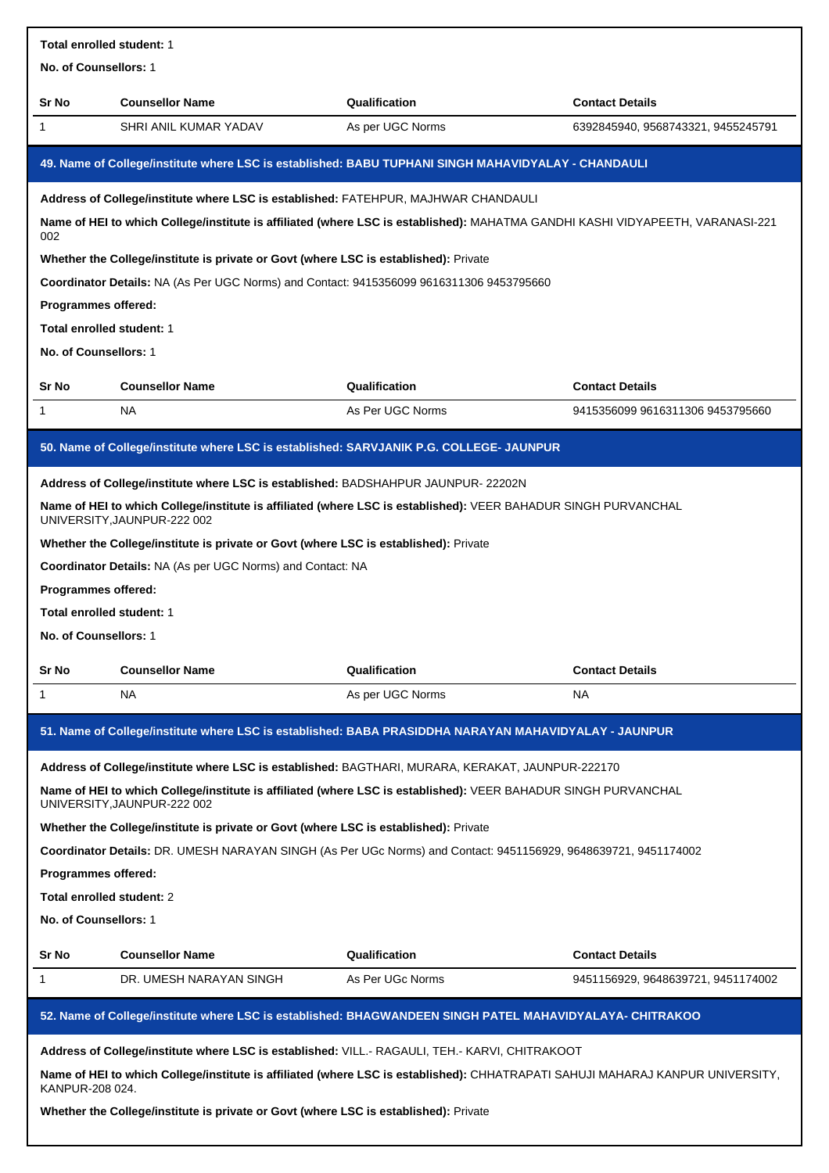| <b>Total enrolled student: 1</b>                                                                                                      |                                                                                                                                               |                  |                                    |  |  |
|---------------------------------------------------------------------------------------------------------------------------------------|-----------------------------------------------------------------------------------------------------------------------------------------------|------------------|------------------------------------|--|--|
| No. of Counsellors: 1                                                                                                                 |                                                                                                                                               |                  |                                    |  |  |
| Sr No                                                                                                                                 | <b>Counsellor Name</b>                                                                                                                        | Qualification    | <b>Contact Details</b>             |  |  |
| 1                                                                                                                                     | SHRI ANIL KUMAR YADAV                                                                                                                         | As per UGC Norms | 6392845940, 9568743321, 9455245791 |  |  |
|                                                                                                                                       | 49. Name of College/institute where LSC is established: BABU TUPHANI SINGH MAHAVIDYALAY - CHANDAULI                                           |                  |                                    |  |  |
|                                                                                                                                       | Address of College/institute where LSC is established: FATEHPUR, MAJHWAR CHANDAULI                                                            |                  |                                    |  |  |
| Name of HEI to which College/institute is affiliated (where LSC is established): MAHATMA GANDHI KASHI VIDYAPEETH, VARANASI-221<br>002 |                                                                                                                                               |                  |                                    |  |  |
|                                                                                                                                       | Whether the College/institute is private or Govt (where LSC is established): Private                                                          |                  |                                    |  |  |
|                                                                                                                                       | Coordinator Details: NA (As Per UGC Norms) and Contact: 9415356099 9616311306 9453795660                                                      |                  |                                    |  |  |
| Programmes offered:                                                                                                                   |                                                                                                                                               |                  |                                    |  |  |
| <b>Total enrolled student: 1</b>                                                                                                      |                                                                                                                                               |                  |                                    |  |  |
| No. of Counsellors: 1                                                                                                                 |                                                                                                                                               |                  |                                    |  |  |
| Sr No                                                                                                                                 | <b>Counsellor Name</b>                                                                                                                        | Qualification    | <b>Contact Details</b>             |  |  |
| 1                                                                                                                                     | NA                                                                                                                                            | As Per UGC Norms | 9415356099 9616311306 9453795660   |  |  |
|                                                                                                                                       | 50. Name of College/institute where LSC is established: SARVJANIK P.G. COLLEGE- JAUNPUR                                                       |                  |                                    |  |  |
|                                                                                                                                       | Address of College/institute where LSC is established: BADSHAHPUR JAUNPUR-22202N                                                              |                  |                                    |  |  |
|                                                                                                                                       | Name of HEI to which College/institute is affiliated (where LSC is established): VEER BAHADUR SINGH PURVANCHAL<br>UNIVERSITY, JAUNPUR-222 002 |                  |                                    |  |  |
|                                                                                                                                       | Whether the College/institute is private or Govt (where LSC is established): Private                                                          |                  |                                    |  |  |
|                                                                                                                                       | Coordinator Details: NA (As per UGC Norms) and Contact: NA                                                                                    |                  |                                    |  |  |
| Programmes offered:                                                                                                                   |                                                                                                                                               |                  |                                    |  |  |
| Total enrolled student: 1                                                                                                             |                                                                                                                                               |                  |                                    |  |  |
| No. of Counsellors: 1                                                                                                                 |                                                                                                                                               |                  |                                    |  |  |
| Sr No                                                                                                                                 | <b>Counsellor Name</b>                                                                                                                        | Qualification    | <b>Contact Details</b>             |  |  |
| 1                                                                                                                                     | <b>NA</b>                                                                                                                                     | As per UGC Norms | NA                                 |  |  |
|                                                                                                                                       | 51. Name of College/institute where LSC is established: BABA PRASIDDHA NARAYAN MAHAVIDYALAY - JAUNPUR                                         |                  |                                    |  |  |
|                                                                                                                                       | Address of College/institute where LSC is established: BAGTHARI, MURARA, KERAKAT, JAUNPUR-222170                                              |                  |                                    |  |  |
|                                                                                                                                       | Name of HEI to which College/institute is affiliated (where LSC is established): VEER BAHADUR SINGH PURVANCHAL<br>UNIVERSITY, JAUNPUR-222 002 |                  |                                    |  |  |
|                                                                                                                                       | Whether the College/institute is private or Govt (where LSC is established): Private                                                          |                  |                                    |  |  |
|                                                                                                                                       | Coordinator Details: DR. UMESH NARAYAN SINGH (As Per UGc Norms) and Contact: 9451156929, 9648639721, 9451174002                               |                  |                                    |  |  |
| Programmes offered:                                                                                                                   |                                                                                                                                               |                  |                                    |  |  |
| Total enrolled student: 2                                                                                                             |                                                                                                                                               |                  |                                    |  |  |
| No. of Counsellors: 1                                                                                                                 |                                                                                                                                               |                  |                                    |  |  |
| Sr No                                                                                                                                 | <b>Counsellor Name</b>                                                                                                                        | Qualification    | <b>Contact Details</b>             |  |  |
| 1                                                                                                                                     | DR. UMESH NARAYAN SINGH                                                                                                                       | As Per UGc Norms | 9451156929, 9648639721, 9451174002 |  |  |
|                                                                                                                                       | 52. Name of College/institute where LSC is established: BHAGWANDEEN SINGH PATEL MAHAVIDYALAYA- CHITRAKOO                                      |                  |                                    |  |  |
|                                                                                                                                       | Address of College/institute where LSC is established: VILL.- RAGAULI, TEH.- KARVI, CHITRAKOOT                                                |                  |                                    |  |  |
| KANPUR-208 024.                                                                                                                       | Name of HEI to which College/institute is affiliated (where LSC is established): CHHATRAPATI SAHUJI MAHARAJ KANPUR UNIVERSITY,                |                  |                                    |  |  |

**Whether the College/institute is private or Govt (where LSC is established):** Private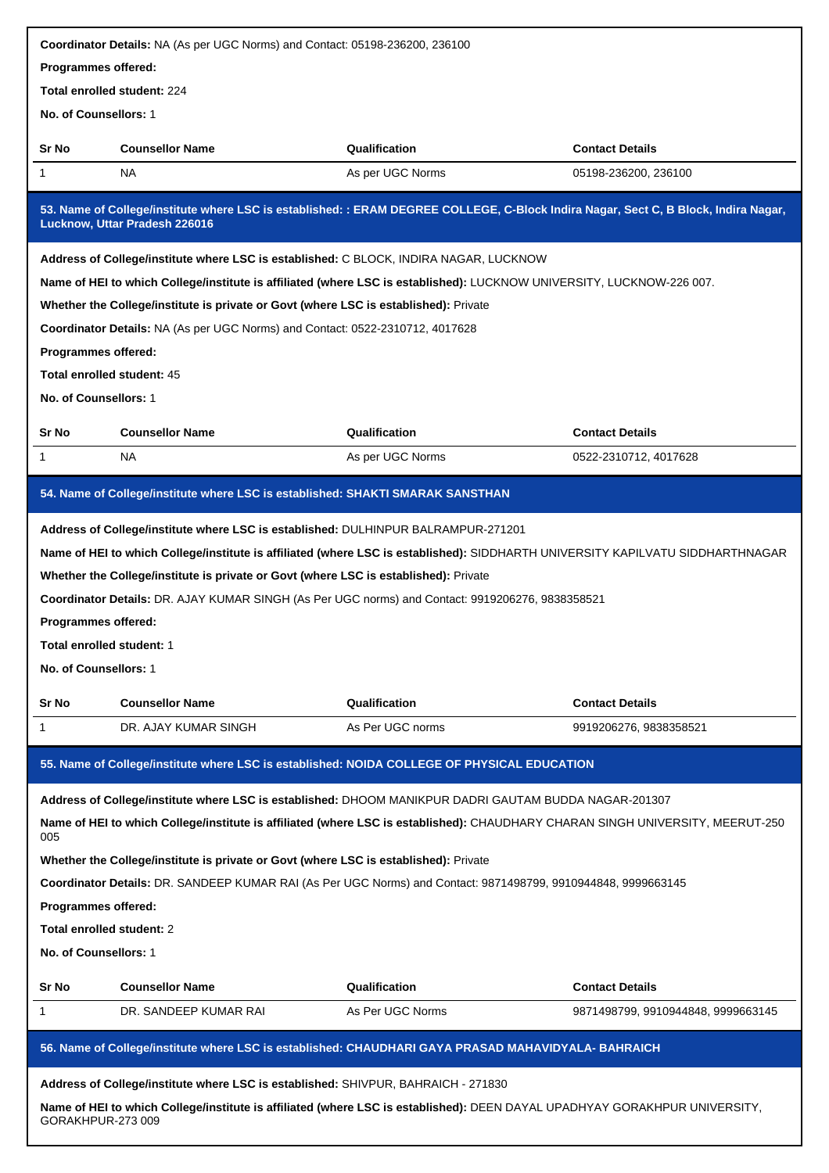| Programmes offered:        |                                                                                      | Coordinator Details: NA (As per UGC Norms) and Contact: 05198-236200, 236100                                         |                                                                                                                                     |
|----------------------------|--------------------------------------------------------------------------------------|----------------------------------------------------------------------------------------------------------------------|-------------------------------------------------------------------------------------------------------------------------------------|
|                            |                                                                                      |                                                                                                                      |                                                                                                                                     |
|                            | Total enrolled student: 224                                                          |                                                                                                                      |                                                                                                                                     |
| No. of Counsellors: 1      |                                                                                      |                                                                                                                      |                                                                                                                                     |
| Sr No                      | <b>Counsellor Name</b>                                                               | Qualification                                                                                                        | <b>Contact Details</b>                                                                                                              |
| 1                          | NA                                                                                   | As per UGC Norms                                                                                                     | 05198-236200, 236100                                                                                                                |
|                            | Lucknow, Uttar Pradesh 226016                                                        |                                                                                                                      | 53. Name of College/institute where LSC is established: : ERAM DEGREE COLLEGE, C-Block Indira Nagar, Sect C, B Block, Indira Nagar, |
|                            |                                                                                      | Address of College/institute where LSC is established: C BLOCK, INDIRA NAGAR, LUCKNOW                                |                                                                                                                                     |
|                            |                                                                                      |                                                                                                                      | Name of HEI to which College/institute is affiliated (where LSC is established): LUCKNOW UNIVERSITY, LUCKNOW-226 007.               |
|                            | Whether the College/institute is private or Govt (where LSC is established): Private |                                                                                                                      |                                                                                                                                     |
|                            | Coordinator Details: NA (As per UGC Norms) and Contact: 0522-2310712, 4017628        |                                                                                                                      |                                                                                                                                     |
| Programmes offered:        |                                                                                      |                                                                                                                      |                                                                                                                                     |
|                            | Total enrolled student: 45                                                           |                                                                                                                      |                                                                                                                                     |
| No. of Counsellors: 1      |                                                                                      |                                                                                                                      |                                                                                                                                     |
| Sr No                      | <b>Counsellor Name</b>                                                               | Qualification                                                                                                        | <b>Contact Details</b>                                                                                                              |
| 1                          | NA                                                                                   | As per UGC Norms                                                                                                     | 0522-2310712, 4017628                                                                                                               |
|                            |                                                                                      | 54. Name of College/institute where LSC is established: SHAKTI SMARAK SANSTHAN                                       |                                                                                                                                     |
|                            |                                                                                      | Address of College/institute where LSC is established: DULHINPUR BALRAMPUR-271201                                    |                                                                                                                                     |
|                            |                                                                                      |                                                                                                                      | Name of HEI to which College/institute is affiliated (where LSC is established): SIDDHARTH UNIVERSITY KAPILVATU SIDDHARTHNAGAR      |
|                            | Whether the College/institute is private or Govt (where LSC is established): Private |                                                                                                                      |                                                                                                                                     |
|                            |                                                                                      | Coordinator Details: DR. AJAY KUMAR SINGH (As Per UGC norms) and Contact: 9919206276, 9838358521                     |                                                                                                                                     |
| <b>Programmes offered:</b> |                                                                                      |                                                                                                                      |                                                                                                                                     |
| Total enrolled student: 1  |                                                                                      |                                                                                                                      |                                                                                                                                     |
|                            |                                                                                      |                                                                                                                      |                                                                                                                                     |
| No. of Counsellors: 1      |                                                                                      |                                                                                                                      |                                                                                                                                     |
|                            |                                                                                      |                                                                                                                      |                                                                                                                                     |
| Sr No                      | <b>Counsellor Name</b>                                                               | Qualification                                                                                                        | <b>Contact Details</b>                                                                                                              |
| 1                          | DR. AJAY KUMAR SINGH                                                                 | As Per UGC norms                                                                                                     | 9919206276, 9838358521                                                                                                              |
|                            |                                                                                      | 55. Name of College/institute where LSC is established: NOIDA COLLEGE OF PHYSICAL EDUCATION                          |                                                                                                                                     |
|                            |                                                                                      | Address of College/institute where LSC is established: DHOOM MANIKPUR DADRI GAUTAM BUDDA NAGAR-201307                |                                                                                                                                     |
| 005                        |                                                                                      |                                                                                                                      | Name of HEI to which College/institute is affiliated (where LSC is established): CHAUDHARY CHARAN SINGH UNIVERSITY, MEERUT-250      |
|                            | Whether the College/institute is private or Govt (where LSC is established): Private |                                                                                                                      |                                                                                                                                     |
|                            |                                                                                      | <b>Coordinator Details:</b> DR. SANDEEP KUMAR RAI (As Per UGC Norms) and Contact: 9871498799, 9910944848, 9999663145 |                                                                                                                                     |
| <b>Programmes offered:</b> |                                                                                      |                                                                                                                      |                                                                                                                                     |
| Total enrolled student: 2  |                                                                                      |                                                                                                                      |                                                                                                                                     |
| No. of Counsellors: 1      |                                                                                      |                                                                                                                      |                                                                                                                                     |
|                            |                                                                                      |                                                                                                                      |                                                                                                                                     |
| Sr No                      | <b>Counsellor Name</b>                                                               | Qualification                                                                                                        | <b>Contact Details</b>                                                                                                              |
| 1                          | DR. SANDEEP KUMAR RAI                                                                | As Per UGC Norms                                                                                                     | 9871498799, 9910944848, 9999663145                                                                                                  |
|                            |                                                                                      | 56. Name of College/institute where LSC is established: CHAUDHARI GAYA PRASAD MAHAVIDYALA- BAHRAICH                  |                                                                                                                                     |
|                            |                                                                                      | Address of College/institute where LSC is established: SHIVPUR, BAHRAICH - 271830                                    |                                                                                                                                     |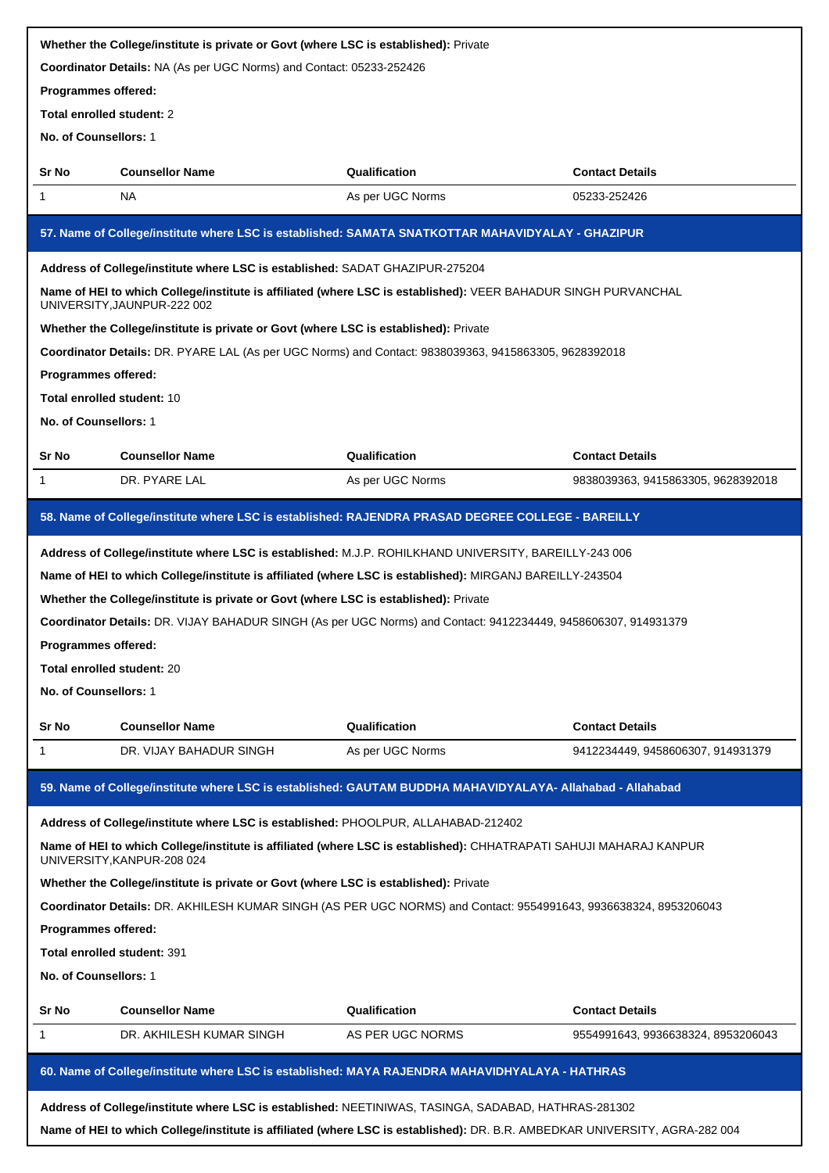|                                   | Whether the College/institute is private or Govt (where LSC is established): Private |                                                                                                                    |                                    |
|-----------------------------------|--------------------------------------------------------------------------------------|--------------------------------------------------------------------------------------------------------------------|------------------------------------|
|                                   | Coordinator Details: NA (As per UGC Norms) and Contact: 05233-252426                 |                                                                                                                    |                                    |
| Programmes offered:               |                                                                                      |                                                                                                                    |                                    |
| Total enrolled student: 2         |                                                                                      |                                                                                                                    |                                    |
| No. of Counsellors: 1             |                                                                                      |                                                                                                                    |                                    |
| Sr No                             | <b>Counsellor Name</b>                                                               | Qualification                                                                                                      | <b>Contact Details</b>             |
| 1                                 | NA.                                                                                  | As per UGC Norms                                                                                                   | 05233-252426                       |
|                                   |                                                                                      | 57. Name of College/institute where LSC is established: SAMATA SNATKOTTAR MAHAVIDYALAY - GHAZIPUR                  |                                    |
|                                   | Address of College/institute where LSC is established: SADAT GHAZIPUR-275204         |                                                                                                                    |                                    |
|                                   | UNIVERSITY, JAUNPUR-222 002                                                          | Name of HEI to which College/institute is affiliated (where LSC is established): VEER BAHADUR SINGH PURVANCHAL     |                                    |
|                                   | Whether the College/institute is private or Govt (where LSC is established): Private |                                                                                                                    |                                    |
|                                   |                                                                                      | Coordinator Details: DR. PYARE LAL (As per UGC Norms) and Contact: 9838039363, 9415863305, 9628392018              |                                    |
| Programmes offered:               |                                                                                      |                                                                                                                    |                                    |
| <b>Total enrolled student: 10</b> |                                                                                      |                                                                                                                    |                                    |
| No. of Counsellors: 1             |                                                                                      |                                                                                                                    |                                    |
| Sr No                             | <b>Counsellor Name</b>                                                               | Qualification                                                                                                      | <b>Contact Details</b>             |
| $\mathbf{1}$                      | DR. PYARE LAL                                                                        | As per UGC Norms                                                                                                   | 9838039363, 9415863305, 9628392018 |
|                                   |                                                                                      | 58. Name of College/institute where LSC is established: RAJENDRA PRASAD DEGREE COLLEGE - BAREILLY                  |                                    |
|                                   |                                                                                      | Address of College/institute where LSC is established: M.J.P. ROHILKHAND UNIVERSITY, BAREILLY-243 006              |                                    |
|                                   |                                                                                      | Name of HEI to which College/institute is affiliated (where LSC is established): MIRGANJ BAREILLY-243504           |                                    |
|                                   |                                                                                      |                                                                                                                    |                                    |
|                                   | Whether the College/institute is private or Govt (where LSC is established): Private |                                                                                                                    |                                    |
|                                   |                                                                                      | Coordinator Details: DR. VIJAY BAHADUR SINGH (As per UGC Norms) and Contact: 9412234449, 9458606307, 914931379     |                                    |
| Programmes offered:               |                                                                                      |                                                                                                                    |                                    |
| Total enrolled student: 20        |                                                                                      |                                                                                                                    |                                    |
| No. of Counsellors: 1             |                                                                                      |                                                                                                                    |                                    |
| Sr No                             | <b>Counsellor Name</b>                                                               | Qualification                                                                                                      | <b>Contact Details</b>             |
| 1                                 | DR. VIJAY BAHADUR SINGH                                                              | As per UGC Norms                                                                                                   | 9412234449, 9458606307, 914931379  |
|                                   |                                                                                      | 59. Name of College/institute where LSC is established: GAUTAM BUDDHA MAHAVIDYALAYA- Allahabad - Allahabad         |                                    |
|                                   | Address of College/institute where LSC is established: PHOOLPUR, ALLAHABAD-212402    |                                                                                                                    |                                    |
|                                   | UNIVERSITY, KANPUR-208 024                                                           | Name of HEI to which College/institute is affiliated (where LSC is established): CHHATRAPATI SAHUJI MAHARAJ KANPUR |                                    |
|                                   | Whether the College/institute is private or Govt (where LSC is established): Private |                                                                                                                    |                                    |
|                                   |                                                                                      | Coordinator Details: DR. AKHILESH KUMAR SINGH (AS PER UGC NORMS) and Contact: 9554991643, 9936638324, 8953206043   |                                    |
| Programmes offered:               |                                                                                      |                                                                                                                    |                                    |
|                                   | <b>Total enrolled student: 391</b>                                                   |                                                                                                                    |                                    |
| No. of Counsellors: 1             |                                                                                      |                                                                                                                    |                                    |
| Sr No                             | <b>Counsellor Name</b>                                                               | Qualification                                                                                                      | <b>Contact Details</b>             |
| 1                                 | DR. AKHILESH KUMAR SINGH                                                             | AS PER UGC NORMS                                                                                                   | 9554991643, 9936638324, 8953206043 |
|                                   |                                                                                      | 60. Name of College/institute where LSC is established: MAYA RAJENDRA MAHAVIDHYALAYA - HATHRAS                     |                                    |
|                                   |                                                                                      | Address of College/institute where LSC is established: NEETINIWAS, TASINGA, SADABAD, HATHRAS-281302                |                                    |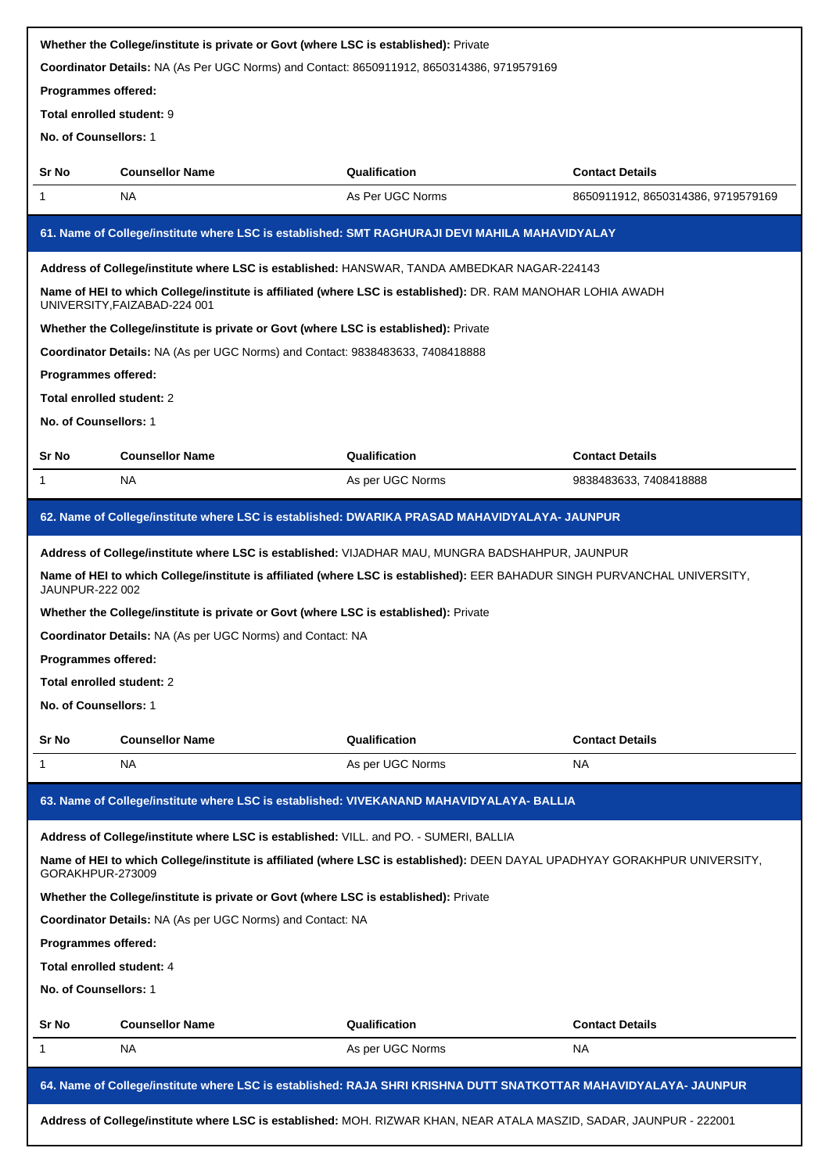| Whether the College/institute is private or Govt (where LSC is established): Private                                                           |                                                                                                                                                     |                  |                                    |  |
|------------------------------------------------------------------------------------------------------------------------------------------------|-----------------------------------------------------------------------------------------------------------------------------------------------------|------------------|------------------------------------|--|
|                                                                                                                                                | Coordinator Details: NA (As Per UGC Norms) and Contact: 8650911912, 8650314386, 9719579169                                                          |                  |                                    |  |
| Programmes offered:                                                                                                                            |                                                                                                                                                     |                  |                                    |  |
| Total enrolled student: 9                                                                                                                      |                                                                                                                                                     |                  |                                    |  |
| No. of Counsellors: 1                                                                                                                          |                                                                                                                                                     |                  |                                    |  |
| Sr No                                                                                                                                          | <b>Counsellor Name</b>                                                                                                                              | Qualification    | <b>Contact Details</b>             |  |
| 1                                                                                                                                              | NA                                                                                                                                                  | As Per UGC Norms | 8650911912, 8650314386, 9719579169 |  |
|                                                                                                                                                | 61. Name of College/institute where LSC is established: SMT RAGHURAJI DEVI MAHILA MAHAVIDYALAY                                                      |                  |                                    |  |
|                                                                                                                                                | Address of College/institute where LSC is established: HANSWAR, TANDA AMBEDKAR NAGAR-224143                                                         |                  |                                    |  |
|                                                                                                                                                | Name of HEI to which College/institute is affiliated (where LSC is established): DR. RAM MANOHAR LOHIA AWADH<br>UNIVERSITY, FAIZABAD-224 001        |                  |                                    |  |
|                                                                                                                                                | Whether the College/institute is private or Govt (where LSC is established): Private                                                                |                  |                                    |  |
|                                                                                                                                                | Coordinator Details: NA (As per UGC Norms) and Contact: 9838483633, 7408418888                                                                      |                  |                                    |  |
| Programmes offered:                                                                                                                            |                                                                                                                                                     |                  |                                    |  |
| Total enrolled student: 2                                                                                                                      |                                                                                                                                                     |                  |                                    |  |
| No. of Counsellors: 1                                                                                                                          |                                                                                                                                                     |                  |                                    |  |
| Sr No                                                                                                                                          | <b>Counsellor Name</b>                                                                                                                              | Qualification    | <b>Contact Details</b>             |  |
| 1                                                                                                                                              | <b>NA</b>                                                                                                                                           | As per UGC Norms | 9838483633, 7408418888             |  |
|                                                                                                                                                | 62. Name of College/institute where LSC is established: DWARIKA PRASAD MAHAVIDYALAYA- JAUNPUR                                                       |                  |                                    |  |
|                                                                                                                                                |                                                                                                                                                     |                  |                                    |  |
|                                                                                                                                                | Address of College/institute where LSC is established: VIJADHAR MAU, MUNGRA BADSHAHPUR, JAUNPUR                                                     |                  |                                    |  |
|                                                                                                                                                | Name of HEI to which College/institute is affiliated (where LSC is established): EER BAHADUR SINGH PURVANCHAL UNIVERSITY,<br><b>JAUNPUR-222 002</b> |                  |                                    |  |
|                                                                                                                                                | Whether the College/institute is private or Govt (where LSC is established): Private                                                                |                  |                                    |  |
|                                                                                                                                                | Coordinator Details: NA (As per UGC Norms) and Contact: NA                                                                                          |                  |                                    |  |
| Programmes offered:                                                                                                                            |                                                                                                                                                     |                  |                                    |  |
| Total enrolled student: 2                                                                                                                      |                                                                                                                                                     |                  |                                    |  |
| No. of Counsellors: 1                                                                                                                          |                                                                                                                                                     |                  |                                    |  |
| Sr No                                                                                                                                          | <b>Counsellor Name</b>                                                                                                                              | Qualification    | <b>Contact Details</b>             |  |
| 1                                                                                                                                              | <b>NA</b>                                                                                                                                           | As per UGC Norms | <b>NA</b>                          |  |
|                                                                                                                                                | 63. Name of College/institute where LSC is established: VIVEKANAND MAHAVIDYALAYA- BALLIA                                                            |                  |                                    |  |
| Address of College/institute where LSC is established: VILL. and PO. - SUMERI, BALLIA                                                          |                                                                                                                                                     |                  |                                    |  |
| Name of HEI to which College/institute is affiliated (where LSC is established): DEEN DAYAL UPADHYAY GORAKHPUR UNIVERSITY,<br>GORAKHPUR-273009 |                                                                                                                                                     |                  |                                    |  |
| Whether the College/institute is private or Govt (where LSC is established): Private                                                           |                                                                                                                                                     |                  |                                    |  |
| Coordinator Details: NA (As per UGC Norms) and Contact: NA                                                                                     |                                                                                                                                                     |                  |                                    |  |
| Programmes offered:                                                                                                                            |                                                                                                                                                     |                  |                                    |  |
| Total enrolled student: 4                                                                                                                      |                                                                                                                                                     |                  |                                    |  |
| No. of Counsellors: 1                                                                                                                          |                                                                                                                                                     |                  |                                    |  |
| Sr No                                                                                                                                          | <b>Counsellor Name</b>                                                                                                                              | Qualification    | <b>Contact Details</b>             |  |
| 1                                                                                                                                              | NA                                                                                                                                                  | As per UGC Norms | <b>NA</b>                          |  |
| 64. Name of College/institute where LSC is established: RAJA SHRI KRISHNA DUTT SNATKOTTAR MAHAVIDYALAYA- JAUNPUR                               |                                                                                                                                                     |                  |                                    |  |
| Address of College/institute where LSC is established: MOH. RIZWAR KHAN, NEAR ATALA MASZID, SADAR, JAUNPUR - 222001                            |                                                                                                                                                     |                  |                                    |  |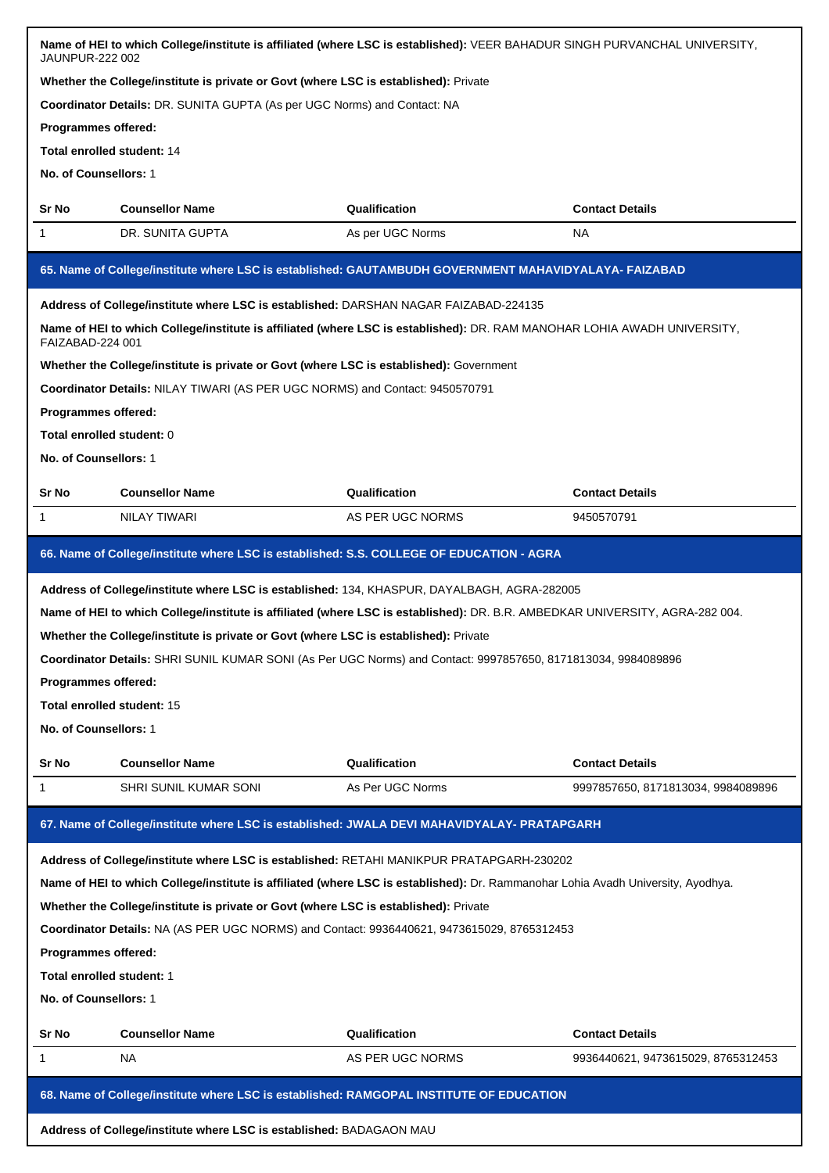| Name of HEI to which College/institute is affiliated (where LSC is established): VEER BAHADUR SINGH PURVANCHAL UNIVERSITY,<br><b>JAUNPUR-222 002</b>                               |                                                                                         |                                                                                                                              |                                    |  |  |  |
|------------------------------------------------------------------------------------------------------------------------------------------------------------------------------------|-----------------------------------------------------------------------------------------|------------------------------------------------------------------------------------------------------------------------------|------------------------------------|--|--|--|
| Whether the College/institute is private or Govt (where LSC is established): Private                                                                                               |                                                                                         |                                                                                                                              |                                    |  |  |  |
|                                                                                                                                                                                    | Coordinator Details: DR. SUNITA GUPTA (As per UGC Norms) and Contact: NA                |                                                                                                                              |                                    |  |  |  |
| Programmes offered:                                                                                                                                                                |                                                                                         |                                                                                                                              |                                    |  |  |  |
|                                                                                                                                                                                    | <b>Total enrolled student: 14</b>                                                       |                                                                                                                              |                                    |  |  |  |
| No. of Counsellors: 1                                                                                                                                                              |                                                                                         |                                                                                                                              |                                    |  |  |  |
| Sr No                                                                                                                                                                              | <b>Counsellor Name</b>                                                                  | Qualification                                                                                                                | <b>Contact Details</b>             |  |  |  |
| 1                                                                                                                                                                                  | DR. SUNITA GUPTA<br>As per UGC Norms<br>NA                                              |                                                                                                                              |                                    |  |  |  |
|                                                                                                                                                                                    |                                                                                         | 65. Name of College/institute where LSC is established: GAUTAMBUDH GOVERNMENT MAHAVIDYALAYA- FAIZABAD                        |                                    |  |  |  |
|                                                                                                                                                                                    | Address of College/institute where LSC is established: DARSHAN NAGAR FAIZABAD-224135    |                                                                                                                              |                                    |  |  |  |
| FAIZABAD-224 001                                                                                                                                                                   |                                                                                         | Name of HEI to which College/institute is affiliated (where LSC is established): DR. RAM MANOHAR LOHIA AWADH UNIVERSITY,     |                                    |  |  |  |
|                                                                                                                                                                                    | Whether the College/institute is private or Govt (where LSC is established): Government |                                                                                                                              |                                    |  |  |  |
|                                                                                                                                                                                    | Coordinator Details: NILAY TIWARI (AS PER UGC NORMS) and Contact: 9450570791            |                                                                                                                              |                                    |  |  |  |
| Programmes offered:                                                                                                                                                                |                                                                                         |                                                                                                                              |                                    |  |  |  |
| Total enrolled student: 0                                                                                                                                                          |                                                                                         |                                                                                                                              |                                    |  |  |  |
| No. of Counsellors: 1                                                                                                                                                              |                                                                                         |                                                                                                                              |                                    |  |  |  |
| Sr No                                                                                                                                                                              | <b>Counsellor Name</b>                                                                  | Qualification                                                                                                                | <b>Contact Details</b>             |  |  |  |
| 1                                                                                                                                                                                  | <b>NILAY TIWARI</b>                                                                     | AS PER UGC NORMS                                                                                                             | 9450570791                         |  |  |  |
|                                                                                                                                                                                    |                                                                                         | 66. Name of College/institute where LSC is established: S.S. COLLEGE OF EDUCATION - AGRA                                     |                                    |  |  |  |
|                                                                                                                                                                                    |                                                                                         | Address of College/institute where LSC is established: 134, KHASPUR, DAYALBAGH, AGRA-282005                                  |                                    |  |  |  |
|                                                                                                                                                                                    |                                                                                         | Name of HEI to which College/institute is affiliated (where LSC is established): DR. B.R. AMBEDKAR UNIVERSITY, AGRA-282 004. |                                    |  |  |  |
|                                                                                                                                                                                    | Whether the College/institute is private or Govt (where LSC is established): Private    |                                                                                                                              |                                    |  |  |  |
|                                                                                                                                                                                    |                                                                                         | Coordinator Details: SHRI SUNIL KUMAR SONI (As Per UGC Norms) and Contact: 9997857650, 8171813034, 9984089896                |                                    |  |  |  |
| Programmes offered:                                                                                                                                                                |                                                                                         |                                                                                                                              |                                    |  |  |  |
|                                                                                                                                                                                    | Total enrolled student: 15                                                              |                                                                                                                              |                                    |  |  |  |
| No. of Counsellors: 1                                                                                                                                                              |                                                                                         |                                                                                                                              |                                    |  |  |  |
| Sr No                                                                                                                                                                              | <b>Counsellor Name</b>                                                                  | Qualification                                                                                                                | <b>Contact Details</b>             |  |  |  |
| 1                                                                                                                                                                                  | SHRI SUNIL KUMAR SONI                                                                   | As Per UGC Norms                                                                                                             | 9997857650, 8171813034, 9984089896 |  |  |  |
| 67. Name of College/institute where LSC is established: JWALA DEVI MAHAVIDYALAY- PRATAPGARH                                                                                        |                                                                                         |                                                                                                                              |                                    |  |  |  |
| Address of College/institute where LSC is established: RETAHI MANIKPUR PRATAPGARH-230202                                                                                           |                                                                                         |                                                                                                                              |                                    |  |  |  |
| Name of HEI to which College/institute is affiliated (where LSC is established): Dr. Rammanohar Lohia Avadh University, Ayodhya.                                                   |                                                                                         |                                                                                                                              |                                    |  |  |  |
|                                                                                                                                                                                    |                                                                                         |                                                                                                                              |                                    |  |  |  |
| Whether the College/institute is private or Govt (where LSC is established): Private<br>Coordinator Details: NA (AS PER UGC NORMS) and Contact: 9936440621, 9473615029, 8765312453 |                                                                                         |                                                                                                                              |                                    |  |  |  |
| Programmes offered:                                                                                                                                                                |                                                                                         |                                                                                                                              |                                    |  |  |  |
| Total enrolled student: 1                                                                                                                                                          |                                                                                         |                                                                                                                              |                                    |  |  |  |
| No. of Counsellors: 1                                                                                                                                                              |                                                                                         |                                                                                                                              |                                    |  |  |  |
|                                                                                                                                                                                    |                                                                                         |                                                                                                                              |                                    |  |  |  |
| Sr No                                                                                                                                                                              | <b>Counsellor Name</b>                                                                  | Qualification                                                                                                                | <b>Contact Details</b>             |  |  |  |
| 1                                                                                                                                                                                  | NA                                                                                      | AS PER UGC NORMS                                                                                                             | 9936440621, 9473615029, 8765312453 |  |  |  |
|                                                                                                                                                                                    |                                                                                         | 68. Name of College/institute where LSC is established: RAMGOPAL INSTITUTE OF EDUCATION                                      |                                    |  |  |  |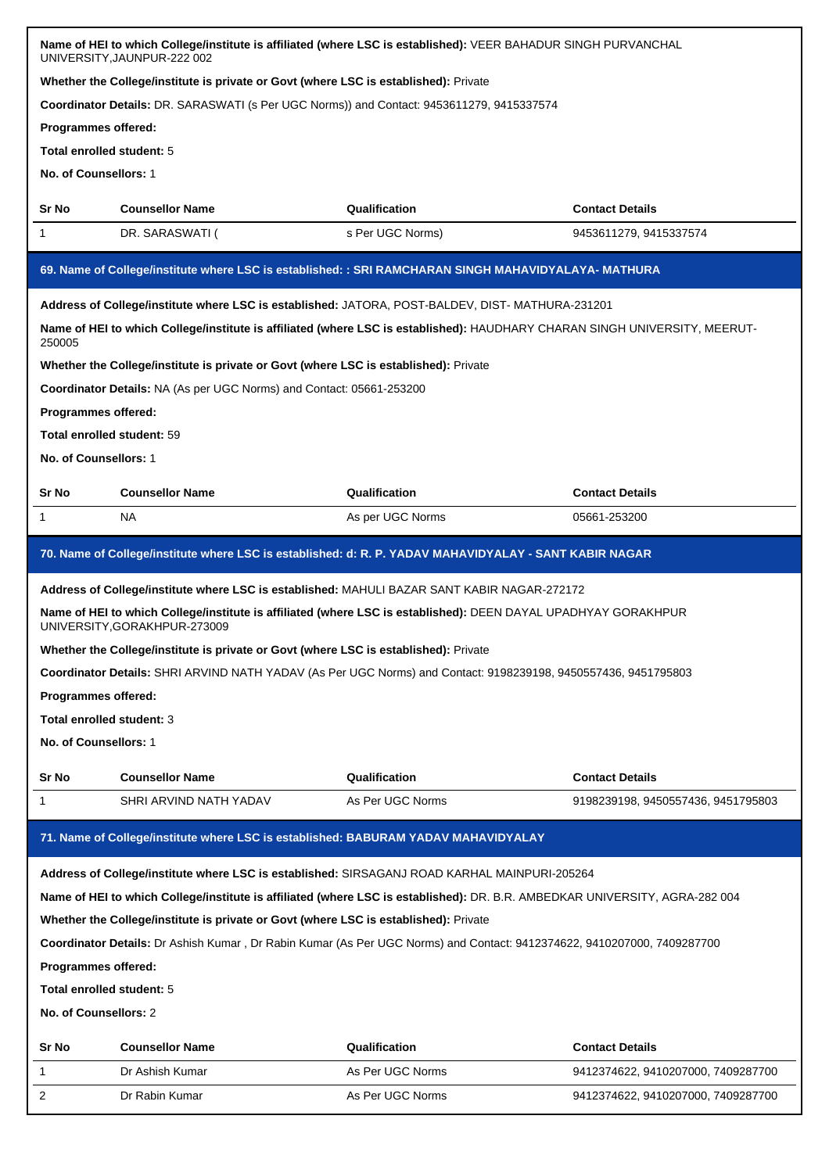|                                                                                                        | Name of HEI to which College/institute is affiliated (where LSC is established): VEER BAHADUR SINGH PURVANCHAL<br>UNIVERSITY, JAUNPUR-222 002  |                  |                                    |  |  |
|--------------------------------------------------------------------------------------------------------|------------------------------------------------------------------------------------------------------------------------------------------------|------------------|------------------------------------|--|--|
|                                                                                                        | Whether the College/institute is private or Govt (where LSC is established): Private                                                           |                  |                                    |  |  |
|                                                                                                        | Coordinator Details: DR. SARASWATI (s Per UGC Norms)) and Contact: 9453611279, 9415337574                                                      |                  |                                    |  |  |
| <b>Programmes offered:</b>                                                                             |                                                                                                                                                |                  |                                    |  |  |
| Total enrolled student: 5                                                                              |                                                                                                                                                |                  |                                    |  |  |
| No. of Counsellors: 1                                                                                  |                                                                                                                                                |                  |                                    |  |  |
| Sr No                                                                                                  | <b>Counsellor Name</b><br>Qualification<br><b>Contact Details</b>                                                                              |                  |                                    |  |  |
| 1                                                                                                      | DR. SARASWATI (                                                                                                                                | s Per UGC Norms) | 9453611279, 9415337574             |  |  |
|                                                                                                        | 69. Name of College/institute where LSC is established: : SRI RAMCHARAN SINGH MAHAVIDYALAYA- MATHURA                                           |                  |                                    |  |  |
|                                                                                                        | Address of College/institute where LSC is established: JATORA, POST-BALDEV, DIST-MATHURA-231201                                                |                  |                                    |  |  |
| 250005                                                                                                 | Name of HEI to which College/institute is affiliated (where LSC is established): HAUDHARY CHARAN SINGH UNIVERSITY, MEERUT-                     |                  |                                    |  |  |
|                                                                                                        | Whether the College/institute is private or Govt (where LSC is established): Private                                                           |                  |                                    |  |  |
|                                                                                                        | Coordinator Details: NA (As per UGC Norms) and Contact: 05661-253200                                                                           |                  |                                    |  |  |
| Programmes offered:                                                                                    |                                                                                                                                                |                  |                                    |  |  |
| Total enrolled student: 59                                                                             |                                                                                                                                                |                  |                                    |  |  |
| No. of Counsellors: 1                                                                                  |                                                                                                                                                |                  |                                    |  |  |
| Sr No                                                                                                  | <b>Counsellor Name</b>                                                                                                                         | Qualification    | <b>Contact Details</b>             |  |  |
| 1                                                                                                      | NA                                                                                                                                             | As per UGC Norms | 05661-253200                       |  |  |
| 70. Name of College/institute where LSC is established: d: R. P. YADAV MAHAVIDYALAY - SANT KABIR NAGAR |                                                                                                                                                |                  |                                    |  |  |
|                                                                                                        | Address of College/institute where LSC is established: MAHULI BAZAR SANT KABIR NAGAR-272172                                                    |                  |                                    |  |  |
|                                                                                                        |                                                                                                                                                |                  |                                    |  |  |
|                                                                                                        | Name of HEI to which College/institute is affiliated (where LSC is established): DEEN DAYAL UPADHYAY GORAKHPUR<br>UNIVERSITY, GORAKHPUR-273009 |                  |                                    |  |  |
|                                                                                                        | Whether the College/institute is private or Govt (where LSC is established): Private                                                           |                  |                                    |  |  |
|                                                                                                        | Coordinator Details: SHRI ARVIND NATH YADAV (As Per UGC Norms) and Contact: 9198239198, 9450557436, 9451795803                                 |                  |                                    |  |  |
| <b>Programmes offered:</b>                                                                             |                                                                                                                                                |                  |                                    |  |  |
| Total enrolled student: 3                                                                              |                                                                                                                                                |                  |                                    |  |  |
| No. of Counsellors: 1                                                                                  |                                                                                                                                                |                  |                                    |  |  |
| Sr No                                                                                                  | <b>Counsellor Name</b>                                                                                                                         | Qualification    | <b>Contact Details</b>             |  |  |
| 1                                                                                                      | SHRI ARVIND NATH YADAV                                                                                                                         | As Per UGC Norms | 9198239198, 9450557436, 9451795803 |  |  |
|                                                                                                        | 71. Name of College/institute where LSC is established: BABURAM YADAV MAHAVIDYALAY                                                             |                  |                                    |  |  |
|                                                                                                        |                                                                                                                                                |                  |                                    |  |  |
|                                                                                                        | Address of College/institute where LSC is established: SIRSAGANJ ROAD KARHAL MAINPURI-205264                                                   |                  |                                    |  |  |
|                                                                                                        | Name of HEI to which College/institute is affiliated (where LSC is established): DR. B.R. AMBEDKAR UNIVERSITY, AGRA-282 004                    |                  |                                    |  |  |
|                                                                                                        | Whether the College/institute is private or Govt (where LSC is established): Private                                                           |                  |                                    |  |  |
|                                                                                                        | Coordinator Details: Dr Ashish Kumar, Dr Rabin Kumar (As Per UGC Norms) and Contact: 9412374622, 9410207000, 7409287700                        |                  |                                    |  |  |
| Programmes offered:                                                                                    |                                                                                                                                                |                  |                                    |  |  |
| Total enrolled student: 5                                                                              |                                                                                                                                                |                  |                                    |  |  |
| No. of Counsellors: 2                                                                                  |                                                                                                                                                |                  |                                    |  |  |
| Sr No                                                                                                  | <b>Counsellor Name</b>                                                                                                                         | Qualification    | <b>Contact Details</b>             |  |  |
| 1                                                                                                      | Dr Ashish Kumar                                                                                                                                | As Per UGC Norms | 9412374622, 9410207000, 7409287700 |  |  |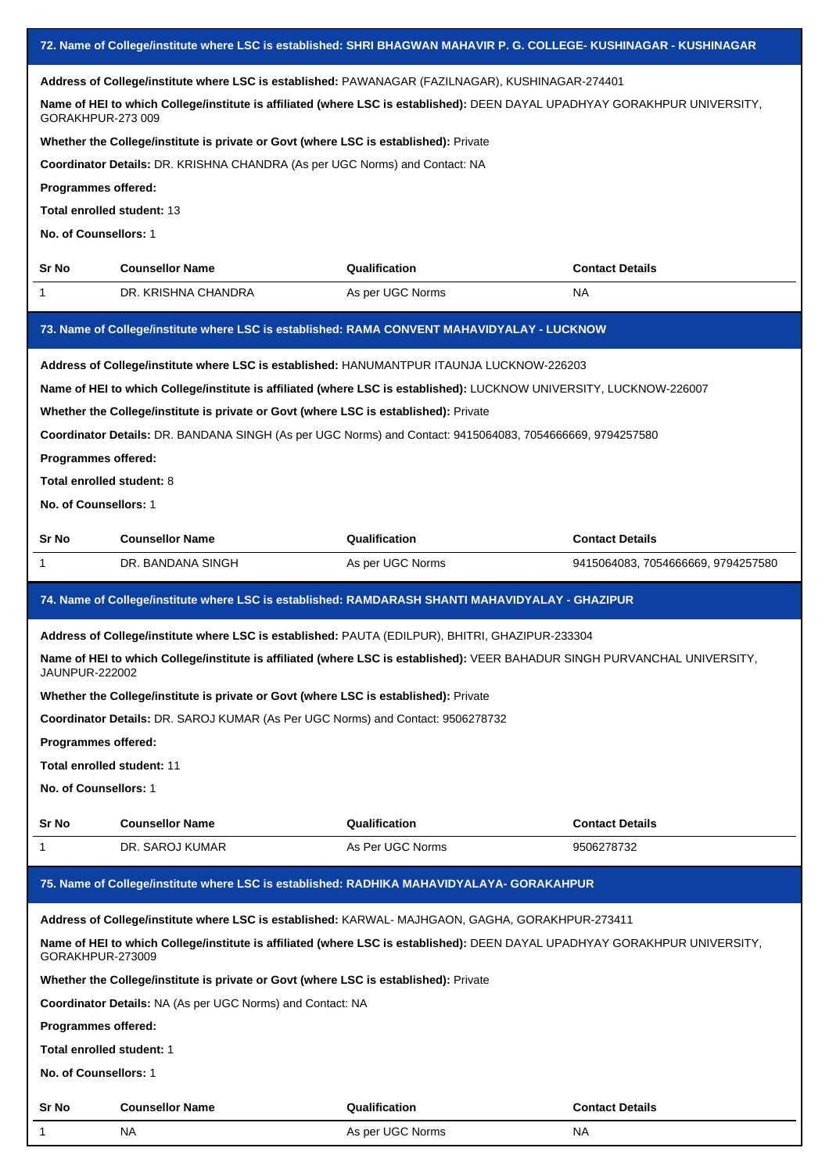| 72. Name of College/institute where LSC is established: SHRI BHAGWAN MAHAVIR P. G. COLLEGE- KUSHINAGAR - KUSHINAGAR |                                                                                                                            |                                   |                                    |
|---------------------------------------------------------------------------------------------------------------------|----------------------------------------------------------------------------------------------------------------------------|-----------------------------------|------------------------------------|
|                                                                                                                     | Address of College/institute where LSC is established: PAWANAGAR (FAZILNAGAR), KUSHINAGAR-274401                           |                                   |                                    |
| GORAKHPUR-273 009                                                                                                   | Name of HEI to which College/institute is affiliated (where LSC is established): DEEN DAYAL UPADHYAY GORAKHPUR UNIVERSITY, |                                   |                                    |
|                                                                                                                     | Whether the College/institute is private or Govt (where LSC is established): Private                                       |                                   |                                    |
|                                                                                                                     | Coordinator Details: DR. KRISHNA CHANDRA (As per UGC Norms) and Contact: NA                                                |                                   |                                    |
| Programmes offered:                                                                                                 |                                                                                                                            |                                   |                                    |
| Total enrolled student: 13                                                                                          |                                                                                                                            |                                   |                                    |
| No. of Counsellors: 1                                                                                               |                                                                                                                            |                                   |                                    |
| Sr No                                                                                                               | <b>Counsellor Name</b>                                                                                                     | Qualification                     | <b>Contact Details</b>             |
| 1                                                                                                                   | DR. KRISHNA CHANDRA                                                                                                        | As per UGC Norms                  | <b>NA</b>                          |
|                                                                                                                     | 73. Name of College/institute where LSC is established: RAMA CONVENT MAHAVIDYALAY - LUCKNOW                                |                                   |                                    |
|                                                                                                                     | Address of College/institute where LSC is established: HANUMANTPUR ITAUNJA LUCKNOW-226203                                  |                                   |                                    |
|                                                                                                                     | Name of HEI to which College/institute is affiliated (where LSC is established): LUCKNOW UNIVERSITY, LUCKNOW-226007        |                                   |                                    |
|                                                                                                                     | Whether the College/institute is private or Govt (where LSC is established): Private                                       |                                   |                                    |
|                                                                                                                     | Coordinator Details: DR. BANDANA SINGH (As per UGC Norms) and Contact: 9415064083, 7054666669, 9794257580                  |                                   |                                    |
| Programmes offered:                                                                                                 |                                                                                                                            |                                   |                                    |
| Total enrolled student: 8                                                                                           |                                                                                                                            |                                   |                                    |
| No. of Counsellors: 1                                                                                               |                                                                                                                            |                                   |                                    |
| Sr No                                                                                                               | <b>Counsellor Name</b>                                                                                                     | Qualification                     | <b>Contact Details</b>             |
| 1                                                                                                                   | DR. BANDANA SINGH                                                                                                          | As per UGC Norms                  | 9415064083, 7054666669, 9794257580 |
|                                                                                                                     | 74. Name of College/institute where LSC is established: RAMDARASH SHANTI MAHAVIDYALAY - GHAZIPUR                           |                                   |                                    |
| Address of College/institute where LSC is established: PAUTA (EDILPUR), BHITRI, GHAZIPUR-233304                     |                                                                                                                            |                                   |                                    |
|                                                                                                                     |                                                                                                                            |                                   |                                    |
| JAUNPUR-222002                                                                                                      | Name of HEI to which College/institute is affiliated (where LSC is established): VEER BAHADUR SINGH PURVANCHAL UNIVERSITY  |                                   |                                    |
|                                                                                                                     | Whether the College/institute is private or Govt (where LSC is established): Private                                       |                                   |                                    |
|                                                                                                                     | Coordinator Details: DR. SAROJ KUMAR (As Per UGC Norms) and Contact: 9506278732                                            |                                   |                                    |
| Programmes offered:                                                                                                 |                                                                                                                            |                                   |                                    |
| Total enrolled student: 11                                                                                          |                                                                                                                            |                                   |                                    |
| No. of Counsellors: 1                                                                                               |                                                                                                                            |                                   |                                    |
| Sr No                                                                                                               | <b>Counsellor Name</b>                                                                                                     | Qualification                     | <b>Contact Details</b>             |
| 1                                                                                                                   | DR. SAROJ KUMAR                                                                                                            | As Per UGC Norms                  | 9506278732                         |
|                                                                                                                     | 75. Name of College/institute where LSC is established: RADHIKA MAHAVIDYALAYA- GORAKAHPUR                                  |                                   |                                    |
|                                                                                                                     | Address of College/institute where LSC is established: KARWAL-MAJHGAON, GAGHA, GORAKHPUR-273411                            |                                   |                                    |
| GORAKHPUR-273009                                                                                                    | Name of HEI to which College/institute is affiliated (where LSC is established): DEEN DAYAL UPADHYAY GORAKHPUR UNIVERSITY, |                                   |                                    |
|                                                                                                                     | Whether the College/institute is private or Govt (where LSC is established): Private                                       |                                   |                                    |
|                                                                                                                     | <b>Coordinator Details: NA (As per UGC Norms) and Contact: NA</b>                                                          |                                   |                                    |
| Programmes offered:                                                                                                 |                                                                                                                            |                                   |                                    |
| Total enrolled student: 1                                                                                           |                                                                                                                            |                                   |                                    |
| No. of Counsellors: 1                                                                                               |                                                                                                                            |                                   |                                    |
|                                                                                                                     |                                                                                                                            |                                   |                                    |
| Sr No<br>-1                                                                                                         | <b>Counsellor Name</b><br>NA.                                                                                              | Qualification<br>As per UGC Norms | <b>Contact Details</b><br>NA.      |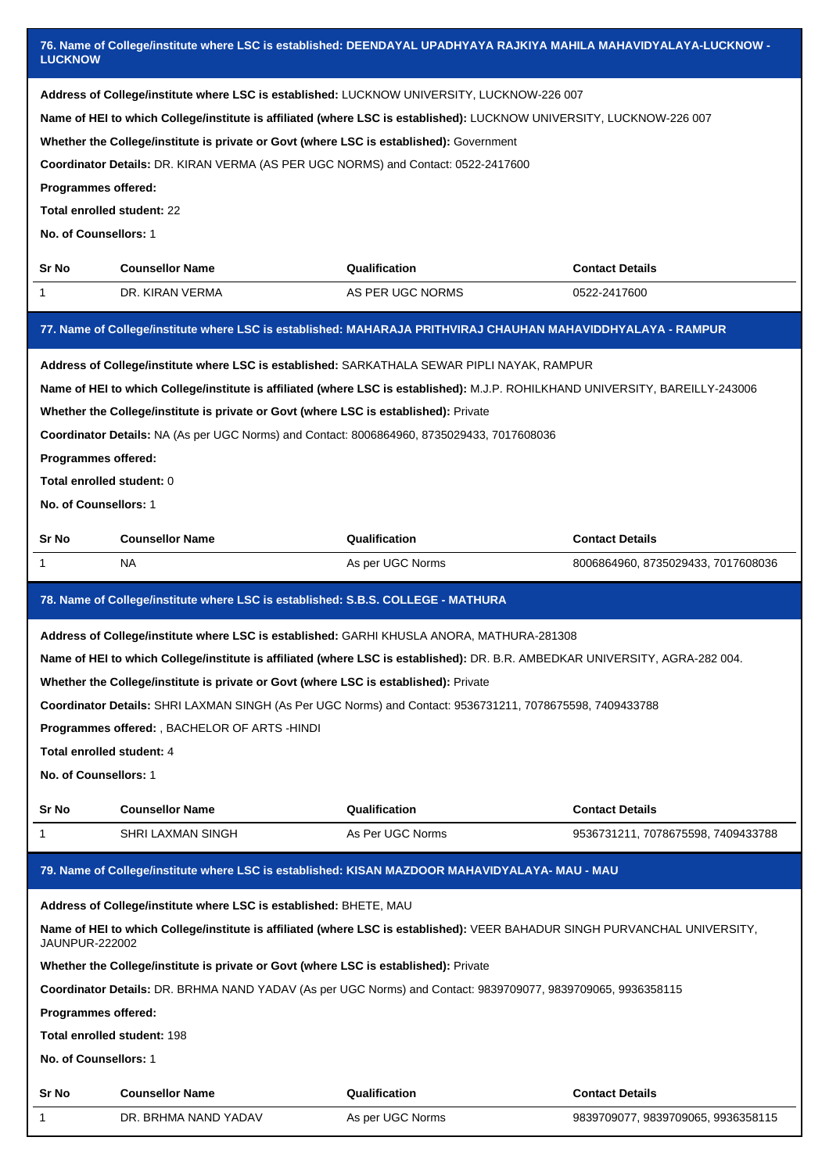| 76. Name of College/institute where LSC is established: DEENDAYAL UPADHYAYA RAJKIYA MAHILA MAHAVIDYALAYA-LUCKNOW -<br><b>LUCKNOW</b>                                                                                                                                                                                                                                                                                                                                                                                                  |                                                                                                                                                                                                                                                                                                                                                                                                                                        |                  |                                    |  |  |
|---------------------------------------------------------------------------------------------------------------------------------------------------------------------------------------------------------------------------------------------------------------------------------------------------------------------------------------------------------------------------------------------------------------------------------------------------------------------------------------------------------------------------------------|----------------------------------------------------------------------------------------------------------------------------------------------------------------------------------------------------------------------------------------------------------------------------------------------------------------------------------------------------------------------------------------------------------------------------------------|------------------|------------------------------------|--|--|
| Address of College/institute where LSC is established: LUCKNOW UNIVERSITY, LUCKNOW-226 007<br>Name of HEI to which College/institute is affiliated (where LSC is established): LUCKNOW UNIVERSITY, LUCKNOW-226 007<br>Whether the College/institute is private or Govt (where LSC is established): Government<br>Coordinator Details: DR. KIRAN VERMA (AS PER UGC NORMS) and Contact: 0522-2417600<br>Programmes offered:<br>Total enrolled student: 22                                                                               |                                                                                                                                                                                                                                                                                                                                                                                                                                        |                  |                                    |  |  |
| No. of Counsellors: 1                                                                                                                                                                                                                                                                                                                                                                                                                                                                                                                 |                                                                                                                                                                                                                                                                                                                                                                                                                                        |                  |                                    |  |  |
| Sr No                                                                                                                                                                                                                                                                                                                                                                                                                                                                                                                                 | <b>Counsellor Name</b>                                                                                                                                                                                                                                                                                                                                                                                                                 | Qualification    | <b>Contact Details</b>             |  |  |
| 1                                                                                                                                                                                                                                                                                                                                                                                                                                                                                                                                     | DR. KIRAN VERMA                                                                                                                                                                                                                                                                                                                                                                                                                        | AS PER UGC NORMS | 0522-2417600                       |  |  |
|                                                                                                                                                                                                                                                                                                                                                                                                                                                                                                                                       | 77. Name of College/institute where LSC is established: MAHARAJA PRITHVIRAJ CHAUHAN MAHAVIDDHYALAYA - RAMPUR                                                                                                                                                                                                                                                                                                                           |                  |                                    |  |  |
| Address of College/institute where LSC is established: SARKATHALA SEWAR PIPLI NAYAK, RAMPUR<br>Name of HEI to which College/institute is affiliated (where LSC is established): M.J.P. ROHILKHAND UNIVERSITY, BAREILLY-243006<br>Whether the College/institute is private or Govt (where LSC is established): Private<br>Coordinator Details: NA (As per UGC Norms) and Contact: 8006864960, 8735029433, 7017608036<br>Programmes offered:<br>Total enrolled student: 0<br>No. of Counsellors: 1                                      |                                                                                                                                                                                                                                                                                                                                                                                                                                        |                  |                                    |  |  |
| Sr No                                                                                                                                                                                                                                                                                                                                                                                                                                                                                                                                 | <b>Counsellor Name</b>                                                                                                                                                                                                                                                                                                                                                                                                                 | Qualification    | <b>Contact Details</b>             |  |  |
| 1                                                                                                                                                                                                                                                                                                                                                                                                                                                                                                                                     | <b>NA</b>                                                                                                                                                                                                                                                                                                                                                                                                                              | As per UGC Norms | 8006864960, 8735029433, 7017608036 |  |  |
|                                                                                                                                                                                                                                                                                                                                                                                                                                                                                                                                       | 78. Name of College/institute where LSC is established: S.B.S. COLLEGE - MATHURA                                                                                                                                                                                                                                                                                                                                                       |                  |                                    |  |  |
| Address of College/institute where LSC is established: GARHI KHUSLA ANORA, MATHURA-281308<br>Name of HEI to which College/institute is affiliated (where LSC is established): DR. B.R. AMBEDKAR UNIVERSITY, AGRA-282 004.<br>Whether the College/institute is private or Govt (where LSC is established): Private<br>Coordinator Details: SHRI LAXMAN SINGH (As Per UGC Norms) and Contact: 9536731211, 7078675598, 7409433788<br>Programmes offered: , BACHELOR OF ARTS -HINDI<br>Total enrolled student: 4<br>No. of Counsellors: 1 |                                                                                                                                                                                                                                                                                                                                                                                                                                        |                  |                                    |  |  |
| Sr No                                                                                                                                                                                                                                                                                                                                                                                                                                                                                                                                 | <b>Counsellor Name</b>                                                                                                                                                                                                                                                                                                                                                                                                                 | Qualification    | <b>Contact Details</b>             |  |  |
| 1                                                                                                                                                                                                                                                                                                                                                                                                                                                                                                                                     | SHRI LAXMAN SINGH                                                                                                                                                                                                                                                                                                                                                                                                                      | As Per UGC Norms | 9536731211, 7078675598, 7409433788 |  |  |
| 79. Name of College/institute where LSC is established: KISAN MAZDOOR MAHAVIDYALAYA- MAU - MAU                                                                                                                                                                                                                                                                                                                                                                                                                                        |                                                                                                                                                                                                                                                                                                                                                                                                                                        |                  |                                    |  |  |
|                                                                                                                                                                                                                                                                                                                                                                                                                                                                                                                                       |                                                                                                                                                                                                                                                                                                                                                                                                                                        |                  |                                    |  |  |
| <b>JAUNPUR-222002</b><br>Programmes offered:<br>No. of Counsellors: 1                                                                                                                                                                                                                                                                                                                                                                                                                                                                 | Address of College/institute where LSC is established: BHETE, MAU<br>Name of HEI to which College/institute is affiliated (where LSC is established): VEER BAHADUR SINGH PURVANCHAL UNIVERSITY,<br>Whether the College/institute is private or Govt (where LSC is established): Private<br>Coordinator Details: DR. BRHMA NAND YADAV (As per UGC Norms) and Contact: 9839709077, 9839709065, 9936358115<br>Total enrolled student: 198 |                  |                                    |  |  |
| Sr No                                                                                                                                                                                                                                                                                                                                                                                                                                                                                                                                 | <b>Counsellor Name</b>                                                                                                                                                                                                                                                                                                                                                                                                                 | Qualification    | <b>Contact Details</b>             |  |  |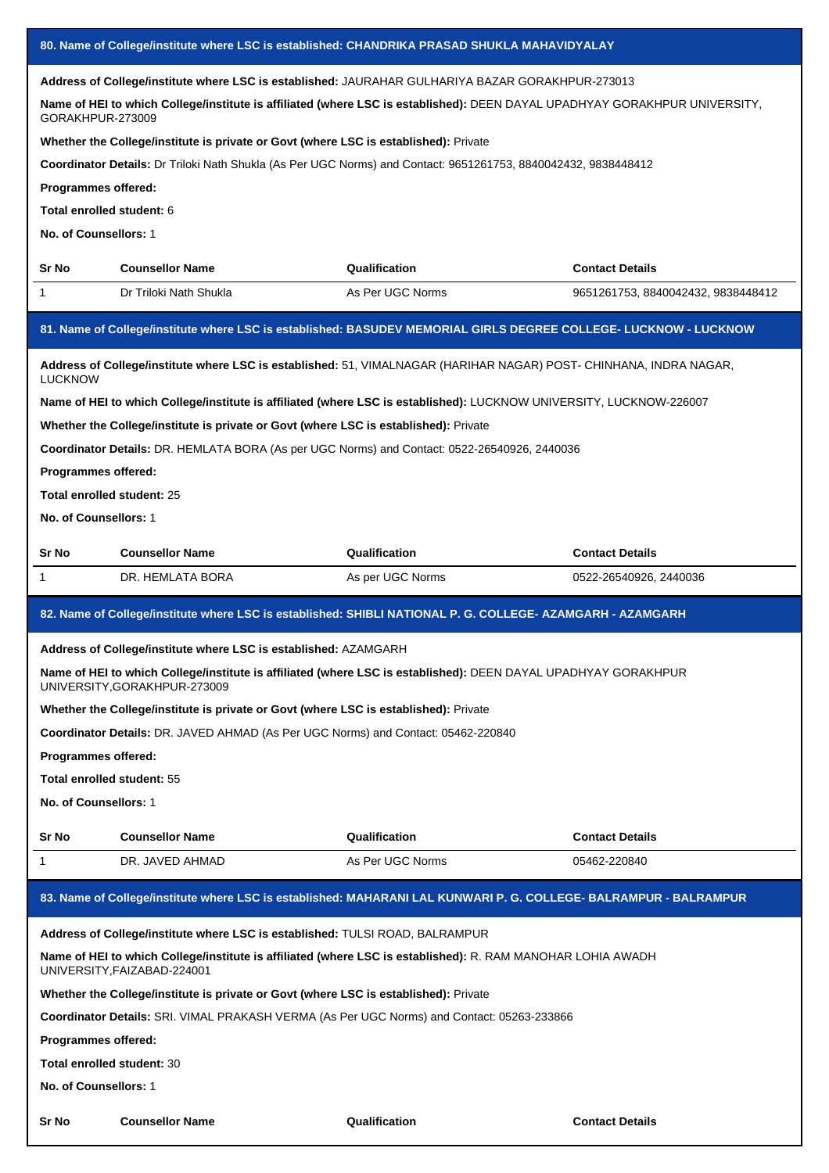| 80. Name of College/institute where LSC is established: CHANDRIKA PRASAD SHUKLA MAHAVIDYALAY                                               |                                                                                                                                                |                  |                                    |  |
|--------------------------------------------------------------------------------------------------------------------------------------------|------------------------------------------------------------------------------------------------------------------------------------------------|------------------|------------------------------------|--|
|                                                                                                                                            | Address of College/institute where LSC is established: JAURAHAR GULHARIYA BAZAR GORAKHPUR-273013                                               |                  |                                    |  |
| GORAKHPUR-273009                                                                                                                           | Name of HEI to which College/institute is affiliated (where LSC is established): DEEN DAYAL UPADHYAY GORAKHPUR UNIVERSITY,                     |                  |                                    |  |
|                                                                                                                                            | Whether the College/institute is private or Govt (where LSC is established): Private                                                           |                  |                                    |  |
|                                                                                                                                            | Coordinator Details: Dr Triloki Nath Shukla (As Per UGC Norms) and Contact: 9651261753, 8840042432, 9838448412                                 |                  |                                    |  |
| Programmes offered:                                                                                                                        |                                                                                                                                                |                  |                                    |  |
| Total enrolled student: 6                                                                                                                  |                                                                                                                                                |                  |                                    |  |
| No. of Counsellors: 1                                                                                                                      |                                                                                                                                                |                  |                                    |  |
| Sr No                                                                                                                                      | <b>Counsellor Name</b>                                                                                                                         | Qualification    | <b>Contact Details</b>             |  |
| 1                                                                                                                                          | Dr Triloki Nath Shukla                                                                                                                         | As Per UGC Norms | 9651261753, 8840042432, 9838448412 |  |
|                                                                                                                                            | 81. Name of College/institute where LSC is established: BASUDEV MEMORIAL GIRLS DEGREE COLLEGE- LUCKNOW - LUCKNOW                               |                  |                                    |  |
| <b>LUCKNOW</b>                                                                                                                             | Address of College/institute where LSC is established: 51, VIMALNAGAR (HARIHAR NAGAR) POST- CHINHANA, INDRA NAGAR,                             |                  |                                    |  |
|                                                                                                                                            | Name of HEI to which College/institute is affiliated (where LSC is established): LUCKNOW UNIVERSITY, LUCKNOW-226007                            |                  |                                    |  |
|                                                                                                                                            | Whether the College/institute is private or Govt (where LSC is established): Private                                                           |                  |                                    |  |
|                                                                                                                                            | Coordinator Details: DR. HEMLATA BORA (As per UGC Norms) and Contact: 0522-26540926, 2440036                                                   |                  |                                    |  |
| Programmes offered:                                                                                                                        |                                                                                                                                                |                  |                                    |  |
| Total enrolled student: 25                                                                                                                 |                                                                                                                                                |                  |                                    |  |
| No. of Counsellors: 1                                                                                                                      |                                                                                                                                                |                  |                                    |  |
| Sr No                                                                                                                                      | <b>Counsellor Name</b>                                                                                                                         | Qualification    | <b>Contact Details</b>             |  |
| 1                                                                                                                                          | DR. HEMLATA BORA                                                                                                                               | As per UGC Norms | 0522-26540926, 2440036             |  |
|                                                                                                                                            | 82. Name of College/institute where LSC is established: SHIBLI NATIONAL P. G. COLLEGE- AZAMGARH - AZAMGARH                                     |                  |                                    |  |
|                                                                                                                                            | Address of College/institute where LSC is established: AZAMGARH                                                                                |                  |                                    |  |
|                                                                                                                                            | Name of HEI to which College/institute is affiliated (where LSC is established): DEEN DAYAL UPADHYAY GORAKHPUR<br>UNIVERSITY, GORAKHPUR-273009 |                  |                                    |  |
|                                                                                                                                            | Whether the College/institute is private or Govt (where LSC is established): Private                                                           |                  |                                    |  |
|                                                                                                                                            | Coordinator Details: DR. JAVED AHMAD (As Per UGC Norms) and Contact: 05462-220840                                                              |                  |                                    |  |
| <b>Programmes offered:</b>                                                                                                                 |                                                                                                                                                |                  |                                    |  |
| Total enrolled student: 55                                                                                                                 |                                                                                                                                                |                  |                                    |  |
| No. of Counsellors: 1                                                                                                                      |                                                                                                                                                |                  |                                    |  |
| Sr No                                                                                                                                      | <b>Counsellor Name</b>                                                                                                                         | Qualification    | <b>Contact Details</b>             |  |
| 1                                                                                                                                          | DR. JAVED AHMAD                                                                                                                                | As Per UGC Norms | 05462-220840                       |  |
| 83. Name of College/institute where LSC is established: MAHARANI LAL KUNWARI P. G. COLLEGE- BALRAMPUR - BALRAMPUR                          |                                                                                                                                                |                  |                                    |  |
| Address of College/institute where LSC is established: TULSI ROAD, BALRAMPUR                                                               |                                                                                                                                                |                  |                                    |  |
| Name of HEI to which College/institute is affiliated (where LSC is established): R. RAM MANOHAR LOHIA AWADH<br>UNIVERSITY, FAIZABAD-224001 |                                                                                                                                                |                  |                                    |  |
|                                                                                                                                            | Whether the College/institute is private or Govt (where LSC is established): Private                                                           |                  |                                    |  |
|                                                                                                                                            | <b>Coordinator Details:</b> SRI. VIMAL PRAKASH VERMA (As Per UGC Norms) and Contact: 05263-233866                                              |                  |                                    |  |
| Programmes offered:                                                                                                                        |                                                                                                                                                |                  |                                    |  |
| Total enrolled student: 30                                                                                                                 |                                                                                                                                                |                  |                                    |  |
| No. of Counsellors: 1                                                                                                                      |                                                                                                                                                |                  |                                    |  |
| Sr No                                                                                                                                      | <b>Counsellor Name</b>                                                                                                                         | Qualification    | <b>Contact Details</b>             |  |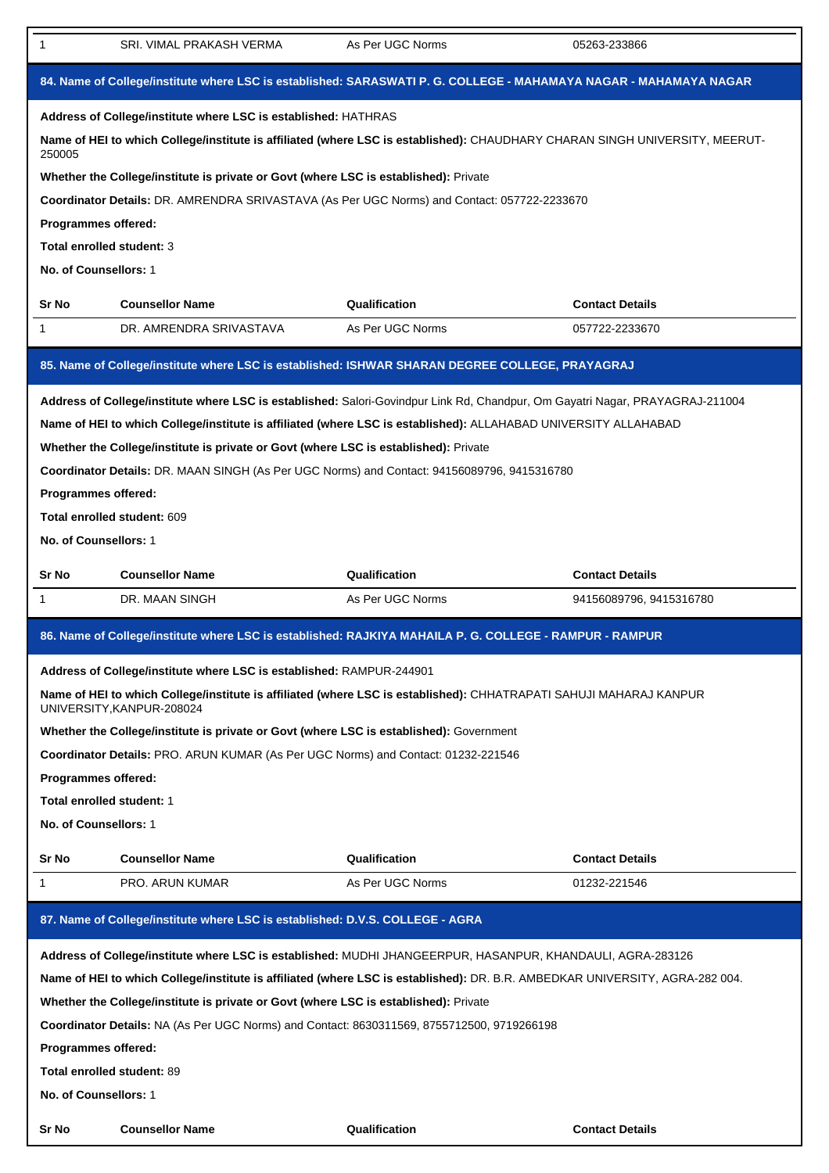| 1                                                                                                                 | SRI. VIMAL PRAKASH VERMA                                                                                                                        | As Per UGC Norms | 05263-233866                                                                                            |  |  |  |  |
|-------------------------------------------------------------------------------------------------------------------|-------------------------------------------------------------------------------------------------------------------------------------------------|------------------|---------------------------------------------------------------------------------------------------------|--|--|--|--|
| 84. Name of College/institute where LSC is established: SARASWATI P. G. COLLEGE - MAHAMAYA NAGAR - MAHAMAYA NAGAR |                                                                                                                                                 |                  |                                                                                                         |  |  |  |  |
|                                                                                                                   | Address of College/institute where LSC is established: HATHRAS                                                                                  |                  |                                                                                                         |  |  |  |  |
| 250005                                                                                                            | Name of HEI to which College/institute is affiliated (where LSC is established): CHAUDHARY CHARAN SINGH UNIVERSITY, MEERUT-                     |                  |                                                                                                         |  |  |  |  |
|                                                                                                                   | Whether the College/institute is private or Govt (where LSC is established): Private                                                            |                  |                                                                                                         |  |  |  |  |
|                                                                                                                   | Coordinator Details: DR. AMRENDRA SRIVASTAVA (As Per UGC Norms) and Contact: 057722-2233670                                                     |                  |                                                                                                         |  |  |  |  |
| Programmes offered:                                                                                               |                                                                                                                                                 |                  |                                                                                                         |  |  |  |  |
| Total enrolled student: 3                                                                                         |                                                                                                                                                 |                  |                                                                                                         |  |  |  |  |
| No. of Counsellors: 1                                                                                             |                                                                                                                                                 |                  |                                                                                                         |  |  |  |  |
| Sr No                                                                                                             | <b>Counsellor Name</b>                                                                                                                          | Qualification    | <b>Contact Details</b>                                                                                  |  |  |  |  |
| $\mathbf{1}$                                                                                                      | DR. AMRENDRA SRIVASTAVA                                                                                                                         | As Per UGC Norms | 057722-2233670                                                                                          |  |  |  |  |
|                                                                                                                   | 85. Name of College/institute where LSC is established: ISHWAR SHARAN DEGREE COLLEGE, PRAYAGRAJ                                                 |                  |                                                                                                         |  |  |  |  |
|                                                                                                                   | Address of College/institute where LSC is established: Salori-Govindpur Link Rd, Chandpur, Om Gayatri Nagar, PRAYAGRAJ-211004                   |                  |                                                                                                         |  |  |  |  |
|                                                                                                                   | Name of HEI to which College/institute is affiliated (where LSC is established): ALLAHABAD UNIVERSITY ALLAHABAD                                 |                  |                                                                                                         |  |  |  |  |
|                                                                                                                   | Whether the College/institute is private or Govt (where LSC is established): Private                                                            |                  |                                                                                                         |  |  |  |  |
|                                                                                                                   | Coordinator Details: DR. MAAN SINGH (As Per UGC Norms) and Contact: 94156089796, 9415316780                                                     |                  |                                                                                                         |  |  |  |  |
| Programmes offered:                                                                                               |                                                                                                                                                 |                  |                                                                                                         |  |  |  |  |
|                                                                                                                   | Total enrolled student: 609                                                                                                                     |                  |                                                                                                         |  |  |  |  |
| No. of Counsellors: 1                                                                                             |                                                                                                                                                 |                  |                                                                                                         |  |  |  |  |
| Sr No                                                                                                             | <b>Counsellor Name</b>                                                                                                                          | Qualification    | <b>Contact Details</b>                                                                                  |  |  |  |  |
| 1                                                                                                                 | DR. MAAN SINGH                                                                                                                                  | As Per UGC Norms | 94156089796, 9415316780                                                                                 |  |  |  |  |
|                                                                                                                   |                                                                                                                                                 |                  | 86. Name of College/institute where LSC is established: RAJKIYA MAHAILA P. G. COLLEGE - RAMPUR - RAMPUR |  |  |  |  |
|                                                                                                                   |                                                                                                                                                 |                  |                                                                                                         |  |  |  |  |
|                                                                                                                   | Address of College/institute where LSC is established: RAMPUR-244901                                                                            |                  |                                                                                                         |  |  |  |  |
|                                                                                                                   | Name of HEI to which College/institute is affiliated (where LSC is established): CHHATRAPATI SAHUJI MAHARAJ KANPUR<br>UNIVERSITY, KANPUR-208024 |                  |                                                                                                         |  |  |  |  |
|                                                                                                                   | Whether the College/institute is private or Govt (where LSC is established): Government                                                         |                  |                                                                                                         |  |  |  |  |
|                                                                                                                   | Coordinator Details: PRO. ARUN KUMAR (As Per UGC Norms) and Contact: 01232-221546                                                               |                  |                                                                                                         |  |  |  |  |
| Programmes offered:                                                                                               |                                                                                                                                                 |                  |                                                                                                         |  |  |  |  |
| Total enrolled student: 1                                                                                         |                                                                                                                                                 |                  |                                                                                                         |  |  |  |  |
| No. of Counsellors: 1                                                                                             |                                                                                                                                                 |                  |                                                                                                         |  |  |  |  |
| Sr No                                                                                                             | <b>Counsellor Name</b>                                                                                                                          | Qualification    | <b>Contact Details</b>                                                                                  |  |  |  |  |
| 1                                                                                                                 | PRO. ARUN KUMAR                                                                                                                                 | As Per UGC Norms | 01232-221546                                                                                            |  |  |  |  |
|                                                                                                                   | 87. Name of College/institute where LSC is established: D.V.S. COLLEGE - AGRA                                                                   |                  |                                                                                                         |  |  |  |  |
|                                                                                                                   | Address of College/institute where LSC is established: MUDHI JHANGEERPUR, HASANPUR, KHANDAULI, AGRA-283126                                      |                  |                                                                                                         |  |  |  |  |
|                                                                                                                   | Name of HEI to which College/institute is affiliated (where LSC is established): DR. B.R. AMBEDKAR UNIVERSITY, AGRA-282 004.                    |                  |                                                                                                         |  |  |  |  |
|                                                                                                                   | Whether the College/institute is private or Govt (where LSC is established): Private                                                            |                  |                                                                                                         |  |  |  |  |
|                                                                                                                   | Coordinator Details: NA (As Per UGC Norms) and Contact: 8630311569, 8755712500, 9719266198                                                      |                  |                                                                                                         |  |  |  |  |
| Programmes offered:                                                                                               |                                                                                                                                                 |                  |                                                                                                         |  |  |  |  |
|                                                                                                                   | <b>Total enrolled student: 89</b>                                                                                                               |                  |                                                                                                         |  |  |  |  |
| No. of Counsellors: 1                                                                                             |                                                                                                                                                 |                  |                                                                                                         |  |  |  |  |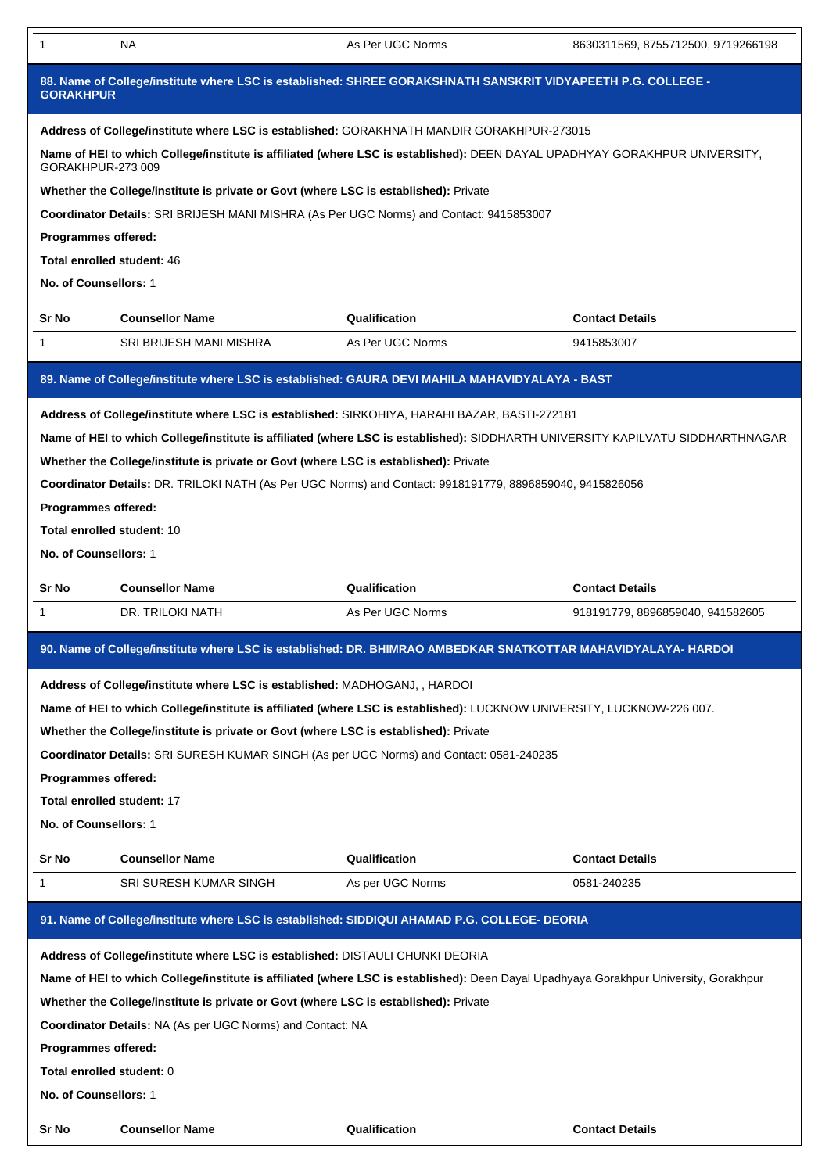| 88. Name of College/institute where LSC is established: SHREE GORAKSHNATH SANSKRIT VIDYAPEETH P.G. COLLEGE -<br><b>GORAKHPUR</b> |                                                                                                                                                                                                                                              |                  |                                  |  |  |
|----------------------------------------------------------------------------------------------------------------------------------|----------------------------------------------------------------------------------------------------------------------------------------------------------------------------------------------------------------------------------------------|------------------|----------------------------------|--|--|
|                                                                                                                                  |                                                                                                                                                                                                                                              |                  |                                  |  |  |
|                                                                                                                                  | Address of College/institute where LSC is established: GORAKHNATH MANDIR GORAKHPUR-273015<br>Name of HEI to which College/institute is affiliated (where LSC is established): DEEN DAYAL UPADHYAY GORAKHPUR UNIVERSITY,<br>GORAKHPUR-273 009 |                  |                                  |  |  |
|                                                                                                                                  | Whether the College/institute is private or Govt (where LSC is established): Private                                                                                                                                                         |                  |                                  |  |  |
|                                                                                                                                  | Coordinator Details: SRI BRIJESH MANI MISHRA (As Per UGC Norms) and Contact: 9415853007                                                                                                                                                      |                  |                                  |  |  |
| Programmes offered:                                                                                                              |                                                                                                                                                                                                                                              |                  |                                  |  |  |
| Total enrolled student: 46                                                                                                       |                                                                                                                                                                                                                                              |                  |                                  |  |  |
| No. of Counsellors: 1                                                                                                            |                                                                                                                                                                                                                                              |                  |                                  |  |  |
|                                                                                                                                  |                                                                                                                                                                                                                                              |                  |                                  |  |  |
| Sr No                                                                                                                            | <b>Counsellor Name</b>                                                                                                                                                                                                                       | Qualification    | <b>Contact Details</b>           |  |  |
| 1                                                                                                                                | SRI BRIJESH MANI MISHRA                                                                                                                                                                                                                      | As Per UGC Norms | 9415853007                       |  |  |
|                                                                                                                                  | 89. Name of College/institute where LSC is established: GAURA DEVI MAHILA MAHAVIDYALAYA - BAST                                                                                                                                               |                  |                                  |  |  |
|                                                                                                                                  | Address of College/institute where LSC is established: SIRKOHIYA, HARAHI BAZAR, BASTI-272181                                                                                                                                                 |                  |                                  |  |  |
|                                                                                                                                  | Name of HEI to which College/institute is affiliated (where LSC is established): SIDDHARTH UNIVERSITY KAPILVATU SIDDHARTHNAGAR                                                                                                               |                  |                                  |  |  |
|                                                                                                                                  | Whether the College/institute is private or Govt (where LSC is established): Private                                                                                                                                                         |                  |                                  |  |  |
|                                                                                                                                  | Coordinator Details: DR. TRILOKI NATH (As Per UGC Norms) and Contact: 9918191779, 8896859040, 9415826056                                                                                                                                     |                  |                                  |  |  |
| Programmes offered:                                                                                                              |                                                                                                                                                                                                                                              |                  |                                  |  |  |
| <b>Total enrolled student: 10</b>                                                                                                |                                                                                                                                                                                                                                              |                  |                                  |  |  |
|                                                                                                                                  |                                                                                                                                                                                                                                              |                  |                                  |  |  |
| No. of Counsellors: 1                                                                                                            |                                                                                                                                                                                                                                              |                  |                                  |  |  |
| Sr No                                                                                                                            | <b>Counsellor Name</b>                                                                                                                                                                                                                       | Qualification    | <b>Contact Details</b>           |  |  |
| 1                                                                                                                                | DR. TRILOKI NATH                                                                                                                                                                                                                             | As Per UGC Norms | 918191779, 8896859040, 941582605 |  |  |
|                                                                                                                                  | 90. Name of College/institute where LSC is established: DR. BHIMRAO AMBEDKAR SNATKOTTAR MAHAVIDYALAYA- HARDOI                                                                                                                                |                  |                                  |  |  |
|                                                                                                                                  | Address of College/institute where LSC is established: MADHOGANJ, , HARDOI                                                                                                                                                                   |                  |                                  |  |  |
|                                                                                                                                  | Name of HEI to which College/institute is affiliated (where LSC is established): LUCKNOW UNIVERSITY, LUCKNOW-226 007.                                                                                                                        |                  |                                  |  |  |
|                                                                                                                                  | Whether the College/institute is private or Govt (where LSC is established): Private                                                                                                                                                         |                  |                                  |  |  |
|                                                                                                                                  | Coordinator Details: SRI SURESH KUMAR SINGH (As per UGC Norms) and Contact: 0581-240235                                                                                                                                                      |                  |                                  |  |  |
| Programmes offered:                                                                                                              |                                                                                                                                                                                                                                              |                  |                                  |  |  |
|                                                                                                                                  |                                                                                                                                                                                                                                              |                  |                                  |  |  |
| Total enrolled student: 17                                                                                                       |                                                                                                                                                                                                                                              |                  |                                  |  |  |
| No. of Counsellors: 1                                                                                                            |                                                                                                                                                                                                                                              |                  |                                  |  |  |
| Sr No                                                                                                                            | <b>Counsellor Name</b>                                                                                                                                                                                                                       | Qualification    | <b>Contact Details</b>           |  |  |
| 1                                                                                                                                | SRI SURESH KUMAR SINGH                                                                                                                                                                                                                       | As per UGC Norms | 0581-240235                      |  |  |
|                                                                                                                                  | 91. Name of College/institute where LSC is established: SIDDIQUI AHAMAD P.G. COLLEGE- DEORIA                                                                                                                                                 |                  |                                  |  |  |
|                                                                                                                                  | Address of College/institute where LSC is established: DISTAULI CHUNKI DEORIA                                                                                                                                                                |                  |                                  |  |  |
|                                                                                                                                  | Name of HEI to which College/institute is affiliated (where LSC is established): Deen Dayal Upadhyaya Gorakhpur University, Gorakhpur                                                                                                        |                  |                                  |  |  |
|                                                                                                                                  | Whether the College/institute is private or Govt (where LSC is established): Private                                                                                                                                                         |                  |                                  |  |  |
|                                                                                                                                  | Coordinator Details: NA (As per UGC Norms) and Contact: NA                                                                                                                                                                                   |                  |                                  |  |  |
|                                                                                                                                  |                                                                                                                                                                                                                                              |                  |                                  |  |  |
| Programmes offered:                                                                                                              |                                                                                                                                                                                                                                              |                  |                                  |  |  |

1 NA Real CONorms As Per UGC Norms 8630311569, 8755712500, 9719266198

**Total enrolled student:** 0

**No. of Counsellors:** 1

**Sr No Counsellor Name Qualification Contact Details**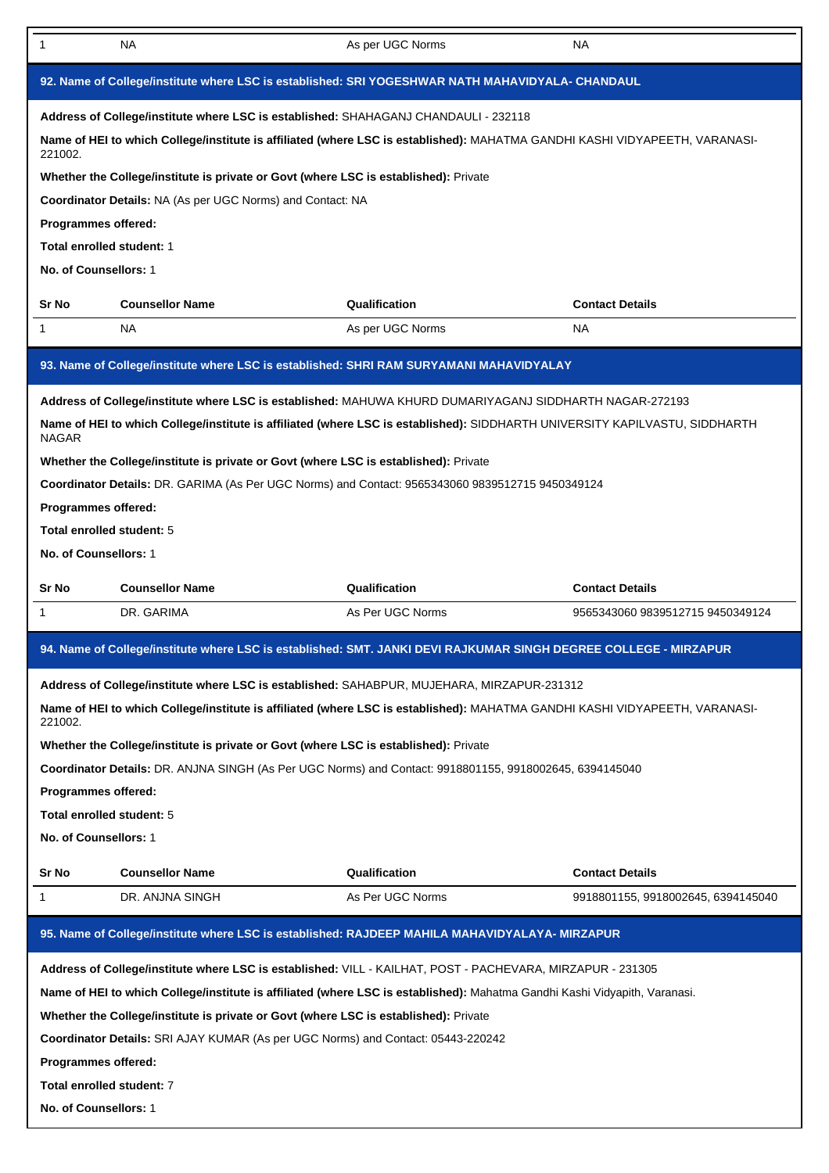| 1                                                                                                | <b>NA</b>                                                                                                                                                                                                                 | As per UGC Norms | NA.                                |  |
|--------------------------------------------------------------------------------------------------|---------------------------------------------------------------------------------------------------------------------------------------------------------------------------------------------------------------------------|------------------|------------------------------------|--|
| 92. Name of College/institute where LSC is established: SRI YOGESHWAR NATH MAHAVIDYALA- CHANDAUL |                                                                                                                                                                                                                           |                  |                                    |  |
|                                                                                                  | Address of College/institute where LSC is established: SHAHAGANJ CHANDAULI - 232118                                                                                                                                       |                  |                                    |  |
| 221002.                                                                                          | Name of HEI to which College/institute is affiliated (where LSC is established): MAHATMA GANDHI KASHI VIDYAPEETH, VARANASI-                                                                                               |                  |                                    |  |
|                                                                                                  | Whether the College/institute is private or Govt (where LSC is established): Private                                                                                                                                      |                  |                                    |  |
|                                                                                                  | Coordinator Details: NA (As per UGC Norms) and Contact: NA                                                                                                                                                                |                  |                                    |  |
| Programmes offered:                                                                              |                                                                                                                                                                                                                           |                  |                                    |  |
| Total enrolled student: 1                                                                        |                                                                                                                                                                                                                           |                  |                                    |  |
| No. of Counsellors: 1                                                                            |                                                                                                                                                                                                                           |                  |                                    |  |
| Sr No                                                                                            | <b>Counsellor Name</b>                                                                                                                                                                                                    | Qualification    | <b>Contact Details</b>             |  |
| 1                                                                                                | <b>NA</b>                                                                                                                                                                                                                 | As per UGC Norms | NA.                                |  |
|                                                                                                  | 93. Name of College/institute where LSC is established: SHRI RAM SURYAMANI MAHAVIDYALAY                                                                                                                                   |                  |                                    |  |
|                                                                                                  | Address of College/institute where LSC is established: MAHUWA KHURD DUMARIYAGANJ SIDDHARTH NAGAR-272193                                                                                                                   |                  |                                    |  |
| <b>NAGAR</b>                                                                                     | Name of HEI to which College/institute is affiliated (where LSC is established): SIDDHARTH UNIVERSITY KAPILVASTU, SIDDHARTH                                                                                               |                  |                                    |  |
|                                                                                                  | Whether the College/institute is private or Govt (where LSC is established): Private                                                                                                                                      |                  |                                    |  |
|                                                                                                  | Coordinator Details: DR. GARIMA (As Per UGC Norms) and Contact: 9565343060 9839512715 9450349124                                                                                                                          |                  |                                    |  |
| Programmes offered:                                                                              |                                                                                                                                                                                                                           |                  |                                    |  |
| Total enrolled student: 5                                                                        |                                                                                                                                                                                                                           |                  |                                    |  |
| No. of Counsellors: 1                                                                            |                                                                                                                                                                                                                           |                  |                                    |  |
| Sr No                                                                                            | <b>Counsellor Name</b>                                                                                                                                                                                                    | Qualification    | <b>Contact Details</b>             |  |
|                                                                                                  |                                                                                                                                                                                                                           |                  |                                    |  |
| 1                                                                                                | DR. GARIMA                                                                                                                                                                                                                | As Per UGC Norms | 9565343060 9839512715 9450349124   |  |
|                                                                                                  |                                                                                                                                                                                                                           |                  |                                    |  |
|                                                                                                  | 94. Name of College/institute where LSC is established: SMT. JANKI DEVI RAJKUMAR SINGH DEGREE COLLEGE - MIRZAPUR                                                                                                          |                  |                                    |  |
|                                                                                                  | Address of College/institute where LSC is established: SAHABPUR, MUJEHARA, MIRZAPUR-231312<br>Name of HEI to which College/institute is affiliated (where LSC is established): MAHATMA GANDHI KASHI VIDYAPEETH, VARANASI- |                  |                                    |  |
| 221002.                                                                                          |                                                                                                                                                                                                                           |                  |                                    |  |
|                                                                                                  | Whether the College/institute is private or Govt (where LSC is established): Private                                                                                                                                      |                  |                                    |  |
|                                                                                                  | Coordinator Details: DR. ANJNA SINGH (As Per UGC Norms) and Contact: 9918801155, 9918002645, 6394145040                                                                                                                   |                  |                                    |  |
| Programmes offered:                                                                              |                                                                                                                                                                                                                           |                  |                                    |  |
| Total enrolled student: 5                                                                        |                                                                                                                                                                                                                           |                  |                                    |  |
| No. of Counsellors: 1                                                                            |                                                                                                                                                                                                                           |                  |                                    |  |
| Sr No                                                                                            | <b>Counsellor Name</b>                                                                                                                                                                                                    | Qualification    | <b>Contact Details</b>             |  |
| 1                                                                                                | DR. ANJNA SINGH                                                                                                                                                                                                           | As Per UGC Norms | 9918801155, 9918002645, 6394145040 |  |
|                                                                                                  | 95. Name of College/institute where LSC is established: RAJDEEP MAHILA MAHAVIDYALAYA- MIRZAPUR                                                                                                                            |                  |                                    |  |
|                                                                                                  | Address of College/institute where LSC is established: VILL - KAILHAT, POST - PACHEVARA, MIRZAPUR - 231305                                                                                                                |                  |                                    |  |
|                                                                                                  | Name of HEI to which College/institute is affiliated (where LSC is established): Mahatma Gandhi Kashi Vidyapith, Varanasi.                                                                                                |                  |                                    |  |
|                                                                                                  | Whether the College/institute is private or Govt (where LSC is established): Private                                                                                                                                      |                  |                                    |  |
|                                                                                                  | Coordinator Details: SRI AJAY KUMAR (As per UGC Norms) and Contact: 05443-220242                                                                                                                                          |                  |                                    |  |
| Programmes offered:                                                                              |                                                                                                                                                                                                                           |                  |                                    |  |
| Total enrolled student: 7                                                                        |                                                                                                                                                                                                                           |                  |                                    |  |
| No. of Counsellors: 1                                                                            |                                                                                                                                                                                                                           |                  |                                    |  |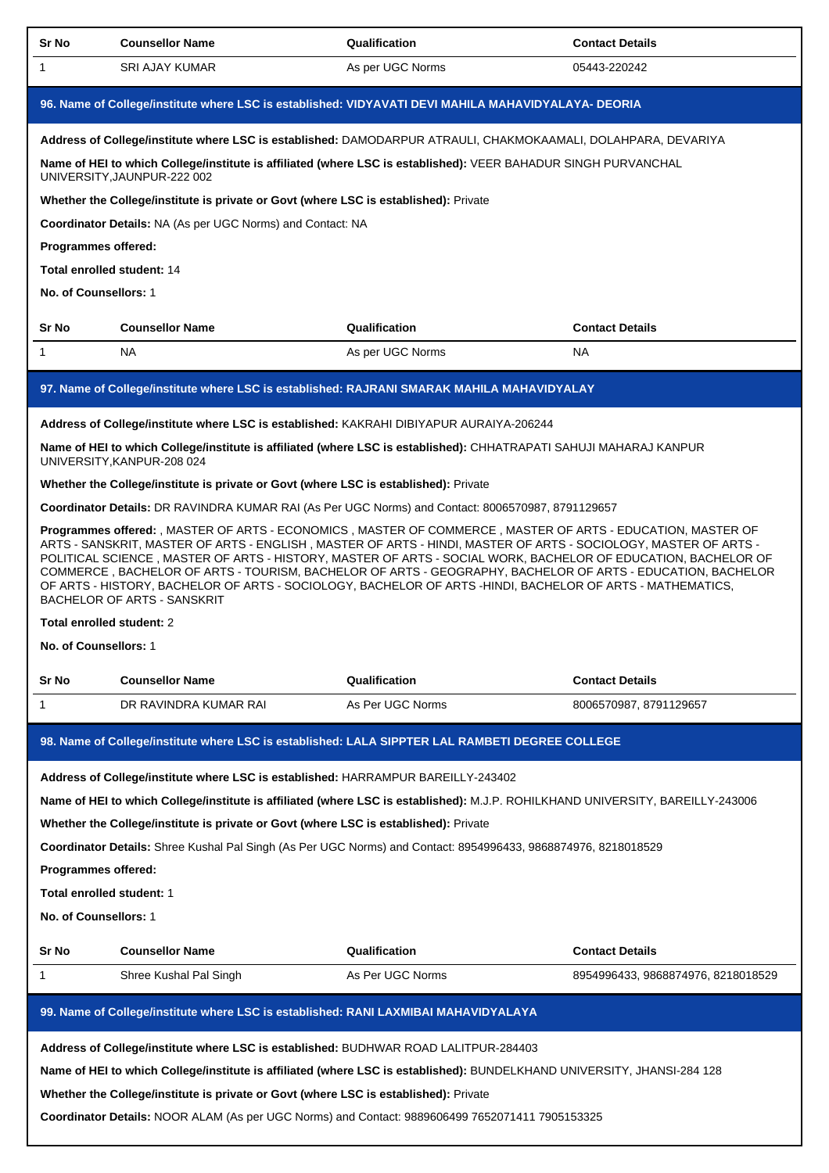| Sr No                                                                                               | <b>Counsellor Name</b>                                                                                                                                                                                                                                                                                                                                                                                                                                                                                                                                                                                             | Qualification    | <b>Contact Details</b>             |  |
|-----------------------------------------------------------------------------------------------------|--------------------------------------------------------------------------------------------------------------------------------------------------------------------------------------------------------------------------------------------------------------------------------------------------------------------------------------------------------------------------------------------------------------------------------------------------------------------------------------------------------------------------------------------------------------------------------------------------------------------|------------------|------------------------------------|--|
| $\mathbf{1}$                                                                                        | <b>SRI AJAY KUMAR</b>                                                                                                                                                                                                                                                                                                                                                                                                                                                                                                                                                                                              | As per UGC Norms | 05443-220242                       |  |
| 96. Name of College/institute where LSC is established: VIDYAVATI DEVI MAHILA MAHAVIDYALAYA- DEORIA |                                                                                                                                                                                                                                                                                                                                                                                                                                                                                                                                                                                                                    |                  |                                    |  |
|                                                                                                     | Address of College/institute where LSC is established: DAMODARPUR ATRAULI, CHAKMOKAAMALI, DOLAHPARA, DEVARIYA                                                                                                                                                                                                                                                                                                                                                                                                                                                                                                      |                  |                                    |  |
|                                                                                                     | Name of HEI to which College/institute is affiliated (where LSC is established): VEER BAHADUR SINGH PURVANCHAL<br>UNIVERSITY, JAUNPUR-222 002                                                                                                                                                                                                                                                                                                                                                                                                                                                                      |                  |                                    |  |
|                                                                                                     | Whether the College/institute is private or Govt (where LSC is established): Private                                                                                                                                                                                                                                                                                                                                                                                                                                                                                                                               |                  |                                    |  |
|                                                                                                     | <b>Coordinator Details: NA (As per UGC Norms) and Contact: NA</b>                                                                                                                                                                                                                                                                                                                                                                                                                                                                                                                                                  |                  |                                    |  |
| Programmes offered:                                                                                 |                                                                                                                                                                                                                                                                                                                                                                                                                                                                                                                                                                                                                    |                  |                                    |  |
|                                                                                                     | Total enrolled student: 14                                                                                                                                                                                                                                                                                                                                                                                                                                                                                                                                                                                         |                  |                                    |  |
| No. of Counsellors: 1                                                                               |                                                                                                                                                                                                                                                                                                                                                                                                                                                                                                                                                                                                                    |                  |                                    |  |
| Sr No                                                                                               | <b>Counsellor Name</b>                                                                                                                                                                                                                                                                                                                                                                                                                                                                                                                                                                                             | Qualification    | <b>Contact Details</b>             |  |
| $\mathbf{1}$                                                                                        | <b>NA</b>                                                                                                                                                                                                                                                                                                                                                                                                                                                                                                                                                                                                          | As per UGC Norms | <b>NA</b>                          |  |
|                                                                                                     | 97. Name of College/institute where LSC is established: RAJRANI SMARAK MAHILA MAHAVIDYALAY                                                                                                                                                                                                                                                                                                                                                                                                                                                                                                                         |                  |                                    |  |
|                                                                                                     | Address of College/institute where LSC is established: KAKRAHI DIBIYAPUR AURAIYA-206244                                                                                                                                                                                                                                                                                                                                                                                                                                                                                                                            |                  |                                    |  |
|                                                                                                     | Name of HEI to which College/institute is affiliated (where LSC is established): CHHATRAPATI SAHUJI MAHARAJ KANPUR<br>UNIVERSITY, KANPUR-208 024                                                                                                                                                                                                                                                                                                                                                                                                                                                                   |                  |                                    |  |
|                                                                                                     | Whether the College/institute is private or Govt (where LSC is established): Private                                                                                                                                                                                                                                                                                                                                                                                                                                                                                                                               |                  |                                    |  |
|                                                                                                     | Coordinator Details: DR RAVINDRA KUMAR RAI (As Per UGC Norms) and Contact: 8006570987, 8791129657                                                                                                                                                                                                                                                                                                                                                                                                                                                                                                                  |                  |                                    |  |
|                                                                                                     | Programmes offered: , MASTER OF ARTS - ECONOMICS , MASTER OF COMMERCE , MASTER OF ARTS - EDUCATION, MASTER OF<br>ARTS - SANSKRIT, MASTER OF ARTS - ENGLISH, MASTER OF ARTS - HINDI, MASTER OF ARTS - SOCIOLOGY, MASTER OF ARTS -<br>POLITICAL SCIENCE, MASTER OF ARTS - HISTORY, MASTER OF ARTS - SOCIAL WORK, BACHELOR OF EDUCATION, BACHELOR OF<br>COMMERCE, BACHELOR OF ARTS - TOURISM, BACHELOR OF ARTS - GEOGRAPHY, BACHELOR OF ARTS - EDUCATION, BACHELOR<br>OF ARTS - HISTORY, BACHELOR OF ARTS - SOCIOLOGY, BACHELOR OF ARTS -HINDI, BACHELOR OF ARTS - MATHEMATICS,<br><b>BACHELOR OF ARTS - SANSKRIT</b> |                  |                                    |  |
|                                                                                                     | Total enrolled student: 2                                                                                                                                                                                                                                                                                                                                                                                                                                                                                                                                                                                          |                  |                                    |  |
| No. of Counsellors: 1                                                                               |                                                                                                                                                                                                                                                                                                                                                                                                                                                                                                                                                                                                                    |                  |                                    |  |
| Sr No                                                                                               | <b>Counsellor Name</b>                                                                                                                                                                                                                                                                                                                                                                                                                                                                                                                                                                                             | Qualification    | <b>Contact Details</b>             |  |
| $\mathbf{1}$                                                                                        | DR RAVINDRA KUMAR RAI                                                                                                                                                                                                                                                                                                                                                                                                                                                                                                                                                                                              | As Per UGC Norms | 8006570987, 8791129657             |  |
|                                                                                                     | 98. Name of College/institute where LSC is established: LALA SIPPTER LAL RAMBETI DEGREE COLLEGE                                                                                                                                                                                                                                                                                                                                                                                                                                                                                                                    |                  |                                    |  |
|                                                                                                     | Address of College/institute where LSC is established: HARRAMPUR BAREILLY-243402                                                                                                                                                                                                                                                                                                                                                                                                                                                                                                                                   |                  |                                    |  |
|                                                                                                     | Name of HEI to which College/institute is affiliated (where LSC is established): M.J.P. ROHILKHAND UNIVERSITY, BAREILLY-243006                                                                                                                                                                                                                                                                                                                                                                                                                                                                                     |                  |                                    |  |
|                                                                                                     | Whether the College/institute is private or Govt (where LSC is established): Private                                                                                                                                                                                                                                                                                                                                                                                                                                                                                                                               |                  |                                    |  |
|                                                                                                     | Coordinator Details: Shree Kushal Pal Singh (As Per UGC Norms) and Contact: 8954996433, 9868874976, 8218018529                                                                                                                                                                                                                                                                                                                                                                                                                                                                                                     |                  |                                    |  |
| Programmes offered:                                                                                 |                                                                                                                                                                                                                                                                                                                                                                                                                                                                                                                                                                                                                    |                  |                                    |  |
| Total enrolled student: 1                                                                           |                                                                                                                                                                                                                                                                                                                                                                                                                                                                                                                                                                                                                    |                  |                                    |  |
| No. of Counsellors: 1                                                                               |                                                                                                                                                                                                                                                                                                                                                                                                                                                                                                                                                                                                                    |                  |                                    |  |
| Sr No                                                                                               | <b>Counsellor Name</b>                                                                                                                                                                                                                                                                                                                                                                                                                                                                                                                                                                                             | Qualification    | <b>Contact Details</b>             |  |
| 1                                                                                                   | Shree Kushal Pal Singh                                                                                                                                                                                                                                                                                                                                                                                                                                                                                                                                                                                             | As Per UGC Norms | 8954996433, 9868874976, 8218018529 |  |
|                                                                                                     | 99. Name of College/institute where LSC is established: RANI LAXMIBAI MAHAVIDYALAYA                                                                                                                                                                                                                                                                                                                                                                                                                                                                                                                                |                  |                                    |  |
|                                                                                                     | Address of College/institute where LSC is established: BUDHWAR ROAD LALITPUR-284403                                                                                                                                                                                                                                                                                                                                                                                                                                                                                                                                |                  |                                    |  |
|                                                                                                     | Name of HEI to which College/institute is affiliated (where LSC is established): BUNDELKHAND UNIVERSITY, JHANSI-284 128                                                                                                                                                                                                                                                                                                                                                                                                                                                                                            |                  |                                    |  |
|                                                                                                     | Whether the College/institute is private or Govt (where LSC is established): Private                                                                                                                                                                                                                                                                                                                                                                                                                                                                                                                               |                  |                                    |  |
|                                                                                                     | Coordinator Details: NOOR ALAM (As per UGC Norms) and Contact: 9889606499 7652071411 7905153325                                                                                                                                                                                                                                                                                                                                                                                                                                                                                                                    |                  |                                    |  |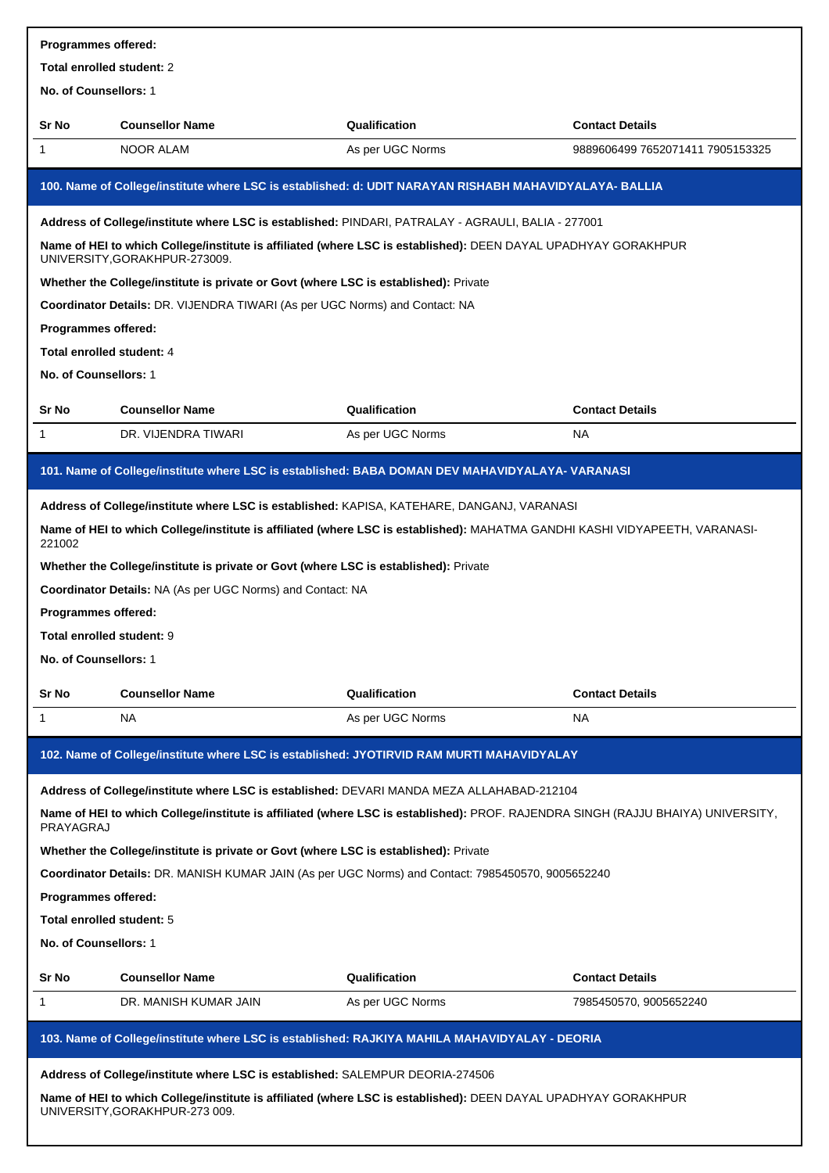| Programmes offered:        |                                                                                                                                                                                                                                   |                  |                                  |  |  |
|----------------------------|-----------------------------------------------------------------------------------------------------------------------------------------------------------------------------------------------------------------------------------|------------------|----------------------------------|--|--|
| Total enrolled student: 2  |                                                                                                                                                                                                                                   |                  |                                  |  |  |
| No. of Counsellors: 1      |                                                                                                                                                                                                                                   |                  |                                  |  |  |
| Sr No                      | <b>Counsellor Name</b>                                                                                                                                                                                                            | Qualification    | <b>Contact Details</b>           |  |  |
| 1                          | <b>NOOR ALAM</b>                                                                                                                                                                                                                  | As per UGC Norms | 9889606499 7652071411 7905153325 |  |  |
|                            | 100. Name of College/institute where LSC is established: d: UDIT NARAYAN RISHABH MAHAVIDYALAYA- BALLIA                                                                                                                            |                  |                                  |  |  |
|                            | Address of College/institute where LSC is established: PINDARI, PATRALAY - AGRAULI, BALIA - 277001                                                                                                                                |                  |                                  |  |  |
|                            | Name of HEI to which College/institute is affiliated (where LSC is established): DEEN DAYAL UPADHYAY GORAKHPUR<br>UNIVERSITY, GORAKHPUR-273009.                                                                                   |                  |                                  |  |  |
|                            | Whether the College/institute is private or Govt (where LSC is established): Private                                                                                                                                              |                  |                                  |  |  |
|                            | Coordinator Details: DR. VIJENDRA TIWARI (As per UGC Norms) and Contact: NA                                                                                                                                                       |                  |                                  |  |  |
| <b>Programmes offered:</b> |                                                                                                                                                                                                                                   |                  |                                  |  |  |
| Total enrolled student: 4  |                                                                                                                                                                                                                                   |                  |                                  |  |  |
| No. of Counsellors: 1      |                                                                                                                                                                                                                                   |                  |                                  |  |  |
| Sr No                      | <b>Counsellor Name</b>                                                                                                                                                                                                            | Qualification    | <b>Contact Details</b>           |  |  |
| 1                          | DR. VIJENDRA TIWARI                                                                                                                                                                                                               | As per UGC Norms | NA                               |  |  |
|                            |                                                                                                                                                                                                                                   |                  |                                  |  |  |
|                            | 101. Name of College/institute where LSC is established: BABA DOMAN DEV MAHAVIDYALAYA- VARANASI                                                                                                                                   |                  |                                  |  |  |
|                            | Address of College/institute where LSC is established: KAPISA, KATEHARE, DANGANJ, VARANASI<br>Name of HEI to which College/institute is affiliated (where LSC is established): MAHATMA GANDHI KASHI VIDYAPEETH, VARANASI-         |                  |                                  |  |  |
| 221002                     |                                                                                                                                                                                                                                   |                  |                                  |  |  |
|                            | Whether the College/institute is private or Govt (where LSC is established): Private                                                                                                                                              |                  |                                  |  |  |
|                            | Coordinator Details: NA (As per UGC Norms) and Contact: NA                                                                                                                                                                        |                  |                                  |  |  |
| <b>Programmes offered:</b> |                                                                                                                                                                                                                                   |                  |                                  |  |  |
| Total enrolled student: 9  |                                                                                                                                                                                                                                   |                  |                                  |  |  |
| No. of Counsellors: 1      |                                                                                                                                                                                                                                   |                  |                                  |  |  |
| Sr No                      | <b>Counsellor Name</b>                                                                                                                                                                                                            | Qualification    | <b>Contact Details</b>           |  |  |
| 1                          | <b>NA</b>                                                                                                                                                                                                                         | As per UGC Norms | NA                               |  |  |
|                            | 102. Name of College/institute where LSC is established: JYOTIRVID RAM MURTI MAHAVIDYALAY                                                                                                                                         |                  |                                  |  |  |
|                            | Address of College/institute where LSC is established: DEVARI MANDA MEZA ALLAHABAD-212104                                                                                                                                         |                  |                                  |  |  |
| PRAYAGRAJ                  | Name of HEI to which College/institute is affiliated (where LSC is established): PROF. RAJENDRA SINGH (RAJJU BHAIYA) UNIVERSITY,                                                                                                  |                  |                                  |  |  |
|                            | Whether the College/institute is private or Govt (where LSC is established): Private                                                                                                                                              |                  |                                  |  |  |
|                            | Coordinator Details: DR. MANISH KUMAR JAIN (As per UGC Norms) and Contact: 7985450570, 9005652240                                                                                                                                 |                  |                                  |  |  |
| Programmes offered:        |                                                                                                                                                                                                                                   |                  |                                  |  |  |
| Total enrolled student: 5  |                                                                                                                                                                                                                                   |                  |                                  |  |  |
| No. of Counsellors: 1      |                                                                                                                                                                                                                                   |                  |                                  |  |  |
| Sr No                      | <b>Counsellor Name</b>                                                                                                                                                                                                            | Qualification    | <b>Contact Details</b>           |  |  |
| 1                          | DR. MANISH KUMAR JAIN                                                                                                                                                                                                             | As per UGC Norms | 7985450570, 9005652240           |  |  |
|                            | 103. Name of College/institute where LSC is established: RAJKIYA MAHILA MAHAVIDYALAY - DEORIA                                                                                                                                     |                  |                                  |  |  |
|                            |                                                                                                                                                                                                                                   |                  |                                  |  |  |
|                            | Address of College/institute where LSC is established: SALEMPUR DEORIA-274506<br>Name of HEI to which College/institute is affiliated (where LSC is established): DEEN DAYAL UPADHYAY GORAKHPUR<br>UNIVERSITY, GORAKHPUR-273 009. |                  |                                  |  |  |
|                            |                                                                                                                                                                                                                                   |                  |                                  |  |  |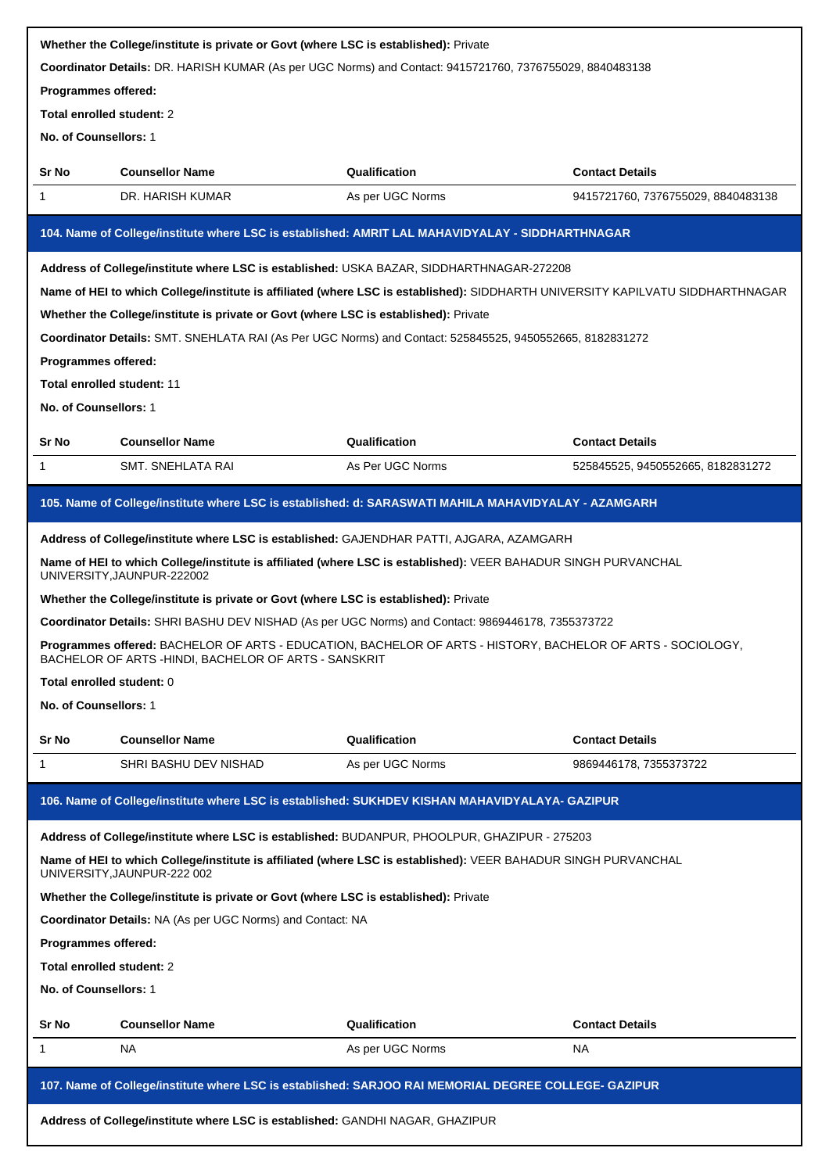| Whether the College/institute is private or Govt (where LSC is established): Private<br>Coordinator Details: DR. HARISH KUMAR (As per UGC Norms) and Contact: 9415721760, 7376755029, 8840483138 |                                                                                                                                                                      |                  |                                    |  |
|--------------------------------------------------------------------------------------------------------------------------------------------------------------------------------------------------|----------------------------------------------------------------------------------------------------------------------------------------------------------------------|------------------|------------------------------------|--|
| Programmes offered:                                                                                                                                                                              |                                                                                                                                                                      |                  |                                    |  |
| Total enrolled student: 2                                                                                                                                                                        |                                                                                                                                                                      |                  |                                    |  |
| No. of Counsellors: 1                                                                                                                                                                            |                                                                                                                                                                      |                  |                                    |  |
| Sr No                                                                                                                                                                                            | <b>Counsellor Name</b>                                                                                                                                               | Qualification    | <b>Contact Details</b>             |  |
| 1                                                                                                                                                                                                | DR. HARISH KUMAR                                                                                                                                                     | As per UGC Norms | 9415721760, 7376755029, 8840483138 |  |
|                                                                                                                                                                                                  |                                                                                                                                                                      |                  |                                    |  |
|                                                                                                                                                                                                  | 104. Name of College/institute where LSC is established: AMRIT LAL MAHAVIDYALAY - SIDDHARTHNAGAR                                                                     |                  |                                    |  |
|                                                                                                                                                                                                  | Address of College/institute where LSC is established: USKA BAZAR, SIDDHARTHNAGAR-272208                                                                             |                  |                                    |  |
|                                                                                                                                                                                                  | Name of HEI to which College/institute is affiliated (where LSC is established): SIDDHARTH UNIVERSITY KAPILVATU SIDDHARTHNAGAR                                       |                  |                                    |  |
|                                                                                                                                                                                                  | Whether the College/institute is private or Govt (where LSC is established): Private                                                                                 |                  |                                    |  |
|                                                                                                                                                                                                  | Coordinator Details: SMT. SNEHLATA RAI (As Per UGC Norms) and Contact: 525845525, 9450552665, 8182831272                                                             |                  |                                    |  |
| Programmes offered:                                                                                                                                                                              |                                                                                                                                                                      |                  |                                    |  |
| Total enrolled student: 11                                                                                                                                                                       |                                                                                                                                                                      |                  |                                    |  |
| No. of Counsellors: 1                                                                                                                                                                            |                                                                                                                                                                      |                  |                                    |  |
| Sr No                                                                                                                                                                                            | <b>Counsellor Name</b>                                                                                                                                               | Qualification    | <b>Contact Details</b>             |  |
| 1                                                                                                                                                                                                | SMT. SNEHLATA RAI                                                                                                                                                    | As Per UGC Norms | 525845525, 9450552665, 8182831272  |  |
|                                                                                                                                                                                                  | 105. Name of College/institute where LSC is established: d: SARASWATI MAHILA MAHAVIDYALAY - AZAMGARH                                                                 |                  |                                    |  |
|                                                                                                                                                                                                  | Address of College/institute where LSC is established: GAJENDHAR PATTI, AJGARA, AZAMGARH                                                                             |                  |                                    |  |
|                                                                                                                                                                                                  | Name of HEI to which College/institute is affiliated (where LSC is established): VEER BAHADUR SINGH PURVANCHAL<br>UNIVERSITY, JAUNPUR-222002                         |                  |                                    |  |
|                                                                                                                                                                                                  | Whether the College/institute is private or Govt (where LSC is established): Private                                                                                 |                  |                                    |  |
|                                                                                                                                                                                                  | Coordinator Details: SHRI BASHU DEV NISHAD (As per UGC Norms) and Contact: 9869446178, 7355373722                                                                    |                  |                                    |  |
|                                                                                                                                                                                                  | Programmes offered: BACHELOR OF ARTS - EDUCATION, BACHELOR OF ARTS - HISTORY, BACHELOR OF ARTS - SOCIOLOGY,<br>BACHELOR OF ARTS - HINDI, BACHELOR OF ARTS - SANSKRIT |                  |                                    |  |
| Total enrolled student: 0                                                                                                                                                                        |                                                                                                                                                                      |                  |                                    |  |
| No. of Counsellors: 1                                                                                                                                                                            |                                                                                                                                                                      |                  |                                    |  |
| Sr No                                                                                                                                                                                            | <b>Counsellor Name</b>                                                                                                                                               | Qualification    | <b>Contact Details</b>             |  |
| 1                                                                                                                                                                                                | SHRI BASHU DEV NISHAD                                                                                                                                                | As per UGC Norms | 9869446178, 7355373722             |  |
|                                                                                                                                                                                                  | 106. Name of College/institute where LSC is established: SUKHDEV KISHAN MAHAVIDYALAYA- GAZIPUR                                                                       |                  |                                    |  |
|                                                                                                                                                                                                  | Address of College/institute where LSC is established: BUDANPUR, PHOOLPUR, GHAZIPUR - 275203                                                                         |                  |                                    |  |
|                                                                                                                                                                                                  | Name of HEI to which College/institute is affiliated (where LSC is established): VEER BAHADUR SINGH PURVANCHAL<br>UNIVERSITY, JAUNPUR-222 002                        |                  |                                    |  |
|                                                                                                                                                                                                  | Whether the College/institute is private or Govt (where LSC is established): Private                                                                                 |                  |                                    |  |
|                                                                                                                                                                                                  | Coordinator Details: NA (As per UGC Norms) and Contact: NA                                                                                                           |                  |                                    |  |
| Programmes offered:                                                                                                                                                                              |                                                                                                                                                                      |                  |                                    |  |
| Total enrolled student: 2                                                                                                                                                                        |                                                                                                                                                                      |                  |                                    |  |
| No. of Counsellors: 1                                                                                                                                                                            |                                                                                                                                                                      |                  |                                    |  |
| <b>Sr No</b>                                                                                                                                                                                     | <b>Counsellor Name</b>                                                                                                                                               | Qualification    | <b>Contact Details</b>             |  |
| 1                                                                                                                                                                                                | NA                                                                                                                                                                   | As per UGC Norms | NA.                                |  |
|                                                                                                                                                                                                  | 107. Name of College/institute where LSC is established: SARJOO RAI MEMORIAL DEGREE COLLEGE- GAZIPUR                                                                 |                  |                                    |  |
|                                                                                                                                                                                                  | Address of College/institute where LSC is established: GANDHI NAGAR, GHAZIPUR                                                                                        |                  |                                    |  |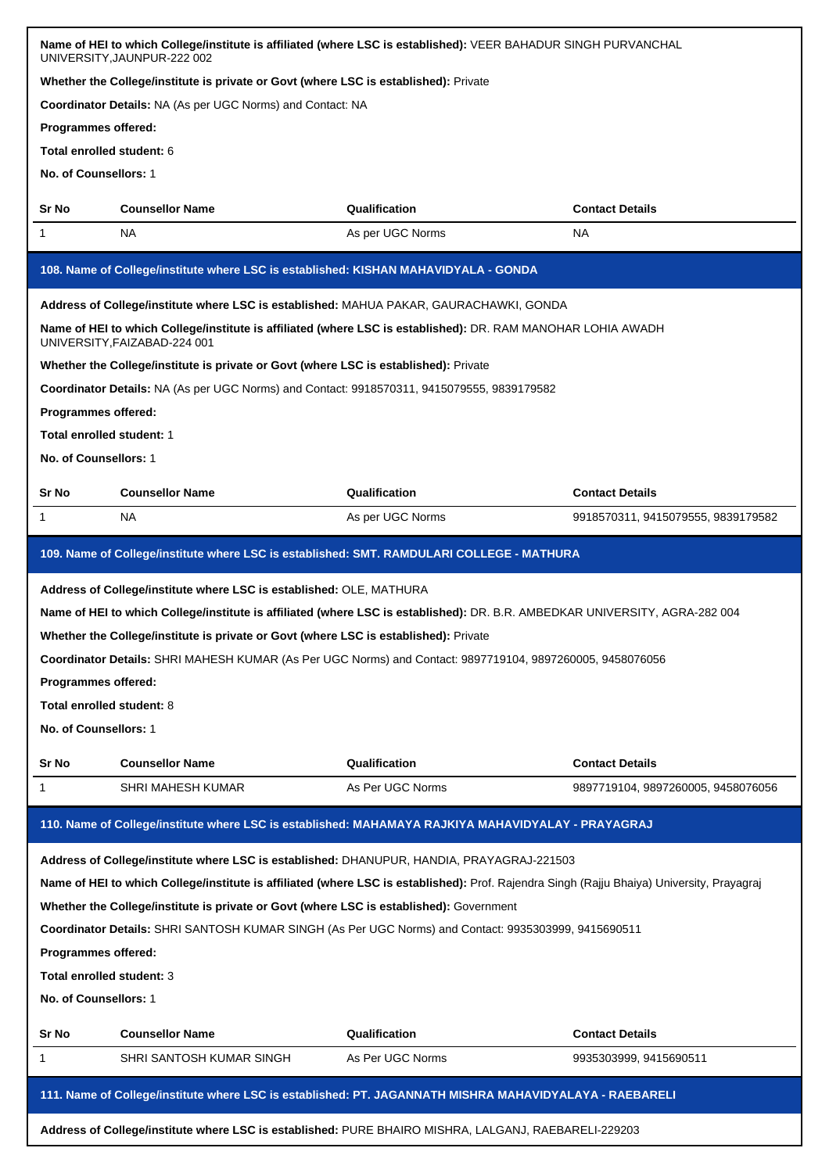|                                                                                                      | Name of HEI to which College/institute is affiliated (where LSC is established): VEER BAHADUR SINGH PURVANCHAL<br>UNIVERSITY, JAUNPUR-222 002 |                  |                                    |
|------------------------------------------------------------------------------------------------------|-----------------------------------------------------------------------------------------------------------------------------------------------|------------------|------------------------------------|
|                                                                                                      | Whether the College/institute is private or Govt (where LSC is established): Private                                                          |                  |                                    |
|                                                                                                      | Coordinator Details: NA (As per UGC Norms) and Contact: NA                                                                                    |                  |                                    |
| Programmes offered:                                                                                  |                                                                                                                                               |                  |                                    |
| Total enrolled student: 6                                                                            |                                                                                                                                               |                  |                                    |
| No. of Counsellors: 1                                                                                |                                                                                                                                               |                  |                                    |
| Sr No                                                                                                | <b>Counsellor Name</b>                                                                                                                        | Qualification    | <b>Contact Details</b>             |
| 1                                                                                                    | <b>NA</b>                                                                                                                                     | As per UGC Norms | <b>NA</b>                          |
|                                                                                                      | 108. Name of College/institute where LSC is established: KISHAN MAHAVIDYALA - GONDA                                                           |                  |                                    |
|                                                                                                      | Address of College/institute where LSC is established: MAHUA PAKAR, GAURACHAWKI, GONDA                                                        |                  |                                    |
|                                                                                                      | Name of HEI to which College/institute is affiliated (where LSC is established): DR. RAM MANOHAR LOHIA AWADH<br>UNIVERSITY, FAIZABAD-224 001  |                  |                                    |
|                                                                                                      | Whether the College/institute is private or Govt (where LSC is established): Private                                                          |                  |                                    |
|                                                                                                      | Coordinator Details: NA (As per UGC Norms) and Contact: 9918570311, 9415079555, 9839179582                                                    |                  |                                    |
| Programmes offered:                                                                                  |                                                                                                                                               |                  |                                    |
| Total enrolled student: 1                                                                            |                                                                                                                                               |                  |                                    |
| No. of Counsellors: 1                                                                                |                                                                                                                                               |                  |                                    |
| Sr No                                                                                                | <b>Counsellor Name</b>                                                                                                                        | Qualification    | <b>Contact Details</b>             |
| 1                                                                                                    | <b>NA</b>                                                                                                                                     | As per UGC Norms | 9918570311, 9415079555, 9839179582 |
|                                                                                                      | 109. Name of College/institute where LSC is established: SMT. RAMDULARI COLLEGE - MATHURA                                                     |                  |                                    |
|                                                                                                      | Address of College/institute where LSC is established: OLE, MATHURA                                                                           |                  |                                    |
|                                                                                                      | Name of HEI to which College/institute is affiliated (where LSC is established): DR. B.R. AMBEDKAR UNIVERSITY, AGRA-282 004                   |                  |                                    |
|                                                                                                      | Whether the College/institute is private or Govt (where LSC is established): Private                                                          |                  |                                    |
|                                                                                                      | Coordinator Details: SHRI MAHESH KUMAR (As Per UGC Norms) and Contact: 9897719104, 9897260005, 9458076056                                     |                  |                                    |
| <b>Programmes offered:</b>                                                                           |                                                                                                                                               |                  |                                    |
| Total enrolled student: 8                                                                            |                                                                                                                                               |                  |                                    |
| No. of Counsellors: 1                                                                                |                                                                                                                                               |                  |                                    |
| Sr No                                                                                                | <b>Counsellor Name</b>                                                                                                                        | Qualification    | <b>Contact Details</b>             |
| 1                                                                                                    | <b>SHRI MAHESH KUMAR</b>                                                                                                                      | As Per UGC Norms | 9897719104, 9897260005, 9458076056 |
|                                                                                                      | 110. Name of College/institute where LSC is established: MAHAMAYA RAJKIYA MAHAVIDYALAY - PRAYAGRAJ                                            |                  |                                    |
|                                                                                                      | Address of College/institute where LSC is established: DHANUPUR, HANDIA, PRAYAGRAJ-221503                                                     |                  |                                    |
|                                                                                                      | Name of HEI to which College/institute is affiliated (where LSC is established): Prof. Rajendra Singh (Rajju Bhaiya) University, Prayagraj    |                  |                                    |
|                                                                                                      | Whether the College/institute is private or Govt (where LSC is established): Government                                                       |                  |                                    |
|                                                                                                      | Coordinator Details: SHRI SANTOSH KUMAR SINGH (As Per UGC Norms) and Contact: 9935303999, 9415690511                                          |                  |                                    |
| Programmes offered:                                                                                  |                                                                                                                                               |                  |                                    |
| Total enrolled student: 3                                                                            |                                                                                                                                               |                  |                                    |
| No. of Counsellors: 1                                                                                |                                                                                                                                               |                  |                                    |
| Sr No                                                                                                | <b>Counsellor Name</b>                                                                                                                        | Qualification    | <b>Contact Details</b>             |
| 1                                                                                                    | SHRI SANTOSH KUMAR SINGH                                                                                                                      | As Per UGC Norms | 9935303999, 9415690511             |
|                                                                                                      | 111. Name of College/institute where LSC is established: PT. JAGANNATH MISHRA MAHAVIDYALAYA - RAEBARELI                                       |                  |                                    |
| Address of College/institute where LSC is established: PURE BHAIRO MISHRA, LALGANJ, RAEBARELI-229203 |                                                                                                                                               |                  |                                    |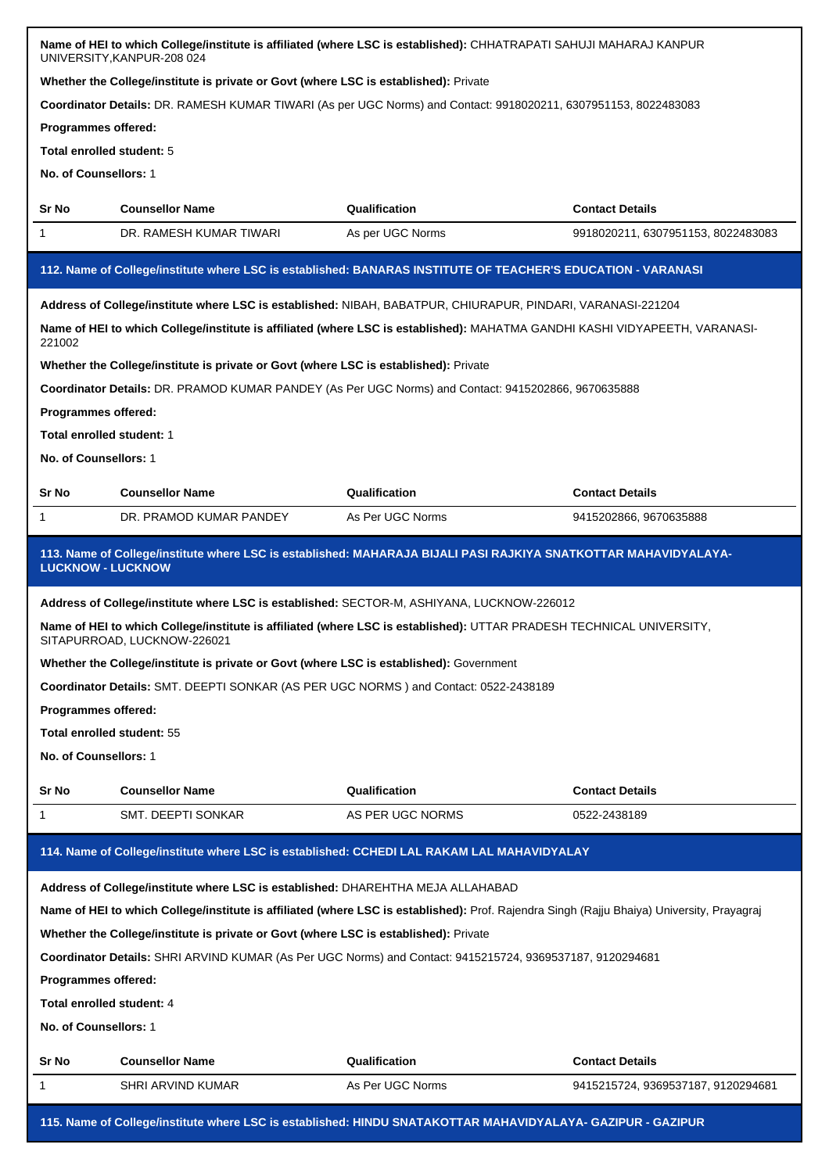| Name of HEI to which College/institute is affiliated (where LSC is established): CHHATRAPATI SAHUJI MAHARAJ KANPUR<br>UNIVERSITY, KANPUR-208 024<br>Whether the College/institute is private or Govt (where LSC is established): Private |                                                                                                                                                     |                  |                                    |  |
|------------------------------------------------------------------------------------------------------------------------------------------------------------------------------------------------------------------------------------------|-----------------------------------------------------------------------------------------------------------------------------------------------------|------------------|------------------------------------|--|
|                                                                                                                                                                                                                                          | Coordinator Details: DR. RAMESH KUMAR TIWARI (As per UGC Norms) and Contact: 9918020211, 6307951153, 8022483083                                     |                  |                                    |  |
| Programmes offered:                                                                                                                                                                                                                      |                                                                                                                                                     |                  |                                    |  |
| Total enrolled student: 5                                                                                                                                                                                                                |                                                                                                                                                     |                  |                                    |  |
| No. of Counsellors: 1                                                                                                                                                                                                                    |                                                                                                                                                     |                  |                                    |  |
| Sr No                                                                                                                                                                                                                                    | <b>Counsellor Name</b>                                                                                                                              | Qualification    | <b>Contact Details</b>             |  |
| 1                                                                                                                                                                                                                                        | DR. RAMESH KUMAR TIWARI                                                                                                                             | As per UGC Norms | 9918020211, 6307951153, 8022483083 |  |
|                                                                                                                                                                                                                                          | 112. Name of College/institute where LSC is established: BANARAS INSTITUTE OF TEACHER'S EDUCATION - VARANASI                                        |                  |                                    |  |
|                                                                                                                                                                                                                                          | Address of College/institute where LSC is established: NIBAH, BABATPUR, CHIURAPUR, PINDARI, VARANASI-221204                                         |                  |                                    |  |
| 221002                                                                                                                                                                                                                                   | Name of HEI to which College/institute is affiliated (where LSC is established): MAHATMA GANDHI KASHI VIDYAPEETH, VARANASI-                         |                  |                                    |  |
|                                                                                                                                                                                                                                          | Whether the College/institute is private or Govt (where LSC is established): Private                                                                |                  |                                    |  |
|                                                                                                                                                                                                                                          | Coordinator Details: DR. PRAMOD KUMAR PANDEY (As Per UGC Norms) and Contact: 9415202866, 9670635888                                                 |                  |                                    |  |
| Programmes offered:                                                                                                                                                                                                                      |                                                                                                                                                     |                  |                                    |  |
| Total enrolled student: 1                                                                                                                                                                                                                |                                                                                                                                                     |                  |                                    |  |
| No. of Counsellors: 1                                                                                                                                                                                                                    |                                                                                                                                                     |                  |                                    |  |
| Sr No                                                                                                                                                                                                                                    | <b>Counsellor Name</b>                                                                                                                              | Qualification    | <b>Contact Details</b>             |  |
| 1                                                                                                                                                                                                                                        | DR. PRAMOD KUMAR PANDEY                                                                                                                             | As Per UGC Norms | 9415202866, 9670635888             |  |
| <b>LUCKNOW - LUCKNOW</b>                                                                                                                                                                                                                 | 113. Name of College/institute where LSC is established: MAHARAJA BIJALI PASI RAJKIYA SNATKOTTAR MAHAVIDYALAYA-                                     |                  |                                    |  |
|                                                                                                                                                                                                                                          | Address of College/institute where LSC is established: SECTOR-M, ASHIYANA, LUCKNOW-226012                                                           |                  |                                    |  |
|                                                                                                                                                                                                                                          | Name of HEI to which College/institute is affiliated (where LSC is established): UTTAR PRADESH TECHNICAL UNIVERSITY,<br>SITAPURROAD, LUCKNOW-226021 |                  |                                    |  |
|                                                                                                                                                                                                                                          | Whether the College/institute is private or Govt (where LSC is established): Government                                                             |                  |                                    |  |
|                                                                                                                                                                                                                                          | Coordinator Details: SMT. DEEPTI SONKAR (AS PER UGC NORMS) and Contact: 0522-2438189                                                                |                  |                                    |  |
| Programmes offered:                                                                                                                                                                                                                      |                                                                                                                                                     |                  |                                    |  |
| Total enrolled student: 55                                                                                                                                                                                                               |                                                                                                                                                     |                  |                                    |  |
| No. of Counsellors: 1                                                                                                                                                                                                                    |                                                                                                                                                     |                  |                                    |  |
| Sr No                                                                                                                                                                                                                                    | <b>Counsellor Name</b>                                                                                                                              | Qualification    | <b>Contact Details</b>             |  |
| 1                                                                                                                                                                                                                                        | SMT. DEEPTI SONKAR                                                                                                                                  | AS PER UGC NORMS | 0522-2438189                       |  |
|                                                                                                                                                                                                                                          | 114. Name of College/institute where LSC is established: CCHEDI LAL RAKAM LAL MAHAVIDYALAY                                                          |                  |                                    |  |
|                                                                                                                                                                                                                                          | Address of College/institute where LSC is established: DHAREHTHA MEJA ALLAHABAD                                                                     |                  |                                    |  |
| Name of HEI to which College/institute is affiliated (where LSC is established): Prof. Rajendra Singh (Rajju Bhaiya) University, Prayagraj                                                                                               |                                                                                                                                                     |                  |                                    |  |
|                                                                                                                                                                                                                                          |                                                                                                                                                     |                  |                                    |  |
|                                                                                                                                                                                                                                          | Whether the College/institute is private or Govt (where LSC is established): Private                                                                |                  |                                    |  |
|                                                                                                                                                                                                                                          | Coordinator Details: SHRI ARVIND KUMAR (As Per UGC Norms) and Contact: 9415215724, 9369537187, 9120294681                                           |                  |                                    |  |
| Programmes offered:                                                                                                                                                                                                                      |                                                                                                                                                     |                  |                                    |  |
| Total enrolled student: 4                                                                                                                                                                                                                |                                                                                                                                                     |                  |                                    |  |
| No. of Counsellors: 1                                                                                                                                                                                                                    |                                                                                                                                                     |                  |                                    |  |
| Sr No                                                                                                                                                                                                                                    | <b>Counsellor Name</b>                                                                                                                              | Qualification    | <b>Contact Details</b>             |  |
| 1                                                                                                                                                                                                                                        | SHRI ARVIND KUMAR                                                                                                                                   | As Per UGC Norms | 9415215724, 9369537187, 9120294681 |  |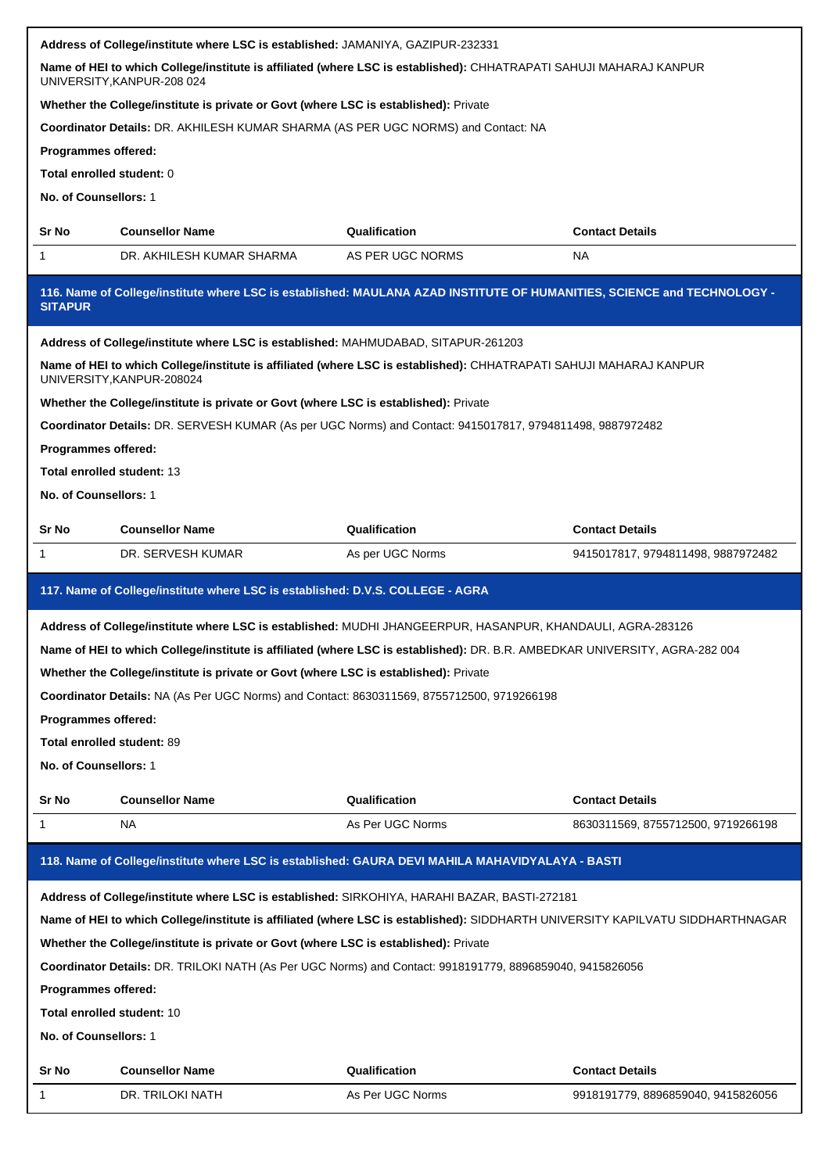|                                                                                | Address of College/institute where LSC is established: JAMANIYA, GAZIPUR-232331                                                                  |                                                                                                                                                                                                                                |                                                                                                            |  |  |  |  |
|--------------------------------------------------------------------------------|--------------------------------------------------------------------------------------------------------------------------------------------------|--------------------------------------------------------------------------------------------------------------------------------------------------------------------------------------------------------------------------------|------------------------------------------------------------------------------------------------------------|--|--|--|--|
|                                                                                | Name of HEI to which College/institute is affiliated (where LSC is established): CHHATRAPATI SAHUJI MAHARAJ KANPUR<br>UNIVERSITY, KANPUR-208 024 |                                                                                                                                                                                                                                |                                                                                                            |  |  |  |  |
|                                                                                | Whether the College/institute is private or Govt (where LSC is established): Private                                                             |                                                                                                                                                                                                                                |                                                                                                            |  |  |  |  |
|                                                                                | Coordinator Details: DR. AKHILESH KUMAR SHARMA (AS PER UGC NORMS) and Contact: NA                                                                |                                                                                                                                                                                                                                |                                                                                                            |  |  |  |  |
| Programmes offered:                                                            |                                                                                                                                                  |                                                                                                                                                                                                                                |                                                                                                            |  |  |  |  |
| Total enrolled student: 0                                                      |                                                                                                                                                  |                                                                                                                                                                                                                                |                                                                                                            |  |  |  |  |
| No. of Counsellors: 1                                                          |                                                                                                                                                  |                                                                                                                                                                                                                                |                                                                                                            |  |  |  |  |
| Sr No                                                                          | <b>Counsellor Name</b>                                                                                                                           | Qualification                                                                                                                                                                                                                  | <b>Contact Details</b>                                                                                     |  |  |  |  |
| 1                                                                              | DR. AKHILESH KUMAR SHARMA                                                                                                                        | AS PER UGC NORMS                                                                                                                                                                                                               | NA                                                                                                         |  |  |  |  |
| <b>SITAPUR</b>                                                                 |                                                                                                                                                  | 116. Name of College/institute where LSC is established: MAULANA AZAD INSTITUTE OF HUMANITIES, SCIENCE and TECHNOLOGY -                                                                                                        |                                                                                                            |  |  |  |  |
|                                                                                | Address of College/institute where LSC is established: MAHMUDABAD, SITAPUR-261203                                                                |                                                                                                                                                                                                                                |                                                                                                            |  |  |  |  |
|                                                                                | UNIVERSITY, KANPUR-208024                                                                                                                        | Name of HEI to which College/institute is affiliated (where LSC is established): CHHATRAPATI SAHUJI MAHARAJ KANPUR                                                                                                             |                                                                                                            |  |  |  |  |
|                                                                                | Whether the College/institute is private or Govt (where LSC is established): Private                                                             |                                                                                                                                                                                                                                |                                                                                                            |  |  |  |  |
|                                                                                |                                                                                                                                                  | Coordinator Details: DR. SERVESH KUMAR (As per UGC Norms) and Contact: 9415017817, 9794811498, 9887972482                                                                                                                      |                                                                                                            |  |  |  |  |
| Programmes offered:                                                            |                                                                                                                                                  |                                                                                                                                                                                                                                |                                                                                                            |  |  |  |  |
| Total enrolled student: 13                                                     |                                                                                                                                                  |                                                                                                                                                                                                                                |                                                                                                            |  |  |  |  |
| No. of Counsellors: 1                                                          |                                                                                                                                                  |                                                                                                                                                                                                                                |                                                                                                            |  |  |  |  |
| Sr No                                                                          | <b>Counsellor Name</b>                                                                                                                           | Qualification                                                                                                                                                                                                                  | <b>Contact Details</b>                                                                                     |  |  |  |  |
| 1                                                                              | DR. SERVESH KUMAR                                                                                                                                | As per UGC Norms                                                                                                                                                                                                               | 9415017817, 9794811498, 9887972482                                                                         |  |  |  |  |
| 117. Name of College/institute where LSC is established: D.V.S. COLLEGE - AGRA |                                                                                                                                                  |                                                                                                                                                                                                                                |                                                                                                            |  |  |  |  |
|                                                                                |                                                                                                                                                  |                                                                                                                                                                                                                                | Address of College/institute where LSC is established: MUDHI JHANGEERPUR, HASANPUR, KHANDAULI, AGRA-283126 |  |  |  |  |
|                                                                                |                                                                                                                                                  |                                                                                                                                                                                                                                |                                                                                                            |  |  |  |  |
|                                                                                |                                                                                                                                                  | Name of HEI to which College/institute is affiliated (where LSC is established): DR. B.R. AMBEDKAR UNIVERSITY, AGRA-282 004                                                                                                    |                                                                                                            |  |  |  |  |
|                                                                                | Whether the College/institute is private or Govt (where LSC is established): Private                                                             |                                                                                                                                                                                                                                |                                                                                                            |  |  |  |  |
|                                                                                | Coordinator Details: NA (As Per UGC Norms) and Contact: 8630311569, 8755712500, 9719266198                                                       |                                                                                                                                                                                                                                |                                                                                                            |  |  |  |  |
| Programmes offered:                                                            |                                                                                                                                                  |                                                                                                                                                                                                                                |                                                                                                            |  |  |  |  |
| Total enrolled student: 89                                                     |                                                                                                                                                  |                                                                                                                                                                                                                                |                                                                                                            |  |  |  |  |
| No. of Counsellors: 1                                                          |                                                                                                                                                  |                                                                                                                                                                                                                                |                                                                                                            |  |  |  |  |
|                                                                                |                                                                                                                                                  |                                                                                                                                                                                                                                |                                                                                                            |  |  |  |  |
| Sr No<br>1                                                                     | <b>Counsellor Name</b><br>NA                                                                                                                     | Qualification<br>As Per UGC Norms                                                                                                                                                                                              | <b>Contact Details</b><br>8630311569, 8755712500, 9719266198                                               |  |  |  |  |
|                                                                                |                                                                                                                                                  | 118. Name of College/institute where LSC is established: GAURA DEVI MAHILA MAHAVIDYALAYA - BASTI                                                                                                                               |                                                                                                            |  |  |  |  |
|                                                                                |                                                                                                                                                  |                                                                                                                                                                                                                                |                                                                                                            |  |  |  |  |
|                                                                                |                                                                                                                                                  | Address of College/institute where LSC is established: SIRKOHIYA, HARAHI BAZAR, BASTI-272181<br>Name of HEI to which College/institute is affiliated (where LSC is established): SIDDHARTH UNIVERSITY KAPILVATU SIDDHARTHNAGAR |                                                                                                            |  |  |  |  |
|                                                                                |                                                                                                                                                  |                                                                                                                                                                                                                                |                                                                                                            |  |  |  |  |
|                                                                                | Whether the College/institute is private or Govt (where LSC is established): Private                                                             | Coordinator Details: DR. TRILOKI NATH (As Per UGC Norms) and Contact: 9918191779, 8896859040, 9415826056                                                                                                                       |                                                                                                            |  |  |  |  |
|                                                                                |                                                                                                                                                  |                                                                                                                                                                                                                                |                                                                                                            |  |  |  |  |
| Programmes offered:<br>Total enrolled student: 10                              |                                                                                                                                                  |                                                                                                                                                                                                                                |                                                                                                            |  |  |  |  |
| No. of Counsellors: 1                                                          |                                                                                                                                                  |                                                                                                                                                                                                                                |                                                                                                            |  |  |  |  |
|                                                                                |                                                                                                                                                  |                                                                                                                                                                                                                                |                                                                                                            |  |  |  |  |
| Sr No<br>1                                                                     | <b>Counsellor Name</b><br>DR. TRILOKI NATH                                                                                                       | Qualification<br>As Per UGC Norms                                                                                                                                                                                              | <b>Contact Details</b><br>9918191779, 8896859040, 9415826056                                               |  |  |  |  |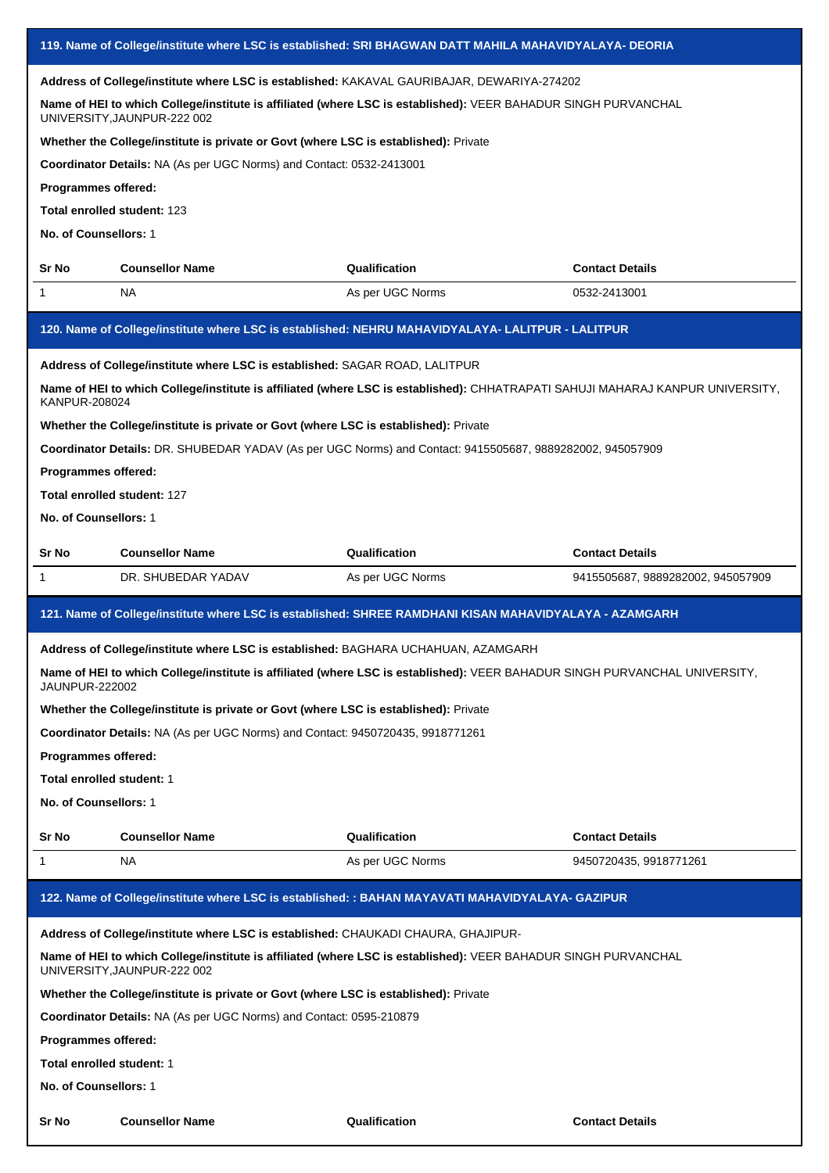|                             | 119. Name of College/institute where LSC is established: SRI BHAGWAN DATT MAHILA MAHAVIDYALAYA- DEORIA                                        |                  |                                   |  |  |
|-----------------------------|-----------------------------------------------------------------------------------------------------------------------------------------------|------------------|-----------------------------------|--|--|
|                             | Address of College/institute where LSC is established: KAKAVAL GAURIBAJAR, DEWARIYA-274202                                                    |                  |                                   |  |  |
|                             | Name of HEI to which College/institute is affiliated (where LSC is established): VEER BAHADUR SINGH PURVANCHAL<br>UNIVERSITY, JAUNPUR-222 002 |                  |                                   |  |  |
|                             | Whether the College/institute is private or Govt (where LSC is established): Private                                                          |                  |                                   |  |  |
|                             | Coordinator Details: NA (As per UGC Norms) and Contact: 0532-2413001                                                                          |                  |                                   |  |  |
| <b>Programmes offered:</b>  |                                                                                                                                               |                  |                                   |  |  |
| Total enrolled student: 123 |                                                                                                                                               |                  |                                   |  |  |
| No. of Counsellors: 1       |                                                                                                                                               |                  |                                   |  |  |
| Sr No                       | <b>Counsellor Name</b>                                                                                                                        | Qualification    | <b>Contact Details</b>            |  |  |
| 1                           | NA                                                                                                                                            | As per UGC Norms | 0532-2413001                      |  |  |
|                             | 120. Name of College/institute where LSC is established: NEHRU MAHAVIDYALAYA- LALITPUR - LALITPUR                                             |                  |                                   |  |  |
|                             | Address of College/institute where LSC is established: SAGAR ROAD, LALITPUR                                                                   |                  |                                   |  |  |
| KANPUR-208024               | Name of HEI to which College/institute is affiliated (where LSC is established): CHHATRAPATI SAHUJI MAHARAJ KANPUR UNIVERSITY,                |                  |                                   |  |  |
|                             | Whether the College/institute is private or Govt (where LSC is established): Private                                                          |                  |                                   |  |  |
|                             | Coordinator Details: DR. SHUBEDAR YADAV (As per UGC Norms) and Contact: 9415505687, 9889282002, 945057909                                     |                  |                                   |  |  |
| Programmes offered:         |                                                                                                                                               |                  |                                   |  |  |
| Total enrolled student: 127 |                                                                                                                                               |                  |                                   |  |  |
| No. of Counsellors: 1       |                                                                                                                                               |                  |                                   |  |  |
|                             |                                                                                                                                               |                  |                                   |  |  |
| Sr No                       | <b>Counsellor Name</b>                                                                                                                        | Qualification    | <b>Contact Details</b>            |  |  |
| 1                           | DR. SHUBEDAR YADAV                                                                                                                            | As per UGC Norms | 9415505687, 9889282002, 945057909 |  |  |
|                             | 121. Name of College/institute where LSC is established: SHREE RAMDHANI KISAN MAHAVIDYALAYA - AZAMGARH                                        |                  |                                   |  |  |
|                             | Address of College/institute where LSC is established: BAGHARA UCHAHUAN, AZAMGARH                                                             |                  |                                   |  |  |
| <b>JAUNPUR-222002</b>       | Name of HEI to which College/institute is affiliated (where LSC is established): VEER BAHADUR SINGH PURVANCHAL UNIVERSITY,                    |                  |                                   |  |  |
|                             | Whether the College/institute is private or Govt (where LSC is established): Private                                                          |                  |                                   |  |  |
|                             | Coordinator Details: NA (As per UGC Norms) and Contact: 9450720435, 9918771261                                                                |                  |                                   |  |  |
| Programmes offered:         |                                                                                                                                               |                  |                                   |  |  |
| Total enrolled student: 1   |                                                                                                                                               |                  |                                   |  |  |
| No. of Counsellors: 1       |                                                                                                                                               |                  |                                   |  |  |
| Sr No                       | <b>Counsellor Name</b>                                                                                                                        | Qualification    | <b>Contact Details</b>            |  |  |
| 1                           | NA                                                                                                                                            | As per UGC Norms | 9450720435, 9918771261            |  |  |
|                             | 122. Name of College/institute where LSC is established: : BAHAN MAYAVATI MAHAVIDYALAYA- GAZIPUR                                              |                  |                                   |  |  |
|                             | Address of College/institute where LSC is established: CHAUKADI CHAURA, GHAJIPUR-                                                             |                  |                                   |  |  |
|                             | Name of HEI to which College/institute is affiliated (where LSC is established): VEER BAHADUR SINGH PURVANCHAL<br>UNIVERSITY, JAUNPUR-222 002 |                  |                                   |  |  |
|                             | Whether the College/institute is private or Govt (where LSC is established): Private                                                          |                  |                                   |  |  |
|                             | <b>Coordinator Details: NA (As per UGC Norms) and Contact: 0595-210879</b>                                                                    |                  |                                   |  |  |
| Programmes offered:         |                                                                                                                                               |                  |                                   |  |  |
| Total enrolled student: 1   |                                                                                                                                               |                  |                                   |  |  |
| No. of Counsellors: 1       |                                                                                                                                               |                  |                                   |  |  |
|                             |                                                                                                                                               |                  |                                   |  |  |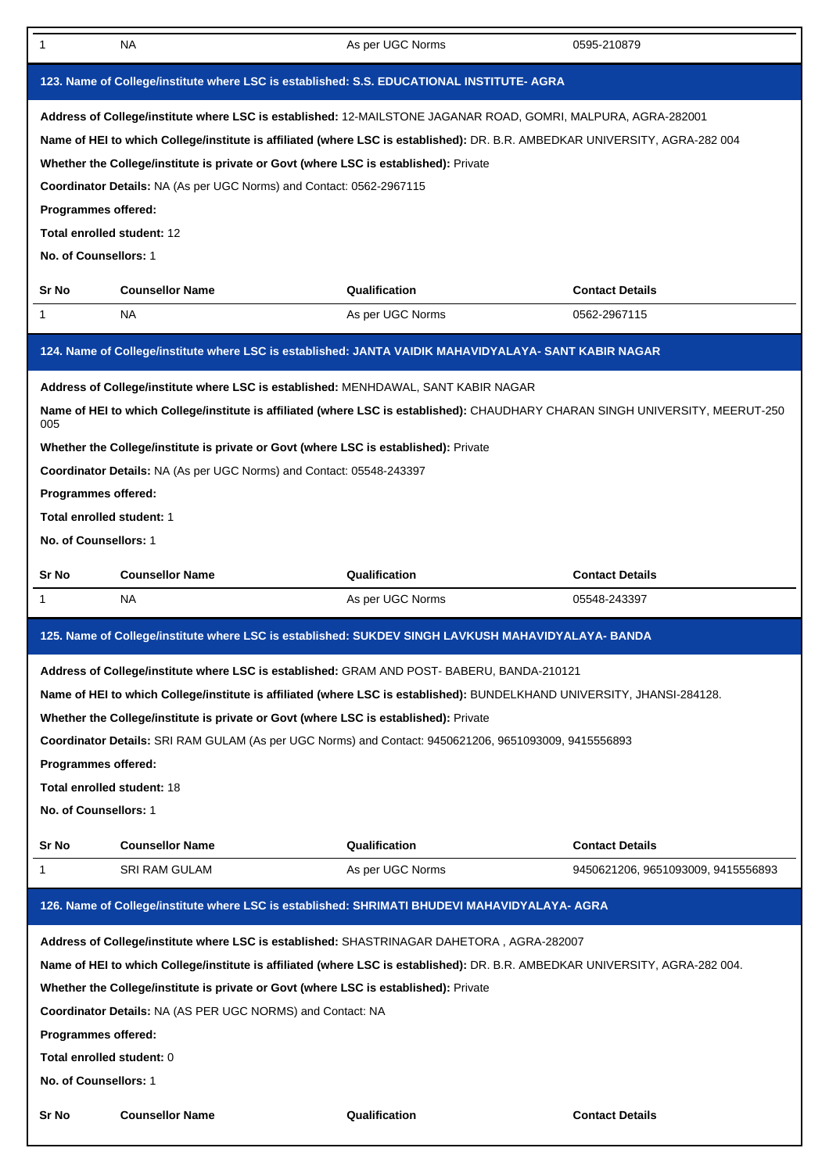| 1                                                                                                                                                                                                                                                                                                                                                                                                                                                                                                                                                 | NA.                                                                                                                                                                                                                                                | As per UGC Norms                                                                                                               | 0595-210879                        |  |  |
|---------------------------------------------------------------------------------------------------------------------------------------------------------------------------------------------------------------------------------------------------------------------------------------------------------------------------------------------------------------------------------------------------------------------------------------------------------------------------------------------------------------------------------------------------|----------------------------------------------------------------------------------------------------------------------------------------------------------------------------------------------------------------------------------------------------|--------------------------------------------------------------------------------------------------------------------------------|------------------------------------|--|--|
|                                                                                                                                                                                                                                                                                                                                                                                                                                                                                                                                                   |                                                                                                                                                                                                                                                    | 123. Name of College/institute where LSC is established: S.S. EDUCATIONAL INSTITUTE- AGRA                                      |                                    |  |  |
| Address of College/institute where LSC is established: 12-MAILSTONE JAGANAR ROAD, GOMRI, MALPURA, AGRA-282001<br>Name of HEI to which College/institute is affiliated (where LSC is established): DR. B.R. AMBEDKAR UNIVERSITY, AGRA-282 004<br>Whether the College/institute is private or Govt (where LSC is established): Private<br>Coordinator Details: NA (As per UGC Norms) and Contact: 0562-2967115<br>Programmes offered:<br>Total enrolled student: 12<br>No. of Counsellors: 1                                                        |                                                                                                                                                                                                                                                    |                                                                                                                                |                                    |  |  |
| Sr No                                                                                                                                                                                                                                                                                                                                                                                                                                                                                                                                             | <b>Counsellor Name</b>                                                                                                                                                                                                                             | Qualification                                                                                                                  | <b>Contact Details</b>             |  |  |
| 1                                                                                                                                                                                                                                                                                                                                                                                                                                                                                                                                                 | <b>NA</b>                                                                                                                                                                                                                                          | As per UGC Norms                                                                                                               | 0562-2967115                       |  |  |
|                                                                                                                                                                                                                                                                                                                                                                                                                                                                                                                                                   |                                                                                                                                                                                                                                                    | 124. Name of College/institute where LSC is established: JANTA VAIDIK MAHAVIDYALAYA- SANT KABIR NAGAR                          |                                    |  |  |
| 005<br>Programmes offered:<br>Total enrolled student: 1<br>No. of Counsellors: 1                                                                                                                                                                                                                                                                                                                                                                                                                                                                  | Address of College/institute where LSC is established: MENHDAWAL, SANT KABIR NAGAR<br>Whether the College/institute is private or Govt (where LSC is established): Private<br>Coordinator Details: NA (As per UGC Norms) and Contact: 05548-243397 | Name of HEI to which College/institute is affiliated (where LSC is established): CHAUDHARY CHARAN SINGH UNIVERSITY, MEERUT-250 |                                    |  |  |
| Sr No                                                                                                                                                                                                                                                                                                                                                                                                                                                                                                                                             | <b>Counsellor Name</b>                                                                                                                                                                                                                             | Qualification                                                                                                                  | <b>Contact Details</b>             |  |  |
| 1                                                                                                                                                                                                                                                                                                                                                                                                                                                                                                                                                 | <b>NA</b>                                                                                                                                                                                                                                          | As per UGC Norms                                                                                                               | 05548-243397                       |  |  |
|                                                                                                                                                                                                                                                                                                                                                                                                                                                                                                                                                   |                                                                                                                                                                                                                                                    | 125. Name of College/institute where LSC is established: SUKDEV SINGH LAVKUSH MAHAVIDYALAYA- BANDA                             |                                    |  |  |
| Address of College/institute where LSC is established: GRAM AND POST- BABERU, BANDA-210121<br>Name of HEI to which College/institute is affiliated (where LSC is established): BUNDELKHAND UNIVERSITY, JHANSI-284128.<br>Whether the College/institute is private or Govt (where LSC is established): Private<br>Coordinator Details: SRI RAM GULAM (As per UGC Norms) and Contact: 9450621206, 9651093009, 9415556893<br>Programmes offered:<br>Total enrolled student: 18<br>No. of Counsellors: 1                                              |                                                                                                                                                                                                                                                    |                                                                                                                                |                                    |  |  |
| Sr No                                                                                                                                                                                                                                                                                                                                                                                                                                                                                                                                             | <b>Counsellor Name</b>                                                                                                                                                                                                                             | Qualification                                                                                                                  | <b>Contact Details</b>             |  |  |
| 1                                                                                                                                                                                                                                                                                                                                                                                                                                                                                                                                                 | <b>SRI RAM GULAM</b>                                                                                                                                                                                                                               | As per UGC Norms                                                                                                               | 9450621206, 9651093009, 9415556893 |  |  |
|                                                                                                                                                                                                                                                                                                                                                                                                                                                                                                                                                   |                                                                                                                                                                                                                                                    | 126. Name of College/institute where LSC is established: SHRIMATI BHUDEVI MAHAVIDYALAYA- AGRA                                  |                                    |  |  |
| Address of College/institute where LSC is established: SHASTRINAGAR DAHETORA, AGRA-282007<br>Name of HEI to which College/institute is affiliated (where LSC is established): DR. B.R. AMBEDKAR UNIVERSITY, AGRA-282 004.<br>Whether the College/institute is private or Govt (where LSC is established): Private<br><b>Coordinator Details: NA (AS PER UGC NORMS) and Contact: NA</b><br>Programmes offered:<br>Total enrolled student: 0<br>No. of Counsellors: 1<br><b>Counsellor Name</b><br>Qualification<br>Sr No<br><b>Contact Details</b> |                                                                                                                                                                                                                                                    |                                                                                                                                |                                    |  |  |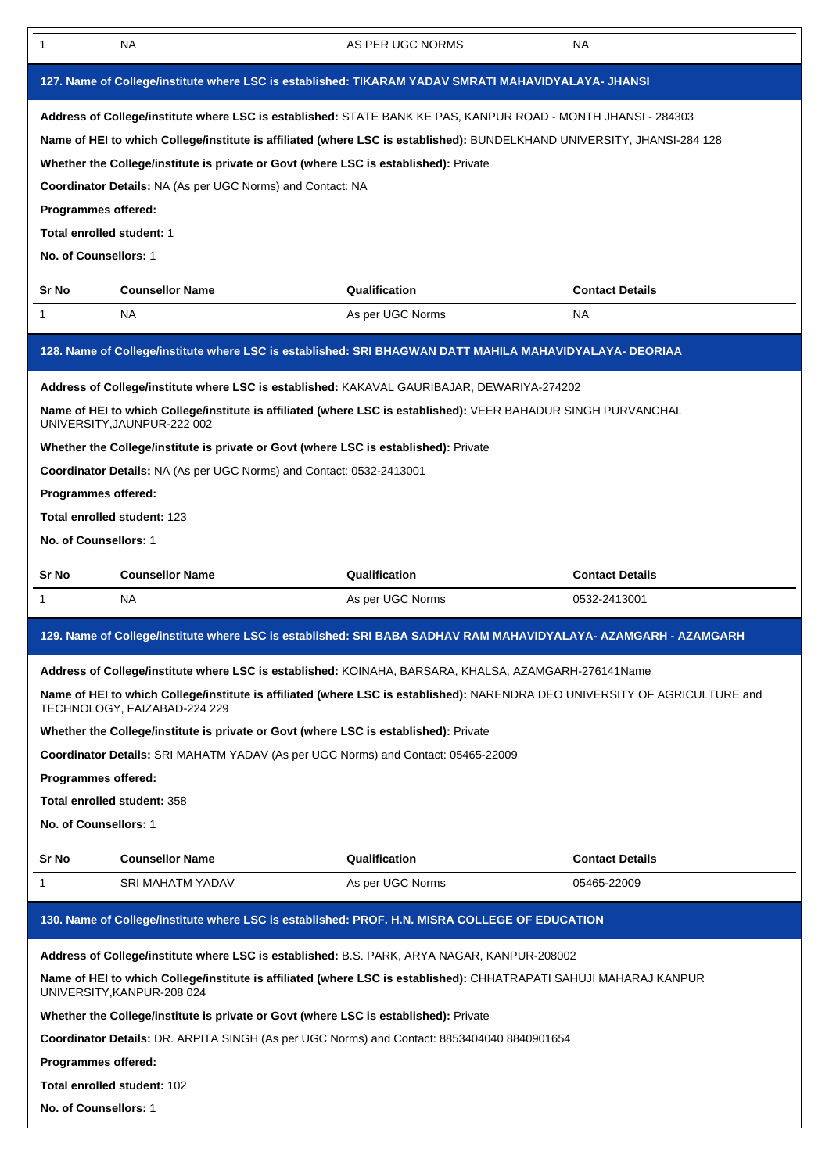| 1                                                                                                                                                                                                                                                                                                                                                                                                                                                                           | <b>NA</b>                                                                                                                                                                                                                                                                                                                                                                                                                                        | AS PER UGC NORMS | NA                     |  |  |
|-----------------------------------------------------------------------------------------------------------------------------------------------------------------------------------------------------------------------------------------------------------------------------------------------------------------------------------------------------------------------------------------------------------------------------------------------------------------------------|--------------------------------------------------------------------------------------------------------------------------------------------------------------------------------------------------------------------------------------------------------------------------------------------------------------------------------------------------------------------------------------------------------------------------------------------------|------------------|------------------------|--|--|
|                                                                                                                                                                                                                                                                                                                                                                                                                                                                             | 127. Name of College/institute where LSC is established: TIKARAM YADAV SMRATI MAHAVIDYALAYA- JHANSI                                                                                                                                                                                                                                                                                                                                              |                  |                        |  |  |
| Address of College/institute where LSC is established: STATE BANK KE PAS, KANPUR ROAD - MONTH JHANSI - 284303<br>Name of HEI to which College/institute is affiliated (where LSC is established): BUNDELKHAND UNIVERSITY, JHANSI-284 128<br>Whether the College/institute is private or Govt (where LSC is established): Private<br>Coordinator Details: NA (As per UGC Norms) and Contact: NA<br>Programmes offered:<br>Total enrolled student: 1<br>No. of Counsellors: 1 |                                                                                                                                                                                                                                                                                                                                                                                                                                                  |                  |                        |  |  |
| Sr No                                                                                                                                                                                                                                                                                                                                                                                                                                                                       | <b>Counsellor Name</b>                                                                                                                                                                                                                                                                                                                                                                                                                           | Qualification    | <b>Contact Details</b> |  |  |
| $\mathbf{1}$                                                                                                                                                                                                                                                                                                                                                                                                                                                                | <b>NA</b>                                                                                                                                                                                                                                                                                                                                                                                                                                        | As per UGC Norms | <b>NA</b>              |  |  |
|                                                                                                                                                                                                                                                                                                                                                                                                                                                                             | 128. Name of College/institute where LSC is established: SRI BHAGWAN DATT MAHILA MAHAVIDYALAYA- DEORIAA                                                                                                                                                                                                                                                                                                                                          |                  |                        |  |  |
|                                                                                                                                                                                                                                                                                                                                                                                                                                                                             | Address of College/institute where LSC is established: KAKAVAL GAURIBAJAR, DEWARIYA-274202                                                                                                                                                                                                                                                                                                                                                       |                  |                        |  |  |
|                                                                                                                                                                                                                                                                                                                                                                                                                                                                             | Name of HEI to which College/institute is affiliated (where LSC is established): VEER BAHADUR SINGH PURVANCHAL<br>UNIVERSITY, JAUNPUR-222 002                                                                                                                                                                                                                                                                                                    |                  |                        |  |  |
|                                                                                                                                                                                                                                                                                                                                                                                                                                                                             | Whether the College/institute is private or Govt (where LSC is established): Private                                                                                                                                                                                                                                                                                                                                                             |                  |                        |  |  |
|                                                                                                                                                                                                                                                                                                                                                                                                                                                                             | Coordinator Details: NA (As per UGC Norms) and Contact: 0532-2413001                                                                                                                                                                                                                                                                                                                                                                             |                  |                        |  |  |
| Programmes offered:                                                                                                                                                                                                                                                                                                                                                                                                                                                         |                                                                                                                                                                                                                                                                                                                                                                                                                                                  |                  |                        |  |  |
|                                                                                                                                                                                                                                                                                                                                                                                                                                                                             | <b>Total enrolled student: 123</b>                                                                                                                                                                                                                                                                                                                                                                                                               |                  |                        |  |  |
| No. of Counsellors: 1                                                                                                                                                                                                                                                                                                                                                                                                                                                       |                                                                                                                                                                                                                                                                                                                                                                                                                                                  |                  |                        |  |  |
| Sr No                                                                                                                                                                                                                                                                                                                                                                                                                                                                       | <b>Counsellor Name</b>                                                                                                                                                                                                                                                                                                                                                                                                                           | Qualification    | <b>Contact Details</b> |  |  |
| $\mathbf{1}$                                                                                                                                                                                                                                                                                                                                                                                                                                                                | <b>NA</b>                                                                                                                                                                                                                                                                                                                                                                                                                                        | As per UGC Norms | 0532-2413001           |  |  |
|                                                                                                                                                                                                                                                                                                                                                                                                                                                                             | 129. Name of College/institute where LSC is established: SRI BABA SADHAV RAM MAHAVIDYALAYA- AZAMGARH - AZAMGARH                                                                                                                                                                                                                                                                                                                                  |                  |                        |  |  |
| Programmes offered:                                                                                                                                                                                                                                                                                                                                                                                                                                                         | Address of College/institute where LSC is established: KOINAHA, BARSARA, KHALSA, AZAMGARH-276141Name<br>Name of HEI to which College/institute is affiliated (where LSC is established): NARENDRA DEO UNIVERSITY OF AGRICULTURE and<br>TECHNOLOGY, FAIZABAD-224 229<br>Whether the College/institute is private or Govt (where LSC is established): Private<br>Coordinator Details: SRI MAHATM YADAV (As per UGC Norms) and Contact: 05465-22009 |                  |                        |  |  |
|                                                                                                                                                                                                                                                                                                                                                                                                                                                                             | Total enrolled student: 358                                                                                                                                                                                                                                                                                                                                                                                                                      |                  |                        |  |  |
| No. of Counsellors: 1                                                                                                                                                                                                                                                                                                                                                                                                                                                       |                                                                                                                                                                                                                                                                                                                                                                                                                                                  |                  |                        |  |  |
| Sr No                                                                                                                                                                                                                                                                                                                                                                                                                                                                       | <b>Counsellor Name</b>                                                                                                                                                                                                                                                                                                                                                                                                                           | Qualification    | <b>Contact Details</b> |  |  |
| 1                                                                                                                                                                                                                                                                                                                                                                                                                                                                           | <b>SRI MAHATM YADAV</b>                                                                                                                                                                                                                                                                                                                                                                                                                          | As per UGC Norms | 05465-22009            |  |  |
|                                                                                                                                                                                                                                                                                                                                                                                                                                                                             | 130. Name of College/institute where LSC is established: PROF. H.N. MISRA COLLEGE OF EDUCATION                                                                                                                                                                                                                                                                                                                                                   |                  |                        |  |  |
|                                                                                                                                                                                                                                                                                                                                                                                                                                                                             | Address of College/institute where LSC is established: B.S. PARK, ARYA NAGAR, KANPUR-208002                                                                                                                                                                                                                                                                                                                                                      |                  |                        |  |  |
|                                                                                                                                                                                                                                                                                                                                                                                                                                                                             | Name of HEI to which College/institute is affiliated (where LSC is established): CHHATRAPATI SAHUJI MAHARAJ KANPUR<br>UNIVERSITY, KANPUR-208 024                                                                                                                                                                                                                                                                                                 |                  |                        |  |  |
|                                                                                                                                                                                                                                                                                                                                                                                                                                                                             | Whether the College/institute is private or Govt (where LSC is established): Private                                                                                                                                                                                                                                                                                                                                                             |                  |                        |  |  |
|                                                                                                                                                                                                                                                                                                                                                                                                                                                                             | Coordinator Details: DR. ARPITA SINGH (As per UGC Norms) and Contact: 8853404040 8840901654                                                                                                                                                                                                                                                                                                                                                      |                  |                        |  |  |
| Programmes offered:                                                                                                                                                                                                                                                                                                                                                                                                                                                         |                                                                                                                                                                                                                                                                                                                                                                                                                                                  |                  |                        |  |  |
|                                                                                                                                                                                                                                                                                                                                                                                                                                                                             | Total enrolled student: 102                                                                                                                                                                                                                                                                                                                                                                                                                      |                  |                        |  |  |
|                                                                                                                                                                                                                                                                                                                                                                                                                                                                             | No. of Counsellors: 1                                                                                                                                                                                                                                                                                                                                                                                                                            |                  |                        |  |  |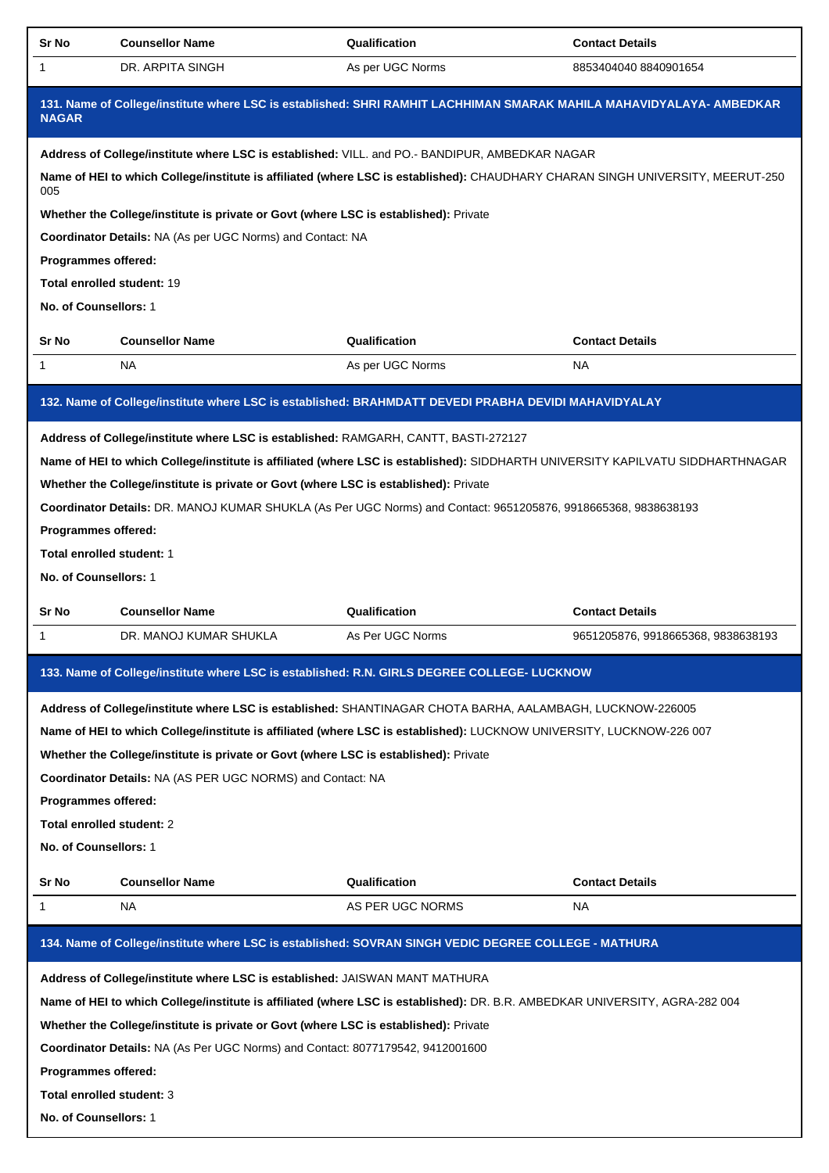| <b>Sr No</b>          | <b>Counsellor Name</b>                                                                                                         | Qualification    | <b>Contact Details</b>                                                                                                         |
|-----------------------|--------------------------------------------------------------------------------------------------------------------------------|------------------|--------------------------------------------------------------------------------------------------------------------------------|
| $\mathbf{1}$          | DR. ARPITA SINGH                                                                                                               | As per UGC Norms | 8853404040 8840901654                                                                                                          |
| <b>NAGAR</b>          | 131. Name of College/institute where LSC is established: SHRI RAMHIT LACHHIMAN SMARAK MAHILA MAHAVIDYALAYA- AMBEDKAR           |                  |                                                                                                                                |
|                       | Address of College/institute where LSC is established: VILL. and PO.- BANDIPUR, AMBEDKAR NAGAR                                 |                  |                                                                                                                                |
| 005                   | Name of HEI to which College/institute is affiliated (where LSC is established): CHAUDHARY CHARAN SINGH UNIVERSITY, MEERUT-250 |                  |                                                                                                                                |
|                       | Whether the College/institute is private or Govt (where LSC is established): Private                                           |                  |                                                                                                                                |
|                       | Coordinator Details: NA (As per UGC Norms) and Contact: NA                                                                     |                  |                                                                                                                                |
| Programmes offered:   |                                                                                                                                |                  |                                                                                                                                |
|                       | Total enrolled student: 19                                                                                                     |                  |                                                                                                                                |
| No. of Counsellors: 1 |                                                                                                                                |                  |                                                                                                                                |
| Sr No                 | <b>Counsellor Name</b>                                                                                                         | Qualification    | <b>Contact Details</b>                                                                                                         |
| $\mathbf{1}$          | <b>NA</b>                                                                                                                      | As per UGC Norms | <b>NA</b>                                                                                                                      |
|                       | 132. Name of College/institute where LSC is established: BRAHMDATT DEVEDI PRABHA DEVIDI MAHAVIDYALAY                           |                  |                                                                                                                                |
|                       | Address of College/institute where LSC is established: RAMGARH, CANTT, BASTI-272127                                            |                  |                                                                                                                                |
|                       |                                                                                                                                |                  | Name of HEI to which College/institute is affiliated (where LSC is established): SIDDHARTH UNIVERSITY KAPILVATU SIDDHARTHNAGAR |
|                       | Whether the College/institute is private or Govt (where LSC is established): Private                                           |                  |                                                                                                                                |
|                       | Coordinator Details: DR. MANOJ KUMAR SHUKLA (As Per UGC Norms) and Contact: 9651205876, 9918665368, 9838638193                 |                  |                                                                                                                                |
| Programmes offered:   |                                                                                                                                |                  |                                                                                                                                |
|                       | Total enrolled student: 1                                                                                                      |                  |                                                                                                                                |
| No. of Counsellors: 1 |                                                                                                                                |                  |                                                                                                                                |
| Sr No                 | <b>Counsellor Name</b>                                                                                                         | Qualification    | <b>Contact Details</b>                                                                                                         |
| $\mathbf{1}$          | DR. MANOJ KUMAR SHUKLA                                                                                                         | As Per UGC Norms | 9651205876, 9918665368, 9838638193                                                                                             |
|                       | 133. Name of College/institute where LSC is established: R.N. GIRLS DEGREE COLLEGE- LUCKNOW                                    |                  |                                                                                                                                |
|                       |                                                                                                                                |                  |                                                                                                                                |
|                       | Address of College/institute where LSC is established: SHANTINAGAR CHOTA BARHA, AALAMBAGH, LUCKNOW-226005                      |                  |                                                                                                                                |
|                       | Name of HEI to which College/institute is affiliated (where LSC is established): LUCKNOW UNIVERSITY, LUCKNOW-226 007           |                  |                                                                                                                                |
|                       | Whether the College/institute is private or Govt (where LSC is established): Private                                           |                  |                                                                                                                                |
|                       | Coordinator Details: NA (AS PER UGC NORMS) and Contact: NA                                                                     |                  |                                                                                                                                |
| Programmes offered:   |                                                                                                                                |                  |                                                                                                                                |
|                       | Total enrolled student: 2                                                                                                      |                  |                                                                                                                                |
|                       |                                                                                                                                |                  |                                                                                                                                |
|                       | No. of Counsellors: 1                                                                                                          |                  |                                                                                                                                |
| Sr No                 | <b>Counsellor Name</b>                                                                                                         | Qualification    | <b>Contact Details</b>                                                                                                         |
| 1                     | NA                                                                                                                             | AS PER UGC NORMS | NA.                                                                                                                            |
|                       | 134. Name of College/institute where LSC is established: SOVRAN SINGH VEDIC DEGREE COLLEGE - MATHURA                           |                  |                                                                                                                                |
|                       | Address of College/institute where LSC is established: JAISWAN MANT MATHURA                                                    |                  |                                                                                                                                |
|                       | Name of HEI to which College/institute is affiliated (where LSC is established): DR. B.R. AMBEDKAR UNIVERSITY, AGRA-282 004    |                  |                                                                                                                                |
|                       | Whether the College/institute is private or Govt (where LSC is established): Private                                           |                  |                                                                                                                                |
|                       | Coordinator Details: NA (As Per UGC Norms) and Contact: 8077179542, 9412001600                                                 |                  |                                                                                                                                |
| Programmes offered:   |                                                                                                                                |                  |                                                                                                                                |
|                       | Total enrolled student: 3                                                                                                      |                  |                                                                                                                                |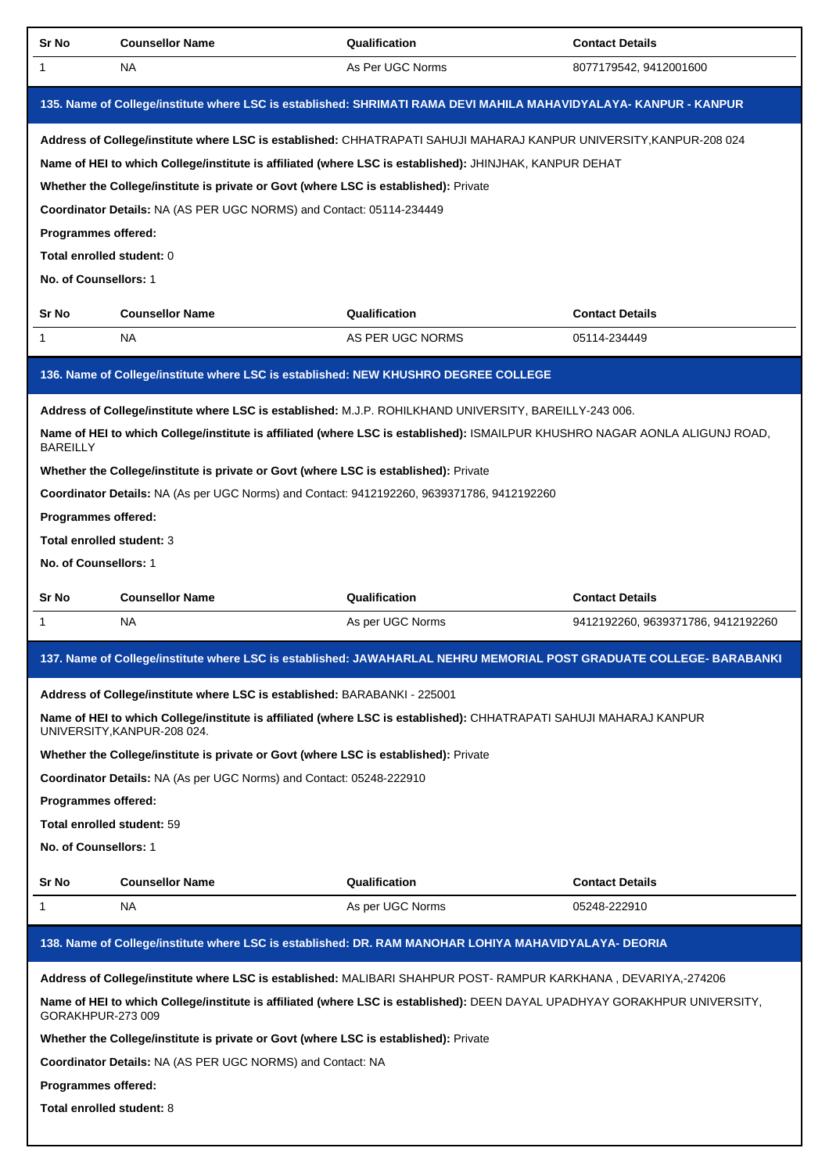| <b>Sr No</b>                                                                                 | <b>Counsellor Name</b>                                                                                                                                                                                                                                                                                                                                                                                                                                                                                              | Qualification                     | <b>Contact Details</b>                                       |
|----------------------------------------------------------------------------------------------|---------------------------------------------------------------------------------------------------------------------------------------------------------------------------------------------------------------------------------------------------------------------------------------------------------------------------------------------------------------------------------------------------------------------------------------------------------------------------------------------------------------------|-----------------------------------|--------------------------------------------------------------|
| 1                                                                                            | NA.                                                                                                                                                                                                                                                                                                                                                                                                                                                                                                                 | As Per UGC Norms                  | 8077179542, 9412001600                                       |
|                                                                                              | 135. Name of College/institute where LSC is established: SHRIMATI RAMA DEVI MAHILA MAHAVIDYALAYA-KANPUR - KANPUR                                                                                                                                                                                                                                                                                                                                                                                                    |                                   |                                                              |
| Programmes offered:<br>Total enrolled student: 0<br>No. of Counsellors: 1                    | Address of College/institute where LSC is established: CHHATRAPATI SAHUJI MAHARAJ KANPUR UNIVERSITY,KANPUR-208 024<br>Name of HEI to which College/institute is affiliated (where LSC is established): JHINJHAK, KANPUR DEHAT<br>Whether the College/institute is private or Govt (where LSC is established): Private<br>Coordinator Details: NA (AS PER UGC NORMS) and Contact: 05114-234449                                                                                                                       |                                   |                                                              |
| Sr No                                                                                        | <b>Counsellor Name</b>                                                                                                                                                                                                                                                                                                                                                                                                                                                                                              | Qualification                     | <b>Contact Details</b>                                       |
| 1                                                                                            | NA.                                                                                                                                                                                                                                                                                                                                                                                                                                                                                                                 | AS PER UGC NORMS                  | 05114-234449                                                 |
| <b>BAREILLY</b><br>Programmes offered:<br>Total enrolled student: 3<br>No. of Counsellors: 1 | 136. Name of College/institute where LSC is established: NEW KHUSHRO DEGREE COLLEGE<br>Address of College/institute where LSC is established: M.J.P. ROHILKHAND UNIVERSITY, BAREILLY-243 006.<br>Name of HEI to which College/institute is affiliated (where LSC is established): ISMAILPUR KHUSHRO NAGAR AONLA ALIGUNJ ROAD,<br>Whether the College/institute is private or Govt (where LSC is established): Private<br>Coordinator Details: NA (As per UGC Norms) and Contact: 9412192260, 9639371786, 9412192260 |                                   |                                                              |
|                                                                                              |                                                                                                                                                                                                                                                                                                                                                                                                                                                                                                                     |                                   |                                                              |
|                                                                                              |                                                                                                                                                                                                                                                                                                                                                                                                                                                                                                                     |                                   |                                                              |
| Sr No<br>1                                                                                   | <b>Counsellor Name</b><br>NA.                                                                                                                                                                                                                                                                                                                                                                                                                                                                                       | Qualification<br>As per UGC Norms | <b>Contact Details</b><br>9412192260, 9639371786, 9412192260 |
|                                                                                              | 137. Name of College/institute where LSC is established: JAWAHARLAL NEHRU MEMORIAL POST GRADUATE COLLEGE- BARABANKI                                                                                                                                                                                                                                                                                                                                                                                                 |                                   |                                                              |
| <b>Programmes offered:</b><br>Total enrolled student: 59<br>No. of Counsellors: 1            | Address of College/institute where LSC is established: BARABANKI - 225001<br>Name of HEI to which College/institute is affiliated (where LSC is established): CHHATRAPATI SAHUJI MAHARAJ KANPUR<br>UNIVERSITY, KANPUR-208 024.<br>Whether the College/institute is private or Govt (where LSC is established): Private<br>Coordinator Details: NA (As per UGC Norms) and Contact: 05248-222910                                                                                                                      |                                   |                                                              |
| Sr No                                                                                        | <b>Counsellor Name</b>                                                                                                                                                                                                                                                                                                                                                                                                                                                                                              | Qualification                     | <b>Contact Details</b>                                       |
| $\mathbf{1}$                                                                                 | NA.                                                                                                                                                                                                                                                                                                                                                                                                                                                                                                                 | As per UGC Norms                  | 05248-222910                                                 |
| GORAKHPUR-273 009<br>Programmes offered:<br>Total enrolled student: 8                        | 138. Name of College/institute where LSC is established: DR. RAM MANOHAR LOHIYA MAHAVIDYALAYA- DEORIA<br>Address of College/institute where LSC is established: MALIBARI SHAHPUR POST- RAMPUR KARKHANA, DEVARIYA,-274206<br>Name of HEI to which College/institute is affiliated (where LSC is established): DEEN DAYAL UPADHYAY GORAKHPUR UNIVERSITY,<br>Whether the College/institute is private or Govt (where LSC is established): Private<br><b>Coordinator Details: NA (AS PER UGC NORMS) and Contact: NA</b> |                                   |                                                              |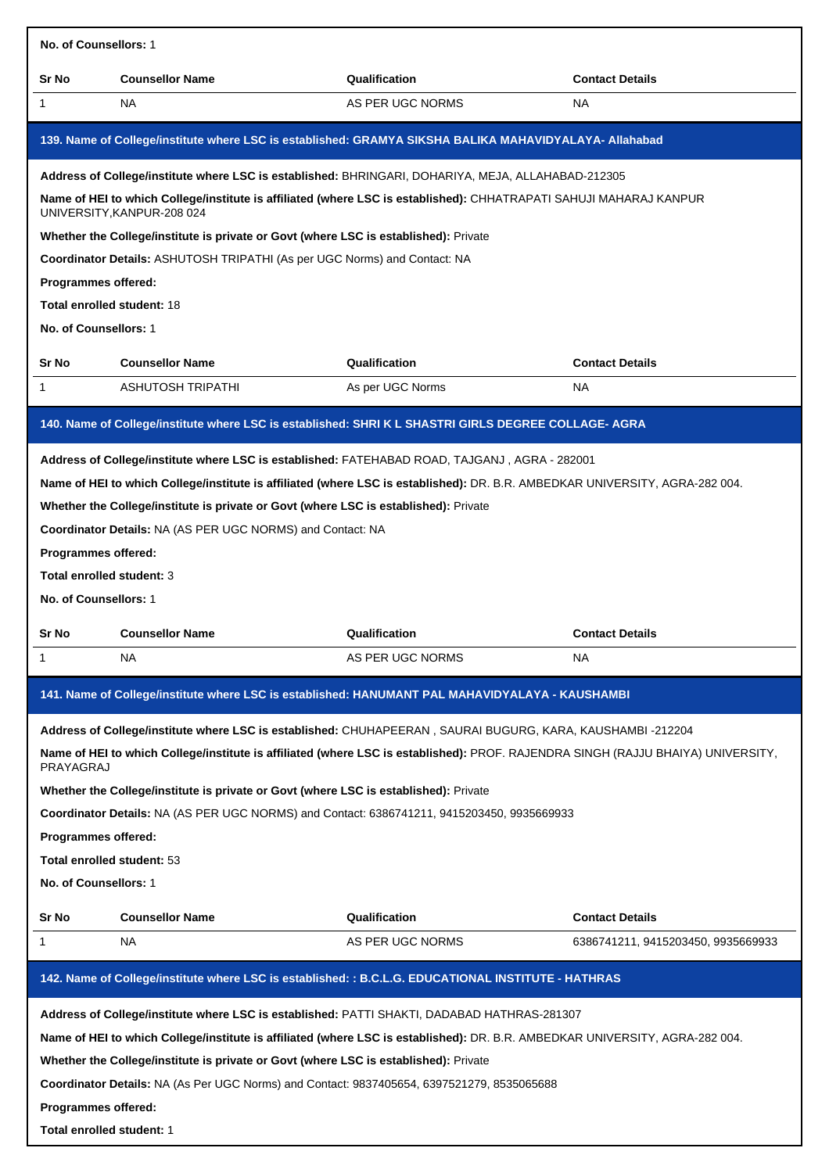| No. of Counsellors: 1                                                                      |                                                                                                                                                                                                                                                                                                                                                                                                                                                                                                                                                                                                     |                                                                                                                                                                                                                                           |                                    |  |  |
|--------------------------------------------------------------------------------------------|-----------------------------------------------------------------------------------------------------------------------------------------------------------------------------------------------------------------------------------------------------------------------------------------------------------------------------------------------------------------------------------------------------------------------------------------------------------------------------------------------------------------------------------------------------------------------------------------------------|-------------------------------------------------------------------------------------------------------------------------------------------------------------------------------------------------------------------------------------------|------------------------------------|--|--|
| Sr No                                                                                      | <b>Counsellor Name</b>                                                                                                                                                                                                                                                                                                                                                                                                                                                                                                                                                                              | Qualification                                                                                                                                                                                                                             | <b>Contact Details</b>             |  |  |
| 1                                                                                          | <b>NA</b>                                                                                                                                                                                                                                                                                                                                                                                                                                                                                                                                                                                           | AS PER UGC NORMS                                                                                                                                                                                                                          | <b>NA</b>                          |  |  |
|                                                                                            |                                                                                                                                                                                                                                                                                                                                                                                                                                                                                                                                                                                                     | 139. Name of College/institute where LSC is established: GRAMYA SIKSHA BALIKA MAHAVIDYALAYA- Allahabad                                                                                                                                    |                                    |  |  |
| Programmes offered:<br><b>Total enrolled student: 18</b><br>No. of Counsellors: 1<br>Sr No | UNIVERSITY, KANPUR-208 024<br>Whether the College/institute is private or Govt (where LSC is established): Private<br>Coordinator Details: ASHUTOSH TRIPATHI (As per UGC Norms) and Contact: NA<br><b>Counsellor Name</b>                                                                                                                                                                                                                                                                                                                                                                           | Address of College/institute where LSC is established: BHRINGARI, DOHARIYA, MEJA, ALLAHABAD-212305<br>Name of HEI to which College/institute is affiliated (where LSC is established): CHHATRAPATI SAHUJI MAHARAJ KANPUR<br>Qualification | <b>Contact Details</b>             |  |  |
| 1                                                                                          | <b>ASHUTOSH TRIPATHI</b>                                                                                                                                                                                                                                                                                                                                                                                                                                                                                                                                                                            | As per UGC Norms                                                                                                                                                                                                                          | <b>NA</b>                          |  |  |
|                                                                                            |                                                                                                                                                                                                                                                                                                                                                                                                                                                                                                                                                                                                     | 140. Name of College/institute where LSC is established: SHRI K L SHASTRI GIRLS DEGREE COLLAGE- AGRA                                                                                                                                      |                                    |  |  |
| Programmes offered:<br>Total enrolled student: 3<br>No. of Counsellors: 1                  | Whether the College/institute is private or Govt (where LSC is established): Private<br>Coordinator Details: NA (AS PER UGC NORMS) and Contact: NA                                                                                                                                                                                                                                                                                                                                                                                                                                                  | Address of College/institute where LSC is established: FATEHABAD ROAD, TAJGANJ, AGRA - 282001<br>Name of HEI to which College/institute is affiliated (where LSC is established): DR. B.R. AMBEDKAR UNIVERSITY, AGRA-282 004.             |                                    |  |  |
|                                                                                            |                                                                                                                                                                                                                                                                                                                                                                                                                                                                                                                                                                                                     |                                                                                                                                                                                                                                           |                                    |  |  |
| Sr No<br>1                                                                                 | <b>Counsellor Name</b><br><b>NA</b>                                                                                                                                                                                                                                                                                                                                                                                                                                                                                                                                                                 | Qualification<br>AS PER UGC NORMS                                                                                                                                                                                                         | <b>Contact Details</b><br>NA.      |  |  |
|                                                                                            |                                                                                                                                                                                                                                                                                                                                                                                                                                                                                                                                                                                                     |                                                                                                                                                                                                                                           |                                    |  |  |
| PRAYAGRAJ<br>No. of Counsellors: 1                                                         | 141. Name of College/institute where LSC is established: HANUMANT PAL MAHAVIDYALAYA - KAUSHAMBI<br>Address of College/institute where LSC is established: CHUHAPEERAN, SAURAI BUGURG, KARA, KAUSHAMBI -212204<br>Name of HEI to which College/institute is affiliated (where LSC is established): PROF. RAJENDRA SINGH (RAJJU BHAIYA) UNIVERSITY,<br>Whether the College/institute is private or Govt (where LSC is established): Private<br>Coordinator Details: NA (AS PER UGC NORMS) and Contact: 6386741211, 9415203450, 9935669933<br><b>Programmes offered:</b><br>Total enrolled student: 53 |                                                                                                                                                                                                                                           |                                    |  |  |
| Sr No                                                                                      | <b>Counsellor Name</b>                                                                                                                                                                                                                                                                                                                                                                                                                                                                                                                                                                              | Qualification                                                                                                                                                                                                                             | <b>Contact Details</b>             |  |  |
| 1                                                                                          | NA.                                                                                                                                                                                                                                                                                                                                                                                                                                                                                                                                                                                                 | AS PER UGC NORMS                                                                                                                                                                                                                          | 6386741211, 9415203450, 9935669933 |  |  |
|                                                                                            |                                                                                                                                                                                                                                                                                                                                                                                                                                                                                                                                                                                                     | 142. Name of College/institute where LSC is established: : B.C.L.G. EDUCATIONAL INSTITUTE - HATHRAS                                                                                                                                       |                                    |  |  |
| Programmes offered:                                                                        | Whether the College/institute is private or Govt (where LSC is established): Private<br>Coordinator Details: NA (As Per UGC Norms) and Contact: 9837405654, 6397521279, 8535065688                                                                                                                                                                                                                                                                                                                                                                                                                  | Address of College/institute where LSC is established: PATTI SHAKTI, DADABAD HATHRAS-281307<br>Name of HEI to which College/institute is affiliated (where LSC is established): DR. B.R. AMBEDKAR UNIVERSITY, AGRA-282 004.               |                                    |  |  |

**Total enrolled student:** 1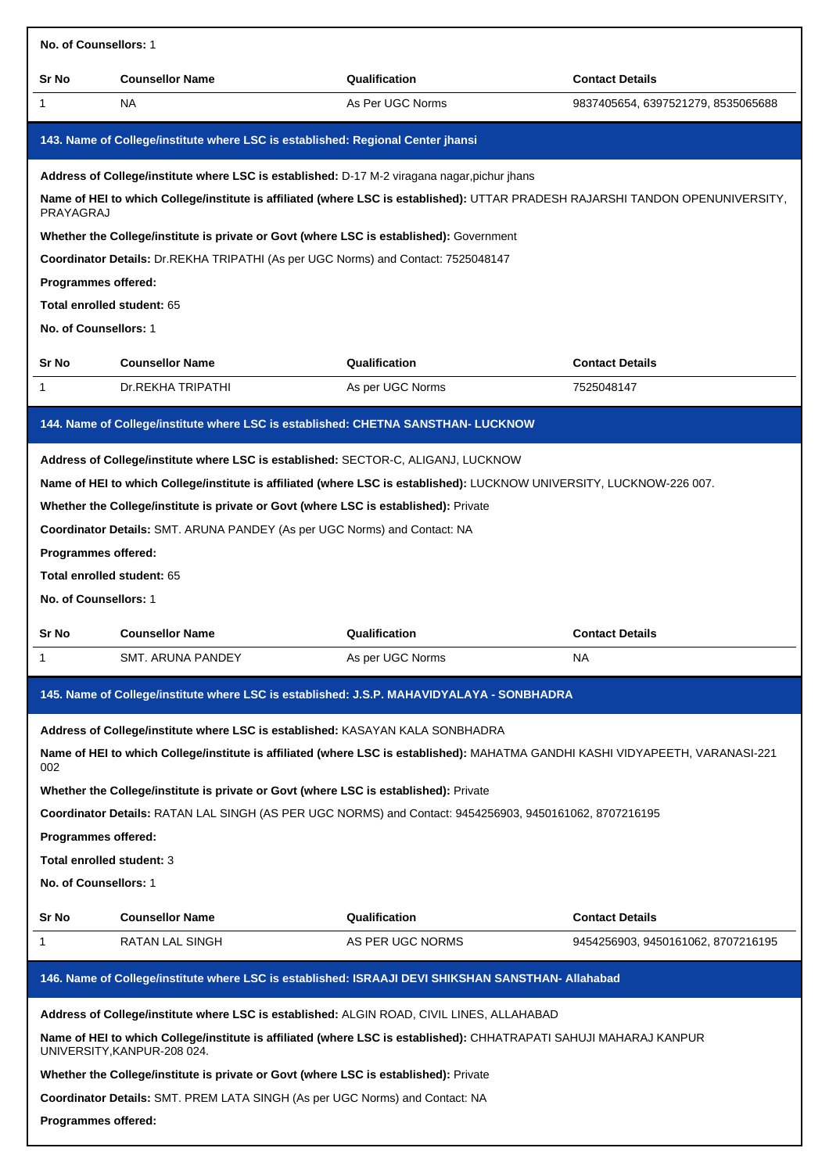| No. of Counsellors: 1                                                      |                                                                                                                                                                                                                                                                                                                                                                                 |                  |                                    |
|----------------------------------------------------------------------------|---------------------------------------------------------------------------------------------------------------------------------------------------------------------------------------------------------------------------------------------------------------------------------------------------------------------------------------------------------------------------------|------------------|------------------------------------|
| Sr No                                                                      | <b>Counsellor Name</b>                                                                                                                                                                                                                                                                                                                                                          | Qualification    | <b>Contact Details</b>             |
| 1                                                                          | <b>NA</b>                                                                                                                                                                                                                                                                                                                                                                       | As Per UGC Norms | 9837405654, 6397521279, 8535065688 |
|                                                                            | 143. Name of College/institute where LSC is established: Regional Center jhansi                                                                                                                                                                                                                                                                                                 |                  |                                    |
| PRAYAGRAJ                                                                  | Address of College/institute where LSC is established: D-17 M-2 viragana nagar, pichur jhans<br>Name of HEI to which College/institute is affiliated (where LSC is established): UTTAR PRADESH RAJARSHI TANDON OPENUNIVERSITY,                                                                                                                                                  |                  |                                    |
|                                                                            | Whether the College/institute is private or Govt (where LSC is established): Government                                                                                                                                                                                                                                                                                         |                  |                                    |
|                                                                            | Coordinator Details: Dr.REKHA TRIPATHI (As per UGC Norms) and Contact: 7525048147                                                                                                                                                                                                                                                                                               |                  |                                    |
| Programmes offered:                                                        |                                                                                                                                                                                                                                                                                                                                                                                 |                  |                                    |
| Total enrolled student: 65                                                 |                                                                                                                                                                                                                                                                                                                                                                                 |                  |                                    |
| No. of Counsellors: 1                                                      |                                                                                                                                                                                                                                                                                                                                                                                 |                  |                                    |
| Sr No                                                                      | <b>Counsellor Name</b>                                                                                                                                                                                                                                                                                                                                                          | Qualification    | <b>Contact Details</b>             |
| 1                                                                          | Dr.REKHA TRIPATHI                                                                                                                                                                                                                                                                                                                                                               | As per UGC Norms | 7525048147                         |
|                                                                            | 144. Name of College/institute where LSC is established: CHETNA SANSTHAN- LUCKNOW                                                                                                                                                                                                                                                                                               |                  |                                    |
| Programmes offered:<br>Total enrolled student: 65<br>No. of Counsellors: 1 | Address of College/institute where LSC is established: SECTOR-C, ALIGANJ, LUCKNOW<br>Name of HEI to which College/institute is affiliated (where LSC is established): LUCKNOW UNIVERSITY, LUCKNOW-226 007.<br>Whether the College/institute is private or Govt (where LSC is established): Private<br>Coordinator Details: SMT. ARUNA PANDEY (As per UGC Norms) and Contact: NA |                  |                                    |
| Sr No                                                                      | <b>Counsellor Name</b>                                                                                                                                                                                                                                                                                                                                                          | Qualification    | <b>Contact Details</b>             |
| 1                                                                          | SMT. ARUNA PANDEY                                                                                                                                                                                                                                                                                                                                                               | As per UGC Norms | <b>NA</b>                          |
|                                                                            | 145. Name of College/institute where LSC is established: J.S.P. MAHAVIDYALAYA - SONBHADRA                                                                                                                                                                                                                                                                                       |                  |                                    |
| 002                                                                        | Address of College/institute where LSC is established: KASAYAN KALA SONBHADRA<br>Name of HEI to which College/institute is affiliated (where LSC is established): MAHATMA GANDHI KASHI VIDYAPEETH, VARANASI-221                                                                                                                                                                 |                  |                                    |
|                                                                            | Whether the College/institute is private or Govt (where LSC is established): Private                                                                                                                                                                                                                                                                                            |                  |                                    |
|                                                                            | Coordinator Details: RATAN LAL SINGH (AS PER UGC NORMS) and Contact: 9454256903, 9450161062, 8707216195                                                                                                                                                                                                                                                                         |                  |                                    |
| Programmes offered:                                                        |                                                                                                                                                                                                                                                                                                                                                                                 |                  |                                    |
| Total enrolled student: 3<br><b>No. of Counsellors: 1</b>                  |                                                                                                                                                                                                                                                                                                                                                                                 |                  |                                    |
|                                                                            |                                                                                                                                                                                                                                                                                                                                                                                 |                  |                                    |
| Sr No                                                                      | <b>Counsellor Name</b>                                                                                                                                                                                                                                                                                                                                                          | Qualification    | <b>Contact Details</b>             |
| 1                                                                          | RATAN LAL SINGH                                                                                                                                                                                                                                                                                                                                                                 | AS PER UGC NORMS | 9454256903, 9450161062, 8707216195 |
|                                                                            | 146. Name of College/institute where LSC is established: ISRAAJI DEVI SHIKSHAN SANSTHAN- Allahabad                                                                                                                                                                                                                                                                              |                  |                                    |
|                                                                            | Address of College/institute where LSC is established: ALGIN ROAD, CIVIL LINES, ALLAHABAD                                                                                                                                                                                                                                                                                       |                  |                                    |
|                                                                            | Name of HEI to which College/institute is affiliated (where LSC is established): CHHATRAPATI SAHUJI MAHARAJ KANPUR<br>UNIVERSITY, KANPUR-208 024.                                                                                                                                                                                                                               |                  |                                    |
|                                                                            | Whether the College/institute is private or Govt (where LSC is established): Private                                                                                                                                                                                                                                                                                            |                  |                                    |
|                                                                            | Coordinator Details: SMT. PREM LATA SINGH (As per UGC Norms) and Contact: NA                                                                                                                                                                                                                                                                                                    |                  |                                    |
| Programmes offered:                                                        |                                                                                                                                                                                                                                                                                                                                                                                 |                  |                                    |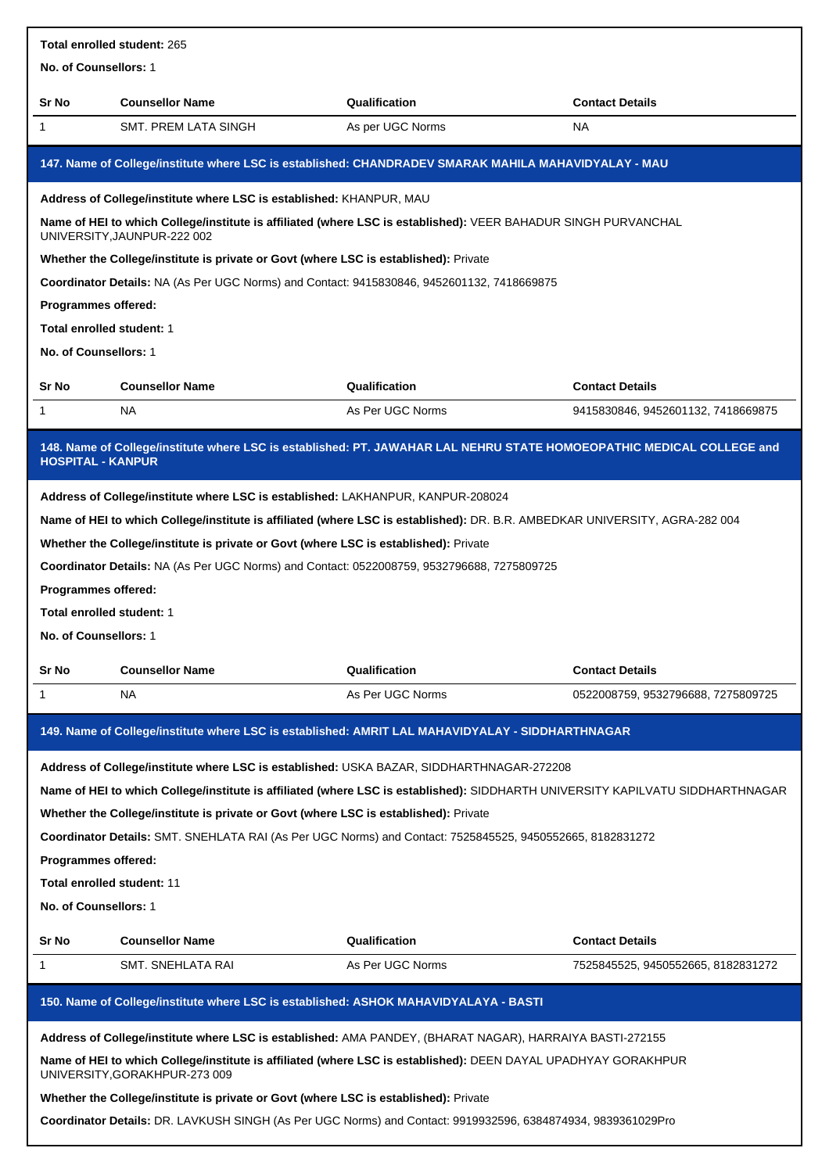|                                                                     | Total enrolled student: 265                                                                                                                     |                  |                                                                                                                                |  |  |
|---------------------------------------------------------------------|-------------------------------------------------------------------------------------------------------------------------------------------------|------------------|--------------------------------------------------------------------------------------------------------------------------------|--|--|
| No. of Counsellors: 1                                               |                                                                                                                                                 |                  |                                                                                                                                |  |  |
| Sr No                                                               | <b>Counsellor Name</b>                                                                                                                          | Qualification    | <b>Contact Details</b>                                                                                                         |  |  |
| $\mathbf{1}$                                                        | SMT. PREM LATA SINGH                                                                                                                            | As per UGC Norms | <b>NA</b>                                                                                                                      |  |  |
|                                                                     | 147. Name of College/institute where LSC is established: CHANDRADEV SMARAK MAHILA MAHAVIDYALAY - MAU                                            |                  |                                                                                                                                |  |  |
| Address of College/institute where LSC is established: KHANPUR, MAU |                                                                                                                                                 |                  |                                                                                                                                |  |  |
|                                                                     | Name of HEI to which College/institute is affiliated (where LSC is established): VEER BAHADUR SINGH PURVANCHAL<br>UNIVERSITY, JAUNPUR-222 002   |                  |                                                                                                                                |  |  |
|                                                                     | Whether the College/institute is private or Govt (where LSC is established): Private                                                            |                  |                                                                                                                                |  |  |
|                                                                     | Coordinator Details: NA (As Per UGC Norms) and Contact: 9415830846, 9452601132, 7418669875                                                      |                  |                                                                                                                                |  |  |
| Programmes offered:                                                 |                                                                                                                                                 |                  |                                                                                                                                |  |  |
| Total enrolled student: 1                                           |                                                                                                                                                 |                  |                                                                                                                                |  |  |
| No. of Counsellors: 1                                               |                                                                                                                                                 |                  |                                                                                                                                |  |  |
| Sr No                                                               | <b>Counsellor Name</b>                                                                                                                          | Qualification    | <b>Contact Details</b>                                                                                                         |  |  |
| $\mathbf{1}$                                                        | NA.                                                                                                                                             | As Per UGC Norms | 9415830846, 9452601132, 7418669875                                                                                             |  |  |
| <b>HOSPITAL - KANPUR</b>                                            | 148. Name of College/institute where LSC is established: PT. JAWAHAR LAL NEHRU STATE HOMOEOPATHIC MEDICAL COLLEGE and                           |                  |                                                                                                                                |  |  |
|                                                                     | Address of College/institute where LSC is established: LAKHANPUR, KANPUR-208024                                                                 |                  |                                                                                                                                |  |  |
|                                                                     | Name of HEI to which College/institute is affiliated (where LSC is established): DR. B.R. AMBEDKAR UNIVERSITY, AGRA-282 004                     |                  |                                                                                                                                |  |  |
|                                                                     | Whether the College/institute is private or Govt (where LSC is established): Private                                                            |                  |                                                                                                                                |  |  |
|                                                                     | Coordinator Details: NA (As Per UGC Norms) and Contact: 0522008759, 9532796688, 7275809725                                                      |                  |                                                                                                                                |  |  |
| Programmes offered:                                                 |                                                                                                                                                 |                  |                                                                                                                                |  |  |
| Total enrolled student: 1                                           |                                                                                                                                                 |                  |                                                                                                                                |  |  |
| No. of Counsellors: 1                                               |                                                                                                                                                 |                  |                                                                                                                                |  |  |
| Sr No                                                               | <b>Counsellor Name</b>                                                                                                                          | Qualification    | <b>Contact Details</b>                                                                                                         |  |  |
| 1                                                                   | NA                                                                                                                                              | As Per UGC Norms | 0522008759, 9532796688, 7275809725                                                                                             |  |  |
|                                                                     |                                                                                                                                                 |                  |                                                                                                                                |  |  |
|                                                                     | 149. Name of College/institute where LSC is established: AMRIT LAL MAHAVIDYALAY - SIDDHARTHNAGAR                                                |                  |                                                                                                                                |  |  |
|                                                                     | Address of College/institute where LSC is established: USKA BAZAR, SIDDHARTHNAGAR-272208                                                        |                  |                                                                                                                                |  |  |
|                                                                     |                                                                                                                                                 |                  | Name of HEI to which College/institute is affiliated (where LSC is established): SIDDHARTH UNIVERSITY KAPILVATU SIDDHARTHNAGAR |  |  |
|                                                                     | Whether the College/institute is private or Govt (where LSC is established): Private                                                            |                  |                                                                                                                                |  |  |
|                                                                     | Coordinator Details: SMT. SNEHLATA RAI (As Per UGC Norms) and Contact: 7525845525, 9450552665, 8182831272                                       |                  |                                                                                                                                |  |  |
| Programmes offered:                                                 |                                                                                                                                                 |                  |                                                                                                                                |  |  |
| Total enrolled student: 11                                          |                                                                                                                                                 |                  |                                                                                                                                |  |  |
| No. of Counsellors: 1                                               |                                                                                                                                                 |                  |                                                                                                                                |  |  |
| Sr No                                                               | <b>Counsellor Name</b>                                                                                                                          | Qualification    | <b>Contact Details</b>                                                                                                         |  |  |
| 1                                                                   | SMT. SNEHLATA RAI                                                                                                                               | As Per UGC Norms | 7525845525, 9450552665, 8182831272                                                                                             |  |  |
|                                                                     |                                                                                                                                                 |                  |                                                                                                                                |  |  |
|                                                                     | 150. Name of College/institute where LSC is established: ASHOK MAHAVIDYALAYA - BASTI                                                            |                  |                                                                                                                                |  |  |
|                                                                     | Address of College/institute where LSC is established: AMA PANDEY, (BHARAT NAGAR), HARRAIYA BASTI-272155                                        |                  |                                                                                                                                |  |  |
|                                                                     | Name of HEI to which College/institute is affiliated (where LSC is established): DEEN DAYAL UPADHYAY GORAKHPUR<br>UNIVERSITY, GORAKHPUR-273 009 |                  |                                                                                                                                |  |  |
|                                                                     | Whether the College/institute is private or Govt (where LSC is established): Private                                                            |                  |                                                                                                                                |  |  |
|                                                                     | Coordinator Details: DR. LAVKUSH SINGH (As Per UGC Norms) and Contact: 9919932596, 6384874934, 9839361029Pro                                    |                  |                                                                                                                                |  |  |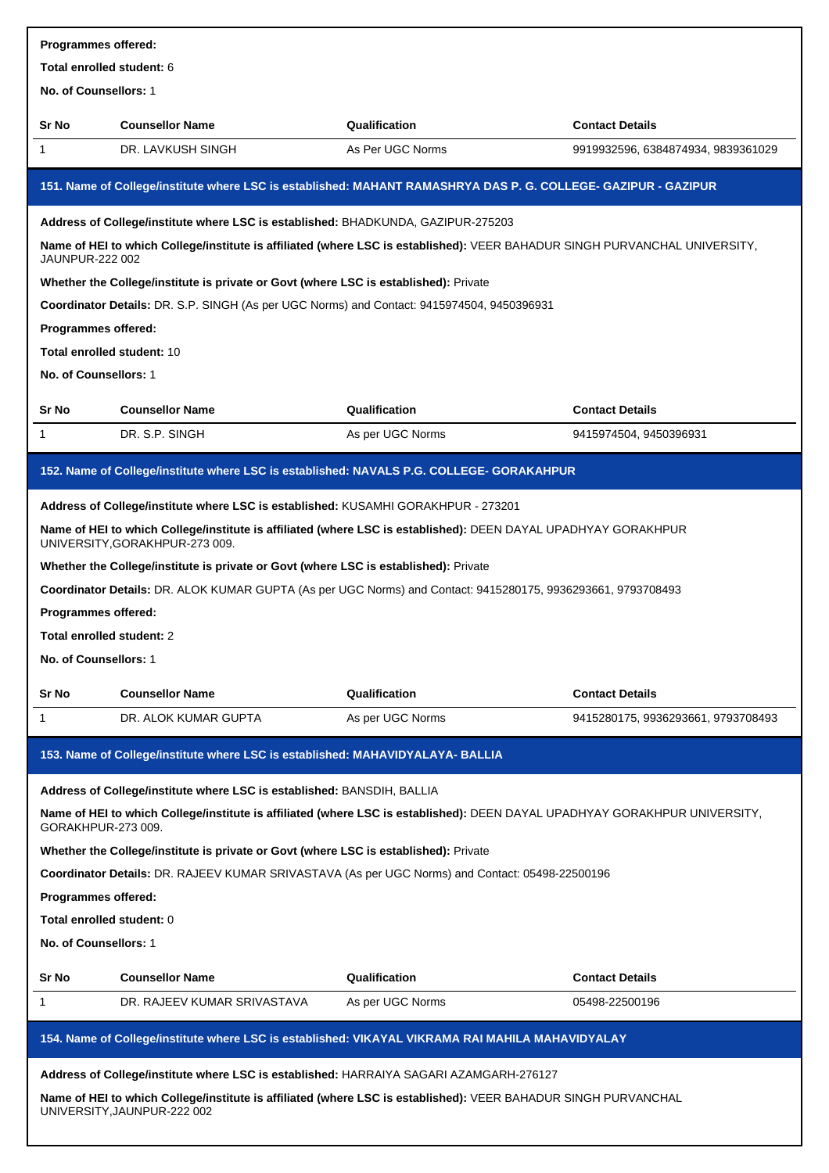| Programmes offered:                                                                                                                                                                                            |                                                                                                                                                                                                                                         |                  |                                    |  |  |
|----------------------------------------------------------------------------------------------------------------------------------------------------------------------------------------------------------------|-----------------------------------------------------------------------------------------------------------------------------------------------------------------------------------------------------------------------------------------|------------------|------------------------------------|--|--|
| Total enrolled student: 6<br>No. of Counsellors: 1                                                                                                                                                             |                                                                                                                                                                                                                                         |                  |                                    |  |  |
|                                                                                                                                                                                                                |                                                                                                                                                                                                                                         |                  |                                    |  |  |
| Sr No                                                                                                                                                                                                          | <b>Counsellor Name</b>                                                                                                                                                                                                                  | Qualification    | <b>Contact Details</b>             |  |  |
| 1                                                                                                                                                                                                              | DR. LAVKUSH SINGH                                                                                                                                                                                                                       | As Per UGC Norms | 9919932596, 6384874934, 9839361029 |  |  |
|                                                                                                                                                                                                                | 151. Name of College/institute where LSC is established: MAHANT RAMASHRYA DAS P. G. COLLEGE- GAZIPUR - GAZIPUR                                                                                                                          |                  |                                    |  |  |
| Address of College/institute where LSC is established: BHADKUNDA, GAZIPUR-275203<br>Name of HEI to which College/institute is affiliated (where LSC is established): VEER BAHADUR SINGH PURVANCHAL UNIVERSITY, |                                                                                                                                                                                                                                         |                  |                                    |  |  |
|                                                                                                                                                                                                                | <b>JAUNPUR-222 002</b><br>Whether the College/institute is private or Govt (where LSC is established): Private                                                                                                                          |                  |                                    |  |  |
|                                                                                                                                                                                                                | Coordinator Details: DR. S.P. SINGH (As per UGC Norms) and Contact: 9415974504, 9450396931                                                                                                                                              |                  |                                    |  |  |
| Programmes offered:                                                                                                                                                                                            |                                                                                                                                                                                                                                         |                  |                                    |  |  |
| <b>Total enrolled student: 10</b>                                                                                                                                                                              |                                                                                                                                                                                                                                         |                  |                                    |  |  |
| No. of Counsellors: 1                                                                                                                                                                                          |                                                                                                                                                                                                                                         |                  |                                    |  |  |
|                                                                                                                                                                                                                |                                                                                                                                                                                                                                         |                  |                                    |  |  |
| Sr No                                                                                                                                                                                                          | <b>Counsellor Name</b>                                                                                                                                                                                                                  | Qualification    | <b>Contact Details</b>             |  |  |
| 1                                                                                                                                                                                                              | DR. S.P. SINGH                                                                                                                                                                                                                          | As per UGC Norms | 9415974504, 9450396931             |  |  |
|                                                                                                                                                                                                                | 152. Name of College/institute where LSC is established: NAVALS P.G. COLLEGE- GORAKAHPUR                                                                                                                                                |                  |                                    |  |  |
|                                                                                                                                                                                                                | Address of College/institute where LSC is established: KUSAMHI GORAKHPUR - 273201                                                                                                                                                       |                  |                                    |  |  |
|                                                                                                                                                                                                                | Name of HEI to which College/institute is affiliated (where LSC is established): DEEN DAYAL UPADHYAY GORAKHPUR<br>UNIVERSITY, GORAKHPUR-273 009.                                                                                        |                  |                                    |  |  |
|                                                                                                                                                                                                                | Whether the College/institute is private or Govt (where LSC is established): Private                                                                                                                                                    |                  |                                    |  |  |
|                                                                                                                                                                                                                | Coordinator Details: DR. ALOK KUMAR GUPTA (As per UGC Norms) and Contact: 9415280175, 9936293661, 9793708493                                                                                                                            |                  |                                    |  |  |
| Programmes offered:                                                                                                                                                                                            |                                                                                                                                                                                                                                         |                  |                                    |  |  |
| Total enrolled student: 2                                                                                                                                                                                      |                                                                                                                                                                                                                                         |                  |                                    |  |  |
| No. of Counsellors: 1                                                                                                                                                                                          |                                                                                                                                                                                                                                         |                  |                                    |  |  |
| Sr No                                                                                                                                                                                                          | <b>Counsellor Name</b>                                                                                                                                                                                                                  | Qualification    | <b>Contact Details</b>             |  |  |
| 1                                                                                                                                                                                                              | DR. ALOK KUMAR GUPTA                                                                                                                                                                                                                    | As per UGC Norms | 9415280175, 9936293661, 9793708493 |  |  |
|                                                                                                                                                                                                                | 153. Name of College/institute where LSC is established: MAHAVIDYALAYA- BALLIA                                                                                                                                                          |                  |                                    |  |  |
|                                                                                                                                                                                                                | Address of College/institute where LSC is established: BANSDIH, BALLIA                                                                                                                                                                  |                  |                                    |  |  |
| GORAKHPUR-273 009.                                                                                                                                                                                             | Name of HEI to which College/institute is affiliated (where LSC is established): DEEN DAYAL UPADHYAY GORAKHPUR UNIVERSITY,                                                                                                              |                  |                                    |  |  |
|                                                                                                                                                                                                                | Whether the College/institute is private or Govt (where LSC is established): Private                                                                                                                                                    |                  |                                    |  |  |
|                                                                                                                                                                                                                | Coordinator Details: DR. RAJEEV KUMAR SRIVASTAVA (As per UGC Norms) and Contact: 05498-22500196                                                                                                                                         |                  |                                    |  |  |
| Programmes offered:                                                                                                                                                                                            |                                                                                                                                                                                                                                         |                  |                                    |  |  |
| Total enrolled student: 0                                                                                                                                                                                      |                                                                                                                                                                                                                                         |                  |                                    |  |  |
| No. of Counsellors: 1                                                                                                                                                                                          |                                                                                                                                                                                                                                         |                  |                                    |  |  |
| Sr No                                                                                                                                                                                                          | <b>Counsellor Name</b>                                                                                                                                                                                                                  | Qualification    | <b>Contact Details</b>             |  |  |
| 1                                                                                                                                                                                                              | DR. RAJEEV KUMAR SRIVASTAVA                                                                                                                                                                                                             | As per UGC Norms | 05498-22500196                     |  |  |
|                                                                                                                                                                                                                | 154. Name of College/institute where LSC is established: VIKAYAL VIKRAMA RAI MAHILA MAHAVIDYALAY                                                                                                                                        |                  |                                    |  |  |
|                                                                                                                                                                                                                |                                                                                                                                                                                                                                         |                  |                                    |  |  |
|                                                                                                                                                                                                                | Address of College/institute where LSC is established: HARRAIYA SAGARI AZAMGARH-276127<br>Name of HEI to which College/institute is affiliated (where LSC is established): VEER BAHADUR SINGH PURVANCHAL<br>UNIVERSITY, JAUNPUR-222 002 |                  |                                    |  |  |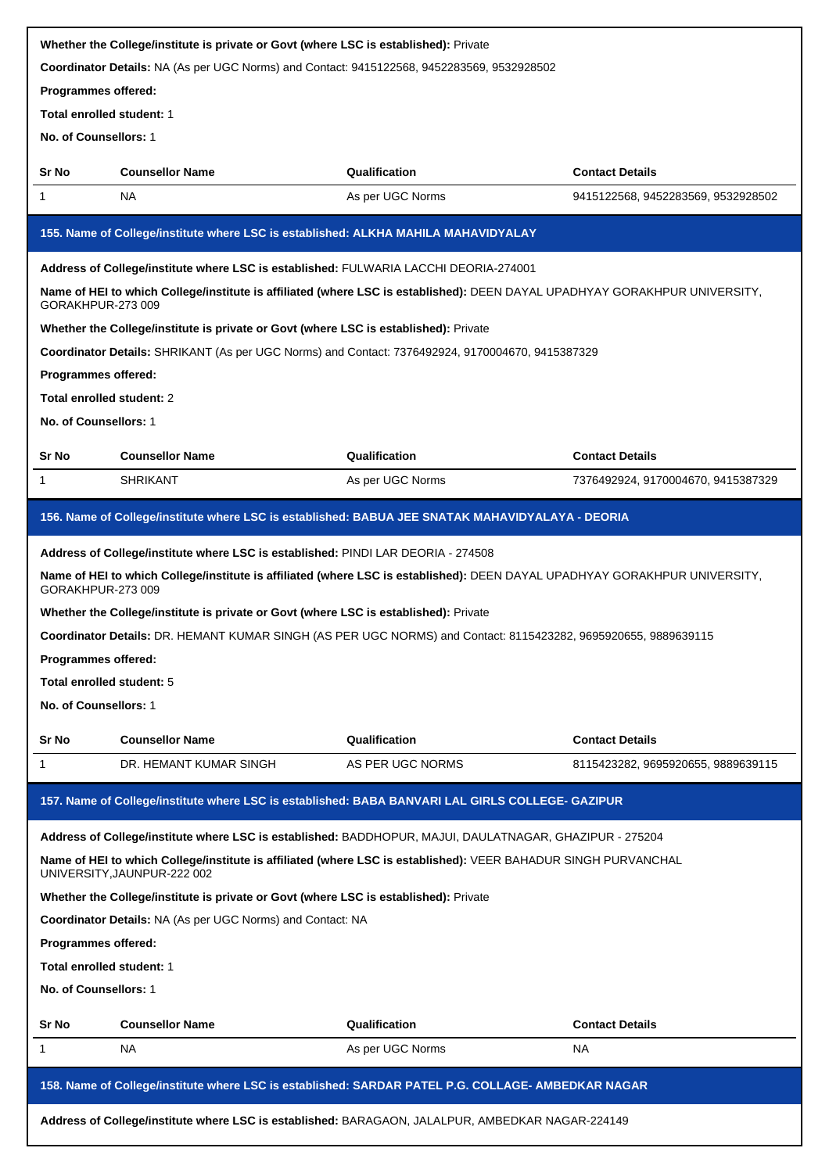|                            | Whether the College/institute is private or Govt (where LSC is established): Private                                                          |                  |                                    |
|----------------------------|-----------------------------------------------------------------------------------------------------------------------------------------------|------------------|------------------------------------|
|                            | Coordinator Details: NA (As per UGC Norms) and Contact: 9415122568, 9452283569, 9532928502                                                    |                  |                                    |
| Programmes offered:        |                                                                                                                                               |                  |                                    |
| Total enrolled student: 1  |                                                                                                                                               |                  |                                    |
| No. of Counsellors: 1      |                                                                                                                                               |                  |                                    |
| Sr No                      | <b>Counsellor Name</b>                                                                                                                        | Qualification    | <b>Contact Details</b>             |
| 1                          | NA                                                                                                                                            | As per UGC Norms | 9415122568, 9452283569, 9532928502 |
|                            | 155. Name of College/institute where LSC is established: ALKHA MAHILA MAHAVIDYALAY                                                            |                  |                                    |
|                            | Address of College/institute where LSC is established: FULWARIA LACCHI DEORIA-274001                                                          |                  |                                    |
| GORAKHPUR-273 009          | Name of HEI to which College/institute is affiliated (where LSC is established): DEEN DAYAL UPADHYAY GORAKHPUR UNIVERSITY,                    |                  |                                    |
|                            | Whether the College/institute is private or Govt (where LSC is established): Private                                                          |                  |                                    |
|                            | Coordinator Details: SHRIKANT (As per UGC Norms) and Contact: 7376492924, 9170004670, 9415387329                                              |                  |                                    |
| Programmes offered:        |                                                                                                                                               |                  |                                    |
| Total enrolled student: 2  |                                                                                                                                               |                  |                                    |
| No. of Counsellors: 1      |                                                                                                                                               |                  |                                    |
| Sr No                      | <b>Counsellor Name</b>                                                                                                                        | Qualification    | <b>Contact Details</b>             |
| 1                          | <b>SHRIKANT</b>                                                                                                                               | As per UGC Norms | 7376492924, 9170004670, 9415387329 |
|                            | 156. Name of College/institute where LSC is established: BABUA JEE SNATAK MAHAVIDYALAYA - DEORIA                                              |                  |                                    |
|                            | Address of College/institute where LSC is established: PINDI LAR DEORIA - 274508                                                              |                  |                                    |
| GORAKHPUR-273 009          | Name of HEI to which College/institute is affiliated (where LSC is established): DEEN DAYAL UPADHYAY GORAKHPUR UNIVERSITY,                    |                  |                                    |
|                            | Whether the College/institute is private or Govt (where LSC is established): Private                                                          |                  |                                    |
|                            | Coordinator Details: DR. HEMANT KUMAR SINGH (AS PER UGC NORMS) and Contact: 8115423282, 9695920655, 9889639115                                |                  |                                    |
| <b>Programmes offered:</b> |                                                                                                                                               |                  |                                    |
| Total enrolled student: 5  |                                                                                                                                               |                  |                                    |
| No. of Counsellors: 1      |                                                                                                                                               |                  |                                    |
| Sr No                      | <b>Counsellor Name</b>                                                                                                                        | Qualification    | <b>Contact Details</b>             |
| 1                          | DR. HEMANT KUMAR SINGH                                                                                                                        | AS PER UGC NORMS | 8115423282, 9695920655, 9889639115 |
|                            | 157. Name of College/institute where LSC is established: BABA BANVARI LAL GIRLS COLLEGE- GAZIPUR                                              |                  |                                    |
|                            | Address of College/institute where LSC is established: BADDHOPUR, MAJUI, DAULATNAGAR, GHAZIPUR - 275204                                       |                  |                                    |
|                            | Name of HEI to which College/institute is affiliated (where LSC is established): VEER BAHADUR SINGH PURVANCHAL<br>UNIVERSITY, JAUNPUR-222 002 |                  |                                    |
|                            | Whether the College/institute is private or Govt (where LSC is established): Private                                                          |                  |                                    |
|                            | Coordinator Details: NA (As per UGC Norms) and Contact: NA                                                                                    |                  |                                    |
| Programmes offered:        |                                                                                                                                               |                  |                                    |
| Total enrolled student: 1  |                                                                                                                                               |                  |                                    |
| No. of Counsellors: 1      |                                                                                                                                               |                  |                                    |
| Sr No                      | <b>Counsellor Name</b>                                                                                                                        | Qualification    | <b>Contact Details</b>             |
| 1                          | NA                                                                                                                                            | As per UGC Norms | NA.                                |
|                            | 158. Name of College/institute where LSC is established: SARDAR PATEL P.G. COLLAGE- AMBEDKAR NAGAR                                            |                  |                                    |
|                            | Address of College/institute where LSC is established: BARAGAON, JALALPUR, AMBEDKAR NAGAR-224149                                              |                  |                                    |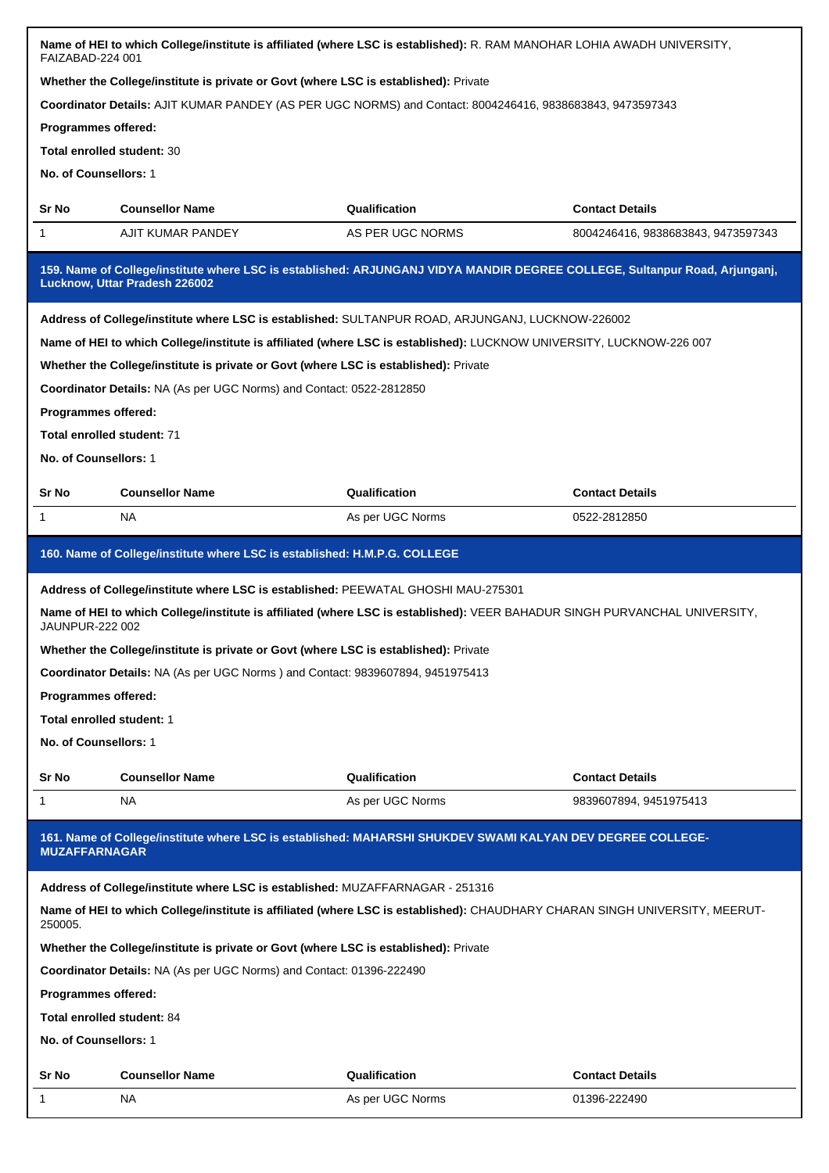| FAIZABAD-224 001                                                                     |                                                                                      | Name of HEI to which College/institute is affiliated (where LSC is established): R. RAM MANOHAR LOHIA AWADH UNIVERSITY,     |                                    |  |
|--------------------------------------------------------------------------------------|--------------------------------------------------------------------------------------|-----------------------------------------------------------------------------------------------------------------------------|------------------------------------|--|
| Whether the College/institute is private or Govt (where LSC is established): Private |                                                                                      |                                                                                                                             |                                    |  |
|                                                                                      |                                                                                      | Coordinator Details: AJIT KUMAR PANDEY (AS PER UGC NORMS) and Contact: 8004246416, 9838683843, 9473597343                   |                                    |  |
| Programmes offered:                                                                  |                                                                                      |                                                                                                                             |                                    |  |
| Total enrolled student: 30                                                           |                                                                                      |                                                                                                                             |                                    |  |
| No. of Counsellors: 1                                                                |                                                                                      |                                                                                                                             |                                    |  |
| Sr No                                                                                | <b>Counsellor Name</b>                                                               | Qualification                                                                                                               | <b>Contact Details</b>             |  |
| 1                                                                                    | AJIT KUMAR PANDEY                                                                    | AS PER UGC NORMS                                                                                                            | 8004246416, 9838683843, 9473597343 |  |
|                                                                                      | Lucknow, Uttar Pradesh 226002                                                        | 159. Name of College/institute where LSC is established: ARJUNGANJ VIDYA MANDIR DEGREE COLLEGE, Sultanpur Road, Arjunganj,  |                                    |  |
|                                                                                      |                                                                                      | Address of College/institute where LSC is established: SULTANPUR ROAD, ARJUNGANJ, LUCKNOW-226002                            |                                    |  |
|                                                                                      |                                                                                      | Name of HEI to which College/institute is affiliated (where LSC is established): LUCKNOW UNIVERSITY, LUCKNOW-226 007        |                                    |  |
|                                                                                      | Whether the College/institute is private or Govt (where LSC is established): Private |                                                                                                                             |                                    |  |
|                                                                                      | Coordinator Details: NA (As per UGC Norms) and Contact: 0522-2812850                 |                                                                                                                             |                                    |  |
| Programmes offered:                                                                  |                                                                                      |                                                                                                                             |                                    |  |
| Total enrolled student: 71                                                           |                                                                                      |                                                                                                                             |                                    |  |
| No. of Counsellors: 1                                                                |                                                                                      |                                                                                                                             |                                    |  |
| Sr No                                                                                | <b>Counsellor Name</b>                                                               | Qualification                                                                                                               | <b>Contact Details</b>             |  |
| 1                                                                                    | NA                                                                                   | As per UGC Norms                                                                                                            | 0522-2812850                       |  |
|                                                                                      |                                                                                      |                                                                                                                             |                                    |  |
| 160. Name of College/institute where LSC is established: H.M.P.G. COLLEGE            |                                                                                      |                                                                                                                             |                                    |  |
| Address of College/institute where LSC is established: PEEWATAL GHOSHI MAU-275301    |                                                                                      |                                                                                                                             |                                    |  |
|                                                                                      |                                                                                      |                                                                                                                             |                                    |  |
| <b>JAUNPUR-222 002</b>                                                               |                                                                                      | Name of HEI to which College/institute is affiliated (where LSC is established): VEER BAHADUR SINGH PURVANCHAL UNIVERSITY,  |                                    |  |
|                                                                                      | Whether the College/institute is private or Govt (where LSC is established): Private |                                                                                                                             |                                    |  |
|                                                                                      | Coordinator Details: NA (As per UGC Norms) and Contact: 9839607894, 9451975413       |                                                                                                                             |                                    |  |
| Programmes offered:                                                                  |                                                                                      |                                                                                                                             |                                    |  |
| Total enrolled student: 1                                                            |                                                                                      |                                                                                                                             |                                    |  |
| No. of Counsellors: 1                                                                |                                                                                      |                                                                                                                             |                                    |  |
| Sr No                                                                                | <b>Counsellor Name</b>                                                               | Qualification                                                                                                               | <b>Contact Details</b>             |  |
| 1                                                                                    | ΝA                                                                                   | As per UGC Norms                                                                                                            | 9839607894, 9451975413             |  |
| <b>MUZAFFARNAGAR</b>                                                                 |                                                                                      | 161. Name of College/institute where LSC is established: MAHARSHI SHUKDEV SWAMI KALYAN DEV DEGREE COLLEGE-                  |                                    |  |
|                                                                                      |                                                                                      |                                                                                                                             |                                    |  |
| 250005.                                                                              | Address of College/institute where LSC is established: MUZAFFARNAGAR - 251316        | Name of HEI to which College/institute is affiliated (where LSC is established): CHAUDHARY CHARAN SINGH UNIVERSITY, MEERUT- |                                    |  |
|                                                                                      | Whether the College/institute is private or Govt (where LSC is established): Private |                                                                                                                             |                                    |  |
|                                                                                      |                                                                                      |                                                                                                                             |                                    |  |
| Programmes offered:                                                                  | Coordinator Details: NA (As per UGC Norms) and Contact: 01396-222490                 |                                                                                                                             |                                    |  |
| Total enrolled student: 84                                                           |                                                                                      |                                                                                                                             |                                    |  |
| No. of Counsellors: 1                                                                |                                                                                      |                                                                                                                             |                                    |  |
| Sr No                                                                                | <b>Counsellor Name</b>                                                               | Qualification                                                                                                               | <b>Contact Details</b>             |  |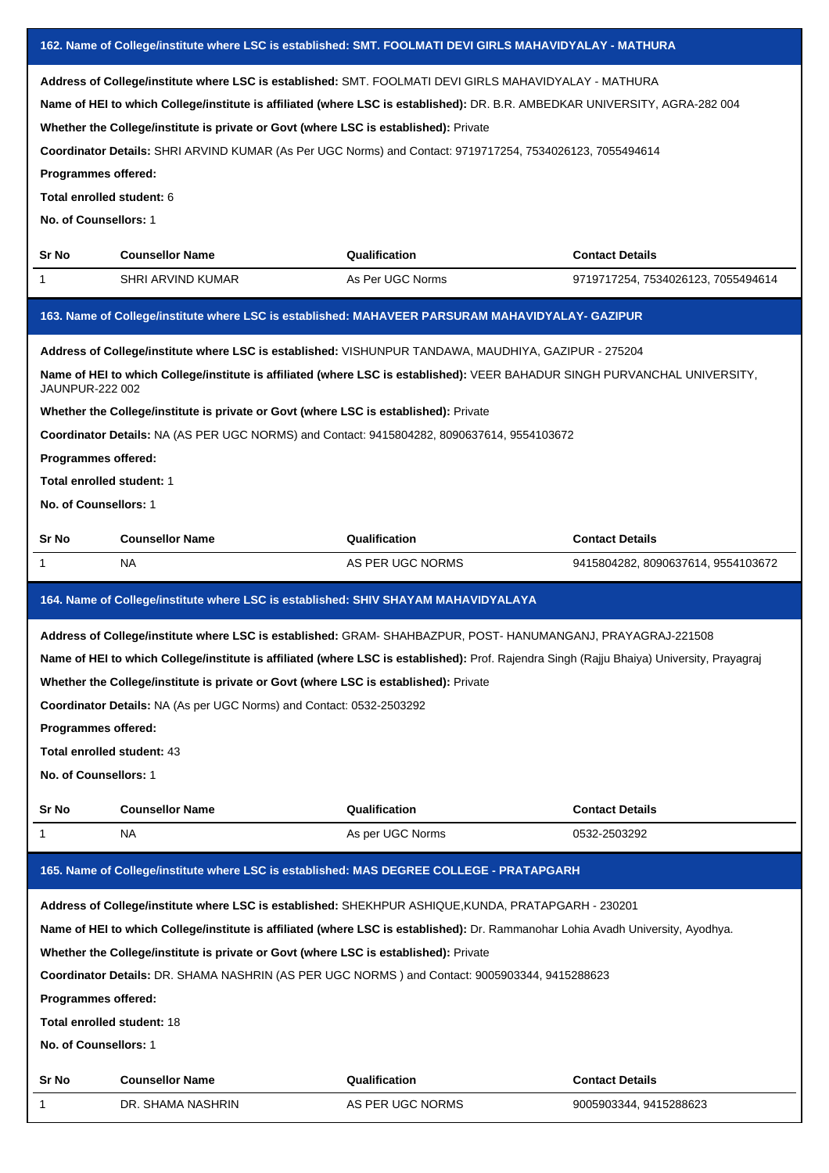| 162. Name of College/institute where LSC is established: SMT. FOOLMATI DEVI GIRLS MAHAVIDYALAY - MATHURA |                                                                                      |                                                                                                                                                                                                                                                                                                                                                    |                                    |  |
|----------------------------------------------------------------------------------------------------------|--------------------------------------------------------------------------------------|----------------------------------------------------------------------------------------------------------------------------------------------------------------------------------------------------------------------------------------------------------------------------------------------------------------------------------------------------|------------------------------------|--|
| Programmes offered:<br>Total enrolled student: 6<br>No. of Counsellors: 1                                | Whether the College/institute is private or Govt (where LSC is established): Private | Address of College/institute where LSC is established: SMT. FOOLMATI DEVI GIRLS MAHAVIDYALAY - MATHURA<br>Name of HEI to which College/institute is affiliated (where LSC is established): DR. B.R. AMBEDKAR UNIVERSITY, AGRA-282 004<br>Coordinator Details: SHRI ARVIND KUMAR (As Per UGC Norms) and Contact: 9719717254, 7534026123, 7055494614 |                                    |  |
| Sr No                                                                                                    | <b>Counsellor Name</b>                                                               | Qualification                                                                                                                                                                                                                                                                                                                                      | <b>Contact Details</b>             |  |
| 1                                                                                                        | SHRI ARVIND KUMAR                                                                    | As Per UGC Norms                                                                                                                                                                                                                                                                                                                                   | 9719717254, 7534026123, 7055494614 |  |
|                                                                                                          |                                                                                      | 163. Name of College/institute where LSC is established: MAHAVEER PARSURAM MAHAVIDYALAY- GAZIPUR                                                                                                                                                                                                                                                   |                                    |  |
|                                                                                                          |                                                                                      | Address of College/institute where LSC is established: VISHUNPUR TANDAWA, MAUDHIYA, GAZIPUR - 275204                                                                                                                                                                                                                                               |                                    |  |
| JAUNPUR-222 002                                                                                          |                                                                                      | Name of HEI to which College/institute is affiliated (where LSC is established): VEER BAHADUR SINGH PURVANCHAL UNIVERSITY,                                                                                                                                                                                                                         |                                    |  |
|                                                                                                          | Whether the College/institute is private or Govt (where LSC is established): Private |                                                                                                                                                                                                                                                                                                                                                    |                                    |  |
|                                                                                                          |                                                                                      | Coordinator Details: NA (AS PER UGC NORMS) and Contact: 9415804282, 8090637614, 9554103672                                                                                                                                                                                                                                                         |                                    |  |
| Programmes offered:                                                                                      |                                                                                      |                                                                                                                                                                                                                                                                                                                                                    |                                    |  |
| Total enrolled student: 1                                                                                |                                                                                      |                                                                                                                                                                                                                                                                                                                                                    |                                    |  |
| No. of Counsellors: 1                                                                                    |                                                                                      |                                                                                                                                                                                                                                                                                                                                                    |                                    |  |
| Sr No                                                                                                    | <b>Counsellor Name</b>                                                               | Qualification                                                                                                                                                                                                                                                                                                                                      | <b>Contact Details</b>             |  |
| 1                                                                                                        | NA                                                                                   | AS PER UGC NORMS                                                                                                                                                                                                                                                                                                                                   | 9415804282, 8090637614, 9554103672 |  |
| 164. Name of College/institute where LSC is established: SHIV SHAYAM MAHAVIDYALAYA                       |                                                                                      |                                                                                                                                                                                                                                                                                                                                                    |                                    |  |
|                                                                                                          |                                                                                      |                                                                                                                                                                                                                                                                                                                                                    |                                    |  |
|                                                                                                          |                                                                                      | Address of College/institute where LSC is established: GRAM-SHAHBAZPUR, POST-HANUMANGANJ, PRAYAGRAJ-221508                                                                                                                                                                                                                                         |                                    |  |
|                                                                                                          |                                                                                      | Name of HEI to which College/institute is affiliated (where LSC is established): Prof. Rajendra Singh (Rajju Bhaiya) University, Prayagraj                                                                                                                                                                                                         |                                    |  |
|                                                                                                          | Whether the College/institute is private or Govt (where LSC is established): Private |                                                                                                                                                                                                                                                                                                                                                    |                                    |  |
|                                                                                                          | Coordinator Details: NA (As per UGC Norms) and Contact: 0532-2503292                 |                                                                                                                                                                                                                                                                                                                                                    |                                    |  |
| Programmes offered:                                                                                      |                                                                                      |                                                                                                                                                                                                                                                                                                                                                    |                                    |  |
| Total enrolled student: 43                                                                               |                                                                                      |                                                                                                                                                                                                                                                                                                                                                    |                                    |  |
| No. of Counsellors: 1                                                                                    |                                                                                      |                                                                                                                                                                                                                                                                                                                                                    |                                    |  |
| Sr No                                                                                                    | <b>Counsellor Name</b>                                                               | Qualification                                                                                                                                                                                                                                                                                                                                      | <b>Contact Details</b>             |  |
| 1                                                                                                        | NA.                                                                                  | As per UGC Norms                                                                                                                                                                                                                                                                                                                                   | 0532-2503292                       |  |
|                                                                                                          |                                                                                      | 165. Name of College/institute where LSC is established: MAS DEGREE COLLEGE - PRATAPGARH                                                                                                                                                                                                                                                           |                                    |  |
|                                                                                                          |                                                                                      | Address of College/institute where LSC is established: SHEKHPUR ASHIQUE, KUNDA, PRATAPGARH - 230201                                                                                                                                                                                                                                                |                                    |  |
|                                                                                                          |                                                                                      | Name of HEI to which College/institute is affiliated (where LSC is established): Dr. Rammanohar Lohia Avadh University, Ayodhya.                                                                                                                                                                                                                   |                                    |  |
|                                                                                                          | Whether the College/institute is private or Govt (where LSC is established): Private |                                                                                                                                                                                                                                                                                                                                                    |                                    |  |
|                                                                                                          |                                                                                      | Coordinator Details: DR. SHAMA NASHRIN (AS PER UGC NORMS) and Contact: 9005903344, 9415288623                                                                                                                                                                                                                                                      |                                    |  |
| Programmes offered:                                                                                      |                                                                                      |                                                                                                                                                                                                                                                                                                                                                    |                                    |  |
| <b>Total enrolled student: 18</b>                                                                        |                                                                                      |                                                                                                                                                                                                                                                                                                                                                    |                                    |  |
| No. of Counsellors: 1                                                                                    |                                                                                      |                                                                                                                                                                                                                                                                                                                                                    |                                    |  |
| Sr No                                                                                                    | <b>Counsellor Name</b>                                                               | Qualification                                                                                                                                                                                                                                                                                                                                      | <b>Contact Details</b>             |  |
|                                                                                                          | DR. SHAMA NASHRIN                                                                    | AS PER UGC NORMS                                                                                                                                                                                                                                                                                                                                   | 9005903344, 9415288623             |  |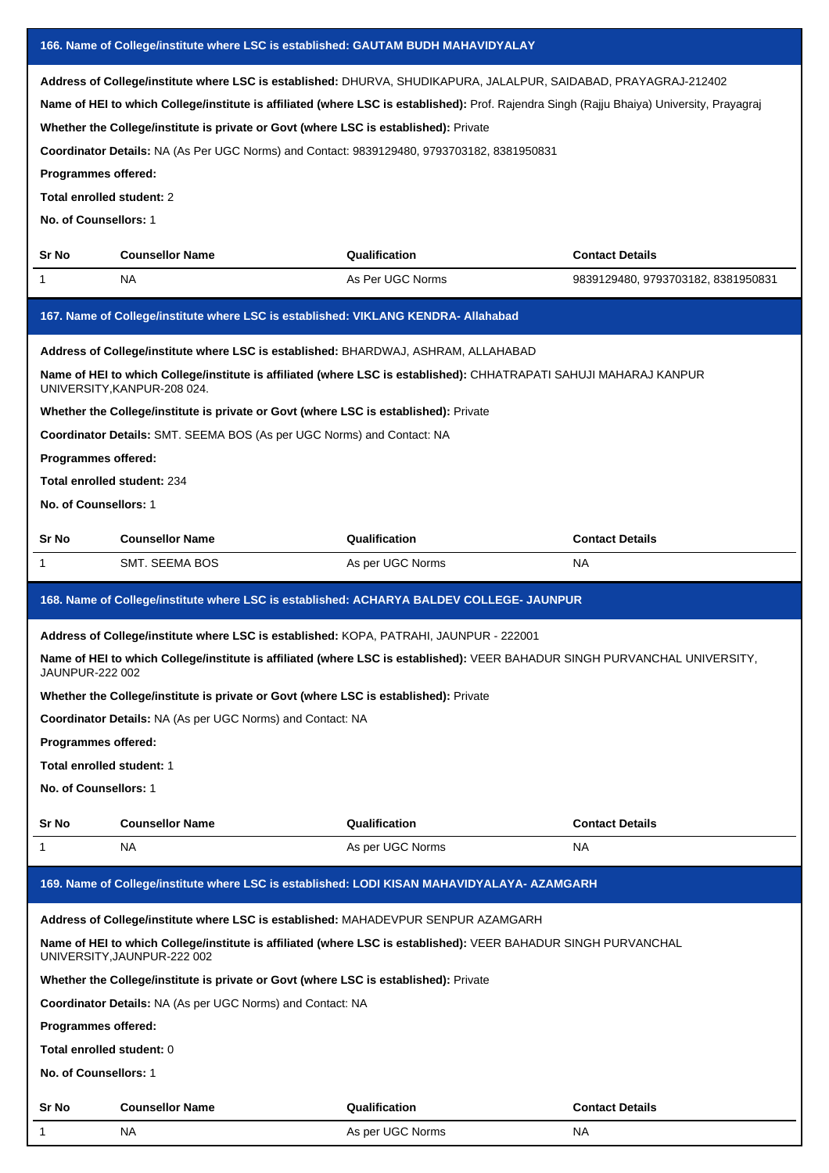| 166. Name of College/institute where LSC is established: GAUTAM BUDH MAHAVIDYALAY            |                                                                                                                                                                                                                                                                                     |                                                                                                                                                                                                                                                                |                                    |  |
|----------------------------------------------------------------------------------------------|-------------------------------------------------------------------------------------------------------------------------------------------------------------------------------------------------------------------------------------------------------------------------------------|----------------------------------------------------------------------------------------------------------------------------------------------------------------------------------------------------------------------------------------------------------------|------------------------------------|--|
| Programmes offered:<br>Total enrolled student: 2<br>No. of Counsellors: 1                    | Whether the College/institute is private or Govt (where LSC is established): Private<br>Coordinator Details: NA (As Per UGC Norms) and Contact: 9839129480, 9793703182, 8381950831                                                                                                  | Address of College/institute where LSC is established: DHURVA, SHUDIKAPURA, JALALPUR, SAIDABAD, PRAYAGRAJ-212402<br>Name of HEI to which College/institute is affiliated (where LSC is established): Prof. Rajendra Singh (Rajju Bhaiya) University, Prayagraj |                                    |  |
| Sr No                                                                                        | <b>Counsellor Name</b>                                                                                                                                                                                                                                                              | Qualification                                                                                                                                                                                                                                                  | <b>Contact Details</b>             |  |
| 1                                                                                            | NA.                                                                                                                                                                                                                                                                                 | As Per UGC Norms                                                                                                                                                                                                                                               | 9839129480, 9793703182, 8381950831 |  |
|                                                                                              | 167. Name of College/institute where LSC is established: VIKLANG KENDRA- Allahabad                                                                                                                                                                                                  |                                                                                                                                                                                                                                                                |                                    |  |
| Programmes offered:<br>Total enrolled student: 234<br>No. of Counsellors: 1                  | Address of College/institute where LSC is established: BHARDWAJ, ASHRAM, ALLAHABAD<br>UNIVERSITY, KANPUR-208 024.<br>Whether the College/institute is private or Govt (where LSC is established): Private<br>Coordinator Details: SMT. SEEMA BOS (As per UGC Norms) and Contact: NA | Name of HEI to which College/institute is affiliated (where LSC is established): CHHATRAPATI SAHUJI MAHARAJ KANPUR                                                                                                                                             |                                    |  |
| Sr No                                                                                        | <b>Counsellor Name</b>                                                                                                                                                                                                                                                              | Qualification                                                                                                                                                                                                                                                  | <b>Contact Details</b>             |  |
| 1                                                                                            | SMT. SEEMA BOS                                                                                                                                                                                                                                                                      | As per UGC Norms                                                                                                                                                                                                                                               | NA                                 |  |
|                                                                                              |                                                                                                                                                                                                                                                                                     |                                                                                                                                                                                                                                                                |                                    |  |
|                                                                                              |                                                                                                                                                                                                                                                                                     | 168. Name of College/institute where LSC is established: ACHARYA BALDEV COLLEGE- JAUNPUR                                                                                                                                                                       |                                    |  |
| JAUNPUR-222 002<br>Programmes offered:<br>Total enrolled student: 1<br>No. of Counsellors: 1 | Address of College/institute where LSC is established: KOPA, PATRAHI, JAUNPUR - 222001<br>Whether the College/institute is private or Govt (where LSC is established): Private<br><b>Coordinator Details: NA (As per UGC Norms) and Contact: NA</b>                                 | Name of HEI to which College/institute is affiliated (where LSC is established): VEER BAHADUR SINGH PURVANCHAL UNIVERSITY,                                                                                                                                     |                                    |  |
| Sr No                                                                                        | <b>Counsellor Name</b>                                                                                                                                                                                                                                                              | Qualification                                                                                                                                                                                                                                                  | <b>Contact Details</b>             |  |
| 1                                                                                            | NA                                                                                                                                                                                                                                                                                  | As per UGC Norms                                                                                                                                                                                                                                               | NA.                                |  |
|                                                                                              |                                                                                                                                                                                                                                                                                     | 169. Name of College/institute where LSC is established: LODI KISAN MAHAVIDYALAYA- AZAMGARH                                                                                                                                                                    |                                    |  |
| Programmes offered:<br>Total enrolled student: 0<br>No. of Counsellors: 1                    | Address of College/institute where LSC is established: MAHADEVPUR SENPUR AZAMGARH<br>UNIVERSITY, JAUNPUR-222 002<br>Whether the College/institute is private or Govt (where LSC is established): Private<br>Coordinator Details: NA (As per UGC Norms) and Contact: NA              | Name of HEI to which College/institute is affiliated (where LSC is established): VEER BAHADUR SINGH PURVANCHAL                                                                                                                                                 |                                    |  |
| Sr No<br>1                                                                                   | <b>Counsellor Name</b>                                                                                                                                                                                                                                                              | Qualification<br>As per UGC Norms                                                                                                                                                                                                                              | <b>Contact Details</b><br>NA       |  |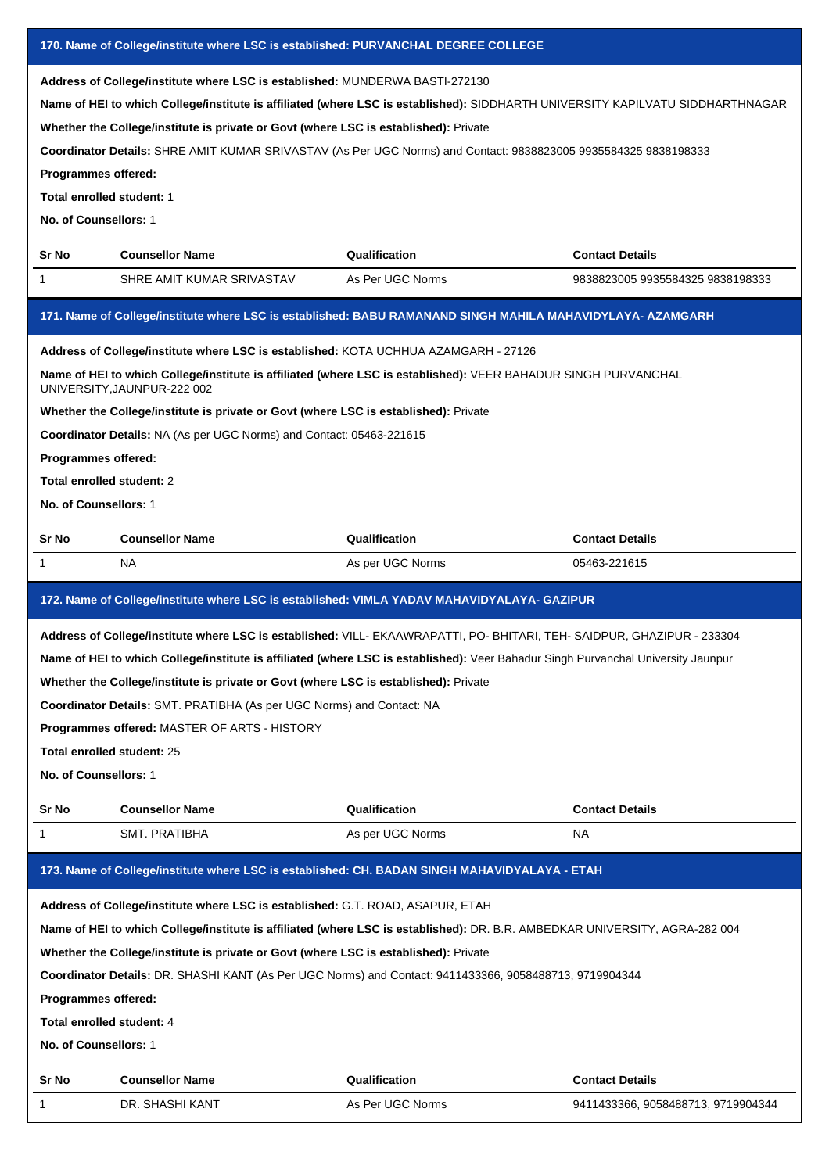| 170. Name of College/institute where LSC is established: PURVANCHAL DEGREE COLLEGE                                             |                                                                                                                                               |                                   |                                  |  |  |
|--------------------------------------------------------------------------------------------------------------------------------|-----------------------------------------------------------------------------------------------------------------------------------------------|-----------------------------------|----------------------------------|--|--|
| Address of College/institute where LSC is established: MUNDERWA BASTI-272130                                                   |                                                                                                                                               |                                   |                                  |  |  |
| Name of HEI to which College/institute is affiliated (where LSC is established): SIDDHARTH UNIVERSITY KAPILVATU SIDDHARTHNAGAR |                                                                                                                                               |                                   |                                  |  |  |
|                                                                                                                                | Whether the College/institute is private or Govt (where LSC is established): Private                                                          |                                   |                                  |  |  |
|                                                                                                                                | Coordinator Details: SHRE AMIT KUMAR SRIVASTAV (As Per UGC Norms) and Contact: 9838823005 9935584325 9838198333                               |                                   |                                  |  |  |
| Programmes offered:                                                                                                            |                                                                                                                                               |                                   |                                  |  |  |
| Total enrolled student: 1                                                                                                      |                                                                                                                                               |                                   |                                  |  |  |
| No. of Counsellors: 1                                                                                                          |                                                                                                                                               |                                   |                                  |  |  |
|                                                                                                                                |                                                                                                                                               |                                   |                                  |  |  |
| Sr No                                                                                                                          | <b>Counsellor Name</b>                                                                                                                        | Qualification                     | <b>Contact Details</b>           |  |  |
| $\mathbf 1$                                                                                                                    | SHRE AMIT KUMAR SRIVASTAV                                                                                                                     | As Per UGC Norms                  | 9838823005 9935584325 9838198333 |  |  |
|                                                                                                                                | 171. Name of College/institute where LSC is established: BABU RAMANAND SINGH MAHILA MAHAVIDYLAYA- AZAMGARH                                    |                                   |                                  |  |  |
|                                                                                                                                | Address of College/institute where LSC is established: KOTA UCHHUA AZAMGARH - 27126                                                           |                                   |                                  |  |  |
|                                                                                                                                | Name of HEI to which College/institute is affiliated (where LSC is established): VEER BAHADUR SINGH PURVANCHAL<br>UNIVERSITY, JAUNPUR-222 002 |                                   |                                  |  |  |
|                                                                                                                                | Whether the College/institute is private or Govt (where LSC is established): Private                                                          |                                   |                                  |  |  |
|                                                                                                                                | Coordinator Details: NA (As per UGC Norms) and Contact: 05463-221615                                                                          |                                   |                                  |  |  |
| Programmes offered:                                                                                                            |                                                                                                                                               |                                   |                                  |  |  |
| Total enrolled student: 2                                                                                                      |                                                                                                                                               |                                   |                                  |  |  |
| No. of Counsellors: 1                                                                                                          |                                                                                                                                               |                                   |                                  |  |  |
| Sr No                                                                                                                          | <b>Counsellor Name</b>                                                                                                                        | Qualification                     | <b>Contact Details</b>           |  |  |
| 1                                                                                                                              | NA.                                                                                                                                           | As per UGC Norms                  | 05463-221615                     |  |  |
|                                                                                                                                |                                                                                                                                               |                                   |                                  |  |  |
| 172. Name of College/institute where LSC is established: VIMLA YADAV MAHAVIDYALAYA- GAZIPUR                                    |                                                                                                                                               |                                   |                                  |  |  |
|                                                                                                                                |                                                                                                                                               |                                   |                                  |  |  |
|                                                                                                                                | Address of College/institute where LSC is established: VILL- EKAAWRAPATTI, PO- BHITARI, TEH- SAIDPUR, GHAZIPUR - 233304                       |                                   |                                  |  |  |
|                                                                                                                                | Name of HEI to which College/institute is affiliated (where LSC is established): Veer Bahadur Singh Purvanchal University Jaunpur             |                                   |                                  |  |  |
|                                                                                                                                | Whether the College/institute is private or Govt (where LSC is established): Private                                                          |                                   |                                  |  |  |
|                                                                                                                                | Coordinator Details: SMT. PRATIBHA (As per UGC Norms) and Contact: NA                                                                         |                                   |                                  |  |  |
|                                                                                                                                | Programmes offered: MASTER OF ARTS - HISTORY                                                                                                  |                                   |                                  |  |  |
| Total enrolled student: 25                                                                                                     |                                                                                                                                               |                                   |                                  |  |  |
| No. of Counsellors: 1                                                                                                          |                                                                                                                                               |                                   |                                  |  |  |
|                                                                                                                                |                                                                                                                                               |                                   |                                  |  |  |
| Sr No<br>1                                                                                                                     | <b>Counsellor Name</b><br><b>SMT. PRATIBHA</b>                                                                                                | Qualification<br>As per UGC Norms | <b>Contact Details</b><br>NA.    |  |  |
|                                                                                                                                | 173. Name of College/institute where LSC is established: CH. BADAN SINGH MAHAVIDYALAYA - ETAH                                                 |                                   |                                  |  |  |
|                                                                                                                                |                                                                                                                                               |                                   |                                  |  |  |
|                                                                                                                                | Address of College/institute where LSC is established: G.T. ROAD, ASAPUR, ETAH                                                                |                                   |                                  |  |  |
|                                                                                                                                | Name of HEI to which College/institute is affiliated (where LSC is established): DR. B.R. AMBEDKAR UNIVERSITY, AGRA-282 004                   |                                   |                                  |  |  |
|                                                                                                                                | Whether the College/institute is private or Govt (where LSC is established): Private                                                          |                                   |                                  |  |  |
|                                                                                                                                | Coordinator Details: DR. SHASHI KANT (As Per UGC Norms) and Contact: 9411433366, 9058488713, 9719904344                                       |                                   |                                  |  |  |
| Programmes offered:                                                                                                            |                                                                                                                                               |                                   |                                  |  |  |
| Total enrolled student: 4                                                                                                      |                                                                                                                                               |                                   |                                  |  |  |
| No. of Counsellors: 1                                                                                                          |                                                                                                                                               |                                   |                                  |  |  |
| Sr No                                                                                                                          | <b>Counsellor Name</b>                                                                                                                        | Qualification                     | <b>Contact Details</b>           |  |  |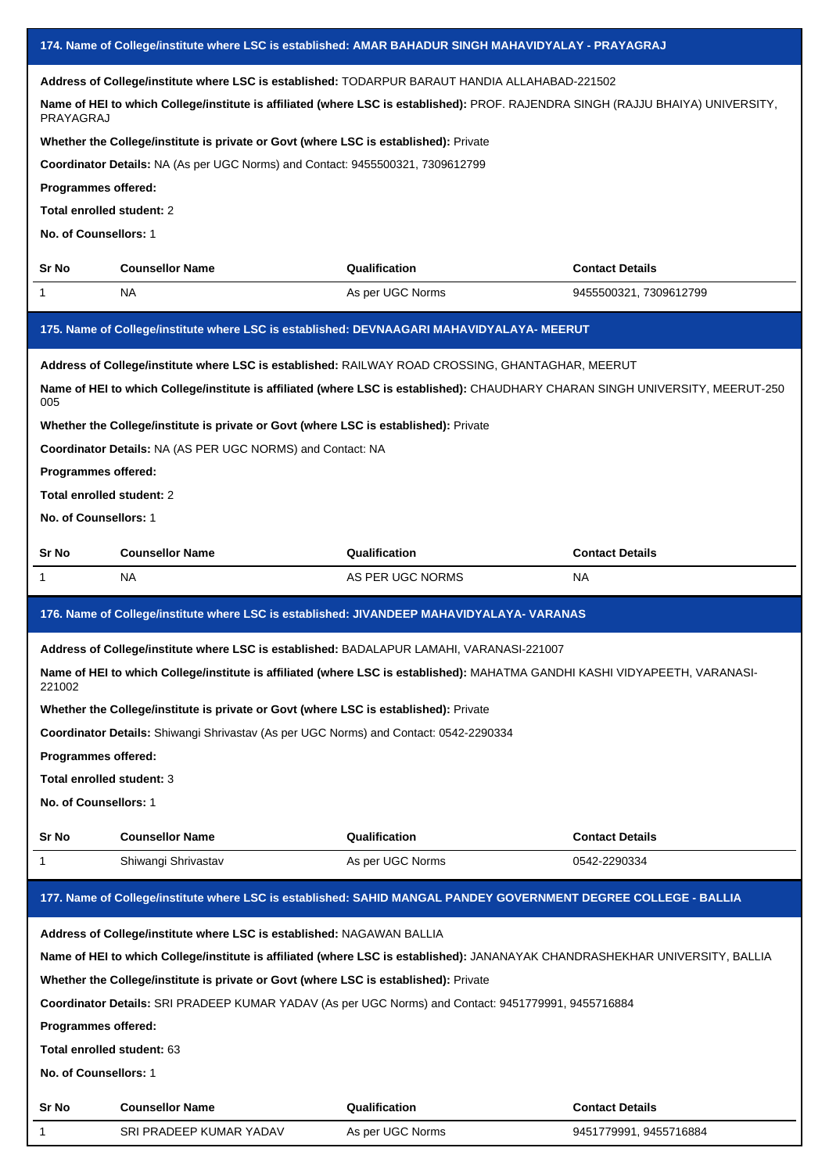| 174. Name of College/institute where LSC is established: AMAR BAHADUR SINGH MAHAVIDYALAY - PRAYAGRAJ                                                                                                                                                                                                                 |                                                                                       |                                                                                                                                  |                                        |  |
|----------------------------------------------------------------------------------------------------------------------------------------------------------------------------------------------------------------------------------------------------------------------------------------------------------------------|---------------------------------------------------------------------------------------|----------------------------------------------------------------------------------------------------------------------------------|----------------------------------------|--|
| Address of College/institute where LSC is established: TODARPUR BARAUT HANDIA ALLAHABAD-221502                                                                                                                                                                                                                       |                                                                                       |                                                                                                                                  |                                        |  |
| PRAYAGRAJ                                                                                                                                                                                                                                                                                                            |                                                                                       | Name of HEI to which College/institute is affiliated (where LSC is established): PROF. RAJENDRA SINGH (RAJJU BHAIYA) UNIVERSITY, |                                        |  |
|                                                                                                                                                                                                                                                                                                                      | Whether the College/institute is private or Govt (where LSC is established): Private  |                                                                                                                                  |                                        |  |
|                                                                                                                                                                                                                                                                                                                      | Coordinator Details: NA (As per UGC Norms) and Contact: 9455500321, 7309612799        |                                                                                                                                  |                                        |  |
| Programmes offered:                                                                                                                                                                                                                                                                                                  |                                                                                       |                                                                                                                                  |                                        |  |
| Total enrolled student: 2                                                                                                                                                                                                                                                                                            |                                                                                       |                                                                                                                                  |                                        |  |
| No. of Counsellors: 1                                                                                                                                                                                                                                                                                                |                                                                                       |                                                                                                                                  |                                        |  |
| Sr No                                                                                                                                                                                                                                                                                                                | <b>Counsellor Name</b>                                                                | Qualification                                                                                                                    | <b>Contact Details</b>                 |  |
| 1                                                                                                                                                                                                                                                                                                                    | NA                                                                                    | As per UGC Norms                                                                                                                 | 9455500321, 7309612799                 |  |
|                                                                                                                                                                                                                                                                                                                      |                                                                                       | 175. Name of College/institute where LSC is established: DEVNAAGARI MAHAVIDYALAYA- MEERUT                                        |                                        |  |
|                                                                                                                                                                                                                                                                                                                      |                                                                                       | Address of College/institute where LSC is established: RAILWAY ROAD CROSSING, GHANTAGHAR, MEERUT                                 |                                        |  |
|                                                                                                                                                                                                                                                                                                                      |                                                                                       | Name of HEI to which College/institute is affiliated (where LSC is established): CHAUDHARY CHARAN SINGH UNIVERSITY, MEERUT-250   |                                        |  |
| 005                                                                                                                                                                                                                                                                                                                  |                                                                                       |                                                                                                                                  |                                        |  |
|                                                                                                                                                                                                                                                                                                                      | Whether the College/institute is private or Govt (where LSC is established): Private  |                                                                                                                                  |                                        |  |
| Programmes offered:                                                                                                                                                                                                                                                                                                  | Coordinator Details: NA (AS PER UGC NORMS) and Contact: NA                            |                                                                                                                                  |                                        |  |
| Total enrolled student: 2                                                                                                                                                                                                                                                                                            |                                                                                       |                                                                                                                                  |                                        |  |
| No. of Counsellors: 1                                                                                                                                                                                                                                                                                                |                                                                                       |                                                                                                                                  |                                        |  |
|                                                                                                                                                                                                                                                                                                                      |                                                                                       |                                                                                                                                  |                                        |  |
| Sr No                                                                                                                                                                                                                                                                                                                | <b>Counsellor Name</b>                                                                | Qualification                                                                                                                    | <b>Contact Details</b>                 |  |
| 1                                                                                                                                                                                                                                                                                                                    | NA                                                                                    | AS PER UGC NORMS                                                                                                                 | <b>NA</b>                              |  |
|                                                                                                                                                                                                                                                                                                                      |                                                                                       |                                                                                                                                  |                                        |  |
| 176. Name of College/institute where LSC is established: JIVANDEEP MAHAVIDYALAYA- VARANAS<br>Address of College/institute where LSC is established: BADALAPUR LAMAHI, VARANASI-221007<br>Name of HEI to which College/institute is affiliated (where LSC is established): MAHATMA GANDHI KASHI VIDYAPEETH, VARANASI- |                                                                                       |                                                                                                                                  |                                        |  |
| 221002                                                                                                                                                                                                                                                                                                               |                                                                                       |                                                                                                                                  |                                        |  |
|                                                                                                                                                                                                                                                                                                                      | Whether the College/institute is private or Govt (where LSC is established): Private  |                                                                                                                                  |                                        |  |
|                                                                                                                                                                                                                                                                                                                      | Coordinator Details: Shiwangi Shrivastav (As per UGC Norms) and Contact: 0542-2290334 |                                                                                                                                  |                                        |  |
| Programmes offered:                                                                                                                                                                                                                                                                                                  |                                                                                       |                                                                                                                                  |                                        |  |
| Total enrolled student: 3                                                                                                                                                                                                                                                                                            |                                                                                       |                                                                                                                                  |                                        |  |
| No. of Counsellors: 1                                                                                                                                                                                                                                                                                                |                                                                                       |                                                                                                                                  |                                        |  |
|                                                                                                                                                                                                                                                                                                                      |                                                                                       |                                                                                                                                  |                                        |  |
| Sr No<br>1                                                                                                                                                                                                                                                                                                           | <b>Counsellor Name</b><br>Shiwangi Shrivastav                                         | Qualification<br>As per UGC Norms                                                                                                | <b>Contact Details</b><br>0542-2290334 |  |
|                                                                                                                                                                                                                                                                                                                      |                                                                                       | 177. Name of College/institute where LSC is established: SAHID MANGAL PANDEY GOVERNMENT DEGREE COLLEGE - BALLIA                  |                                        |  |
|                                                                                                                                                                                                                                                                                                                      |                                                                                       |                                                                                                                                  |                                        |  |
|                                                                                                                                                                                                                                                                                                                      | Address of College/institute where LSC is established: NAGAWAN BALLIA                 |                                                                                                                                  |                                        |  |
|                                                                                                                                                                                                                                                                                                                      |                                                                                       | Name of HEI to which College/institute is affiliated (where LSC is established): JANANAYAK CHANDRASHEKHAR UNIVERSITY, BALLIA     |                                        |  |
|                                                                                                                                                                                                                                                                                                                      | Whether the College/institute is private or Govt (where LSC is established): Private  |                                                                                                                                  |                                        |  |
|                                                                                                                                                                                                                                                                                                                      |                                                                                       | Coordinator Details: SRI PRADEEP KUMAR YADAV (As per UGC Norms) and Contact: 9451779991, 9455716884                              |                                        |  |
| Programmes offered:                                                                                                                                                                                                                                                                                                  |                                                                                       |                                                                                                                                  |                                        |  |
| Total enrolled student: 63                                                                                                                                                                                                                                                                                           |                                                                                       |                                                                                                                                  |                                        |  |
| No. of Counsellors: 1                                                                                                                                                                                                                                                                                                |                                                                                       |                                                                                                                                  |                                        |  |
| Sr No                                                                                                                                                                                                                                                                                                                | <b>Counsellor Name</b>                                                                | Qualification                                                                                                                    | <b>Contact Details</b>                 |  |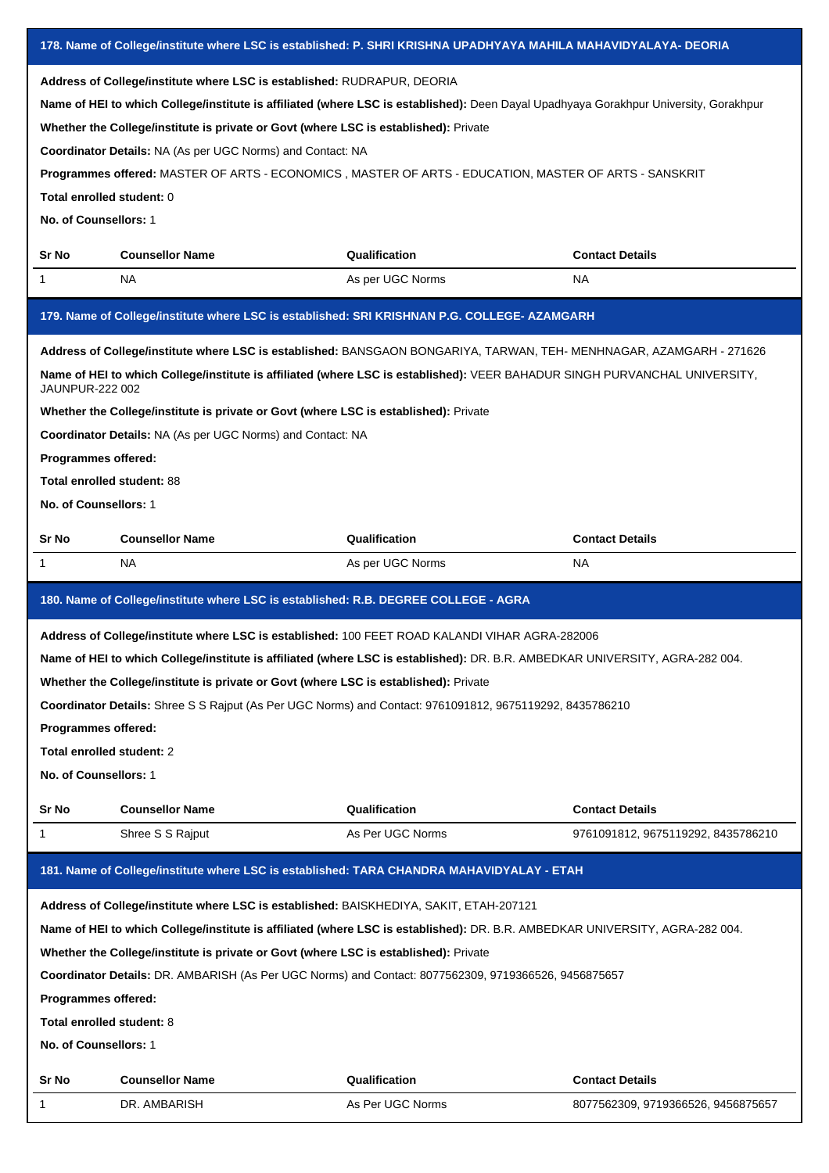| 178. Name of College/institute where LSC is established: P. SHRI KRISHNA UPADHYAYA MAHILA MAHAVIDYALAYA- DEORIA |                                                                                        |                                                                                                                                       |                                    |  |
|-----------------------------------------------------------------------------------------------------------------|----------------------------------------------------------------------------------------|---------------------------------------------------------------------------------------------------------------------------------------|------------------------------------|--|
| Address of College/institute where LSC is established: RUDRAPUR, DEORIA                                         |                                                                                        |                                                                                                                                       |                                    |  |
|                                                                                                                 |                                                                                        | Name of HEI to which College/institute is affiliated (where LSC is established): Deen Dayal Upadhyaya Gorakhpur University, Gorakhpur |                                    |  |
|                                                                                                                 | Whether the College/institute is private or Govt (where LSC is established): Private   |                                                                                                                                       |                                    |  |
|                                                                                                                 | <b>Coordinator Details: NA (As per UGC Norms) and Contact: NA</b>                      |                                                                                                                                       |                                    |  |
|                                                                                                                 |                                                                                        | Programmes offered: MASTER OF ARTS - ECONOMICS, MASTER OF ARTS - EDUCATION, MASTER OF ARTS - SANSKRIT                                 |                                    |  |
| Total enrolled student: 0                                                                                       |                                                                                        |                                                                                                                                       |                                    |  |
| No. of Counsellors: 1                                                                                           |                                                                                        |                                                                                                                                       |                                    |  |
|                                                                                                                 |                                                                                        |                                                                                                                                       |                                    |  |
| Sr No                                                                                                           | <b>Counsellor Name</b>                                                                 | Qualification                                                                                                                         | <b>Contact Details</b>             |  |
| 1                                                                                                               | NA.                                                                                    | As per UGC Norms                                                                                                                      | NA.                                |  |
|                                                                                                                 |                                                                                        | 179. Name of College/institute where LSC is established: SRI KRISHNAN P.G. COLLEGE- AZAMGARH                                          |                                    |  |
|                                                                                                                 |                                                                                        | Address of College/institute where LSC is established: BANSGAON BONGARIYA, TARWAN, TEH- MENHNAGAR, AZAMGARH - 271626                  |                                    |  |
| JAUNPUR-222 002                                                                                                 |                                                                                        | Name of HEI to which College/institute is affiliated (where LSC is established): VEER BAHADUR SINGH PURVANCHAL UNIVERSITY,            |                                    |  |
|                                                                                                                 | Whether the College/institute is private or Govt (where LSC is established): Private   |                                                                                                                                       |                                    |  |
|                                                                                                                 | Coordinator Details: NA (As per UGC Norms) and Contact: NA                             |                                                                                                                                       |                                    |  |
| Programmes offered:                                                                                             |                                                                                        |                                                                                                                                       |                                    |  |
| Total enrolled student: 88                                                                                      |                                                                                        |                                                                                                                                       |                                    |  |
| No. of Counsellors: 1                                                                                           |                                                                                        |                                                                                                                                       |                                    |  |
| Sr No                                                                                                           | <b>Counsellor Name</b>                                                                 | Qualification                                                                                                                         | <b>Contact Details</b>             |  |
| 1                                                                                                               | NA.                                                                                    | As per UGC Norms                                                                                                                      | NA.                                |  |
| 180. Name of College/institute where LSC is established: R.B. DEGREE COLLEGE - AGRA                             |                                                                                        |                                                                                                                                       |                                    |  |
|                                                                                                                 |                                                                                        |                                                                                                                                       |                                    |  |
|                                                                                                                 |                                                                                        | Address of College/institute where LSC is established: 100 FEET ROAD KALANDI VIHAR AGRA-282006                                        |                                    |  |
|                                                                                                                 |                                                                                        | Name of HEI to which College/institute is affiliated (where LSC is established): DR. B.R. AMBEDKAR UNIVERSITY, AGRA-282 004.          |                                    |  |
|                                                                                                                 | Whether the College/institute is private or Govt (where LSC is established): Private   |                                                                                                                                       |                                    |  |
|                                                                                                                 |                                                                                        | Coordinator Details: Shree S S Rajput (As Per UGC Norms) and Contact: 9761091812, 9675119292, 8435786210                              |                                    |  |
| Programmes offered:                                                                                             |                                                                                        |                                                                                                                                       |                                    |  |
| Total enrolled student: 2                                                                                       |                                                                                        |                                                                                                                                       |                                    |  |
| No. of Counsellors: 1                                                                                           |                                                                                        |                                                                                                                                       |                                    |  |
|                                                                                                                 |                                                                                        |                                                                                                                                       |                                    |  |
| Sr No                                                                                                           | <b>Counsellor Name</b>                                                                 | Qualification                                                                                                                         | <b>Contact Details</b>             |  |
| 1                                                                                                               | Shree S S Rajput                                                                       | As Per UGC Norms                                                                                                                      | 9761091812, 9675119292, 8435786210 |  |
|                                                                                                                 |                                                                                        | 181. Name of College/institute where LSC is established: TARA CHANDRA MAHAVIDYALAY - ETAH                                             |                                    |  |
|                                                                                                                 | Address of College/institute where LSC is established: BAISKHEDIYA, SAKIT, ETAH-207121 |                                                                                                                                       |                                    |  |
|                                                                                                                 |                                                                                        | Name of HEI to which College/institute is affiliated (where LSC is established): DR. B.R. AMBEDKAR UNIVERSITY, AGRA-282 004.          |                                    |  |
|                                                                                                                 | Whether the College/institute is private or Govt (where LSC is established): Private   |                                                                                                                                       |                                    |  |
|                                                                                                                 |                                                                                        | Coordinator Details: DR. AMBARISH (As Per UGC Norms) and Contact: 8077562309, 9719366526, 9456875657                                  |                                    |  |
| Programmes offered:                                                                                             |                                                                                        |                                                                                                                                       |                                    |  |
| Total enrolled student: 8                                                                                       |                                                                                        |                                                                                                                                       |                                    |  |
| No. of Counsellors: 1                                                                                           |                                                                                        |                                                                                                                                       |                                    |  |
| Sr No                                                                                                           | <b>Counsellor Name</b>                                                                 | Qualification                                                                                                                         | <b>Contact Details</b>             |  |
| 1                                                                                                               | DR. AMBARISH                                                                           | As Per UGC Norms                                                                                                                      | 8077562309, 9719366526, 9456875657 |  |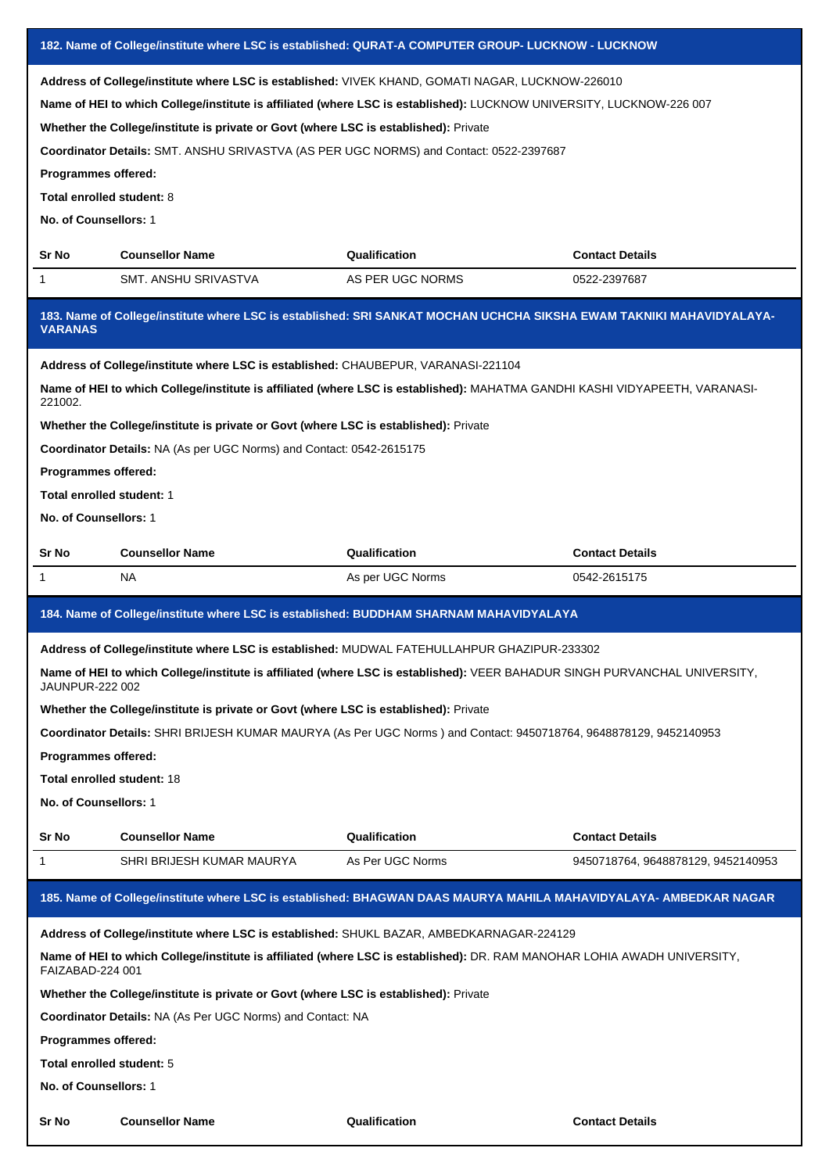| 182. Name of College/institute where LSC is established: QURAT-A COMPUTER GROUP- LUCKNOW - LUCKNOW                                                                                                                                                                                                                                                                                                                                                                                      |                                                                                                                                                                                                                                                                                                                                                                                                                                        |                  |                                    |  |  |
|-----------------------------------------------------------------------------------------------------------------------------------------------------------------------------------------------------------------------------------------------------------------------------------------------------------------------------------------------------------------------------------------------------------------------------------------------------------------------------------------|----------------------------------------------------------------------------------------------------------------------------------------------------------------------------------------------------------------------------------------------------------------------------------------------------------------------------------------------------------------------------------------------------------------------------------------|------------------|------------------------------------|--|--|
| Address of College/institute where LSC is established: VIVEK KHAND, GOMATI NAGAR, LUCKNOW-226010<br>Name of HEI to which College/institute is affiliated (where LSC is established): LUCKNOW UNIVERSITY, LUCKNOW-226 007<br>Whether the College/institute is private or Govt (where LSC is established): Private<br>Coordinator Details: SMT. ANSHU SRIVASTVA (AS PER UGC NORMS) and Contact: 0522-2397687<br>Programmes offered:<br>Total enrolled student: 8<br>No. of Counsellors: 1 |                                                                                                                                                                                                                                                                                                                                                                                                                                        |                  |                                    |  |  |
| Sr No                                                                                                                                                                                                                                                                                                                                                                                                                                                                                   | <b>Counsellor Name</b>                                                                                                                                                                                                                                                                                                                                                                                                                 | Qualification    | <b>Contact Details</b>             |  |  |
| 1                                                                                                                                                                                                                                                                                                                                                                                                                                                                                       | SMT. ANSHU SRIVASTVA                                                                                                                                                                                                                                                                                                                                                                                                                   | AS PER UGC NORMS | 0522-2397687                       |  |  |
| <b>VARANAS</b>                                                                                                                                                                                                                                                                                                                                                                                                                                                                          | 183. Name of College/institute where LSC is established: SRI SANKAT MOCHAN UCHCHA SIKSHA EWAM TAKNIKI MAHAVIDYALAYA-                                                                                                                                                                                                                                                                                                                   |                  |                                    |  |  |
| Address of College/institute where LSC is established: CHAUBEPUR, VARANASI-221104<br>Name of HEI to which College/institute is affiliated (where LSC is established): MAHATMA GANDHI KASHI VIDYAPEETH, VARANASI-<br>221002.<br>Whether the College/institute is private or Govt (where LSC is established): Private<br>Coordinator Details: NA (As per UGC Norms) and Contact: 0542-2615175<br>Programmes offered:<br>Total enrolled student: 1<br>No. of Counsellors: 1                |                                                                                                                                                                                                                                                                                                                                                                                                                                        |                  |                                    |  |  |
| Sr No                                                                                                                                                                                                                                                                                                                                                                                                                                                                                   | <b>Counsellor Name</b>                                                                                                                                                                                                                                                                                                                                                                                                                 | Qualification    | <b>Contact Details</b>             |  |  |
| 1                                                                                                                                                                                                                                                                                                                                                                                                                                                                                       | NA                                                                                                                                                                                                                                                                                                                                                                                                                                     | As per UGC Norms | 0542-2615175                       |  |  |
|                                                                                                                                                                                                                                                                                                                                                                                                                                                                                         | 184. Name of College/institute where LSC is established: BUDDHAM SHARNAM MAHAVIDYALAYA                                                                                                                                                                                                                                                                                                                                                 |                  |                                    |  |  |
| JAUNPUR-222 002<br><b>Programmes offered:</b><br><b>Total enrolled student: 18</b><br>No. of Counsellors: 1                                                                                                                                                                                                                                                                                                                                                                             | Address of College/institute where LSC is established: MUDWAL FATEHULLAHPUR GHAZIPUR-233302<br>Name of HEI to which College/institute is affiliated (where LSC is established): VEER BAHADUR SINGH PURVANCHAL UNIVERSITY.<br>Whether the College/institute is private or Govt (where LSC is established): Private<br>Coordinator Details: SHRI BRIJESH KUMAR MAURYA (As Per UGC Norms) and Contact: 9450718764, 9648878129, 9452140953 |                  |                                    |  |  |
| Sr No                                                                                                                                                                                                                                                                                                                                                                                                                                                                                   | <b>Counsellor Name</b>                                                                                                                                                                                                                                                                                                                                                                                                                 | Qualification    | <b>Contact Details</b>             |  |  |
| 1                                                                                                                                                                                                                                                                                                                                                                                                                                                                                       | SHRI BRIJESH KUMAR MAURYA                                                                                                                                                                                                                                                                                                                                                                                                              | As Per UGC Norms | 9450718764, 9648878129, 9452140953 |  |  |
|                                                                                                                                                                                                                                                                                                                                                                                                                                                                                         | 185. Name of College/institute where LSC is established: BHAGWAN DAAS MAURYA MAHILA MAHAVIDYALAYA- AMBEDKAR NAGAR                                                                                                                                                                                                                                                                                                                      |                  |                                    |  |  |
| Address of College/institute where LSC is established: SHUKL BAZAR, AMBEDKARNAGAR-224129<br>Name of HEI to which College/institute is affiliated (where LSC is established): DR. RAM MANOHAR LOHIA AWADH UNIVERSITY,<br>FAIZABAD-224 001<br>Whether the College/institute is private or Govt (where LSC is established): Private<br><b>Coordinator Details: NA (As Per UGC Norms) and Contact: NA</b><br>Programmes offered:<br>Total enrolled student: 5<br>No. of Counsellors: 1      |                                                                                                                                                                                                                                                                                                                                                                                                                                        |                  |                                    |  |  |
| Sr No                                                                                                                                                                                                                                                                                                                                                                                                                                                                                   | <b>Counsellor Name</b>                                                                                                                                                                                                                                                                                                                                                                                                                 | Qualification    | <b>Contact Details</b>             |  |  |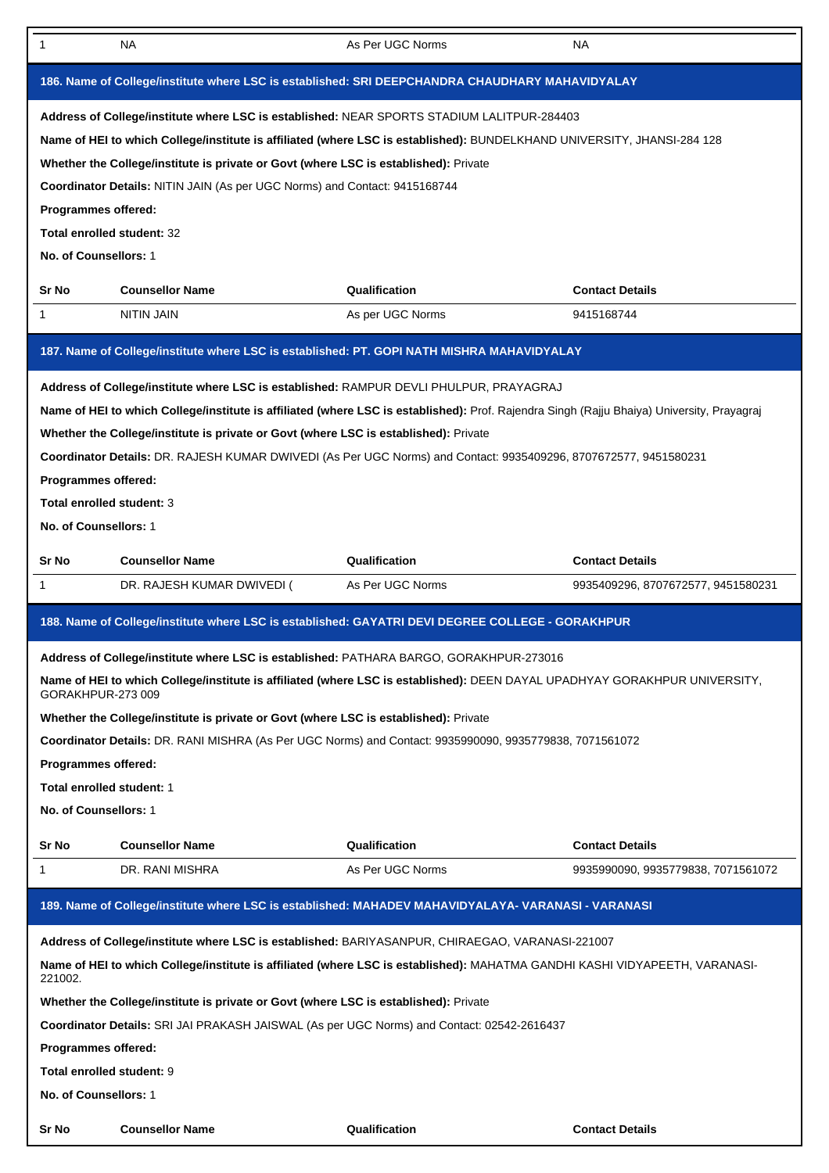| 1                                                                                                                                                                                                                                                                                                                                                                                                                                                                                                                             | NA.                                                                                                 | As Per UGC Norms | <b>NA</b>                          |  |  |
|-------------------------------------------------------------------------------------------------------------------------------------------------------------------------------------------------------------------------------------------------------------------------------------------------------------------------------------------------------------------------------------------------------------------------------------------------------------------------------------------------------------------------------|-----------------------------------------------------------------------------------------------------|------------------|------------------------------------|--|--|
|                                                                                                                                                                                                                                                                                                                                                                                                                                                                                                                               | 186. Name of College/institute where LSC is established: SRI DEEPCHANDRA CHAUDHARY MAHAVIDYALAY     |                  |                                    |  |  |
| Address of College/institute where LSC is established: NEAR SPORTS STADIUM LALITPUR-284403<br>Name of HEI to which College/institute is affiliated (where LSC is established): BUNDELKHAND UNIVERSITY, JHANSI-284 128<br>Whether the College/institute is private or Govt (where LSC is established): Private<br>Coordinator Details: NITIN JAIN (As per UGC Norms) and Contact: 9415168744<br>Programmes offered:<br>Total enrolled student: 32<br>No. of Counsellors: 1                                                     |                                                                                                     |                  |                                    |  |  |
| Sr No                                                                                                                                                                                                                                                                                                                                                                                                                                                                                                                         | <b>Counsellor Name</b>                                                                              | Qualification    | <b>Contact Details</b>             |  |  |
| $\mathbf{1}$                                                                                                                                                                                                                                                                                                                                                                                                                                                                                                                  | <b>NITIN JAIN</b>                                                                                   | As per UGC Norms | 9415168744                         |  |  |
|                                                                                                                                                                                                                                                                                                                                                                                                                                                                                                                               | 187. Name of College/institute where LSC is established: PT. GOPI NATH MISHRA MAHAVIDYALAY          |                  |                                    |  |  |
| Address of College/institute where LSC is established: RAMPUR DEVLI PHULPUR, PRAYAGRAJ<br>Name of HEI to which College/institute is affiliated (where LSC is established): Prof. Rajendra Singh (Rajju Bhaiya) University, Prayagraj<br>Whether the College/institute is private or Govt (where LSC is established): Private<br>Coordinator Details: DR. RAJESH KUMAR DWIVEDI (As Per UGC Norms) and Contact: 9935409296, 8707672577, 9451580231<br>Programmes offered:<br>Total enrolled student: 3<br>No. of Counsellors: 1 |                                                                                                     |                  |                                    |  |  |
| Sr No                                                                                                                                                                                                                                                                                                                                                                                                                                                                                                                         | <b>Counsellor Name</b>                                                                              | Qualification    | <b>Contact Details</b>             |  |  |
| 1                                                                                                                                                                                                                                                                                                                                                                                                                                                                                                                             | DR. RAJESH KUMAR DWIVEDI (                                                                          | As Per UGC Norms | 9935409296, 8707672577, 9451580231 |  |  |
|                                                                                                                                                                                                                                                                                                                                                                                                                                                                                                                               | 188. Name of College/institute where LSC is established: GAYATRI DEVI DEGREE COLLEGE - GORAKHPUR    |                  |                                    |  |  |
| Address of College/institute where LSC is established: PATHARA BARGO, GORAKHPUR-273016<br>Name of HEI to which College/institute is affiliated (where LSC is established): DEEN DAYAL UPADHYAY GORAKHPUR UNIVERSITY,<br>GORAKHPUR-273 009<br>Whether the College/institute is private or Govt (where LSC is established): Private<br>Coordinator Details: DR. RANI MISHRA (As Per UGC Norms) and Contact: 9935990090, 9935779838, 7071561072<br>Programmes offered:<br>Total enrolled student: 1<br>No. of Counsellors: 1     |                                                                                                     |                  |                                    |  |  |
| Sr No                                                                                                                                                                                                                                                                                                                                                                                                                                                                                                                         | <b>Counsellor Name</b>                                                                              | Qualification    | <b>Contact Details</b>             |  |  |
| 1                                                                                                                                                                                                                                                                                                                                                                                                                                                                                                                             | DR. RANI MISHRA                                                                                     | As Per UGC Norms | 9935990090, 9935779838, 7071561072 |  |  |
|                                                                                                                                                                                                                                                                                                                                                                                                                                                                                                                               | 189. Name of College/institute where LSC is established: MAHADEV MAHAVIDYALAYA- VARANASI - VARANASI |                  |                                    |  |  |
| Address of College/institute where LSC is established: BARIYASANPUR, CHIRAEGAO, VARANASI-221007<br>Name of HEI to which College/institute is affiliated (where LSC is established): MAHATMA GANDHI KASHI VIDYAPEETH, VARANASI-<br>221002.<br>Whether the College/institute is private or Govt (where LSC is established): Private<br>Coordinator Details: SRI JAI PRAKASH JAISWAL (As per UGC Norms) and Contact: 02542-2616437<br><b>Programmes offered:</b><br>Total enrolled student: 9<br>No. of Counsellors: 1           |                                                                                                     |                  |                                    |  |  |
| Sr No                                                                                                                                                                                                                                                                                                                                                                                                                                                                                                                         | <b>Counsellor Name</b>                                                                              | Qualification    | <b>Contact Details</b>             |  |  |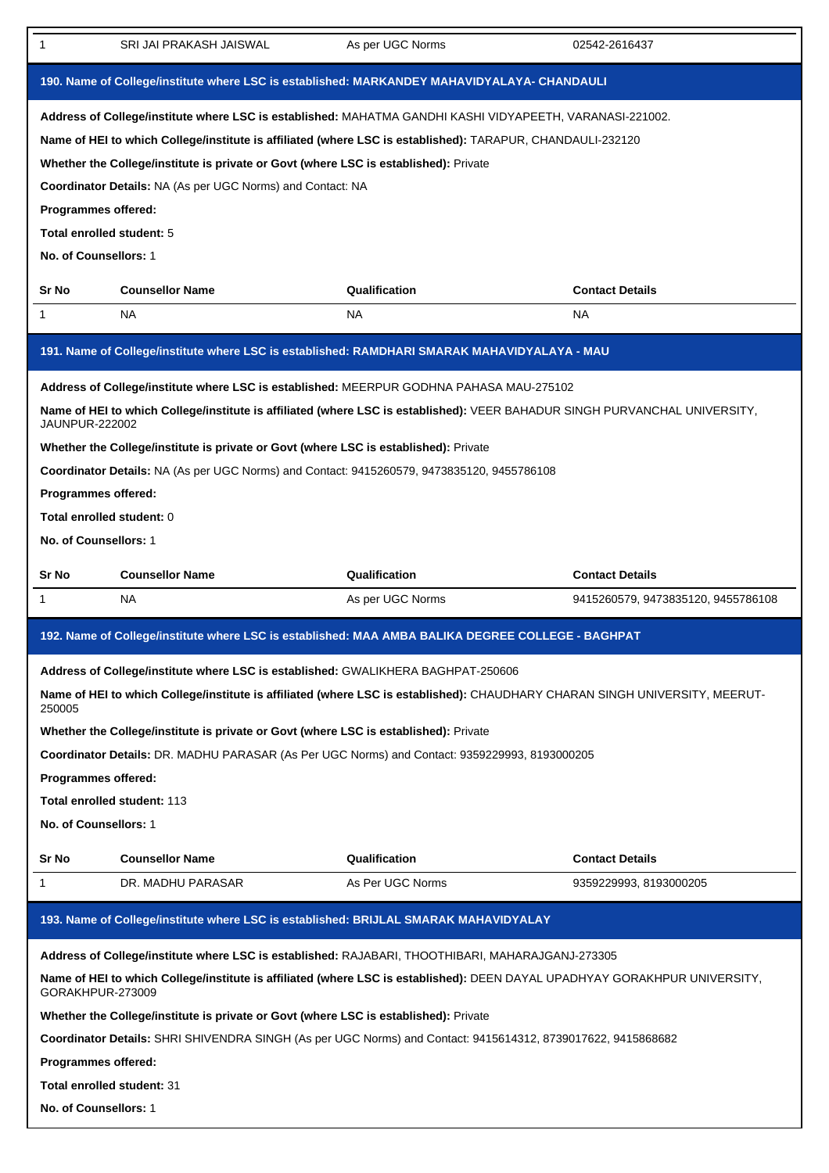| 1                                                                                           | SRI JAI PRAKASH JAISWAL                                                                                                     | As per UGC Norms | 02542-2616437                      |  |  |
|---------------------------------------------------------------------------------------------|-----------------------------------------------------------------------------------------------------------------------------|------------------|------------------------------------|--|--|
| 190. Name of College/institute where LSC is established: MARKANDEY MAHAVIDYALAYA- CHANDAULI |                                                                                                                             |                  |                                    |  |  |
|                                                                                             | Address of College/institute where LSC is established: MAHATMA GANDHI KASHI VIDYAPEETH, VARANASI-221002.                    |                  |                                    |  |  |
|                                                                                             | Name of HEI to which College/institute is affiliated (where LSC is established): TARAPUR, CHANDAULI-232120                  |                  |                                    |  |  |
|                                                                                             | Whether the College/institute is private or Govt (where LSC is established): Private                                        |                  |                                    |  |  |
|                                                                                             | Coordinator Details: NA (As per UGC Norms) and Contact: NA                                                                  |                  |                                    |  |  |
| Programmes offered:                                                                         |                                                                                                                             |                  |                                    |  |  |
| Total enrolled student: 5                                                                   |                                                                                                                             |                  |                                    |  |  |
|                                                                                             | No. of Counsellors: 1                                                                                                       |                  |                                    |  |  |
| Sr No                                                                                       | <b>Counsellor Name</b>                                                                                                      | Qualification    | <b>Contact Details</b>             |  |  |
| 1                                                                                           | NA.                                                                                                                         | NA.              | NA.                                |  |  |
|                                                                                             | 191. Name of College/institute where LSC is established: RAMDHARI SMARAK MAHAVIDYALAYA - MAU                                |                  |                                    |  |  |
|                                                                                             | Address of College/institute where LSC is established: MEERPUR GODHNA PAHASA MAU-275102                                     |                  |                                    |  |  |
| <b>JAUNPUR-222002</b>                                                                       | Name of HEI to which College/institute is affiliated (where LSC is established): VEER BAHADUR SINGH PURVANCHAL UNIVERSITY,  |                  |                                    |  |  |
|                                                                                             | Whether the College/institute is private or Govt (where LSC is established): Private                                        |                  |                                    |  |  |
|                                                                                             | Coordinator Details: NA (As per UGC Norms) and Contact: 9415260579, 9473835120, 9455786108                                  |                  |                                    |  |  |
| Programmes offered:                                                                         |                                                                                                                             |                  |                                    |  |  |
| Total enrolled student: 0                                                                   |                                                                                                                             |                  |                                    |  |  |
| No. of Counsellors: 1                                                                       |                                                                                                                             |                  |                                    |  |  |
|                                                                                             | <b>Counsellor Name</b>                                                                                                      | Qualification    | <b>Contact Details</b>             |  |  |
| Sr No                                                                                       |                                                                                                                             |                  |                                    |  |  |
| 1                                                                                           | NA                                                                                                                          | As per UGC Norms | 9415260579, 9473835120, 9455786108 |  |  |
|                                                                                             | 192. Name of College/institute where LSC is established: MAA AMBA BALIKA DEGREE COLLEGE - BAGHPAT                           |                  |                                    |  |  |
|                                                                                             | Address of College/institute where LSC is established: GWALIKHERA BAGHPAT-250606                                            |                  |                                    |  |  |
| 250005                                                                                      | Name of HEI to which College/institute is affiliated (where LSC is established): CHAUDHARY CHARAN SINGH UNIVERSITY, MEERUT- |                  |                                    |  |  |
|                                                                                             | Whether the College/institute is private or Govt (where LSC is established): Private                                        |                  |                                    |  |  |
|                                                                                             | Coordinator Details: DR. MADHU PARASAR (As Per UGC Norms) and Contact: 9359229993, 8193000205                               |                  |                                    |  |  |
| Programmes offered:                                                                         |                                                                                                                             |                  |                                    |  |  |
|                                                                                             | Total enrolled student: 113                                                                                                 |                  |                                    |  |  |
| No. of Counsellors: 1                                                                       |                                                                                                                             |                  |                                    |  |  |
| Sr No                                                                                       | <b>Counsellor Name</b>                                                                                                      | Qualification    | <b>Contact Details</b>             |  |  |
| 1                                                                                           | DR. MADHU PARASAR                                                                                                           | As Per UGC Norms | 9359229993, 8193000205             |  |  |
|                                                                                             | 193. Name of College/institute where LSC is established: BRIJLAL SMARAK MAHAVIDYALAY                                        |                  |                                    |  |  |
|                                                                                             | Address of College/institute where LSC is established: RAJABARI, THOOTHIBARI, MAHARAJGANJ-273305                            |                  |                                    |  |  |
| GORAKHPUR-273009                                                                            | Name of HEI to which College/institute is affiliated (where LSC is established): DEEN DAYAL UPADHYAY GORAKHPUR UNIVERSITY,  |                  |                                    |  |  |
|                                                                                             | Whether the College/institute is private or Govt (where LSC is established): Private                                        |                  |                                    |  |  |
|                                                                                             | Coordinator Details: SHRI SHIVENDRA SINGH (As per UGC Norms) and Contact: 9415614312, 8739017622, 9415868682                |                  |                                    |  |  |
| Programmes offered:                                                                         |                                                                                                                             |                  |                                    |  |  |
| <b>Total enrolled student: 31</b>                                                           |                                                                                                                             |                  |                                    |  |  |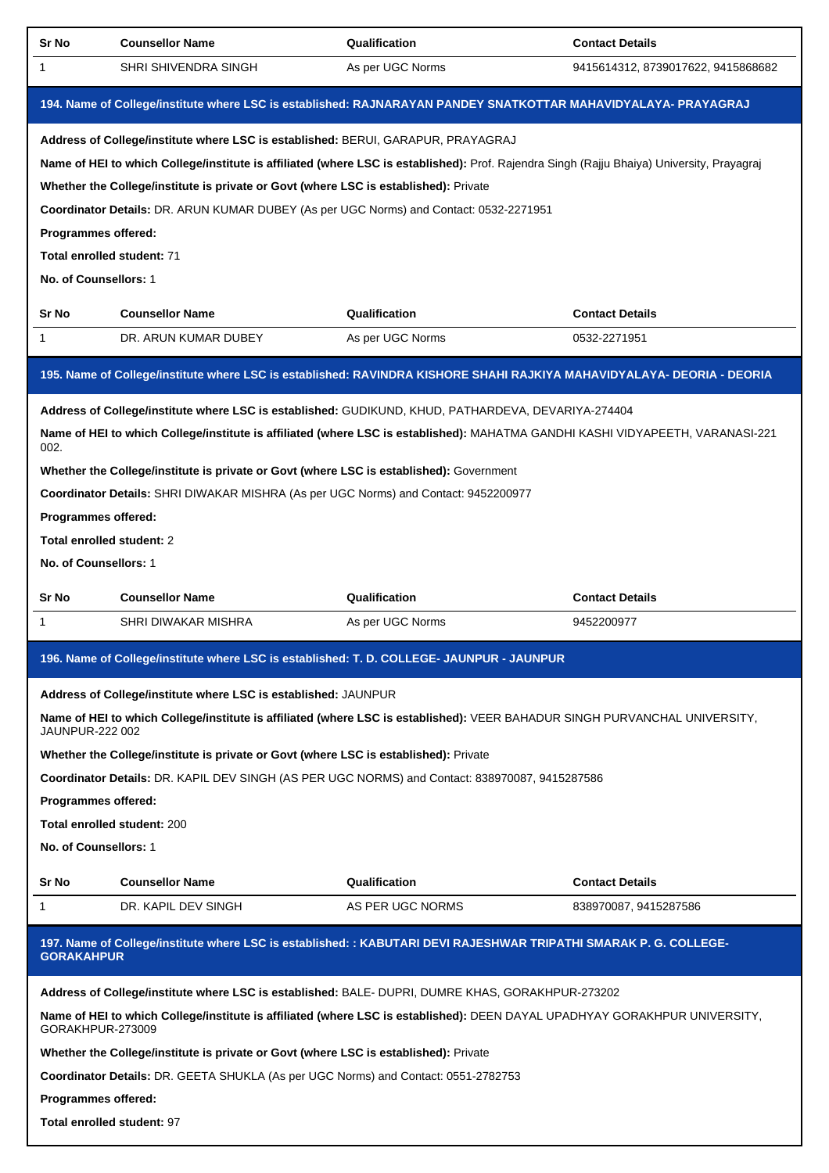| Sr No                       | <b>Counsellor Name</b>                                                                                                                     | Qualification    | <b>Contact Details</b>             |  |  |
|-----------------------------|--------------------------------------------------------------------------------------------------------------------------------------------|------------------|------------------------------------|--|--|
| 1                           | SHRI SHIVENDRA SINGH                                                                                                                       | As per UGC Norms | 9415614312, 8739017622, 9415868682 |  |  |
|                             | 194. Name of College/institute where LSC is established: RAJNARAYAN PANDEY SNATKOTTAR MAHAVIDYALAYA- PRAYAGRAJ                             |                  |                                    |  |  |
|                             | Address of College/institute where LSC is established: BERUI, GARAPUR, PRAYAGRAJ                                                           |                  |                                    |  |  |
|                             | Name of HEI to which College/institute is affiliated (where LSC is established): Prof. Rajendra Singh (Rajju Bhaiya) University, Prayagraj |                  |                                    |  |  |
|                             | Whether the College/institute is private or Govt (where LSC is established): Private                                                       |                  |                                    |  |  |
|                             | Coordinator Details: DR. ARUN KUMAR DUBEY (As per UGC Norms) and Contact: 0532-2271951                                                     |                  |                                    |  |  |
| Programmes offered:         |                                                                                                                                            |                  |                                    |  |  |
| Total enrolled student: 71  |                                                                                                                                            |                  |                                    |  |  |
| No. of Counsellors: 1       |                                                                                                                                            |                  |                                    |  |  |
| Sr No                       | <b>Counsellor Name</b>                                                                                                                     | Qualification    | <b>Contact Details</b>             |  |  |
| 1                           | DR. ARUN KUMAR DUBEY                                                                                                                       | As per UGC Norms | 0532-2271951                       |  |  |
|                             | 195. Name of College/institute where LSC is established: RAVINDRA KISHORE SHAHI RAJKIYA MAHAVIDYALAYA- DEORIA - DEORIA                     |                  |                                    |  |  |
|                             | Address of College/institute where LSC is established: GUDIKUND, KHUD, PATHARDEVA, DEVARIYA-274404                                         |                  |                                    |  |  |
| 002.                        | Name of HEI to which College/institute is affiliated (where LSC is established): MAHATMA GANDHI KASHI VIDYAPEETH, VARANASI-221             |                  |                                    |  |  |
|                             | Whether the College/institute is private or Govt (where LSC is established): Government                                                    |                  |                                    |  |  |
|                             | Coordinator Details: SHRI DIWAKAR MISHRA (As per UGC Norms) and Contact: 9452200977                                                        |                  |                                    |  |  |
| Programmes offered:         |                                                                                                                                            |                  |                                    |  |  |
| Total enrolled student: 2   |                                                                                                                                            |                  |                                    |  |  |
| No. of Counsellors: 1       |                                                                                                                                            |                  |                                    |  |  |
|                             |                                                                                                                                            |                  |                                    |  |  |
| Sr No                       | <b>Counsellor Name</b>                                                                                                                     | Qualification    | <b>Contact Details</b>             |  |  |
| 1                           | SHRI DIWAKAR MISHRA                                                                                                                        | As per UGC Norms | 9452200977                         |  |  |
|                             | 196. Name of College/institute where LSC is established: T. D. COLLEGE- JAUNPUR - JAUNPUR                                                  |                  |                                    |  |  |
|                             | Address of College/institute where LSC is established: JAUNPUR                                                                             |                  |                                    |  |  |
| JAUNPUR-222 002             | Name of HEI to which College/institute is affiliated (where LSC is established): VEER BAHADUR SINGH PURVANCHAL UNIVERSITY,                 |                  |                                    |  |  |
|                             | Whether the College/institute is private or Govt (where LSC is established): Private                                                       |                  |                                    |  |  |
|                             | Coordinator Details: DR. KAPIL DEV SINGH (AS PER UGC NORMS) and Contact: 838970087, 9415287586                                             |                  |                                    |  |  |
| <b>Programmes offered:</b>  |                                                                                                                                            |                  |                                    |  |  |
| Total enrolled student: 200 |                                                                                                                                            |                  |                                    |  |  |
| No. of Counsellors: 1       |                                                                                                                                            |                  |                                    |  |  |
| Sr No                       | <b>Counsellor Name</b>                                                                                                                     | Qualification    | <b>Contact Details</b>             |  |  |
| 1                           | DR. KAPIL DEV SINGH                                                                                                                        | AS PER UGC NORMS | 838970087, 9415287586              |  |  |
| <b>GORAKAHPUR</b>           | 197. Name of College/institute where LSC is established: : KABUTARI DEVI RAJESHWAR TRIPATHI SMARAK P. G. COLLEGE-                          |                  |                                    |  |  |
|                             | Address of College/institute where LSC is established: BALE- DUPRI, DUMRE KHAS, GORAKHPUR-273202                                           |                  |                                    |  |  |
| GORAKHPUR-273009            | Name of HEI to which College/institute is affiliated (where LSC is established): DEEN DAYAL UPADHYAY GORAKHPUR UNIVERSITY,                 |                  |                                    |  |  |
|                             | Whether the College/institute is private or Govt (where LSC is established): Private                                                       |                  |                                    |  |  |
|                             | Coordinator Details: DR. GEETA SHUKLA (As per UGC Norms) and Contact: 0551-2782753                                                         |                  |                                    |  |  |
| Programmes offered:         |                                                                                                                                            |                  |                                    |  |  |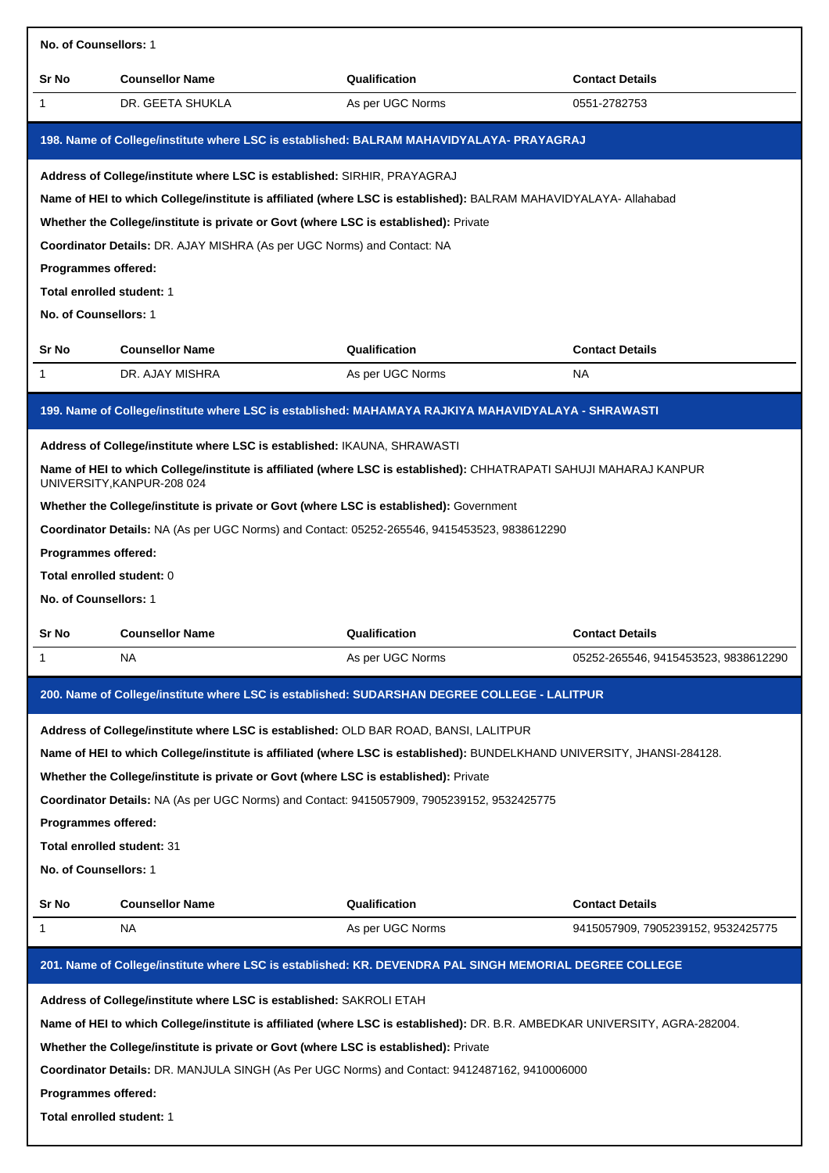| No. of Counsellors: 1                                                                                                                                                                                                                                                                                                                                                                                                                                                                                                                                      |                                                                                                                                                                                                                                                                                                                                                                                                                                                                                                                     |                                   |                                      |  |
|------------------------------------------------------------------------------------------------------------------------------------------------------------------------------------------------------------------------------------------------------------------------------------------------------------------------------------------------------------------------------------------------------------------------------------------------------------------------------------------------------------------------------------------------------------|---------------------------------------------------------------------------------------------------------------------------------------------------------------------------------------------------------------------------------------------------------------------------------------------------------------------------------------------------------------------------------------------------------------------------------------------------------------------------------------------------------------------|-----------------------------------|--------------------------------------|--|
| Sr No                                                                                                                                                                                                                                                                                                                                                                                                                                                                                                                                                      | <b>Counsellor Name</b>                                                                                                                                                                                                                                                                                                                                                                                                                                                                                              | Qualification                     | <b>Contact Details</b>               |  |
| 1                                                                                                                                                                                                                                                                                                                                                                                                                                                                                                                                                          | DR. GEETA SHUKLA                                                                                                                                                                                                                                                                                                                                                                                                                                                                                                    | As per UGC Norms                  | 0551-2782753                         |  |
|                                                                                                                                                                                                                                                                                                                                                                                                                                                                                                                                                            | 198. Name of College/institute where LSC is established: BALRAM MAHAVIDYALAYA- PRAYAGRAJ                                                                                                                                                                                                                                                                                                                                                                                                                            |                                   |                                      |  |
| Programmes offered:<br>Total enrolled student: 1<br>No. of Counsellors: 1<br>Sr No<br>1                                                                                                                                                                                                                                                                                                                                                                                                                                                                    | Address of College/institute where LSC is established: SIRHIR, PRAYAGRAJ<br>Name of HEI to which College/institute is affiliated (where LSC is established): BALRAM MAHAVIDYALAYA- Allahabad<br>Whether the College/institute is private or Govt (where LSC is established): Private<br>Coordinator Details: DR. AJAY MISHRA (As per UGC Norms) and Contact: NA<br><b>Counsellor Name</b><br>DR. AJAY MISHRA<br>199. Name of College/institute where LSC is established: MAHAMAYA RAJKIYA MAHAVIDYALAYA - SHRAWASTI | Qualification<br>As per UGC Norms | <b>Contact Details</b><br>NA         |  |
|                                                                                                                                                                                                                                                                                                                                                                                                                                                                                                                                                            | Address of College/institute where LSC is established: IKAUNA, SHRAWASTI                                                                                                                                                                                                                                                                                                                                                                                                                                            |                                   |                                      |  |
| Programmes offered:<br>Total enrolled student: 0<br>No. of Counsellors: 1                                                                                                                                                                                                                                                                                                                                                                                                                                                                                  | Name of HEI to which College/institute is affiliated (where LSC is established): CHHATRAPATI SAHUJI MAHARAJ KANPUR<br>UNIVERSITY, KANPUR-208 024<br>Whether the College/institute is private or Govt (where LSC is established): Government<br>Coordinator Details: NA (As per UGC Norms) and Contact: 05252-265546, 9415453523, 9838612290                                                                                                                                                                         |                                   |                                      |  |
| Sr No                                                                                                                                                                                                                                                                                                                                                                                                                                                                                                                                                      | <b>Counsellor Name</b>                                                                                                                                                                                                                                                                                                                                                                                                                                                                                              | Qualification                     | <b>Contact Details</b>               |  |
| 1                                                                                                                                                                                                                                                                                                                                                                                                                                                                                                                                                          | NA                                                                                                                                                                                                                                                                                                                                                                                                                                                                                                                  | As per UGC Norms                  | 05252-265546, 9415453523, 9838612290 |  |
|                                                                                                                                                                                                                                                                                                                                                                                                                                                                                                                                                            | 200. Name of College/institute where LSC is established: SUDARSHAN DEGREE COLLEGE - LALITPUR                                                                                                                                                                                                                                                                                                                                                                                                                        |                                   |                                      |  |
| Address of College/institute where LSC is established: OLD BAR ROAD, BANSI, LALITPUR<br>Name of HEI to which College/institute is affiliated (where LSC is established): BUNDELKHAND UNIVERSITY, JHANSI-284128.<br>Whether the College/institute is private or Govt (where LSC is established): Private<br>Coordinator Details: NA (As per UGC Norms) and Contact: 9415057909, 7905239152, 9532425775<br>Programmes offered:<br>Total enrolled student: 31<br>No. of Counsellors: 1                                                                        |                                                                                                                                                                                                                                                                                                                                                                                                                                                                                                                     |                                   |                                      |  |
| Sr No                                                                                                                                                                                                                                                                                                                                                                                                                                                                                                                                                      | <b>Counsellor Name</b>                                                                                                                                                                                                                                                                                                                                                                                                                                                                                              | Qualification                     | <b>Contact Details</b>               |  |
| 1                                                                                                                                                                                                                                                                                                                                                                                                                                                                                                                                                          | <b>NA</b>                                                                                                                                                                                                                                                                                                                                                                                                                                                                                                           | As per UGC Norms                  | 9415057909, 7905239152, 9532425775   |  |
|                                                                                                                                                                                                                                                                                                                                                                                                                                                                                                                                                            |                                                                                                                                                                                                                                                                                                                                                                                                                                                                                                                     |                                   |                                      |  |
| 201. Name of College/institute where LSC is established: KR. DEVENDRA PAL SINGH MEMORIAL DEGREE COLLEGE<br>Address of College/institute where LSC is established: SAKROLI ETAH<br>Name of HEI to which College/institute is affiliated (where LSC is established): DR. B.R. AMBEDKAR UNIVERSITY, AGRA-282004.<br>Whether the College/institute is private or Govt (where LSC is established): Private<br>Coordinator Details: DR. MANJULA SINGH (As Per UGC Norms) and Contact: 9412487162, 9410006000<br>Programmes offered:<br>Total enrolled student: 1 |                                                                                                                                                                                                                                                                                                                                                                                                                                                                                                                     |                                   |                                      |  |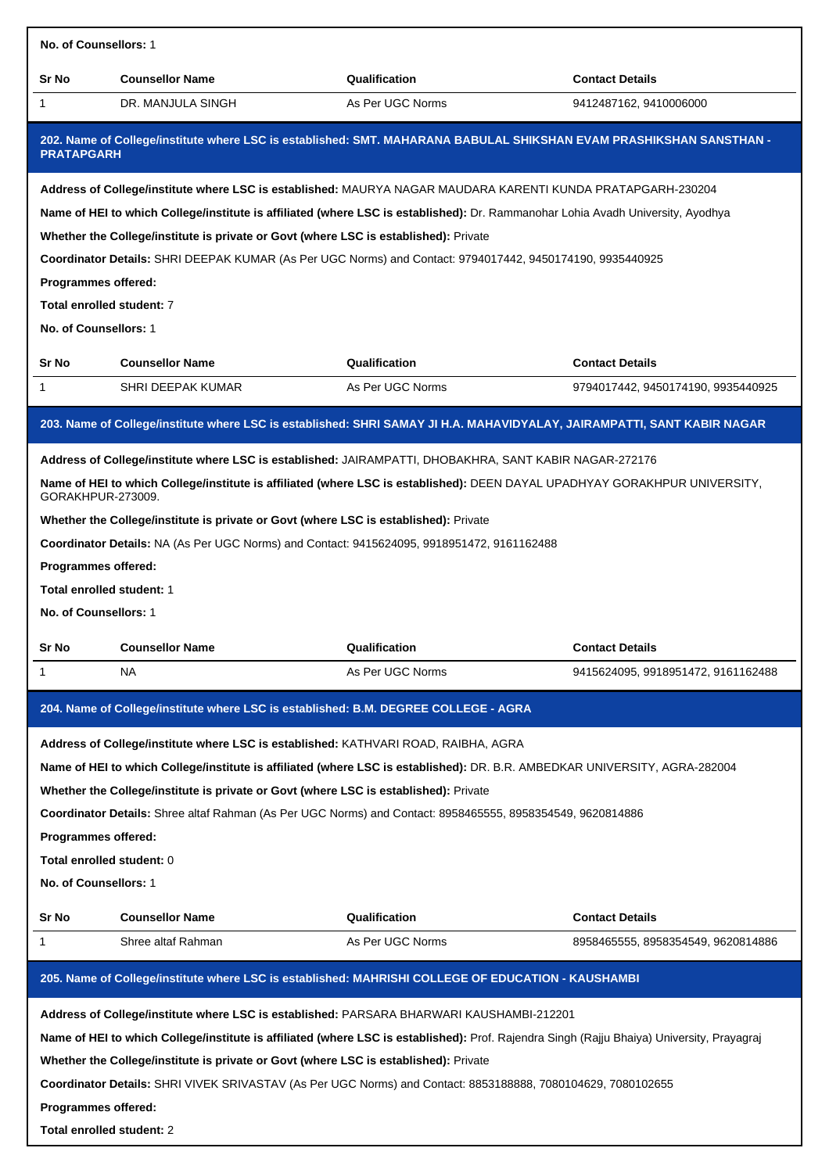| No. of Counsellors: 1     |                                                                                                                                            |                  |                                    |  |  |
|---------------------------|--------------------------------------------------------------------------------------------------------------------------------------------|------------------|------------------------------------|--|--|
| Sr No                     | <b>Counsellor Name</b>                                                                                                                     | Qualification    | <b>Contact Details</b>             |  |  |
| 1                         | DR. MANJULA SINGH                                                                                                                          | As Per UGC Norms | 9412487162, 9410006000             |  |  |
| <b>PRATAPGARH</b>         | 202. Name of College/institute where LSC is established: SMT. MAHARANA BABULAL SHIKSHAN EVAM PRASHIKSHAN SANSTHAN -                        |                  |                                    |  |  |
|                           | Address of College/institute where LSC is established: MAURYA NAGAR MAUDARA KARENTI KUNDA PRATAPGARH-230204                                |                  |                                    |  |  |
|                           | Name of HEI to which College/institute is affiliated (where LSC is established): Dr. Rammanohar Lohia Avadh University, Ayodhya            |                  |                                    |  |  |
|                           | Whether the College/institute is private or Govt (where LSC is established): Private                                                       |                  |                                    |  |  |
|                           | Coordinator Details: SHRI DEEPAK KUMAR (As Per UGC Norms) and Contact: 9794017442, 9450174190, 9935440925                                  |                  |                                    |  |  |
| Programmes offered:       |                                                                                                                                            |                  |                                    |  |  |
| Total enrolled student: 7 |                                                                                                                                            |                  |                                    |  |  |
| No. of Counsellors: 1     |                                                                                                                                            |                  |                                    |  |  |
| Sr No                     | <b>Counsellor Name</b>                                                                                                                     | Qualification    | <b>Contact Details</b>             |  |  |
| 1                         | SHRI DEEPAK KUMAR                                                                                                                          | As Per UGC Norms | 9794017442, 9450174190, 9935440925 |  |  |
|                           | 203. Name of College/institute where LSC is established: SHRI SAMAY JI H.A. MAHAVIDYALAY, JAIRAMPATTI, SANT KABIR NAGAR                    |                  |                                    |  |  |
|                           |                                                                                                                                            |                  |                                    |  |  |
|                           | Address of College/institute where LSC is established: JAIRAMPATTI, DHOBAKHRA, SANT KABIR NAGAR-272176                                     |                  |                                    |  |  |
| GORAKHPUR-273009.         | Name of HEI to which College/institute is affiliated (where LSC is established): DEEN DAYAL UPADHYAY GORAKHPUR UNIVERSITY,                 |                  |                                    |  |  |
|                           | Whether the College/institute is private or Govt (where LSC is established): Private                                                       |                  |                                    |  |  |
|                           | Coordinator Details: NA (As Per UGC Norms) and Contact: 9415624095, 9918951472, 9161162488                                                 |                  |                                    |  |  |
| Programmes offered:       |                                                                                                                                            |                  |                                    |  |  |
| Total enrolled student: 1 |                                                                                                                                            |                  |                                    |  |  |
| No. of Counsellors: 1     |                                                                                                                                            |                  |                                    |  |  |
| Sr No                     | <b>Counsellor Name</b>                                                                                                                     | Qualification    | <b>Contact Details</b>             |  |  |
| 1                         | NA                                                                                                                                         | As Per UGC Norms | 9415624095, 9918951472, 9161162488 |  |  |
|                           |                                                                                                                                            |                  |                                    |  |  |
|                           | 204. Name of College/institute where LSC is established: B.M. DEGREE COLLEGE - AGRA                                                        |                  |                                    |  |  |
|                           | Address of College/institute where LSC is established: KATHVARI ROAD, RAIBHA, AGRA                                                         |                  |                                    |  |  |
|                           | Name of HEI to which College/institute is affiliated (where LSC is established): DR. B.R. AMBEDKAR UNIVERSITY, AGRA-282004                 |                  |                                    |  |  |
|                           | Whether the College/institute is private or Govt (where LSC is established): Private                                                       |                  |                                    |  |  |
|                           | Coordinator Details: Shree altaf Rahman (As Per UGC Norms) and Contact: 8958465555, 8958354549, 9620814886                                 |                  |                                    |  |  |
| Programmes offered:       |                                                                                                                                            |                  |                                    |  |  |
| Total enrolled student: 0 |                                                                                                                                            |                  |                                    |  |  |
| No. of Counsellors: 1     |                                                                                                                                            |                  |                                    |  |  |
| Sr No                     | <b>Counsellor Name</b>                                                                                                                     | Qualification    | <b>Contact Details</b>             |  |  |
| 1                         | Shree altaf Rahman                                                                                                                         | As Per UGC Norms | 8958465555, 8958354549, 9620814886 |  |  |
|                           | 205. Name of College/institute where LSC is established: MAHRISHI COLLEGE OF EDUCATION - KAUSHAMBI                                         |                  |                                    |  |  |
|                           | Address of College/institute where LSC is established: PARSARA BHARWARI KAUSHAMBI-212201                                                   |                  |                                    |  |  |
|                           | Name of HEI to which College/institute is affiliated (where LSC is established): Prof. Rajendra Singh (Rajju Bhaiya) University, Prayagraj |                  |                                    |  |  |
|                           | Whether the College/institute is private or Govt (where LSC is established): Private                                                       |                  |                                    |  |  |
|                           | Coordinator Details: SHRI VIVEK SRIVASTAV (As Per UGC Norms) and Contact: 8853188888, 7080104629, 7080102655                               |                  |                                    |  |  |
| Programmes offered:       |                                                                                                                                            |                  |                                    |  |  |
|                           | Total enrolled student: 2                                                                                                                  |                  |                                    |  |  |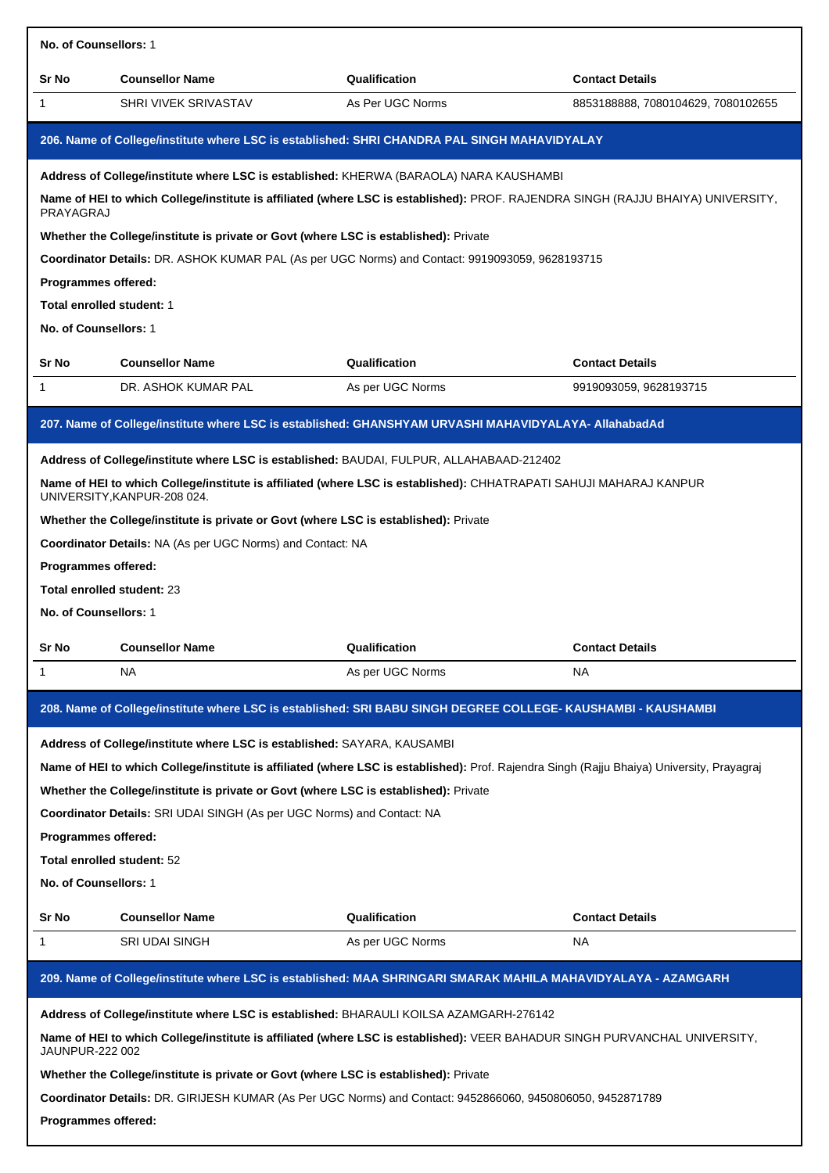| No. of Counsellors: 1                              |                                                                                      |                                                                                                                                            |                                    |  |  |
|----------------------------------------------------|--------------------------------------------------------------------------------------|--------------------------------------------------------------------------------------------------------------------------------------------|------------------------------------|--|--|
| Sr No                                              | <b>Counsellor Name</b>                                                               | Qualification                                                                                                                              | <b>Contact Details</b>             |  |  |
| $\mathbf{1}$                                       | SHRI VIVEK SRIVASTAV                                                                 | As Per UGC Norms                                                                                                                           | 8853188888, 7080104629, 7080102655 |  |  |
|                                                    |                                                                                      | 206. Name of College/institute where LSC is established: SHRI CHANDRA PAL SINGH MAHAVIDYALAY                                               |                                    |  |  |
|                                                    |                                                                                      | Address of College/institute where LSC is established: KHERWA (BARAOLA) NARA KAUSHAMBI                                                     |                                    |  |  |
| PRAYAGRAJ                                          |                                                                                      | Name of HEI to which College/institute is affiliated (where LSC is established): PROF. RAJENDRA SINGH (RAJJU BHAIYA) UNIVERSITY,           |                                    |  |  |
|                                                    | Whether the College/institute is private or Govt (where LSC is established): Private |                                                                                                                                            |                                    |  |  |
|                                                    |                                                                                      | Coordinator Details: DR. ASHOK KUMAR PAL (As per UGC Norms) and Contact: 9919093059, 9628193715                                            |                                    |  |  |
| Programmes offered:                                |                                                                                      |                                                                                                                                            |                                    |  |  |
| Total enrolled student: 1<br>No. of Counsellors: 1 |                                                                                      |                                                                                                                                            |                                    |  |  |
|                                                    |                                                                                      |                                                                                                                                            |                                    |  |  |
| Sr No                                              | <b>Counsellor Name</b>                                                               | Qualification                                                                                                                              | <b>Contact Details</b>             |  |  |
| $\mathbf{1}$                                       | DR. ASHOK KUMAR PAL                                                                  | As per UGC Norms                                                                                                                           | 9919093059, 9628193715             |  |  |
|                                                    |                                                                                      | 207. Name of College/institute where LSC is established: GHANSHYAM URVASHI MAHAVIDYALAYA- AllahabadAd                                      |                                    |  |  |
|                                                    |                                                                                      | Address of College/institute where LSC is established: BAUDAI, FULPUR, ALLAHABAAD-212402                                                   |                                    |  |  |
|                                                    | UNIVERSITY, KANPUR-208 024.                                                          | Name of HEI to which College/institute is affiliated (where LSC is established): CHHATRAPATI SAHUJI MAHARAJ KANPUR                         |                                    |  |  |
|                                                    | Whether the College/institute is private or Govt (where LSC is established): Private |                                                                                                                                            |                                    |  |  |
|                                                    | Coordinator Details: NA (As per UGC Norms) and Contact: NA                           |                                                                                                                                            |                                    |  |  |
| Programmes offered:                                |                                                                                      |                                                                                                                                            |                                    |  |  |
| Total enrolled student: 23                         |                                                                                      |                                                                                                                                            |                                    |  |  |
| No. of Counsellors: 1                              |                                                                                      |                                                                                                                                            |                                    |  |  |
| Sr No                                              | <b>Counsellor Name</b>                                                               | Qualification                                                                                                                              | <b>Contact Details</b>             |  |  |
| 1                                                  | NA.                                                                                  | As per UGC Norms                                                                                                                           | NA                                 |  |  |
|                                                    |                                                                                      | 208. Name of College/institute where LSC is established: SRI BABU SINGH DEGREE COLLEGE- KAUSHAMBI - KAUSHAMBI                              |                                    |  |  |
|                                                    | Address of College/institute where LSC is established: SAYARA, KAUSAMBI              |                                                                                                                                            |                                    |  |  |
|                                                    |                                                                                      | Name of HEI to which College/institute is affiliated (where LSC is established): Prof. Rajendra Singh (Rajju Bhaiya) University, Prayagraj |                                    |  |  |
|                                                    | Whether the College/institute is private or Govt (where LSC is established): Private |                                                                                                                                            |                                    |  |  |
|                                                    | Coordinator Details: SRI UDAI SINGH (As per UGC Norms) and Contact: NA               |                                                                                                                                            |                                    |  |  |
| Programmes offered:                                |                                                                                      |                                                                                                                                            |                                    |  |  |
| Total enrolled student: 52                         |                                                                                      |                                                                                                                                            |                                    |  |  |
|                                                    |                                                                                      |                                                                                                                                            |                                    |  |  |
| No. of Counsellors: 1                              |                                                                                      |                                                                                                                                            |                                    |  |  |
| Sr No                                              | <b>Counsellor Name</b>                                                               | Qualification                                                                                                                              | <b>Contact Details</b>             |  |  |
| 1                                                  | <b>SRI UDAI SINGH</b>                                                                | As per UGC Norms                                                                                                                           | NA                                 |  |  |
|                                                    |                                                                                      | 209. Name of College/institute where LSC is established: MAA SHRINGARI SMARAK MAHILA MAHAVIDYALAYA - AZAMGARH                              |                                    |  |  |
|                                                    |                                                                                      | Address of College/institute where LSC is established: BHARAULI KOILSA AZAMGARH-276142                                                     |                                    |  |  |
| JAUNPUR-222 002                                    |                                                                                      | Name of HEI to which College/institute is affiliated (where LSC is established): VEER BAHADUR SINGH PURVANCHAL UNIVERSITY,                 |                                    |  |  |
|                                                    | Whether the College/institute is private or Govt (where LSC is established): Private |                                                                                                                                            |                                    |  |  |
|                                                    |                                                                                      | Coordinator Details: DR. GIRIJESH KUMAR (As Per UGC Norms) and Contact: 9452866060, 9450806050, 9452871789                                 |                                    |  |  |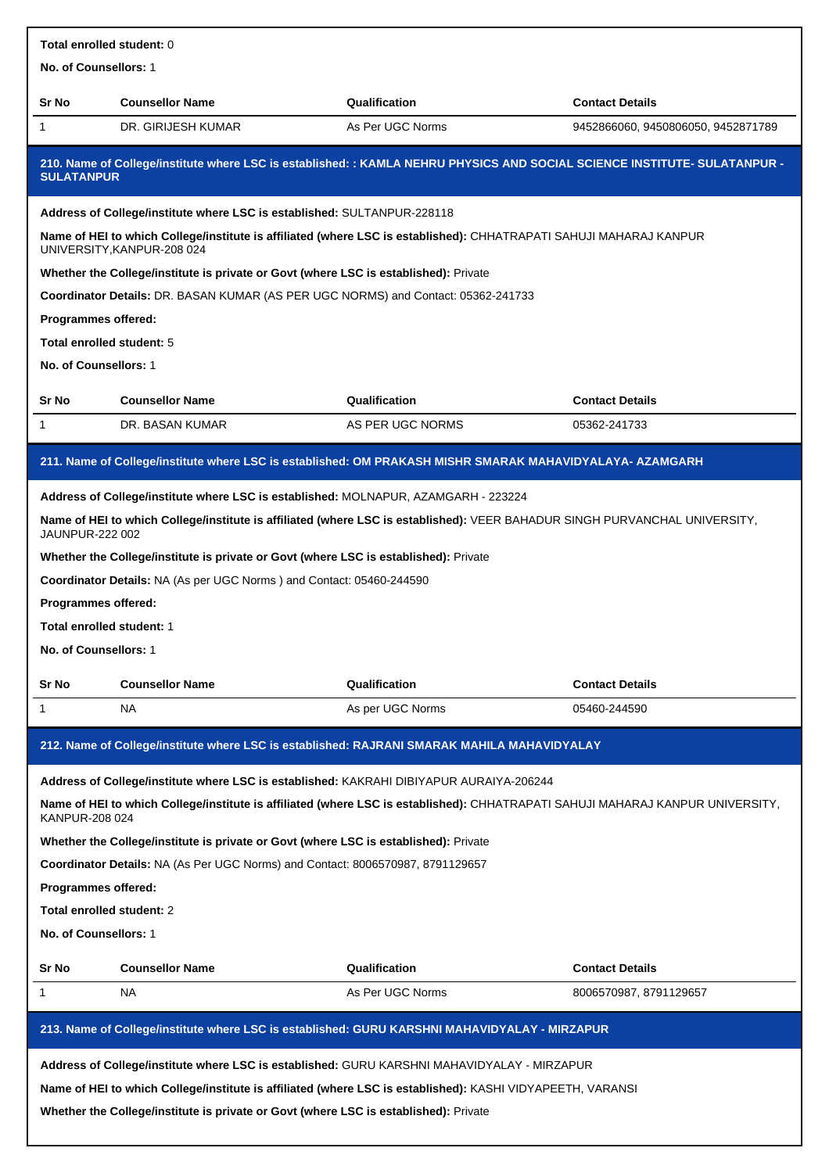| Total enrolled student: 0                                                                                           |                                                                                                                                                                                                                                                                              |                                                                                                                                             |                                    |  |  |  |
|---------------------------------------------------------------------------------------------------------------------|------------------------------------------------------------------------------------------------------------------------------------------------------------------------------------------------------------------------------------------------------------------------------|---------------------------------------------------------------------------------------------------------------------------------------------|------------------------------------|--|--|--|
| No. of Counsellors: 1                                                                                               |                                                                                                                                                                                                                                                                              |                                                                                                                                             |                                    |  |  |  |
| Sr No                                                                                                               | <b>Counsellor Name</b>                                                                                                                                                                                                                                                       | Qualification                                                                                                                               | <b>Contact Details</b>             |  |  |  |
| 1                                                                                                                   | DR. GIRIJESH KUMAR                                                                                                                                                                                                                                                           | As Per UGC Norms                                                                                                                            | 9452866060, 9450806050, 9452871789 |  |  |  |
| <b>SULATANPUR</b>                                                                                                   |                                                                                                                                                                                                                                                                              | 210. Name of College/institute where LSC is established: : KAMLA NEHRU PHYSICS AND SOCIAL SCIENCE INSTITUTE- SULATANPUR -                   |                                    |  |  |  |
|                                                                                                                     | Address of College/institute where LSC is established: SULTANPUR-228118                                                                                                                                                                                                      |                                                                                                                                             |                                    |  |  |  |
|                                                                                                                     | UNIVERSITY, KANPUR-208 024                                                                                                                                                                                                                                                   | Name of HEI to which College/institute is affiliated (where LSC is established): CHHATRAPATI SAHUJI MAHARAJ KANPUR                          |                                    |  |  |  |
|                                                                                                                     | Whether the College/institute is private or Govt (where LSC is established): Private                                                                                                                                                                                         |                                                                                                                                             |                                    |  |  |  |
|                                                                                                                     | Coordinator Details: DR. BASAN KUMAR (AS PER UGC NORMS) and Contact: 05362-241733                                                                                                                                                                                            |                                                                                                                                             |                                    |  |  |  |
| Programmes offered:                                                                                                 |                                                                                                                                                                                                                                                                              |                                                                                                                                             |                                    |  |  |  |
| Total enrolled student: 5                                                                                           |                                                                                                                                                                                                                                                                              |                                                                                                                                             |                                    |  |  |  |
| No. of Counsellors: 1                                                                                               |                                                                                                                                                                                                                                                                              |                                                                                                                                             |                                    |  |  |  |
| Sr No                                                                                                               | <b>Counsellor Name</b>                                                                                                                                                                                                                                                       | Qualification                                                                                                                               | <b>Contact Details</b>             |  |  |  |
| 1                                                                                                                   | DR. BASAN KUMAR                                                                                                                                                                                                                                                              | AS PER UGC NORMS                                                                                                                            | 05362-241733                       |  |  |  |
|                                                                                                                     |                                                                                                                                                                                                                                                                              | 211. Name of College/institute where LSC is established: OM PRAKASH MISHR SMARAK MAHAVIDYALAYA- AZAMGARH                                    |                                    |  |  |  |
| JAUNPUR-222 002<br>Programmes offered:<br>Total enrolled student: 1<br><b>No. of Counsellors:</b> 1<br><b>Sr No</b> | Address of College/institute where LSC is established: MOLNAPUR, AZAMGARH - 223224<br>Whether the College/institute is private or Govt (where LSC is established): Private<br>Coordinator Details: NA (As per UGC Norms) and Contact: 05460-244590<br><b>Counsellor Name</b> | Name of HEI to which College/institute is affiliated (where LSC is established): VEER BAHADUR SINGH PURVANCHAL UNIVERSITY,<br>Qualification | <b>Contact Details</b>             |  |  |  |
| 1                                                                                                                   | NA                                                                                                                                                                                                                                                                           | As per UGC Norms                                                                                                                            | 05460-244590                       |  |  |  |
|                                                                                                                     |                                                                                                                                                                                                                                                                              |                                                                                                                                             |                                    |  |  |  |
|                                                                                                                     |                                                                                                                                                                                                                                                                              | 212. Name of College/institute where LSC is established: RAJRANI SMARAK MAHILA MAHAVIDYALAY                                                 |                                    |  |  |  |
|                                                                                                                     | Address of College/institute where LSC is established: KAKRAHI DIBIYAPUR AURAIYA-206244                                                                                                                                                                                      |                                                                                                                                             |                                    |  |  |  |
| KANPUR-208 024                                                                                                      |                                                                                                                                                                                                                                                                              | Name of HEI to which College/institute is affiliated (where LSC is established): CHHATRAPATI SAHUJI MAHARAJ KANPUR UNIVERSITY,              |                                    |  |  |  |
|                                                                                                                     | Whether the College/institute is private or Govt (where LSC is established): Private                                                                                                                                                                                         |                                                                                                                                             |                                    |  |  |  |
|                                                                                                                     |                                                                                                                                                                                                                                                                              | Coordinator Details: NA (As Per UGC Norms) and Contact: 8006570987, 8791129657                                                              |                                    |  |  |  |
| Programmes offered:                                                                                                 |                                                                                                                                                                                                                                                                              |                                                                                                                                             |                                    |  |  |  |
|                                                                                                                     |                                                                                                                                                                                                                                                                              |                                                                                                                                             |                                    |  |  |  |
| Total enrolled student: 2                                                                                           |                                                                                                                                                                                                                                                                              |                                                                                                                                             |                                    |  |  |  |
| No. of Counsellors: 1                                                                                               |                                                                                                                                                                                                                                                                              |                                                                                                                                             |                                    |  |  |  |
| Sr No                                                                                                               | <b>Counsellor Name</b>                                                                                                                                                                                                                                                       | Qualification                                                                                                                               | <b>Contact Details</b>             |  |  |  |
| 1                                                                                                                   | NA                                                                                                                                                                                                                                                                           | As Per UGC Norms                                                                                                                            | 8006570987, 8791129657             |  |  |  |
|                                                                                                                     |                                                                                                                                                                                                                                                                              | 213. Name of College/institute where LSC is established: GURU KARSHNI MAHAVIDYALAY - MIRZAPUR                                               |                                    |  |  |  |
|                                                                                                                     |                                                                                                                                                                                                                                                                              | Address of College/institute where LSC is established: GURU KARSHNI MAHAVIDYALAY - MIRZAPUR                                                 |                                    |  |  |  |
|                                                                                                                     |                                                                                                                                                                                                                                                                              | Name of HEI to which College/institute is affiliated (where LSC is established): KASHI VIDYAPEETH, VARANSI                                  |                                    |  |  |  |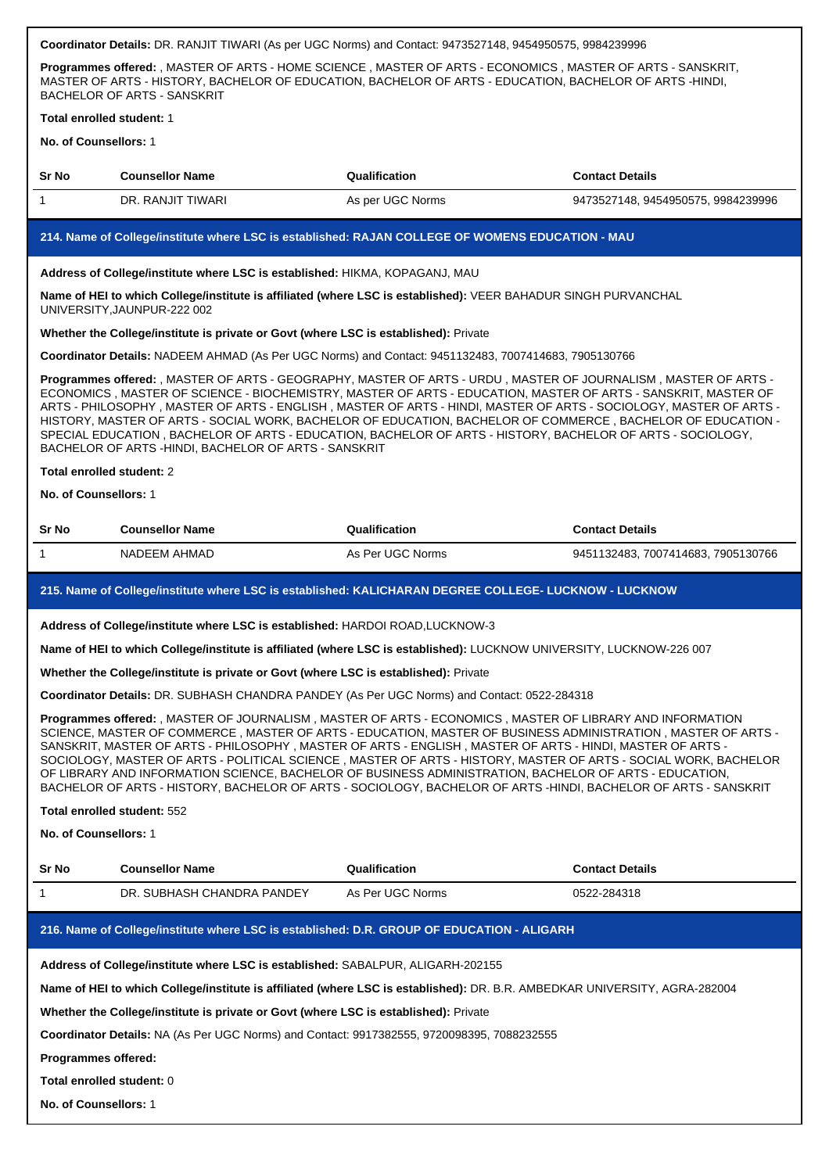| Programmes offered: , MASTER OF ARTS - HOME SCIENCE , MASTER OF ARTS - ECONOMICS , MASTER OF ARTS - SANSKRIT,<br>MASTER OF ARTS - HISTORY, BACHELOR OF EDUCATION, BACHELOR OF ARTS - EDUCATION, BACHELOR OF ARTS -HINDI,<br>BACHELOR OF ARTS - SANSKRIT                                                                                                                                                                                                                                                                                                                                                                                                                                 |                                                                                            |                                                                                                                                                                                                                                                                                                                                                                                                                                                                                                                                                                                    |                                    |  |  |
|-----------------------------------------------------------------------------------------------------------------------------------------------------------------------------------------------------------------------------------------------------------------------------------------------------------------------------------------------------------------------------------------------------------------------------------------------------------------------------------------------------------------------------------------------------------------------------------------------------------------------------------------------------------------------------------------|--------------------------------------------------------------------------------------------|------------------------------------------------------------------------------------------------------------------------------------------------------------------------------------------------------------------------------------------------------------------------------------------------------------------------------------------------------------------------------------------------------------------------------------------------------------------------------------------------------------------------------------------------------------------------------------|------------------------------------|--|--|
| Total enrolled student: 1                                                                                                                                                                                                                                                                                                                                                                                                                                                                                                                                                                                                                                                               |                                                                                            |                                                                                                                                                                                                                                                                                                                                                                                                                                                                                                                                                                                    |                                    |  |  |
| No. of Counsellors: 1                                                                                                                                                                                                                                                                                                                                                                                                                                                                                                                                                                                                                                                                   |                                                                                            |                                                                                                                                                                                                                                                                                                                                                                                                                                                                                                                                                                                    |                                    |  |  |
| Sr No                                                                                                                                                                                                                                                                                                                                                                                                                                                                                                                                                                                                                                                                                   | <b>Counsellor Name</b>                                                                     | Qualification                                                                                                                                                                                                                                                                                                                                                                                                                                                                                                                                                                      | <b>Contact Details</b>             |  |  |
| 1                                                                                                                                                                                                                                                                                                                                                                                                                                                                                                                                                                                                                                                                                       | DR. RANJIT TIWARI                                                                          | As per UGC Norms                                                                                                                                                                                                                                                                                                                                                                                                                                                                                                                                                                   | 9473527148, 9454950575, 9984239996 |  |  |
|                                                                                                                                                                                                                                                                                                                                                                                                                                                                                                                                                                                                                                                                                         |                                                                                            | 214. Name of College/institute where LSC is established: RAJAN COLLEGE OF WOMENS EDUCATION - MAU                                                                                                                                                                                                                                                                                                                                                                                                                                                                                   |                                    |  |  |
|                                                                                                                                                                                                                                                                                                                                                                                                                                                                                                                                                                                                                                                                                         | Address of College/institute where LSC is established: HIKMA, KOPAGANJ, MAU                |                                                                                                                                                                                                                                                                                                                                                                                                                                                                                                                                                                                    |                                    |  |  |
|                                                                                                                                                                                                                                                                                                                                                                                                                                                                                                                                                                                                                                                                                         | UNIVERSITY, JAUNPUR-222 002                                                                | Name of HEI to which College/institute is affiliated (where LSC is established): VEER BAHADUR SINGH PURVANCHAL                                                                                                                                                                                                                                                                                                                                                                                                                                                                     |                                    |  |  |
|                                                                                                                                                                                                                                                                                                                                                                                                                                                                                                                                                                                                                                                                                         | Whether the College/institute is private or Govt (where LSC is established): Private       |                                                                                                                                                                                                                                                                                                                                                                                                                                                                                                                                                                                    |                                    |  |  |
|                                                                                                                                                                                                                                                                                                                                                                                                                                                                                                                                                                                                                                                                                         |                                                                                            | Coordinator Details: NADEEM AHMAD (As Per UGC Norms) and Contact: 9451132483, 7007414683, 7905130766                                                                                                                                                                                                                                                                                                                                                                                                                                                                               |                                    |  |  |
|                                                                                                                                                                                                                                                                                                                                                                                                                                                                                                                                                                                                                                                                                         | BACHELOR OF ARTS - HINDI, BACHELOR OF ARTS - SANSKRIT                                      | Programmes offered: , MASTER OF ARTS - GEOGRAPHY, MASTER OF ARTS - URDU, MASTER OF JOURNALISM, MASTER OF ARTS -<br>ECONOMICS, MASTER OF SCIENCE - BIOCHEMISTRY, MASTER OF ARTS - EDUCATION, MASTER OF ARTS - SANSKRIT, MASTER OF<br>ARTS - PHILOSOPHY, MASTER OF ARTS - ENGLISH, MASTER OF ARTS - HINDI, MASTER OF ARTS - SOCIOLOGY, MASTER OF ARTS -<br>HISTORY, MASTER OF ARTS - SOCIAL WORK, BACHELOR OF EDUCATION, BACHELOR OF COMMERCE, BACHELOR OF EDUCATION -<br>SPECIAL EDUCATION, BACHELOR OF ARTS - EDUCATION, BACHELOR OF ARTS - HISTORY, BACHELOR OF ARTS - SOCIOLOGY, |                                    |  |  |
| Total enrolled student: 2                                                                                                                                                                                                                                                                                                                                                                                                                                                                                                                                                                                                                                                               |                                                                                            |                                                                                                                                                                                                                                                                                                                                                                                                                                                                                                                                                                                    |                                    |  |  |
| No. of Counsellors: 1                                                                                                                                                                                                                                                                                                                                                                                                                                                                                                                                                                                                                                                                   |                                                                                            |                                                                                                                                                                                                                                                                                                                                                                                                                                                                                                                                                                                    |                                    |  |  |
| Sr No                                                                                                                                                                                                                                                                                                                                                                                                                                                                                                                                                                                                                                                                                   | <b>Counsellor Name</b>                                                                     | Qualification                                                                                                                                                                                                                                                                                                                                                                                                                                                                                                                                                                      | <b>Contact Details</b>             |  |  |
| 1                                                                                                                                                                                                                                                                                                                                                                                                                                                                                                                                                                                                                                                                                       | NADEEM AHMAD                                                                               | As Per UGC Norms                                                                                                                                                                                                                                                                                                                                                                                                                                                                                                                                                                   | 9451132483, 7007414683, 7905130766 |  |  |
|                                                                                                                                                                                                                                                                                                                                                                                                                                                                                                                                                                                                                                                                                         |                                                                                            | 215. Name of College/institute where LSC is established: KALICHARAN DEGREE COLLEGE- LUCKNOW - LUCKNOW                                                                                                                                                                                                                                                                                                                                                                                                                                                                              |                                    |  |  |
|                                                                                                                                                                                                                                                                                                                                                                                                                                                                                                                                                                                                                                                                                         | Address of College/institute where LSC is established: HARDOI ROAD, LUCKNOW-3              |                                                                                                                                                                                                                                                                                                                                                                                                                                                                                                                                                                                    |                                    |  |  |
|                                                                                                                                                                                                                                                                                                                                                                                                                                                                                                                                                                                                                                                                                         |                                                                                            | Name of HEI to which College/institute is affiliated (where LSC is established): LUCKNOW UNIVERSITY, LUCKNOW-226 007                                                                                                                                                                                                                                                                                                                                                                                                                                                               |                                    |  |  |
|                                                                                                                                                                                                                                                                                                                                                                                                                                                                                                                                                                                                                                                                                         | Whether the College/institute is private or Govt (where LSC is established): Private       |                                                                                                                                                                                                                                                                                                                                                                                                                                                                                                                                                                                    |                                    |  |  |
|                                                                                                                                                                                                                                                                                                                                                                                                                                                                                                                                                                                                                                                                                         |                                                                                            | Coordinator Details: DR. SUBHASH CHANDRA PANDEY (As Per UGC Norms) and Contact: 0522-284318                                                                                                                                                                                                                                                                                                                                                                                                                                                                                        |                                    |  |  |
| Programmes offered: , MASTER OF JOURNALISM , MASTER OF ARTS - ECONOMICS , MASTER OF LIBRARY AND INFORMATION<br>SCIENCE, MASTER OF COMMERCE, MASTER OF ARTS - EDUCATION, MASTER OF BUSINESS ADMINISTRATION, MASTER OF ARTS -<br>SANSKRIT, MASTER OF ARTS - PHILOSOPHY, MASTER OF ARTS - ENGLISH, MASTER OF ARTS - HINDI, MASTER OF ARTS -<br>SOCIOLOGY, MASTER OF ARTS - POLITICAL SCIENCE, MASTER OF ARTS - HISTORY, MASTER OF ARTS - SOCIAL WORK, BACHELOR<br>OF LIBRARY AND INFORMATION SCIENCE, BACHELOR OF BUSINESS ADMINISTRATION, BACHELOR OF ARTS - EDUCATION,<br>BACHELOR OF ARTS - HISTORY, BACHELOR OF ARTS - SOCIOLOGY, BACHELOR OF ARTS -HINDI, BACHELOR OF ARTS - SANSKRIT |                                                                                            |                                                                                                                                                                                                                                                                                                                                                                                                                                                                                                                                                                                    |                                    |  |  |
| <b>Total enrolled student: 552</b>                                                                                                                                                                                                                                                                                                                                                                                                                                                                                                                                                                                                                                                      |                                                                                            |                                                                                                                                                                                                                                                                                                                                                                                                                                                                                                                                                                                    |                                    |  |  |
| No. of Counsellors: 1                                                                                                                                                                                                                                                                                                                                                                                                                                                                                                                                                                                                                                                                   |                                                                                            |                                                                                                                                                                                                                                                                                                                                                                                                                                                                                                                                                                                    |                                    |  |  |
| Sr No                                                                                                                                                                                                                                                                                                                                                                                                                                                                                                                                                                                                                                                                                   | <b>Counsellor Name</b>                                                                     | Qualification                                                                                                                                                                                                                                                                                                                                                                                                                                                                                                                                                                      | <b>Contact Details</b>             |  |  |
| 1                                                                                                                                                                                                                                                                                                                                                                                                                                                                                                                                                                                                                                                                                       | DR. SUBHASH CHANDRA PANDEY                                                                 | As Per UGC Norms                                                                                                                                                                                                                                                                                                                                                                                                                                                                                                                                                                   | 0522-284318                        |  |  |
|                                                                                                                                                                                                                                                                                                                                                                                                                                                                                                                                                                                                                                                                                         |                                                                                            | 216. Name of College/institute where LSC is established: D.R. GROUP OF EDUCATION - ALIGARH                                                                                                                                                                                                                                                                                                                                                                                                                                                                                         |                                    |  |  |
|                                                                                                                                                                                                                                                                                                                                                                                                                                                                                                                                                                                                                                                                                         | Address of College/institute where LSC is established: SABALPUR, ALIGARH-202155            |                                                                                                                                                                                                                                                                                                                                                                                                                                                                                                                                                                                    |                                    |  |  |
|                                                                                                                                                                                                                                                                                                                                                                                                                                                                                                                                                                                                                                                                                         |                                                                                            | Name of HEI to which College/institute is affiliated (where LSC is established): DR. B.R. AMBEDKAR UNIVERSITY, AGRA-282004                                                                                                                                                                                                                                                                                                                                                                                                                                                         |                                    |  |  |
|                                                                                                                                                                                                                                                                                                                                                                                                                                                                                                                                                                                                                                                                                         | Whether the College/institute is private or Govt (where LSC is established): Private       |                                                                                                                                                                                                                                                                                                                                                                                                                                                                                                                                                                                    |                                    |  |  |
|                                                                                                                                                                                                                                                                                                                                                                                                                                                                                                                                                                                                                                                                                         | Coordinator Details: NA (As Per UGC Norms) and Contact: 9917382555, 9720098395, 7088232555 |                                                                                                                                                                                                                                                                                                                                                                                                                                                                                                                                                                                    |                                    |  |  |
| Programmes offered:                                                                                                                                                                                                                                                                                                                                                                                                                                                                                                                                                                                                                                                                     |                                                                                            |                                                                                                                                                                                                                                                                                                                                                                                                                                                                                                                                                                                    |                                    |  |  |
| Total enrolled student: 0                                                                                                                                                                                                                                                                                                                                                                                                                                                                                                                                                                                                                                                               |                                                                                            |                                                                                                                                                                                                                                                                                                                                                                                                                                                                                                                                                                                    |                                    |  |  |

**Coordinator Details:** DR. RANJIT TIWARI (As per UGC Norms) and Contact: 9473527148, 9454950575, 9984239996

## **No. of Counsellors:** 1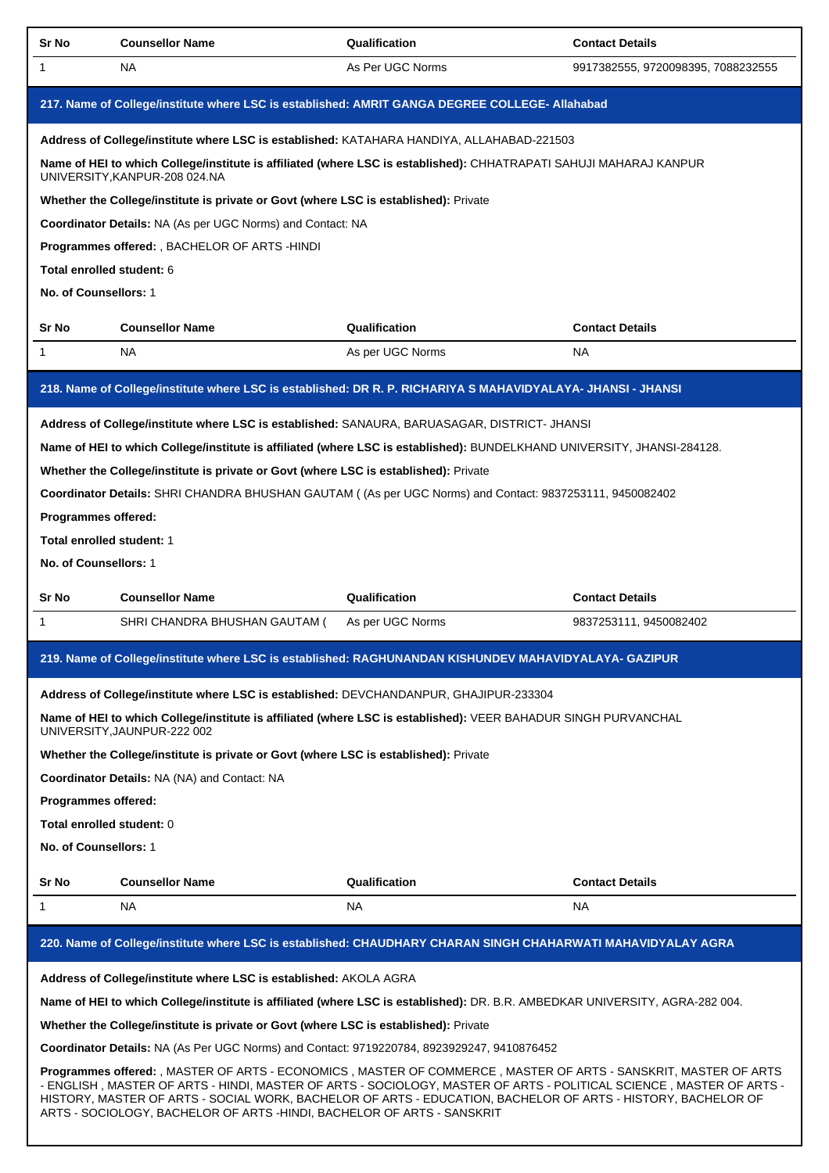| Sr No                                                                                                                                                                                                                                                                                                                                                                                                                              | <b>Counsellor Name</b>                                                                         | Qualification                                                                                                                | <b>Contact Details</b>             |  |  |
|------------------------------------------------------------------------------------------------------------------------------------------------------------------------------------------------------------------------------------------------------------------------------------------------------------------------------------------------------------------------------------------------------------------------------------|------------------------------------------------------------------------------------------------|------------------------------------------------------------------------------------------------------------------------------|------------------------------------|--|--|
| 1                                                                                                                                                                                                                                                                                                                                                                                                                                  | NA.                                                                                            | As Per UGC Norms                                                                                                             | 9917382555, 9720098395, 7088232555 |  |  |
|                                                                                                                                                                                                                                                                                                                                                                                                                                    | 217. Name of College/institute where LSC is established: AMRIT GANGA DEGREE COLLEGE- Allahabad |                                                                                                                              |                                    |  |  |
|                                                                                                                                                                                                                                                                                                                                                                                                                                    |                                                                                                | Address of College/institute where LSC is established: KATAHARA HANDIYA, ALLAHABAD-221503                                    |                                    |  |  |
|                                                                                                                                                                                                                                                                                                                                                                                                                                    | UNIVERSITY, KANPUR-208 024.NA                                                                  | Name of HEI to which College/institute is affiliated (where LSC is established): CHHATRAPATI SAHUJI MAHARAJ KANPUR           |                                    |  |  |
|                                                                                                                                                                                                                                                                                                                                                                                                                                    | Whether the College/institute is private or Govt (where LSC is established): Private           |                                                                                                                              |                                    |  |  |
|                                                                                                                                                                                                                                                                                                                                                                                                                                    | Coordinator Details: NA (As per UGC Norms) and Contact: NA                                     |                                                                                                                              |                                    |  |  |
|                                                                                                                                                                                                                                                                                                                                                                                                                                    | Programmes offered: , BACHELOR OF ARTS -HINDI                                                  |                                                                                                                              |                                    |  |  |
| Total enrolled student: 6                                                                                                                                                                                                                                                                                                                                                                                                          |                                                                                                |                                                                                                                              |                                    |  |  |
| No. of Counsellors: 1                                                                                                                                                                                                                                                                                                                                                                                                              |                                                                                                |                                                                                                                              |                                    |  |  |
| Sr No                                                                                                                                                                                                                                                                                                                                                                                                                              | <b>Counsellor Name</b>                                                                         | Qualification                                                                                                                | <b>Contact Details</b>             |  |  |
| 1                                                                                                                                                                                                                                                                                                                                                                                                                                  | NA.                                                                                            | As per UGC Norms                                                                                                             | NA                                 |  |  |
|                                                                                                                                                                                                                                                                                                                                                                                                                                    |                                                                                                | 218. Name of College/institute where LSC is established: DR R. P. RICHARIYA S MAHAVIDYALAYA- JHANSI - JHANSI                 |                                    |  |  |
|                                                                                                                                                                                                                                                                                                                                                                                                                                    |                                                                                                | Address of College/institute where LSC is established: SANAURA, BARUASAGAR, DISTRICT- JHANSI                                 |                                    |  |  |
|                                                                                                                                                                                                                                                                                                                                                                                                                                    |                                                                                                | Name of HEI to which College/institute is affiliated (where LSC is established): BUNDELKHAND UNIVERSITY, JHANSI-284128.      |                                    |  |  |
|                                                                                                                                                                                                                                                                                                                                                                                                                                    | Whether the College/institute is private or Govt (where LSC is established): Private           |                                                                                                                              |                                    |  |  |
|                                                                                                                                                                                                                                                                                                                                                                                                                                    |                                                                                                | Coordinator Details: SHRI CHANDRA BHUSHAN GAUTAM ((As per UGC Norms) and Contact: 9837253111, 9450082402                     |                                    |  |  |
| Programmes offered:                                                                                                                                                                                                                                                                                                                                                                                                                |                                                                                                |                                                                                                                              |                                    |  |  |
| Total enrolled student: 1                                                                                                                                                                                                                                                                                                                                                                                                          |                                                                                                |                                                                                                                              |                                    |  |  |
| No. of Counsellors: 1                                                                                                                                                                                                                                                                                                                                                                                                              |                                                                                                |                                                                                                                              |                                    |  |  |
| Sr No                                                                                                                                                                                                                                                                                                                                                                                                                              | <b>Counsellor Name</b>                                                                         | Qualification                                                                                                                | <b>Contact Details</b>             |  |  |
| 1                                                                                                                                                                                                                                                                                                                                                                                                                                  | SHRI CHANDRA BHUSHAN GAUTAM (                                                                  | As per UGC Norms                                                                                                             | 9837253111, 9450082402             |  |  |
|                                                                                                                                                                                                                                                                                                                                                                                                                                    |                                                                                                | 219. Name of College/institute where LSC is established: RAGHUNANDAN KISHUNDEV MAHAVIDYALAYA- GAZIPUR                        |                                    |  |  |
|                                                                                                                                                                                                                                                                                                                                                                                                                                    | Address of College/institute where LSC is established: DEVCHANDANPUR, GHAJIPUR-233304          |                                                                                                                              |                                    |  |  |
|                                                                                                                                                                                                                                                                                                                                                                                                                                    | UNIVERSITY, JAUNPUR-222 002                                                                    | Name of HEI to which College/institute is affiliated (where LSC is established): VEER BAHADUR SINGH PURVANCHAL               |                                    |  |  |
|                                                                                                                                                                                                                                                                                                                                                                                                                                    | Whether the College/institute is private or Govt (where LSC is established): Private           |                                                                                                                              |                                    |  |  |
|                                                                                                                                                                                                                                                                                                                                                                                                                                    | Coordinator Details: NA (NA) and Contact: NA                                                   |                                                                                                                              |                                    |  |  |
| Programmes offered:                                                                                                                                                                                                                                                                                                                                                                                                                |                                                                                                |                                                                                                                              |                                    |  |  |
| Total enrolled student: 0                                                                                                                                                                                                                                                                                                                                                                                                          |                                                                                                |                                                                                                                              |                                    |  |  |
| No. of Counsellors: 1                                                                                                                                                                                                                                                                                                                                                                                                              |                                                                                                |                                                                                                                              |                                    |  |  |
| Sr No                                                                                                                                                                                                                                                                                                                                                                                                                              | <b>Counsellor Name</b>                                                                         | Qualification                                                                                                                | <b>Contact Details</b>             |  |  |
| 1                                                                                                                                                                                                                                                                                                                                                                                                                                  | NA                                                                                             | NA                                                                                                                           | NA                                 |  |  |
|                                                                                                                                                                                                                                                                                                                                                                                                                                    |                                                                                                | 220. Name of College/institute where LSC is established: CHAUDHARY CHARAN SINGH CHAHARWATI MAHAVIDYALAY AGRA                 |                                    |  |  |
|                                                                                                                                                                                                                                                                                                                                                                                                                                    | Address of College/institute where LSC is established: AKOLA AGRA                              |                                                                                                                              |                                    |  |  |
|                                                                                                                                                                                                                                                                                                                                                                                                                                    |                                                                                                | Name of HEI to which College/institute is affiliated (where LSC is established): DR. B.R. AMBEDKAR UNIVERSITY, AGRA-282 004. |                                    |  |  |
|                                                                                                                                                                                                                                                                                                                                                                                                                                    | Whether the College/institute is private or Govt (where LSC is established): Private           |                                                                                                                              |                                    |  |  |
|                                                                                                                                                                                                                                                                                                                                                                                                                                    | Coordinator Details: NA (As Per UGC Norms) and Contact: 9719220784, 8923929247, 9410876452     |                                                                                                                              |                                    |  |  |
| Programmes offered: , MASTER OF ARTS - ECONOMICS , MASTER OF COMMERCE , MASTER OF ARTS - SANSKRIT, MASTER OF ARTS<br>- ENGLISH, MASTER OF ARTS - HINDI, MASTER OF ARTS - SOCIOLOGY, MASTER OF ARTS - POLITICAL SCIENCE, MASTER OF ARTS -<br>HISTORY, MASTER OF ARTS - SOCIAL WORK, BACHELOR OF ARTS - EDUCATION, BACHELOR OF ARTS - HISTORY, BACHELOR OF<br>ARTS - SOCIOLOGY, BACHELOR OF ARTS -HINDI, BACHELOR OF ARTS - SANSKRIT |                                                                                                |                                                                                                                              |                                    |  |  |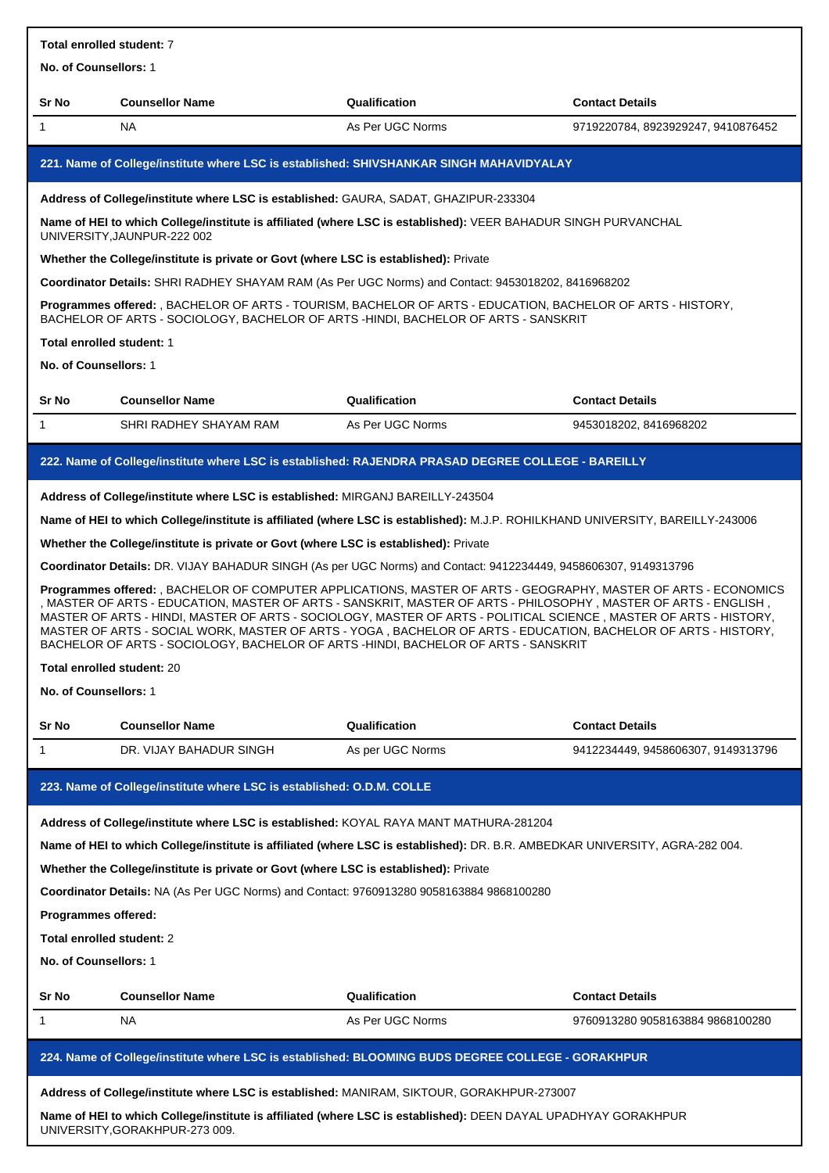| Total enrolled student: 7  |                                                                                                                                                                                                                                                                                                                                                                                                                                                                                                                                                                 |                  |                                    |  |
|----------------------------|-----------------------------------------------------------------------------------------------------------------------------------------------------------------------------------------------------------------------------------------------------------------------------------------------------------------------------------------------------------------------------------------------------------------------------------------------------------------------------------------------------------------------------------------------------------------|------------------|------------------------------------|--|
| No. of Counsellors: 1      |                                                                                                                                                                                                                                                                                                                                                                                                                                                                                                                                                                 |                  |                                    |  |
| Sr No                      | <b>Counsellor Name</b>                                                                                                                                                                                                                                                                                                                                                                                                                                                                                                                                          | Qualification    | <b>Contact Details</b>             |  |
| 1                          | NA.                                                                                                                                                                                                                                                                                                                                                                                                                                                                                                                                                             | As Per UGC Norms | 9719220784, 8923929247, 9410876452 |  |
|                            | 221. Name of College/institute where LSC is established: SHIVSHANKAR SINGH MAHAVIDYALAY                                                                                                                                                                                                                                                                                                                                                                                                                                                                         |                  |                                    |  |
|                            | Address of College/institute where LSC is established: GAURA, SADAT, GHAZIPUR-233304                                                                                                                                                                                                                                                                                                                                                                                                                                                                            |                  |                                    |  |
|                            | Name of HEI to which College/institute is affiliated (where LSC is established): VEER BAHADUR SINGH PURVANCHAL<br>UNIVERSITY, JAUNPUR-222 002                                                                                                                                                                                                                                                                                                                                                                                                                   |                  |                                    |  |
|                            | Whether the College/institute is private or Govt (where LSC is established): Private                                                                                                                                                                                                                                                                                                                                                                                                                                                                            |                  |                                    |  |
|                            | Coordinator Details: SHRI RADHEY SHAYAM RAM (As Per UGC Norms) and Contact: 9453018202, 8416968202                                                                                                                                                                                                                                                                                                                                                                                                                                                              |                  |                                    |  |
|                            | Programmes offered: , BACHELOR OF ARTS - TOURISM, BACHELOR OF ARTS - EDUCATION, BACHELOR OF ARTS - HISTORY,<br>BACHELOR OF ARTS - SOCIOLOGY, BACHELOR OF ARTS -HINDI, BACHELOR OF ARTS - SANSKRIT                                                                                                                                                                                                                                                                                                                                                               |                  |                                    |  |
| Total enrolled student: 1  |                                                                                                                                                                                                                                                                                                                                                                                                                                                                                                                                                                 |                  |                                    |  |
| No. of Counsellors: 1      |                                                                                                                                                                                                                                                                                                                                                                                                                                                                                                                                                                 |                  |                                    |  |
| Sr No                      | <b>Counsellor Name</b>                                                                                                                                                                                                                                                                                                                                                                                                                                                                                                                                          | Qualification    | <b>Contact Details</b>             |  |
| $\mathbf{1}$               | SHRI RADHEY SHAYAM RAM                                                                                                                                                                                                                                                                                                                                                                                                                                                                                                                                          | As Per UGC Norms | 9453018202, 8416968202             |  |
|                            | 222. Name of College/institute where LSC is established: RAJENDRA PRASAD DEGREE COLLEGE - BAREILLY                                                                                                                                                                                                                                                                                                                                                                                                                                                              |                  |                                    |  |
|                            | Address of College/institute where LSC is established: MIRGANJ BAREILLY-243504                                                                                                                                                                                                                                                                                                                                                                                                                                                                                  |                  |                                    |  |
|                            | Name of HEI to which College/institute is affiliated (where LSC is established): M.J.P. ROHILKHAND UNIVERSITY, BAREILLY-243006                                                                                                                                                                                                                                                                                                                                                                                                                                  |                  |                                    |  |
|                            | Whether the College/institute is private or Govt (where LSC is established): Private                                                                                                                                                                                                                                                                                                                                                                                                                                                                            |                  |                                    |  |
|                            | Coordinator Details: DR. VIJAY BAHADUR SINGH (As per UGC Norms) and Contact: 9412234449, 9458606307, 9149313796                                                                                                                                                                                                                                                                                                                                                                                                                                                 |                  |                                    |  |
| Total enrolled student: 20 | Programmes offered: , BACHELOR OF COMPUTER APPLICATIONS, MASTER OF ARTS - GEOGRAPHY, MASTER OF ARTS - ECONOMICS<br>, MASTER OF ARTS - EDUCATION, MASTER OF ARTS - SANSKRIT, MASTER OF ARTS - PHILOSOPHY , MASTER OF ARTS - ENGLISH<br>MASTER OF ARTS - HINDI, MASTER OF ARTS - SOCIOLOGY, MASTER OF ARTS - POLITICAL SCIENCE, MASTER OF ARTS - HISTORY,<br>MASTER OF ARTS - SOCIAL WORK, MASTER OF ARTS - YOGA, BACHELOR OF ARTS - EDUCATION, BACHELOR OF ARTS - HISTORY,<br>BACHELOR OF ARTS - SOCIOLOGY, BACHELOR OF ARTS -HINDI, BACHELOR OF ARTS - SANSKRIT |                  |                                    |  |
| No. of Counsellors: 1      |                                                                                                                                                                                                                                                                                                                                                                                                                                                                                                                                                                 |                  |                                    |  |
| Sr No                      | <b>Counsellor Name</b>                                                                                                                                                                                                                                                                                                                                                                                                                                                                                                                                          | Qualification    | <b>Contact Details</b>             |  |
| 1                          | DR. VIJAY BAHADUR SINGH                                                                                                                                                                                                                                                                                                                                                                                                                                                                                                                                         | As per UGC Norms | 9412234449, 9458606307, 9149313796 |  |
|                            | 223. Name of College/institute where LSC is established: O.D.M. COLLE                                                                                                                                                                                                                                                                                                                                                                                                                                                                                           |                  |                                    |  |
|                            | Address of College/institute where LSC is established: KOYAL RAYA MANT MATHURA-281204                                                                                                                                                                                                                                                                                                                                                                                                                                                                           |                  |                                    |  |
|                            | Name of HEI to which College/institute is affiliated (where LSC is established): DR. B.R. AMBEDKAR UNIVERSITY, AGRA-282 004.                                                                                                                                                                                                                                                                                                                                                                                                                                    |                  |                                    |  |
|                            | Whether the College/institute is private or Govt (where LSC is established): Private                                                                                                                                                                                                                                                                                                                                                                                                                                                                            |                  |                                    |  |
|                            | Coordinator Details: NA (As Per UGC Norms) and Contact: 9760913280 9058163884 9868100280                                                                                                                                                                                                                                                                                                                                                                                                                                                                        |                  |                                    |  |
| Programmes offered:        |                                                                                                                                                                                                                                                                                                                                                                                                                                                                                                                                                                 |                  |                                    |  |
| Total enrolled student: 2  |                                                                                                                                                                                                                                                                                                                                                                                                                                                                                                                                                                 |                  |                                    |  |
| No. of Counsellors: 1      |                                                                                                                                                                                                                                                                                                                                                                                                                                                                                                                                                                 |                  |                                    |  |
| Sr No                      | <b>Counsellor Name</b>                                                                                                                                                                                                                                                                                                                                                                                                                                                                                                                                          | Qualification    | <b>Contact Details</b>             |  |
| 1                          | NA                                                                                                                                                                                                                                                                                                                                                                                                                                                                                                                                                              | As Per UGC Norms | 9760913280 9058163884 9868100280   |  |
|                            | 224. Name of College/institute where LSC is established: BLOOMING BUDS DEGREE COLLEGE - GORAKHPUR                                                                                                                                                                                                                                                                                                                                                                                                                                                               |                  |                                    |  |
|                            | Address of College/institute where LSC is established: MANIRAM, SIKTOUR, GORAKHPUR-273007                                                                                                                                                                                                                                                                                                                                                                                                                                                                       |                  |                                    |  |
|                            | Name of HEI to which College/institute is affiliated (where LSC is established): DEEN DAYAL UPADHYAY GORAKHPUR                                                                                                                                                                                                                                                                                                                                                                                                                                                  |                  |                                    |  |
|                            | UNIVERSITY, GORAKHPUR-273 009.                                                                                                                                                                                                                                                                                                                                                                                                                                                                                                                                  |                  |                                    |  |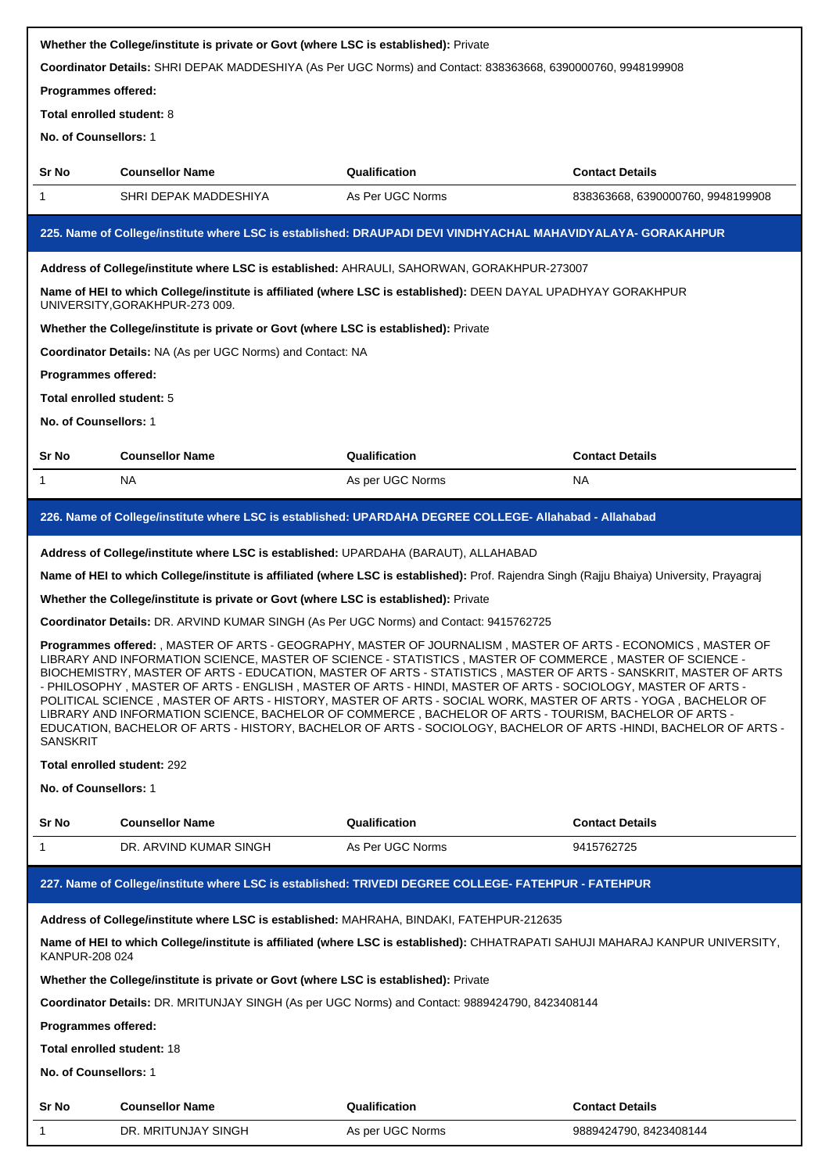|                                                                                                                                                                                                                                                                                                                                                                                                                                                                                                                                                                                                                                                                                                                                                                                                                                                                                                                             | Whether the College/institute is private or Govt (where LSC is established): Private                                                             |                  |                                   |
|-----------------------------------------------------------------------------------------------------------------------------------------------------------------------------------------------------------------------------------------------------------------------------------------------------------------------------------------------------------------------------------------------------------------------------------------------------------------------------------------------------------------------------------------------------------------------------------------------------------------------------------------------------------------------------------------------------------------------------------------------------------------------------------------------------------------------------------------------------------------------------------------------------------------------------|--------------------------------------------------------------------------------------------------------------------------------------------------|------------------|-----------------------------------|
|                                                                                                                                                                                                                                                                                                                                                                                                                                                                                                                                                                                                                                                                                                                                                                                                                                                                                                                             | Coordinator Details: SHRI DEPAK MADDESHIYA (As Per UGC Norms) and Contact: 838363668, 6390000760, 9948199908                                     |                  |                                   |
| Programmes offered:                                                                                                                                                                                                                                                                                                                                                                                                                                                                                                                                                                                                                                                                                                                                                                                                                                                                                                         |                                                                                                                                                  |                  |                                   |
| Total enrolled student: 8                                                                                                                                                                                                                                                                                                                                                                                                                                                                                                                                                                                                                                                                                                                                                                                                                                                                                                   |                                                                                                                                                  |                  |                                   |
| No. of Counsellors: 1                                                                                                                                                                                                                                                                                                                                                                                                                                                                                                                                                                                                                                                                                                                                                                                                                                                                                                       |                                                                                                                                                  |                  |                                   |
| Sr No                                                                                                                                                                                                                                                                                                                                                                                                                                                                                                                                                                                                                                                                                                                                                                                                                                                                                                                       | <b>Counsellor Name</b>                                                                                                                           | Qualification    | <b>Contact Details</b>            |
| 1                                                                                                                                                                                                                                                                                                                                                                                                                                                                                                                                                                                                                                                                                                                                                                                                                                                                                                                           | SHRI DEPAK MADDESHIYA                                                                                                                            | As Per UGC Norms | 838363668, 6390000760, 9948199908 |
|                                                                                                                                                                                                                                                                                                                                                                                                                                                                                                                                                                                                                                                                                                                                                                                                                                                                                                                             | 225. Name of College/institute where LSC is established: DRAUPADI DEVI VINDHYACHAL MAHAVIDYALAYA- GORAKAHPUR                                     |                  |                                   |
|                                                                                                                                                                                                                                                                                                                                                                                                                                                                                                                                                                                                                                                                                                                                                                                                                                                                                                                             | Address of College/institute where LSC is established: AHRAULI, SAHORWAN, GORAKHPUR-273007                                                       |                  |                                   |
|                                                                                                                                                                                                                                                                                                                                                                                                                                                                                                                                                                                                                                                                                                                                                                                                                                                                                                                             | Name of HEI to which College/institute is affiliated (where LSC is established): DEEN DAYAL UPADHYAY GORAKHPUR<br>UNIVERSITY, GORAKHPUR-273 009. |                  |                                   |
|                                                                                                                                                                                                                                                                                                                                                                                                                                                                                                                                                                                                                                                                                                                                                                                                                                                                                                                             | Whether the College/institute is private or Govt (where LSC is established): Private                                                             |                  |                                   |
|                                                                                                                                                                                                                                                                                                                                                                                                                                                                                                                                                                                                                                                                                                                                                                                                                                                                                                                             | Coordinator Details: NA (As per UGC Norms) and Contact: NA                                                                                       |                  |                                   |
| Programmes offered:                                                                                                                                                                                                                                                                                                                                                                                                                                                                                                                                                                                                                                                                                                                                                                                                                                                                                                         |                                                                                                                                                  |                  |                                   |
| Total enrolled student: 5                                                                                                                                                                                                                                                                                                                                                                                                                                                                                                                                                                                                                                                                                                                                                                                                                                                                                                   |                                                                                                                                                  |                  |                                   |
| No. of Counsellors: 1                                                                                                                                                                                                                                                                                                                                                                                                                                                                                                                                                                                                                                                                                                                                                                                                                                                                                                       |                                                                                                                                                  |                  |                                   |
| Sr No                                                                                                                                                                                                                                                                                                                                                                                                                                                                                                                                                                                                                                                                                                                                                                                                                                                                                                                       | <b>Counsellor Name</b>                                                                                                                           | Qualification    | <b>Contact Details</b>            |
| 1                                                                                                                                                                                                                                                                                                                                                                                                                                                                                                                                                                                                                                                                                                                                                                                                                                                                                                                           | NA.                                                                                                                                              | As per UGC Norms | NA.                               |
|                                                                                                                                                                                                                                                                                                                                                                                                                                                                                                                                                                                                                                                                                                                                                                                                                                                                                                                             | 226. Name of College/institute where LSC is established: UPARDAHA DEGREE COLLEGE- Allahabad - Allahabad                                          |                  |                                   |
|                                                                                                                                                                                                                                                                                                                                                                                                                                                                                                                                                                                                                                                                                                                                                                                                                                                                                                                             | Address of College/institute where LSC is established: UPARDAHA (BARAUT), ALLAHABAD                                                              |                  |                                   |
|                                                                                                                                                                                                                                                                                                                                                                                                                                                                                                                                                                                                                                                                                                                                                                                                                                                                                                                             | Name of HEI to which College/institute is affiliated (where LSC is established): Prof. Rajendra Singh (Rajju Bhaiya) University, Prayagraj       |                  |                                   |
|                                                                                                                                                                                                                                                                                                                                                                                                                                                                                                                                                                                                                                                                                                                                                                                                                                                                                                                             | Whether the College/institute is private or Govt (where LSC is established): Private                                                             |                  |                                   |
|                                                                                                                                                                                                                                                                                                                                                                                                                                                                                                                                                                                                                                                                                                                                                                                                                                                                                                                             |                                                                                                                                                  |                  |                                   |
| Coordinator Details: DR. ARVIND KUMAR SINGH (As Per UGC Norms) and Contact: 9415762725<br>Programmes offered: , MASTER OF ARTS - GEOGRAPHY, MASTER OF JOURNALISM , MASTER OF ARTS - ECONOMICS , MASTER OF<br>LIBRARY AND INFORMATION SCIENCE, MASTER OF SCIENCE - STATISTICS, MASTER OF COMMERCE, MASTER OF SCIENCE -<br>BIOCHEMISTRY, MASTER OF ARTS - EDUCATION, MASTER OF ARTS - STATISTICS , MASTER OF ARTS - SANSKRIT, MASTER OF ARTS<br>- PHILOSOPHY, MASTER OF ARTS - ENGLISH, MASTER OF ARTS - HINDI, MASTER OF ARTS - SOCIOLOGY, MASTER OF ARTS -<br>POLITICAL SCIENCE, MASTER OF ARTS - HISTORY, MASTER OF ARTS - SOCIAL WORK, MASTER OF ARTS - YOGA, BACHELOR OF<br>LIBRARY AND INFORMATION SCIENCE, BACHELOR OF COMMERCE, BACHELOR OF ARTS - TOURISM, BACHELOR OF ARTS -<br>EDUCATION, BACHELOR OF ARTS - HISTORY, BACHELOR OF ARTS - SOCIOLOGY, BACHELOR OF ARTS -HINDI, BACHELOR OF ARTS -<br><b>SANSKRIT</b> |                                                                                                                                                  |                  |                                   |
| Total enrolled student: 292                                                                                                                                                                                                                                                                                                                                                                                                                                                                                                                                                                                                                                                                                                                                                                                                                                                                                                 |                                                                                                                                                  |                  |                                   |
| No. of Counsellors: 1                                                                                                                                                                                                                                                                                                                                                                                                                                                                                                                                                                                                                                                                                                                                                                                                                                                                                                       |                                                                                                                                                  |                  |                                   |
| Sr No                                                                                                                                                                                                                                                                                                                                                                                                                                                                                                                                                                                                                                                                                                                                                                                                                                                                                                                       | <b>Counsellor Name</b>                                                                                                                           | Qualification    | <b>Contact Details</b>            |
| 1                                                                                                                                                                                                                                                                                                                                                                                                                                                                                                                                                                                                                                                                                                                                                                                                                                                                                                                           | DR. ARVIND KUMAR SINGH                                                                                                                           | As Per UGC Norms | 9415762725                        |
|                                                                                                                                                                                                                                                                                                                                                                                                                                                                                                                                                                                                                                                                                                                                                                                                                                                                                                                             | 227. Name of College/institute where LSC is established: TRIVEDI DEGREE COLLEGE- FATEHPUR - FATEHPUR                                             |                  |                                   |
|                                                                                                                                                                                                                                                                                                                                                                                                                                                                                                                                                                                                                                                                                                                                                                                                                                                                                                                             | Address of College/institute where LSC is established: MAHRAHA, BINDAKI, FATEHPUR-212635                                                         |                  |                                   |
| KANPUR-208 024                                                                                                                                                                                                                                                                                                                                                                                                                                                                                                                                                                                                                                                                                                                                                                                                                                                                                                              | Name of HEI to which College/institute is affiliated (where LSC is established): CHHATRAPATI SAHUJI MAHARAJ KANPUR UNIVERSITY,                   |                  |                                   |
|                                                                                                                                                                                                                                                                                                                                                                                                                                                                                                                                                                                                                                                                                                                                                                                                                                                                                                                             | Whether the College/institute is private or Govt (where LSC is established): Private                                                             |                  |                                   |
|                                                                                                                                                                                                                                                                                                                                                                                                                                                                                                                                                                                                                                                                                                                                                                                                                                                                                                                             | Coordinator Details: DR. MRITUNJAY SINGH (As per UGC Norms) and Contact: 9889424790, 8423408144                                                  |                  |                                   |
| Programmes offered:                                                                                                                                                                                                                                                                                                                                                                                                                                                                                                                                                                                                                                                                                                                                                                                                                                                                                                         |                                                                                                                                                  |                  |                                   |
| <b>Total enrolled student: 18</b>                                                                                                                                                                                                                                                                                                                                                                                                                                                                                                                                                                                                                                                                                                                                                                                                                                                                                           |                                                                                                                                                  |                  |                                   |
| No. of Counsellors: 1                                                                                                                                                                                                                                                                                                                                                                                                                                                                                                                                                                                                                                                                                                                                                                                                                                                                                                       |                                                                                                                                                  |                  |                                   |
| Sr No                                                                                                                                                                                                                                                                                                                                                                                                                                                                                                                                                                                                                                                                                                                                                                                                                                                                                                                       | <b>Counsellor Name</b>                                                                                                                           | Qualification    | <b>Contact Details</b>            |
| 1                                                                                                                                                                                                                                                                                                                                                                                                                                                                                                                                                                                                                                                                                                                                                                                                                                                                                                                           | DR. MRITUNJAY SINGH                                                                                                                              | As per UGC Norms | 9889424790, 8423408144            |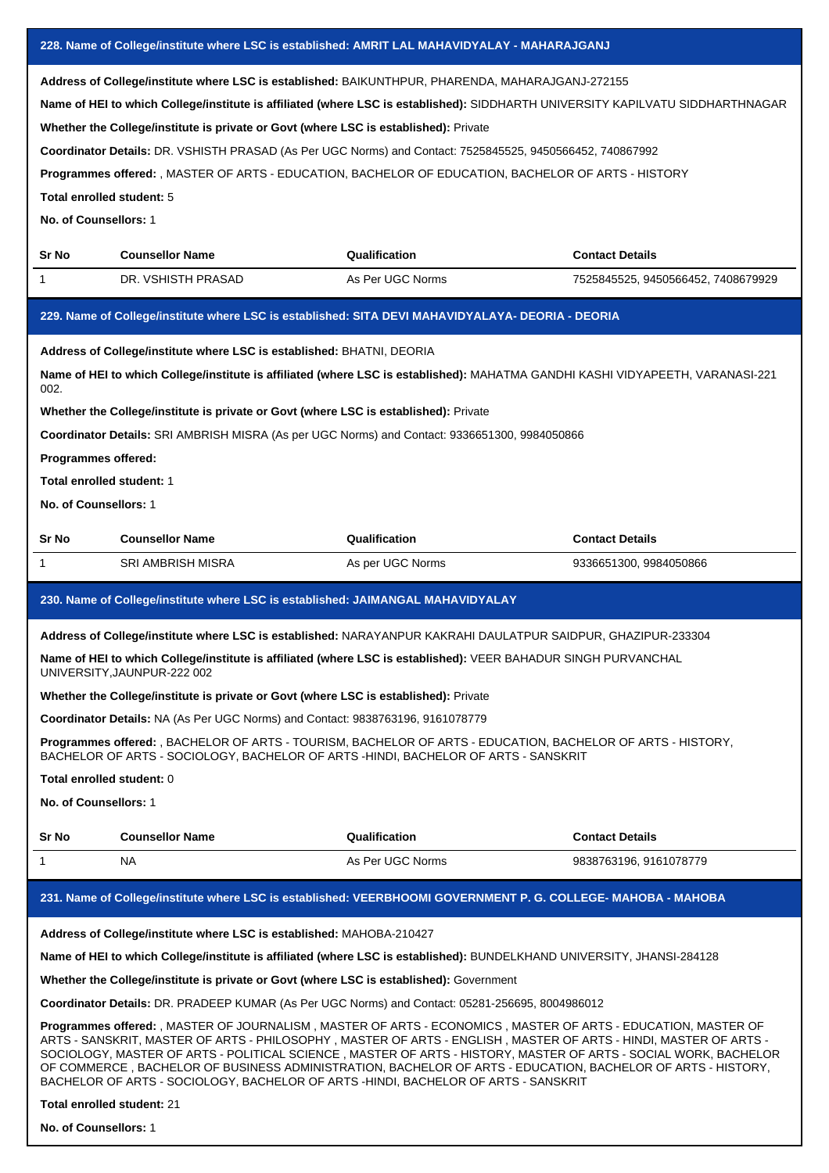|                                                                                                                                                                                                                                                                                                                                                                                                                                                                                                                                                                                                      | 228. Name of College/institute where LSC is established: AMRIT LAL MAHAVIDYALAY - MAHARAJGANJ                                                                                                     |                  |                                                                                                                                                                                                                                                                                                                                                                                                                                                                         |  |
|------------------------------------------------------------------------------------------------------------------------------------------------------------------------------------------------------------------------------------------------------------------------------------------------------------------------------------------------------------------------------------------------------------------------------------------------------------------------------------------------------------------------------------------------------------------------------------------------------|---------------------------------------------------------------------------------------------------------------------------------------------------------------------------------------------------|------------------|-------------------------------------------------------------------------------------------------------------------------------------------------------------------------------------------------------------------------------------------------------------------------------------------------------------------------------------------------------------------------------------------------------------------------------------------------------------------------|--|
| Address of College/institute where LSC is established: BAIKUNTHPUR, PHARENDA, MAHARAJGANJ-272155<br>Name of HEI to which College/institute is affiliated (where LSC is established): SIDDHARTH UNIVERSITY KAPILVATU SIDDHARTHNAGAR<br>Whether the College/institute is private or Govt (where LSC is established): Private<br>Coordinator Details: DR. VSHISTH PRASAD (As Per UGC Norms) and Contact: 7525845525, 9450566452, 740867992<br>Programmes offered: , MASTER OF ARTS - EDUCATION, BACHELOR OF EDUCATION, BACHELOR OF ARTS - HISTORY<br>Total enrolled student: 5<br>No. of Counsellors: 1 |                                                                                                                                                                                                   |                  |                                                                                                                                                                                                                                                                                                                                                                                                                                                                         |  |
| Sr No                                                                                                                                                                                                                                                                                                                                                                                                                                                                                                                                                                                                | <b>Counsellor Name</b>                                                                                                                                                                            | Qualification    | <b>Contact Details</b>                                                                                                                                                                                                                                                                                                                                                                                                                                                  |  |
| 1                                                                                                                                                                                                                                                                                                                                                                                                                                                                                                                                                                                                    | DR. VSHISTH PRASAD                                                                                                                                                                                | As Per UGC Norms | 7525845525, 9450566452, 7408679929                                                                                                                                                                                                                                                                                                                                                                                                                                      |  |
|                                                                                                                                                                                                                                                                                                                                                                                                                                                                                                                                                                                                      | 229. Name of College/institute where LSC is established: SITA DEVI MAHAVIDYALAYA- DEORIA - DEORIA                                                                                                 |                  |                                                                                                                                                                                                                                                                                                                                                                                                                                                                         |  |
| 002.                                                                                                                                                                                                                                                                                                                                                                                                                                                                                                                                                                                                 | Address of College/institute where LSC is established: BHATNI, DEORIA                                                                                                                             |                  | Name of HEI to which College/institute is affiliated (where LSC is established): MAHATMA GANDHI KASHI VIDYAPEETH, VARANASI-221                                                                                                                                                                                                                                                                                                                                          |  |
| Whether the College/institute is private or Govt (where LSC is established): Private<br>Coordinator Details: SRI AMBRISH MISRA (As per UGC Norms) and Contact: 9336651300, 9984050866<br>Programmes offered:<br>Total enrolled student: 1<br>No. of Counsellors: 1                                                                                                                                                                                                                                                                                                                                   |                                                                                                                                                                                                   |                  |                                                                                                                                                                                                                                                                                                                                                                                                                                                                         |  |
| Sr No                                                                                                                                                                                                                                                                                                                                                                                                                                                                                                                                                                                                | <b>Counsellor Name</b>                                                                                                                                                                            | Qualification    | <b>Contact Details</b>                                                                                                                                                                                                                                                                                                                                                                                                                                                  |  |
| 1                                                                                                                                                                                                                                                                                                                                                                                                                                                                                                                                                                                                    | <b>SRI AMBRISH MISRA</b>                                                                                                                                                                          | As per UGC Norms | 9336651300, 9984050866                                                                                                                                                                                                                                                                                                                                                                                                                                                  |  |
| 230. Name of College/institute where LSC is established: JAIMANGAL MAHAVIDYALAY                                                                                                                                                                                                                                                                                                                                                                                                                                                                                                                      |                                                                                                                                                                                                   |                  |                                                                                                                                                                                                                                                                                                                                                                                                                                                                         |  |
|                                                                                                                                                                                                                                                                                                                                                                                                                                                                                                                                                                                                      |                                                                                                                                                                                                   |                  |                                                                                                                                                                                                                                                                                                                                                                                                                                                                         |  |
|                                                                                                                                                                                                                                                                                                                                                                                                                                                                                                                                                                                                      | Address of College/institute where LSC is established: NARAYANPUR KAKRAHI DAULATPUR SAIDPUR, GHAZIPUR-233304                                                                                      |                  |                                                                                                                                                                                                                                                                                                                                                                                                                                                                         |  |
|                                                                                                                                                                                                                                                                                                                                                                                                                                                                                                                                                                                                      | Name of HEI to which College/institute is affiliated (where LSC is established): VEER BAHADUR SINGH PURVANCHAL<br>UNIVERSITY, JAUNPUR-222 002                                                     |                  |                                                                                                                                                                                                                                                                                                                                                                                                                                                                         |  |
|                                                                                                                                                                                                                                                                                                                                                                                                                                                                                                                                                                                                      | Whether the College/institute is private or Govt (where LSC is established): Private                                                                                                              |                  |                                                                                                                                                                                                                                                                                                                                                                                                                                                                         |  |
|                                                                                                                                                                                                                                                                                                                                                                                                                                                                                                                                                                                                      | Coordinator Details: NA (As Per UGC Norms) and Contact: 9838763196, 9161078779                                                                                                                    |                  |                                                                                                                                                                                                                                                                                                                                                                                                                                                                         |  |
|                                                                                                                                                                                                                                                                                                                                                                                                                                                                                                                                                                                                      | Programmes offered: , BACHELOR OF ARTS - TOURISM, BACHELOR OF ARTS - EDUCATION, BACHELOR OF ARTS - HISTORY,<br>BACHELOR OF ARTS - SOCIOLOGY, BACHELOR OF ARTS -HINDI, BACHELOR OF ARTS - SANSKRIT |                  |                                                                                                                                                                                                                                                                                                                                                                                                                                                                         |  |
| Total enrolled student: 0                                                                                                                                                                                                                                                                                                                                                                                                                                                                                                                                                                            |                                                                                                                                                                                                   |                  |                                                                                                                                                                                                                                                                                                                                                                                                                                                                         |  |
| No. of Counsellors: 1                                                                                                                                                                                                                                                                                                                                                                                                                                                                                                                                                                                |                                                                                                                                                                                                   |                  |                                                                                                                                                                                                                                                                                                                                                                                                                                                                         |  |
| Sr No                                                                                                                                                                                                                                                                                                                                                                                                                                                                                                                                                                                                | <b>Counsellor Name</b>                                                                                                                                                                            | Qualification    | <b>Contact Details</b>                                                                                                                                                                                                                                                                                                                                                                                                                                                  |  |
| 1                                                                                                                                                                                                                                                                                                                                                                                                                                                                                                                                                                                                    | NA.                                                                                                                                                                                               | As Per UGC Norms | 9838763196, 9161078779                                                                                                                                                                                                                                                                                                                                                                                                                                                  |  |
|                                                                                                                                                                                                                                                                                                                                                                                                                                                                                                                                                                                                      | 231. Name of College/institute where LSC is established: VEERBHOOMI GOVERNMENT P. G. COLLEGE- MAHOBA - MAHOBA                                                                                     |                  |                                                                                                                                                                                                                                                                                                                                                                                                                                                                         |  |
|                                                                                                                                                                                                                                                                                                                                                                                                                                                                                                                                                                                                      | Address of College/institute where LSC is established: MAHOBA-210427                                                                                                                              |                  |                                                                                                                                                                                                                                                                                                                                                                                                                                                                         |  |
|                                                                                                                                                                                                                                                                                                                                                                                                                                                                                                                                                                                                      | Name of HEI to which College/institute is affiliated (where LSC is established): BUNDELKHAND UNIVERSITY, JHANSI-284128                                                                            |                  |                                                                                                                                                                                                                                                                                                                                                                                                                                                                         |  |
|                                                                                                                                                                                                                                                                                                                                                                                                                                                                                                                                                                                                      | Whether the College/institute is private or Govt (where LSC is established): Government                                                                                                           |                  |                                                                                                                                                                                                                                                                                                                                                                                                                                                                         |  |
|                                                                                                                                                                                                                                                                                                                                                                                                                                                                                                                                                                                                      | Coordinator Details: DR. PRADEEP KUMAR (As Per UGC Norms) and Contact: 05281-256695, 8004986012                                                                                                   |                  |                                                                                                                                                                                                                                                                                                                                                                                                                                                                         |  |
|                                                                                                                                                                                                                                                                                                                                                                                                                                                                                                                                                                                                      | BACHELOR OF ARTS - SOCIOLOGY, BACHELOR OF ARTS -HINDI, BACHELOR OF ARTS - SANSKRIT                                                                                                                |                  | Programmes offered: , MASTER OF JOURNALISM , MASTER OF ARTS - ECONOMICS , MASTER OF ARTS - EDUCATION, MASTER OF<br>ARTS - SANSKRIT, MASTER OF ARTS - PHILOSOPHY , MASTER OF ARTS - ENGLISH , MASTER OF ARTS - HINDI, MASTER OF ARTS -<br>SOCIOLOGY, MASTER OF ARTS - POLITICAL SCIENCE, MASTER OF ARTS - HISTORY, MASTER OF ARTS - SOCIAL WORK, BACHELOR<br>OF COMMERCE, BACHELOR OF BUSINESS ADMINISTRATION, BACHELOR OF ARTS - EDUCATION, BACHELOR OF ARTS - HISTORY, |  |
| Total enrolled student: 21<br>No. of Counsellors: 1                                                                                                                                                                                                                                                                                                                                                                                                                                                                                                                                                  |                                                                                                                                                                                                   |                  |                                                                                                                                                                                                                                                                                                                                                                                                                                                                         |  |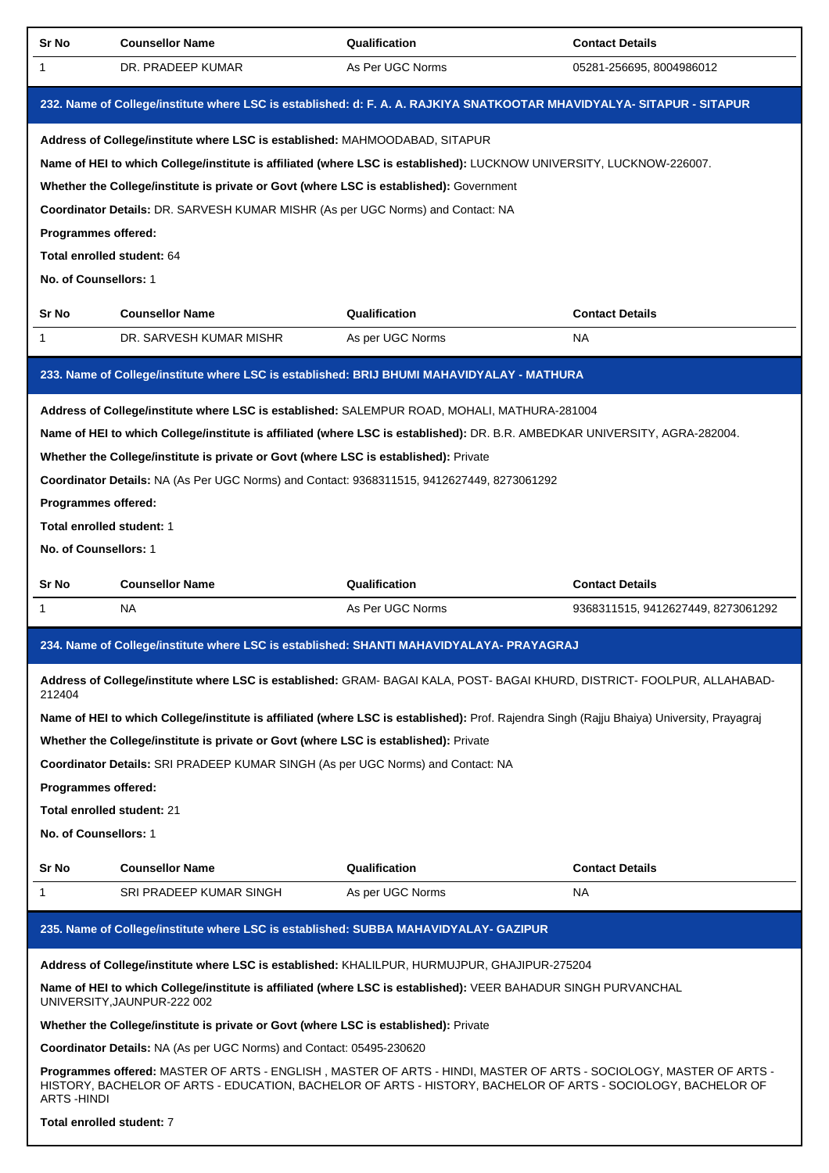| Sr No                        | <b>Counsellor Name</b>                                                                                                                                                                                                              | Qualification    | <b>Contact Details</b>             |
|------------------------------|-------------------------------------------------------------------------------------------------------------------------------------------------------------------------------------------------------------------------------------|------------------|------------------------------------|
| 1                            | DR. PRADEEP KUMAR                                                                                                                                                                                                                   | As Per UGC Norms | 05281-256695, 8004986012           |
|                              | 232. Name of College/institute where LSC is established: d: F. A. A. RAJKIYA SNATKOOTAR MHAVIDYALYA- SITAPUR - SITAPUR                                                                                                              |                  |                                    |
|                              | Address of College/institute where LSC is established: MAHMOODABAD, SITAPUR                                                                                                                                                         |                  |                                    |
|                              | Name of HEI to which College/institute is affiliated (where LSC is established): LUCKNOW UNIVERSITY, LUCKNOW-226007.                                                                                                                |                  |                                    |
|                              | Whether the College/institute is private or Govt (where LSC is established): Government                                                                                                                                             |                  |                                    |
|                              | Coordinator Details: DR. SARVESH KUMAR MISHR (As per UGC Norms) and Contact: NA                                                                                                                                                     |                  |                                    |
| Programmes offered:          |                                                                                                                                                                                                                                     |                  |                                    |
| Total enrolled student: 64   |                                                                                                                                                                                                                                     |                  |                                    |
| <b>No. of Counsellors: 1</b> |                                                                                                                                                                                                                                     |                  |                                    |
| Sr No                        | <b>Counsellor Name</b>                                                                                                                                                                                                              | Qualification    | <b>Contact Details</b>             |
| 1                            | DR. SARVESH KUMAR MISHR                                                                                                                                                                                                             | As per UGC Norms | NA                                 |
|                              | 233. Name of College/institute where LSC is established: BRIJ BHUMI MAHAVIDYALAY - MATHURA                                                                                                                                          |                  |                                    |
|                              | Address of College/institute where LSC is established: SALEMPUR ROAD, MOHALI, MATHURA-281004                                                                                                                                        |                  |                                    |
|                              | Name of HEI to which College/institute is affiliated (where LSC is established): DR. B.R. AMBEDKAR UNIVERSITY, AGRA-282004.                                                                                                         |                  |                                    |
|                              | Whether the College/institute is private or Govt (where LSC is established): Private                                                                                                                                                |                  |                                    |
|                              | Coordinator Details: NA (As Per UGC Norms) and Contact: 9368311515, 9412627449, 8273061292                                                                                                                                          |                  |                                    |
| Programmes offered:          |                                                                                                                                                                                                                                     |                  |                                    |
| Total enrolled student: 1    |                                                                                                                                                                                                                                     |                  |                                    |
| No. of Counsellors: 1        |                                                                                                                                                                                                                                     |                  |                                    |
|                              |                                                                                                                                                                                                                                     |                  |                                    |
| Sr No                        | <b>Counsellor Name</b>                                                                                                                                                                                                              | Qualification    | <b>Contact Details</b>             |
| 1                            | NA.                                                                                                                                                                                                                                 | As Per UGC Norms | 9368311515, 9412627449, 8273061292 |
|                              | 234. Name of College/institute where LSC is established: SHANTI MAHAVIDYALAYA- PRAYAGRAJ                                                                                                                                            |                  |                                    |
| 212404                       | Address of College/institute where LSC is established: GRAM-BAGAI KALA, POST-BAGAI KHURD, DISTRICT-FOOLPUR, ALLAHABAD-                                                                                                              |                  |                                    |
|                              | Name of HEI to which College/institute is affiliated (where LSC is established): Prof. Rajendra Singh (Rajju Bhaiya) University, Prayagraj                                                                                          |                  |                                    |
|                              | Whether the College/institute is private or Govt (where LSC is established): Private                                                                                                                                                |                  |                                    |
|                              | Coordinator Details: SRI PRADEEP KUMAR SINGH (As per UGC Norms) and Contact: NA                                                                                                                                                     |                  |                                    |
| Programmes offered:          |                                                                                                                                                                                                                                     |                  |                                    |
| Total enrolled student: 21   |                                                                                                                                                                                                                                     |                  |                                    |
| No. of Counsellors: 1        |                                                                                                                                                                                                                                     |                  |                                    |
| Sr No                        | <b>Counsellor Name</b>                                                                                                                                                                                                              | Qualification    | <b>Contact Details</b>             |
| $\mathbf{1}$                 | SRI PRADEEP KUMAR SINGH                                                                                                                                                                                                             | As per UGC Norms | NA.                                |
|                              | 235. Name of College/institute where LSC is established: SUBBA MAHAVIDYALAY- GAZIPUR                                                                                                                                                |                  |                                    |
|                              | Address of College/institute where LSC is established: KHALILPUR, HURMUJPUR, GHAJIPUR-275204                                                                                                                                        |                  |                                    |
|                              | Name of HEI to which College/institute is affiliated (where LSC is established): VEER BAHADUR SINGH PURVANCHAL<br>UNIVERSITY, JAUNPUR-222 002                                                                                       |                  |                                    |
|                              | Whether the College/institute is private or Govt (where LSC is established): Private                                                                                                                                                |                  |                                    |
|                              | Coordinator Details: NA (As per UGC Norms) and Contact: 05495-230620                                                                                                                                                                |                  |                                    |
| <b>ARTS-HINDI</b>            | Programmes offered: MASTER OF ARTS - ENGLISH , MASTER OF ARTS - HINDI, MASTER OF ARTS - SOCIOLOGY, MASTER OF ARTS -<br>HISTORY, BACHELOR OF ARTS - EDUCATION, BACHELOR OF ARTS - HISTORY, BACHELOR OF ARTS - SOCIOLOGY, BACHELOR OF |                  |                                    |
|                              | Total enrolled student: 7                                                                                                                                                                                                           |                  |                                    |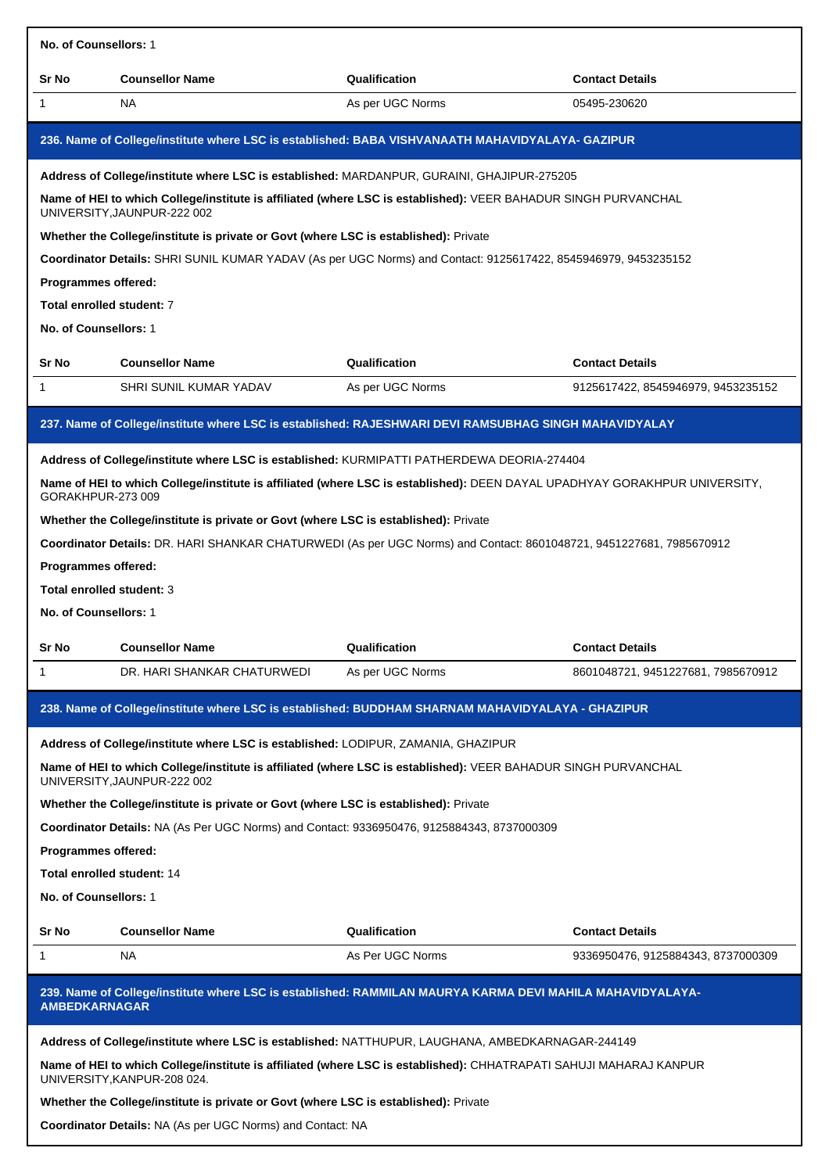| No. of Counsellors: 1                                             |                                                                                                                                                   |                  |                                    |
|-------------------------------------------------------------------|---------------------------------------------------------------------------------------------------------------------------------------------------|------------------|------------------------------------|
| Sr No                                                             | <b>Counsellor Name</b>                                                                                                                            | Qualification    | <b>Contact Details</b>             |
| 1                                                                 | NA.                                                                                                                                               | As per UGC Norms | 05495-230620                       |
|                                                                   | 236. Name of College/institute where LSC is established: BABA VISHVANAATH MAHAVIDYALAYA- GAZIPUR                                                  |                  |                                    |
|                                                                   | Address of College/institute where LSC is established: MARDANPUR, GURAINI, GHAJIPUR-275205                                                        |                  |                                    |
|                                                                   | Name of HEI to which College/institute is affiliated (where LSC is established): VEER BAHADUR SINGH PURVANCHAL<br>UNIVERSITY, JAUNPUR-222 002     |                  |                                    |
|                                                                   | Whether the College/institute is private or Govt (where LSC is established): Private                                                              |                  |                                    |
|                                                                   | Coordinator Details: SHRI SUNIL KUMAR YADAV (As per UGC Norms) and Contact: 9125617422, 8545946979, 9453235152                                    |                  |                                    |
| Programmes offered:                                               |                                                                                                                                                   |                  |                                    |
| Total enrolled student: 7                                         |                                                                                                                                                   |                  |                                    |
| No. of Counsellors: 1                                             |                                                                                                                                                   |                  |                                    |
| Sr No                                                             | <b>Counsellor Name</b>                                                                                                                            | Qualification    | <b>Contact Details</b>             |
| 1                                                                 | SHRI SUNIL KUMAR YADAV                                                                                                                            | As per UGC Norms | 9125617422, 8545946979, 9453235152 |
|                                                                   | 237. Name of College/institute where LSC is established: RAJESHWARI DEVI RAMSUBHAG SINGH MAHAVIDYALAY                                             |                  |                                    |
|                                                                   | Address of College/institute where LSC is established: KURMIPATTI PATHERDEWA DEORIA-274404                                                        |                  |                                    |
| GORAKHPUR-273 009                                                 | Name of HEI to which College/institute is affiliated (where LSC is established): DEEN DAYAL UPADHYAY GORAKHPUR UNIVERSITY,                        |                  |                                    |
|                                                                   | Whether the College/institute is private or Govt (where LSC is established): Private                                                              |                  |                                    |
|                                                                   | Coordinator Details: DR. HARI SHANKAR CHATURWEDI (As per UGC Norms) and Contact: 8601048721, 9451227681, 7985670912                               |                  |                                    |
| Programmes offered:                                               |                                                                                                                                                   |                  |                                    |
| Total enrolled student: 3                                         |                                                                                                                                                   |                  |                                    |
| No. of Counsellors: 1                                             |                                                                                                                                                   |                  |                                    |
| Sr No                                                             | <b>Counsellor Name</b>                                                                                                                            | Qualification    | <b>Contact Details</b>             |
| 1                                                                 | DR. HARI SHANKAR CHATURWEDI                                                                                                                       | As per UGC Norms | 8601048721, 9451227681, 7985670912 |
|                                                                   | 238. Name of College/institute where LSC is established: BUDDHAM SHARNAM MAHAVIDYALAYA - GHAZIPUR                                                 |                  |                                    |
|                                                                   | Address of College/institute where LSC is established: LODIPUR, ZAMANIA, GHAZIPUR                                                                 |                  |                                    |
|                                                                   | Name of HEI to which College/institute is affiliated (where LSC is established): VEER BAHADUR SINGH PURVANCHAL<br>UNIVERSITY, JAUNPUR-222 002     |                  |                                    |
|                                                                   | Whether the College/institute is private or Govt (where LSC is established): Private                                                              |                  |                                    |
|                                                                   | Coordinator Details: NA (As Per UGC Norms) and Contact: 9336950476, 9125884343, 8737000309                                                        |                  |                                    |
| Programmes offered:                                               |                                                                                                                                                   |                  |                                    |
| <b>Total enrolled student: 14</b>                                 |                                                                                                                                                   |                  |                                    |
| No. of Counsellors: 1                                             |                                                                                                                                                   |                  |                                    |
| Sr No                                                             | <b>Counsellor Name</b>                                                                                                                            | Qualification    | <b>Contact Details</b>             |
| 1                                                                 | NA.                                                                                                                                               | As Per UGC Norms | 9336950476, 9125884343, 8737000309 |
| <b>AMBEDKARNAGAR</b>                                              | 239. Name of College/institute where LSC is established: RAMMILAN MAURYA KARMA DEVI MAHILA MAHAVIDYALAYA-                                         |                  |                                    |
|                                                                   | Address of College/institute where LSC is established: NATTHUPUR, LAUGHANA, AMBEDKARNAGAR-244149                                                  |                  |                                    |
|                                                                   | Name of HEI to which College/institute is affiliated (where LSC is established): CHHATRAPATI SAHUJI MAHARAJ KANPUR<br>UNIVERSITY, KANPUR-208 024. |                  |                                    |
|                                                                   | Whether the College/institute is private or Govt (where LSC is established): Private                                                              |                  |                                    |
| <b>Coordinator Details: NA (As per UGC Norms) and Contact: NA</b> |                                                                                                                                                   |                  |                                    |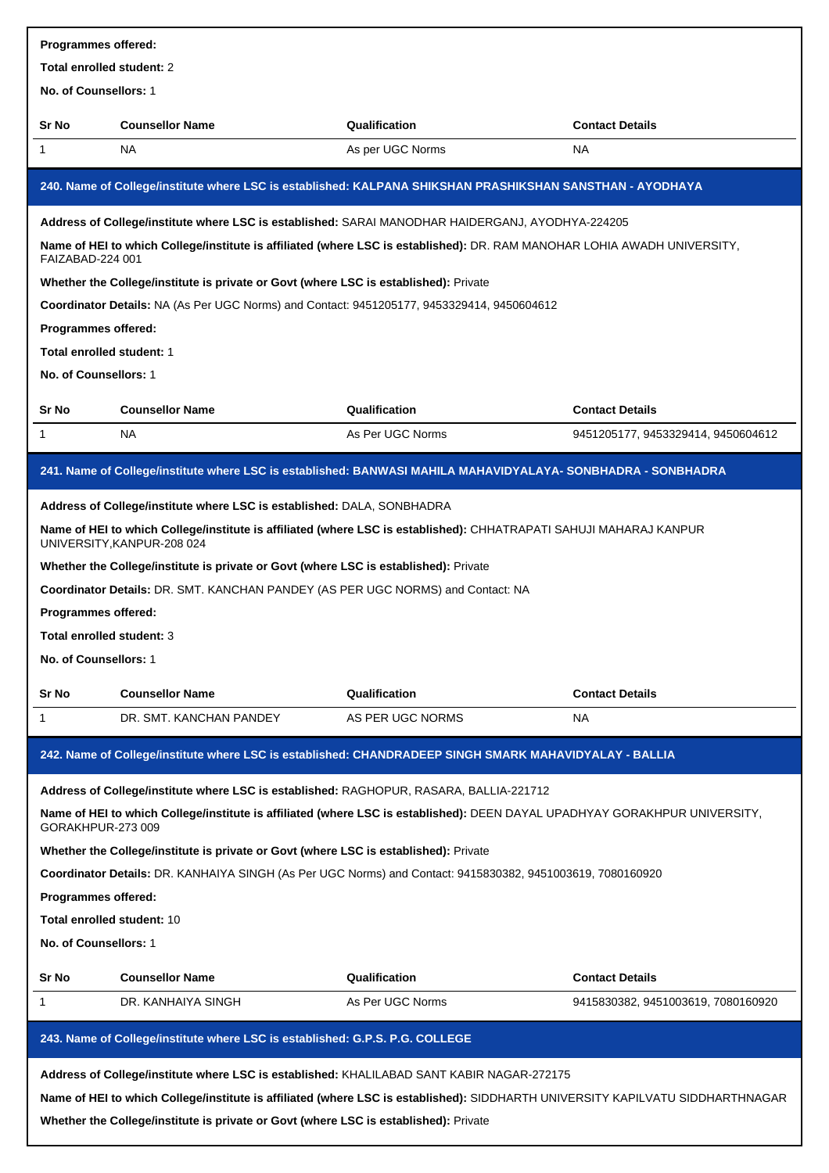| Programmes offered:        |                                                                                                                                                                                                                        |                  |                                    |  |
|----------------------------|------------------------------------------------------------------------------------------------------------------------------------------------------------------------------------------------------------------------|------------------|------------------------------------|--|
| Total enrolled student: 2  |                                                                                                                                                                                                                        |                  |                                    |  |
| No. of Counsellors: 1      |                                                                                                                                                                                                                        |                  |                                    |  |
| Sr No                      | <b>Counsellor Name</b>                                                                                                                                                                                                 | Qualification    | <b>Contact Details</b>             |  |
| 1                          | <b>NA</b>                                                                                                                                                                                                              | As per UGC Norms | <b>NA</b>                          |  |
|                            | 240. Name of College/institute where LSC is established: KALPANA SHIKSHAN PRASHIKSHAN SANSTHAN - AYODHAYA                                                                                                              |                  |                                    |  |
|                            | Address of College/institute where LSC is established: SARAI MANODHAR HAIDERGANJ, AYODHYA-224205                                                                                                                       |                  |                                    |  |
| FAIZABAD-224 001           | Name of HEI to which College/institute is affiliated (where LSC is established): DR. RAM MANOHAR LOHIA AWADH UNIVERSITY,                                                                                               |                  |                                    |  |
|                            | Whether the College/institute is private or Govt (where LSC is established): Private                                                                                                                                   |                  |                                    |  |
|                            | Coordinator Details: NA (As Per UGC Norms) and Contact: 9451205177, 9453329414, 9450604612                                                                                                                             |                  |                                    |  |
| Programmes offered:        |                                                                                                                                                                                                                        |                  |                                    |  |
| Total enrolled student: 1  |                                                                                                                                                                                                                        |                  |                                    |  |
| No. of Counsellors: 1      |                                                                                                                                                                                                                        |                  |                                    |  |
| Sr No                      | <b>Counsellor Name</b>                                                                                                                                                                                                 | Qualification    | <b>Contact Details</b>             |  |
| 1                          | NA                                                                                                                                                                                                                     | As Per UGC Norms | 9451205177, 9453329414, 9450604612 |  |
|                            |                                                                                                                                                                                                                        |                  |                                    |  |
|                            | 241. Name of College/institute where LSC is established: BANWASI MAHILA MAHAVIDYALAYA- SONBHADRA - SONBHADRA                                                                                                           |                  |                                    |  |
|                            | Address of College/institute where LSC is established: DALA, SONBHADRA                                                                                                                                                 |                  |                                    |  |
|                            | Name of HEI to which College/institute is affiliated (where LSC is established): CHHATRAPATI SAHUJI MAHARAJ KANPUR<br>UNIVERSITY, KANPUR-208 024                                                                       |                  |                                    |  |
|                            | Whether the College/institute is private or Govt (where LSC is established): Private                                                                                                                                   |                  |                                    |  |
|                            | Coordinator Details: DR. SMT. KANCHAN PANDEY (AS PER UGC NORMS) and Contact: NA                                                                                                                                        |                  |                                    |  |
| <b>Programmes offered:</b> |                                                                                                                                                                                                                        |                  |                                    |  |
| Total enrolled student: 3  |                                                                                                                                                                                                                        |                  |                                    |  |
| No. of Counsellors: 1      |                                                                                                                                                                                                                        |                  |                                    |  |
| Sr No                      | <b>Counsellor Name</b>                                                                                                                                                                                                 | Qualification    | <b>Contact Details</b>             |  |
| 1                          | DR. SMT. KANCHAN PANDEY                                                                                                                                                                                                | AS PER UGC NORMS | NA                                 |  |
|                            | 242. Name of College/institute where LSC is established: CHANDRADEEP SINGH SMARK MAHAVIDYALAY - BALLIA                                                                                                                 |                  |                                    |  |
|                            | Address of College/institute where LSC is established: RAGHOPUR, RASARA, BALLIA-221712                                                                                                                                 |                  |                                    |  |
| GORAKHPUR-273009           | Name of HEI to which College/institute is affiliated (where LSC is established): DEEN DAYAL UPADHYAY GORAKHPUR UNIVERSITY,                                                                                             |                  |                                    |  |
|                            | Whether the College/institute is private or Govt (where LSC is established): Private                                                                                                                                   |                  |                                    |  |
|                            | Coordinator Details: DR. KANHAIYA SINGH (As Per UGC Norms) and Contact: 9415830382, 9451003619, 7080160920                                                                                                             |                  |                                    |  |
| Programmes offered:        |                                                                                                                                                                                                                        |                  |                                    |  |
| Total enrolled student: 10 |                                                                                                                                                                                                                        |                  |                                    |  |
| No. of Counsellors: 1      |                                                                                                                                                                                                                        |                  |                                    |  |
| Sr No                      | <b>Counsellor Name</b>                                                                                                                                                                                                 | Qualification    | <b>Contact Details</b>             |  |
| 1                          | DR. KANHAIYA SINGH                                                                                                                                                                                                     | As Per UGC Norms | 9415830382, 9451003619, 7080160920 |  |
|                            | 243. Name of College/institute where LSC is established: G.P.S. P.G. COLLEGE                                                                                                                                           |                  |                                    |  |
|                            |                                                                                                                                                                                                                        |                  |                                    |  |
|                            | Address of College/institute where LSC is established: KHALILABAD SANT KABIR NAGAR-272175                                                                                                                              |                  |                                    |  |
|                            | Name of HEI to which College/institute is affiliated (where LSC is established): SIDDHARTH UNIVERSITY KAPILVATU SIDDHARTHNAGAR<br>Whether the College/institute is private or Govt (where LSC is established): Private |                  |                                    |  |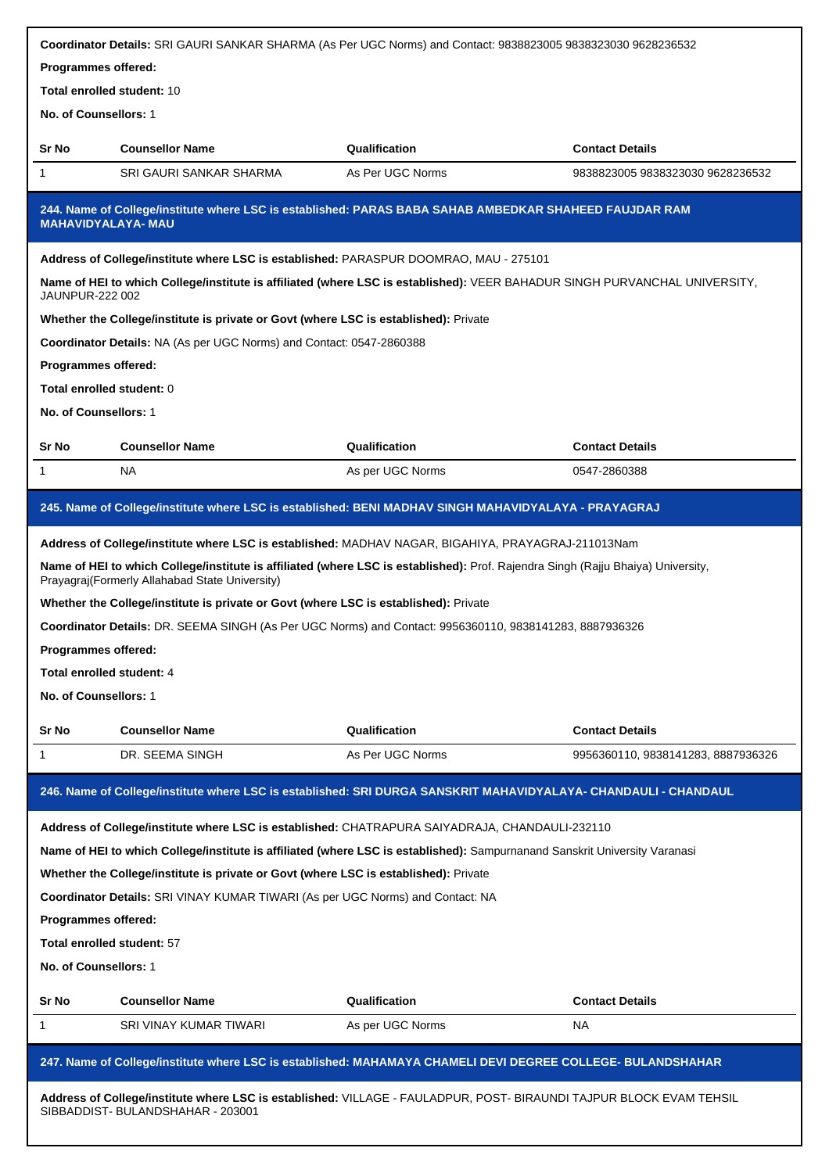|                                   | Coordinator Details: SRI GAURI SANKAR SHARMA (As Per UGC Norms) and Contact: 9838823005 9838323030 9628236532                                                                       |                  |                                    |  |
|-----------------------------------|-------------------------------------------------------------------------------------------------------------------------------------------------------------------------------------|------------------|------------------------------------|--|
| Programmes offered:               |                                                                                                                                                                                     |                  |                                    |  |
| <b>Total enrolled student: 10</b> |                                                                                                                                                                                     |                  |                                    |  |
| No. of Counsellors: 1             |                                                                                                                                                                                     |                  |                                    |  |
| Sr No                             | <b>Counsellor Name</b>                                                                                                                                                              | Qualification    | <b>Contact Details</b>             |  |
| 1                                 | SRI GAURI SANKAR SHARMA                                                                                                                                                             | As Per UGC Norms | 9838823005 9838323030 9628236532   |  |
|                                   | 244. Name of College/institute where LSC is established: PARAS BABA SAHAB AMBEDKAR SHAHEED FAUJDAR RAM<br><b>MAHAVIDYALAYA-MAU</b>                                                  |                  |                                    |  |
|                                   | Address of College/institute where LSC is established: PARASPUR DOOMRAO, MAU - 275101                                                                                               |                  |                                    |  |
| <b>JAUNPUR-222 002</b>            | Name of HEI to which College/institute is affiliated (where LSC is established): VEER BAHADUR SINGH PURVANCHAL UNIVERSITY,                                                          |                  |                                    |  |
|                                   | Whether the College/institute is private or Govt (where LSC is established): Private                                                                                                |                  |                                    |  |
|                                   | Coordinator Details: NA (As per UGC Norms) and Contact: 0547-2860388                                                                                                                |                  |                                    |  |
| Programmes offered:               |                                                                                                                                                                                     |                  |                                    |  |
| Total enrolled student: 0         |                                                                                                                                                                                     |                  |                                    |  |
| No. of Counsellors: 1             |                                                                                                                                                                                     |                  |                                    |  |
| Sr No                             | <b>Counsellor Name</b>                                                                                                                                                              | Qualification    | <b>Contact Details</b>             |  |
| 1                                 | <b>NA</b>                                                                                                                                                                           | As per UGC Norms | 0547-2860388                       |  |
|                                   | 245. Name of College/institute where LSC is established: BENI MADHAV SINGH MAHAVIDYALAYA - PRAYAGRAJ                                                                                |                  |                                    |  |
|                                   | Address of College/institute where LSC is established: MADHAV NAGAR, BIGAHIYA, PRAYAGRAJ-211013Nam                                                                                  |                  |                                    |  |
|                                   | Name of HEI to which College/institute is affiliated (where LSC is established): Prof. Rajendra Singh (Rajju Bhaiya) University,<br>Prayagraj (Formerly Allahabad State University) |                  |                                    |  |
|                                   | Whether the College/institute is private or Govt (where LSC is established): Private                                                                                                |                  |                                    |  |
|                                   | Coordinator Details: DR. SEEMA SINGH (As Per UGC Norms) and Contact: 9956360110, 9838141283, 8887936326                                                                             |                  |                                    |  |
| <b>Programmes offered:</b>        |                                                                                                                                                                                     |                  |                                    |  |
| Total enrolled student: 4         |                                                                                                                                                                                     |                  |                                    |  |
| No. of Counsellors: 1             |                                                                                                                                                                                     |                  |                                    |  |
| Sr No                             | <b>Counsellor Name</b>                                                                                                                                                              | Qualification    | <b>Contact Details</b>             |  |
| 1                                 | DR. SEEMA SINGH                                                                                                                                                                     | As Per UGC Norms | 9956360110, 9838141283, 8887936326 |  |
|                                   | 246. Name of College/institute where LSC is established: SRI DURGA SANSKRIT MAHAVIDYALAYA- CHANDAULI - CHANDAUL                                                                     |                  |                                    |  |
|                                   | Address of College/institute where LSC is established: CHATRAPURA SAIYADRAJA, CHANDAULI-232110                                                                                      |                  |                                    |  |
|                                   | Name of HEI to which College/institute is affiliated (where LSC is established): Sampurnanand Sanskrit University Varanasi                                                          |                  |                                    |  |
|                                   | Whether the College/institute is private or Govt (where LSC is established): Private                                                                                                |                  |                                    |  |
|                                   | Coordinator Details: SRI VINAY KUMAR TIWARI (As per UGC Norms) and Contact: NA                                                                                                      |                  |                                    |  |
| Programmes offered:               |                                                                                                                                                                                     |                  |                                    |  |
| Total enrolled student: 57        |                                                                                                                                                                                     |                  |                                    |  |
| No. of Counsellors: 1             |                                                                                                                                                                                     |                  |                                    |  |
| Sr No                             | <b>Counsellor Name</b>                                                                                                                                                              | Qualification    | <b>Contact Details</b>             |  |
| 1                                 | SRI VINAY KUMAR TIWARI                                                                                                                                                              | As per UGC Norms | NA.                                |  |
|                                   | 247. Name of College/institute where LSC is established: MAHAMAYA CHAMELI DEVI DEGREE COLLEGE- BULANDSHAHAR                                                                         |                  |                                    |  |
|                                   | Address of College/institute where LSC is established: VILLAGE - FAULADPUR, POST- BIRAUNDI TAJPUR BLOCK EVAM TEHSIL                                                                 |                  |                                    |  |

| SIBBADDIST- BULANDSHAHAR - 203001 |  |
|-----------------------------------|--|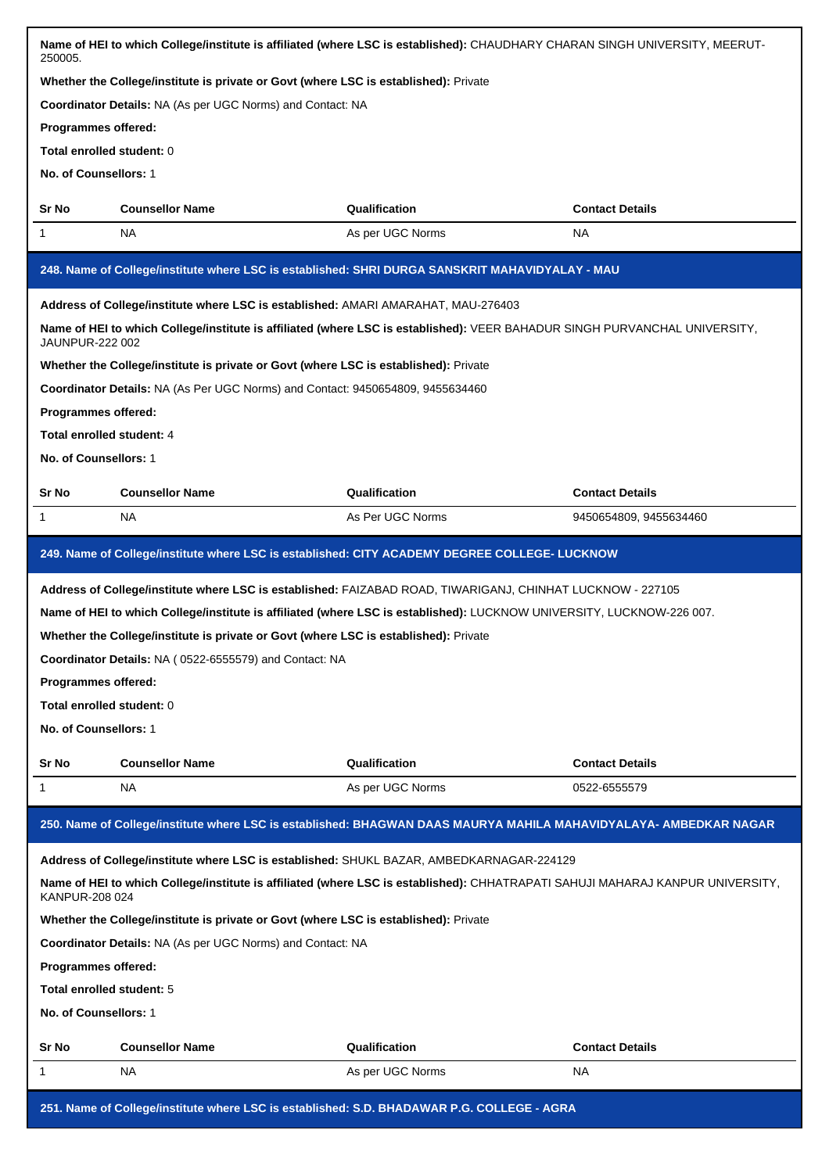| 250005.                                                                                       |                                                                                                            | Name of HEI to which College/institute is affiliated (where LSC is established): CHAUDHARY CHARAN SINGH UNIVERSITY, MEERUT-                                                                                                |                        |  |
|-----------------------------------------------------------------------------------------------|------------------------------------------------------------------------------------------------------------|----------------------------------------------------------------------------------------------------------------------------------------------------------------------------------------------------------------------------|------------------------|--|
|                                                                                               | Whether the College/institute is private or Govt (where LSC is established): Private                       |                                                                                                                                                                                                                            |                        |  |
| Coordinator Details: NA (As per UGC Norms) and Contact: NA                                    |                                                                                                            |                                                                                                                                                                                                                            |                        |  |
| Programmes offered:                                                                           |                                                                                                            |                                                                                                                                                                                                                            |                        |  |
| Total enrolled student: 0                                                                     |                                                                                                            |                                                                                                                                                                                                                            |                        |  |
| No. of Counsellors: 1                                                                         |                                                                                                            |                                                                                                                                                                                                                            |                        |  |
|                                                                                               |                                                                                                            |                                                                                                                                                                                                                            |                        |  |
| Sr No                                                                                         | <b>Counsellor Name</b>                                                                                     | Qualification                                                                                                                                                                                                              | <b>Contact Details</b> |  |
| 1                                                                                             | NA.                                                                                                        | As per UGC Norms                                                                                                                                                                                                           | NA                     |  |
|                                                                                               |                                                                                                            | 248. Name of College/institute where LSC is established: SHRI DURGA SANSKRIT MAHAVIDYALAY - MAU                                                                                                                            |                        |  |
|                                                                                               | Address of College/institute where LSC is established: AMARI AMARAHAT, MAU-276403                          |                                                                                                                                                                                                                            |                        |  |
| JAUNPUR-222 002                                                                               |                                                                                                            | Name of HEI to which College/institute is affiliated (where LSC is established): VEER BAHADUR SINGH PURVANCHAL UNIVERSITY,                                                                                                 |                        |  |
|                                                                                               | Whether the College/institute is private or Govt (where LSC is established): Private                       |                                                                                                                                                                                                                            |                        |  |
|                                                                                               | Coordinator Details: NA (As Per UGC Norms) and Contact: 9450654809, 9455634460                             |                                                                                                                                                                                                                            |                        |  |
| Programmes offered:                                                                           |                                                                                                            |                                                                                                                                                                                                                            |                        |  |
| Total enrolled student: 4                                                                     |                                                                                                            |                                                                                                                                                                                                                            |                        |  |
| No. of Counsellors: 1                                                                         |                                                                                                            |                                                                                                                                                                                                                            |                        |  |
| Sr No                                                                                         | <b>Counsellor Name</b>                                                                                     | Qualification                                                                                                                                                                                                              | <b>Contact Details</b> |  |
| 1                                                                                             | NA.                                                                                                        | As Per UGC Norms                                                                                                                                                                                                           | 9450654809, 9455634460 |  |
|                                                                                               |                                                                                                            |                                                                                                                                                                                                                            |                        |  |
| 249. Name of College/institute where LSC is established: CITY ACADEMY DEGREE COLLEGE- LUCKNOW |                                                                                                            |                                                                                                                                                                                                                            |                        |  |
|                                                                                               | Address of College/institute where LSC is established: FAIZABAD ROAD, TIWARIGANJ, CHINHAT LUCKNOW - 227105 |                                                                                                                                                                                                                            |                        |  |
|                                                                                               |                                                                                                            |                                                                                                                                                                                                                            |                        |  |
|                                                                                               |                                                                                                            | Name of HEI to which College/institute is affiliated (where LSC is established): LUCKNOW UNIVERSITY, LUCKNOW-226 007.                                                                                                      |                        |  |
|                                                                                               | Whether the College/institute is private or Govt (where LSC is established): Private                       |                                                                                                                                                                                                                            |                        |  |
|                                                                                               | Coordinator Details: NA (0522-6555579) and Contact: NA                                                     |                                                                                                                                                                                                                            |                        |  |
| Programmes offered:                                                                           |                                                                                                            |                                                                                                                                                                                                                            |                        |  |
| Total enrolled student: 0                                                                     |                                                                                                            |                                                                                                                                                                                                                            |                        |  |
| No. of Counsellors: 1                                                                         |                                                                                                            |                                                                                                                                                                                                                            |                        |  |
| Sr No                                                                                         | <b>Counsellor Name</b>                                                                                     | Qualification                                                                                                                                                                                                              | <b>Contact Details</b> |  |
| 1                                                                                             | NA.                                                                                                        | As per UGC Norms                                                                                                                                                                                                           | 0522-6555579           |  |
|                                                                                               |                                                                                                            | 250. Name of College/institute where LSC is established: BHAGWAN DAAS MAURYA MAHILA MAHAVIDYALAYA- AMBEDKAR NAGAR                                                                                                          |                        |  |
|                                                                                               |                                                                                                            |                                                                                                                                                                                                                            |                        |  |
| KANPUR-208 024                                                                                |                                                                                                            | Address of College/institute where LSC is established: SHUKL BAZAR, AMBEDKARNAGAR-224129<br>Name of HEI to which College/institute is affiliated (where LSC is established): CHHATRAPATI SAHUJI MAHARAJ KANPUR UNIVERSITY, |                        |  |
|                                                                                               | Whether the College/institute is private or Govt (where LSC is established): Private                       |                                                                                                                                                                                                                            |                        |  |
|                                                                                               | <b>Coordinator Details: NA (As per UGC Norms) and Contact: NA</b>                                          |                                                                                                                                                                                                                            |                        |  |
| Programmes offered:                                                                           |                                                                                                            |                                                                                                                                                                                                                            |                        |  |
| Total enrolled student: 5                                                                     |                                                                                                            |                                                                                                                                                                                                                            |                        |  |
| No. of Counsellors: 1                                                                         |                                                                                                            |                                                                                                                                                                                                                            |                        |  |
|                                                                                               | <b>Counsellor Name</b>                                                                                     | Qualification                                                                                                                                                                                                              | <b>Contact Details</b> |  |
| Sr No                                                                                         |                                                                                                            |                                                                                                                                                                                                                            |                        |  |
| 1                                                                                             | NA.                                                                                                        | As per UGC Norms<br>251. Name of College/institute where LSC is established: S.D. BHADAWAR P.G. COLLEGE - AGRA                                                                                                             | NA                     |  |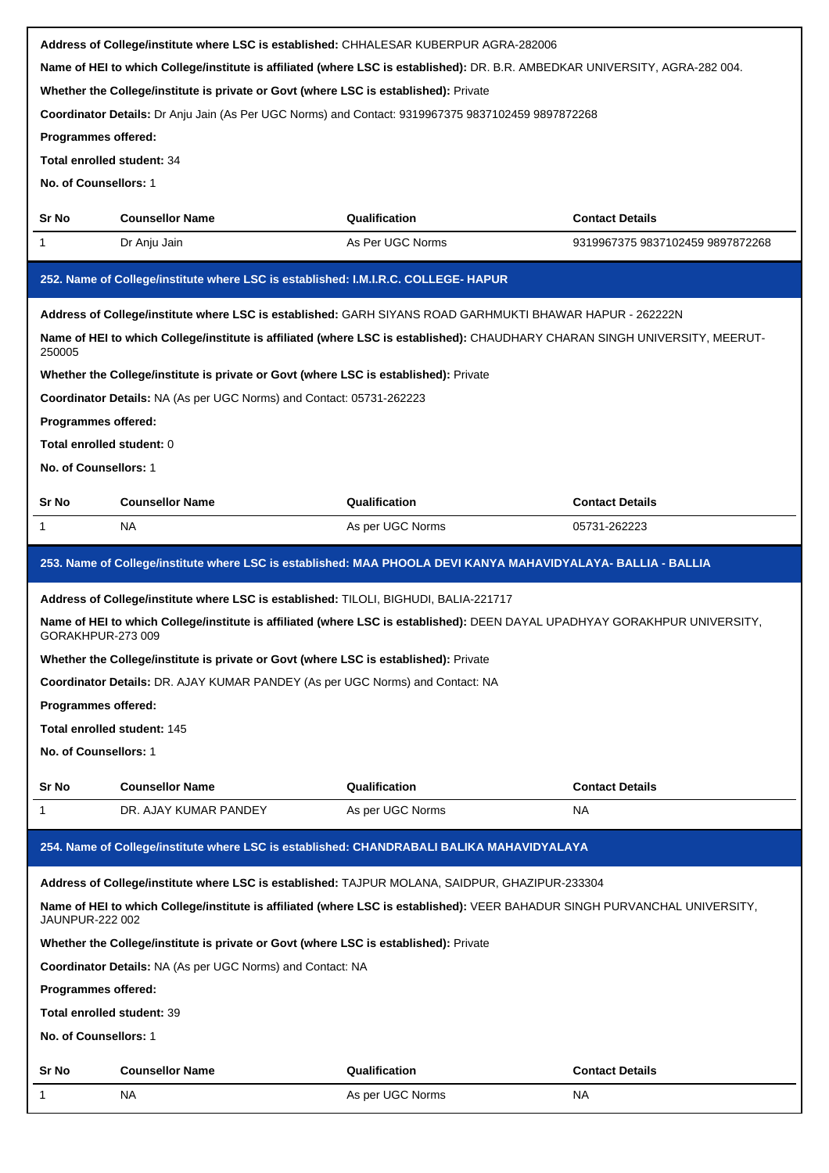|                                   |                                                                                                                              | Address of College/institute where LSC is established: CHHALESAR KUBERPUR AGRA-282006                                       |                                  |  |  |  |
|-----------------------------------|------------------------------------------------------------------------------------------------------------------------------|-----------------------------------------------------------------------------------------------------------------------------|----------------------------------|--|--|--|
|                                   | Name of HEI to which College/institute is affiliated (where LSC is established): DR. B.R. AMBEDKAR UNIVERSITY, AGRA-282 004. |                                                                                                                             |                                  |  |  |  |
|                                   | Whether the College/institute is private or Govt (where LSC is established): Private                                         |                                                                                                                             |                                  |  |  |  |
|                                   | Coordinator Details: Dr Anju Jain (As Per UGC Norms) and Contact: 9319967375 9837102459 9897872268                           |                                                                                                                             |                                  |  |  |  |
| Programmes offered:               |                                                                                                                              |                                                                                                                             |                                  |  |  |  |
| <b>Total enrolled student: 34</b> |                                                                                                                              |                                                                                                                             |                                  |  |  |  |
| No. of Counsellors: 1             |                                                                                                                              |                                                                                                                             |                                  |  |  |  |
| Sr No                             | <b>Counsellor Name</b>                                                                                                       | Qualification                                                                                                               | <b>Contact Details</b>           |  |  |  |
| 1                                 | Dr Anju Jain                                                                                                                 | As Per UGC Norms                                                                                                            | 9319967375 9837102459 9897872268 |  |  |  |
|                                   | 252. Name of College/institute where LSC is established: I.M.I.R.C. COLLEGE- HAPUR                                           |                                                                                                                             |                                  |  |  |  |
|                                   |                                                                                                                              | Address of College/institute where LSC is established: GARH SIYANS ROAD GARHMUKTI BHAWAR HAPUR - 262222N                    |                                  |  |  |  |
| 250005                            |                                                                                                                              | Name of HEI to which College/institute is affiliated (where LSC is established): CHAUDHARY CHARAN SINGH UNIVERSITY, MEERUT- |                                  |  |  |  |
|                                   | Whether the College/institute is private or Govt (where LSC is established): Private                                         |                                                                                                                             |                                  |  |  |  |
|                                   | Coordinator Details: NA (As per UGC Norms) and Contact: 05731-262223                                                         |                                                                                                                             |                                  |  |  |  |
| <b>Programmes offered:</b>        |                                                                                                                              |                                                                                                                             |                                  |  |  |  |
| Total enrolled student: 0         |                                                                                                                              |                                                                                                                             |                                  |  |  |  |
| No. of Counsellors: 1             |                                                                                                                              |                                                                                                                             |                                  |  |  |  |
| Sr No                             | <b>Counsellor Name</b>                                                                                                       | Qualification                                                                                                               | <b>Contact Details</b>           |  |  |  |
| 1                                 | ΝA                                                                                                                           | As per UGC Norms                                                                                                            | 05731-262223                     |  |  |  |
|                                   |                                                                                                                              |                                                                                                                             |                                  |  |  |  |
|                                   |                                                                                                                              | 253. Name of College/institute where LSC is established: MAA PHOOLA DEVI KANYA MAHAVIDYALAYA- BALLIA - BALLIA               |                                  |  |  |  |
|                                   | Address of College/institute where LSC is established: TILOLI, BIGHUDI, BALIA-221717                                         |                                                                                                                             |                                  |  |  |  |
| GORAKHPUR-273 009                 |                                                                                                                              | Name of HEI to which College/institute is affiliated (where LSC is established): DEEN DAYAL UPADHYAY GORAKHPUR UNIVERSITY,  |                                  |  |  |  |
|                                   | Whether the College/institute is private or Govt (where LSC is established): Private                                         |                                                                                                                             |                                  |  |  |  |
|                                   | <b>Coordinator Details: DR. AJAY KUMAR PANDEY (As per UGC Norms) and Contact: NA</b>                                         |                                                                                                                             |                                  |  |  |  |
|                                   |                                                                                                                              |                                                                                                                             | Programmes offered:              |  |  |  |
| Total enrolled student: 145       |                                                                                                                              |                                                                                                                             |                                  |  |  |  |
|                                   |                                                                                                                              |                                                                                                                             |                                  |  |  |  |
| No. of Counsellors: 1             |                                                                                                                              |                                                                                                                             |                                  |  |  |  |
| Sr No                             | <b>Counsellor Name</b>                                                                                                       | Qualification                                                                                                               | <b>Contact Details</b>           |  |  |  |
| 1                                 | DR. AJAY KUMAR PANDEY                                                                                                        | As per UGC Norms                                                                                                            | <b>NA</b>                        |  |  |  |
|                                   |                                                                                                                              | 254. Name of College/institute where LSC is established: CHANDRABALI BALIKA MAHAVIDYALAYA                                   |                                  |  |  |  |
|                                   |                                                                                                                              | Address of College/institute where LSC is established: TAJPUR MOLANA, SAIDPUR, GHAZIPUR-233304                              |                                  |  |  |  |
| <b>JAUNPUR-222 002</b>            |                                                                                                                              | Name of HEI to which College/institute is affiliated (where LSC is established): VEER BAHADUR SINGH PURVANCHAL UNIVERSITY,  |                                  |  |  |  |
|                                   | Whether the College/institute is private or Govt (where LSC is established): Private                                         |                                                                                                                             |                                  |  |  |  |
|                                   | <b>Coordinator Details: NA (As per UGC Norms) and Contact: NA</b>                                                            |                                                                                                                             |                                  |  |  |  |
| Programmes offered:               |                                                                                                                              |                                                                                                                             |                                  |  |  |  |
| Total enrolled student: 39        |                                                                                                                              |                                                                                                                             |                                  |  |  |  |
| No. of Counsellors: 1             |                                                                                                                              |                                                                                                                             |                                  |  |  |  |
| Sr No                             | <b>Counsellor Name</b>                                                                                                       | Qualification                                                                                                               | <b>Contact Details</b>           |  |  |  |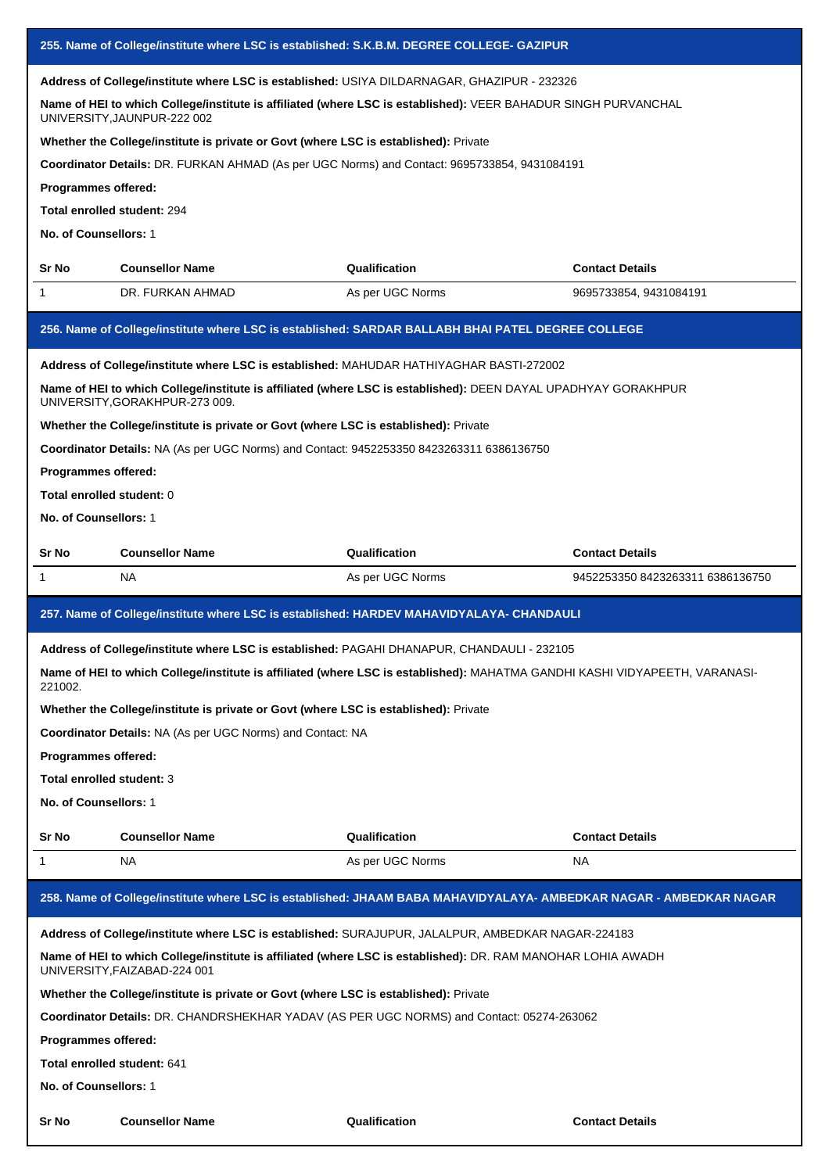|                                                                                                                                                                                                                                              |                                                                                          | 255. Name of College/institute where LSC is established: S.K.B.M. DEGREE COLLEGE- GAZIPUR                                   |                                  |
|----------------------------------------------------------------------------------------------------------------------------------------------------------------------------------------------------------------------------------------------|------------------------------------------------------------------------------------------|-----------------------------------------------------------------------------------------------------------------------------|----------------------------------|
| Address of College/institute where LSC is established: USIYA DILDARNAGAR, GHAZIPUR - 232326<br>Name of HEI to which College/institute is affiliated (where LSC is established): VEER BAHADUR SINGH PURVANCHAL<br>UNIVERSITY, JAUNPUR-222 002 |                                                                                          |                                                                                                                             |                                  |
|                                                                                                                                                                                                                                              | Whether the College/institute is private or Govt (where LSC is established): Private     |                                                                                                                             |                                  |
|                                                                                                                                                                                                                                              |                                                                                          | Coordinator Details: DR. FURKAN AHMAD (As per UGC Norms) and Contact: 9695733854, 9431084191                                |                                  |
| Programmes offered:                                                                                                                                                                                                                          |                                                                                          |                                                                                                                             |                                  |
| Total enrolled student: 294                                                                                                                                                                                                                  |                                                                                          |                                                                                                                             |                                  |
| No. of Counsellors: 1                                                                                                                                                                                                                        |                                                                                          |                                                                                                                             |                                  |
| Sr No                                                                                                                                                                                                                                        | <b>Counsellor Name</b>                                                                   | Qualification                                                                                                               | <b>Contact Details</b>           |
| 1                                                                                                                                                                                                                                            | DR. FURKAN AHMAD                                                                         | As per UGC Norms                                                                                                            | 9695733854, 9431084191           |
|                                                                                                                                                                                                                                              |                                                                                          | 256. Name of College/institute where LSC is established: SARDAR BALLABH BHAI PATEL DEGREE COLLEGE                           |                                  |
|                                                                                                                                                                                                                                              | Address of College/institute where LSC is established: MAHUDAR HATHIYAGHAR BASTI-272002  |                                                                                                                             |                                  |
|                                                                                                                                                                                                                                              | UNIVERSITY, GORAKHPUR-273 009.                                                           | Name of HEI to which College/institute is affiliated (where LSC is established): DEEN DAYAL UPADHYAY GORAKHPUR              |                                  |
|                                                                                                                                                                                                                                              | Whether the College/institute is private or Govt (where LSC is established): Private     |                                                                                                                             |                                  |
|                                                                                                                                                                                                                                              | Coordinator Details: NA (As per UGC Norms) and Contact: 9452253350 8423263311 6386136750 |                                                                                                                             |                                  |
| Programmes offered:                                                                                                                                                                                                                          |                                                                                          |                                                                                                                             |                                  |
| Total enrolled student: 0                                                                                                                                                                                                                    |                                                                                          |                                                                                                                             |                                  |
| No. of Counsellors: 1                                                                                                                                                                                                                        |                                                                                          |                                                                                                                             |                                  |
| Sr No                                                                                                                                                                                                                                        | <b>Counsellor Name</b>                                                                   | Qualification                                                                                                               | <b>Contact Details</b>           |
| 1                                                                                                                                                                                                                                            | NA.                                                                                      | As per UGC Norms                                                                                                            | 9452253350 8423263311 6386136750 |
|                                                                                                                                                                                                                                              |                                                                                          | 257. Name of College/institute where LSC is established: HARDEV MAHAVIDYALAYA- CHANDAULI                                    |                                  |
|                                                                                                                                                                                                                                              |                                                                                          | Address of College/institute where LSC is established: PAGAHI DHANAPUR, CHANDAULI - 232105                                  |                                  |
| 221002.                                                                                                                                                                                                                                      |                                                                                          | Name of HEI to which College/institute is affiliated (where LSC is established): MAHATMA GANDHI KASHI VIDYAPEETH, VARANASI- |                                  |
|                                                                                                                                                                                                                                              | Whether the College/institute is private or Govt (where LSC is established): Private     |                                                                                                                             |                                  |
|                                                                                                                                                                                                                                              | Coordinator Details: NA (As per UGC Norms) and Contact: NA                               |                                                                                                                             |                                  |
| Programmes offered:                                                                                                                                                                                                                          |                                                                                          |                                                                                                                             |                                  |
| Total enrolled student: 3                                                                                                                                                                                                                    |                                                                                          |                                                                                                                             |                                  |
| No. of Counsellors: 1                                                                                                                                                                                                                        |                                                                                          |                                                                                                                             |                                  |
| Sr No                                                                                                                                                                                                                                        | <b>Counsellor Name</b>                                                                   | Qualification                                                                                                               | <b>Contact Details</b>           |
| 1                                                                                                                                                                                                                                            | NA.                                                                                      | As per UGC Norms                                                                                                            | NA.                              |
|                                                                                                                                                                                                                                              |                                                                                          | 258. Name of College/institute where LSC is established: JHAAM BABA MAHAVIDYALAYA- AMBEDKAR NAGAR - AMBEDKAR NAGAR          |                                  |
|                                                                                                                                                                                                                                              |                                                                                          | Address of College/institute where LSC is established: SURAJUPUR, JALALPUR, AMBEDKAR NAGAR-224183                           |                                  |
|                                                                                                                                                                                                                                              | UNIVERSITY, FAIZABAD-224 001                                                             | Name of HEI to which College/institute is affiliated (where LSC is established): DR. RAM MANOHAR LOHIA AWADH                |                                  |
|                                                                                                                                                                                                                                              | Whether the College/institute is private or Govt (where LSC is established): Private     |                                                                                                                             |                                  |
|                                                                                                                                                                                                                                              |                                                                                          | Coordinator Details: DR. CHANDRSHEKHAR YADAV (AS PER UGC NORMS) and Contact: 05274-263062                                   |                                  |
| Programmes offered:                                                                                                                                                                                                                          |                                                                                          |                                                                                                                             |                                  |
| Total enrolled student: 641                                                                                                                                                                                                                  |                                                                                          |                                                                                                                             |                                  |
| No. of Counsellors: 1                                                                                                                                                                                                                        |                                                                                          |                                                                                                                             |                                  |
| Sr No                                                                                                                                                                                                                                        | <b>Counsellor Name</b>                                                                   | Qualification                                                                                                               | <b>Contact Details</b>           |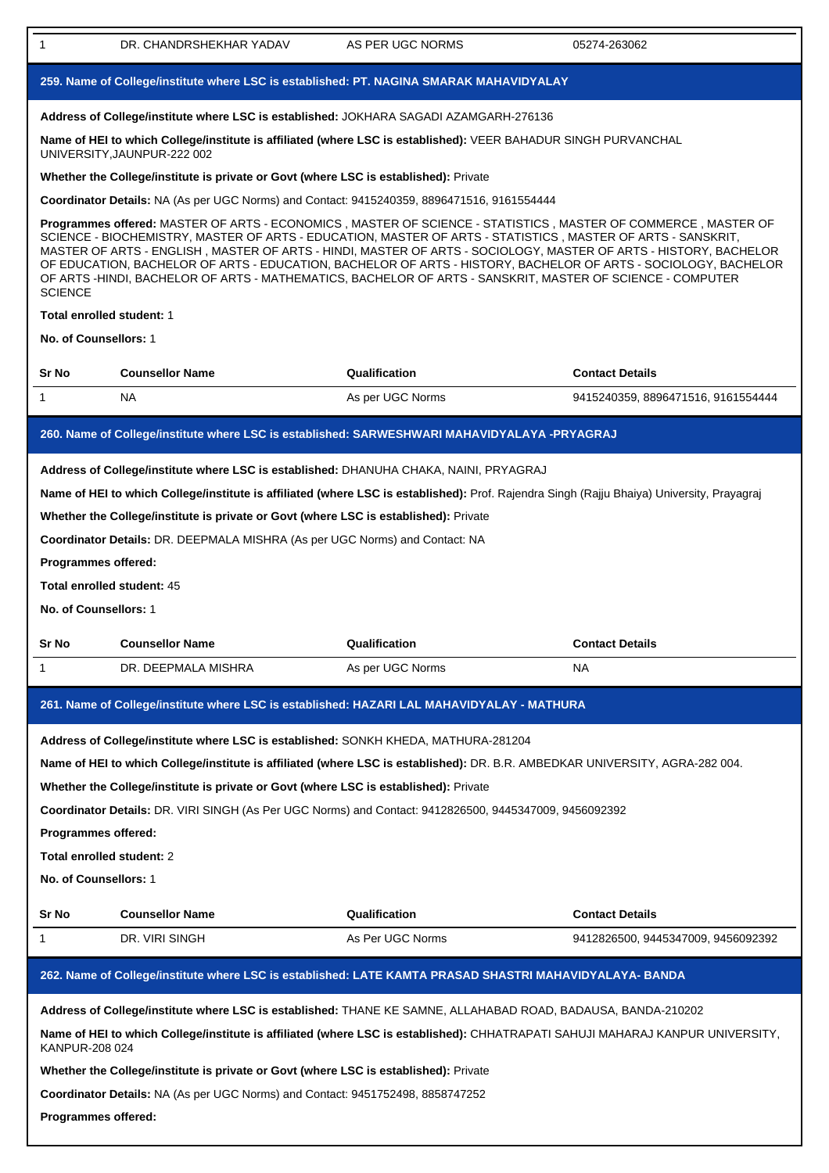| 1                     | DR. CHANDRSHEKHAR YADAV                                                                                                                                                                                                                                                                                                                                                                                                                                                                                                                                                            | AS PER UGC NORMS | 05274-263062                       |  |
|-----------------------|------------------------------------------------------------------------------------------------------------------------------------------------------------------------------------------------------------------------------------------------------------------------------------------------------------------------------------------------------------------------------------------------------------------------------------------------------------------------------------------------------------------------------------------------------------------------------------|------------------|------------------------------------|--|
|                       | 259. Name of College/institute where LSC is established: PT. NAGINA SMARAK MAHAVIDYALAY                                                                                                                                                                                                                                                                                                                                                                                                                                                                                            |                  |                                    |  |
|                       | Address of College/institute where LSC is established: JOKHARA SAGADI AZAMGARH-276136                                                                                                                                                                                                                                                                                                                                                                                                                                                                                              |                  |                                    |  |
|                       | Name of HEI to which College/institute is affiliated (where LSC is established): VEER BAHADUR SINGH PURVANCHAL<br>UNIVERSITY, JAUNPUR-222 002                                                                                                                                                                                                                                                                                                                                                                                                                                      |                  |                                    |  |
|                       | Whether the College/institute is private or Govt (where LSC is established): Private                                                                                                                                                                                                                                                                                                                                                                                                                                                                                               |                  |                                    |  |
|                       | Coordinator Details: NA (As per UGC Norms) and Contact: 9415240359, 8896471516, 9161554444                                                                                                                                                                                                                                                                                                                                                                                                                                                                                         |                  |                                    |  |
| <b>SCIENCE</b>        | Programmes offered: MASTER OF ARTS - ECONOMICS , MASTER OF SCIENCE - STATISTICS , MASTER OF COMMERCE , MASTER OF<br>SCIENCE - BIOCHEMISTRY, MASTER OF ARTS - EDUCATION, MASTER OF ARTS - STATISTICS, MASTER OF ARTS - SANSKRIT,<br>MASTER OF ARTS - ENGLISH, MASTER OF ARTS - HINDI, MASTER OF ARTS - SOCIOLOGY, MASTER OF ARTS - HISTORY, BACHELOR<br>OF EDUCATION, BACHELOR OF ARTS - EDUCATION, BACHELOR OF ARTS - HISTORY, BACHELOR OF ARTS - SOCIOLOGY, BACHELOR<br>OF ARTS -HINDI, BACHELOR OF ARTS - MATHEMATICS, BACHELOR OF ARTS - SANSKRIT, MASTER OF SCIENCE - COMPUTER |                  |                                    |  |
|                       | Total enrolled student: 1                                                                                                                                                                                                                                                                                                                                                                                                                                                                                                                                                          |                  |                                    |  |
| No. of Counsellors: 1 |                                                                                                                                                                                                                                                                                                                                                                                                                                                                                                                                                                                    |                  |                                    |  |
| Sr No                 | <b>Counsellor Name</b>                                                                                                                                                                                                                                                                                                                                                                                                                                                                                                                                                             | Qualification    | <b>Contact Details</b>             |  |
| 1                     | <b>NA</b>                                                                                                                                                                                                                                                                                                                                                                                                                                                                                                                                                                          | As per UGC Norms | 9415240359, 8896471516, 9161554444 |  |
|                       | 260. Name of College/institute where LSC is established: SARWESHWARI MAHAVIDYALAYA -PRYAGRAJ                                                                                                                                                                                                                                                                                                                                                                                                                                                                                       |                  |                                    |  |
| No. of Counsellors: 1 | Address of College/institute where LSC is established: DHANUHA CHAKA, NAINI, PRYAGRAJ<br>Name of HEI to which College/institute is affiliated (where LSC is established): Prof. Rajendra Singh (Rajju Bhaiya) University, Prayagraj<br>Whether the College/institute is private or Govt (where LSC is established): Private<br>Coordinator Details: DR. DEEPMALA MISHRA (As per UGC Norms) and Contact: NA<br>Programmes offered:<br>Total enrolled student: 45                                                                                                                    |                  |                                    |  |
| Sr No                 | <b>Counsellor Name</b>                                                                                                                                                                                                                                                                                                                                                                                                                                                                                                                                                             | Qualification    | <b>Contact Details</b>             |  |
| 1                     | DR. DEEPMALA MISHRA                                                                                                                                                                                                                                                                                                                                                                                                                                                                                                                                                                | As per UGC Norms | NA                                 |  |
|                       | 261. Name of College/institute where LSC is established: HAZARI LAL MAHAVIDYALAY - MATHURA                                                                                                                                                                                                                                                                                                                                                                                                                                                                                         |                  |                                    |  |
|                       |                                                                                                                                                                                                                                                                                                                                                                                                                                                                                                                                                                                    |                  |                                    |  |
|                       | Address of College/institute where LSC is established: SONKH KHEDA, MATHURA-281204                                                                                                                                                                                                                                                                                                                                                                                                                                                                                                 |                  |                                    |  |
|                       | Name of HEI to which College/institute is affiliated (where LSC is established): DR. B.R. AMBEDKAR UNIVERSITY, AGRA-282 004.<br>Whether the College/institute is private or Govt (where LSC is established): Private                                                                                                                                                                                                                                                                                                                                                               |                  |                                    |  |
|                       | Coordinator Details: DR. VIRI SINGH (As Per UGC Norms) and Contact: 9412826500, 9445347009, 9456092392                                                                                                                                                                                                                                                                                                                                                                                                                                                                             |                  |                                    |  |
| Programmes offered:   |                                                                                                                                                                                                                                                                                                                                                                                                                                                                                                                                                                                    |                  |                                    |  |
|                       | Total enrolled student: 2                                                                                                                                                                                                                                                                                                                                                                                                                                                                                                                                                          |                  |                                    |  |
| No. of Counsellors: 1 |                                                                                                                                                                                                                                                                                                                                                                                                                                                                                                                                                                                    |                  |                                    |  |
| Sr No                 | <b>Counsellor Name</b>                                                                                                                                                                                                                                                                                                                                                                                                                                                                                                                                                             | Qualification    | <b>Contact Details</b>             |  |
| 1                     | DR. VIRI SINGH                                                                                                                                                                                                                                                                                                                                                                                                                                                                                                                                                                     | As Per UGC Norms | 9412826500, 9445347009, 9456092392 |  |
|                       | 262. Name of College/institute where LSC is established: LATE KAMTA PRASAD SHASTRI MAHAVIDYALAYA- BANDA                                                                                                                                                                                                                                                                                                                                                                                                                                                                            |                  |                                    |  |
|                       | Address of College/institute where LSC is established: THANE KE SAMNE, ALLAHABAD ROAD, BADAUSA, BANDA-210202                                                                                                                                                                                                                                                                                                                                                                                                                                                                       |                  |                                    |  |
| KANPUR-208 024        | Name of HEI to which College/institute is affiliated (where LSC is established): CHHATRAPATI SAHUJI MAHARAJ KANPUR UNIVERSITY,                                                                                                                                                                                                                                                                                                                                                                                                                                                     |                  |                                    |  |
|                       | Whether the College/institute is private or Govt (where LSC is established): Private                                                                                                                                                                                                                                                                                                                                                                                                                                                                                               |                  |                                    |  |
|                       | Coordinator Details: NA (As per UGC Norms) and Contact: 9451752498, 8858747252                                                                                                                                                                                                                                                                                                                                                                                                                                                                                                     |                  |                                    |  |
|                       | Programmes offered:                                                                                                                                                                                                                                                                                                                                                                                                                                                                                                                                                                |                  |                                    |  |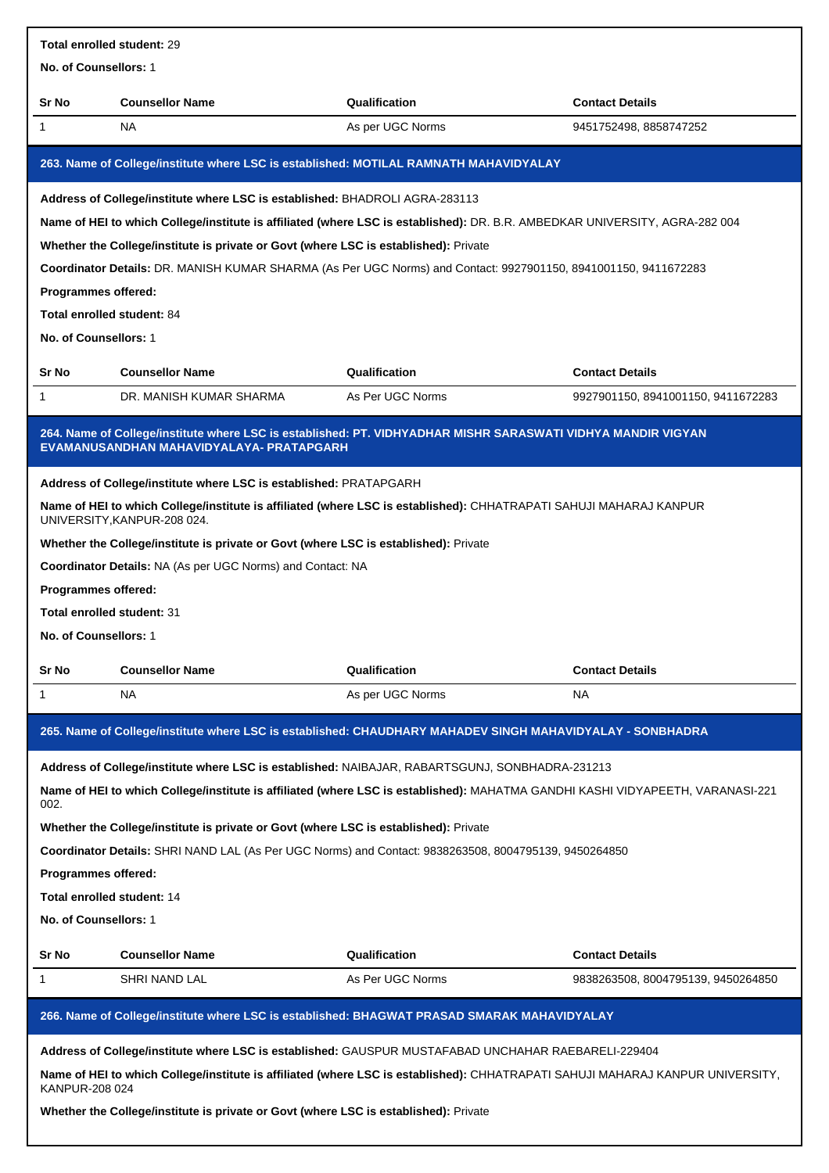| <b>Total enrolled student: 29</b> |                                                                                       |                                                                                                                                |                                    |
|-----------------------------------|---------------------------------------------------------------------------------------|--------------------------------------------------------------------------------------------------------------------------------|------------------------------------|
| No. of Counsellors: 1             |                                                                                       |                                                                                                                                |                                    |
| Sr No                             | <b>Counsellor Name</b>                                                                | Qualification                                                                                                                  | <b>Contact Details</b>             |
| 1                                 | <b>NA</b>                                                                             | As per UGC Norms                                                                                                               | 9451752498, 8858747252             |
|                                   | 263. Name of College/institute where LSC is established: MOTILAL RAMNATH MAHAVIDYALAY |                                                                                                                                |                                    |
|                                   | Address of College/institute where LSC is established: BHADROLI AGRA-283113           |                                                                                                                                |                                    |
|                                   |                                                                                       | Name of HEI to which College/institute is affiliated (where LSC is established): DR. B.R. AMBEDKAR UNIVERSITY, AGRA-282 004    |                                    |
|                                   | Whether the College/institute is private or Govt (where LSC is established): Private  |                                                                                                                                |                                    |
|                                   |                                                                                       | Coordinator Details: DR. MANISH KUMAR SHARMA (As Per UGC Norms) and Contact: 9927901150, 8941001150, 9411672283                |                                    |
| Programmes offered:               |                                                                                       |                                                                                                                                |                                    |
| Total enrolled student: 84        |                                                                                       |                                                                                                                                |                                    |
| No. of Counsellors: 1             |                                                                                       |                                                                                                                                |                                    |
| Sr No                             | <b>Counsellor Name</b>                                                                | Qualification                                                                                                                  | <b>Contact Details</b>             |
| 1                                 | DR. MANISH KUMAR SHARMA                                                               | As Per UGC Norms                                                                                                               | 9927901150, 8941001150, 9411672283 |
|                                   | EVAMANUSANDHAN MAHAVIDYALAYA- PRATAPGARH                                              | 264. Name of College/institute where LSC is established: PT. VIDHYADHAR MISHR SARASWATI VIDHYA MANDIR VIGYAN                   |                                    |
|                                   | Address of College/institute where LSC is established: PRATAPGARH                     |                                                                                                                                |                                    |
|                                   | UNIVERSITY, KANPUR-208 024.                                                           | Name of HEI to which College/institute is affiliated (where LSC is established): CHHATRAPATI SAHUJI MAHARAJ KANPUR             |                                    |
|                                   | Whether the College/institute is private or Govt (where LSC is established): Private  |                                                                                                                                |                                    |
|                                   | Coordinator Details: NA (As per UGC Norms) and Contact: NA                            |                                                                                                                                |                                    |
| Programmes offered:               |                                                                                       |                                                                                                                                |                                    |
| Total enrolled student: 31        |                                                                                       |                                                                                                                                |                                    |
| No. of Counsellors: 1             |                                                                                       |                                                                                                                                |                                    |
| Sr No                             | <b>Counsellor Name</b>                                                                | Qualification                                                                                                                  | <b>Contact Details</b>             |
| 1                                 | <b>NA</b>                                                                             | As per UGC Norms                                                                                                               | NA                                 |
|                                   |                                                                                       | 265. Name of College/institute where LSC is established: CHAUDHARY MAHADEV SINGH MAHAVIDYALAY - SONBHADRA                      |                                    |
|                                   |                                                                                       | Address of College/institute where LSC is established: NAIBAJAR, RABARTSGUNJ, SONBHADRA-231213                                 |                                    |
| 002.                              |                                                                                       | Name of HEI to which College/institute is affiliated (where LSC is established): MAHATMA GANDHI KASHI VIDYAPEETH, VARANASI-221 |                                    |
|                                   | Whether the College/institute is private or Govt (where LSC is established): Private  |                                                                                                                                |                                    |
|                                   |                                                                                       | Coordinator Details: SHRI NAND LAL (As Per UGC Norms) and Contact: 9838263508, 8004795139, 9450264850                          |                                    |
| Programmes offered:               |                                                                                       |                                                                                                                                |                                    |
| Total enrolled student: 14        |                                                                                       |                                                                                                                                |                                    |
| No. of Counsellors: 1             |                                                                                       |                                                                                                                                |                                    |
| Sr No                             | <b>Counsellor Name</b>                                                                | Qualification                                                                                                                  | <b>Contact Details</b>             |
| 1                                 | SHRI NAND LAL                                                                         | As Per UGC Norms                                                                                                               | 9838263508, 8004795139, 9450264850 |
|                                   |                                                                                       | 266. Name of College/institute where LSC is established: BHAGWAT PRASAD SMARAK MAHAVIDYALAY                                    |                                    |
|                                   |                                                                                       | Address of College/institute where LSC is established: GAUSPUR MUSTAFABAD UNCHAHAR RAEBARELI-229404                            |                                    |
| KANPUR-208 024                    |                                                                                       | Name of HEI to which College/institute is affiliated (where LSC is established): CHHATRAPATI SAHUJI MAHARAJ KANPUR UNIVERSITY, |                                    |
|                                   |                                                                                       |                                                                                                                                |                                    |

**Whether the College/institute is private or Govt (where LSC is established):** Private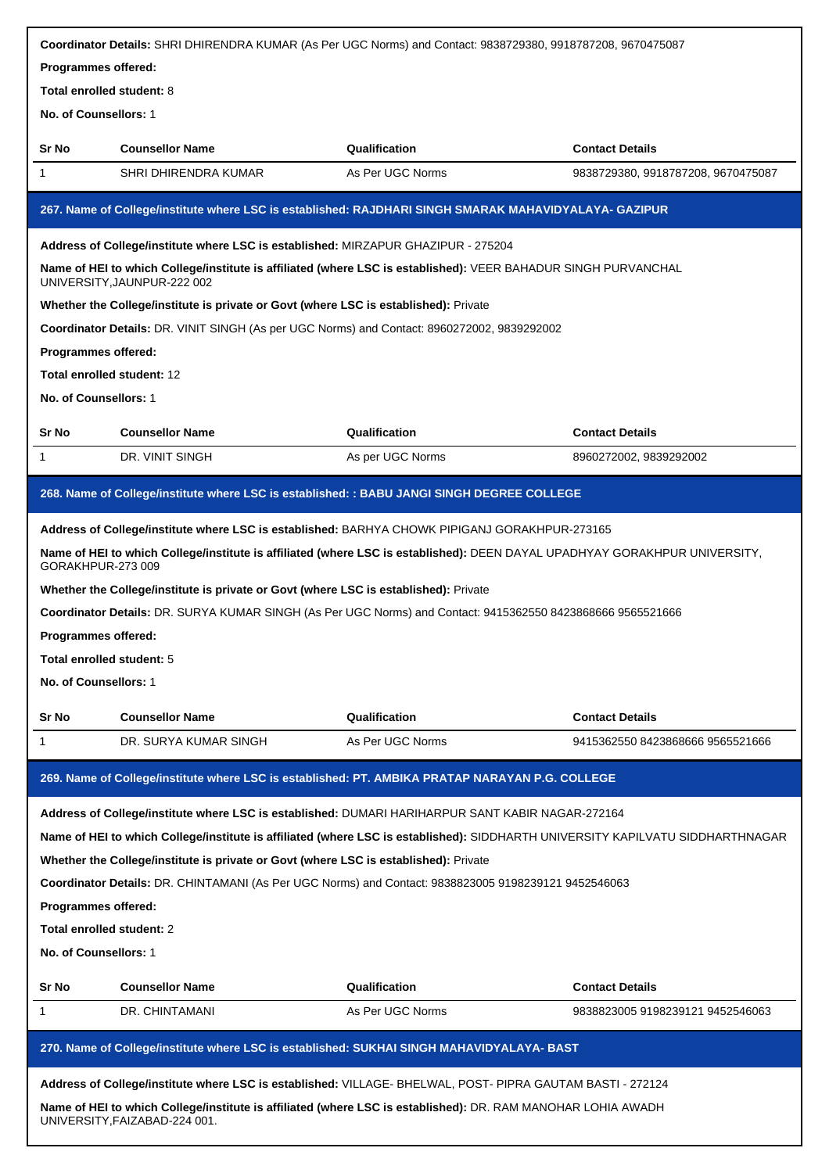|                                  |                                                                                      | Coordinator Details: SHRI DHIRENDRA KUMAR (As Per UGC Norms) and Contact: 9838729380, 9918787208, 9670475087                   |                                    |
|----------------------------------|--------------------------------------------------------------------------------------|--------------------------------------------------------------------------------------------------------------------------------|------------------------------------|
| Programmes offered:              |                                                                                      |                                                                                                                                |                                    |
| <b>Total enrolled student: 8</b> |                                                                                      |                                                                                                                                |                                    |
| No. of Counsellors: 1            |                                                                                      |                                                                                                                                |                                    |
| Sr No                            | <b>Counsellor Name</b>                                                               | Qualification                                                                                                                  | <b>Contact Details</b>             |
| 1                                | SHRI DHIRENDRA KUMAR                                                                 | As Per UGC Norms                                                                                                               | 9838729380, 9918787208, 9670475087 |
|                                  |                                                                                      | 267. Name of College/institute where LSC is established: RAJDHARI SINGH SMARAK MAHAVIDYALAYA- GAZIPUR                          |                                    |
|                                  | Address of College/institute where LSC is established: MIRZAPUR GHAZIPUR - 275204    |                                                                                                                                |                                    |
|                                  | UNIVERSITY, JAUNPUR-222 002                                                          | Name of HEI to which College/institute is affiliated (where LSC is established): VEER BAHADUR SINGH PURVANCHAL                 |                                    |
|                                  | Whether the College/institute is private or Govt (where LSC is established): Private |                                                                                                                                |                                    |
|                                  |                                                                                      | Coordinator Details: DR. VINIT SINGH (As per UGC Norms) and Contact: 8960272002, 9839292002                                    |                                    |
| Programmes offered:              |                                                                                      |                                                                                                                                |                                    |
|                                  | Total enrolled student: 12                                                           |                                                                                                                                |                                    |
| No. of Counsellors: 1            |                                                                                      |                                                                                                                                |                                    |
| Sr No                            | <b>Counsellor Name</b>                                                               | Qualification                                                                                                                  | <b>Contact Details</b>             |
| 1                                | DR. VINIT SINGH                                                                      | As per UGC Norms                                                                                                               | 8960272002, 9839292002             |
|                                  |                                                                                      | 268. Name of College/institute where LSC is established: : BABU JANGI SINGH DEGREE COLLEGE                                     |                                    |
|                                  |                                                                                      | Address of College/institute where LSC is established: BARHYA CHOWK PIPIGANJ GORAKHPUR-273165                                  |                                    |
| GORAKHPUR-273 009                |                                                                                      | Name of HEI to which College/institute is affiliated (where LSC is established): DEEN DAYAL UPADHYAY GORAKHPUR UNIVERSITY,     |                                    |
|                                  | Whether the College/institute is private or Govt (where LSC is established): Private |                                                                                                                                |                                    |
|                                  |                                                                                      | Coordinator Details: DR. SURYA KUMAR SINGH (As Per UGC Norms) and Contact: 9415362550 8423868666 9565521666                    |                                    |
| Programmes offered:              |                                                                                      |                                                                                                                                |                                    |
| Total enrolled student: 5        |                                                                                      |                                                                                                                                |                                    |
| No. of Counsellors: 1            |                                                                                      |                                                                                                                                |                                    |
| Sr No                            | <b>Counsellor Name</b>                                                               | Qualification                                                                                                                  | <b>Contact Details</b>             |
| 1                                | DR. SURYA KUMAR SINGH                                                                | As Per UGC Norms                                                                                                               | 9415362550 8423868666 9565521666   |
|                                  |                                                                                      | 269. Name of College/institute where LSC is established: PT. AMBIKA PRATAP NARAYAN P.G. COLLEGE                                |                                    |
|                                  |                                                                                      | Address of College/institute where LSC is established: DUMARI HARIHARPUR SANT KABIR NAGAR-272164                               |                                    |
|                                  |                                                                                      | Name of HEI to which College/institute is affiliated (where LSC is established): SIDDHARTH UNIVERSITY KAPILVATU SIDDHARTHNAGAR |                                    |
|                                  | Whether the College/institute is private or Govt (where LSC is established): Private |                                                                                                                                |                                    |
|                                  |                                                                                      | Coordinator Details: DR. CHINTAMANI (As Per UGC Norms) and Contact: 9838823005 9198239121 9452546063                           |                                    |
| <b>Programmes offered:</b>       |                                                                                      |                                                                                                                                |                                    |
| Total enrolled student: 2        |                                                                                      |                                                                                                                                |                                    |
| <b>No. of Counsellors: 1</b>     |                                                                                      |                                                                                                                                |                                    |
|                                  |                                                                                      |                                                                                                                                |                                    |
| Sr No                            | <b>Counsellor Name</b>                                                               | Qualification                                                                                                                  | <b>Contact Details</b>             |
| 1                                | DR. CHINTAMANI                                                                       | As Per UGC Norms                                                                                                               | 9838823005 9198239121 9452546063   |
|                                  |                                                                                      | 270. Name of College/institute where LSC is established: SUKHAI SINGH MAHAVIDYALAYA- BAST                                      |                                    |
|                                  |                                                                                      | Address of College/institute where LSC is established: VILLAGE- BHELWAL, POST- PIPRA GAUTAM BASTI - 272124                     |                                    |
|                                  | UNIVERSITY, FAIZABAD-224 001.                                                        | Name of HEI to which College/institute is affiliated (where LSC is established): DR. RAM MANOHAR LOHIA AWADH                   |                                    |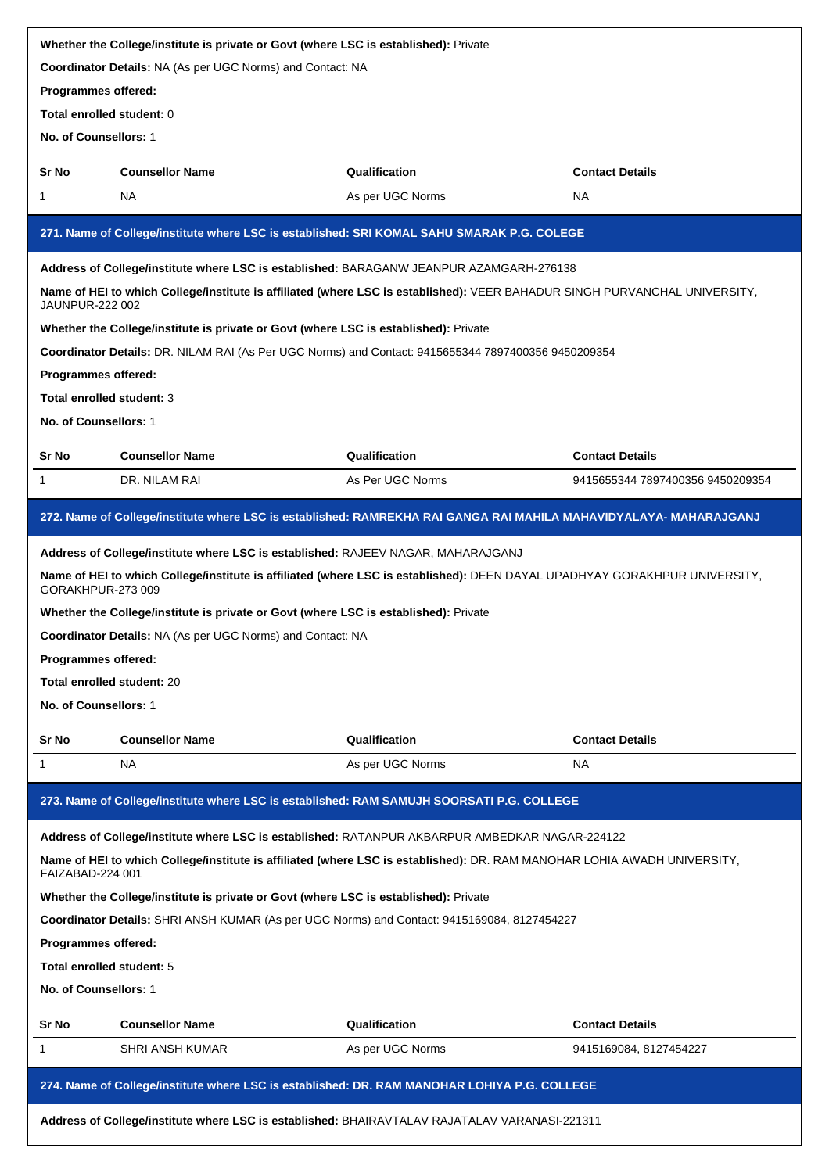| Whether the College/institute is private or Govt (where LSC is established): Private |                                                                                                                            |                  |                                  |  |
|--------------------------------------------------------------------------------------|----------------------------------------------------------------------------------------------------------------------------|------------------|----------------------------------|--|
|                                                                                      | Coordinator Details: NA (As per UGC Norms) and Contact: NA                                                                 |                  |                                  |  |
| Programmes offered:                                                                  |                                                                                                                            |                  |                                  |  |
| Total enrolled student: 0                                                            |                                                                                                                            |                  |                                  |  |
| No. of Counsellors: 1                                                                |                                                                                                                            |                  |                                  |  |
| Sr No                                                                                | <b>Counsellor Name</b>                                                                                                     | Qualification    | <b>Contact Details</b>           |  |
| 1                                                                                    | NA                                                                                                                         | As per UGC Norms | <b>NA</b>                        |  |
|                                                                                      | 271. Name of College/institute where LSC is established: SRI KOMAL SAHU SMARAK P.G. COLEGE                                 |                  |                                  |  |
|                                                                                      | Address of College/institute where LSC is established: BARAGANW JEANPUR AZAMGARH-276138                                    |                  |                                  |  |
| <b>JAUNPUR-222 002</b>                                                               | Name of HEI to which College/institute is affiliated (where LSC is established): VEER BAHADUR SINGH PURVANCHAL UNIVERSITY, |                  |                                  |  |
|                                                                                      | Whether the College/institute is private or Govt (where LSC is established): Private                                       |                  |                                  |  |
|                                                                                      | Coordinator Details: DR. NILAM RAI (As Per UGC Norms) and Contact: 9415655344 7897400356 9450209354                        |                  |                                  |  |
| Programmes offered:                                                                  |                                                                                                                            |                  |                                  |  |
| Total enrolled student: 3                                                            |                                                                                                                            |                  |                                  |  |
| No. of Counsellors: 1                                                                |                                                                                                                            |                  |                                  |  |
| Sr No                                                                                | <b>Counsellor Name</b>                                                                                                     | Qualification    | <b>Contact Details</b>           |  |
| 1                                                                                    | DR. NILAM RAI                                                                                                              | As Per UGC Norms | 9415655344 7897400356 9450209354 |  |
|                                                                                      | 272. Name of College/institute where LSC is established: RAMREKHA RAI GANGA RAI MAHILA MAHAVIDYALAYA- MAHARAJGANJ          |                  |                                  |  |
|                                                                                      | Address of College/institute where LSC is established: RAJEEV NAGAR, MAHARAJGANJ                                           |                  |                                  |  |
| GORAKHPUR-273 009                                                                    | Name of HEI to which College/institute is affiliated (where LSC is established): DEEN DAYAL UPADHYAY GORAKHPUR UNIVERSITY, |                  |                                  |  |
|                                                                                      | Whether the College/institute is private or Govt (where LSC is established): Private                                       |                  |                                  |  |
|                                                                                      | Coordinator Details: NA (As per UGC Norms) and Contact: NA                                                                 |                  |                                  |  |
| Programmes offered:                                                                  |                                                                                                                            |                  |                                  |  |
| Total enrolled student: 20                                                           |                                                                                                                            |                  |                                  |  |
| No. of Counsellors: 1                                                                |                                                                                                                            |                  |                                  |  |
| Sr No                                                                                | <b>Counsellor Name</b>                                                                                                     | Qualification    | <b>Contact Details</b>           |  |
| 1                                                                                    | NA                                                                                                                         | As per UGC Norms | <b>NA</b>                        |  |
|                                                                                      | 273. Name of College/institute where LSC is established: RAM SAMUJH SOORSATI P.G. COLLEGE                                  |                  |                                  |  |
|                                                                                      | Address of College/institute where LSC is established: RATANPUR AKBARPUR AMBEDKAR NAGAR-224122                             |                  |                                  |  |
| FAIZABAD-224 001                                                                     | Name of HEI to which College/institute is affiliated (where LSC is established): DR. RAM MANOHAR LOHIA AWADH UNIVERSITY,   |                  |                                  |  |
|                                                                                      | Whether the College/institute is private or Govt (where LSC is established): Private                                       |                  |                                  |  |
|                                                                                      | Coordinator Details: SHRI ANSH KUMAR (As per UGC Norms) and Contact: 9415169084, 8127454227                                |                  |                                  |  |
| Programmes offered:                                                                  |                                                                                                                            |                  |                                  |  |
| Total enrolled student: 5                                                            |                                                                                                                            |                  |                                  |  |
| No. of Counsellors: 1                                                                |                                                                                                                            |                  |                                  |  |
| Sr No                                                                                | <b>Counsellor Name</b>                                                                                                     | Qualification    | <b>Contact Details</b>           |  |
| 1                                                                                    | <b>SHRI ANSH KUMAR</b>                                                                                                     | As per UGC Norms | 9415169084, 8127454227           |  |
|                                                                                      | 274. Name of College/institute where LSC is established: DR. RAM MANOHAR LOHIYA P.G. COLLEGE                               |                  |                                  |  |
|                                                                                      | Address of College/institute where LSC is established: BHAIRAVTALAV RAJATALAV VARANASI-221311                              |                  |                                  |  |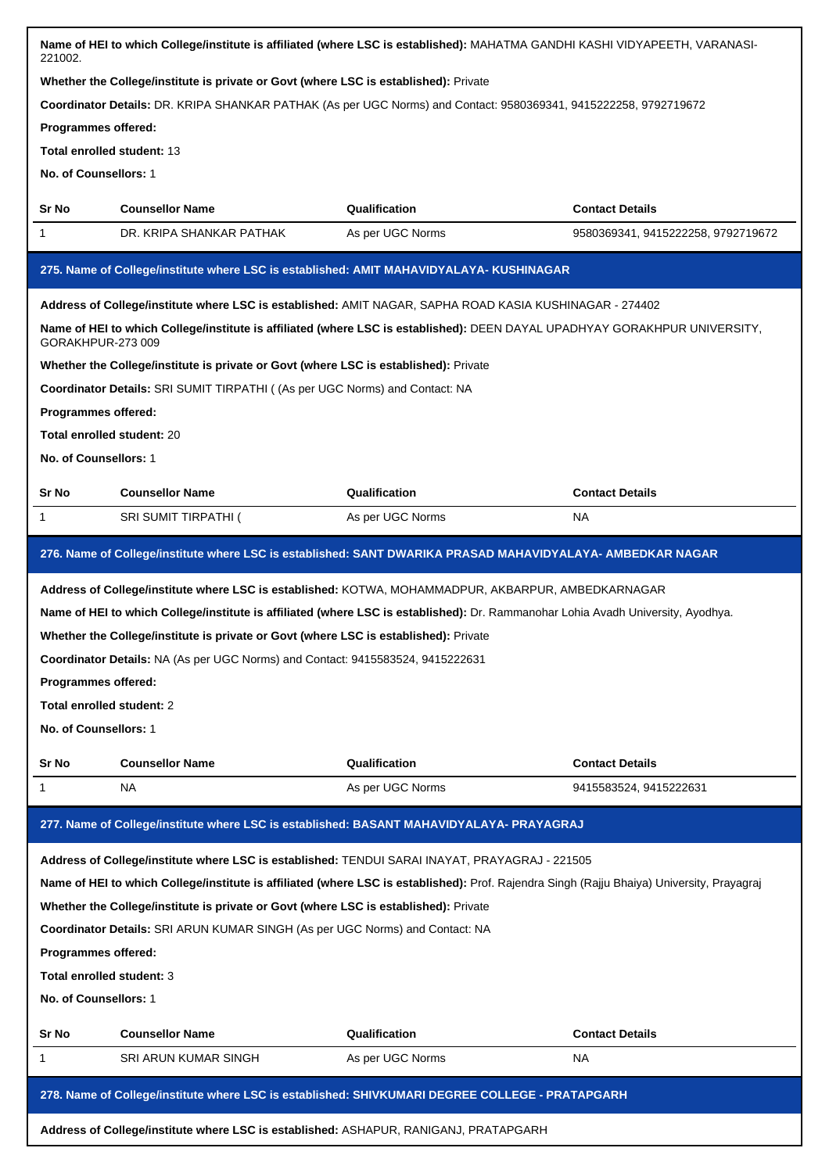| 221002.                           | Name of HEI to which College/institute is affiliated (where LSC is established): MAHATMA GANDHI KASHI VIDYAPEETH, VARANASI-                |                  |                                    |
|-----------------------------------|--------------------------------------------------------------------------------------------------------------------------------------------|------------------|------------------------------------|
|                                   | Whether the College/institute is private or Govt (where LSC is established): Private                                                       |                  |                                    |
|                                   | Coordinator Details: DR. KRIPA SHANKAR PATHAK (As per UGC Norms) and Contact: 9580369341, 9415222258, 9792719672                           |                  |                                    |
| Programmes offered:               |                                                                                                                                            |                  |                                    |
| <b>Total enrolled student: 13</b> |                                                                                                                                            |                  |                                    |
| No. of Counsellors: 1             |                                                                                                                                            |                  |                                    |
| Sr No                             | <b>Counsellor Name</b>                                                                                                                     | Qualification    | <b>Contact Details</b>             |
| 1                                 | DR. KRIPA SHANKAR PATHAK                                                                                                                   | As per UGC Norms | 9580369341, 9415222258, 9792719672 |
|                                   | 275. Name of College/institute where LSC is established: AMIT MAHAVIDYALAYA- KUSHINAGAR                                                    |                  |                                    |
|                                   | Address of College/institute where LSC is established: AMIT NAGAR, SAPHA ROAD KASIA KUSHINAGAR - 274402                                    |                  |                                    |
| GORAKHPUR-273009                  | Name of HEI to which College/institute is affiliated (where LSC is established): DEEN DAYAL UPADHYAY GORAKHPUR UNIVERSITY,                 |                  |                                    |
|                                   | Whether the College/institute is private or Govt (where LSC is established): Private                                                       |                  |                                    |
|                                   | Coordinator Details: SRI SUMIT TIRPATHI ((As per UGC Norms) and Contact: NA                                                                |                  |                                    |
| Programmes offered:               |                                                                                                                                            |                  |                                    |
| Total enrolled student: 20        |                                                                                                                                            |                  |                                    |
| No. of Counsellors: 1             |                                                                                                                                            |                  |                                    |
| Sr No                             | <b>Counsellor Name</b>                                                                                                                     | Qualification    | <b>Contact Details</b>             |
| 1                                 | <b>SRI SUMIT TIRPATHI (</b>                                                                                                                | As per UGC Norms | <b>NA</b>                          |
|                                   | 276. Name of College/institute where LSC is established: SANT DWARIKA PRASAD MAHAVIDYALAYA- AMBEDKAR NAGAR                                 |                  |                                    |
|                                   | Address of College/institute where LSC is established: KOTWA, MOHAMMADPUR, AKBARPUR, AMBEDKARNAGAR                                         |                  |                                    |
|                                   | Name of HEI to which College/institute is affiliated (where LSC is established): Dr. Rammanohar Lohia Avadh University, Ayodhya.           |                  |                                    |
|                                   | Whether the College/institute is private or Govt (where LSC is established): Private                                                       |                  |                                    |
|                                   | Coordinator Details: NA (As per UGC Norms) and Contact: 9415583524, 9415222631                                                             |                  |                                    |
| Programmes offered:               |                                                                                                                                            |                  |                                    |
| Total enrolled student: 2         |                                                                                                                                            |                  |                                    |
| No. of Counsellors: 1             |                                                                                                                                            |                  |                                    |
| Sr No                             | <b>Counsellor Name</b>                                                                                                                     | Qualification    | <b>Contact Details</b>             |
| 1                                 | <b>NA</b>                                                                                                                                  | As per UGC Norms | 9415583524, 9415222631             |
|                                   |                                                                                                                                            |                  |                                    |
|                                   | 277. Name of College/institute where LSC is established: BASANT MAHAVIDYALAYA- PRAYAGRAJ                                                   |                  |                                    |
|                                   | Address of College/institute where LSC is established: TENDUI SARAI INAYAT, PRAYAGRAJ - 221505                                             |                  |                                    |
|                                   | Name of HEI to which College/institute is affiliated (where LSC is established): Prof. Rajendra Singh (Rajju Bhaiya) University, Prayagraj |                  |                                    |
|                                   | Whether the College/institute is private or Govt (where LSC is established): Private                                                       |                  |                                    |
|                                   | Coordinator Details: SRI ARUN KUMAR SINGH (As per UGC Norms) and Contact: NA                                                               |                  |                                    |
| Programmes offered:               |                                                                                                                                            |                  |                                    |
| Total enrolled student: 3         |                                                                                                                                            |                  |                                    |
| No. of Counsellors: 1             |                                                                                                                                            |                  |                                    |
| Sr No                             | <b>Counsellor Name</b>                                                                                                                     | Qualification    | <b>Contact Details</b>             |
| 1                                 | <b>SRI ARUN KUMAR SINGH</b>                                                                                                                | As per UGC Norms | NA.                                |
|                                   | 278. Name of College/institute where LSC is established: SHIVKUMARI DEGREE COLLEGE - PRATAPGARH                                            |                  |                                    |
|                                   | Address of College/institute where LSC is established: ASHAPUR, RANIGANJ, PRATAPGARH                                                       |                  |                                    |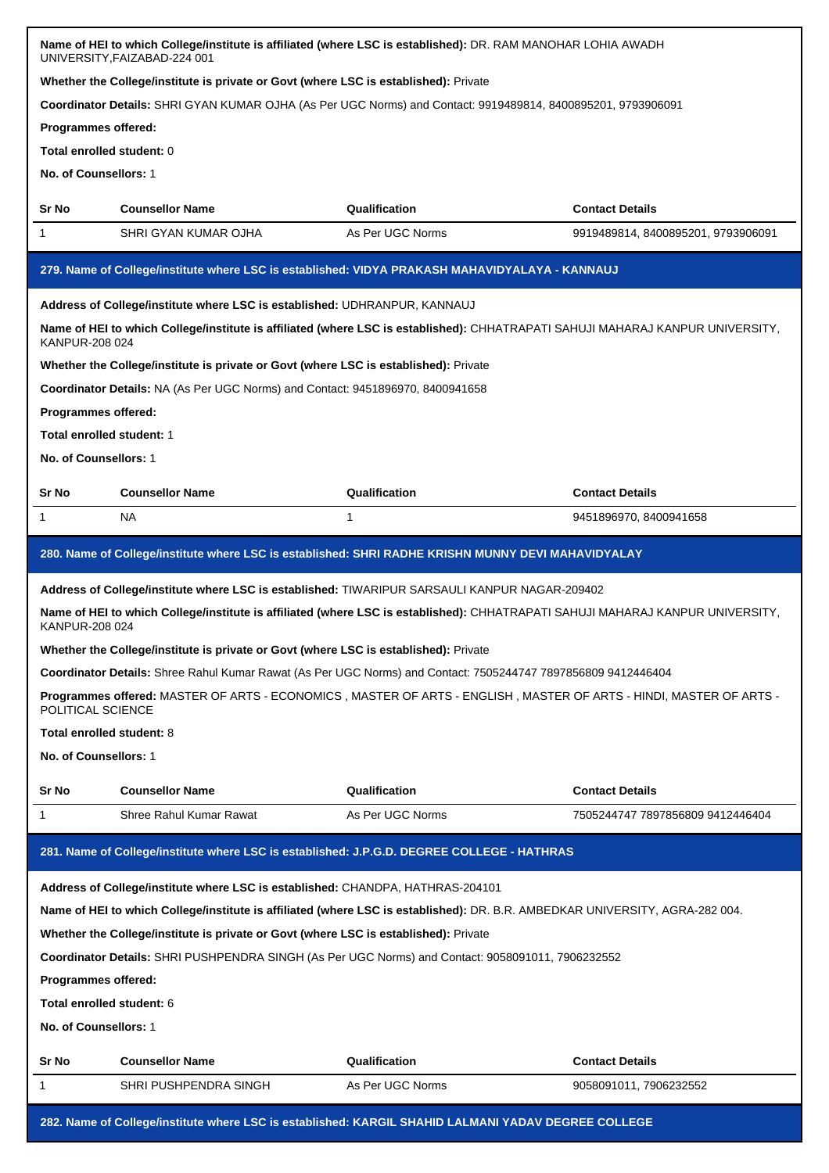|                                                                                                                                                  | Name of HEI to which College/institute is affiliated (where LSC is established): DR. RAM MANOHAR LOHIA AWADH<br>UNIVERSITY, FAIZABAD-224 001 |                  |                                                                                                                                |  |
|--------------------------------------------------------------------------------------------------------------------------------------------------|----------------------------------------------------------------------------------------------------------------------------------------------|------------------|--------------------------------------------------------------------------------------------------------------------------------|--|
|                                                                                                                                                  | Whether the College/institute is private or Govt (where LSC is established): Private                                                         |                  |                                                                                                                                |  |
|                                                                                                                                                  | Coordinator Details: SHRI GYAN KUMAR OJHA (As Per UGC Norms) and Contact: 9919489814, 8400895201, 9793906091                                 |                  |                                                                                                                                |  |
| <b>Programmes offered:</b>                                                                                                                       |                                                                                                                                              |                  |                                                                                                                                |  |
| Total enrolled student: 0                                                                                                                        |                                                                                                                                              |                  |                                                                                                                                |  |
| No. of Counsellors: 1                                                                                                                            |                                                                                                                                              |                  |                                                                                                                                |  |
| Sr No                                                                                                                                            | <b>Counsellor Name</b>                                                                                                                       | Qualification    | <b>Contact Details</b>                                                                                                         |  |
| 1                                                                                                                                                | SHRI GYAN KUMAR OJHA                                                                                                                         | As Per UGC Norms | 9919489814, 8400895201, 9793906091                                                                                             |  |
|                                                                                                                                                  | 279. Name of College/institute where LSC is established: VIDYA PRAKASH MAHAVIDYALAYA - KANNAUJ                                               |                  |                                                                                                                                |  |
|                                                                                                                                                  | Address of College/institute where LSC is established: UDHRANPUR, KANNAUJ                                                                    |                  |                                                                                                                                |  |
| KANPUR-208 024                                                                                                                                   |                                                                                                                                              |                  | Name of HEI to which College/institute is affiliated (where LSC is established): CHHATRAPATI SAHUJI MAHARAJ KANPUR UNIVERSITY, |  |
|                                                                                                                                                  | Whether the College/institute is private or Govt (where LSC is established): Private                                                         |                  |                                                                                                                                |  |
|                                                                                                                                                  | Coordinator Details: NA (As Per UGC Norms) and Contact: 9451896970, 8400941658                                                               |                  |                                                                                                                                |  |
| Programmes offered:                                                                                                                              |                                                                                                                                              |                  |                                                                                                                                |  |
| Total enrolled student: 1                                                                                                                        |                                                                                                                                              |                  |                                                                                                                                |  |
| No. of Counsellors: 1                                                                                                                            |                                                                                                                                              |                  |                                                                                                                                |  |
| Sr No                                                                                                                                            | <b>Counsellor Name</b>                                                                                                                       | Qualification    | <b>Contact Details</b>                                                                                                         |  |
| 1                                                                                                                                                | NA.                                                                                                                                          | 1                | 9451896970, 8400941658                                                                                                         |  |
|                                                                                                                                                  | 280. Name of College/institute where LSC is established: SHRI RADHE KRISHN MUNNY DEVI MAHAVIDYALAY                                           |                  |                                                                                                                                |  |
|                                                                                                                                                  | Address of College/institute where LSC is established: TIWARIPUR SARSAULI KANPUR NAGAR-209402                                                |                  |                                                                                                                                |  |
| Name of HEI to which College/institute is affiliated (where LSC is established): CHHATRAPATI SAHUJI MAHARAJ KANPUR UNIVERSITY,<br>KANPUR-208 024 |                                                                                                                                              |                  |                                                                                                                                |  |
|                                                                                                                                                  |                                                                                                                                              |                  |                                                                                                                                |  |
|                                                                                                                                                  | Whether the College/institute is private or Govt (where LSC is established): Private                                                         |                  |                                                                                                                                |  |
|                                                                                                                                                  | Coordinator Details: Shree Rahul Kumar Rawat (As Per UGC Norms) and Contact: 7505244747 7897856809 9412446404                                |                  |                                                                                                                                |  |
| POLITICAL SCIENCE                                                                                                                                |                                                                                                                                              |                  | Programmes offered: MASTER OF ARTS - ECONOMICS, MASTER OF ARTS - ENGLISH, MASTER OF ARTS - HINDI, MASTER OF ARTS -             |  |
| Total enrolled student: 8                                                                                                                        |                                                                                                                                              |                  |                                                                                                                                |  |
| No. of Counsellors: 1                                                                                                                            |                                                                                                                                              |                  |                                                                                                                                |  |
| Sr No                                                                                                                                            | <b>Counsellor Name</b>                                                                                                                       | Qualification    | <b>Contact Details</b>                                                                                                         |  |
| 1.                                                                                                                                               | Shree Rahul Kumar Rawat                                                                                                                      | As Per UGC Norms | 7505244747 7897856809 9412446404                                                                                               |  |
|                                                                                                                                                  | 281. Name of College/institute where LSC is established: J.P.G.D. DEGREE COLLEGE - HATHRAS                                                   |                  |                                                                                                                                |  |
|                                                                                                                                                  |                                                                                                                                              |                  |                                                                                                                                |  |
|                                                                                                                                                  | Address of College/institute where LSC is established: CHANDPA, HATHRAS-204101                                                               |                  |                                                                                                                                |  |
|                                                                                                                                                  | Name of HEI to which College/institute is affiliated (where LSC is established): DR. B.R. AMBEDKAR UNIVERSITY, AGRA-282 004.                 |                  |                                                                                                                                |  |
|                                                                                                                                                  | Whether the College/institute is private or Govt (where LSC is established): Private                                                         |                  |                                                                                                                                |  |
|                                                                                                                                                  | Coordinator Details: SHRI PUSHPENDRA SINGH (As Per UGC Norms) and Contact: 9058091011, 7906232552                                            |                  |                                                                                                                                |  |
| Programmes offered:<br>Total enrolled student: 6                                                                                                 |                                                                                                                                              |                  |                                                                                                                                |  |
| No. of Counsellors: 1                                                                                                                            |                                                                                                                                              |                  |                                                                                                                                |  |
|                                                                                                                                                  |                                                                                                                                              |                  |                                                                                                                                |  |
| Sr No                                                                                                                                            | <b>Counsellor Name</b>                                                                                                                       | Qualification    | <b>Contact Details</b>                                                                                                         |  |
| 1                                                                                                                                                | SHRI PUSHPENDRA SINGH                                                                                                                        | As Per UGC Norms | 9058091011, 7906232552                                                                                                         |  |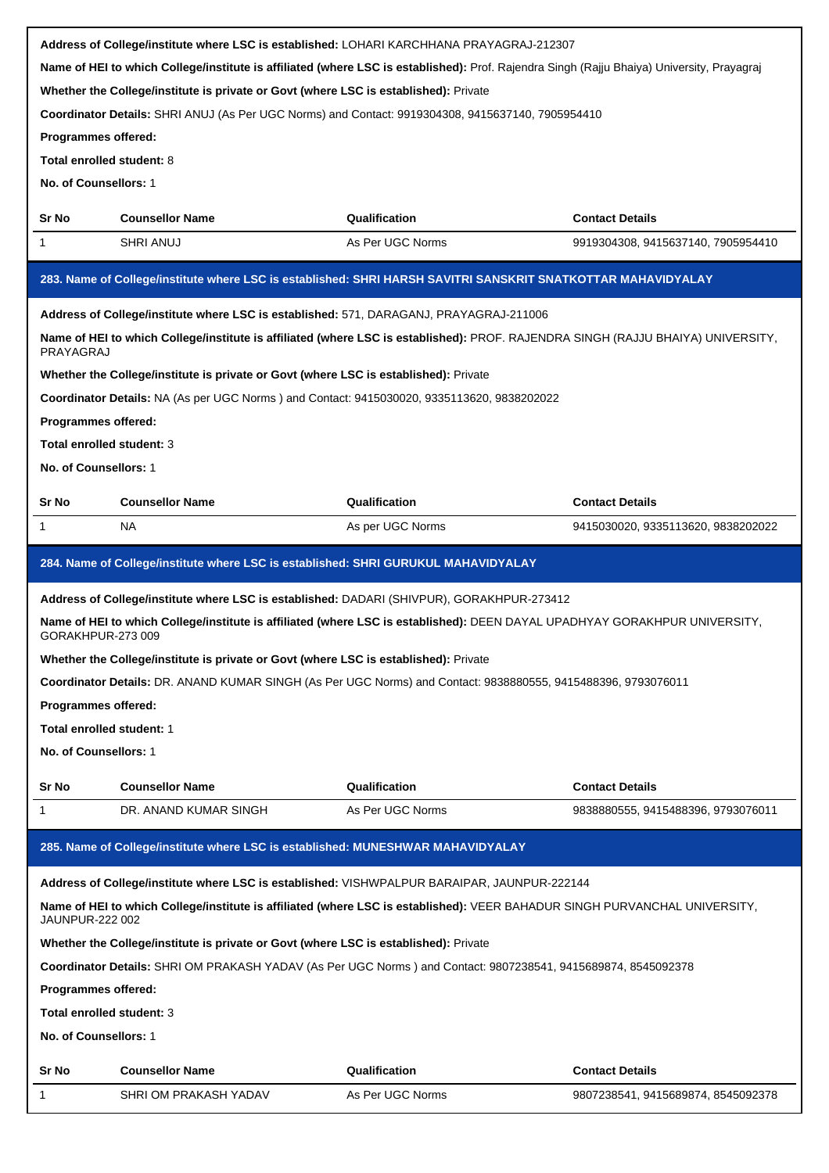|                                                                                           |                                                                                        | Address of College/institute where LSC is established: LOHARI KARCHHANA PRAYAGRAJ-212307                                                   |                                    |  |  |
|-------------------------------------------------------------------------------------------|----------------------------------------------------------------------------------------|--------------------------------------------------------------------------------------------------------------------------------------------|------------------------------------|--|--|
|                                                                                           |                                                                                        | Name of HEI to which College/institute is affiliated (where LSC is established): Prof. Rajendra Singh (Rajju Bhaiya) University, Prayagraj |                                    |  |  |
|                                                                                           | Whether the College/institute is private or Govt (where LSC is established): Private   |                                                                                                                                            |                                    |  |  |
|                                                                                           |                                                                                        | Coordinator Details: SHRI ANUJ (As Per UGC Norms) and Contact: 9919304308, 9415637140, 7905954410                                          |                                    |  |  |
| Programmes offered:                                                                       |                                                                                        |                                                                                                                                            |                                    |  |  |
| Total enrolled student: 8                                                                 |                                                                                        |                                                                                                                                            |                                    |  |  |
| No. of Counsellors: 1                                                                     |                                                                                        |                                                                                                                                            |                                    |  |  |
| Sr No                                                                                     | <b>Counsellor Name</b><br>Qualification<br><b>Contact Details</b>                      |                                                                                                                                            |                                    |  |  |
| 1                                                                                         | <b>SHRI ANUJ</b>                                                                       | As Per UGC Norms                                                                                                                           | 9919304308, 9415637140, 7905954410 |  |  |
|                                                                                           |                                                                                        |                                                                                                                                            |                                    |  |  |
|                                                                                           |                                                                                        | 283. Name of College/institute where LSC is established: SHRI HARSH SAVITRI SANSKRIT SNATKOTTAR MAHAVIDYALAY                               |                                    |  |  |
|                                                                                           | Address of College/institute where LSC is established: 571, DARAGANJ, PRAYAGRAJ-211006 |                                                                                                                                            |                                    |  |  |
| PRAYAGRAJ                                                                                 |                                                                                        | Name of HEI to which College/institute is affiliated (where LSC is established): PROF. RAJENDRA SINGH (RAJJU BHAIYA) UNIVERSITY,           |                                    |  |  |
|                                                                                           | Whether the College/institute is private or Govt (where LSC is established): Private   |                                                                                                                                            |                                    |  |  |
|                                                                                           |                                                                                        | Coordinator Details: NA (As per UGC Norms) and Contact: 9415030020, 9335113620, 9838202022                                                 |                                    |  |  |
| Programmes offered:                                                                       |                                                                                        |                                                                                                                                            |                                    |  |  |
| Total enrolled student: 3                                                                 |                                                                                        |                                                                                                                                            |                                    |  |  |
| No. of Counsellors: 1                                                                     |                                                                                        |                                                                                                                                            |                                    |  |  |
| Sr No                                                                                     | <b>Counsellor Name</b>                                                                 | Qualification                                                                                                                              | <b>Contact Details</b>             |  |  |
| 1                                                                                         | NA.                                                                                    | As per UGC Norms                                                                                                                           | 9415030020, 9335113620, 9838202022 |  |  |
|                                                                                           |                                                                                        |                                                                                                                                            |                                    |  |  |
|                                                                                           | 284. Name of College/institute where LSC is established: SHRI GURUKUL MAHAVIDYALAY     |                                                                                                                                            |                                    |  |  |
| Address of College/institute where LSC is established: DADARI (SHIVPUR), GORAKHPUR-273412 |                                                                                        |                                                                                                                                            |                                    |  |  |
|                                                                                           |                                                                                        |                                                                                                                                            |                                    |  |  |
| GORAKHPUR-273 009                                                                         |                                                                                        | Name of HEI to which College/institute is affiliated (where LSC is established): DEEN DAYAL UPADHYAY GORAKHPUR UNIVERSITY,                 |                                    |  |  |
|                                                                                           | Whether the College/institute is private or Govt (where LSC is established): Private   |                                                                                                                                            |                                    |  |  |
|                                                                                           |                                                                                        | Coordinator Details: DR. ANAND KUMAR SINGH (As Per UGC Norms) and Contact: 9838880555, 9415488396, 9793076011                              |                                    |  |  |
| Programmes offered:                                                                       |                                                                                        |                                                                                                                                            |                                    |  |  |
| Total enrolled student: 1                                                                 |                                                                                        |                                                                                                                                            |                                    |  |  |
| No. of Counsellors: 1                                                                     |                                                                                        |                                                                                                                                            |                                    |  |  |
|                                                                                           |                                                                                        |                                                                                                                                            |                                    |  |  |
| Sr No                                                                                     | <b>Counsellor Name</b>                                                                 | Qualification                                                                                                                              | <b>Contact Details</b>             |  |  |
| 1                                                                                         | DR. ANAND KUMAR SINGH                                                                  | As Per UGC Norms                                                                                                                           | 9838880555, 9415488396, 9793076011 |  |  |
|                                                                                           | 285. Name of College/institute where LSC is established: MUNESHWAR MAHAVIDYALAY        |                                                                                                                                            |                                    |  |  |
|                                                                                           |                                                                                        | Address of College/institute where LSC is established: VISHWPALPUR BARAIPAR, JAUNPUR-222144                                                |                                    |  |  |
| JAUNPUR-222 002                                                                           |                                                                                        | Name of HEI to which College/institute is affiliated (where LSC is established): VEER BAHADUR SINGH PURVANCHAL UNIVERSITY,                 |                                    |  |  |
|                                                                                           | Whether the College/institute is private or Govt (where LSC is established): Private   |                                                                                                                                            |                                    |  |  |
|                                                                                           |                                                                                        | Coordinator Details: SHRI OM PRAKASH YADAV (As Per UGC Norms) and Contact: 9807238541, 9415689874, 8545092378                              |                                    |  |  |
| Programmes offered:                                                                       |                                                                                        |                                                                                                                                            |                                    |  |  |
| Total enrolled student: 3                                                                 |                                                                                        |                                                                                                                                            |                                    |  |  |
| No. of Counsellors: 1                                                                     |                                                                                        |                                                                                                                                            |                                    |  |  |
| Sr No                                                                                     | <b>Counsellor Name</b>                                                                 | Qualification                                                                                                                              | <b>Contact Details</b>             |  |  |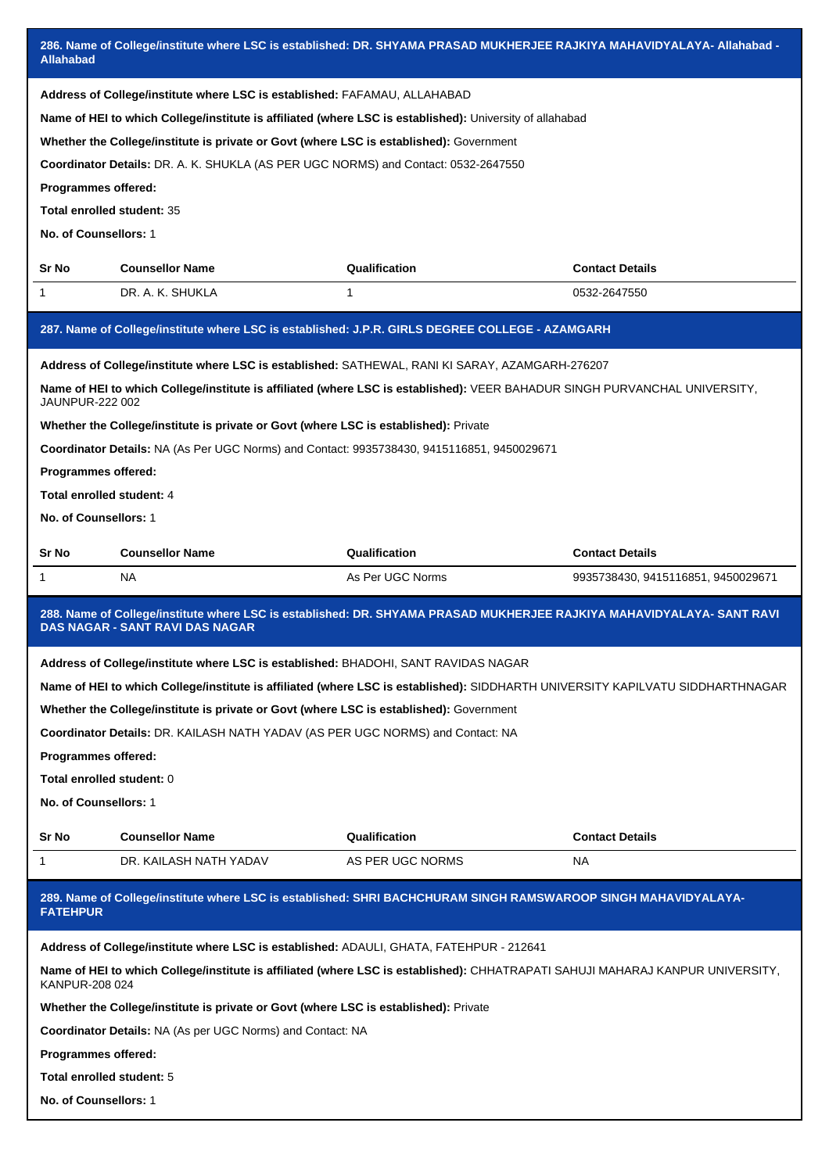| 286. Name of College/institute where LSC is established: DR. SHYAMA PRASAD MUKHERJEE RAJKIYA MAHAVIDYALAYA- Allahabad -<br><b>Allahabad</b> |                                                                                                                |                                                                                                                                                                                                                               |                                    |  |  |  |
|---------------------------------------------------------------------------------------------------------------------------------------------|----------------------------------------------------------------------------------------------------------------|-------------------------------------------------------------------------------------------------------------------------------------------------------------------------------------------------------------------------------|------------------------------------|--|--|--|
|                                                                                                                                             | Address of College/institute where LSC is established: FAFAMAU, ALLAHABAD                                      | Name of HEI to which College/institute is affiliated (where LSC is established): University of allahabad                                                                                                                      |                                    |  |  |  |
|                                                                                                                                             | Whether the College/institute is private or Govt (where LSC is established): Government                        |                                                                                                                                                                                                                               |                                    |  |  |  |
|                                                                                                                                             | Coordinator Details: DR. A. K. SHUKLA (AS PER UGC NORMS) and Contact: 0532-2647550                             |                                                                                                                                                                                                                               |                                    |  |  |  |
| <b>Programmes offered:</b>                                                                                                                  |                                                                                                                |                                                                                                                                                                                                                               |                                    |  |  |  |
| Total enrolled student: 35                                                                                                                  |                                                                                                                |                                                                                                                                                                                                                               |                                    |  |  |  |
| No. of Counsellors: 1                                                                                                                       |                                                                                                                |                                                                                                                                                                                                                               |                                    |  |  |  |
| Sr No                                                                                                                                       | <b>Counsellor Name</b>                                                                                         | Qualification                                                                                                                                                                                                                 | <b>Contact Details</b>             |  |  |  |
| 1                                                                                                                                           | DR. A. K. SHUKLA                                                                                               | 1                                                                                                                                                                                                                             | 0532-2647550                       |  |  |  |
|                                                                                                                                             |                                                                                                                | 287. Name of College/institute where LSC is established: J.P.R. GIRLS DEGREE COLLEGE - AZAMGARH                                                                                                                               |                                    |  |  |  |
|                                                                                                                                             |                                                                                                                | Address of College/institute where LSC is established: SATHEWAL, RANI KI SARAY, AZAMGARH-276207<br>Name of HEI to which College/institute is affiliated (where LSC is established): VEER BAHADUR SINGH PURVANCHAL UNIVERSITY, |                                    |  |  |  |
| JAUNPUR-222 002                                                                                                                             |                                                                                                                |                                                                                                                                                                                                                               |                                    |  |  |  |
|                                                                                                                                             | Whether the College/institute is private or Govt (where LSC is established): Private                           |                                                                                                                                                                                                                               |                                    |  |  |  |
|                                                                                                                                             | Coordinator Details: NA (As Per UGC Norms) and Contact: 9935738430, 9415116851, 9450029671                     |                                                                                                                                                                                                                               |                                    |  |  |  |
| Programmes offered:                                                                                                                         |                                                                                                                |                                                                                                                                                                                                                               |                                    |  |  |  |
| Total enrolled student: 4                                                                                                                   |                                                                                                                |                                                                                                                                                                                                                               |                                    |  |  |  |
| No. of Counsellors: 1                                                                                                                       |                                                                                                                |                                                                                                                                                                                                                               |                                    |  |  |  |
| Sr No                                                                                                                                       | <b>Counsellor Name</b>                                                                                         | Qualification                                                                                                                                                                                                                 | <b>Contact Details</b>             |  |  |  |
| 1                                                                                                                                           | NA                                                                                                             | As Per UGC Norms                                                                                                                                                                                                              | 9935738430, 9415116851, 9450029671 |  |  |  |
|                                                                                                                                             | <b>DAS NAGAR - SANT RAVI DAS NAGAR</b>                                                                         | 288. Name of College/institute where LSC is established: DR. SHYAMA PRASAD MUKHERJEE RAJKIYA MAHAVIDYALAYA- SANT RAVI                                                                                                         |                                    |  |  |  |
|                                                                                                                                             | Address of College/institute where LSC is established: BHADOHI, SANT RAVIDAS NAGAR                             |                                                                                                                                                                                                                               |                                    |  |  |  |
|                                                                                                                                             |                                                                                                                | Name of HEI to which College/institute is affiliated (where LSC is established): SIDDHARTH UNIVERSITY KAPILVATU SIDDHARTHNAGAR                                                                                                |                                    |  |  |  |
|                                                                                                                                             | Whether the College/institute is private or Govt (where LSC is established): Government                        |                                                                                                                                                                                                                               |                                    |  |  |  |
|                                                                                                                                             | Coordinator Details: DR. KAILASH NATH YADAV (AS PER UGC NORMS) and Contact: NA                                 |                                                                                                                                                                                                                               |                                    |  |  |  |
| Programmes offered:                                                                                                                         |                                                                                                                |                                                                                                                                                                                                                               |                                    |  |  |  |
| Total enrolled student: 0                                                                                                                   |                                                                                                                |                                                                                                                                                                                                                               |                                    |  |  |  |
| No. of Counsellors: 1                                                                                                                       |                                                                                                                |                                                                                                                                                                                                                               |                                    |  |  |  |
| Sr No                                                                                                                                       | <b>Counsellor Name</b>                                                                                         | Qualification                                                                                                                                                                                                                 | <b>Contact Details</b>             |  |  |  |
| 1                                                                                                                                           | DR. KAILASH NATH YADAV                                                                                         | AS PER UGC NORMS                                                                                                                                                                                                              | NA.                                |  |  |  |
| <b>FATEHPUR</b>                                                                                                                             | 289. Name of College/institute where LSC is established: SHRI BACHCHURAM SINGH RAMSWAROOP SINGH MAHAVIDYALAYA- |                                                                                                                                                                                                                               |                                    |  |  |  |
|                                                                                                                                             | Address of College/institute where LSC is established: ADAULI, GHATA, FATEHPUR - 212641                        |                                                                                                                                                                                                                               |                                    |  |  |  |
| KANPUR-208 024                                                                                                                              |                                                                                                                | Name of HEI to which College/institute is affiliated (where LSC is established): CHHATRAPATI SAHUJI MAHARAJ KANPUR UNIVERSITY,                                                                                                |                                    |  |  |  |
|                                                                                                                                             | Whether the College/institute is private or Govt (where LSC is established): Private                           |                                                                                                                                                                                                                               |                                    |  |  |  |
| <b>Coordinator Details: NA (As per UGC Norms) and Contact: NA</b>                                                                           |                                                                                                                |                                                                                                                                                                                                                               |                                    |  |  |  |
|                                                                                                                                             |                                                                                                                |                                                                                                                                                                                                                               |                                    |  |  |  |
| Programmes offered:                                                                                                                         |                                                                                                                |                                                                                                                                                                                                                               |                                    |  |  |  |
| Total enrolled student: 5                                                                                                                   |                                                                                                                |                                                                                                                                                                                                                               |                                    |  |  |  |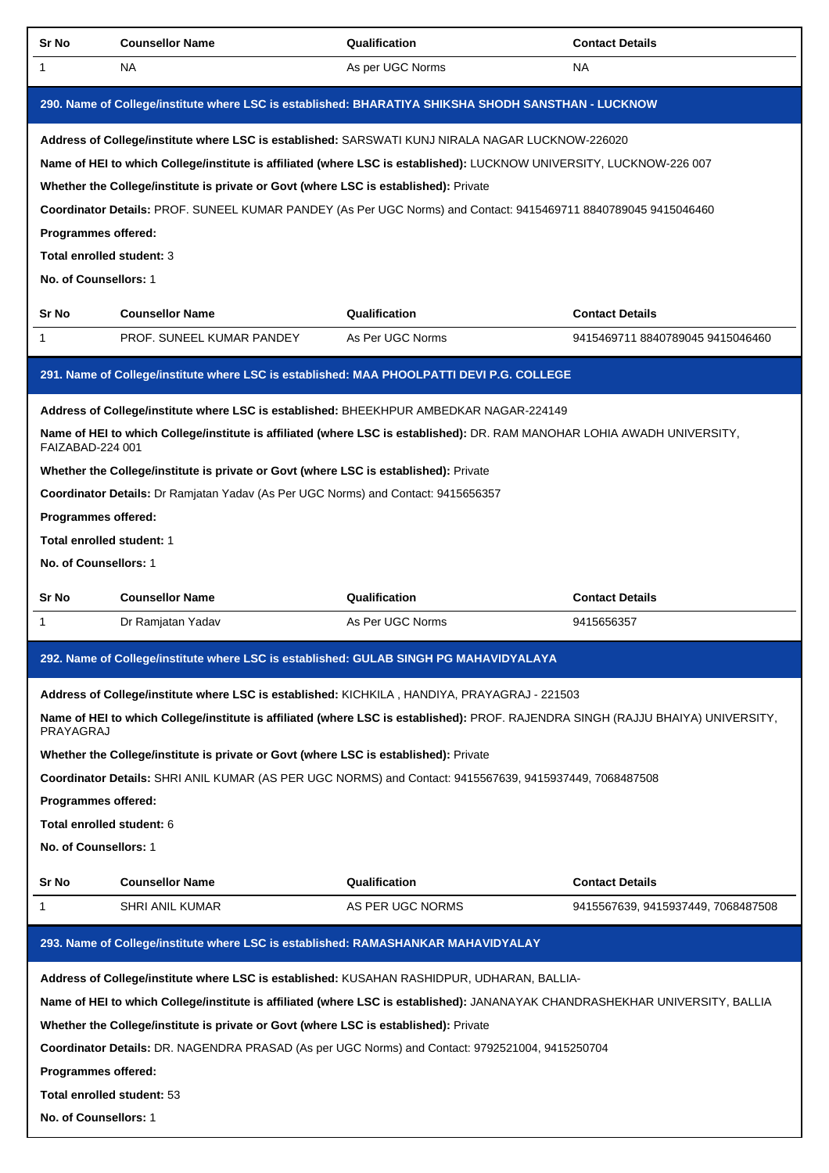| Sr No                      | <b>Counsellor Name</b>                                                                                                           | Qualification    | <b>Contact Details</b>             |
|----------------------------|----------------------------------------------------------------------------------------------------------------------------------|------------------|------------------------------------|
| 1                          | <b>NA</b>                                                                                                                        | As per UGC Norms | <b>NA</b>                          |
|                            | 290. Name of College/institute where LSC is established: BHARATIYA SHIKSHA SHODH SANSTHAN - LUCKNOW                              |                  |                                    |
|                            | Address of College/institute where LSC is established: SARSWATI KUNJ NIRALA NAGAR LUCKNOW-226020                                 |                  |                                    |
|                            | Name of HEI to which College/institute is affiliated (where LSC is established): LUCKNOW UNIVERSITY, LUCKNOW-226 007             |                  |                                    |
|                            | Whether the College/institute is private or Govt (where LSC is established): Private                                             |                  |                                    |
|                            | Coordinator Details: PROF. SUNEEL KUMAR PANDEY (As Per UGC Norms) and Contact: 9415469711 8840789045 9415046460                  |                  |                                    |
| Programmes offered:        |                                                                                                                                  |                  |                                    |
| Total enrolled student: 3  |                                                                                                                                  |                  |                                    |
| No. of Counsellors: 1      |                                                                                                                                  |                  |                                    |
| Sr No                      | <b>Counsellor Name</b>                                                                                                           | Qualification    | <b>Contact Details</b>             |
| 1                          | PROF. SUNEEL KUMAR PANDEY                                                                                                        | As Per UGC Norms | 9415469711 8840789045 9415046460   |
|                            | 291. Name of College/institute where LSC is established: MAA PHOOLPATTI DEVI P.G. COLLEGE                                        |                  |                                    |
|                            | Address of College/institute where LSC is established: BHEEKHPUR AMBEDKAR NAGAR-224149                                           |                  |                                    |
|                            | Name of HEI to which College/institute is affiliated (where LSC is established): DR. RAM MANOHAR LOHIA AWADH UNIVERSITY,         |                  |                                    |
| FAIZABAD-224 001           |                                                                                                                                  |                  |                                    |
|                            | Whether the College/institute is private or Govt (where LSC is established): Private                                             |                  |                                    |
|                            | Coordinator Details: Dr Ramjatan Yadav (As Per UGC Norms) and Contact: 9415656357                                                |                  |                                    |
| Programmes offered:        |                                                                                                                                  |                  |                                    |
| Total enrolled student: 1  |                                                                                                                                  |                  |                                    |
| No. of Counsellors: 1      |                                                                                                                                  |                  |                                    |
|                            |                                                                                                                                  |                  | <b>Contact Details</b>             |
| Sr No                      | <b>Counsellor Name</b>                                                                                                           | Qualification    |                                    |
| 1                          | Dr Ramjatan Yadav                                                                                                                | As Per UGC Norms | 9415656357                         |
|                            | 292. Name of College/institute where LSC is established: GULAB SINGH PG MAHAVIDYALAYA                                            |                  |                                    |
|                            | Address of College/institute where LSC is established: KICHKILA, HANDIYA, PRAYAGRAJ - 221503                                     |                  |                                    |
| PRAYAGRAJ                  | Name of HEI to which College/institute is affiliated (where LSC is established): PROF. RAJENDRA SINGH (RAJJU BHAIYA) UNIVERSITY, |                  |                                    |
|                            | Whether the College/institute is private or Govt (where LSC is established): Private                                             |                  |                                    |
|                            | Coordinator Details: SHRI ANIL KUMAR (AS PER UGC NORMS) and Contact: 9415567639, 9415937449, 7068487508                          |                  |                                    |
| Programmes offered:        |                                                                                                                                  |                  |                                    |
| Total enrolled student: 6  |                                                                                                                                  |                  |                                    |
| No. of Counsellors: 1      |                                                                                                                                  |                  |                                    |
| Sr No                      | <b>Counsellor Name</b>                                                                                                           | Qualification    | <b>Contact Details</b>             |
| 1                          | SHRI ANIL KUMAR                                                                                                                  | AS PER UGC NORMS | 9415567639, 9415937449, 7068487508 |
|                            |                                                                                                                                  |                  |                                    |
|                            | 293. Name of College/institute where LSC is established: RAMASHANKAR MAHAVIDYALAY                                                |                  |                                    |
|                            | Address of College/institute where LSC is established: KUSAHAN RASHIDPUR, UDHARAN, BALLIA-                                       |                  |                                    |
|                            | Name of HEI to which College/institute is affiliated (where LSC is established): JANANAYAK CHANDRASHEKHAR UNIVERSITY, BALLIA     |                  |                                    |
|                            | Whether the College/institute is private or Govt (where LSC is established): Private                                             |                  |                                    |
|                            | Coordinator Details: DR. NAGENDRA PRASAD (As per UGC Norms) and Contact: 9792521004, 9415250704                                  |                  |                                    |
| Programmes offered:        |                                                                                                                                  |                  |                                    |
| Total enrolled student: 53 |                                                                                                                                  |                  |                                    |
| No. of Counsellors: 1      |                                                                                                                                  |                  |                                    |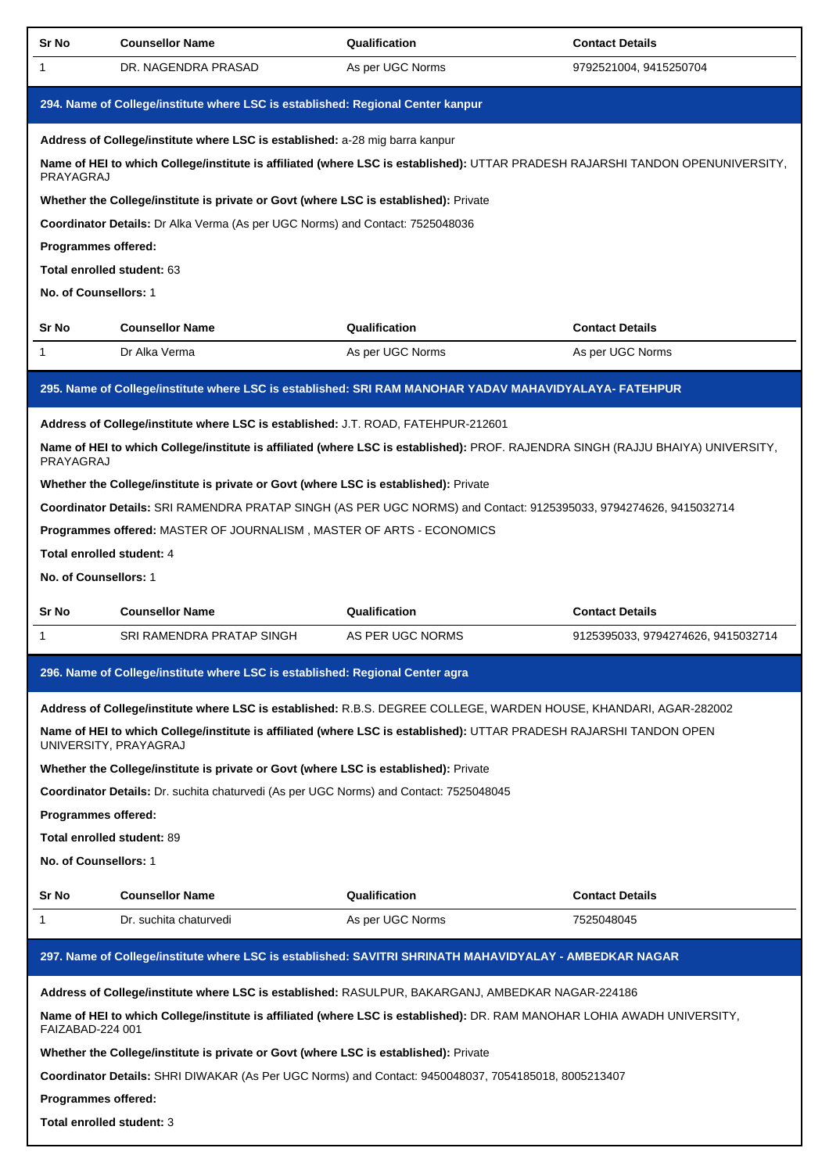| Sr No                                                                                                                                        | <b>Counsellor Name</b>                                                                                                                       | Qualification    | <b>Contact Details</b>             |  |  |
|----------------------------------------------------------------------------------------------------------------------------------------------|----------------------------------------------------------------------------------------------------------------------------------------------|------------------|------------------------------------|--|--|
| 1                                                                                                                                            | DR. NAGENDRA PRASAD                                                                                                                          | As per UGC Norms | 9792521004, 9415250704             |  |  |
|                                                                                                                                              | 294. Name of College/institute where LSC is established: Regional Center kanpur                                                              |                  |                                    |  |  |
|                                                                                                                                              | Address of College/institute where LSC is established: a-28 mig barra kanpur                                                                 |                  |                                    |  |  |
| PRAYAGRAJ                                                                                                                                    | Name of HEI to which College/institute is affiliated (where LSC is established): UTTAR PRADESH RAJARSHI TANDON OPENUNIVERSITY,               |                  |                                    |  |  |
|                                                                                                                                              | Whether the College/institute is private or Govt (where LSC is established): Private                                                         |                  |                                    |  |  |
|                                                                                                                                              | Coordinator Details: Dr Alka Verma (As per UGC Norms) and Contact: 7525048036                                                                |                  |                                    |  |  |
| Programmes offered:                                                                                                                          |                                                                                                                                              |                  |                                    |  |  |
| Total enrolled student: 63                                                                                                                   |                                                                                                                                              |                  |                                    |  |  |
| No. of Counsellors: 1                                                                                                                        |                                                                                                                                              |                  |                                    |  |  |
| Sr No                                                                                                                                        | <b>Counsellor Name</b>                                                                                                                       | Qualification    | <b>Contact Details</b>             |  |  |
| 1                                                                                                                                            | Dr Alka Verma                                                                                                                                | As per UGC Norms | As per UGC Norms                   |  |  |
|                                                                                                                                              | 295. Name of College/institute where LSC is established: SRI RAM MANOHAR YADAV MAHAVIDYALAYA- FATEHPUR                                       |                  |                                    |  |  |
|                                                                                                                                              | Address of College/institute where LSC is established: J.T. ROAD, FATEHPUR-212601                                                            |                  |                                    |  |  |
| PRAYAGRAJ                                                                                                                                    | Name of HEI to which College/institute is affiliated (where LSC is established): PROF. RAJENDRA SINGH (RAJJU BHAIYA) UNIVERSITY,             |                  |                                    |  |  |
|                                                                                                                                              | Whether the College/institute is private or Govt (where LSC is established): Private                                                         |                  |                                    |  |  |
|                                                                                                                                              | Coordinator Details: SRI RAMENDRA PRATAP SINGH (AS PER UGC NORMS) and Contact: 9125395033, 9794274626, 9415032714                            |                  |                                    |  |  |
|                                                                                                                                              | Programmes offered: MASTER OF JOURNALISM, MASTER OF ARTS - ECONOMICS                                                                         |                  |                                    |  |  |
| Total enrolled student: 4                                                                                                                    |                                                                                                                                              |                  |                                    |  |  |
| No. of Counsellors: 1                                                                                                                        |                                                                                                                                              |                  |                                    |  |  |
| Sr No                                                                                                                                        | <b>Counsellor Name</b>                                                                                                                       | Qualification    | <b>Contact Details</b>             |  |  |
| 1                                                                                                                                            | SRI RAMENDRA PRATAP SINGH                                                                                                                    | AS PER UGC NORMS | 9125395033, 9794274626, 9415032714 |  |  |
|                                                                                                                                              | 296. Name of College/institute where LSC is established: Regional Center agra                                                                |                  |                                    |  |  |
|                                                                                                                                              | Address of College/institute where LSC is established: R.B.S. DEGREE COLLEGE, WARDEN HOUSE, KHANDARI, AGAR-282002                            |                  |                                    |  |  |
|                                                                                                                                              | Name of HEI to which College/institute is affiliated (where LSC is established): UTTAR PRADESH RAJARSHI TANDON OPEN<br>UNIVERSITY, PRAYAGRAJ |                  |                                    |  |  |
|                                                                                                                                              | Whether the College/institute is private or Govt (where LSC is established): Private                                                         |                  |                                    |  |  |
|                                                                                                                                              | Coordinator Details: Dr. suchita chaturvedi (As per UGC Norms) and Contact: 7525048045                                                       |                  |                                    |  |  |
| Programmes offered:                                                                                                                          |                                                                                                                                              |                  |                                    |  |  |
| Total enrolled student: 89                                                                                                                   |                                                                                                                                              |                  |                                    |  |  |
| No. of Counsellors: 1                                                                                                                        |                                                                                                                                              |                  |                                    |  |  |
| Sr No                                                                                                                                        | <b>Counsellor Name</b>                                                                                                                       | Qualification    | <b>Contact Details</b>             |  |  |
| 1                                                                                                                                            | Dr. suchita chaturvedi                                                                                                                       | As per UGC Norms | 7525048045                         |  |  |
|                                                                                                                                              | 297. Name of College/institute where LSC is established: SAVITRI SHRINATH MAHAVIDYALAY - AMBEDKAR NAGAR                                      |                  |                                    |  |  |
|                                                                                                                                              |                                                                                                                                              |                  |                                    |  |  |
| Name of HEI to which College/institute is affiliated (where LSC is established): DR. RAM MANOHAR LOHIA AWADH UNIVERSITY,<br>FAIZABAD-224 001 |                                                                                                                                              |                  |                                    |  |  |
|                                                                                                                                              | Address of College/institute where LSC is established: RASULPUR, BAKARGANJ, AMBEDKAR NAGAR-224186                                            |                  |                                    |  |  |
|                                                                                                                                              | Whether the College/institute is private or Govt (where LSC is established): Private                                                         |                  |                                    |  |  |
|                                                                                                                                              | Coordinator Details: SHRI DIWAKAR (As Per UGC Norms) and Contact: 9450048037, 7054185018, 8005213407                                         |                  |                                    |  |  |
| Programmes offered:                                                                                                                          |                                                                                                                                              |                  |                                    |  |  |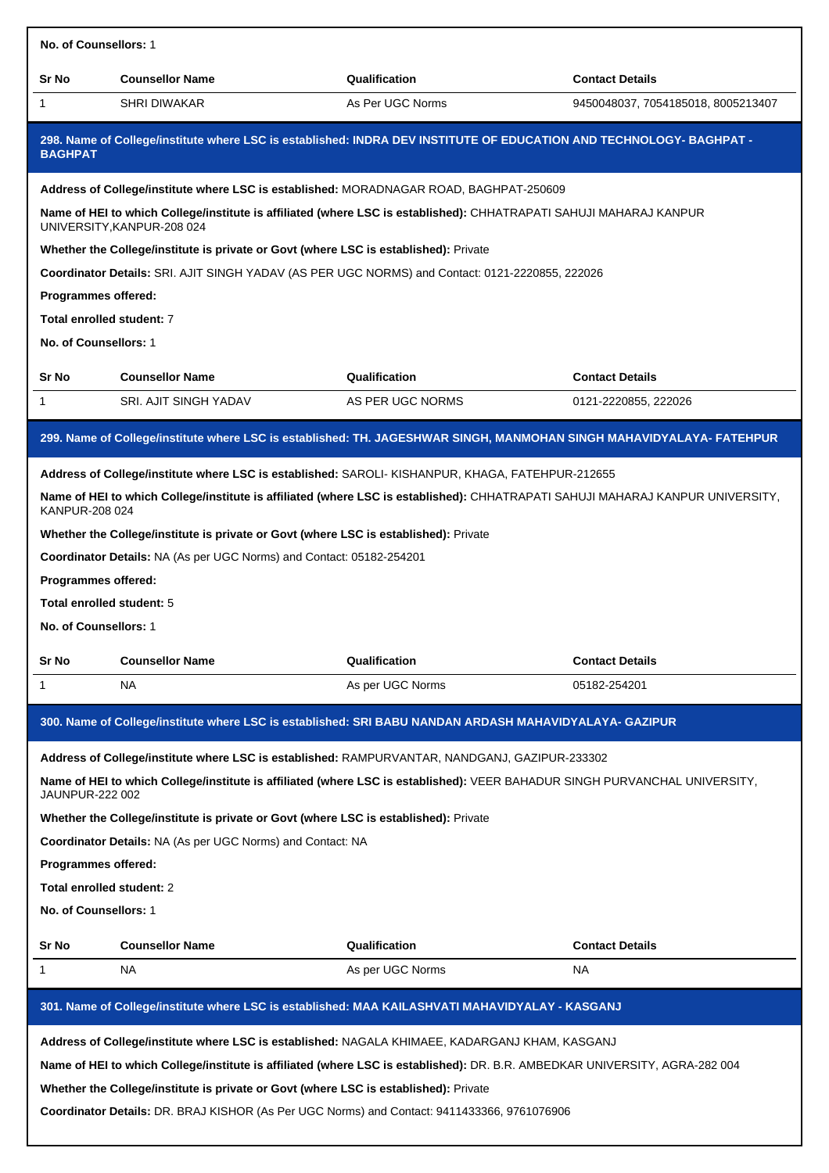| No. of Counsellors: 1                                                                                                                 |                                                                                                                                                                                                                                                                                                                                                                                                                                                                                                                                                                                                                                                                                                                                                |                                                                                                                             |                                    |  |  |
|---------------------------------------------------------------------------------------------------------------------------------------|------------------------------------------------------------------------------------------------------------------------------------------------------------------------------------------------------------------------------------------------------------------------------------------------------------------------------------------------------------------------------------------------------------------------------------------------------------------------------------------------------------------------------------------------------------------------------------------------------------------------------------------------------------------------------------------------------------------------------------------------|-----------------------------------------------------------------------------------------------------------------------------|------------------------------------|--|--|
| Sr No                                                                                                                                 | <b>Counsellor Name</b>                                                                                                                                                                                                                                                                                                                                                                                                                                                                                                                                                                                                                                                                                                                         | Qualification                                                                                                               | <b>Contact Details</b>             |  |  |
| 1                                                                                                                                     | <b>SHRI DIWAKAR</b>                                                                                                                                                                                                                                                                                                                                                                                                                                                                                                                                                                                                                                                                                                                            | As Per UGC Norms                                                                                                            | 9450048037, 7054185018, 8005213407 |  |  |
| 298. Name of College/institute where LSC is established: INDRA DEV INSTITUTE OF EDUCATION AND TECHNOLOGY- BAGHPAT -<br><b>BAGHPAT</b> |                                                                                                                                                                                                                                                                                                                                                                                                                                                                                                                                                                                                                                                                                                                                                |                                                                                                                             |                                    |  |  |
|                                                                                                                                       |                                                                                                                                                                                                                                                                                                                                                                                                                                                                                                                                                                                                                                                                                                                                                | Address of College/institute where LSC is established: MORADNAGAR ROAD, BAGHPAT-250609                                      |                                    |  |  |
|                                                                                                                                       | UNIVERSITY, KANPUR-208 024                                                                                                                                                                                                                                                                                                                                                                                                                                                                                                                                                                                                                                                                                                                     | Name of HEI to which College/institute is affiliated (where LSC is established): CHHATRAPATI SAHUJI MAHARAJ KANPUR          |                                    |  |  |
|                                                                                                                                       | Whether the College/institute is private or Govt (where LSC is established): Private                                                                                                                                                                                                                                                                                                                                                                                                                                                                                                                                                                                                                                                           |                                                                                                                             |                                    |  |  |
|                                                                                                                                       |                                                                                                                                                                                                                                                                                                                                                                                                                                                                                                                                                                                                                                                                                                                                                | Coordinator Details: SRI. AJIT SINGH YADAV (AS PER UGC NORMS) and Contact: 0121-2220855, 222026                             |                                    |  |  |
| Programmes offered:                                                                                                                   |                                                                                                                                                                                                                                                                                                                                                                                                                                                                                                                                                                                                                                                                                                                                                |                                                                                                                             |                                    |  |  |
| Total enrolled student: 7                                                                                                             |                                                                                                                                                                                                                                                                                                                                                                                                                                                                                                                                                                                                                                                                                                                                                |                                                                                                                             |                                    |  |  |
| No. of Counsellors: 1                                                                                                                 |                                                                                                                                                                                                                                                                                                                                                                                                                                                                                                                                                                                                                                                                                                                                                |                                                                                                                             |                                    |  |  |
| Sr No                                                                                                                                 | <b>Counsellor Name</b>                                                                                                                                                                                                                                                                                                                                                                                                                                                                                                                                                                                                                                                                                                                         | Qualification                                                                                                               | <b>Contact Details</b>             |  |  |
| 1                                                                                                                                     | SRI. AJIT SINGH YADAV                                                                                                                                                                                                                                                                                                                                                                                                                                                                                                                                                                                                                                                                                                                          | AS PER UGC NORMS                                                                                                            | 0121-2220855, 222026               |  |  |
| Sr No<br>1                                                                                                                            | 299. Name of College/institute where LSC is established: TH. JAGESHWAR SINGH, MANMOHAN SINGH MAHAVIDYALAYA- FATEHPUR<br>Address of College/institute where LSC is established: SAROLI-KISHANPUR, KHAGA, FATEHPUR-212655<br>Name of HEI to which College/institute is affiliated (where LSC is established): CHHATRAPATI SAHUJI MAHARAJ KANPUR UNIVERSITY,<br>KANPUR-208 024<br>Whether the College/institute is private or Govt (where LSC is established): Private<br>Coordinator Details: NA (As per UGC Norms) and Contact: 05182-254201<br><b>Programmes offered:</b><br>Total enrolled student: 5<br>No. of Counsellors: 1<br><b>Counsellor Name</b><br>Qualification<br><b>Contact Details</b><br>ΝA<br>As per UGC Norms<br>05182-254201 |                                                                                                                             |                                    |  |  |
|                                                                                                                                       |                                                                                                                                                                                                                                                                                                                                                                                                                                                                                                                                                                                                                                                                                                                                                | 300. Name of College/institute where LSC is established: SRI BABU NANDAN ARDASH MAHAVIDYALAYA- GAZIPUR                      |                                    |  |  |
|                                                                                                                                       |                                                                                                                                                                                                                                                                                                                                                                                                                                                                                                                                                                                                                                                                                                                                                | Address of College/institute where LSC is established: RAMPURVANTAR, NANDGANJ, GAZIPUR-233302                               |                                    |  |  |
| JAUNPUR-222 002                                                                                                                       |                                                                                                                                                                                                                                                                                                                                                                                                                                                                                                                                                                                                                                                                                                                                                | Name of HEI to which College/institute is affiliated (where LSC is established): VEER BAHADUR SINGH PURVANCHAL UNIVERSITY,  |                                    |  |  |
|                                                                                                                                       | Whether the College/institute is private or Govt (where LSC is established): Private                                                                                                                                                                                                                                                                                                                                                                                                                                                                                                                                                                                                                                                           |                                                                                                                             |                                    |  |  |
|                                                                                                                                       | <b>Coordinator Details: NA (As per UGC Norms) and Contact: NA</b>                                                                                                                                                                                                                                                                                                                                                                                                                                                                                                                                                                                                                                                                              |                                                                                                                             |                                    |  |  |
| Programmes offered:                                                                                                                   |                                                                                                                                                                                                                                                                                                                                                                                                                                                                                                                                                                                                                                                                                                                                                |                                                                                                                             |                                    |  |  |
| Total enrolled student: 2                                                                                                             |                                                                                                                                                                                                                                                                                                                                                                                                                                                                                                                                                                                                                                                                                                                                                |                                                                                                                             |                                    |  |  |
| No. of Counsellors: 1                                                                                                                 |                                                                                                                                                                                                                                                                                                                                                                                                                                                                                                                                                                                                                                                                                                                                                |                                                                                                                             |                                    |  |  |
| Sr No                                                                                                                                 | <b>Counsellor Name</b>                                                                                                                                                                                                                                                                                                                                                                                                                                                                                                                                                                                                                                                                                                                         | Qualification                                                                                                               | <b>Contact Details</b>             |  |  |
| 1                                                                                                                                     | ΝA                                                                                                                                                                                                                                                                                                                                                                                                                                                                                                                                                                                                                                                                                                                                             | As per UGC Norms                                                                                                            | NA                                 |  |  |
|                                                                                                                                       |                                                                                                                                                                                                                                                                                                                                                                                                                                                                                                                                                                                                                                                                                                                                                |                                                                                                                             |                                    |  |  |
|                                                                                                                                       |                                                                                                                                                                                                                                                                                                                                                                                                                                                                                                                                                                                                                                                                                                                                                | 301. Name of College/institute where LSC is established: MAA KAILASHVATI MAHAVIDYALAY - KASGANJ                             |                                    |  |  |
|                                                                                                                                       |                                                                                                                                                                                                                                                                                                                                                                                                                                                                                                                                                                                                                                                                                                                                                | Address of College/institute where LSC is established: NAGALA KHIMAEE, KADARGANJ KHAM, KASGANJ                              |                                    |  |  |
|                                                                                                                                       |                                                                                                                                                                                                                                                                                                                                                                                                                                                                                                                                                                                                                                                                                                                                                | Name of HEI to which College/institute is affiliated (where LSC is established): DR. B.R. AMBEDKAR UNIVERSITY, AGRA-282 004 |                                    |  |  |
|                                                                                                                                       | Whether the College/institute is private or Govt (where LSC is established): Private                                                                                                                                                                                                                                                                                                                                                                                                                                                                                                                                                                                                                                                           |                                                                                                                             |                                    |  |  |
|                                                                                                                                       |                                                                                                                                                                                                                                                                                                                                                                                                                                                                                                                                                                                                                                                                                                                                                | Coordinator Details: DR. BRAJ KISHOR (As Per UGC Norms) and Contact: 9411433366, 9761076906                                 |                                    |  |  |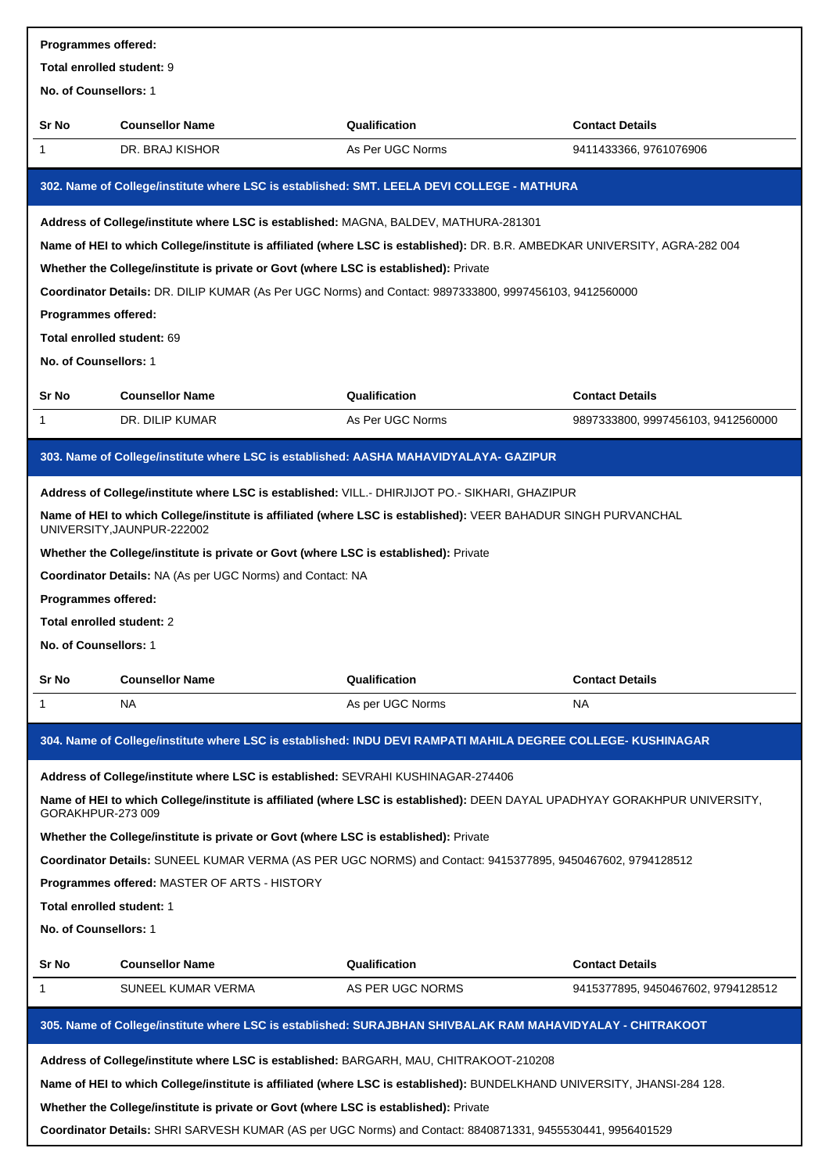| Programmes offered:        |                                                                                                                                              |                  |                                    |  |  |
|----------------------------|----------------------------------------------------------------------------------------------------------------------------------------------|------------------|------------------------------------|--|--|
| Total enrolled student: 9  |                                                                                                                                              |                  |                                    |  |  |
| No. of Counsellors: 1      |                                                                                                                                              |                  |                                    |  |  |
| Sr No                      | <b>Counsellor Name</b>                                                                                                                       | Qualification    | <b>Contact Details</b>             |  |  |
| 1                          | DR. BRAJ KISHOR                                                                                                                              | As Per UGC Norms | 9411433366, 9761076906             |  |  |
|                            | 302. Name of College/institute where LSC is established: SMT. LEELA DEVI COLLEGE - MATHURA                                                   |                  |                                    |  |  |
|                            | Address of College/institute where LSC is established: MAGNA, BALDEV, MATHURA-281301                                                         |                  |                                    |  |  |
|                            | Name of HEI to which College/institute is affiliated (where LSC is established): DR. B.R. AMBEDKAR UNIVERSITY, AGRA-282 004                  |                  |                                    |  |  |
|                            | Whether the College/institute is private or Govt (where LSC is established): Private                                                         |                  |                                    |  |  |
|                            | Coordinator Details: DR. DILIP KUMAR (As Per UGC Norms) and Contact: 9897333800, 9997456103, 9412560000                                      |                  |                                    |  |  |
| <b>Programmes offered:</b> |                                                                                                                                              |                  |                                    |  |  |
| Total enrolled student: 69 |                                                                                                                                              |                  |                                    |  |  |
| No. of Counsellors: 1      |                                                                                                                                              |                  |                                    |  |  |
| Sr No                      | <b>Counsellor Name</b>                                                                                                                       | Qualification    | <b>Contact Details</b>             |  |  |
| 1                          | DR. DILIP KUMAR                                                                                                                              | As Per UGC Norms | 9897333800, 9997456103, 9412560000 |  |  |
|                            | 303. Name of College/institute where LSC is established: AASHA MAHAVIDYALAYA- GAZIPUR                                                        |                  |                                    |  |  |
|                            | Address of College/institute where LSC is established: VILL.- DHIRJIJOT PO.- SIKHARI, GHAZIPUR                                               |                  |                                    |  |  |
|                            | Name of HEI to which College/institute is affiliated (where LSC is established): VEER BAHADUR SINGH PURVANCHAL<br>UNIVERSITY, JAUNPUR-222002 |                  |                                    |  |  |
|                            | Whether the College/institute is private or Govt (where LSC is established): Private                                                         |                  |                                    |  |  |
|                            | Coordinator Details: NA (As per UGC Norms) and Contact: NA                                                                                   |                  |                                    |  |  |
| Programmes offered:        |                                                                                                                                              |                  |                                    |  |  |
| Total enrolled student: 2  |                                                                                                                                              |                  |                                    |  |  |
| No. of Counsellors: 1      |                                                                                                                                              |                  |                                    |  |  |
| Sr No                      | <b>Counsellor Name</b>                                                                                                                       | Qualification    | <b>Contact Details</b>             |  |  |
| 1                          | NA                                                                                                                                           | As per UGC Norms | NA                                 |  |  |
|                            | 304. Name of College/institute where LSC is established: INDU DEVI RAMPATI MAHILA DEGREE COLLEGE- KUSHINAGAR                                 |                  |                                    |  |  |
|                            | Address of College/institute where LSC is established: SEVRAHI KUSHINAGAR-274406                                                             |                  |                                    |  |  |
| GORAKHPUR-273 009          | Name of HEI to which College/institute is affiliated (where LSC is established): DEEN DAYAL UPADHYAY GORAKHPUR UNIVERSITY,                   |                  |                                    |  |  |
|                            | Whether the College/institute is private or Govt (where LSC is established): Private                                                         |                  |                                    |  |  |
|                            | Coordinator Details: SUNEEL KUMAR VERMA (AS PER UGC NORMS) and Contact: 9415377895, 9450467602, 9794128512                                   |                  |                                    |  |  |
|                            | <b>Programmes offered: MASTER OF ARTS - HISTORY</b>                                                                                          |                  |                                    |  |  |
| Total enrolled student: 1  |                                                                                                                                              |                  |                                    |  |  |
| No. of Counsellors: 1      |                                                                                                                                              |                  |                                    |  |  |
| Sr No                      | <b>Counsellor Name</b>                                                                                                                       | Qualification    | <b>Contact Details</b>             |  |  |
| 1                          | SUNEEL KUMAR VERMA                                                                                                                           | AS PER UGC NORMS | 9415377895, 9450467602, 9794128512 |  |  |
|                            |                                                                                                                                              |                  |                                    |  |  |
|                            | 305. Name of College/institute where LSC is established: SURAJBHAN SHIVBALAK RAM MAHAVIDYALAY - CHITRAKOOT                                   |                  |                                    |  |  |
|                            | Address of College/institute where LSC is established: BARGARH, MAU, CHITRAKOOT-210208                                                       |                  |                                    |  |  |
|                            | Name of HEI to which College/institute is affiliated (where LSC is established): BUNDELKHAND UNIVERSITY, JHANSI-284 128.                     |                  |                                    |  |  |
|                            | Whether the College/institute is private or Govt (where LSC is established): Private                                                         |                  |                                    |  |  |

**Coordinator Details:** SHRI SARVESH KUMAR (AS per UGC Norms) and Contact: 8840871331, 9455530441, 9956401529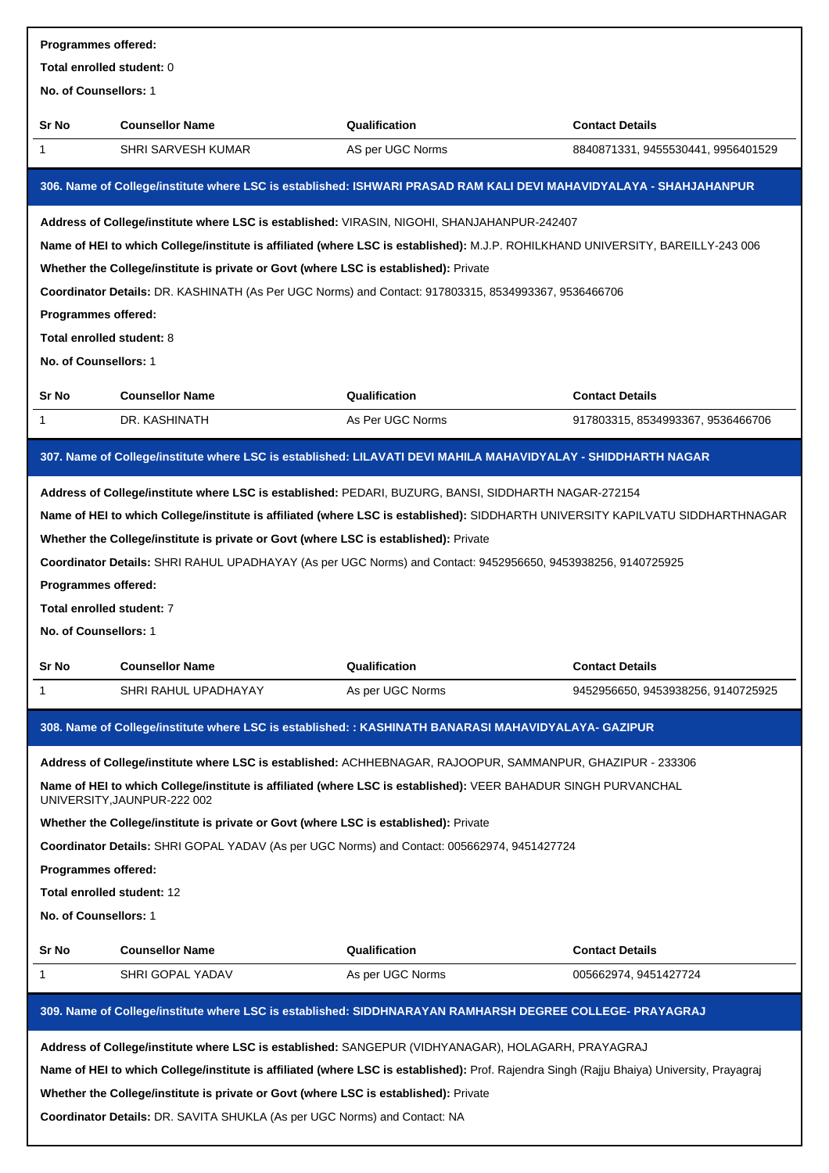| Programmes offered:                                                                |                                                                                                                                                                                                                                                                                                                                                                                                                                                                                                                                   |                  |                                    |  |  |
|------------------------------------------------------------------------------------|-----------------------------------------------------------------------------------------------------------------------------------------------------------------------------------------------------------------------------------------------------------------------------------------------------------------------------------------------------------------------------------------------------------------------------------------------------------------------------------------------------------------------------------|------------------|------------------------------------|--|--|
| Total enrolled student: 0                                                          |                                                                                                                                                                                                                                                                                                                                                                                                                                                                                                                                   |                  |                                    |  |  |
| No. of Counsellors: 1                                                              |                                                                                                                                                                                                                                                                                                                                                                                                                                                                                                                                   |                  |                                    |  |  |
| Sr No                                                                              | <b>Counsellor Name</b>                                                                                                                                                                                                                                                                                                                                                                                                                                                                                                            | Qualification    | <b>Contact Details</b>             |  |  |
| 1                                                                                  | SHRI SARVESH KUMAR                                                                                                                                                                                                                                                                                                                                                                                                                                                                                                                | AS per UGC Norms | 8840871331, 9455530441, 9956401529 |  |  |
|                                                                                    | 306. Name of College/institute where LSC is established: ISHWARI PRASAD RAM KALI DEVI MAHAVIDYALAYA - SHAHJAHANPUR                                                                                                                                                                                                                                                                                                                                                                                                                |                  |                                    |  |  |
|                                                                                    | Address of College/institute where LSC is established: VIRASIN, NIGOHI, SHANJAHANPUR-242407                                                                                                                                                                                                                                                                                                                                                                                                                                       |                  |                                    |  |  |
|                                                                                    | Name of HEI to which College/institute is affiliated (where LSC is established): M.J.P. ROHILKHAND UNIVERSITY, BAREILLY-243 006                                                                                                                                                                                                                                                                                                                                                                                                   |                  |                                    |  |  |
|                                                                                    | Whether the College/institute is private or Govt (where LSC is established): Private                                                                                                                                                                                                                                                                                                                                                                                                                                              |                  |                                    |  |  |
|                                                                                    | Coordinator Details: DR. KASHINATH (As Per UGC Norms) and Contact: 917803315, 8534993367, 9536466706                                                                                                                                                                                                                                                                                                                                                                                                                              |                  |                                    |  |  |
| Programmes offered:                                                                |                                                                                                                                                                                                                                                                                                                                                                                                                                                                                                                                   |                  |                                    |  |  |
| Total enrolled student: 8                                                          |                                                                                                                                                                                                                                                                                                                                                                                                                                                                                                                                   |                  |                                    |  |  |
| No. of Counsellors: 1                                                              |                                                                                                                                                                                                                                                                                                                                                                                                                                                                                                                                   |                  |                                    |  |  |
| Sr No                                                                              | <b>Counsellor Name</b>                                                                                                                                                                                                                                                                                                                                                                                                                                                                                                            | Qualification    | <b>Contact Details</b>             |  |  |
| 1                                                                                  | DR. KASHINATH                                                                                                                                                                                                                                                                                                                                                                                                                                                                                                                     | As Per UGC Norms | 917803315, 8534993367, 9536466706  |  |  |
|                                                                                    | 307. Name of College/institute where LSC is established: LILAVATI DEVI MAHILA MAHAVIDYALAY - SHIDDHARTH NAGAR                                                                                                                                                                                                                                                                                                                                                                                                                     |                  |                                    |  |  |
| Programmes offered:<br>Total enrolled student: 7<br>No. of Counsellors: 1<br>Sr No | Whether the College/institute is private or Govt (where LSC is established): Private<br>Coordinator Details: SHRI RAHUL UPADHAYAY (As per UGC Norms) and Contact: 9452956650, 9453938256, 9140725925<br><b>Counsellor Name</b>                                                                                                                                                                                                                                                                                                    | Qualification    | <b>Contact Details</b>             |  |  |
| 1                                                                                  | SHRI RAHUL UPADHAYAY                                                                                                                                                                                                                                                                                                                                                                                                                                                                                                              | As per UGC Norms | 9452956650, 9453938256, 9140725925 |  |  |
|                                                                                    |                                                                                                                                                                                                                                                                                                                                                                                                                                                                                                                                   |                  |                                    |  |  |
|                                                                                    | 308. Name of College/institute where LSC is established: : KASHINATH BANARASI MAHAVIDYALAYA- GAZIPUR                                                                                                                                                                                                                                                                                                                                                                                                                              |                  |                                    |  |  |
|                                                                                    | Address of College/institute where LSC is established: ACHHEBNAGAR, RAJOOPUR, SAMMANPUR, GHAZIPUR - 233306                                                                                                                                                                                                                                                                                                                                                                                                                        |                  |                                    |  |  |
|                                                                                    | Name of HEI to which College/institute is affiliated (where LSC is established): VEER BAHADUR SINGH PURVANCHAL<br>UNIVERSITY, JAUNPUR-222 002                                                                                                                                                                                                                                                                                                                                                                                     |                  |                                    |  |  |
|                                                                                    | Whether the College/institute is private or Govt (where LSC is established): Private                                                                                                                                                                                                                                                                                                                                                                                                                                              |                  |                                    |  |  |
|                                                                                    | Coordinator Details: SHRI GOPAL YADAV (As per UGC Norms) and Contact: 005662974, 9451427724                                                                                                                                                                                                                                                                                                                                                                                                                                       |                  |                                    |  |  |
| Programmes offered:                                                                |                                                                                                                                                                                                                                                                                                                                                                                                                                                                                                                                   |                  |                                    |  |  |
| Total enrolled student: 12                                                         |                                                                                                                                                                                                                                                                                                                                                                                                                                                                                                                                   |                  |                                    |  |  |
| No. of Counsellors: 1                                                              |                                                                                                                                                                                                                                                                                                                                                                                                                                                                                                                                   |                  |                                    |  |  |
| Sr No                                                                              | <b>Counsellor Name</b>                                                                                                                                                                                                                                                                                                                                                                                                                                                                                                            | Qualification    | <b>Contact Details</b>             |  |  |
| 1                                                                                  | SHRI GOPAL YADAV                                                                                                                                                                                                                                                                                                                                                                                                                                                                                                                  | As per UGC Norms | 005662974, 9451427724              |  |  |
|                                                                                    |                                                                                                                                                                                                                                                                                                                                                                                                                                                                                                                                   |                  |                                    |  |  |
|                                                                                    | 309. Name of College/institute where LSC is established: SIDDHNARAYAN RAMHARSH DEGREE COLLEGE- PRAYAGRAJ<br>Address of College/institute where LSC is established: SANGEPUR (VIDHYANAGAR), HOLAGARH, PRAYAGRAJ<br>Name of HEI to which College/institute is affiliated (where LSC is established): Prof. Rajendra Singh (Rajju Bhaiya) University, Prayagraj<br>Whether the College/institute is private or Govt (where LSC is established): Private<br>Coordinator Details: DR. SAVITA SHUKLA (As per UGC Norms) and Contact: NA |                  |                                    |  |  |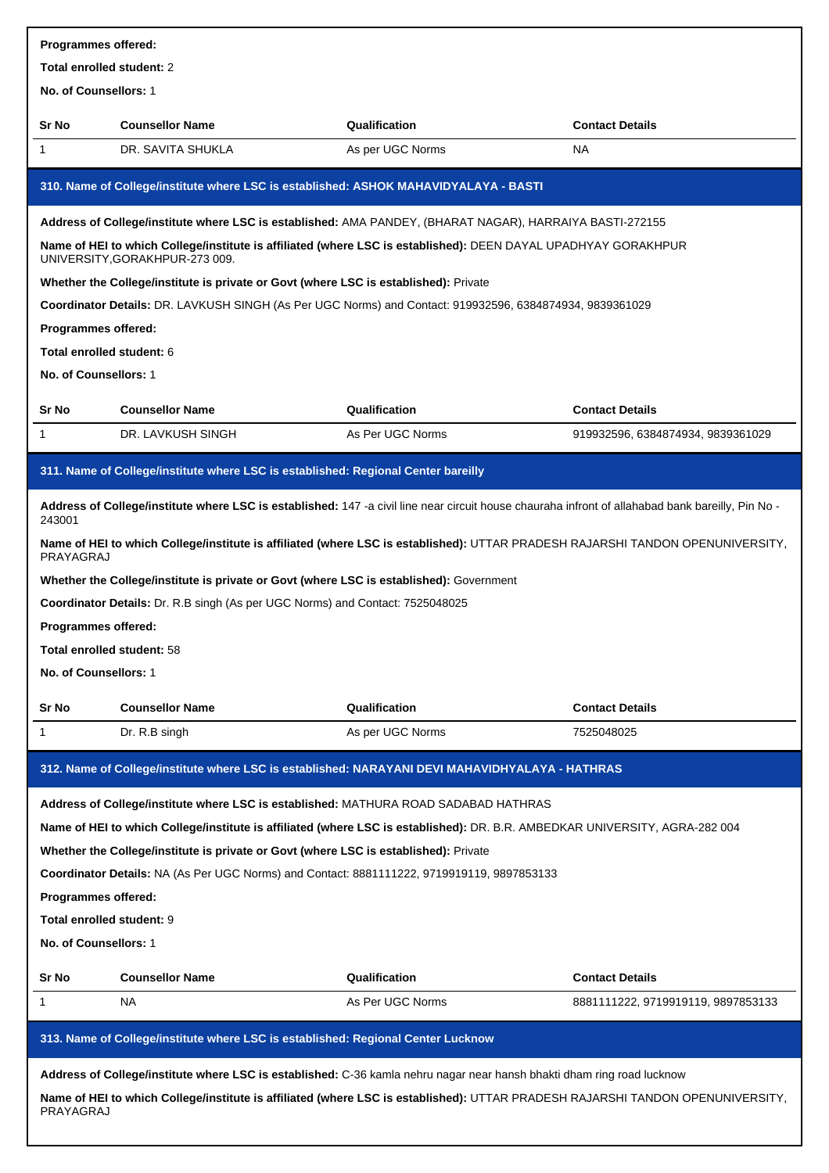| <b>Programmes offered:</b> |                                                                                                                                                   |                  |                                    |  |  |
|----------------------------|---------------------------------------------------------------------------------------------------------------------------------------------------|------------------|------------------------------------|--|--|
| Total enrolled student: 2  |                                                                                                                                                   |                  |                                    |  |  |
| No. of Counsellors: 1      |                                                                                                                                                   |                  |                                    |  |  |
| Sr No                      | <b>Counsellor Name</b>                                                                                                                            | Qualification    | <b>Contact Details</b>             |  |  |
| 1                          | DR. SAVITA SHUKLA                                                                                                                                 | As per UGC Norms | NA                                 |  |  |
|                            | 310. Name of College/institute where LSC is established: ASHOK MAHAVIDYALAYA - BASTI                                                              |                  |                                    |  |  |
|                            | Address of College/institute where LSC is established: AMA PANDEY, (BHARAT NAGAR), HARRAIYA BASTI-272155                                          |                  |                                    |  |  |
|                            | Name of HEI to which College/institute is affiliated (where LSC is established): DEEN DAYAL UPADHYAY GORAKHPUR<br>UNIVERSITY, GORAKHPUR-273 009.  |                  |                                    |  |  |
|                            | Whether the College/institute is private or Govt (where LSC is established): Private                                                              |                  |                                    |  |  |
|                            | Coordinator Details: DR. LAVKUSH SINGH (As Per UGC Norms) and Contact: 919932596, 6384874934, 9839361029                                          |                  |                                    |  |  |
| Programmes offered:        |                                                                                                                                                   |                  |                                    |  |  |
| Total enrolled student: 6  |                                                                                                                                                   |                  |                                    |  |  |
| No. of Counsellors: 1      |                                                                                                                                                   |                  |                                    |  |  |
| Sr No                      | <b>Counsellor Name</b>                                                                                                                            | Qualification    | <b>Contact Details</b>             |  |  |
| 1                          | DR. LAVKUSH SINGH                                                                                                                                 | As Per UGC Norms | 919932596, 6384874934, 9839361029  |  |  |
|                            | 311. Name of College/institute where LSC is established: Regional Center bareilly                                                                 |                  |                                    |  |  |
| 243001                     | Address of College/institute where LSC is established: 147 -a civil line near circuit house chauraha infront of allahabad bank bareilly, Pin No - |                  |                                    |  |  |
| PRAYAGRAJ                  | Name of HEI to which College/institute is affiliated (where LSC is established): UTTAR PRADESH RAJARSHI TANDON OPENUNIVERSITY,                    |                  |                                    |  |  |
|                            | Whether the College/institute is private or Govt (where LSC is established): Government                                                           |                  |                                    |  |  |
|                            | Coordinator Details: Dr. R.B singh (As per UGC Norms) and Contact: 7525048025                                                                     |                  |                                    |  |  |
| <b>Programmes offered:</b> |                                                                                                                                                   |                  |                                    |  |  |
| Total enrolled student: 58 |                                                                                                                                                   |                  |                                    |  |  |
| No. of Counsellors: 1      |                                                                                                                                                   |                  |                                    |  |  |
| Sr No                      | <b>Counsellor Name</b>                                                                                                                            | Qualification    | <b>Contact Details</b>             |  |  |
| 1                          | Dr. R.B singh                                                                                                                                     | As per UGC Norms | 7525048025                         |  |  |
|                            | 312. Name of College/institute where LSC is established: NARAYANI DEVI MAHAVIDHYALAYA - HATHRAS                                                   |                  |                                    |  |  |
|                            | Address of College/institute where LSC is established: MATHURA ROAD SADABAD HATHRAS                                                               |                  |                                    |  |  |
|                            | Name of HEI to which College/institute is affiliated (where LSC is established): DR. B.R. AMBEDKAR UNIVERSITY, AGRA-282 004                       |                  |                                    |  |  |
|                            | Whether the College/institute is private or Govt (where LSC is established): Private                                                              |                  |                                    |  |  |
|                            | Coordinator Details: NA (As Per UGC Norms) and Contact: 8881111222, 9719919119, 9897853133                                                        |                  |                                    |  |  |
| Programmes offered:        |                                                                                                                                                   |                  |                                    |  |  |
| Total enrolled student: 9  |                                                                                                                                                   |                  |                                    |  |  |
| No. of Counsellors: 1      |                                                                                                                                                   |                  |                                    |  |  |
| Sr No                      | <b>Counsellor Name</b>                                                                                                                            | Qualification    | <b>Contact Details</b>             |  |  |
| 1                          | NA                                                                                                                                                | As Per UGC Norms | 8881111222, 9719919119, 9897853133 |  |  |
|                            | 313. Name of College/institute where LSC is established: Regional Center Lucknow                                                                  |                  |                                    |  |  |
|                            | Address of College/institute where LSC is established: C-36 kamla nehru nagar near hansh bhakti dham ring road lucknow                            |                  |                                    |  |  |
| PRAYAGRAJ                  | Name of HEI to which College/institute is affiliated (where LSC is established): UTTAR PRADESH RAJARSHI TANDON OPENUNIVERSITY,                    |                  |                                    |  |  |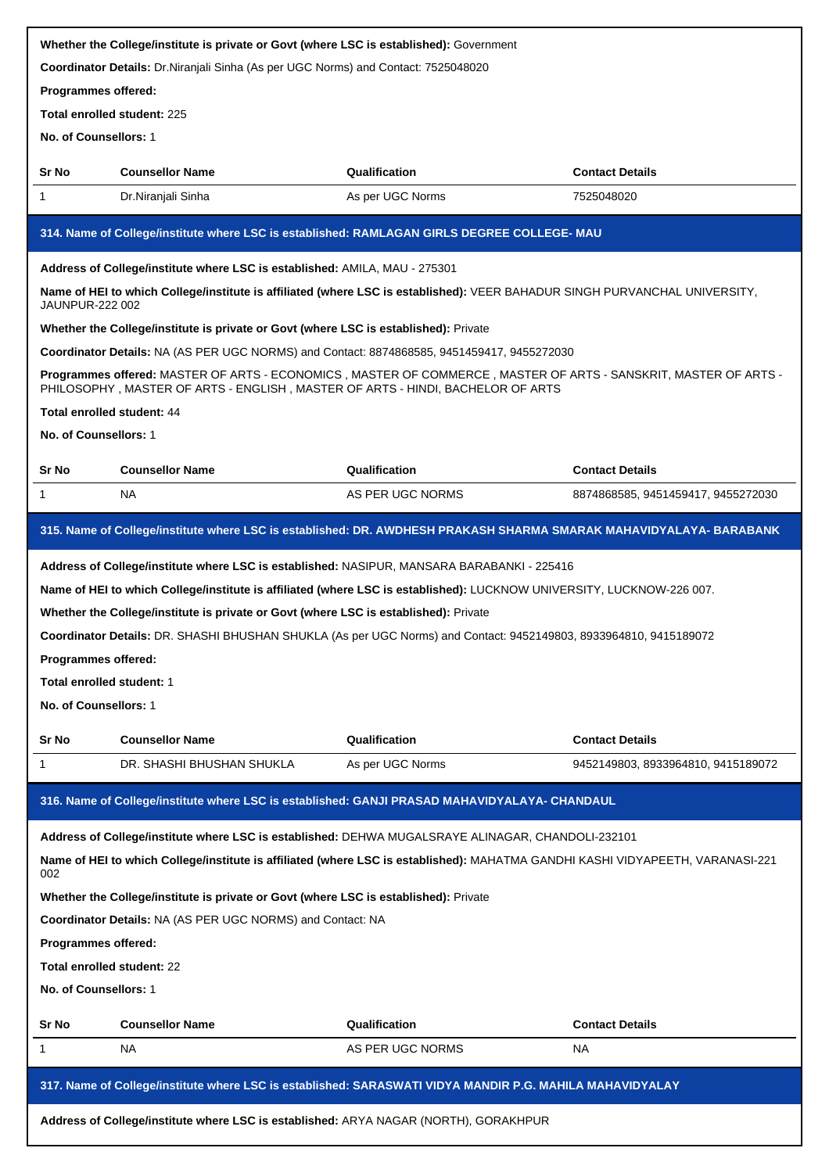|                                                                                                                                | Whether the College/institute is private or Govt (where LSC is established): Government                                                                                                           |                                                                                                   |                                    |  |  |  |
|--------------------------------------------------------------------------------------------------------------------------------|---------------------------------------------------------------------------------------------------------------------------------------------------------------------------------------------------|---------------------------------------------------------------------------------------------------|------------------------------------|--|--|--|
|                                                                                                                                | Coordinator Details: Dr.Niranjali Sinha (As per UGC Norms) and Contact: 7525048020                                                                                                                |                                                                                                   |                                    |  |  |  |
| Programmes offered:                                                                                                            |                                                                                                                                                                                                   |                                                                                                   |                                    |  |  |  |
|                                                                                                                                | <b>Total enrolled student: 225</b>                                                                                                                                                                |                                                                                                   |                                    |  |  |  |
| No. of Counsellors: 1                                                                                                          |                                                                                                                                                                                                   |                                                                                                   |                                    |  |  |  |
| Sr No                                                                                                                          | <b>Counsellor Name</b>                                                                                                                                                                            | Qualification                                                                                     | <b>Contact Details</b>             |  |  |  |
| 1                                                                                                                              | Dr.Niranjali Sinha                                                                                                                                                                                | As per UGC Norms                                                                                  | 7525048020                         |  |  |  |
|                                                                                                                                | 314. Name of College/institute where LSC is established: RAMLAGAN GIRLS DEGREE COLLEGE- MAU                                                                                                       |                                                                                                   |                                    |  |  |  |
|                                                                                                                                | Address of College/institute where LSC is established: AMILA, MAU - 275301                                                                                                                        |                                                                                                   |                                    |  |  |  |
| JAUNPUR-222 002                                                                                                                | Name of HEI to which College/institute is affiliated (where LSC is established): VEER BAHADUR SINGH PURVANCHAL UNIVERSITY,                                                                        |                                                                                                   |                                    |  |  |  |
|                                                                                                                                | Whether the College/institute is private or Govt (where LSC is established): Private                                                                                                              |                                                                                                   |                                    |  |  |  |
|                                                                                                                                | Coordinator Details: NA (AS PER UGC NORMS) and Contact: 8874868585, 9451459417, 9455272030                                                                                                        |                                                                                                   |                                    |  |  |  |
|                                                                                                                                | Programmes offered: MASTER OF ARTS - ECONOMICS, MASTER OF COMMERCE, MASTER OF ARTS - SANSKRIT, MASTER OF ARTS -<br>PHILOSOPHY, MASTER OF ARTS - ENGLISH, MASTER OF ARTS - HINDI, BACHELOR OF ARTS |                                                                                                   |                                    |  |  |  |
| Total enrolled student: 44                                                                                                     |                                                                                                                                                                                                   |                                                                                                   |                                    |  |  |  |
| No. of Counsellors: 1                                                                                                          |                                                                                                                                                                                                   |                                                                                                   |                                    |  |  |  |
| Sr No                                                                                                                          | <b>Counsellor Name</b>                                                                                                                                                                            | Qualification                                                                                     | <b>Contact Details</b>             |  |  |  |
| 1                                                                                                                              | NA.                                                                                                                                                                                               | AS PER UGC NORMS                                                                                  | 8874868585, 9451459417, 9455272030 |  |  |  |
|                                                                                                                                |                                                                                                                                                                                                   |                                                                                                   |                                    |  |  |  |
|                                                                                                                                | 315. Name of College/institute where LSC is established: DR. AWDHESH PRAKASH SHARMA SMARAK MAHAVIDYALAYA- BARABANK                                                                                |                                                                                                   |                                    |  |  |  |
|                                                                                                                                | Address of College/institute where LSC is established: NASIPUR, MANSARA BARABANKI - 225416                                                                                                        |                                                                                                   |                                    |  |  |  |
|                                                                                                                                | Name of HEI to which College/institute is affiliated (where LSC is established): LUCKNOW UNIVERSITY, LUCKNOW-226 007.                                                                             |                                                                                                   |                                    |  |  |  |
|                                                                                                                                | Whether the College/institute is private or Govt (where LSC is established): Private                                                                                                              |                                                                                                   |                                    |  |  |  |
|                                                                                                                                | Coordinator Details: DR. SHASHI BHUSHAN SHUKLA (As per UGC Norms) and Contact: 9452149803, 8933964810, 9415189072                                                                                 |                                                                                                   |                                    |  |  |  |
| Programmes offered:                                                                                                            |                                                                                                                                                                                                   |                                                                                                   |                                    |  |  |  |
| Total enrolled student: 1                                                                                                      |                                                                                                                                                                                                   |                                                                                                   |                                    |  |  |  |
| No. of Counsellors: 1                                                                                                          |                                                                                                                                                                                                   |                                                                                                   |                                    |  |  |  |
| Sr No                                                                                                                          | <b>Counsellor Name</b>                                                                                                                                                                            | Qualification                                                                                     | <b>Contact Details</b>             |  |  |  |
| 1                                                                                                                              | DR. SHASHI BHUSHAN SHUKLA                                                                                                                                                                         | As per UGC Norms                                                                                  | 9452149803, 8933964810, 9415189072 |  |  |  |
|                                                                                                                                | 316. Name of College/institute where LSC is established: GANJI PRASAD MAHAVIDYALAYA- CHANDAUL                                                                                                     |                                                                                                   |                                    |  |  |  |
|                                                                                                                                |                                                                                                                                                                                                   | Address of College/institute where LSC is established: DEHWA MUGALSRAYE ALINAGAR, CHANDOLI-232101 |                                    |  |  |  |
| Name of HEI to which College/institute is affiliated (where LSC is established): MAHATMA GANDHI KASHI VIDYAPEETH, VARANASI-221 |                                                                                                                                                                                                   |                                                                                                   |                                    |  |  |  |
| 002                                                                                                                            |                                                                                                                                                                                                   |                                                                                                   |                                    |  |  |  |
|                                                                                                                                | Whether the College/institute is private or Govt (where LSC is established): Private                                                                                                              |                                                                                                   |                                    |  |  |  |
|                                                                                                                                | Coordinator Details: NA (AS PER UGC NORMS) and Contact: NA                                                                                                                                        |                                                                                                   |                                    |  |  |  |
| Programmes offered:                                                                                                            |                                                                                                                                                                                                   |                                                                                                   |                                    |  |  |  |
| Total enrolled student: 22                                                                                                     |                                                                                                                                                                                                   |                                                                                                   |                                    |  |  |  |
| No. of Counsellors: 1                                                                                                          |                                                                                                                                                                                                   |                                                                                                   |                                    |  |  |  |
| Sr No                                                                                                                          | <b>Counsellor Name</b>                                                                                                                                                                            | Qualification                                                                                     | <b>Contact Details</b>             |  |  |  |
| 1                                                                                                                              | NA.                                                                                                                                                                                               | AS PER UGC NORMS                                                                                  | <b>NA</b>                          |  |  |  |
|                                                                                                                                | 317. Name of College/institute where LSC is established: SARASWATI VIDYA MANDIR P.G. MAHILA MAHAVIDYALAY                                                                                          |                                                                                                   |                                    |  |  |  |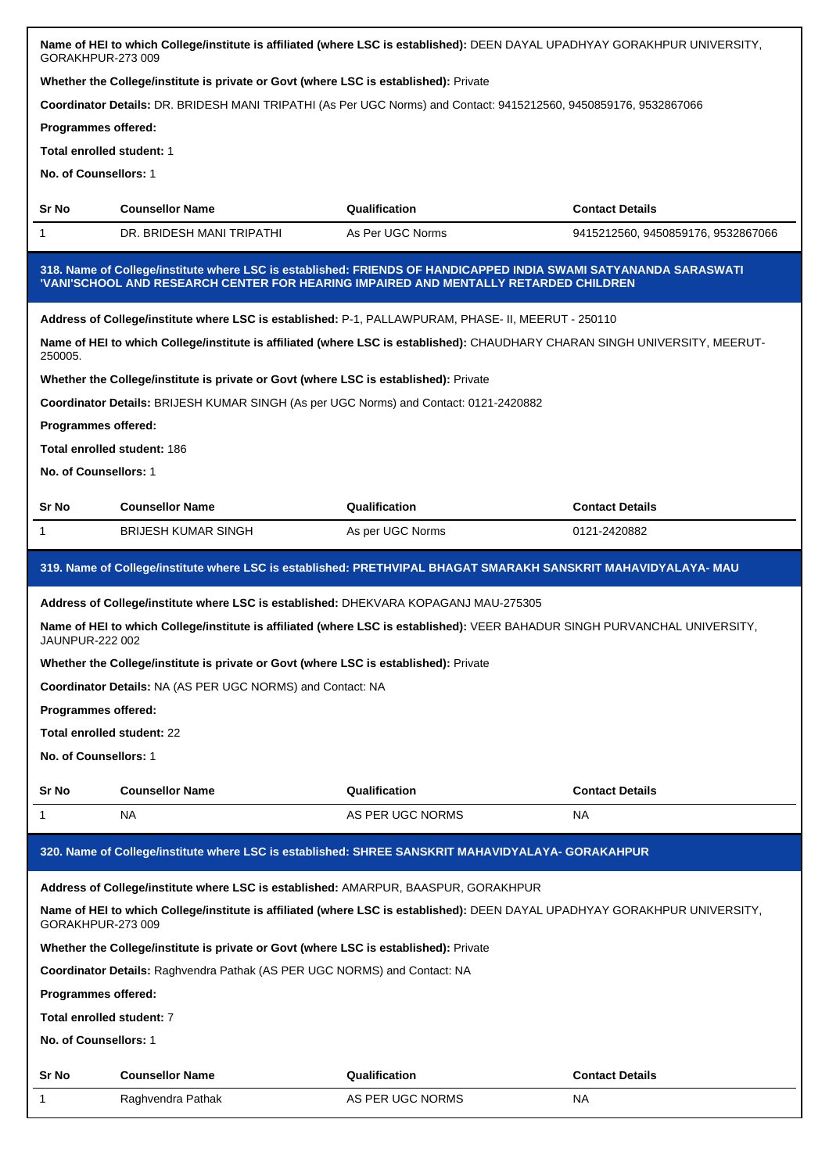|                                                                                                                                                 | Name of HEI to which College/institute is affiliated (where LSC is established): DEEN DAYAL UPADHYAY GORAKHPUR UNIVERSITY,<br>GORAKHPUR-273 009 |                                                                                                                                                                                                          |                                    |  |
|-------------------------------------------------------------------------------------------------------------------------------------------------|-------------------------------------------------------------------------------------------------------------------------------------------------|----------------------------------------------------------------------------------------------------------------------------------------------------------------------------------------------------------|------------------------------------|--|
|                                                                                                                                                 | Whether the College/institute is private or Govt (where LSC is established): Private                                                            |                                                                                                                                                                                                          |                                    |  |
|                                                                                                                                                 |                                                                                                                                                 | Coordinator Details: DR. BRIDESH MANI TRIPATHI (As Per UGC Norms) and Contact: 9415212560, 9450859176, 9532867066                                                                                        |                                    |  |
| Programmes offered:                                                                                                                             |                                                                                                                                                 |                                                                                                                                                                                                          |                                    |  |
| Total enrolled student: 1                                                                                                                       |                                                                                                                                                 |                                                                                                                                                                                                          |                                    |  |
| No. of Counsellors: 1                                                                                                                           |                                                                                                                                                 |                                                                                                                                                                                                          |                                    |  |
|                                                                                                                                                 |                                                                                                                                                 |                                                                                                                                                                                                          |                                    |  |
| Sr No                                                                                                                                           | <b>Counsellor Name</b>                                                                                                                          | Qualification                                                                                                                                                                                            | <b>Contact Details</b>             |  |
| 1                                                                                                                                               | DR. BRIDESH MANI TRIPATHI                                                                                                                       | As Per UGC Norms                                                                                                                                                                                         | 9415212560, 9450859176, 9532867066 |  |
|                                                                                                                                                 |                                                                                                                                                 | 318. Name of College/institute where LSC is established: FRIENDS OF HANDICAPPED INDIA SWAMI SATYANANDA SARASWATI<br>'VANI'SCHOOL AND RESEARCH CENTER FOR HEARING IMPAIRED AND MENTALLY RETARDED CHILDREN |                                    |  |
|                                                                                                                                                 |                                                                                                                                                 | Address of College/institute where LSC is established: P-1, PALLAWPURAM, PHASE- II, MEERUT - 250110                                                                                                      |                                    |  |
| 250005.                                                                                                                                         |                                                                                                                                                 | Name of HEI to which College/institute is affiliated (where LSC is established): CHAUDHARY CHARAN SINGH UNIVERSITY, MEERUT-                                                                              |                                    |  |
|                                                                                                                                                 | Whether the College/institute is private or Govt (where LSC is established): Private                                                            |                                                                                                                                                                                                          |                                    |  |
|                                                                                                                                                 | Coordinator Details: BRIJESH KUMAR SINGH (As per UGC Norms) and Contact: 0121-2420882                                                           |                                                                                                                                                                                                          |                                    |  |
| Programmes offered:                                                                                                                             |                                                                                                                                                 |                                                                                                                                                                                                          |                                    |  |
|                                                                                                                                                 | <b>Total enrolled student: 186</b>                                                                                                              |                                                                                                                                                                                                          |                                    |  |
| No. of Counsellors: 1                                                                                                                           |                                                                                                                                                 |                                                                                                                                                                                                          |                                    |  |
| Sr No                                                                                                                                           | <b>Counsellor Name</b>                                                                                                                          | Qualification                                                                                                                                                                                            | <b>Contact Details</b>             |  |
| 1                                                                                                                                               | <b>BRIJESH KUMAR SINGH</b>                                                                                                                      | As per UGC Norms                                                                                                                                                                                         | 0121-2420882                       |  |
|                                                                                                                                                 |                                                                                                                                                 |                                                                                                                                                                                                          |                                    |  |
|                                                                                                                                                 |                                                                                                                                                 | 319. Name of College/institute where LSC is established: PRETHVIPAL BHAGAT SMARAKH SANSKRIT MAHAVIDYALAYA- MAU                                                                                           |                                    |  |
|                                                                                                                                                 | Address of College/institute where LSC is established: DHEKVARA KOPAGANJ MAU-275305                                                             |                                                                                                                                                                                                          |                                    |  |
| <b>JAUNPUR-222 002</b>                                                                                                                          |                                                                                                                                                 | Name of HEI to which College/institute is affiliated (where LSC is established): VEER BAHADUR SINGH PURVANCHAL UNIVERSITY,                                                                               |                                    |  |
|                                                                                                                                                 | Whether the College/institute is private or Govt (where LSC is established): Private                                                            |                                                                                                                                                                                                          |                                    |  |
|                                                                                                                                                 | <b>Coordinator Details: NA (AS PER UGC NORMS) and Contact: NA</b>                                                                               |                                                                                                                                                                                                          |                                    |  |
| Programmes offered:                                                                                                                             |                                                                                                                                                 |                                                                                                                                                                                                          |                                    |  |
| Total enrolled student: 22                                                                                                                      |                                                                                                                                                 |                                                                                                                                                                                                          |                                    |  |
| No. of Counsellors: 1                                                                                                                           |                                                                                                                                                 |                                                                                                                                                                                                          |                                    |  |
| Sr No                                                                                                                                           | <b>Counsellor Name</b>                                                                                                                          | Qualification                                                                                                                                                                                            | <b>Contact Details</b>             |  |
|                                                                                                                                                 |                                                                                                                                                 |                                                                                                                                                                                                          |                                    |  |
| 1                                                                                                                                               | NA                                                                                                                                              | AS PER UGC NORMS                                                                                                                                                                                         | NA                                 |  |
|                                                                                                                                                 |                                                                                                                                                 | 320. Name of College/institute where LSC is established: SHREE SANSKRIT MAHAVIDYALAYA- GORAKAHPUR                                                                                                        |                                    |  |
|                                                                                                                                                 | Address of College/institute where LSC is established: AMARPUR, BAASPUR, GORAKHPUR                                                              |                                                                                                                                                                                                          |                                    |  |
| Name of HEI to which College/institute is affiliated (where LSC is established): DEEN DAYAL UPADHYAY GORAKHPUR UNIVERSITY,<br>GORAKHPUR-273 009 |                                                                                                                                                 |                                                                                                                                                                                                          |                                    |  |
| Whether the College/institute is private or Govt (where LSC is established): Private                                                            |                                                                                                                                                 |                                                                                                                                                                                                          |                                    |  |
| Coordinator Details: Raghvendra Pathak (AS PER UGC NORMS) and Contact: NA                                                                       |                                                                                                                                                 |                                                                                                                                                                                                          |                                    |  |
| Programmes offered:                                                                                                                             |                                                                                                                                                 |                                                                                                                                                                                                          |                                    |  |
| Total enrolled student: 7                                                                                                                       |                                                                                                                                                 |                                                                                                                                                                                                          |                                    |  |
| No. of Counsellors: 1                                                                                                                           |                                                                                                                                                 |                                                                                                                                                                                                          |                                    |  |
| Sr No                                                                                                                                           | <b>Counsellor Name</b>                                                                                                                          | Qualification                                                                                                                                                                                            | <b>Contact Details</b>             |  |
| 1                                                                                                                                               | Raghvendra Pathak                                                                                                                               | AS PER UGC NORMS                                                                                                                                                                                         | NA                                 |  |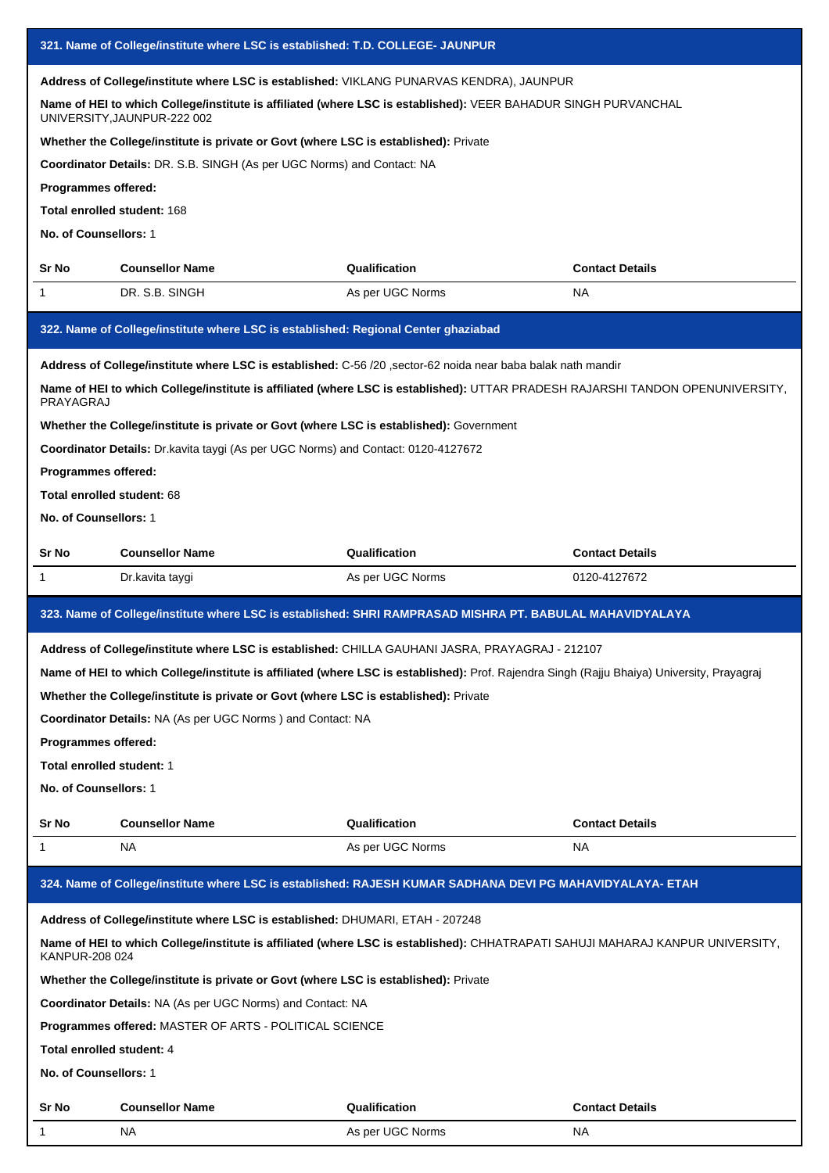|                                                                                                                                                                                                                                                                                                                                                                                                                                                                                                                             | 321. Name of College/institute where LSC is established: T.D. COLLEGE- JAUNPUR                                                                     |                                                                                                                                                                                                                                               |                        |  |  |
|-----------------------------------------------------------------------------------------------------------------------------------------------------------------------------------------------------------------------------------------------------------------------------------------------------------------------------------------------------------------------------------------------------------------------------------------------------------------------------------------------------------------------------|----------------------------------------------------------------------------------------------------------------------------------------------------|-----------------------------------------------------------------------------------------------------------------------------------------------------------------------------------------------------------------------------------------------|------------------------|--|--|
| Address of College/institute where LSC is established: VIKLANG PUNARVAS KENDRA), JAUNPUR<br>Name of HEI to which College/institute is affiliated (where LSC is established): VEER BAHADUR SINGH PURVANCHAL<br>UNIVERSITY, JAUNPUR-222 002<br>Whether the College/institute is private or Govt (where LSC is established): Private<br>Coordinator Details: DR. S.B. SINGH (As per UGC Norms) and Contact: NA<br>Programmes offered:<br>Total enrolled student: 168<br>No. of Counsellors: 1                                  |                                                                                                                                                    |                                                                                                                                                                                                                                               |                        |  |  |
| Sr No                                                                                                                                                                                                                                                                                                                                                                                                                                                                                                                       | <b>Counsellor Name</b>                                                                                                                             | Qualification                                                                                                                                                                                                                                 | <b>Contact Details</b> |  |  |
| 1                                                                                                                                                                                                                                                                                                                                                                                                                                                                                                                           | DR. S.B. SINGH                                                                                                                                     | As per UGC Norms                                                                                                                                                                                                                              | NA                     |  |  |
|                                                                                                                                                                                                                                                                                                                                                                                                                                                                                                                             | 322. Name of College/institute where LSC is established: Regional Center ghaziabad                                                                 |                                                                                                                                                                                                                                               |                        |  |  |
| Address of College/institute where LSC is established: C-56 /20 , sector-62 noida near baba balak nath mandir<br>Name of HEI to which College/institute is affiliated (where LSC is established): UTTAR PRADESH RAJARSHI TANDON OPENUNIVERSITY,<br>PRAYAGRAJ<br>Whether the College/institute is private or Govt (where LSC is established): Government<br>Coordinator Details: Dr. kavita taygi (As per UGC Norms) and Contact: 0120-4127672<br>Programmes offered:<br>Total enrolled student: 68<br>No. of Counsellors: 1 |                                                                                                                                                    |                                                                                                                                                                                                                                               |                        |  |  |
| Sr No                                                                                                                                                                                                                                                                                                                                                                                                                                                                                                                       | <b>Counsellor Name</b>                                                                                                                             | Qualification                                                                                                                                                                                                                                 | <b>Contact Details</b> |  |  |
| 1                                                                                                                                                                                                                                                                                                                                                                                                                                                                                                                           | Dr.kavita taygi                                                                                                                                    | As per UGC Norms                                                                                                                                                                                                                              | 0120-4127672           |  |  |
|                                                                                                                                                                                                                                                                                                                                                                                                                                                                                                                             |                                                                                                                                                    | 323. Name of College/institute where LSC is established: SHRI RAMPRASAD MISHRA PT. BABULAL MAHAVIDYALAYA                                                                                                                                      |                        |  |  |
| Programmes offered:<br>Total enrolled student: 1<br>No. of Counsellors: 1                                                                                                                                                                                                                                                                                                                                                                                                                                                   | Whether the College/institute is private or Govt (where LSC is established): Private<br>Coordinator Details: NA (As per UGC Norms) and Contact: NA | Address of College/institute where LSC is established: CHILLA GAUHANI JASRA, PRAYAGRAJ - 212107<br>Name of HEI to which College/institute is affiliated (where LSC is established): Prof. Rajendra Singh (Rajju Bhaiya) University, Prayagraj |                        |  |  |
| Sr No                                                                                                                                                                                                                                                                                                                                                                                                                                                                                                                       | <b>Counsellor Name</b>                                                                                                                             | Qualification                                                                                                                                                                                                                                 | <b>Contact Details</b> |  |  |
| 1                                                                                                                                                                                                                                                                                                                                                                                                                                                                                                                           | NA.                                                                                                                                                | As per UGC Norms                                                                                                                                                                                                                              | NA                     |  |  |
|                                                                                                                                                                                                                                                                                                                                                                                                                                                                                                                             |                                                                                                                                                    | 324. Name of College/institute where LSC is established: RAJESH KUMAR SADHANA DEVI PG MAHAVIDYALAYA- ETAH                                                                                                                                     |                        |  |  |
| Address of College/institute where LSC is established: DHUMARI, ETAH - 207248<br>Name of HEI to which College/institute is affiliated (where LSC is established): CHHATRAPATI SAHUJI MAHARAJ KANPUR UNIVERSITY,<br>KANPUR-208 024<br>Whether the College/institute is private or Govt (where LSC is established): Private<br>Coordinator Details: NA (As per UGC Norms) and Contact: NA<br>Programmes offered: MASTER OF ARTS - POLITICAL SCIENCE<br>Total enrolled student: 4<br>No. of Counsellors: 1                     |                                                                                                                                                    |                                                                                                                                                                                                                                               |                        |  |  |
| Sr No                                                                                                                                                                                                                                                                                                                                                                                                                                                                                                                       | <b>Counsellor Name</b>                                                                                                                             | Qualification                                                                                                                                                                                                                                 | <b>Contact Details</b> |  |  |
| 1                                                                                                                                                                                                                                                                                                                                                                                                                                                                                                                           | NA.                                                                                                                                                | As per UGC Norms                                                                                                                                                                                                                              | NA                     |  |  |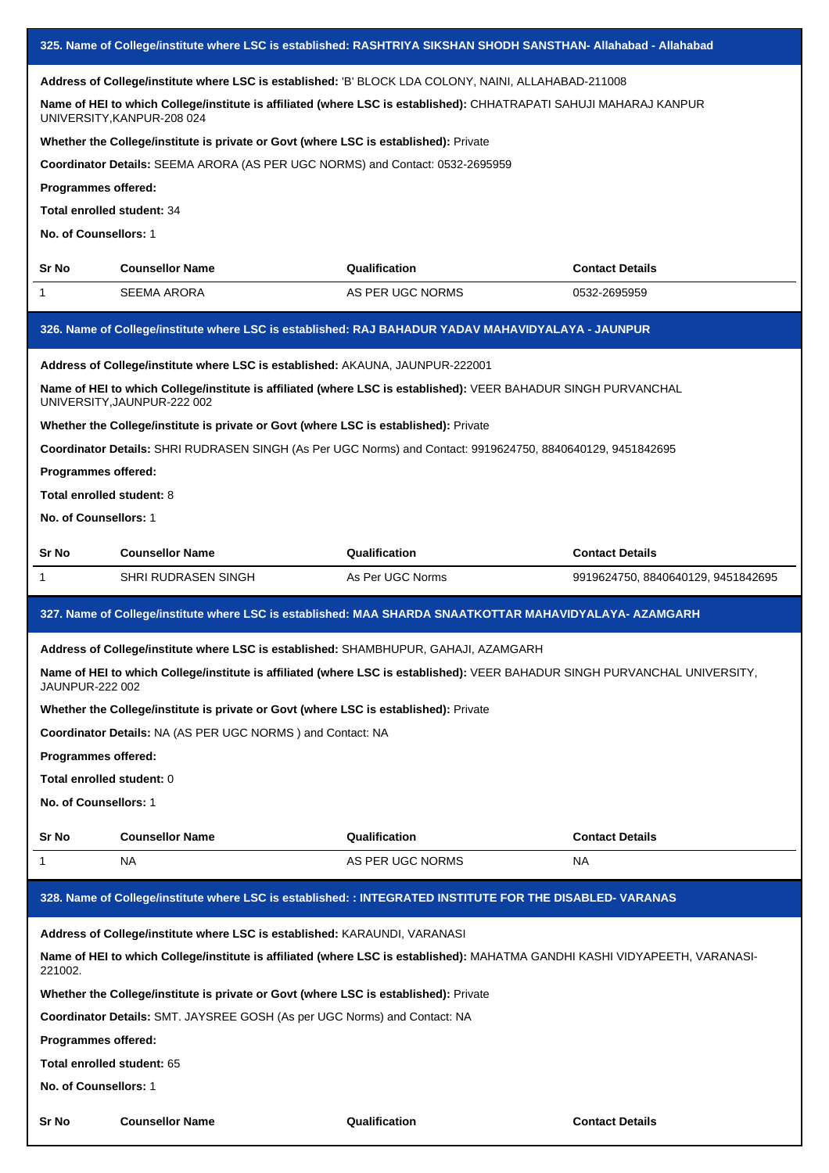|                                                                                     |                                                                                      | 325. Name of College/institute where LSC is established: RASHTRIYA SIKSHAN SHODH SANSTHAN- Allahabad - Allahabad            |                                    |  |
|-------------------------------------------------------------------------------------|--------------------------------------------------------------------------------------|-----------------------------------------------------------------------------------------------------------------------------|------------------------------------|--|
|                                                                                     |                                                                                      | Address of College/institute where LSC is established: 'B' BLOCK LDA COLONY, NAINI, ALLAHABAD-211008                        |                                    |  |
|                                                                                     | UNIVERSITY, KANPUR-208 024                                                           | Name of HEI to which College/institute is affiliated (where LSC is established): CHHATRAPATI SAHUJI MAHARAJ KANPUR          |                                    |  |
|                                                                                     | Whether the College/institute is private or Govt (where LSC is established): Private |                                                                                                                             |                                    |  |
|                                                                                     | Coordinator Details: SEEMA ARORA (AS PER UGC NORMS) and Contact: 0532-2695959        |                                                                                                                             |                                    |  |
| Programmes offered:                                                                 |                                                                                      |                                                                                                                             |                                    |  |
| Total enrolled student: 34                                                          |                                                                                      |                                                                                                                             |                                    |  |
| No. of Counsellors: 1                                                               |                                                                                      |                                                                                                                             |                                    |  |
| Sr No                                                                               | <b>Counsellor Name</b>                                                               | Qualification                                                                                                               | <b>Contact Details</b>             |  |
| 1                                                                                   | SEEMA ARORA                                                                          | AS PER UGC NORMS                                                                                                            | 0532-2695959                       |  |
|                                                                                     |                                                                                      | 326. Name of College/institute where LSC is established: RAJ BAHADUR YADAV MAHAVIDYALAYA - JAUNPUR                          |                                    |  |
|                                                                                     | Address of College/institute where LSC is established: AKAUNA, JAUNPUR-222001        |                                                                                                                             |                                    |  |
|                                                                                     | UNIVERSITY, JAUNPUR-222 002                                                          | Name of HEI to which College/institute is affiliated (where LSC is established): VEER BAHADUR SINGH PURVANCHAL              |                                    |  |
|                                                                                     | Whether the College/institute is private or Govt (where LSC is established): Private |                                                                                                                             |                                    |  |
|                                                                                     |                                                                                      | Coordinator Details: SHRI RUDRASEN SINGH (As Per UGC Norms) and Contact: 9919624750, 8840640129, 9451842695                 |                                    |  |
| Programmes offered:                                                                 |                                                                                      |                                                                                                                             |                                    |  |
| Total enrolled student: 8                                                           |                                                                                      |                                                                                                                             |                                    |  |
| No. of Counsellors: 1                                                               |                                                                                      |                                                                                                                             |                                    |  |
|                                                                                     |                                                                                      |                                                                                                                             |                                    |  |
| Sr No                                                                               | <b>Counsellor Name</b>                                                               | Qualification                                                                                                               | <b>Contact Details</b>             |  |
| 1                                                                                   | SHRI RUDRASEN SINGH                                                                  | As Per UGC Norms                                                                                                            | 9919624750, 8840640129, 9451842695 |  |
|                                                                                     |                                                                                      | 327. Name of College/institute where LSC is established: MAA SHARDA SNAATKOTTAR MAHAVIDYALAYA- AZAMGARH                     |                                    |  |
| Address of College/institute where LSC is established: SHAMBHUPUR, GAHAJI, AZAMGARH |                                                                                      |                                                                                                                             |                                    |  |
| JAUNPUR-222 002                                                                     |                                                                                      | Name of HEI to which College/institute is affiliated (where LSC is established): VEER BAHADUR SINGH PURVANCHAL UNIVERSITY,  |                                    |  |
|                                                                                     | Whether the College/institute is private or Govt (where LSC is established): Private |                                                                                                                             |                                    |  |
|                                                                                     | <b>Coordinator Details: NA (AS PER UGC NORMS) and Contact: NA</b>                    |                                                                                                                             |                                    |  |
| <b>Programmes offered:</b>                                                          |                                                                                      |                                                                                                                             |                                    |  |
| Total enrolled student: 0                                                           |                                                                                      |                                                                                                                             |                                    |  |
| No. of Counsellors: 1                                                               |                                                                                      |                                                                                                                             |                                    |  |
| Sr No                                                                               | <b>Counsellor Name</b>                                                               | Qualification                                                                                                               | <b>Contact Details</b>             |  |
| 1                                                                                   | NA.                                                                                  | AS PER UGC NORMS                                                                                                            | NA.                                |  |
|                                                                                     |                                                                                      | 328. Name of College/institute where LSC is established: : INTEGRATED INSTITUTE FOR THE DISABLED- VARANAS                   |                                    |  |
|                                                                                     | Address of College/institute where LSC is established: KARAUNDI, VARANASI            |                                                                                                                             |                                    |  |
| 221002.                                                                             |                                                                                      | Name of HEI to which College/institute is affiliated (where LSC is established): MAHATMA GANDHI KASHI VIDYAPEETH, VARANASI- |                                    |  |
|                                                                                     | Whether the College/institute is private or Govt (where LSC is established): Private |                                                                                                                             |                                    |  |
|                                                                                     | <b>Coordinator Details: SMT. JAYSREE GOSH (As per UGC Norms) and Contact: NA</b>     |                                                                                                                             |                                    |  |
| Programmes offered:                                                                 |                                                                                      |                                                                                                                             |                                    |  |
| Total enrolled student: 65                                                          |                                                                                      |                                                                                                                             |                                    |  |
| No. of Counsellors: 1                                                               |                                                                                      |                                                                                                                             |                                    |  |
| Sr No                                                                               | <b>Counsellor Name</b>                                                               | Qualification                                                                                                               | <b>Contact Details</b>             |  |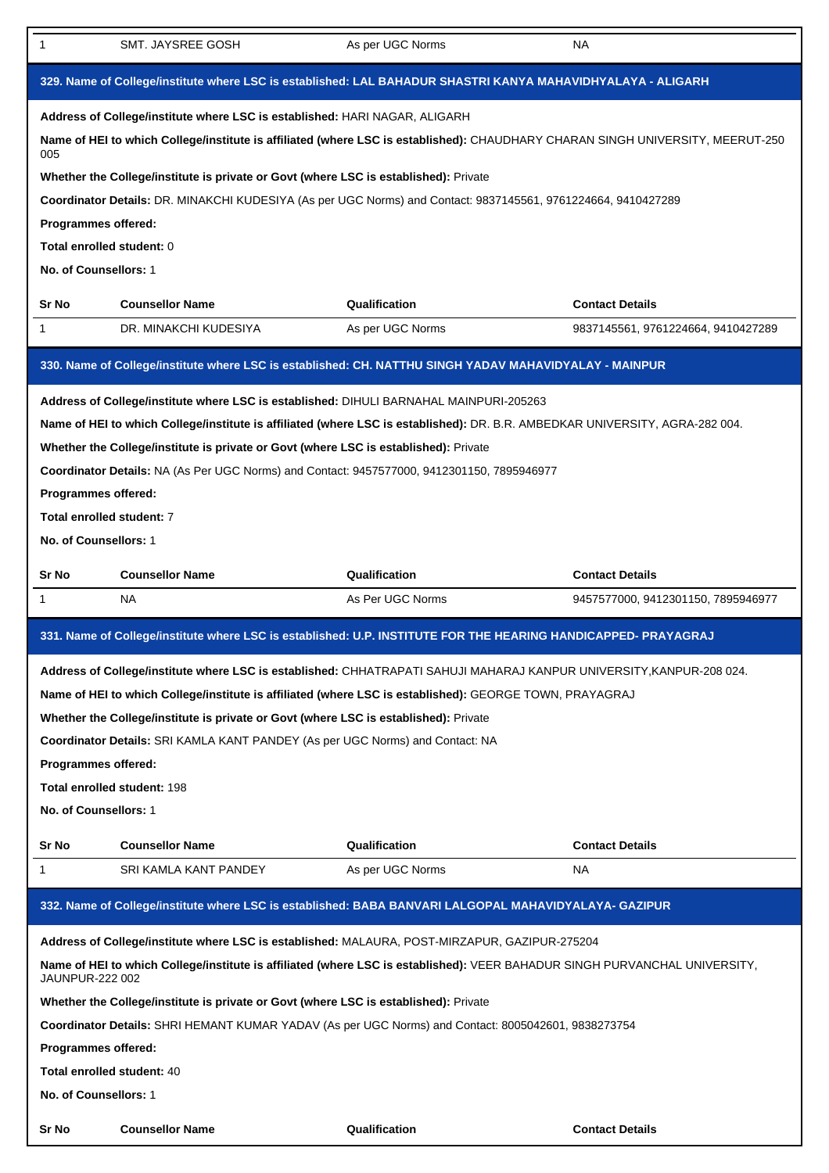| 1                      | SMT. JAYSREE GOSH                                                                                                              | As per UGC Norms | NA.                                |  |
|------------------------|--------------------------------------------------------------------------------------------------------------------------------|------------------|------------------------------------|--|
|                        | 329. Name of College/institute where LSC is established: LAL BAHADUR SHASTRI KANYA MAHAVIDHYALAYA - ALIGARH                    |                  |                                    |  |
|                        | Address of College/institute where LSC is established: HARI NAGAR, ALIGARH                                                     |                  |                                    |  |
| 005                    | Name of HEI to which College/institute is affiliated (where LSC is established): CHAUDHARY CHARAN SINGH UNIVERSITY, MEERUT-250 |                  |                                    |  |
|                        | Whether the College/institute is private or Govt (where LSC is established): Private                                           |                  |                                    |  |
|                        | Coordinator Details: DR. MINAKCHI KUDESIYA (As per UGC Norms) and Contact: 9837145561, 9761224664, 9410427289                  |                  |                                    |  |
| Programmes offered:    |                                                                                                                                |                  |                                    |  |
|                        | Total enrolled student: 0                                                                                                      |                  |                                    |  |
| No. of Counsellors: 1  |                                                                                                                                |                  |                                    |  |
| Sr No                  | <b>Counsellor Name</b>                                                                                                         | Qualification    | <b>Contact Details</b>             |  |
| 1                      | DR. MINAKCHI KUDESIYA                                                                                                          | As per UGC Norms | 9837145561, 9761224664, 9410427289 |  |
|                        | 330. Name of College/institute where LSC is established: CH. NATTHU SINGH YADAV MAHAVIDYALAY - MAINPUR                         |                  |                                    |  |
|                        | Address of College/institute where LSC is established: DIHULI BARNAHAL MAINPURI-205263                                         |                  |                                    |  |
|                        | Name of HEI to which College/institute is affiliated (where LSC is established): DR. B.R. AMBEDKAR UNIVERSITY, AGRA-282 004.   |                  |                                    |  |
|                        | Whether the College/institute is private or Govt (where LSC is established): Private                                           |                  |                                    |  |
|                        | Coordinator Details: NA (As Per UGC Norms) and Contact: 9457577000, 9412301150, 7895946977                                     |                  |                                    |  |
| Programmes offered:    |                                                                                                                                |                  |                                    |  |
|                        | Total enrolled student: 7                                                                                                      |                  |                                    |  |
| No. of Counsellors: 1  |                                                                                                                                |                  |                                    |  |
|                        |                                                                                                                                |                  |                                    |  |
| Sr No                  | <b>Counsellor Name</b>                                                                                                         | Qualification    | <b>Contact Details</b>             |  |
| 1                      | <b>NA</b>                                                                                                                      | As Per UGC Norms | 9457577000, 9412301150, 7895946977 |  |
|                        | 331. Name of College/institute where LSC is established: U.P. INSTITUTE FOR THE HEARING HANDICAPPED- PRAYAGRAJ                 |                  |                                    |  |
|                        | Address of College/institute where LSC is established: CHHATRAPATI SAHUJI MAHARAJ KANPUR UNIVERSITY, KANPUR-208 024.           |                  |                                    |  |
|                        | Name of HEI to which College/institute is affiliated (where LSC is established): GEORGE TOWN, PRAYAGRAJ                        |                  |                                    |  |
|                        | Whether the College/institute is private or Govt (where LSC is established): Private                                           |                  |                                    |  |
|                        | Coordinator Details: SRI KAMLA KANT PANDEY (As per UGC Norms) and Contact: NA                                                  |                  |                                    |  |
| Programmes offered:    |                                                                                                                                |                  |                                    |  |
|                        | Total enrolled student: 198                                                                                                    |                  |                                    |  |
| No. of Counsellors: 1  |                                                                                                                                |                  |                                    |  |
| Sr No                  | <b>Counsellor Name</b>                                                                                                         | Qualification    | <b>Contact Details</b>             |  |
| 1                      | SRI KAMLA KANT PANDEY                                                                                                          | As per UGC Norms | NA.                                |  |
|                        | 332. Name of College/institute where LSC is established: BABA BANVARI LALGOPAL MAHAVIDYALAYA- GAZIPUR                          |                  |                                    |  |
|                        | Address of College/institute where LSC is established: MALAURA, POST-MIRZAPUR, GAZIPUR-275204                                  |                  |                                    |  |
| <b>JAUNPUR-222 002</b> | Name of HEI to which College/institute is affiliated (where LSC is established): VEER BAHADUR SINGH PURVANCHAL UNIVERSITY,     |                  |                                    |  |
|                        | Whether the College/institute is private or Govt (where LSC is established): Private                                           |                  |                                    |  |
|                        | Coordinator Details: SHRI HEMANT KUMAR YADAV (As per UGC Norms) and Contact: 8005042601, 9838273754                            |                  |                                    |  |
| Programmes offered:    |                                                                                                                                |                  |                                    |  |
|                        |                                                                                                                                |                  |                                    |  |
|                        | <b>Total enrolled student: 40</b><br>No. of Counsellors: 1                                                                     |                  |                                    |  |
|                        |                                                                                                                                |                  |                                    |  |
|                        | <b>Counsellor Name</b>                                                                                                         | Qualification    | <b>Contact Details</b>             |  |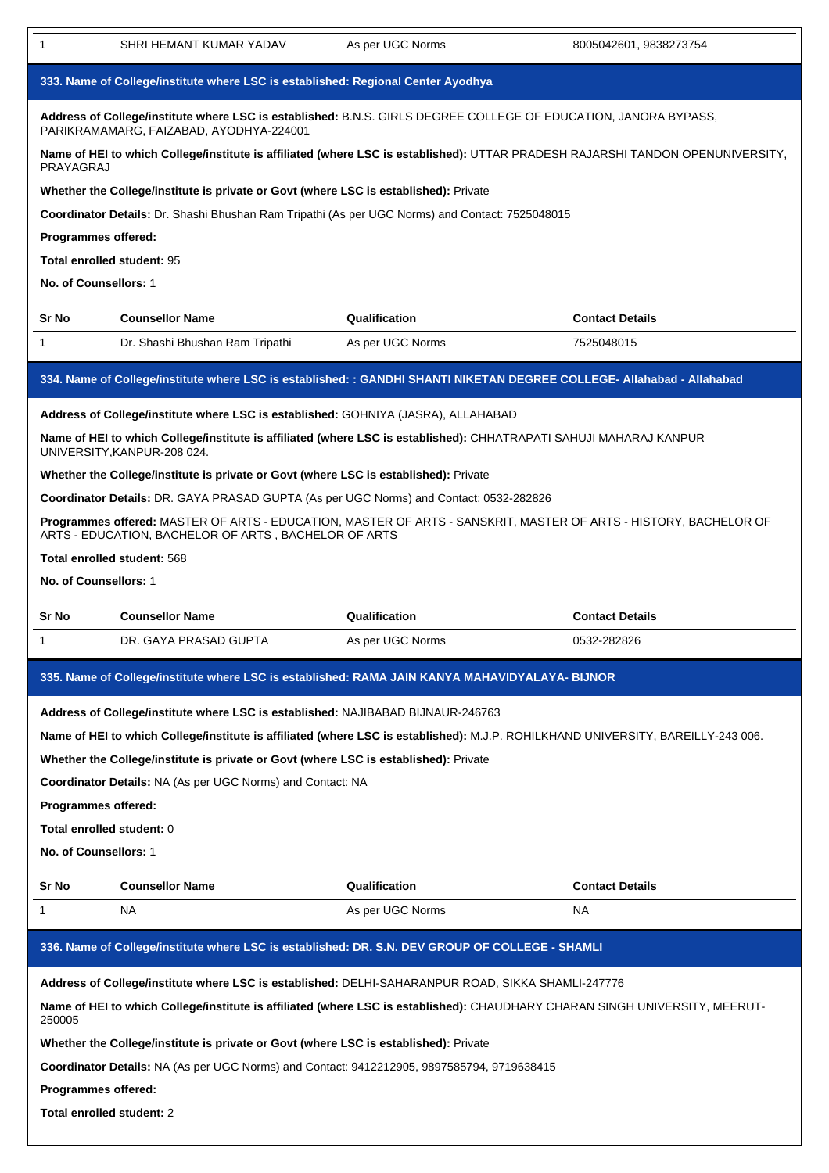| $\mathbf 1$                                                                          | SHRI HEMANT KUMAR YADAV                                                                    | As per UGC Norms                                                                                                                 | 8005042601, 9838273754 |
|--------------------------------------------------------------------------------------|--------------------------------------------------------------------------------------------|----------------------------------------------------------------------------------------------------------------------------------|------------------------|
|                                                                                      | 333. Name of College/institute where LSC is established: Regional Center Ayodhya           |                                                                                                                                  |                        |
|                                                                                      | PARIKRAMAMARG, FAIZABAD, AYODHYA-224001                                                    | Address of College/institute where LSC is established: B.N.S. GIRLS DEGREE COLLEGE OF EDUCATION, JANORA BYPASS,                  |                        |
| PRAYAGRAJ                                                                            |                                                                                            | Name of HEI to which College/institute is affiliated (where LSC is established): UTTAR PRADESH RAJARSHI TANDON OPENUNIVERSITY,   |                        |
|                                                                                      | Whether the College/institute is private or Govt (where LSC is established): Private       |                                                                                                                                  |                        |
|                                                                                      |                                                                                            | Coordinator Details: Dr. Shashi Bhushan Ram Tripathi (As per UGC Norms) and Contact: 7525048015                                  |                        |
| Programmes offered:                                                                  |                                                                                            |                                                                                                                                  |                        |
| Total enrolled student: 95                                                           |                                                                                            |                                                                                                                                  |                        |
| No. of Counsellors: 1                                                                |                                                                                            |                                                                                                                                  |                        |
| <b>Sr No</b>                                                                         | <b>Counsellor Name</b>                                                                     | Qualification                                                                                                                    | <b>Contact Details</b> |
| $\mathbf{1}$                                                                         | Dr. Shashi Bhushan Ram Tripathi                                                            | As per UGC Norms                                                                                                                 | 7525048015             |
|                                                                                      |                                                                                            | 334. Name of College/institute where LSC is established: : GANDHI SHANTI NIKETAN DEGREE COLLEGE- Allahabad - Allahabad           |                        |
|                                                                                      | Address of College/institute where LSC is established: GOHNIYA (JASRA), ALLAHABAD          |                                                                                                                                  |                        |
|                                                                                      | UNIVERSITY, KANPUR-208 024.                                                                | Name of HEI to which College/institute is affiliated (where LSC is established): CHHATRAPATI SAHUJI MAHARAJ KANPUR               |                        |
|                                                                                      | Whether the College/institute is private or Govt (where LSC is established): Private       |                                                                                                                                  |                        |
|                                                                                      | Coordinator Details: DR. GAYA PRASAD GUPTA (As per UGC Norms) and Contact: 0532-282826     |                                                                                                                                  |                        |
|                                                                                      | ARTS - EDUCATION, BACHELOR OF ARTS, BACHELOR OF ARTS                                       | Programmes offered: MASTER OF ARTS - EDUCATION, MASTER OF ARTS - SANSKRIT, MASTER OF ARTS - HISTORY, BACHELOR OF                 |                        |
|                                                                                      | Total enrolled student: 568                                                                |                                                                                                                                  |                        |
| No. of Counsellors: 1                                                                |                                                                                            |                                                                                                                                  |                        |
| Sr No                                                                                | <b>Counsellor Name</b>                                                                     | Qualification                                                                                                                    | <b>Contact Details</b> |
| $\mathbf 1$                                                                          | DR. GAYA PRASAD GUPTA                                                                      | As per UGC Norms                                                                                                                 | 0532-282826            |
|                                                                                      |                                                                                            | 335. Name of College/institute where LSC is established: RAMA JAIN KANYA MAHAVIDYALAYA- BIJNOR                                   |                        |
|                                                                                      | Address of College/institute where LSC is established: NAJIBABAD BIJNAUR-246763            |                                                                                                                                  |                        |
|                                                                                      |                                                                                            | Name of HEI to which College/institute is affiliated (where LSC is established): M.J.P. ROHILKHAND UNIVERSITY, BAREILLY-243 006. |                        |
|                                                                                      | Whether the College/institute is private or Govt (where LSC is established): Private       |                                                                                                                                  |                        |
|                                                                                      | Coordinator Details: NA (As per UGC Norms) and Contact: NA                                 |                                                                                                                                  |                        |
| <b>Programmes offered:</b>                                                           |                                                                                            |                                                                                                                                  |                        |
| Total enrolled student: 0                                                            |                                                                                            |                                                                                                                                  |                        |
| No. of Counsellors: 1                                                                |                                                                                            |                                                                                                                                  |                        |
| Sr No                                                                                | <b>Counsellor Name</b>                                                                     | Qualification                                                                                                                    | <b>Contact Details</b> |
| 1                                                                                    | NA                                                                                         | As per UGC Norms                                                                                                                 | <b>NA</b>              |
|                                                                                      |                                                                                            | 336. Name of College/institute where LSC is established: DR. S.N. DEV GROUP OF COLLEGE - SHAMLI                                  |                        |
|                                                                                      |                                                                                            | Address of College/institute where LSC is established: DELHI-SAHARANPUR ROAD, SIKKA SHAMLI-247776                                |                        |
| 250005                                                                               |                                                                                            | Name of HEI to which College/institute is affiliated (where LSC is established): CHAUDHARY CHARAN SINGH UNIVERSITY, MEERUT-      |                        |
| Whether the College/institute is private or Govt (where LSC is established): Private |                                                                                            |                                                                                                                                  |                        |
|                                                                                      |                                                                                            |                                                                                                                                  |                        |
|                                                                                      | Coordinator Details: NA (As per UGC Norms) and Contact: 9412212905, 9897585794, 9719638415 |                                                                                                                                  |                        |
| Programmes offered:                                                                  |                                                                                            |                                                                                                                                  |                        |
| Total enrolled student: 2                                                            |                                                                                            |                                                                                                                                  |                        |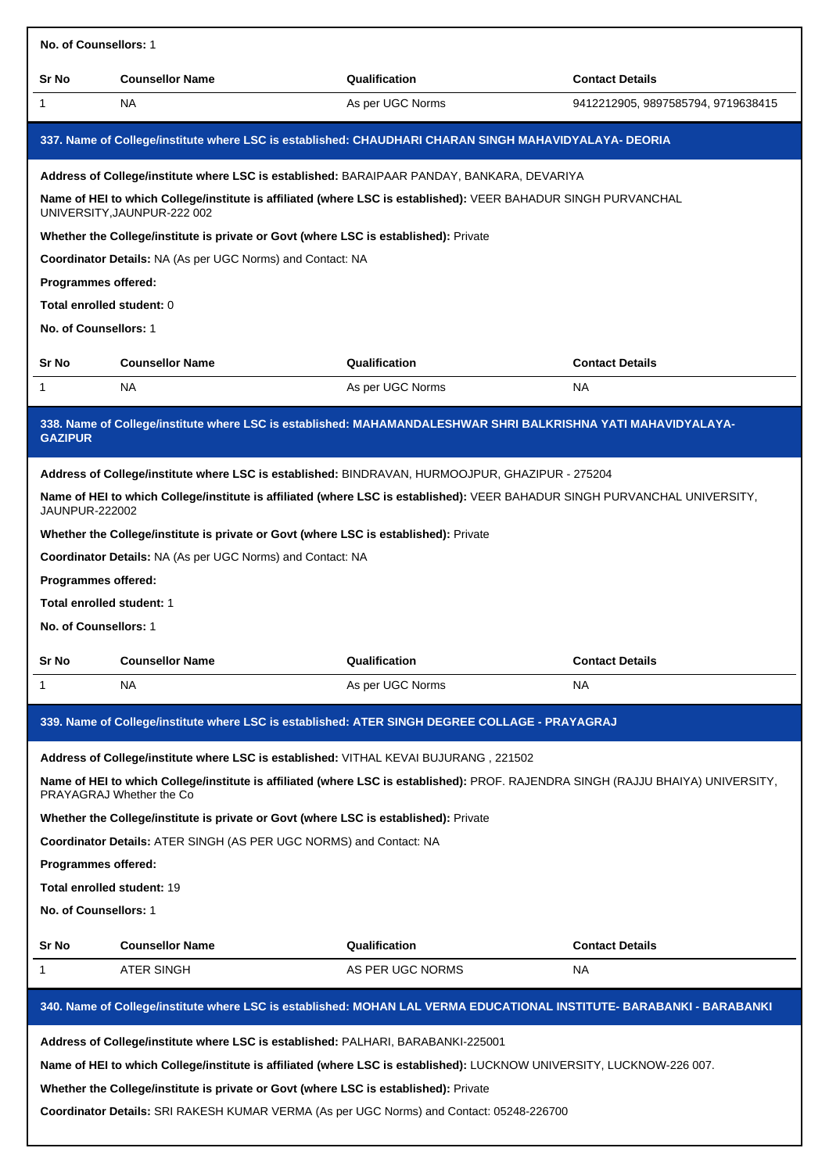| No. of Counsellors: 1                                          |                                                                                                                                                              |                                   |                                    |  |  |
|----------------------------------------------------------------|--------------------------------------------------------------------------------------------------------------------------------------------------------------|-----------------------------------|------------------------------------|--|--|
| Sr No                                                          | <b>Counsellor Name</b>                                                                                                                                       | Qualification                     | <b>Contact Details</b>             |  |  |
| 1                                                              | NA                                                                                                                                                           | As per UGC Norms                  | 9412212905, 9897585794, 9719638415 |  |  |
|                                                                | 337. Name of College/institute where LSC is established: CHAUDHARI CHARAN SINGH MAHAVIDYALAYA- DEORIA                                                        |                                   |                                    |  |  |
|                                                                | Address of College/institute where LSC is established: BARAIPAAR PANDAY, BANKARA, DEVARIYA                                                                   |                                   |                                    |  |  |
|                                                                | Name of HEI to which College/institute is affiliated (where LSC is established): VEER BAHADUR SINGH PURVANCHAL<br>UNIVERSITY, JAUNPUR-222 002                |                                   |                                    |  |  |
|                                                                | Whether the College/institute is private or Govt (where LSC is established): Private                                                                         |                                   |                                    |  |  |
|                                                                | Coordinator Details: NA (As per UGC Norms) and Contact: NA                                                                                                   |                                   |                                    |  |  |
| <b>Programmes offered:</b>                                     |                                                                                                                                                              |                                   |                                    |  |  |
| Total enrolled student: 0<br>No. of Counsellors: 1             |                                                                                                                                                              |                                   |                                    |  |  |
|                                                                |                                                                                                                                                              |                                   |                                    |  |  |
| Sr No                                                          | <b>Counsellor Name</b>                                                                                                                                       | Qualification<br>As per UGC Norms | <b>Contact Details</b>             |  |  |
| 1                                                              | NA                                                                                                                                                           |                                   | <b>NA</b>                          |  |  |
| <b>GAZIPUR</b>                                                 | 338. Name of College/institute where LSC is established: MAHAMANDALESHWAR SHRI BALKRISHNA YATI MAHAVIDYALAYA-                                                |                                   |                                    |  |  |
|                                                                | Address of College/institute where LSC is established: BINDRAVAN, HURMOOJPUR, GHAZIPUR - 275204                                                              |                                   |                                    |  |  |
| JAUNPUR-222002                                                 | Name of HEI to which College/institute is affiliated (where LSC is established): VEER BAHADUR SINGH PURVANCHAL UNIVERSITY,                                   |                                   |                                    |  |  |
|                                                                | Whether the College/institute is private or Govt (where LSC is established): Private                                                                         |                                   |                                    |  |  |
|                                                                | Coordinator Details: NA (As per UGC Norms) and Contact: NA                                                                                                   |                                   |                                    |  |  |
| <b>Programmes offered:</b><br><b>Total enrolled student: 1</b> |                                                                                                                                                              |                                   |                                    |  |  |
| No. of Counsellors: 1                                          |                                                                                                                                                              |                                   |                                    |  |  |
| Sr No                                                          | <b>Counsellor Name</b>                                                                                                                                       | Qualification                     | <b>Contact Details</b>             |  |  |
| -1                                                             | NA                                                                                                                                                           | As per UGC Norms                  | <b>NA</b>                          |  |  |
|                                                                |                                                                                                                                                              |                                   |                                    |  |  |
|                                                                | 339. Name of College/institute where LSC is established: ATER SINGH DEGREE COLLAGE - PRAYAGRAJ                                                               |                                   |                                    |  |  |
|                                                                | Address of College/institute where LSC is established: VITHAL KEVAI BUJURANG, 221502                                                                         |                                   |                                    |  |  |
|                                                                | Name of HEI to which College/institute is affiliated (where LSC is established): PROF. RAJENDRA SINGH (RAJJU BHAIYA) UNIVERSITY,<br>PRAYAGRAJ Whether the Co |                                   |                                    |  |  |
|                                                                | Whether the College/institute is private or Govt (where LSC is established): Private                                                                         |                                   |                                    |  |  |
|                                                                | Coordinator Details: ATER SINGH (AS PER UGC NORMS) and Contact: NA                                                                                           |                                   |                                    |  |  |
| Programmes offered:                                            |                                                                                                                                                              |                                   |                                    |  |  |
| Total enrolled student: 19<br>No. of Counsellors: 1            |                                                                                                                                                              |                                   |                                    |  |  |
|                                                                |                                                                                                                                                              |                                   |                                    |  |  |
| Sr No<br>1                                                     | <b>Counsellor Name</b><br>ATER SINGH                                                                                                                         | Qualification<br>AS PER UGC NORMS | <b>Contact Details</b><br>NA       |  |  |
|                                                                |                                                                                                                                                              |                                   |                                    |  |  |
|                                                                | 340. Name of College/institute where LSC is established: MOHAN LAL VERMA EDUCATIONAL INSTITUTE- BARABANKI - BARABANKI                                        |                                   |                                    |  |  |
|                                                                | Address of College/institute where LSC is established: PALHARI, BARABANKI-225001                                                                             |                                   |                                    |  |  |
|                                                                | Name of HEI to which College/institute is affiliated (where LSC is established): LUCKNOW UNIVERSITY, LUCKNOW-226 007.                                        |                                   |                                    |  |  |
|                                                                | Whether the College/institute is private or Govt (where LSC is established): Private                                                                         |                                   |                                    |  |  |

**Coordinator Details:** SRI RAKESH KUMAR VERMA (As per UGC Norms) and Contact: 05248-226700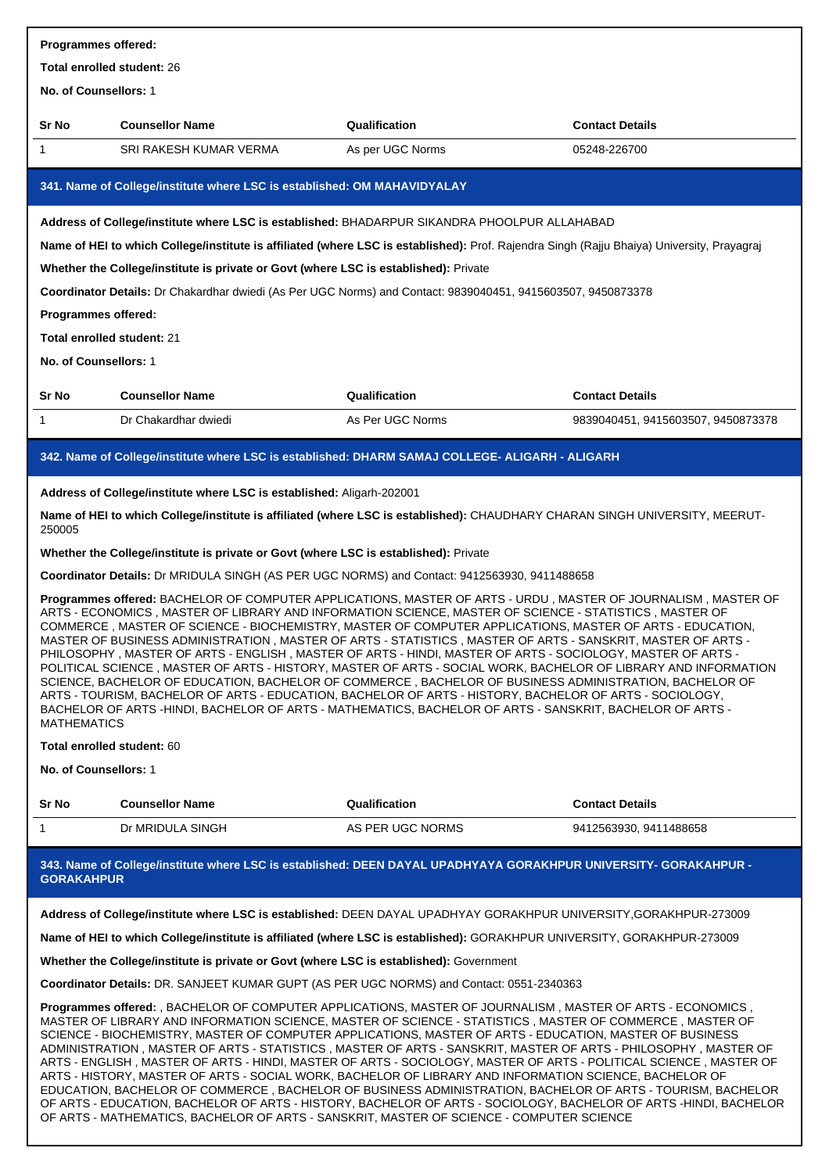| Programmes offered:                                                                                                                                                                                                                                                                                                                                                                                                                                                                                                                                                                                                                                                                                                                                                                                                                                                                                                                                                                                                                         |                                                                                         |                                                                                                                                                                                                                        |                                    |  |
|---------------------------------------------------------------------------------------------------------------------------------------------------------------------------------------------------------------------------------------------------------------------------------------------------------------------------------------------------------------------------------------------------------------------------------------------------------------------------------------------------------------------------------------------------------------------------------------------------------------------------------------------------------------------------------------------------------------------------------------------------------------------------------------------------------------------------------------------------------------------------------------------------------------------------------------------------------------------------------------------------------------------------------------------|-----------------------------------------------------------------------------------------|------------------------------------------------------------------------------------------------------------------------------------------------------------------------------------------------------------------------|------------------------------------|--|
| Total enrolled student: 26                                                                                                                                                                                                                                                                                                                                                                                                                                                                                                                                                                                                                                                                                                                                                                                                                                                                                                                                                                                                                  |                                                                                         |                                                                                                                                                                                                                        |                                    |  |
| No. of Counsellors: 1                                                                                                                                                                                                                                                                                                                                                                                                                                                                                                                                                                                                                                                                                                                                                                                                                                                                                                                                                                                                                       |                                                                                         |                                                                                                                                                                                                                        |                                    |  |
| Sr No                                                                                                                                                                                                                                                                                                                                                                                                                                                                                                                                                                                                                                                                                                                                                                                                                                                                                                                                                                                                                                       | <b>Counsellor Name</b>                                                                  | Qualification                                                                                                                                                                                                          | <b>Contact Details</b>             |  |
| 1                                                                                                                                                                                                                                                                                                                                                                                                                                                                                                                                                                                                                                                                                                                                                                                                                                                                                                                                                                                                                                           | SRI RAKESH KUMAR VERMA                                                                  | As per UGC Norms                                                                                                                                                                                                       | 05248-226700                       |  |
|                                                                                                                                                                                                                                                                                                                                                                                                                                                                                                                                                                                                                                                                                                                                                                                                                                                                                                                                                                                                                                             | 341. Name of College/institute where LSC is established: OM MAHAVIDYALAY                |                                                                                                                                                                                                                        |                                    |  |
|                                                                                                                                                                                                                                                                                                                                                                                                                                                                                                                                                                                                                                                                                                                                                                                                                                                                                                                                                                                                                                             |                                                                                         | Address of College/institute where LSC is established: BHADARPUR SIKANDRA PHOOLPUR ALLAHABAD                                                                                                                           |                                    |  |
|                                                                                                                                                                                                                                                                                                                                                                                                                                                                                                                                                                                                                                                                                                                                                                                                                                                                                                                                                                                                                                             |                                                                                         | Name of HEI to which College/institute is affiliated (where LSC is established): Prof. Rajendra Singh (Rajju Bhaiya) University, Prayagraj                                                                             |                                    |  |
|                                                                                                                                                                                                                                                                                                                                                                                                                                                                                                                                                                                                                                                                                                                                                                                                                                                                                                                                                                                                                                             | Whether the College/institute is private or Govt (where LSC is established): Private    |                                                                                                                                                                                                                        |                                    |  |
|                                                                                                                                                                                                                                                                                                                                                                                                                                                                                                                                                                                                                                                                                                                                                                                                                                                                                                                                                                                                                                             |                                                                                         | Coordinator Details: Dr Chakardhar dwiedi (As Per UGC Norms) and Contact: 9839040451, 9415603507, 9450873378                                                                                                           |                                    |  |
| Programmes offered:                                                                                                                                                                                                                                                                                                                                                                                                                                                                                                                                                                                                                                                                                                                                                                                                                                                                                                                                                                                                                         |                                                                                         |                                                                                                                                                                                                                        |                                    |  |
| Total enrolled student: 21                                                                                                                                                                                                                                                                                                                                                                                                                                                                                                                                                                                                                                                                                                                                                                                                                                                                                                                                                                                                                  |                                                                                         |                                                                                                                                                                                                                        |                                    |  |
| No. of Counsellors: 1                                                                                                                                                                                                                                                                                                                                                                                                                                                                                                                                                                                                                                                                                                                                                                                                                                                                                                                                                                                                                       |                                                                                         |                                                                                                                                                                                                                        |                                    |  |
| Sr No                                                                                                                                                                                                                                                                                                                                                                                                                                                                                                                                                                                                                                                                                                                                                                                                                                                                                                                                                                                                                                       | <b>Counsellor Name</b>                                                                  | Qualification                                                                                                                                                                                                          | <b>Contact Details</b>             |  |
| 1                                                                                                                                                                                                                                                                                                                                                                                                                                                                                                                                                                                                                                                                                                                                                                                                                                                                                                                                                                                                                                           | Dr Chakardhar dwiedi                                                                    | As Per UGC Norms                                                                                                                                                                                                       | 9839040451, 9415603507, 9450873378 |  |
|                                                                                                                                                                                                                                                                                                                                                                                                                                                                                                                                                                                                                                                                                                                                                                                                                                                                                                                                                                                                                                             |                                                                                         | 342. Name of College/institute where LSC is established: DHARM SAMAJ COLLEGE- ALIGARH - ALIGARH                                                                                                                        |                                    |  |
|                                                                                                                                                                                                                                                                                                                                                                                                                                                                                                                                                                                                                                                                                                                                                                                                                                                                                                                                                                                                                                             | Address of College/institute where LSC is established: Aligarh-202001                   |                                                                                                                                                                                                                        |                                    |  |
|                                                                                                                                                                                                                                                                                                                                                                                                                                                                                                                                                                                                                                                                                                                                                                                                                                                                                                                                                                                                                                             |                                                                                         | Name of HEI to which College/institute is affiliated (where LSC is established): CHAUDHARY CHARAN SINGH UNIVERSITY, MEERUT-                                                                                            |                                    |  |
| 250005                                                                                                                                                                                                                                                                                                                                                                                                                                                                                                                                                                                                                                                                                                                                                                                                                                                                                                                                                                                                                                      |                                                                                         |                                                                                                                                                                                                                        |                                    |  |
|                                                                                                                                                                                                                                                                                                                                                                                                                                                                                                                                                                                                                                                                                                                                                                                                                                                                                                                                                                                                                                             | Whether the College/institute is private or Govt (where LSC is established): Private    |                                                                                                                                                                                                                        |                                    |  |
|                                                                                                                                                                                                                                                                                                                                                                                                                                                                                                                                                                                                                                                                                                                                                                                                                                                                                                                                                                                                                                             |                                                                                         | Coordinator Details: Dr MRIDULA SINGH (AS PER UGC NORMS) and Contact: 9412563930, 9411488658                                                                                                                           |                                    |  |
| Programmes offered: BACHELOR OF COMPUTER APPLICATIONS, MASTER OF ARTS - URDU, MASTER OF JOURNALISM, MASTER OF<br>ARTS - ECONOMICS , MASTER OF LIBRARY AND INFORMATION SCIENCE, MASTER OF SCIENCE - STATISTICS , MASTER OF<br>COMMERCE, MASTER OF SCIENCE - BIOCHEMISTRY, MASTER OF COMPUTER APPLICATIONS, MASTER OF ARTS - EDUCATION,<br>MASTER OF BUSINESS ADMINISTRATION, MASTER OF ARTS - STATISTICS, MASTER OF ARTS - SANSKRIT, MASTER OF ARTS -<br>PHILOSOPHY, MASTER OF ARTS - ENGLISH, MASTER OF ARTS - HINDI, MASTER OF ARTS - SOCIOLOGY, MASTER OF ARTS -<br>POLITICAL SCIENCE, MASTER OF ARTS - HISTORY, MASTER OF ARTS - SOCIAL WORK, BACHELOR OF LIBRARY AND INFORMATION<br>SCIENCE, BACHELOR OF EDUCATION, BACHELOR OF COMMERCE, BACHELOR OF BUSINESS ADMINISTRATION, BACHELOR OF<br>ARTS - TOURISM, BACHELOR OF ARTS - EDUCATION, BACHELOR OF ARTS - HISTORY, BACHELOR OF ARTS - SOCIOLOGY,<br>BACHELOR OF ARTS -HINDI, BACHELOR OF ARTS - MATHEMATICS, BACHELOR OF ARTS - SANSKRIT, BACHELOR OF ARTS -<br><b>MATHEMATICS</b> |                                                                                         |                                                                                                                                                                                                                        |                                    |  |
| Total enrolled student: 60                                                                                                                                                                                                                                                                                                                                                                                                                                                                                                                                                                                                                                                                                                                                                                                                                                                                                                                                                                                                                  |                                                                                         |                                                                                                                                                                                                                        |                                    |  |
| No. of Counsellors: 1                                                                                                                                                                                                                                                                                                                                                                                                                                                                                                                                                                                                                                                                                                                                                                                                                                                                                                                                                                                                                       |                                                                                         |                                                                                                                                                                                                                        |                                    |  |
| Sr No                                                                                                                                                                                                                                                                                                                                                                                                                                                                                                                                                                                                                                                                                                                                                                                                                                                                                                                                                                                                                                       | <b>Counsellor Name</b>                                                                  | Qualification                                                                                                                                                                                                          | <b>Contact Details</b>             |  |
| 1                                                                                                                                                                                                                                                                                                                                                                                                                                                                                                                                                                                                                                                                                                                                                                                                                                                                                                                                                                                                                                           | Dr MRIDULA SINGH                                                                        | AS PER UGC NORMS                                                                                                                                                                                                       | 9412563930, 9411488658             |  |
| <b>GORAKAHPUR</b>                                                                                                                                                                                                                                                                                                                                                                                                                                                                                                                                                                                                                                                                                                                                                                                                                                                                                                                                                                                                                           |                                                                                         | 343. Name of College/institute where LSC is established: DEEN DAYAL UPADHYAYA GORAKHPUR UNIVERSITY- GORAKAHPUR -                                                                                                       |                                    |  |
|                                                                                                                                                                                                                                                                                                                                                                                                                                                                                                                                                                                                                                                                                                                                                                                                                                                                                                                                                                                                                                             |                                                                                         | Address of College/institute where LSC is established: DEEN DAYAL UPADHYAY GORAKHPUR UNIVERSITY, GORAKHPUR-273009                                                                                                      |                                    |  |
|                                                                                                                                                                                                                                                                                                                                                                                                                                                                                                                                                                                                                                                                                                                                                                                                                                                                                                                                                                                                                                             |                                                                                         | Name of HEI to which College/institute is affiliated (where LSC is established): GORAKHPUR UNIVERSITY, GORAKHPUR-273009                                                                                                |                                    |  |
|                                                                                                                                                                                                                                                                                                                                                                                                                                                                                                                                                                                                                                                                                                                                                                                                                                                                                                                                                                                                                                             | Whether the College/institute is private or Govt (where LSC is established): Government |                                                                                                                                                                                                                        |                                    |  |
|                                                                                                                                                                                                                                                                                                                                                                                                                                                                                                                                                                                                                                                                                                                                                                                                                                                                                                                                                                                                                                             |                                                                                         | Coordinator Details: DR. SANJEET KUMAR GUPT (AS PER UGC NORMS) and Contact: 0551-2340363                                                                                                                               |                                    |  |
|                                                                                                                                                                                                                                                                                                                                                                                                                                                                                                                                                                                                                                                                                                                                                                                                                                                                                                                                                                                                                                             | DIOCULT MICTOV, MACTED OF COMBUTED ADDUCATIONS, MACTED OF ADTO. EDU                     | Programmes offered: , BACHELOR OF COMPUTER APPLICATIONS, MASTER OF JOURNALISM, MASTER OF ARTS - ECONOMICS,<br>MASTER OF LIBRARY AND INFORMATION SCIENCE, MASTER OF SCIENCE - STATISTICS, MASTER OF COMMERCE, MASTER OF |                                    |  |

SCIENCE - BIOCHEMISTRY, MASTER OF COMPUTER APPLICATIONS, MASTER OF ARTS - EDUCATION, MASTER OF BUSINESS ADMINISTRATION , MASTER OF ARTS - STATISTICS , MASTER OF ARTS - SANSKRIT, MASTER OF ARTS - PHILOSOPHY , MASTER OF ARTS - ENGLISH , MASTER OF ARTS - HINDI, MASTER OF ARTS - SOCIOLOGY, MASTER OF ARTS - POLITICAL SCIENCE , MASTER OF ARTS - HISTORY, MASTER OF ARTS - SOCIAL WORK, BACHELOR OF LIBRARY AND INFORMATION SCIENCE, BACHELOR OF EDUCATION, BACHELOR OF COMMERCE , BACHELOR OF BUSINESS ADMINISTRATION, BACHELOR OF ARTS - TOURISM, BACHELOR OF ARTS - EDUCATION, BACHELOR OF ARTS - HISTORY, BACHELOR OF ARTS - SOCIOLOGY, BACHELOR OF ARTS -HINDI, BACHELOR OF ARTS - MATHEMATICS, BACHELOR OF ARTS - SANSKRIT, MASTER OF SCIENCE - COMPUTER SCIENCE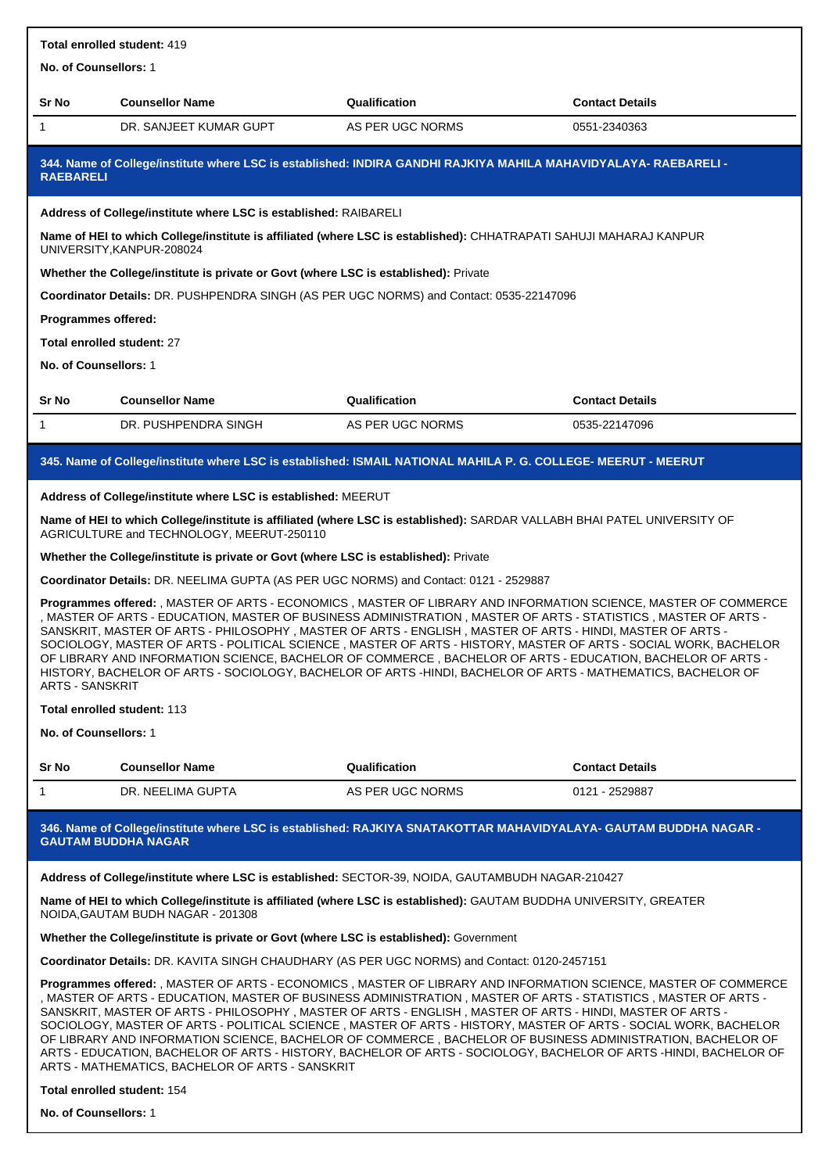| Total enrolled student: 419                                                                                                                                                                                                                                                                                                                                                                                                                                                                                                                                                                                                                                                                                                  |                                                                                                                                                                       |                  |                        |  |  |
|------------------------------------------------------------------------------------------------------------------------------------------------------------------------------------------------------------------------------------------------------------------------------------------------------------------------------------------------------------------------------------------------------------------------------------------------------------------------------------------------------------------------------------------------------------------------------------------------------------------------------------------------------------------------------------------------------------------------------|-----------------------------------------------------------------------------------------------------------------------------------------------------------------------|------------------|------------------------|--|--|
| No. of Counsellors: 1                                                                                                                                                                                                                                                                                                                                                                                                                                                                                                                                                                                                                                                                                                        |                                                                                                                                                                       |                  |                        |  |  |
| Sr No                                                                                                                                                                                                                                                                                                                                                                                                                                                                                                                                                                                                                                                                                                                        | <b>Counsellor Name</b>                                                                                                                                                | Qualification    | <b>Contact Details</b> |  |  |
| 1                                                                                                                                                                                                                                                                                                                                                                                                                                                                                                                                                                                                                                                                                                                            | DR. SANJEET KUMAR GUPT                                                                                                                                                | AS PER UGC NORMS | 0551-2340363           |  |  |
| <b>RAEBARELI</b>                                                                                                                                                                                                                                                                                                                                                                                                                                                                                                                                                                                                                                                                                                             | 344. Name of College/institute where LSC is established: INDIRA GANDHI RAJKIYA MAHILA MAHAVIDYALAYA- RAEBARELI -                                                      |                  |                        |  |  |
|                                                                                                                                                                                                                                                                                                                                                                                                                                                                                                                                                                                                                                                                                                                              | Address of College/institute where LSC is established: RAIBARELI                                                                                                      |                  |                        |  |  |
|                                                                                                                                                                                                                                                                                                                                                                                                                                                                                                                                                                                                                                                                                                                              | Name of HEI to which College/institute is affiliated (where LSC is established): CHHATRAPATI SAHUJI MAHARAJ KANPUR<br>UNIVERSITY, KANPUR-208024                       |                  |                        |  |  |
|                                                                                                                                                                                                                                                                                                                                                                                                                                                                                                                                                                                                                                                                                                                              | Whether the College/institute is private or Govt (where LSC is established): Private                                                                                  |                  |                        |  |  |
|                                                                                                                                                                                                                                                                                                                                                                                                                                                                                                                                                                                                                                                                                                                              | Coordinator Details: DR. PUSHPENDRA SINGH (AS PER UGC NORMS) and Contact: 0535-22147096                                                                               |                  |                        |  |  |
| Programmes offered:                                                                                                                                                                                                                                                                                                                                                                                                                                                                                                                                                                                                                                                                                                          |                                                                                                                                                                       |                  |                        |  |  |
| Total enrolled student: 27                                                                                                                                                                                                                                                                                                                                                                                                                                                                                                                                                                                                                                                                                                   |                                                                                                                                                                       |                  |                        |  |  |
| No. of Counsellors: 1                                                                                                                                                                                                                                                                                                                                                                                                                                                                                                                                                                                                                                                                                                        |                                                                                                                                                                       |                  |                        |  |  |
| Sr No                                                                                                                                                                                                                                                                                                                                                                                                                                                                                                                                                                                                                                                                                                                        | <b>Counsellor Name</b>                                                                                                                                                | Qualification    | <b>Contact Details</b> |  |  |
| 1                                                                                                                                                                                                                                                                                                                                                                                                                                                                                                                                                                                                                                                                                                                            | DR. PUSHPENDRA SINGH                                                                                                                                                  | AS PER UGC NORMS | 0535-22147096          |  |  |
|                                                                                                                                                                                                                                                                                                                                                                                                                                                                                                                                                                                                                                                                                                                              | 345. Name of College/institute where LSC is established: ISMAIL NATIONAL MAHILA P. G. COLLEGE- MEERUT - MEERUT                                                        |                  |                        |  |  |
|                                                                                                                                                                                                                                                                                                                                                                                                                                                                                                                                                                                                                                                                                                                              | Address of College/institute where LSC is established: MEERUT                                                                                                         |                  |                        |  |  |
|                                                                                                                                                                                                                                                                                                                                                                                                                                                                                                                                                                                                                                                                                                                              | Name of HEI to which College/institute is affiliated (where LSC is established): SARDAR VALLABH BHAI PATEL UNIVERSITY OF<br>AGRICULTURE and TECHNOLOGY, MEERUT-250110 |                  |                        |  |  |
|                                                                                                                                                                                                                                                                                                                                                                                                                                                                                                                                                                                                                                                                                                                              | Whether the College/institute is private or Govt (where LSC is established): Private                                                                                  |                  |                        |  |  |
|                                                                                                                                                                                                                                                                                                                                                                                                                                                                                                                                                                                                                                                                                                                              | Coordinator Details: DR. NEELIMA GUPTA (AS PER UGC NORMS) and Contact: 0121 - 2529887                                                                                 |                  |                        |  |  |
| Programmes offered: , MASTER OF ARTS - ECONOMICS , MASTER OF LIBRARY AND INFORMATION SCIENCE, MASTER OF COMMERCE<br>, MASTER OF ARTS - EDUCATION, MASTER OF BUSINESS ADMINISTRATION , MASTER OF ARTS - STATISTICS , MASTER OF ARTS -<br>SANSKRIT, MASTER OF ARTS - PHILOSOPHY, MASTER OF ARTS - ENGLISH, MASTER OF ARTS - HINDI, MASTER OF ARTS -<br>SOCIOLOGY, MASTER OF ARTS - POLITICAL SCIENCE, MASTER OF ARTS - HISTORY, MASTER OF ARTS - SOCIAL WORK, BACHELOR<br>OF LIBRARY AND INFORMATION SCIENCE, BACHELOR OF COMMERCE , BACHELOR OF ARTS - EDUCATION, BACHELOR OF ARTS -<br>HISTORY, BACHELOR OF ARTS - SOCIOLOGY, BACHELOR OF ARTS -HINDI, BACHELOR OF ARTS - MATHEMATICS, BACHELOR OF<br><b>ARTS - SANSKRIT</b> |                                                                                                                                                                       |                  |                        |  |  |
| <b>Total enrolled student: 113</b>                                                                                                                                                                                                                                                                                                                                                                                                                                                                                                                                                                                                                                                                                           |                                                                                                                                                                       |                  |                        |  |  |
|                                                                                                                                                                                                                                                                                                                                                                                                                                                                                                                                                                                                                                                                                                                              | No. of Counsellors: 1                                                                                                                                                 |                  |                        |  |  |
| Sr No                                                                                                                                                                                                                                                                                                                                                                                                                                                                                                                                                                                                                                                                                                                        | <b>Counsellor Name</b>                                                                                                                                                | Qualification    | <b>Contact Details</b> |  |  |
| 1                                                                                                                                                                                                                                                                                                                                                                                                                                                                                                                                                                                                                                                                                                                            | DR. NEELIMA GUPTA                                                                                                                                                     | AS PER UGC NORMS | 0121 - 2529887         |  |  |
|                                                                                                                                                                                                                                                                                                                                                                                                                                                                                                                                                                                                                                                                                                                              | 346. Name of College/institute where LSC is established: RAJKIYA SNATAKOTTAR MAHAVIDYALAYA- GAUTAM BUDDHA NAGAR -<br><b>GAUTAM BUDDHA NAGAR</b>                       |                  |                        |  |  |
|                                                                                                                                                                                                                                                                                                                                                                                                                                                                                                                                                                                                                                                                                                                              | Address of College/institute where LSC is established: SECTOR-39, NOIDA, GAUTAMBUDH NAGAR-210427                                                                      |                  |                        |  |  |

**Name of HEI to which College/institute is affiliated (where LSC is established):** GAUTAM BUDDHA UNIVERSITY, GREATER NOIDA,GAUTAM BUDH NAGAR - 201308

### **Whether the College/institute is private or Govt (where LSC is established):** Government

**Coordinator Details:** DR. KAVITA SINGH CHAUDHARY (AS PER UGC NORMS) and Contact: 0120-2457151

**Programmes offered:** , MASTER OF ARTS - ECONOMICS , MASTER OF LIBRARY AND INFORMATION SCIENCE, MASTER OF COMMERCE , MASTER OF ARTS - EDUCATION, MASTER OF BUSINESS ADMINISTRATION , MASTER OF ARTS - STATISTICS , MASTER OF ARTS - SANSKRIT, MASTER OF ARTS - PHILOSOPHY , MASTER OF ARTS - ENGLISH , MASTER OF ARTS - HINDI, MASTER OF ARTS - SOCIOLOGY, MASTER OF ARTS - POLITICAL SCIENCE , MASTER OF ARTS - HISTORY, MASTER OF ARTS - SOCIAL WORK, BACHELOR OF LIBRARY AND INFORMATION SCIENCE, BACHELOR OF COMMERCE , BACHELOR OF BUSINESS ADMINISTRATION, BACHELOR OF ARTS - EDUCATION, BACHELOR OF ARTS - HISTORY, BACHELOR OF ARTS - SOCIOLOGY, BACHELOR OF ARTS -HINDI, BACHELOR OF ARTS - MATHEMATICS, BACHELOR OF ARTS - SANSKRIT

#### **Total enrolled student:** 154

**No. of Counsellors:** 1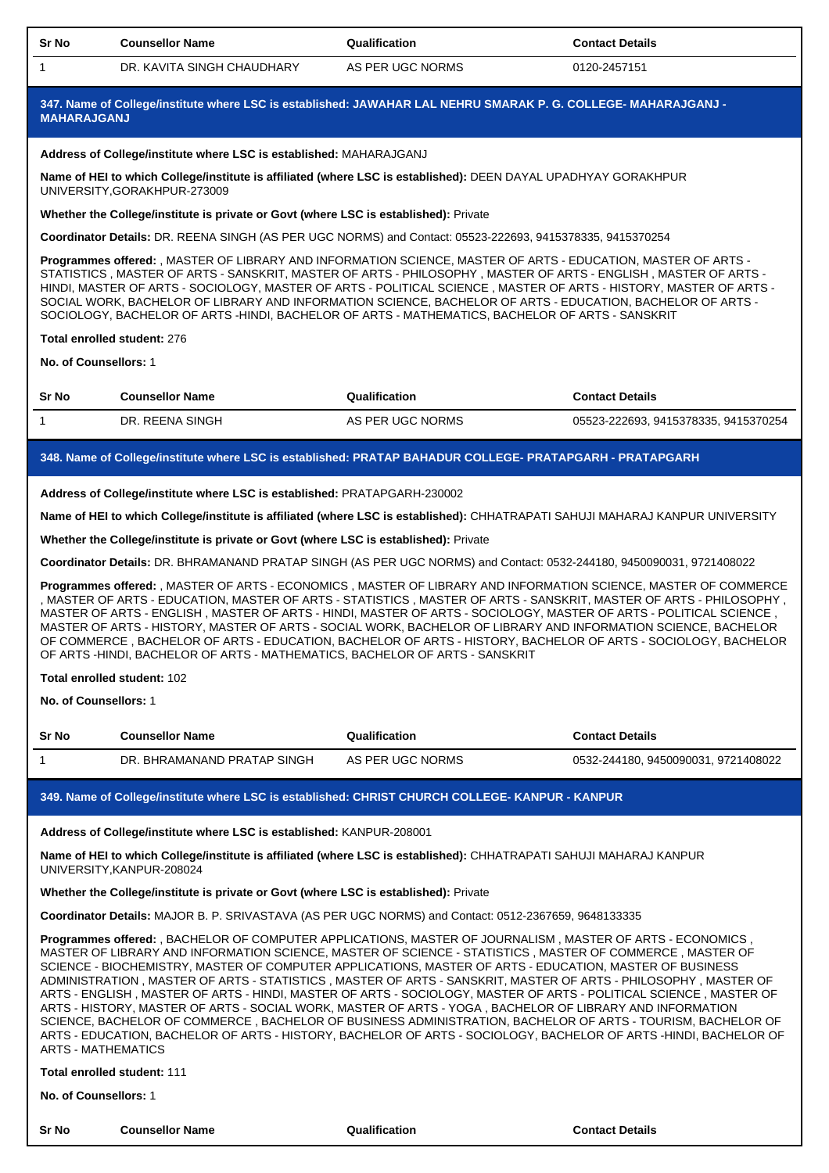| <b>Sr No</b> | <b>Counsellor Name</b>           | Qualification    | <b>Contact Details</b> |  |
|--------------|----------------------------------|------------------|------------------------|--|
|              | :. KAVITA SINGH CHAUDHARY<br>DR. | AS PER UGC NORMS | 0120-2457151           |  |

**347. Name of College/institute where LSC is established: JAWAHAR LAL NEHRU SMARAK P. G. COLLEGE- MAHARAJGANJ - MAHARAJGANJ**

#### **Address of College/institute where LSC is established:** MAHARAJGANJ

**Name of HEI to which College/institute is affiliated (where LSC is established):** DEEN DAYAL UPADHYAY GORAKHPUR UNIVERSITY,GORAKHPUR-273009

**Whether the College/institute is private or Govt (where LSC is established):** Private

**Coordinator Details:** DR. REENA SINGH (AS PER UGC NORMS) and Contact: 05523-222693, 9415378335, 9415370254

**Programmes offered:** , MASTER OF LIBRARY AND INFORMATION SCIENCE, MASTER OF ARTS - EDUCATION, MASTER OF ARTS - STATISTICS , MASTER OF ARTS - SANSKRIT, MASTER OF ARTS - PHILOSOPHY , MASTER OF ARTS - ENGLISH , MASTER OF ARTS - HINDI, MASTER OF ARTS - SOCIOLOGY, MASTER OF ARTS - POLITICAL SCIENCE , MASTER OF ARTS - HISTORY, MASTER OF ARTS - SOCIAL WORK, BACHELOR OF LIBRARY AND INFORMATION SCIENCE, BACHELOR OF ARTS - EDUCATION, BACHELOR OF ARTS - SOCIOLOGY, BACHELOR OF ARTS -HINDI, BACHELOR OF ARTS - MATHEMATICS, BACHELOR OF ARTS - SANSKRIT

#### **Total enrolled student:** 276

**No. of Counsellors:** 1

| Sr No | <b>Counsellor Name</b> | Qualification    | <b>Contact Details</b>             |
|-------|------------------------|------------------|------------------------------------|
|       | DR. REENA SINGH        | AS PER UGC NORMS | 05523-222693.9415378335.9415370254 |

## **348. Name of College/institute where LSC is established: PRATAP BAHADUR COLLEGE- PRATAPGARH - PRATAPGARH**

**Address of College/institute where LSC is established:** PRATAPGARH-230002

**Name of HEI to which College/institute is affiliated (where LSC is established):** CHHATRAPATI SAHUJI MAHARAJ KANPUR UNIVERSITY

**Whether the College/institute is private or Govt (where LSC is established):** Private

**Coordinator Details:** DR. BHRAMANAND PRATAP SINGH (AS PER UGC NORMS) and Contact: 0532-244180, 9450090031, 9721408022

**Programmes offered:** , MASTER OF ARTS - ECONOMICS , MASTER OF LIBRARY AND INFORMATION SCIENCE, MASTER OF COMMERCE , MASTER OF ARTS - EDUCATION, MASTER OF ARTS - STATISTICS , MASTER OF ARTS - SANSKRIT, MASTER OF ARTS - PHILOSOPHY , MASTER OF ARTS - ENGLISH , MASTER OF ARTS - HINDI, MASTER OF ARTS - SOCIOLOGY, MASTER OF ARTS - POLITICAL SCIENCE , MASTER OF ARTS - HISTORY, MASTER OF ARTS - SOCIAL WORK, BACHELOR OF LIBRARY AND INFORMATION SCIENCE, BACHELOR OF COMMERCE , BACHELOR OF ARTS - EDUCATION, BACHELOR OF ARTS - HISTORY, BACHELOR OF ARTS - SOCIOLOGY, BACHELOR OF ARTS -HINDI, BACHELOR OF ARTS - MATHEMATICS, BACHELOR OF ARTS - SANSKRIT

### **Total enrolled student:** 102

**No. of Counsellors:** 1

| <b>Sr No</b> | <b>Counsellor Name</b>      | Qualification    | <b>Contact Details</b>            |
|--------------|-----------------------------|------------------|-----------------------------------|
|              | DR. BHRAMANAND PRATAP SINGH | AS PER UGC NORMS | 0532-244180.9450090031.9721408022 |

## **349. Name of College/institute where LSC is established: CHRIST CHURCH COLLEGE- KANPUR - KANPUR**

### **Address of College/institute where LSC is established:** KANPUR-208001

**Name of HEI to which College/institute is affiliated (where LSC is established):** CHHATRAPATI SAHUJI MAHARAJ KANPUR UNIVERSITY,KANPUR-208024

## **Whether the College/institute is private or Govt (where LSC is established):** Private

**Coordinator Details:** MAJOR B. P. SRIVASTAVA (AS PER UGC NORMS) and Contact: 0512-2367659, 9648133335

**Programmes offered:** , BACHELOR OF COMPUTER APPLICATIONS, MASTER OF JOURNALISM , MASTER OF ARTS - ECONOMICS , MASTER OF LIBRARY AND INFORMATION SCIENCE, MASTER OF SCIENCE - STATISTICS , MASTER OF COMMERCE , MASTER OF SCIENCE - BIOCHEMISTRY, MASTER OF COMPUTER APPLICATIONS, MASTER OF ARTS - EDUCATION, MASTER OF BUSINESS ADMINISTRATION , MASTER OF ARTS - STATISTICS , MASTER OF ARTS - SANSKRIT, MASTER OF ARTS - PHILOSOPHY , MASTER OF ARTS - ENGLISH , MASTER OF ARTS - HINDI, MASTER OF ARTS - SOCIOLOGY, MASTER OF ARTS - POLITICAL SCIENCE , MASTER OF ARTS - HISTORY, MASTER OF ARTS - SOCIAL WORK, MASTER OF ARTS - YOGA , BACHELOR OF LIBRARY AND INFORMATION SCIENCE, BACHELOR OF COMMERCE , BACHELOR OF BUSINESS ADMINISTRATION, BACHELOR OF ARTS - TOURISM, BACHELOR OF ARTS - EDUCATION, BACHELOR OF ARTS - HISTORY, BACHELOR OF ARTS - SOCIOLOGY, BACHELOR OF ARTS -HINDI, BACHELOR OF ARTS - MATHEMATICS

# **Total enrolled student:** 111

**No. of Counsellors:** 1

| <b>Sr No</b> | <b>Counsellor Name</b> | Qualification | <b>Contact Details</b> |
|--------------|------------------------|---------------|------------------------|
|              |                        |               |                        |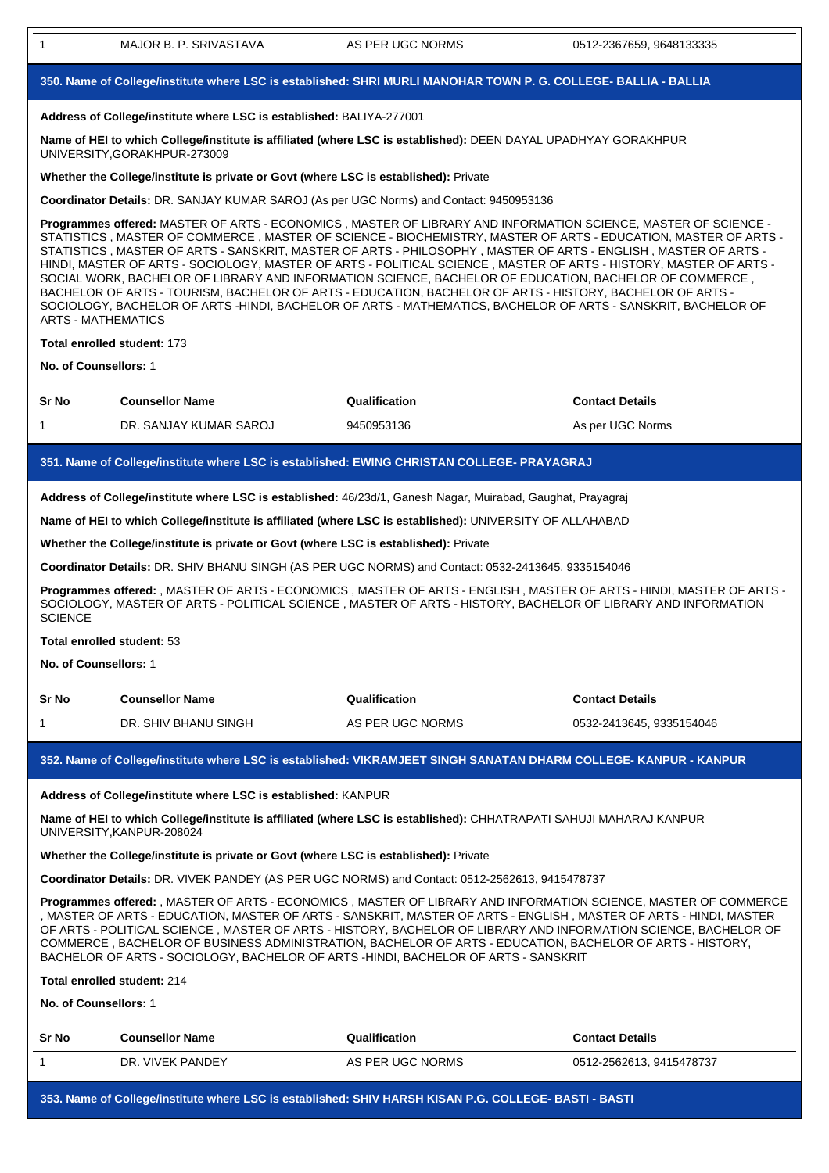| $\mathbf{1}$                                                                                                                                                                                                                                                                                                                                                                                                                                                                                                                                                                                                                                                                                                                                                                                                                               | MAJOR B. P. SRIVASTAVA                                                               | AS PER UGC NORMS                                                                                                                                                                                                                       | 0512-2367659, 9648133335 |  |  |  |
|--------------------------------------------------------------------------------------------------------------------------------------------------------------------------------------------------------------------------------------------------------------------------------------------------------------------------------------------------------------------------------------------------------------------------------------------------------------------------------------------------------------------------------------------------------------------------------------------------------------------------------------------------------------------------------------------------------------------------------------------------------------------------------------------------------------------------------------------|--------------------------------------------------------------------------------------|----------------------------------------------------------------------------------------------------------------------------------------------------------------------------------------------------------------------------------------|--------------------------|--|--|--|
|                                                                                                                                                                                                                                                                                                                                                                                                                                                                                                                                                                                                                                                                                                                                                                                                                                            |                                                                                      | 350. Name of College/institute where LSC is established: SHRI MURLI MANOHAR TOWN P. G. COLLEGE- BALLIA - BALLIA                                                                                                                        |                          |  |  |  |
| Address of College/institute where LSC is established: BALIYA-277001                                                                                                                                                                                                                                                                                                                                                                                                                                                                                                                                                                                                                                                                                                                                                                       |                                                                                      |                                                                                                                                                                                                                                        |                          |  |  |  |
| Name of HEI to which College/institute is affiliated (where LSC is established): DEEN DAYAL UPADHYAY GORAKHPUR<br>UNIVERSITY, GORAKHPUR-273009                                                                                                                                                                                                                                                                                                                                                                                                                                                                                                                                                                                                                                                                                             |                                                                                      |                                                                                                                                                                                                                                        |                          |  |  |  |
| Whether the College/institute is private or Govt (where LSC is established): Private                                                                                                                                                                                                                                                                                                                                                                                                                                                                                                                                                                                                                                                                                                                                                       |                                                                                      |                                                                                                                                                                                                                                        |                          |  |  |  |
| Coordinator Details: DR. SANJAY KUMAR SAROJ (As per UGC Norms) and Contact: 9450953136                                                                                                                                                                                                                                                                                                                                                                                                                                                                                                                                                                                                                                                                                                                                                     |                                                                                      |                                                                                                                                                                                                                                        |                          |  |  |  |
| Programmes offered: MASTER OF ARTS - ECONOMICS, MASTER OF LIBRARY AND INFORMATION SCIENCE, MASTER OF SCIENCE -<br>STATISTICS, MASTER OF COMMERCE, MASTER OF SCIENCE - BIOCHEMISTRY, MASTER OF ARTS - EDUCATION, MASTER OF ARTS -<br>STATISTICS, MASTER OF ARTS - SANSKRIT, MASTER OF ARTS - PHILOSOPHY, MASTER OF ARTS - ENGLISH, MASTER OF ARTS -<br>HINDI, MASTER OF ARTS - SOCIOLOGY, MASTER OF ARTS - POLITICAL SCIENCE, MASTER OF ARTS - HISTORY, MASTER OF ARTS -<br>SOCIAL WORK, BACHELOR OF LIBRARY AND INFORMATION SCIENCE, BACHELOR OF EDUCATION, BACHELOR OF COMMERCE,<br>BACHELOR OF ARTS - TOURISM, BACHELOR OF ARTS - EDUCATION, BACHELOR OF ARTS - HISTORY, BACHELOR OF ARTS -<br>SOCIOLOGY, BACHELOR OF ARTS -HINDI, BACHELOR OF ARTS - MATHEMATICS, BACHELOR OF ARTS - SANSKRIT, BACHELOR OF<br><b>ARTS - MATHEMATICS</b> |                                                                                      |                                                                                                                                                                                                                                        |                          |  |  |  |
|                                                                                                                                                                                                                                                                                                                                                                                                                                                                                                                                                                                                                                                                                                                                                                                                                                            | Total enrolled student: 173                                                          |                                                                                                                                                                                                                                        |                          |  |  |  |
| No. of Counsellors: 1                                                                                                                                                                                                                                                                                                                                                                                                                                                                                                                                                                                                                                                                                                                                                                                                                      |                                                                                      |                                                                                                                                                                                                                                        |                          |  |  |  |
| Sr No                                                                                                                                                                                                                                                                                                                                                                                                                                                                                                                                                                                                                                                                                                                                                                                                                                      | <b>Counsellor Name</b>                                                               | Qualification                                                                                                                                                                                                                          | <b>Contact Details</b>   |  |  |  |
| 1                                                                                                                                                                                                                                                                                                                                                                                                                                                                                                                                                                                                                                                                                                                                                                                                                                          | DR. SANJAY KUMAR SAROJ                                                               | 9450953136                                                                                                                                                                                                                             | As per UGC Norms         |  |  |  |
|                                                                                                                                                                                                                                                                                                                                                                                                                                                                                                                                                                                                                                                                                                                                                                                                                                            |                                                                                      | 351. Name of College/institute where LSC is established: EWING CHRISTAN COLLEGE- PRAYAGRAJ                                                                                                                                             |                          |  |  |  |
|                                                                                                                                                                                                                                                                                                                                                                                                                                                                                                                                                                                                                                                                                                                                                                                                                                            |                                                                                      |                                                                                                                                                                                                                                        |                          |  |  |  |
|                                                                                                                                                                                                                                                                                                                                                                                                                                                                                                                                                                                                                                                                                                                                                                                                                                            |                                                                                      | Address of College/institute where LSC is established: 46/23d/1, Ganesh Nagar, Muirabad, Gaughat, Prayagraj                                                                                                                            |                          |  |  |  |
|                                                                                                                                                                                                                                                                                                                                                                                                                                                                                                                                                                                                                                                                                                                                                                                                                                            |                                                                                      | Name of HEI to which College/institute is affiliated (where LSC is established): UNIVERSITY OF ALLAHABAD                                                                                                                               |                          |  |  |  |
|                                                                                                                                                                                                                                                                                                                                                                                                                                                                                                                                                                                                                                                                                                                                                                                                                                            | Whether the College/institute is private or Govt (where LSC is established): Private |                                                                                                                                                                                                                                        |                          |  |  |  |
|                                                                                                                                                                                                                                                                                                                                                                                                                                                                                                                                                                                                                                                                                                                                                                                                                                            |                                                                                      | Coordinator Details: DR. SHIV BHANU SINGH (AS PER UGC NORMS) and Contact: 0532-2413645, 9335154046                                                                                                                                     |                          |  |  |  |
| <b>SCIENCE</b>                                                                                                                                                                                                                                                                                                                                                                                                                                                                                                                                                                                                                                                                                                                                                                                                                             |                                                                                      | Programmes offered: , MASTER OF ARTS - ECONOMICS , MASTER OF ARTS - ENGLISH , MASTER OF ARTS - HINDI, MASTER OF ARTS -<br>SOCIOLOGY, MASTER OF ARTS - POLITICAL SCIENCE, MASTER OF ARTS - HISTORY, BACHELOR OF LIBRARY AND INFORMATION |                          |  |  |  |
|                                                                                                                                                                                                                                                                                                                                                                                                                                                                                                                                                                                                                                                                                                                                                                                                                                            | Total enrolled student: 53                                                           |                                                                                                                                                                                                                                        |                          |  |  |  |
| No. of Counsellors: 1                                                                                                                                                                                                                                                                                                                                                                                                                                                                                                                                                                                                                                                                                                                                                                                                                      |                                                                                      |                                                                                                                                                                                                                                        |                          |  |  |  |
| Sr No                                                                                                                                                                                                                                                                                                                                                                                                                                                                                                                                                                                                                                                                                                                                                                                                                                      | <b>Counsellor Name</b>                                                               | Qualification                                                                                                                                                                                                                          | <b>Contact Details</b>   |  |  |  |
| 1                                                                                                                                                                                                                                                                                                                                                                                                                                                                                                                                                                                                                                                                                                                                                                                                                                          | DR. SHIV BHANU SINGH                                                                 | AS PER UGC NORMS                                                                                                                                                                                                                       | 0532-2413645, 9335154046 |  |  |  |
|                                                                                                                                                                                                                                                                                                                                                                                                                                                                                                                                                                                                                                                                                                                                                                                                                                            |                                                                                      | 352. Name of College/institute where LSC is established: VIKRAMJEET SINGH SANATAN DHARM COLLEGE- KANPUR - KANPUR                                                                                                                       |                          |  |  |  |
|                                                                                                                                                                                                                                                                                                                                                                                                                                                                                                                                                                                                                                                                                                                                                                                                                                            | Address of College/institute where LSC is established: KANPUR                        |                                                                                                                                                                                                                                        |                          |  |  |  |
|                                                                                                                                                                                                                                                                                                                                                                                                                                                                                                                                                                                                                                                                                                                                                                                                                                            | UNIVERSITY, KANPUR-208024                                                            | Name of HEI to which College/institute is affiliated (where LSC is established): CHHATRAPATI SAHUJI MAHARAJ KANPUR                                                                                                                     |                          |  |  |  |
|                                                                                                                                                                                                                                                                                                                                                                                                                                                                                                                                                                                                                                                                                                                                                                                                                                            | Whether the College/institute is private or Govt (where LSC is established): Private |                                                                                                                                                                                                                                        |                          |  |  |  |
|                                                                                                                                                                                                                                                                                                                                                                                                                                                                                                                                                                                                                                                                                                                                                                                                                                            |                                                                                      | Coordinator Details: DR. VIVEK PANDEY (AS PER UGC NORMS) and Contact: 0512-2562613, 9415478737                                                                                                                                         |                          |  |  |  |
| Programmes offered: , MASTER OF ARTS - ECONOMICS, MASTER OF LIBRARY AND INFORMATION SCIENCE, MASTER OF COMMERCE<br>, MASTER OF ARTS - EDUCATION, MASTER OF ARTS - SANSKRIT, MASTER OF ARTS - ENGLISH , MASTER OF ARTS - HINDI, MASTER<br>OF ARTS - POLITICAL SCIENCE, MASTER OF ARTS - HISTORY, BACHELOR OF LIBRARY AND INFORMATION SCIENCE, BACHELOR OF<br>COMMERCE, BACHELOR OF BUSINESS ADMINISTRATION, BACHELOR OF ARTS - EDUCATION, BACHELOR OF ARTS - HISTORY,<br>BACHELOR OF ARTS - SOCIOLOGY, BACHELOR OF ARTS -HINDI, BACHELOR OF ARTS - SANSKRIT                                                                                                                                                                                                                                                                                 |                                                                                      |                                                                                                                                                                                                                                        |                          |  |  |  |
|                                                                                                                                                                                                                                                                                                                                                                                                                                                                                                                                                                                                                                                                                                                                                                                                                                            | Total enrolled student: 214                                                          |                                                                                                                                                                                                                                        |                          |  |  |  |
| No. of Counsellors: 1                                                                                                                                                                                                                                                                                                                                                                                                                                                                                                                                                                                                                                                                                                                                                                                                                      |                                                                                      |                                                                                                                                                                                                                                        |                          |  |  |  |
| Sr No                                                                                                                                                                                                                                                                                                                                                                                                                                                                                                                                                                                                                                                                                                                                                                                                                                      | <b>Counsellor Name</b>                                                               | Qualification                                                                                                                                                                                                                          | <b>Contact Details</b>   |  |  |  |
| 1                                                                                                                                                                                                                                                                                                                                                                                                                                                                                                                                                                                                                                                                                                                                                                                                                                          | DR. VIVEK PANDEY                                                                     | AS PER UGC NORMS                                                                                                                                                                                                                       | 0512-2562613, 9415478737 |  |  |  |
|                                                                                                                                                                                                                                                                                                                                                                                                                                                                                                                                                                                                                                                                                                                                                                                                                                            |                                                                                      |                                                                                                                                                                                                                                        |                          |  |  |  |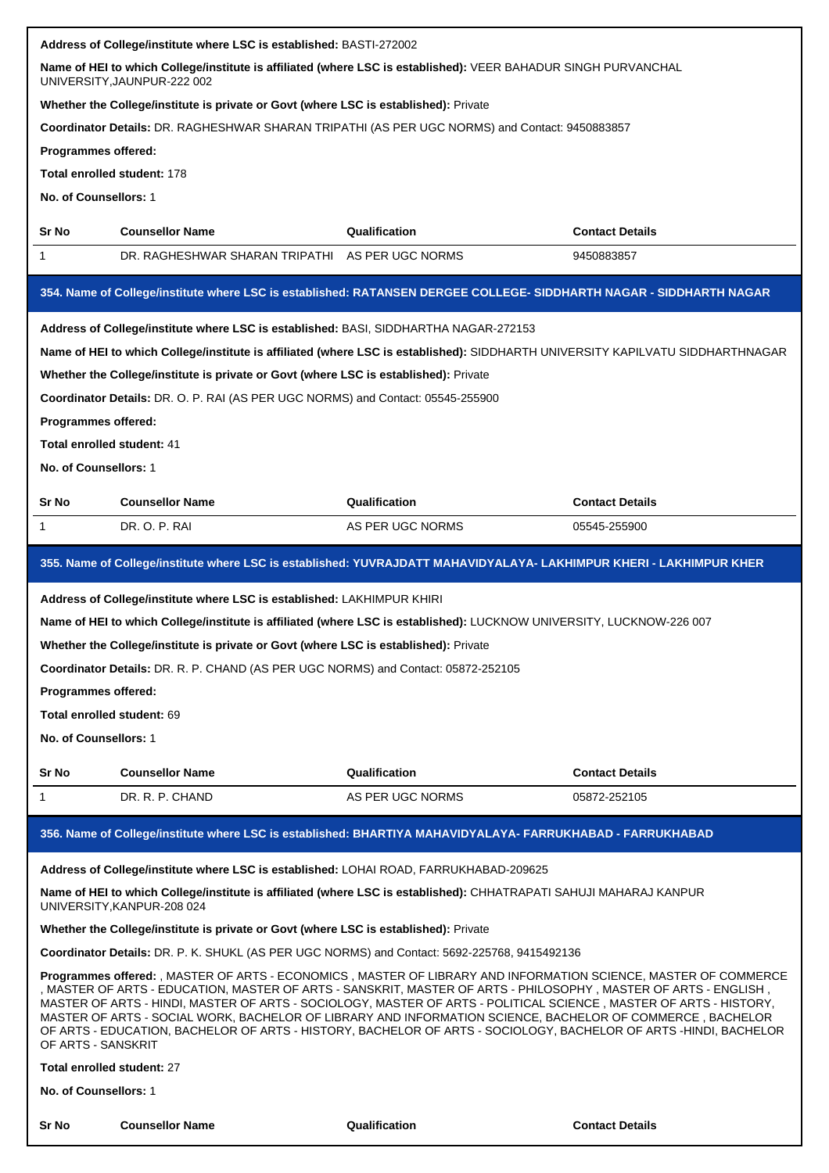| Address of College/institute where LSC is established: BASTI-272002                                                                                                                                                                                                                                                                                                                                                                                                                                                                                                                                                                                                                                              |                                                                                                                                                  |                  |                        |  |  |
|------------------------------------------------------------------------------------------------------------------------------------------------------------------------------------------------------------------------------------------------------------------------------------------------------------------------------------------------------------------------------------------------------------------------------------------------------------------------------------------------------------------------------------------------------------------------------------------------------------------------------------------------------------------------------------------------------------------|--------------------------------------------------------------------------------------------------------------------------------------------------|------------------|------------------------|--|--|
| Name of HEI to which College/institute is affiliated (where LSC is established): VEER BAHADUR SINGH PURVANCHAL<br>UNIVERSITY, JAUNPUR-222 002                                                                                                                                                                                                                                                                                                                                                                                                                                                                                                                                                                    |                                                                                                                                                  |                  |                        |  |  |
|                                                                                                                                                                                                                                                                                                                                                                                                                                                                                                                                                                                                                                                                                                                  | Whether the College/institute is private or Govt (where LSC is established): Private                                                             |                  |                        |  |  |
| Coordinator Details: DR. RAGHESHWAR SHARAN TRIPATHI (AS PER UGC NORMS) and Contact: 9450883857                                                                                                                                                                                                                                                                                                                                                                                                                                                                                                                                                                                                                   |                                                                                                                                                  |                  |                        |  |  |
| Programmes offered:                                                                                                                                                                                                                                                                                                                                                                                                                                                                                                                                                                                                                                                                                              |                                                                                                                                                  |                  |                        |  |  |
| Total enrolled student: 178                                                                                                                                                                                                                                                                                                                                                                                                                                                                                                                                                                                                                                                                                      |                                                                                                                                                  |                  |                        |  |  |
| No. of Counsellors: 1                                                                                                                                                                                                                                                                                                                                                                                                                                                                                                                                                                                                                                                                                            |                                                                                                                                                  |                  |                        |  |  |
| Sr No                                                                                                                                                                                                                                                                                                                                                                                                                                                                                                                                                                                                                                                                                                            | <b>Counsellor Name</b>                                                                                                                           | Qualification    | <b>Contact Details</b> |  |  |
| 1                                                                                                                                                                                                                                                                                                                                                                                                                                                                                                                                                                                                                                                                                                                | DR. RAGHESHWAR SHARAN TRIPATHI AS PER UGC NORMS                                                                                                  |                  | 9450883857             |  |  |
|                                                                                                                                                                                                                                                                                                                                                                                                                                                                                                                                                                                                                                                                                                                  | 354. Name of College/institute where LSC is established: RATANSEN DERGEE COLLEGE- SIDDHARTH NAGAR - SIDDHARTH NAGAR                              |                  |                        |  |  |
|                                                                                                                                                                                                                                                                                                                                                                                                                                                                                                                                                                                                                                                                                                                  | Address of College/institute where LSC is established: BASI, SIDDHARTHA NAGAR-272153                                                             |                  |                        |  |  |
|                                                                                                                                                                                                                                                                                                                                                                                                                                                                                                                                                                                                                                                                                                                  | Name of HEI to which College/institute is affiliated (where LSC is established): SIDDHARTH UNIVERSITY KAPILVATU SIDDHARTHNAGAR                   |                  |                        |  |  |
|                                                                                                                                                                                                                                                                                                                                                                                                                                                                                                                                                                                                                                                                                                                  | Whether the College/institute is private or Govt (where LSC is established): Private                                                             |                  |                        |  |  |
|                                                                                                                                                                                                                                                                                                                                                                                                                                                                                                                                                                                                                                                                                                                  | Coordinator Details: DR. O. P. RAI (AS PER UGC NORMS) and Contact: 05545-255900                                                                  |                  |                        |  |  |
| Programmes offered:                                                                                                                                                                                                                                                                                                                                                                                                                                                                                                                                                                                                                                                                                              |                                                                                                                                                  |                  |                        |  |  |
| Total enrolled student: 41                                                                                                                                                                                                                                                                                                                                                                                                                                                                                                                                                                                                                                                                                       |                                                                                                                                                  |                  |                        |  |  |
| No. of Counsellors: 1                                                                                                                                                                                                                                                                                                                                                                                                                                                                                                                                                                                                                                                                                            |                                                                                                                                                  |                  |                        |  |  |
| <b>Sr No</b>                                                                                                                                                                                                                                                                                                                                                                                                                                                                                                                                                                                                                                                                                                     | <b>Counsellor Name</b>                                                                                                                           | Qualification    | <b>Contact Details</b> |  |  |
| -1                                                                                                                                                                                                                                                                                                                                                                                                                                                                                                                                                                                                                                                                                                               | DR. O. P. RAI                                                                                                                                    | AS PER UGC NORMS | 05545-255900           |  |  |
|                                                                                                                                                                                                                                                                                                                                                                                                                                                                                                                                                                                                                                                                                                                  | 355. Name of College/institute where LSC is established: YUVRAJDATT MAHAVIDYALAYA- LAKHIMPUR KHERI - LAKHIMPUR KHER                              |                  |                        |  |  |
|                                                                                                                                                                                                                                                                                                                                                                                                                                                                                                                                                                                                                                                                                                                  | Address of College/institute where LSC is established: LAKHIMPUR KHIRI                                                                           |                  |                        |  |  |
|                                                                                                                                                                                                                                                                                                                                                                                                                                                                                                                                                                                                                                                                                                                  | Name of HEI to which College/institute is affiliated (where LSC is established): LUCKNOW UNIVERSITY, LUCKNOW-226 007                             |                  |                        |  |  |
|                                                                                                                                                                                                                                                                                                                                                                                                                                                                                                                                                                                                                                                                                                                  | Whether the College/institute is private or Govt (where LSC is established): Private                                                             |                  |                        |  |  |
|                                                                                                                                                                                                                                                                                                                                                                                                                                                                                                                                                                                                                                                                                                                  | Coordinator Details: DR. R. P. CHAND (AS PER UGC NORMS) and Contact: 05872-252105                                                                |                  |                        |  |  |
| Programmes offered:                                                                                                                                                                                                                                                                                                                                                                                                                                                                                                                                                                                                                                                                                              |                                                                                                                                                  |                  |                        |  |  |
| Total enrolled student: 69                                                                                                                                                                                                                                                                                                                                                                                                                                                                                                                                                                                                                                                                                       |                                                                                                                                                  |                  |                        |  |  |
| No. of Counsellors: 1                                                                                                                                                                                                                                                                                                                                                                                                                                                                                                                                                                                                                                                                                            |                                                                                                                                                  |                  |                        |  |  |
| Sr No                                                                                                                                                                                                                                                                                                                                                                                                                                                                                                                                                                                                                                                                                                            | <b>Counsellor Name</b>                                                                                                                           | Qualification    | <b>Contact Details</b> |  |  |
| 1                                                                                                                                                                                                                                                                                                                                                                                                                                                                                                                                                                                                                                                                                                                | DR. R. P. CHAND                                                                                                                                  | AS PER UGC NORMS | 05872-252105           |  |  |
|                                                                                                                                                                                                                                                                                                                                                                                                                                                                                                                                                                                                                                                                                                                  | 356. Name of College/institute where LSC is established: BHARTIYA MAHAVIDYALAYA- FARRUKHABAD - FARRUKHABAD                                       |                  |                        |  |  |
|                                                                                                                                                                                                                                                                                                                                                                                                                                                                                                                                                                                                                                                                                                                  | Address of College/institute where LSC is established: LOHAI ROAD, FARRUKHABAD-209625                                                            |                  |                        |  |  |
|                                                                                                                                                                                                                                                                                                                                                                                                                                                                                                                                                                                                                                                                                                                  | Name of HEI to which College/institute is affiliated (where LSC is established): CHHATRAPATI SAHUJI MAHARAJ KANPUR<br>UNIVERSITY, KANPUR-208 024 |                  |                        |  |  |
|                                                                                                                                                                                                                                                                                                                                                                                                                                                                                                                                                                                                                                                                                                                  | Whether the College/institute is private or Govt (where LSC is established): Private                                                             |                  |                        |  |  |
|                                                                                                                                                                                                                                                                                                                                                                                                                                                                                                                                                                                                                                                                                                                  |                                                                                                                                                  |                  |                        |  |  |
| Coordinator Details: DR. P. K. SHUKL (AS PER UGC NORMS) and Contact: 5692-225768, 9415492136<br>Programmes offered: , MASTER OF ARTS - ECONOMICS , MASTER OF LIBRARY AND INFORMATION SCIENCE, MASTER OF COMMERCE<br>, MASTER OF ARTS - EDUCATION, MASTER OF ARTS - SANSKRIT, MASTER OF ARTS - PHILOSOPHY , MASTER OF ARTS - ENGLISH<br>MASTER OF ARTS - HINDI, MASTER OF ARTS - SOCIOLOGY, MASTER OF ARTS - POLITICAL SCIENCE, MASTER OF ARTS - HISTORY,<br>MASTER OF ARTS - SOCIAL WORK, BACHELOR OF LIBRARY AND INFORMATION SCIENCE, BACHELOR OF COMMERCE , BACHELOR<br>OF ARTS - EDUCATION, BACHELOR OF ARTS - HISTORY, BACHELOR OF ARTS - SOCIOLOGY, BACHELOR OF ARTS -HINDI, BACHELOR<br>OF ARTS - SANSKRIT |                                                                                                                                                  |                  |                        |  |  |
|                                                                                                                                                                                                                                                                                                                                                                                                                                                                                                                                                                                                                                                                                                                  |                                                                                                                                                  |                  |                        |  |  |
| Total enrolled student: 27                                                                                                                                                                                                                                                                                                                                                                                                                                                                                                                                                                                                                                                                                       |                                                                                                                                                  |                  |                        |  |  |
| No. of Counsellors: 1                                                                                                                                                                                                                                                                                                                                                                                                                                                                                                                                                                                                                                                                                            |                                                                                                                                                  |                  |                        |  |  |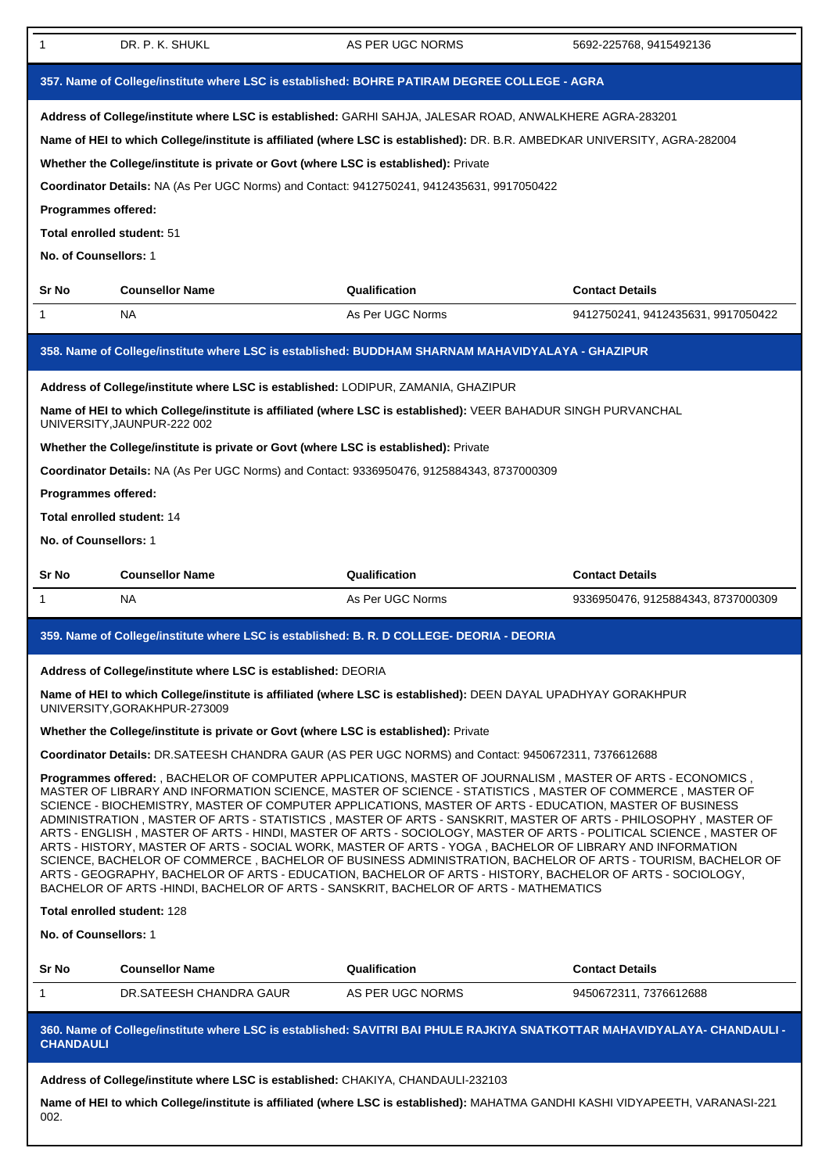| 1                                                                                                                                                                                                                                                                                                                                                                                                                                                                                                          | DR. P. K. SHUKL                                                                                                                                                                                                                                                                                                                                                                                                                                                                                                                                                                                                                                                                                                                                                                                                                                                                                                                                                                                                                                                                                                                                                                                                                                                                                                                                                                                                                                           | AS PER UGC NORMS | 5692-225768, 9415492136            |  |  |  |
|------------------------------------------------------------------------------------------------------------------------------------------------------------------------------------------------------------------------------------------------------------------------------------------------------------------------------------------------------------------------------------------------------------------------------------------------------------------------------------------------------------|-----------------------------------------------------------------------------------------------------------------------------------------------------------------------------------------------------------------------------------------------------------------------------------------------------------------------------------------------------------------------------------------------------------------------------------------------------------------------------------------------------------------------------------------------------------------------------------------------------------------------------------------------------------------------------------------------------------------------------------------------------------------------------------------------------------------------------------------------------------------------------------------------------------------------------------------------------------------------------------------------------------------------------------------------------------------------------------------------------------------------------------------------------------------------------------------------------------------------------------------------------------------------------------------------------------------------------------------------------------------------------------------------------------------------------------------------------------|------------------|------------------------------------|--|--|--|
| 357. Name of College/institute where LSC is established: BOHRE PATIRAM DEGREE COLLEGE - AGRA                                                                                                                                                                                                                                                                                                                                                                                                               |                                                                                                                                                                                                                                                                                                                                                                                                                                                                                                                                                                                                                                                                                                                                                                                                                                                                                                                                                                                                                                                                                                                                                                                                                                                                                                                                                                                                                                                           |                  |                                    |  |  |  |
| Address of College/institute where LSC is established: GARHI SAHJA, JALESAR ROAD, ANWALKHERE AGRA-283201<br>Name of HEI to which College/institute is affiliated (where LSC is established): DR. B.R. AMBEDKAR UNIVERSITY, AGRA-282004<br>Whether the College/institute is private or Govt (where LSC is established): Private<br>Coordinator Details: NA (As Per UGC Norms) and Contact: 9412750241, 9412435631, 9917050422<br>Programmes offered:<br>Total enrolled student: 51<br>No. of Counsellors: 1 |                                                                                                                                                                                                                                                                                                                                                                                                                                                                                                                                                                                                                                                                                                                                                                                                                                                                                                                                                                                                                                                                                                                                                                                                                                                                                                                                                                                                                                                           |                  |                                    |  |  |  |
| Sr No                                                                                                                                                                                                                                                                                                                                                                                                                                                                                                      | <b>Counsellor Name</b>                                                                                                                                                                                                                                                                                                                                                                                                                                                                                                                                                                                                                                                                                                                                                                                                                                                                                                                                                                                                                                                                                                                                                                                                                                                                                                                                                                                                                                    | Qualification    | <b>Contact Details</b>             |  |  |  |
| $\mathbf{1}$                                                                                                                                                                                                                                                                                                                                                                                                                                                                                               | <b>NA</b>                                                                                                                                                                                                                                                                                                                                                                                                                                                                                                                                                                                                                                                                                                                                                                                                                                                                                                                                                                                                                                                                                                                                                                                                                                                                                                                                                                                                                                                 | As Per UGC Norms | 9412750241, 9412435631, 9917050422 |  |  |  |
|                                                                                                                                                                                                                                                                                                                                                                                                                                                                                                            | 358. Name of College/institute where LSC is established: BUDDHAM SHARNAM MAHAVIDYALAYA - GHAZIPUR                                                                                                                                                                                                                                                                                                                                                                                                                                                                                                                                                                                                                                                                                                                                                                                                                                                                                                                                                                                                                                                                                                                                                                                                                                                                                                                                                         |                  |                                    |  |  |  |
| Address of College/institute where LSC is established: LODIPUR, ZAMANIA, GHAZIPUR<br>Name of HEI to which College/institute is affiliated (where LSC is established): VEER BAHADUR SINGH PURVANCHAL<br>UNIVERSITY, JAUNPUR-222 002<br>Whether the College/institute is private or Govt (where LSC is established): Private<br>Coordinator Details: NA (As Per UGC Norms) and Contact: 9336950476, 9125884343, 8737000309<br>Programmes offered:<br>Total enrolled student: 14<br>No. of Counsellors: 1     |                                                                                                                                                                                                                                                                                                                                                                                                                                                                                                                                                                                                                                                                                                                                                                                                                                                                                                                                                                                                                                                                                                                                                                                                                                                                                                                                                                                                                                                           |                  |                                    |  |  |  |
|                                                                                                                                                                                                                                                                                                                                                                                                                                                                                                            |                                                                                                                                                                                                                                                                                                                                                                                                                                                                                                                                                                                                                                                                                                                                                                                                                                                                                                                                                                                                                                                                                                                                                                                                                                                                                                                                                                                                                                                           |                  |                                    |  |  |  |
| Sr No                                                                                                                                                                                                                                                                                                                                                                                                                                                                                                      | <b>Counsellor Name</b>                                                                                                                                                                                                                                                                                                                                                                                                                                                                                                                                                                                                                                                                                                                                                                                                                                                                                                                                                                                                                                                                                                                                                                                                                                                                                                                                                                                                                                    | Qualification    | <b>Contact Details</b>             |  |  |  |
| 1                                                                                                                                                                                                                                                                                                                                                                                                                                                                                                          | NA                                                                                                                                                                                                                                                                                                                                                                                                                                                                                                                                                                                                                                                                                                                                                                                                                                                                                                                                                                                                                                                                                                                                                                                                                                                                                                                                                                                                                                                        | As Per UGC Norms | 9336950476, 9125884343, 8737000309 |  |  |  |
|                                                                                                                                                                                                                                                                                                                                                                                                                                                                                                            | 359. Name of College/institute where LSC is established: B. R. D COLLEGE- DEORIA - DEORIA                                                                                                                                                                                                                                                                                                                                                                                                                                                                                                                                                                                                                                                                                                                                                                                                                                                                                                                                                                                                                                                                                                                                                                                                                                                                                                                                                                 |                  |                                    |  |  |  |
| No. of Counsellors: 1                                                                                                                                                                                                                                                                                                                                                                                                                                                                                      | Address of College/institute where LSC is established: DEORIA<br>Name of HEI to which College/institute is affiliated (where LSC is established): DEEN DAYAL UPADHYAY GORAKHPUR<br>UNIVERSITY, GORAKHPUR-273009<br>Whether the College/institute is private or Govt (where LSC is established): Private<br>Coordinator Details: DR.SATEESH CHANDRA GAUR (AS PER UGC NORMS) and Contact: 9450672311, 7376612688<br>Programmes offered: , BACHELOR OF COMPUTER APPLICATIONS, MASTER OF JOURNALISM, MASTER OF ARTS - ECONOMICS,<br>MASTER OF LIBRARY AND INFORMATION SCIENCE, MASTER OF SCIENCE - STATISTICS, MASTER OF COMMERCE, MASTER OF<br>SCIENCE - BIOCHEMISTRY, MASTER OF COMPUTER APPLICATIONS, MASTER OF ARTS - EDUCATION, MASTER OF BUSINESS<br>ADMINISTRATION, MASTER OF ARTS - STATISTICS, MASTER OF ARTS - SANSKRIT, MASTER OF ARTS - PHILOSOPHY, MASTER OF<br>ARTS - ENGLISH, MASTER OF ARTS - HINDI, MASTER OF ARTS - SOCIOLOGY, MASTER OF ARTS - POLITICAL SCIENCE, MASTER OF<br>ARTS - HISTORY, MASTER OF ARTS - SOCIAL WORK, MASTER OF ARTS - YOGA, BACHELOR OF LIBRARY AND INFORMATION<br>SCIENCE, BACHELOR OF COMMERCE, BACHELOR OF BUSINESS ADMINISTRATION, BACHELOR OF ARTS - TOURISM, BACHELOR OF<br>ARTS - GEOGRAPHY, BACHELOR OF ARTS - EDUCATION, BACHELOR OF ARTS - HISTORY, BACHELOR OF ARTS - SOCIOLOGY,<br>BACHELOR OF ARTS -HINDI, BACHELOR OF ARTS - SANSKRIT, BACHELOR OF ARTS - MATHEMATICS<br>Total enrolled student: 128 |                  |                                    |  |  |  |
| Sr No                                                                                                                                                                                                                                                                                                                                                                                                                                                                                                      | <b>Counsellor Name</b>                                                                                                                                                                                                                                                                                                                                                                                                                                                                                                                                                                                                                                                                                                                                                                                                                                                                                                                                                                                                                                                                                                                                                                                                                                                                                                                                                                                                                                    | Qualification    | <b>Contact Details</b>             |  |  |  |
| $\mathbf{1}$                                                                                                                                                                                                                                                                                                                                                                                                                                                                                               | DR.SATEESH CHANDRA GAUR                                                                                                                                                                                                                                                                                                                                                                                                                                                                                                                                                                                                                                                                                                                                                                                                                                                                                                                                                                                                                                                                                                                                                                                                                                                                                                                                                                                                                                   | AS PER UGC NORMS | 9450672311, 7376612688             |  |  |  |
| <b>CHANDAULI</b>                                                                                                                                                                                                                                                                                                                                                                                                                                                                                           | 360. Name of College/institute where LSC is established: SAVITRI BAI PHULE RAJKIYA SNATKOTTAR MAHAVIDYALAYA- CHANDAULI -                                                                                                                                                                                                                                                                                                                                                                                                                                                                                                                                                                                                                                                                                                                                                                                                                                                                                                                                                                                                                                                                                                                                                                                                                                                                                                                                  |                  |                                    |  |  |  |

**Name of HEI to which College/institute is affiliated (where LSC is established):** MAHATMA GANDHI KASHI VIDYAPEETH, VARANASI-221 002.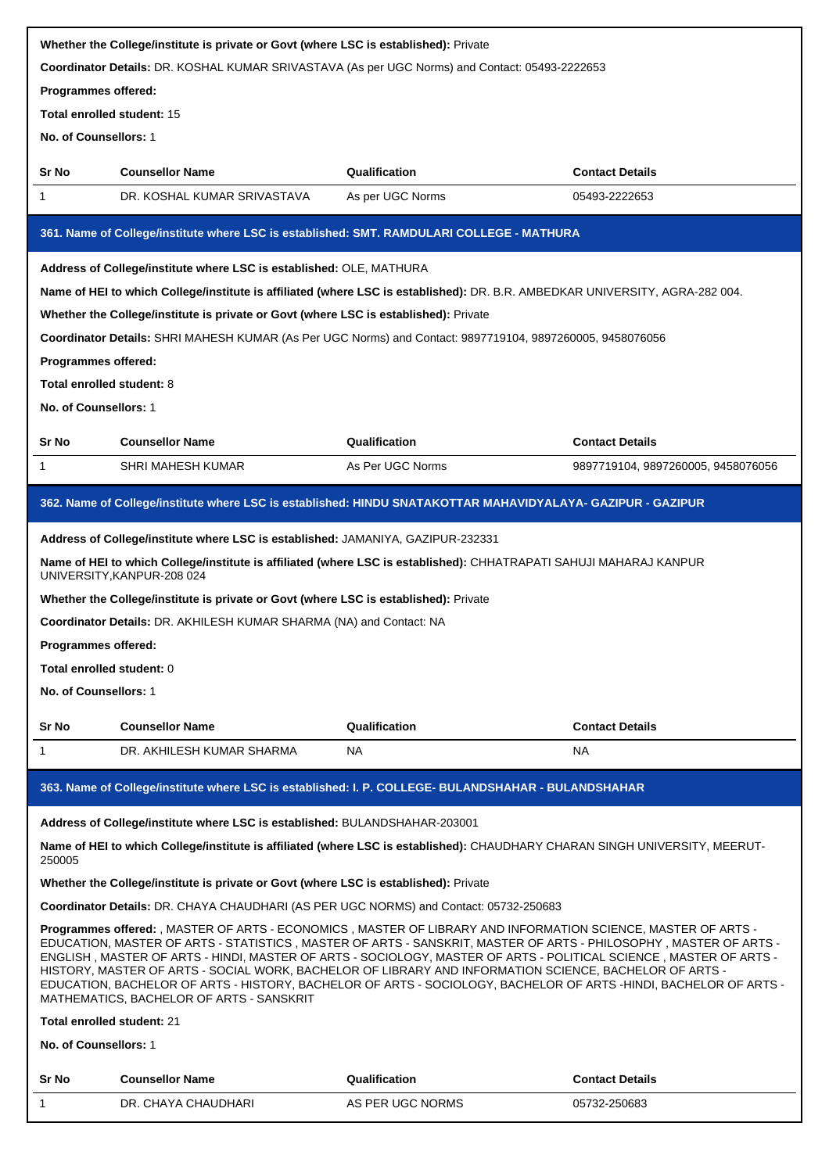|                                                                                                                                                                                                                                                                                                                                                                                                                                                                                                                                                                                                                                   | Whether the College/institute is private or Govt (where LSC is established): Private |                                                                                                                              |                                    |  |
|-----------------------------------------------------------------------------------------------------------------------------------------------------------------------------------------------------------------------------------------------------------------------------------------------------------------------------------------------------------------------------------------------------------------------------------------------------------------------------------------------------------------------------------------------------------------------------------------------------------------------------------|--------------------------------------------------------------------------------------|------------------------------------------------------------------------------------------------------------------------------|------------------------------------|--|
|                                                                                                                                                                                                                                                                                                                                                                                                                                                                                                                                                                                                                                   |                                                                                      | Coordinator Details: DR. KOSHAL KUMAR SRIVASTAVA (As per UGC Norms) and Contact: 05493-2222653                               |                                    |  |
| Programmes offered:                                                                                                                                                                                                                                                                                                                                                                                                                                                                                                                                                                                                               |                                                                                      |                                                                                                                              |                                    |  |
| Total enrolled student: 15                                                                                                                                                                                                                                                                                                                                                                                                                                                                                                                                                                                                        |                                                                                      |                                                                                                                              |                                    |  |
| No. of Counsellors: 1                                                                                                                                                                                                                                                                                                                                                                                                                                                                                                                                                                                                             |                                                                                      |                                                                                                                              |                                    |  |
| Sr No                                                                                                                                                                                                                                                                                                                                                                                                                                                                                                                                                                                                                             | <b>Counsellor Name</b>                                                               | Qualification                                                                                                                | <b>Contact Details</b>             |  |
| 1                                                                                                                                                                                                                                                                                                                                                                                                                                                                                                                                                                                                                                 | DR. KOSHAL KUMAR SRIVASTAVA                                                          | As per UGC Norms                                                                                                             | 05493-2222653                      |  |
|                                                                                                                                                                                                                                                                                                                                                                                                                                                                                                                                                                                                                                   |                                                                                      | 361. Name of College/institute where LSC is established: SMT. RAMDULARI COLLEGE - MATHURA                                    |                                    |  |
|                                                                                                                                                                                                                                                                                                                                                                                                                                                                                                                                                                                                                                   | Address of College/institute where LSC is established: OLE, MATHURA                  |                                                                                                                              |                                    |  |
|                                                                                                                                                                                                                                                                                                                                                                                                                                                                                                                                                                                                                                   |                                                                                      | Name of HEI to which College/institute is affiliated (where LSC is established): DR. B.R. AMBEDKAR UNIVERSITY, AGRA-282 004. |                                    |  |
|                                                                                                                                                                                                                                                                                                                                                                                                                                                                                                                                                                                                                                   | Whether the College/institute is private or Govt (where LSC is established): Private |                                                                                                                              |                                    |  |
|                                                                                                                                                                                                                                                                                                                                                                                                                                                                                                                                                                                                                                   |                                                                                      | Coordinator Details: SHRI MAHESH KUMAR (As Per UGC Norms) and Contact: 9897719104, 9897260005, 9458076056                    |                                    |  |
| <b>Programmes offered:</b>                                                                                                                                                                                                                                                                                                                                                                                                                                                                                                                                                                                                        |                                                                                      |                                                                                                                              |                                    |  |
| <b>Total enrolled student: 8</b>                                                                                                                                                                                                                                                                                                                                                                                                                                                                                                                                                                                                  |                                                                                      |                                                                                                                              |                                    |  |
| No. of Counsellors: 1                                                                                                                                                                                                                                                                                                                                                                                                                                                                                                                                                                                                             |                                                                                      |                                                                                                                              |                                    |  |
|                                                                                                                                                                                                                                                                                                                                                                                                                                                                                                                                                                                                                                   |                                                                                      |                                                                                                                              |                                    |  |
| Sr No                                                                                                                                                                                                                                                                                                                                                                                                                                                                                                                                                                                                                             | <b>Counsellor Name</b>                                                               | Qualification                                                                                                                | <b>Contact Details</b>             |  |
| 1                                                                                                                                                                                                                                                                                                                                                                                                                                                                                                                                                                                                                                 | <b>SHRI MAHESH KUMAR</b>                                                             | As Per UGC Norms                                                                                                             | 9897719104, 9897260005, 9458076056 |  |
|                                                                                                                                                                                                                                                                                                                                                                                                                                                                                                                                                                                                                                   |                                                                                      | 362. Name of College/institute where LSC is established: HINDU SNATAKOTTAR MAHAVIDYALAYA- GAZIPUR - GAZIPUR                  |                                    |  |
|                                                                                                                                                                                                                                                                                                                                                                                                                                                                                                                                                                                                                                   | Address of College/institute where LSC is established: JAMANIYA, GAZIPUR-232331      |                                                                                                                              |                                    |  |
|                                                                                                                                                                                                                                                                                                                                                                                                                                                                                                                                                                                                                                   | UNIVERSITY, KANPUR-208 024                                                           | Name of HEI to which College/institute is affiliated (where LSC is established): CHHATRAPATI SAHUJI MAHARAJ KANPUR           |                                    |  |
|                                                                                                                                                                                                                                                                                                                                                                                                                                                                                                                                                                                                                                   | Whether the College/institute is private or Govt (where LSC is established): Private |                                                                                                                              |                                    |  |
|                                                                                                                                                                                                                                                                                                                                                                                                                                                                                                                                                                                                                                   | Coordinator Details: DR. AKHILESH KUMAR SHARMA (NA) and Contact: NA                  |                                                                                                                              |                                    |  |
| Programmes offered:                                                                                                                                                                                                                                                                                                                                                                                                                                                                                                                                                                                                               |                                                                                      |                                                                                                                              |                                    |  |
| Total enrolled student: 0                                                                                                                                                                                                                                                                                                                                                                                                                                                                                                                                                                                                         |                                                                                      |                                                                                                                              |                                    |  |
| No. of Counsellors: 1                                                                                                                                                                                                                                                                                                                                                                                                                                                                                                                                                                                                             |                                                                                      |                                                                                                                              |                                    |  |
| Sr No                                                                                                                                                                                                                                                                                                                                                                                                                                                                                                                                                                                                                             | <b>Counsellor Name</b>                                                               | Qualification                                                                                                                | <b>Contact Details</b>             |  |
| $\mathbf{1}$                                                                                                                                                                                                                                                                                                                                                                                                                                                                                                                                                                                                                      | DR. AKHILESH KUMAR SHARMA                                                            | <b>NA</b>                                                                                                                    | <b>NA</b>                          |  |
|                                                                                                                                                                                                                                                                                                                                                                                                                                                                                                                                                                                                                                   |                                                                                      | 363. Name of College/institute where LSC is established: I. P. COLLEGE- BULANDSHAHAR - BULANDSHAHAR                          |                                    |  |
|                                                                                                                                                                                                                                                                                                                                                                                                                                                                                                                                                                                                                                   | Address of College/institute where LSC is established: BULANDSHAHAR-203001           |                                                                                                                              |                                    |  |
| 250005                                                                                                                                                                                                                                                                                                                                                                                                                                                                                                                                                                                                                            |                                                                                      | Name of HEI to which College/institute is affiliated (where LSC is established): CHAUDHARY CHARAN SINGH UNIVERSITY, MEERUT-  |                                    |  |
|                                                                                                                                                                                                                                                                                                                                                                                                                                                                                                                                                                                                                                   | Whether the College/institute is private or Govt (where LSC is established): Private |                                                                                                                              |                                    |  |
|                                                                                                                                                                                                                                                                                                                                                                                                                                                                                                                                                                                                                                   |                                                                                      | Coordinator Details: DR. CHAYA CHAUDHARI (AS PER UGC NORMS) and Contact: 05732-250683                                        |                                    |  |
| Programmes offered: , MASTER OF ARTS - ECONOMICS , MASTER OF LIBRARY AND INFORMATION SCIENCE, MASTER OF ARTS -<br>EDUCATION, MASTER OF ARTS - STATISTICS, MASTER OF ARTS - SANSKRIT, MASTER OF ARTS - PHILOSOPHY, MASTER OF ARTS -<br>ENGLISH, MASTER OF ARTS - HINDI, MASTER OF ARTS - SOCIOLOGY, MASTER OF ARTS - POLITICAL SCIENCE, MASTER OF ARTS -<br>HISTORY, MASTER OF ARTS - SOCIAL WORK, BACHELOR OF LIBRARY AND INFORMATION SCIENCE, BACHELOR OF ARTS -<br>EDUCATION, BACHELOR OF ARTS - HISTORY, BACHELOR OF ARTS - SOCIOLOGY, BACHELOR OF ARTS -HINDI, BACHELOR OF ARTS -<br>MATHEMATICS, BACHELOR OF ARTS - SANSKRIT |                                                                                      |                                                                                                                              |                                    |  |
| Total enrolled student: 21                                                                                                                                                                                                                                                                                                                                                                                                                                                                                                                                                                                                        |                                                                                      |                                                                                                                              |                                    |  |
| No. of Counsellors: 1                                                                                                                                                                                                                                                                                                                                                                                                                                                                                                                                                                                                             |                                                                                      |                                                                                                                              |                                    |  |
| Sr No                                                                                                                                                                                                                                                                                                                                                                                                                                                                                                                                                                                                                             | <b>Counsellor Name</b>                                                               | Qualification                                                                                                                | <b>Contact Details</b>             |  |
| 1                                                                                                                                                                                                                                                                                                                                                                                                                                                                                                                                                                                                                                 | DR. CHAYA CHAUDHARI                                                                  | AS PER UGC NORMS                                                                                                             | 05732-250683                       |  |
|                                                                                                                                                                                                                                                                                                                                                                                                                                                                                                                                                                                                                                   |                                                                                      |                                                                                                                              |                                    |  |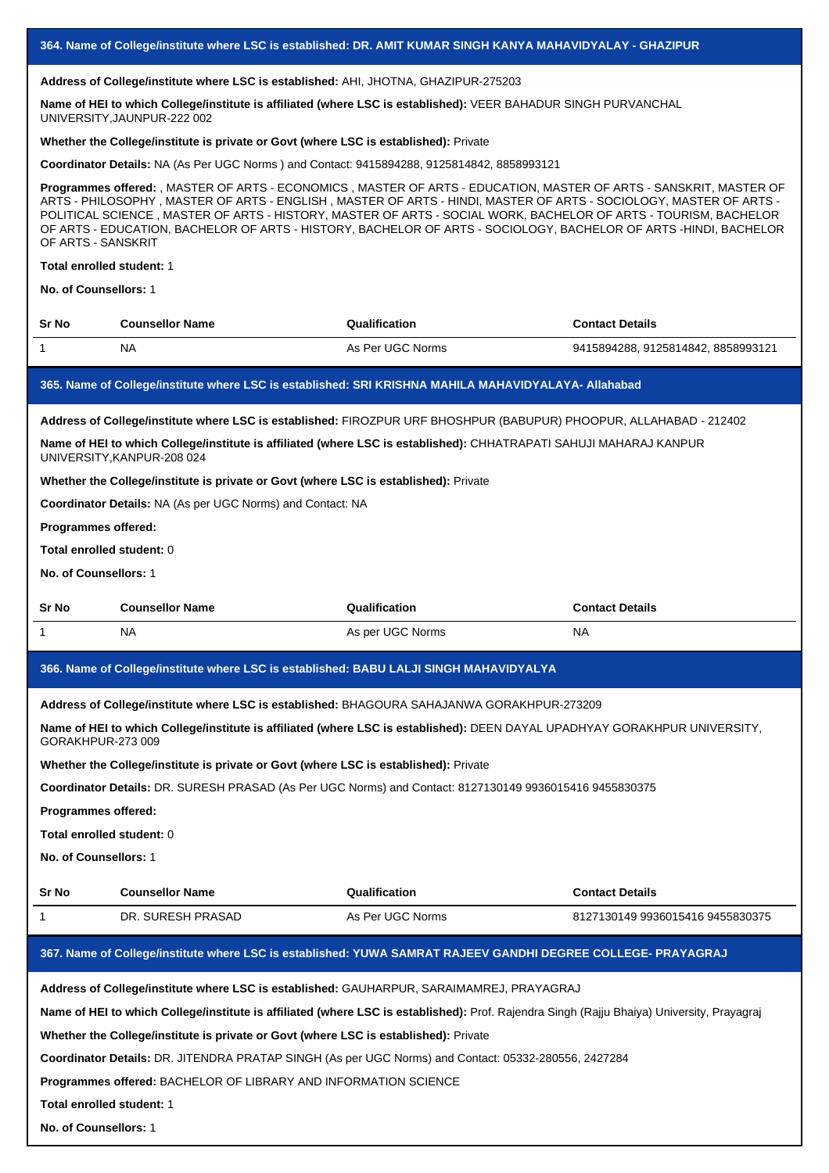#### **Address of College/institute where LSC is established:** AHI, JHOTNA, GHAZIPUR-275203

**Name of HEI to which College/institute is affiliated (where LSC is established):** VEER BAHADUR SINGH PURVANCHAL UNIVERSITY,JAUNPUR-222 002

# **Whether the College/institute is private or Govt (where LSC is established):** Private

**Coordinator Details:** NA (As Per UGC Norms ) and Contact: 9415894288, 9125814842, 8858993121

**Programmes offered:** , MASTER OF ARTS - ECONOMICS , MASTER OF ARTS - EDUCATION, MASTER OF ARTS - SANSKRIT, MASTER OF ARTS - PHILOSOPHY , MASTER OF ARTS - ENGLISH , MASTER OF ARTS - HINDI, MASTER OF ARTS - SOCIOLOGY, MASTER OF ARTS - POLITICAL SCIENCE , MASTER OF ARTS - HISTORY, MASTER OF ARTS - SOCIAL WORK, BACHELOR OF ARTS - TOURISM, BACHELOR OF ARTS - EDUCATION, BACHELOR OF ARTS - HISTORY, BACHELOR OF ARTS - SOCIOLOGY, BACHELOR OF ARTS -HINDI, BACHELOR OF ARTS - SANSKRIT

## **Total enrolled student:** 1

**No. of Counsellors:** 1

| Sr No | <b>Counsellor Name</b> | Qualification                                                                                        | <b>Contact Details</b>           |
|-------|------------------------|------------------------------------------------------------------------------------------------------|----------------------------------|
|       | NA                     | As Per UGC Norms                                                                                     | 9415894288.9125814842.8858993121 |
|       |                        | 165. Name of College/institute where LSC is established: SRI KRISHNA MAHILA MAHAVIDYALAYA- Allahabad |                                  |

# **Address of College/institute where LSC is established:** FIROZPUR URF BHOSHPUR (BABUPUR) PHOOPUR, ALLAHABAD - 212402

**Name of HEI to which College/institute is affiliated (where LSC is established):** CHHATRAPATI SAHUJI MAHARAJ KANPUR UNIVERSITY,KANPUR-208 024

#### **Whether the College/institute is private or Govt (where LSC is established):** Private

**Coordinator Details:** NA (As per UGC Norms) and Contact: NA

## **Programmes offered:**

#### **Total enrolled student:** 0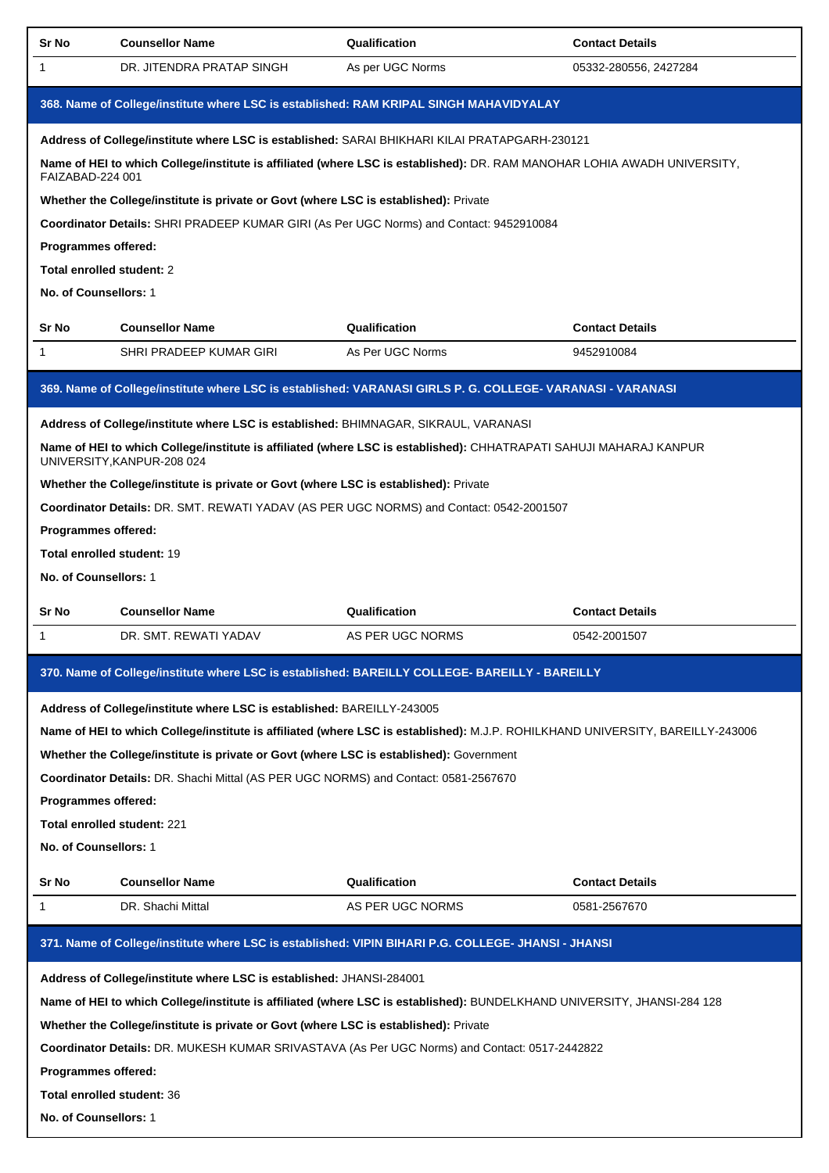| Sr No                             | <b>Counsellor Name</b>                                                                                                                           | Qualification    | <b>Contact Details</b> |
|-----------------------------------|--------------------------------------------------------------------------------------------------------------------------------------------------|------------------|------------------------|
| 1                                 | DR. JITENDRA PRATAP SINGH                                                                                                                        | As per UGC Norms | 05332-280556, 2427284  |
|                                   | 368. Name of College/institute where LSC is established: RAM KRIPAL SINGH MAHAVIDYALAY                                                           |                  |                        |
|                                   | Address of College/institute where LSC is established: SARAI BHIKHARI KILAI PRATAPGARH-230121                                                    |                  |                        |
| FAIZABAD-224 001                  | Name of HEI to which College/institute is affiliated (where LSC is established): DR. RAM MANOHAR LOHIA AWADH UNIVERSITY,                         |                  |                        |
|                                   | Whether the College/institute is private or Govt (where LSC is established): Private                                                             |                  |                        |
|                                   | Coordinator Details: SHRI PRADEEP KUMAR GIRI (As Per UGC Norms) and Contact: 9452910084                                                          |                  |                        |
| Programmes offered:               |                                                                                                                                                  |                  |                        |
| Total enrolled student: 2         |                                                                                                                                                  |                  |                        |
| No. of Counsellors: 1             |                                                                                                                                                  |                  |                        |
| Sr No                             | <b>Counsellor Name</b>                                                                                                                           | Qualification    | <b>Contact Details</b> |
| 1                                 | SHRI PRADEEP KUMAR GIRI                                                                                                                          | As Per UGC Norms | 9452910084             |
|                                   | 369. Name of College/institute where LSC is established: VARANASI GIRLS P. G. COLLEGE- VARANASI - VARANASI                                       |                  |                        |
|                                   | Address of College/institute where LSC is established: BHIMNAGAR, SIKRAUL, VARANASI                                                              |                  |                        |
|                                   | Name of HEI to which College/institute is affiliated (where LSC is established): CHHATRAPATI SAHUJI MAHARAJ KANPUR<br>UNIVERSITY, KANPUR-208 024 |                  |                        |
|                                   | Whether the College/institute is private or Govt (where LSC is established): Private                                                             |                  |                        |
|                                   | Coordinator Details: DR. SMT. REWATI YADAV (AS PER UGC NORMS) and Contact: 0542-2001507                                                          |                  |                        |
| Programmes offered:               |                                                                                                                                                  |                  |                        |
| <b>Total enrolled student: 19</b> |                                                                                                                                                  |                  |                        |
| No. of Counsellors: 1             |                                                                                                                                                  |                  |                        |
|                                   |                                                                                                                                                  |                  |                        |
| Sr No                             | <b>Counsellor Name</b>                                                                                                                           | Qualification    | <b>Contact Details</b> |
| 1                                 | DR. SMT. REWATI YADAV                                                                                                                            | AS PER UGC NORMS | 0542-2001507           |
|                                   | 370. Name of College/institute where LSC is established: BAREILLY COLLEGE- BAREILLY - BAREILLY                                                   |                  |                        |
|                                   | Address of College/institute where LSC is established: BAREILLY-243005                                                                           |                  |                        |
|                                   | Name of HEI to which College/institute is affiliated (where LSC is established): M.J.P. ROHILKHAND UNIVERSITY, BAREILLY-243006                   |                  |                        |
|                                   | Whether the College/institute is private or Govt (where LSC is established): Government                                                          |                  |                        |
|                                   | <b>Coordinator Details: DR. Shachi Mittal (AS PER UGC NORMS) and Contact: 0581-2567670</b>                                                       |                  |                        |
| Programmes offered:               |                                                                                                                                                  |                  |                        |
|                                   | Total enrolled student: 221                                                                                                                      |                  |                        |
| No. of Counsellors: 1             |                                                                                                                                                  |                  |                        |
| Sr No                             | <b>Counsellor Name</b>                                                                                                                           | Qualification    | <b>Contact Details</b> |
| 1                                 | DR. Shachi Mittal                                                                                                                                | AS PER UGC NORMS | 0581-2567670           |
|                                   | 371. Name of College/institute where LSC is established: VIPIN BIHARI P.G. COLLEGE- JHANSI - JHANSI                                              |                  |                        |
|                                   |                                                                                                                                                  |                  |                        |
|                                   | Address of College/institute where LSC is established: JHANSI-284001                                                                             |                  |                        |
|                                   | Name of HEI to which College/institute is affiliated (where LSC is established): BUNDELKHAND UNIVERSITY, JHANSI-284 128                          |                  |                        |
|                                   | Whether the College/institute is private or Govt (where LSC is established): Private                                                             |                  |                        |
| <b>Programmes offered:</b>        | Coordinator Details: DR. MUKESH KUMAR SRIVASTAVA (As Per UGC Norms) and Contact: 0517-2442822                                                    |                  |                        |
| Total enrolled student: 36        |                                                                                                                                                  |                  |                        |
| No. of Counsellors: 1             |                                                                                                                                                  |                  |                        |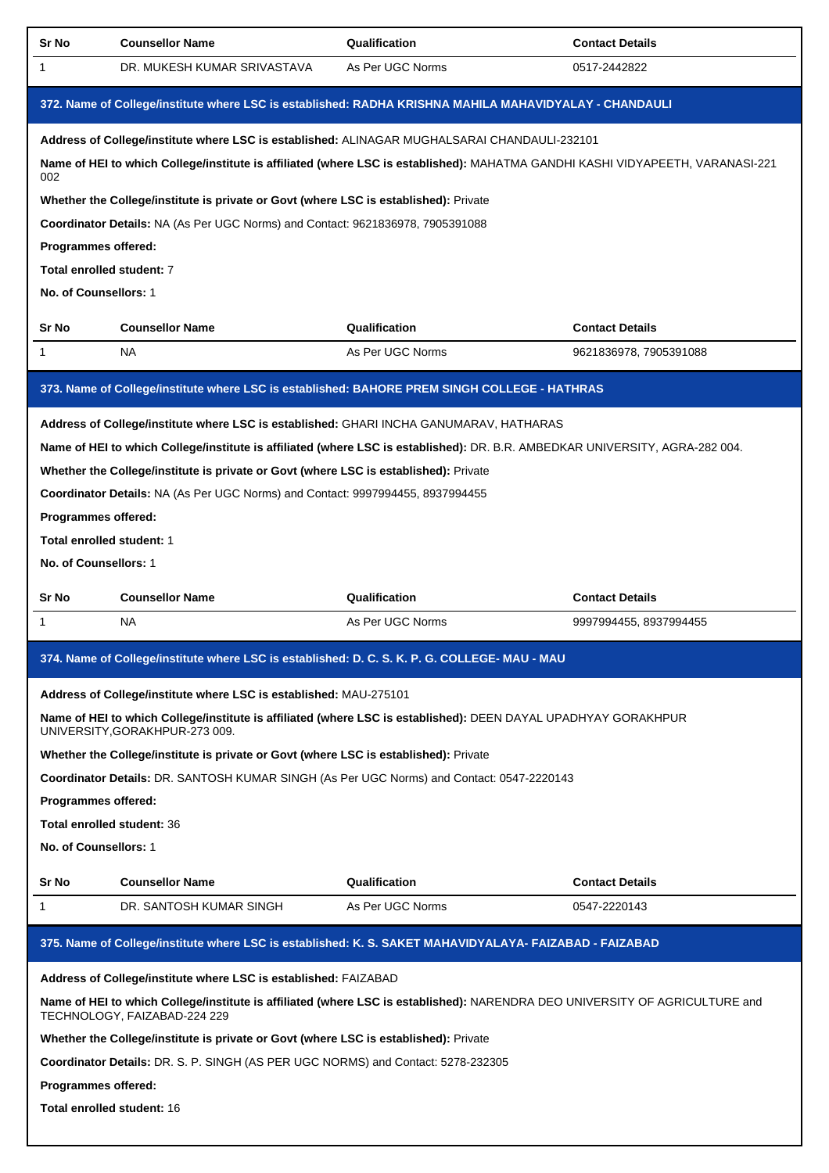| Sr No                      | <b>Counsellor Name</b>                                                               | Qualification                                                                                                                  | <b>Contact Details</b> |
|----------------------------|--------------------------------------------------------------------------------------|--------------------------------------------------------------------------------------------------------------------------------|------------------------|
| 1                          | DR. MUKESH KUMAR SRIVASTAVA                                                          | As Per UGC Norms                                                                                                               | 0517-2442822           |
|                            |                                                                                      | 372. Name of College/institute where LSC is established: RADHA KRISHNA MAHILA MAHAVIDYALAY - CHANDAULI                         |                        |
|                            |                                                                                      | Address of College/institute where LSC is established: ALINAGAR MUGHALSARAI CHANDAULI-232101                                   |                        |
| 002                        |                                                                                      | Name of HEI to which College/institute is affiliated (where LSC is established): MAHATMA GANDHI KASHI VIDYAPEETH, VARANASI-221 |                        |
|                            | Whether the College/institute is private or Govt (where LSC is established): Private |                                                                                                                                |                        |
|                            | Coordinator Details: NA (As Per UGC Norms) and Contact: 9621836978, 7905391088       |                                                                                                                                |                        |
| Programmes offered:        |                                                                                      |                                                                                                                                |                        |
| Total enrolled student: 7  |                                                                                      |                                                                                                                                |                        |
| No. of Counsellors: 1      |                                                                                      |                                                                                                                                |                        |
| Sr No                      | <b>Counsellor Name</b>                                                               | Qualification                                                                                                                  | <b>Contact Details</b> |
| 1                          | <b>NA</b>                                                                            | As Per UGC Norms                                                                                                               | 9621836978, 7905391088 |
|                            |                                                                                      | 373. Name of College/institute where LSC is established: BAHORE PREM SINGH COLLEGE - HATHRAS                                   |                        |
|                            |                                                                                      | Address of College/institute where LSC is established: GHARI INCHA GANUMARAV, HATHARAS                                         |                        |
|                            |                                                                                      | Name of HEI to which College/institute is affiliated (where LSC is established): DR. B.R. AMBEDKAR UNIVERSITY, AGRA-282 004.   |                        |
|                            | Whether the College/institute is private or Govt (where LSC is established): Private |                                                                                                                                |                        |
|                            | Coordinator Details: NA (As Per UGC Norms) and Contact: 9997994455, 8937994455       |                                                                                                                                |                        |
| Programmes offered:        |                                                                                      |                                                                                                                                |                        |
| Total enrolled student: 1  |                                                                                      |                                                                                                                                |                        |
| No. of Counsellors: 1      |                                                                                      |                                                                                                                                |                        |
|                            | <b>Counsellor Name</b>                                                               | Qualification                                                                                                                  | <b>Contact Details</b> |
| Sr No                      |                                                                                      |                                                                                                                                |                        |
| 1                          | NA                                                                                   | As Per UGC Norms                                                                                                               | 9997994455, 8937994455 |
|                            |                                                                                      | 374. Name of College/institute where LSC is established: D. C. S. K. P. G. COLLEGE- MAU - MAU                                  |                        |
|                            | Address of College/institute where LSC is established: MAU-275101                    |                                                                                                                                |                        |
|                            | UNIVERSITY, GORAKHPUR-273 009.                                                       | Name of HEI to which College/institute is affiliated (where LSC is established): DEEN DAYAL UPADHYAY GORAKHPUR                 |                        |
|                            | Whether the College/institute is private or Govt (where LSC is established): Private |                                                                                                                                |                        |
|                            |                                                                                      | Coordinator Details: DR. SANTOSH KUMAR SINGH (As Per UGC Norms) and Contact: 0547-2220143                                      |                        |
| Programmes offered:        |                                                                                      |                                                                                                                                |                        |
| Total enrolled student: 36 |                                                                                      |                                                                                                                                |                        |
| No. of Counsellors: 1      |                                                                                      |                                                                                                                                |                        |
| Sr No                      | <b>Counsellor Name</b>                                                               | Qualification                                                                                                                  | <b>Contact Details</b> |
| 1                          | DR. SANTOSH KUMAR SINGH                                                              | As Per UGC Norms                                                                                                               | 0547-2220143           |
|                            |                                                                                      | 375. Name of College/institute where LSC is established: K. S. SAKET MAHAVIDYALAYA- FAIZABAD - FAIZABAD                        |                        |
|                            | Address of College/institute where LSC is established: FAIZABAD                      |                                                                                                                                |                        |
|                            | TECHNOLOGY, FAIZABAD-224 229                                                         | Name of HEI to which College/institute is affiliated (where LSC is established): NARENDRA DEO UNIVERSITY OF AGRICULTURE and    |                        |
|                            | Whether the College/institute is private or Govt (where LSC is established): Private |                                                                                                                                |                        |
|                            | Coordinator Details: DR. S. P. SINGH (AS PER UGC NORMS) and Contact: 5278-232305     |                                                                                                                                |                        |
| Programmes offered:        |                                                                                      |                                                                                                                                |                        |
| Total enrolled student: 16 |                                                                                      |                                                                                                                                |                        |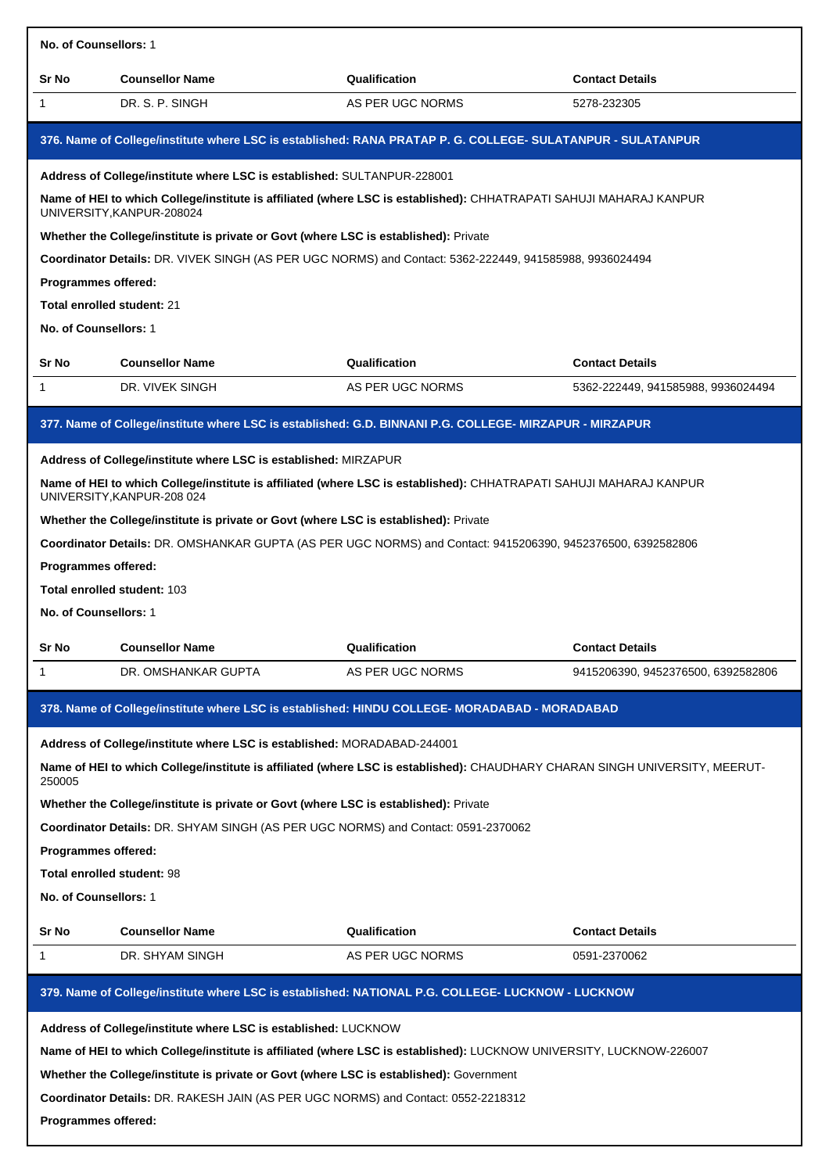|                                                                                                                                                                                                                                                                                                                                                                                                                                                                             | No. of Counsellors: 1                                                                                                                                                                                                                                                                                                                                                                                                                                                                                            |                                                                                                             |                                    |  |  |
|-----------------------------------------------------------------------------------------------------------------------------------------------------------------------------------------------------------------------------------------------------------------------------------------------------------------------------------------------------------------------------------------------------------------------------------------------------------------------------|------------------------------------------------------------------------------------------------------------------------------------------------------------------------------------------------------------------------------------------------------------------------------------------------------------------------------------------------------------------------------------------------------------------------------------------------------------------------------------------------------------------|-------------------------------------------------------------------------------------------------------------|------------------------------------|--|--|
| Sr No                                                                                                                                                                                                                                                                                                                                                                                                                                                                       | <b>Counsellor Name</b>                                                                                                                                                                                                                                                                                                                                                                                                                                                                                           | Qualification                                                                                               | <b>Contact Details</b>             |  |  |
| 1                                                                                                                                                                                                                                                                                                                                                                                                                                                                           | DR. S. P. SINGH                                                                                                                                                                                                                                                                                                                                                                                                                                                                                                  | AS PER UGC NORMS                                                                                            | 5278-232305                        |  |  |
|                                                                                                                                                                                                                                                                                                                                                                                                                                                                             |                                                                                                                                                                                                                                                                                                                                                                                                                                                                                                                  | 376. Name of College/institute where LSC is established: RANA PRATAP P. G. COLLEGE- SULATANPUR - SULATANPUR |                                    |  |  |
| Address of College/institute where LSC is established: SULTANPUR-228001<br>Name of HEI to which College/institute is affiliated (where LSC is established): CHHATRAPATI SAHUJI MAHARAJ KANPUR<br>UNIVERSITY, KANPUR-208024<br>Whether the College/institute is private or Govt (where LSC is established): Private                                                                                                                                                          |                                                                                                                                                                                                                                                                                                                                                                                                                                                                                                                  |                                                                                                             |                                    |  |  |
| Programmes offered:<br><b>Total enrolled student: 21</b><br>No. of Counsellors: 1                                                                                                                                                                                                                                                                                                                                                                                           |                                                                                                                                                                                                                                                                                                                                                                                                                                                                                                                  | Coordinator Details: DR. VIVEK SINGH (AS PER UGC NORMS) and Contact: 5362-222449, 941585988, 9936024494     |                                    |  |  |
| Sr No                                                                                                                                                                                                                                                                                                                                                                                                                                                                       | <b>Counsellor Name</b>                                                                                                                                                                                                                                                                                                                                                                                                                                                                                           | Qualification                                                                                               | <b>Contact Details</b>             |  |  |
| 1                                                                                                                                                                                                                                                                                                                                                                                                                                                                           | DR. VIVEK SINGH                                                                                                                                                                                                                                                                                                                                                                                                                                                                                                  | AS PER UGC NORMS                                                                                            | 5362-222449, 941585988, 9936024494 |  |  |
|                                                                                                                                                                                                                                                                                                                                                                                                                                                                             |                                                                                                                                                                                                                                                                                                                                                                                                                                                                                                                  | 377. Name of College/institute where LSC is established: G.D. BINNANI P.G. COLLEGE- MIRZAPUR - MIRZAPUR     |                                    |  |  |
|                                                                                                                                                                                                                                                                                                                                                                                                                                                                             | Address of College/institute where LSC is established: MIRZAPUR<br>Name of HEI to which College/institute is affiliated (where LSC is established): CHHATRAPATI SAHUJI MAHARAJ KANPUR<br>UNIVERSITY, KANPUR-208 024<br>Whether the College/institute is private or Govt (where LSC is established): Private<br>Coordinator Details: DR. OMSHANKAR GUPTA (AS PER UGC NORMS) and Contact: 9415206390, 9452376500, 6392582806<br>Programmes offered:<br><b>Total enrolled student: 103</b><br>No. of Counsellors: 1 |                                                                                                             |                                    |  |  |
| Sr No                                                                                                                                                                                                                                                                                                                                                                                                                                                                       | <b>Counsellor Name</b>                                                                                                                                                                                                                                                                                                                                                                                                                                                                                           | Qualification                                                                                               | <b>Contact Details</b>             |  |  |
| 1                                                                                                                                                                                                                                                                                                                                                                                                                                                                           | DR. OMSHANKAR GUPTA                                                                                                                                                                                                                                                                                                                                                                                                                                                                                              | AS PER UGC NORMS                                                                                            | 9415206390, 9452376500, 6392582806 |  |  |
|                                                                                                                                                                                                                                                                                                                                                                                                                                                                             |                                                                                                                                                                                                                                                                                                                                                                                                                                                                                                                  | 378. Name of College/institute where LSC is established: HINDU COLLEGE- MORADABAD - MORADABAD               |                                    |  |  |
| Address of College/institute where LSC is established: MORADABAD-244001<br>Name of HEI to which College/institute is affiliated (where LSC is established): CHAUDHARY CHARAN SINGH UNIVERSITY, MEERUT-<br>250005<br>Whether the College/institute is private or Govt (where LSC is established): Private<br>Coordinator Details: DR. SHYAM SINGH (AS PER UGC NORMS) and Contact: 0591-2370062<br>Programmes offered:<br>Total enrolled student: 98<br>No. of Counsellors: 1 |                                                                                                                                                                                                                                                                                                                                                                                                                                                                                                                  |                                                                                                             |                                    |  |  |
| Sr No                                                                                                                                                                                                                                                                                                                                                                                                                                                                       | <b>Counsellor Name</b>                                                                                                                                                                                                                                                                                                                                                                                                                                                                                           | Qualification                                                                                               | <b>Contact Details</b>             |  |  |
| 1                                                                                                                                                                                                                                                                                                                                                                                                                                                                           | DR. SHYAM SINGH                                                                                                                                                                                                                                                                                                                                                                                                                                                                                                  | AS PER UGC NORMS                                                                                            | 0591-2370062                       |  |  |
|                                                                                                                                                                                                                                                                                                                                                                                                                                                                             |                                                                                                                                                                                                                                                                                                                                                                                                                                                                                                                  | 379. Name of College/institute where LSC is established: NATIONAL P.G. COLLEGE- LUCKNOW - LUCKNOW           |                                    |  |  |
| Address of College/institute where LSC is established: LUCKNOW<br>Name of HEI to which College/institute is affiliated (where LSC is established): LUCKNOW UNIVERSITY, LUCKNOW-226007<br>Whether the College/institute is private or Govt (where LSC is established): Government<br>Coordinator Details: DR. RAKESH JAIN (AS PER UGC NORMS) and Contact: 0552-2218312<br>Programmes offered:                                                                                |                                                                                                                                                                                                                                                                                                                                                                                                                                                                                                                  |                                                                                                             |                                    |  |  |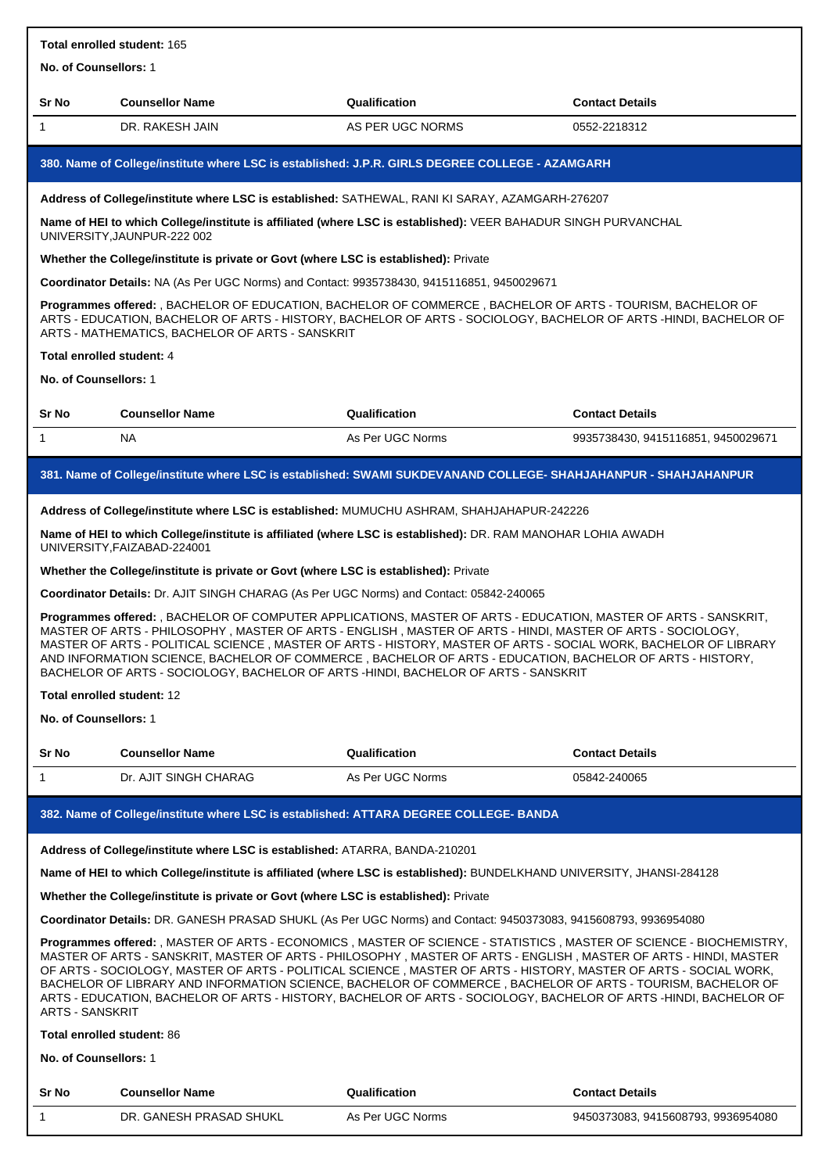| Total enrolled student: 165                                                                                                                                                                                                                                                                                                                                                                                                                                                                                                                                                                                               |                                                                                                                                                                                                                                                                                                                                                                                                                                                                                                                                                     |                  |                                    |  |
|---------------------------------------------------------------------------------------------------------------------------------------------------------------------------------------------------------------------------------------------------------------------------------------------------------------------------------------------------------------------------------------------------------------------------------------------------------------------------------------------------------------------------------------------------------------------------------------------------------------------------|-----------------------------------------------------------------------------------------------------------------------------------------------------------------------------------------------------------------------------------------------------------------------------------------------------------------------------------------------------------------------------------------------------------------------------------------------------------------------------------------------------------------------------------------------------|------------------|------------------------------------|--|
| No. of Counsellors: 1                                                                                                                                                                                                                                                                                                                                                                                                                                                                                                                                                                                                     |                                                                                                                                                                                                                                                                                                                                                                                                                                                                                                                                                     |                  |                                    |  |
| Sr No                                                                                                                                                                                                                                                                                                                                                                                                                                                                                                                                                                                                                     | <b>Counsellor Name</b>                                                                                                                                                                                                                                                                                                                                                                                                                                                                                                                              | Qualification    | <b>Contact Details</b>             |  |
| $\mathbf{1}$                                                                                                                                                                                                                                                                                                                                                                                                                                                                                                                                                                                                              | DR. RAKESH JAIN                                                                                                                                                                                                                                                                                                                                                                                                                                                                                                                                     | AS PER UGC NORMS | 0552-2218312                       |  |
|                                                                                                                                                                                                                                                                                                                                                                                                                                                                                                                                                                                                                           | 380. Name of College/institute where LSC is established: J.P.R. GIRLS DEGREE COLLEGE - AZAMGARH                                                                                                                                                                                                                                                                                                                                                                                                                                                     |                  |                                    |  |
|                                                                                                                                                                                                                                                                                                                                                                                                                                                                                                                                                                                                                           | Address of College/institute where LSC is established: SATHEWAL, RANI KI SARAY, AZAMGARH-276207                                                                                                                                                                                                                                                                                                                                                                                                                                                     |                  |                                    |  |
|                                                                                                                                                                                                                                                                                                                                                                                                                                                                                                                                                                                                                           | Name of HEI to which College/institute is affiliated (where LSC is established): VEER BAHADUR SINGH PURVANCHAL<br>UNIVERSITY, JAUNPUR-222 002                                                                                                                                                                                                                                                                                                                                                                                                       |                  |                                    |  |
|                                                                                                                                                                                                                                                                                                                                                                                                                                                                                                                                                                                                                           | Whether the College/institute is private or Govt (where LSC is established): Private                                                                                                                                                                                                                                                                                                                                                                                                                                                                |                  |                                    |  |
|                                                                                                                                                                                                                                                                                                                                                                                                                                                                                                                                                                                                                           | Coordinator Details: NA (As Per UGC Norms) and Contact: 9935738430, 9415116851, 9450029671                                                                                                                                                                                                                                                                                                                                                                                                                                                          |                  |                                    |  |
|                                                                                                                                                                                                                                                                                                                                                                                                                                                                                                                                                                                                                           | Programmes offered: , BACHELOR OF EDUCATION, BACHELOR OF COMMERCE, BACHELOR OF ARTS - TOURISM, BACHELOR OF<br>ARTS - EDUCATION, BACHELOR OF ARTS - HISTORY, BACHELOR OF ARTS - SOCIOLOGY, BACHELOR OF ARTS -HINDI, BACHELOR OF<br>ARTS - MATHEMATICS, BACHELOR OF ARTS - SANSKRIT                                                                                                                                                                                                                                                                   |                  |                                    |  |
| Total enrolled student: 4                                                                                                                                                                                                                                                                                                                                                                                                                                                                                                                                                                                                 |                                                                                                                                                                                                                                                                                                                                                                                                                                                                                                                                                     |                  |                                    |  |
| No. of Counsellors: 1                                                                                                                                                                                                                                                                                                                                                                                                                                                                                                                                                                                                     |                                                                                                                                                                                                                                                                                                                                                                                                                                                                                                                                                     |                  |                                    |  |
| Sr No                                                                                                                                                                                                                                                                                                                                                                                                                                                                                                                                                                                                                     | <b>Counsellor Name</b>                                                                                                                                                                                                                                                                                                                                                                                                                                                                                                                              | Qualification    | <b>Contact Details</b>             |  |
| $\mathbf{1}$                                                                                                                                                                                                                                                                                                                                                                                                                                                                                                                                                                                                              | <b>NA</b>                                                                                                                                                                                                                                                                                                                                                                                                                                                                                                                                           | As Per UGC Norms | 9935738430, 9415116851, 9450029671 |  |
|                                                                                                                                                                                                                                                                                                                                                                                                                                                                                                                                                                                                                           | 381. Name of College/institute where LSC is established: SWAMI SUKDEVANAND COLLEGE- SHAHJAHANPUR - SHAHJAHANPUR                                                                                                                                                                                                                                                                                                                                                                                                                                     |                  |                                    |  |
|                                                                                                                                                                                                                                                                                                                                                                                                                                                                                                                                                                                                                           | Address of College/institute where LSC is established: MUMUCHU ASHRAM, SHAHJAHAPUR-242226                                                                                                                                                                                                                                                                                                                                                                                                                                                           |                  |                                    |  |
|                                                                                                                                                                                                                                                                                                                                                                                                                                                                                                                                                                                                                           | Name of HEI to which College/institute is affiliated (where LSC is established): DR. RAM MANOHAR LOHIA AWADH<br>UNIVERSITY, FAIZABAD-224001                                                                                                                                                                                                                                                                                                                                                                                                         |                  |                                    |  |
|                                                                                                                                                                                                                                                                                                                                                                                                                                                                                                                                                                                                                           | Whether the College/institute is private or Govt (where LSC is established): Private                                                                                                                                                                                                                                                                                                                                                                                                                                                                |                  |                                    |  |
|                                                                                                                                                                                                                                                                                                                                                                                                                                                                                                                                                                                                                           | Coordinator Details: Dr. AJIT SINGH CHARAG (As Per UGC Norms) and Contact: 05842-240065                                                                                                                                                                                                                                                                                                                                                                                                                                                             |                  |                                    |  |
|                                                                                                                                                                                                                                                                                                                                                                                                                                                                                                                                                                                                                           | Programmes offered: , BACHELOR OF COMPUTER APPLICATIONS, MASTER OF ARTS - EDUCATION, MASTER OF ARTS - SANSKRIT,<br>MASTER OF ARTS - PHILOSOPHY, MASTER OF ARTS - ENGLISH, MASTER OF ARTS - HINDI, MASTER OF ARTS - SOCIOLOGY,<br>MASTER OF ARTS - POLITICAL SCIENCE, MASTER OF ARTS - HISTORY, MASTER OF ARTS - SOCIAL WORK, BACHELOR OF LIBRARY<br>AND INFORMATION SCIENCE, BACHELOR OF COMMERCE , BACHELOR OF ARTS - EDUCATION, BACHELOR OF ARTS - HISTORY,<br>BACHELOR OF ARTS - SOCIOLOGY, BACHELOR OF ARTS -HINDI, BACHELOR OF ARTS - SANSKRIT |                  |                                    |  |
| Total enrolled student: 12                                                                                                                                                                                                                                                                                                                                                                                                                                                                                                                                                                                                |                                                                                                                                                                                                                                                                                                                                                                                                                                                                                                                                                     |                  |                                    |  |
| No. of Counsellors: 1                                                                                                                                                                                                                                                                                                                                                                                                                                                                                                                                                                                                     |                                                                                                                                                                                                                                                                                                                                                                                                                                                                                                                                                     |                  |                                    |  |
| Sr No                                                                                                                                                                                                                                                                                                                                                                                                                                                                                                                                                                                                                     | <b>Counsellor Name</b>                                                                                                                                                                                                                                                                                                                                                                                                                                                                                                                              | Qualification    | <b>Contact Details</b>             |  |
| $\mathbf{1}$                                                                                                                                                                                                                                                                                                                                                                                                                                                                                                                                                                                                              | Dr. AJIT SINGH CHARAG                                                                                                                                                                                                                                                                                                                                                                                                                                                                                                                               | As Per UGC Norms | 05842-240065                       |  |
|                                                                                                                                                                                                                                                                                                                                                                                                                                                                                                                                                                                                                           | 382. Name of College/institute where LSC is established: ATTARA DEGREE COLLEGE- BANDA                                                                                                                                                                                                                                                                                                                                                                                                                                                               |                  |                                    |  |
|                                                                                                                                                                                                                                                                                                                                                                                                                                                                                                                                                                                                                           | Address of College/institute where LSC is established: ATARRA, BANDA-210201                                                                                                                                                                                                                                                                                                                                                                                                                                                                         |                  |                                    |  |
|                                                                                                                                                                                                                                                                                                                                                                                                                                                                                                                                                                                                                           | Name of HEI to which College/institute is affiliated (where LSC is established): BUNDELKHAND UNIVERSITY, JHANSI-284128                                                                                                                                                                                                                                                                                                                                                                                                                              |                  |                                    |  |
|                                                                                                                                                                                                                                                                                                                                                                                                                                                                                                                                                                                                                           | Whether the College/institute is private or Govt (where LSC is established): Private                                                                                                                                                                                                                                                                                                                                                                                                                                                                |                  |                                    |  |
| Coordinator Details: DR. GANESH PRASAD SHUKL (As Per UGC Norms) and Contact: 9450373083, 9415608793, 9936954080                                                                                                                                                                                                                                                                                                                                                                                                                                                                                                           |                                                                                                                                                                                                                                                                                                                                                                                                                                                                                                                                                     |                  |                                    |  |
| Programmes offered: , MASTER OF ARTS - ECONOMICS , MASTER OF SCIENCE - STATISTICS , MASTER OF SCIENCE - BIOCHEMISTRY,<br>MASTER OF ARTS - SANSKRIT, MASTER OF ARTS - PHILOSOPHY, MASTER OF ARTS - ENGLISH, MASTER OF ARTS - HINDI, MASTER<br>OF ARTS - SOCIOLOGY, MASTER OF ARTS - POLITICAL SCIENCE, MASTER OF ARTS - HISTORY, MASTER OF ARTS - SOCIAL WORK,<br>BACHELOR OF LIBRARY AND INFORMATION SCIENCE, BACHELOR OF COMMERCE, BACHELOR OF ARTS - TOURISM, BACHELOR OF<br>ARTS - EDUCATION, BACHELOR OF ARTS - HISTORY, BACHELOR OF ARTS - SOCIOLOGY, BACHELOR OF ARTS -HINDI, BACHELOR OF<br><b>ARTS - SANSKRIT</b> |                                                                                                                                                                                                                                                                                                                                                                                                                                                                                                                                                     |                  |                                    |  |
| Total enrolled student: 86                                                                                                                                                                                                                                                                                                                                                                                                                                                                                                                                                                                                |                                                                                                                                                                                                                                                                                                                                                                                                                                                                                                                                                     |                  |                                    |  |
| No. of Counsellors: 1                                                                                                                                                                                                                                                                                                                                                                                                                                                                                                                                                                                                     |                                                                                                                                                                                                                                                                                                                                                                                                                                                                                                                                                     |                  |                                    |  |
| Sr No                                                                                                                                                                                                                                                                                                                                                                                                                                                                                                                                                                                                                     | <b>Counsellor Name</b>                                                                                                                                                                                                                                                                                                                                                                                                                                                                                                                              | Qualification    | <b>Contact Details</b>             |  |

| GANESH PRASAD SHUKL<br>DR. | Norm.<br>. Per<br>UC-10<br>As | .9936954080<br>.9415608793.<br>9450373083. |
|----------------------------|-------------------------------|--------------------------------------------|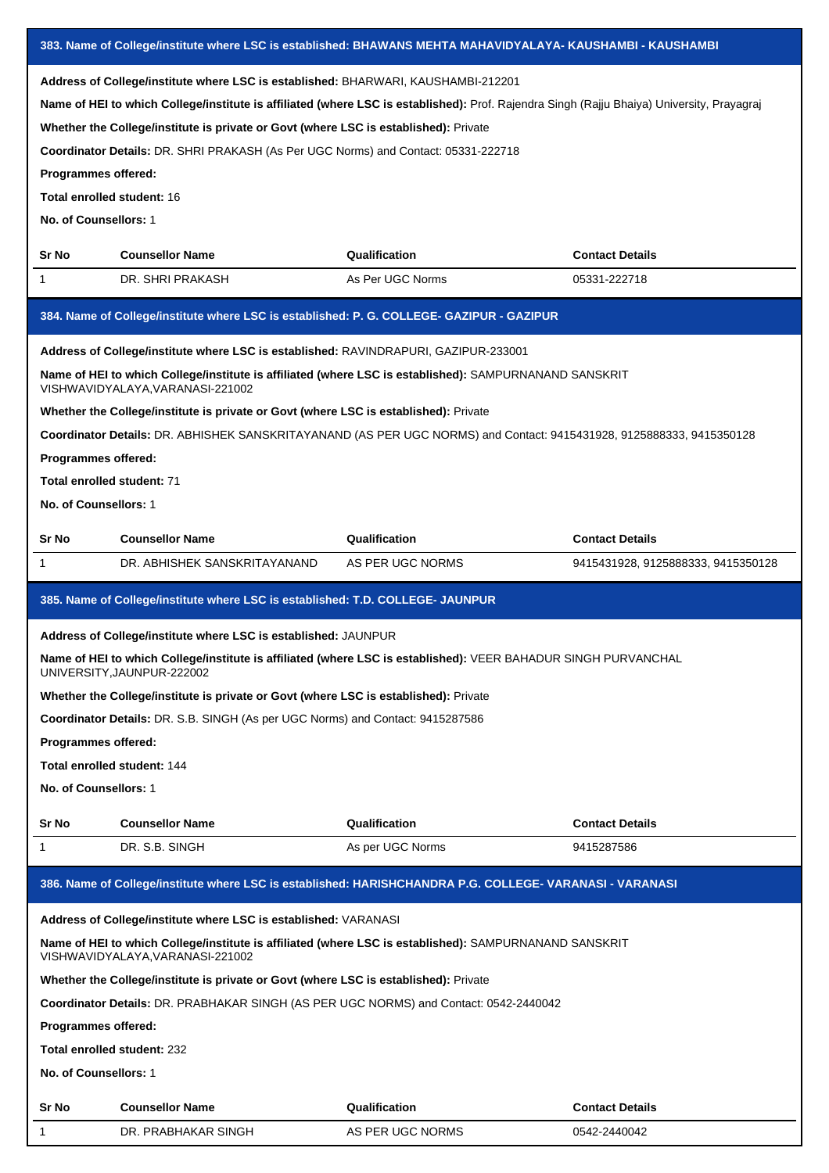|                                                                                                                                                                                                                                                                                                                                                                                                                                                                                             | 383. Name of College/institute where LSC is established: BHAWANS MEHTA MAHAVIDYALAYA- KAUSHAMBI - KAUSHAMBI                                  |                  |                                    |  |  |
|---------------------------------------------------------------------------------------------------------------------------------------------------------------------------------------------------------------------------------------------------------------------------------------------------------------------------------------------------------------------------------------------------------------------------------------------------------------------------------------------|----------------------------------------------------------------------------------------------------------------------------------------------|------------------|------------------------------------|--|--|
| Address of College/institute where LSC is established: BHARWARI, KAUSHAMBI-212201<br>Name of HEI to which College/institute is affiliated (where LSC is established): Prof. Rajendra Singh (Rajju Bhaiya) University, Prayagraj<br>Whether the College/institute is private or Govt (where LSC is established): Private<br>Coordinator Details: DR. SHRI PRAKASH (As Per UGC Norms) and Contact: 05331-222718<br>Programmes offered:<br>Total enrolled student: 16<br>No. of Counsellors: 1 |                                                                                                                                              |                  |                                    |  |  |
| Sr No                                                                                                                                                                                                                                                                                                                                                                                                                                                                                       | <b>Counsellor Name</b>                                                                                                                       | Qualification    | <b>Contact Details</b>             |  |  |
| 1                                                                                                                                                                                                                                                                                                                                                                                                                                                                                           | DR. SHRI PRAKASH                                                                                                                             | As Per UGC Norms | 05331-222718                       |  |  |
|                                                                                                                                                                                                                                                                                                                                                                                                                                                                                             | 384. Name of College/institute where LSC is established: P. G. COLLEGE- GAZIPUR - GAZIPUR                                                    |                  |                                    |  |  |
|                                                                                                                                                                                                                                                                                                                                                                                                                                                                                             | Address of College/institute where LSC is established: RAVINDRAPURI, GAZIPUR-233001                                                          |                  |                                    |  |  |
|                                                                                                                                                                                                                                                                                                                                                                                                                                                                                             | Name of HEI to which College/institute is affiliated (where LSC is established): SAMPURNANAND SANSKRIT<br>VISHWAVIDYALAYA, VARANASI-221002   |                  |                                    |  |  |
|                                                                                                                                                                                                                                                                                                                                                                                                                                                                                             | Whether the College/institute is private or Govt (where LSC is established): Private                                                         |                  |                                    |  |  |
| Programmes offered:<br>Total enrolled student: 71<br>No. of Counsellors: 1                                                                                                                                                                                                                                                                                                                                                                                                                  | Coordinator Details: DR. ABHISHEK SANSKRITAYANAND (AS PER UGC NORMS) and Contact: 9415431928, 9125888333, 9415350128                         |                  |                                    |  |  |
| Sr No                                                                                                                                                                                                                                                                                                                                                                                                                                                                                       | <b>Counsellor Name</b>                                                                                                                       | Qualification    | <b>Contact Details</b>             |  |  |
| 1                                                                                                                                                                                                                                                                                                                                                                                                                                                                                           | DR. ABHISHEK SANSKRITAYANAND                                                                                                                 | AS PER UGC NORMS | 9415431928, 9125888333, 9415350128 |  |  |
|                                                                                                                                                                                                                                                                                                                                                                                                                                                                                             | 385. Name of College/institute where LSC is established: T.D. COLLEGE- JAUNPUR                                                               |                  |                                    |  |  |
|                                                                                                                                                                                                                                                                                                                                                                                                                                                                                             | Address of College/institute where LSC is established: JAUNPUR                                                                               |                  |                                    |  |  |
|                                                                                                                                                                                                                                                                                                                                                                                                                                                                                             | Name of HEI to which College/institute is affiliated (where LSC is established): VEER BAHADUR SINGH PURVANCHAL<br>UNIVERSITY, JAUNPUR-222002 |                  |                                    |  |  |
|                                                                                                                                                                                                                                                                                                                                                                                                                                                                                             | Whether the College/institute is private or Govt (where LSC is established): Private                                                         |                  |                                    |  |  |
|                                                                                                                                                                                                                                                                                                                                                                                                                                                                                             | Coordinator Details: DR. S.B. SINGH (As per UGC Norms) and Contact: 9415287586                                                               |                  |                                    |  |  |
| Programmes offered:                                                                                                                                                                                                                                                                                                                                                                                                                                                                         |                                                                                                                                              |                  |                                    |  |  |
| <b>Total enrolled student: 144</b>                                                                                                                                                                                                                                                                                                                                                                                                                                                          |                                                                                                                                              |                  |                                    |  |  |
| No. of Counsellors: 1                                                                                                                                                                                                                                                                                                                                                                                                                                                                       |                                                                                                                                              |                  |                                    |  |  |
| Sr No                                                                                                                                                                                                                                                                                                                                                                                                                                                                                       | <b>Counsellor Name</b>                                                                                                                       | Qualification    | <b>Contact Details</b>             |  |  |
| 1                                                                                                                                                                                                                                                                                                                                                                                                                                                                                           | DR. S.B. SINGH                                                                                                                               | As per UGC Norms | 9415287586                         |  |  |
|                                                                                                                                                                                                                                                                                                                                                                                                                                                                                             | 386. Name of College/institute where LSC is established: HARISHCHANDRA P.G. COLLEGE- VARANASI - VARANASI                                     |                  |                                    |  |  |
|                                                                                                                                                                                                                                                                                                                                                                                                                                                                                             | Address of College/institute where LSC is established: VARANASI                                                                              |                  |                                    |  |  |
|                                                                                                                                                                                                                                                                                                                                                                                                                                                                                             | Name of HEI to which College/institute is affiliated (where LSC is established): SAMPURNANAND SANSKRIT<br>VISHWAVIDYALAYA, VARANASI-221002   |                  |                                    |  |  |
|                                                                                                                                                                                                                                                                                                                                                                                                                                                                                             | Whether the College/institute is private or Govt (where LSC is established): Private                                                         |                  |                                    |  |  |
|                                                                                                                                                                                                                                                                                                                                                                                                                                                                                             | Coordinator Details: DR. PRABHAKAR SINGH (AS PER UGC NORMS) and Contact: 0542-2440042                                                        |                  |                                    |  |  |
| Programmes offered:                                                                                                                                                                                                                                                                                                                                                                                                                                                                         |                                                                                                                                              |                  |                                    |  |  |
| <b>Total enrolled student: 232</b>                                                                                                                                                                                                                                                                                                                                                                                                                                                          |                                                                                                                                              |                  |                                    |  |  |
| No. of Counsellors: 1                                                                                                                                                                                                                                                                                                                                                                                                                                                                       |                                                                                                                                              |                  |                                    |  |  |
| Sr No                                                                                                                                                                                                                                                                                                                                                                                                                                                                                       | <b>Counsellor Name</b>                                                                                                                       | Qualification    | <b>Contact Details</b>             |  |  |
| 1                                                                                                                                                                                                                                                                                                                                                                                                                                                                                           | DR. PRABHAKAR SINGH                                                                                                                          | AS PER UGC NORMS | 0542-2440042                       |  |  |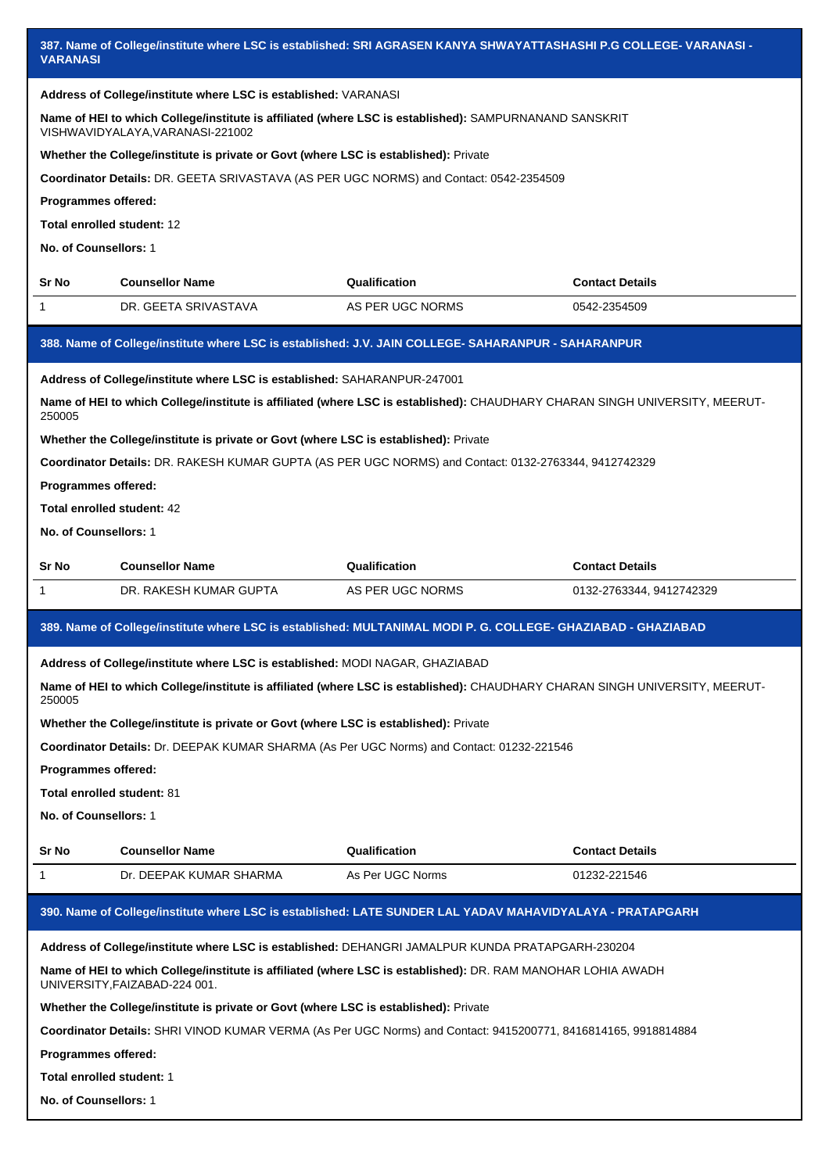|                                                                                                                             | 387. Name of College/institute where LSC is established: SRI AGRASEN KANYA SHWAYATTASHASHI P.G COLLEGE- VARANASI -<br><b>VARANASI</b> |                                                                                                                             |                          |  |  |  |
|-----------------------------------------------------------------------------------------------------------------------------|---------------------------------------------------------------------------------------------------------------------------------------|-----------------------------------------------------------------------------------------------------------------------------|--------------------------|--|--|--|
|                                                                                                                             | Address of College/institute where LSC is established: VARANASI                                                                       |                                                                                                                             |                          |  |  |  |
|                                                                                                                             | VISHWAVIDYALAYA, VARANASI-221002                                                                                                      | Name of HEI to which College/institute is affiliated (where LSC is established): SAMPURNANAND SANSKRIT                      |                          |  |  |  |
|                                                                                                                             | Whether the College/institute is private or Govt (where LSC is established): Private                                                  |                                                                                                                             |                          |  |  |  |
|                                                                                                                             |                                                                                                                                       | Coordinator Details: DR. GEETA SRIVASTAVA (AS PER UGC NORMS) and Contact: 0542-2354509                                      |                          |  |  |  |
| Programmes offered:                                                                                                         |                                                                                                                                       |                                                                                                                             |                          |  |  |  |
| Total enrolled student: 12                                                                                                  |                                                                                                                                       |                                                                                                                             |                          |  |  |  |
| No. of Counsellors: 1                                                                                                       |                                                                                                                                       |                                                                                                                             |                          |  |  |  |
| Sr No                                                                                                                       | <b>Counsellor Name</b>                                                                                                                | Qualification                                                                                                               | <b>Contact Details</b>   |  |  |  |
| 1                                                                                                                           | DR. GEETA SRIVASTAVA                                                                                                                  | AS PER UGC NORMS                                                                                                            | 0542-2354509             |  |  |  |
|                                                                                                                             |                                                                                                                                       | 388. Name of College/institute where LSC is established: J.V. JAIN COLLEGE- SAHARANPUR - SAHARANPUR                         |                          |  |  |  |
|                                                                                                                             | Address of College/institute where LSC is established: SAHARANPUR-247001                                                              |                                                                                                                             |                          |  |  |  |
| 250005                                                                                                                      |                                                                                                                                       | Name of HEI to which College/institute is affiliated (where LSC is established): CHAUDHARY CHARAN SINGH UNIVERSITY, MEERUT- |                          |  |  |  |
|                                                                                                                             | Whether the College/institute is private or Govt (where LSC is established): Private                                                  |                                                                                                                             |                          |  |  |  |
|                                                                                                                             |                                                                                                                                       | Coordinator Details: DR. RAKESH KUMAR GUPTA (AS PER UGC NORMS) and Contact: 0132-2763344, 9412742329                        |                          |  |  |  |
| Programmes offered:                                                                                                         |                                                                                                                                       |                                                                                                                             |                          |  |  |  |
| Total enrolled student: 42                                                                                                  |                                                                                                                                       |                                                                                                                             |                          |  |  |  |
| No. of Counsellors: 1                                                                                                       |                                                                                                                                       |                                                                                                                             |                          |  |  |  |
| Sr No                                                                                                                       | <b>Counsellor Name</b>                                                                                                                | Qualification                                                                                                               | <b>Contact Details</b>   |  |  |  |
| 1                                                                                                                           | DR. RAKESH KUMAR GUPTA                                                                                                                | AS PER UGC NORMS                                                                                                            | 0132-2763344, 9412742329 |  |  |  |
|                                                                                                                             |                                                                                                                                       | 389. Name of College/institute where LSC is established: MULTANIMAL MODI P. G. COLLEGE- GHAZIABAD - GHAZIABAD               |                          |  |  |  |
|                                                                                                                             | Address of College/institute where LSC is established: MODI NAGAR, GHAZIABAD                                                          |                                                                                                                             |                          |  |  |  |
| Name of HEI to which College/institute is affiliated (where LSC is established): CHAUDHARY CHARAN SINGH UNIVERSITY, MEERUT- |                                                                                                                                       |                                                                                                                             |                          |  |  |  |
| 250005                                                                                                                      |                                                                                                                                       | Whether the College/institute is private or Govt (where LSC is established): Private                                        |                          |  |  |  |
|                                                                                                                             |                                                                                                                                       |                                                                                                                             |                          |  |  |  |
|                                                                                                                             |                                                                                                                                       | Coordinator Details: Dr. DEEPAK KUMAR SHARMA (As Per UGC Norms) and Contact: 01232-221546                                   |                          |  |  |  |
| Programmes offered:                                                                                                         |                                                                                                                                       |                                                                                                                             |                          |  |  |  |
| Total enrolled student: 81                                                                                                  |                                                                                                                                       |                                                                                                                             |                          |  |  |  |
| No. of Counsellors: 1                                                                                                       |                                                                                                                                       |                                                                                                                             |                          |  |  |  |
| Sr No                                                                                                                       | <b>Counsellor Name</b>                                                                                                                | Qualification                                                                                                               | <b>Contact Details</b>   |  |  |  |
| 1                                                                                                                           | Dr. DEEPAK KUMAR SHARMA                                                                                                               | As Per UGC Norms                                                                                                            | 01232-221546             |  |  |  |
|                                                                                                                             |                                                                                                                                       | 390. Name of College/institute where LSC is established: LATE SUNDER LAL YADAV MAHAVIDYALAYA - PRATAPGARH                   |                          |  |  |  |
|                                                                                                                             |                                                                                                                                       | Address of College/institute where LSC is established: DEHANGRI JAMALPUR KUNDA PRATAPGARH-230204                            |                          |  |  |  |
|                                                                                                                             | UNIVERSITY, FAIZABAD-224 001.                                                                                                         | Name of HEI to which College/institute is affiliated (where LSC is established): DR. RAM MANOHAR LOHIA AWADH                |                          |  |  |  |
|                                                                                                                             | Whether the College/institute is private or Govt (where LSC is established): Private                                                  |                                                                                                                             |                          |  |  |  |
|                                                                                                                             |                                                                                                                                       | Coordinator Details: SHRI VINOD KUMAR VERMA (As Per UGC Norms) and Contact: 9415200771, 8416814165, 9918814884              |                          |  |  |  |
| Programmes offered:                                                                                                         |                                                                                                                                       |                                                                                                                             |                          |  |  |  |
| Total enrolled student: 1                                                                                                   |                                                                                                                                       |                                                                                                                             |                          |  |  |  |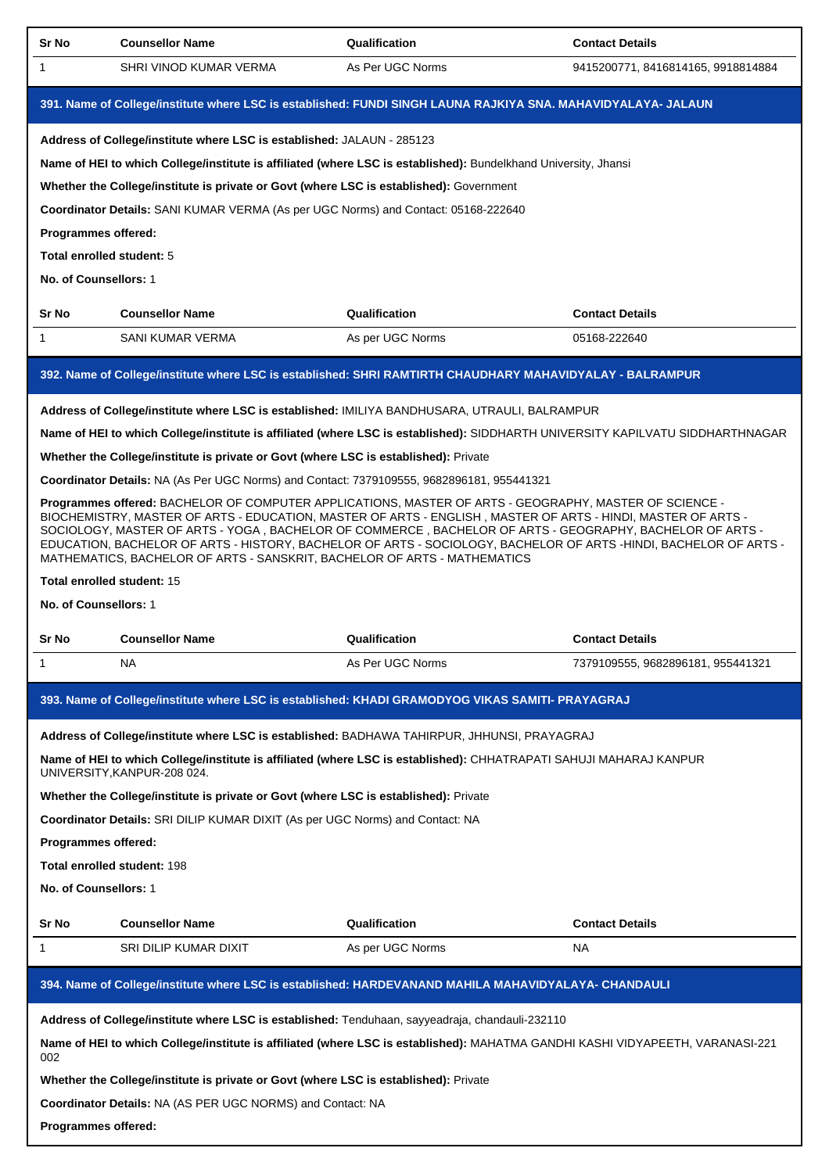| <b>Sr No</b>                                               | <b>Counsellor Name</b>                                                                                                                                                                                                                                                                                                                                                                                                                                                                                                             | Qualification    | <b>Contact Details</b>             |  |  |
|------------------------------------------------------------|------------------------------------------------------------------------------------------------------------------------------------------------------------------------------------------------------------------------------------------------------------------------------------------------------------------------------------------------------------------------------------------------------------------------------------------------------------------------------------------------------------------------------------|------------------|------------------------------------|--|--|
| 1                                                          | SHRI VINOD KUMAR VERMA                                                                                                                                                                                                                                                                                                                                                                                                                                                                                                             | As Per UGC Norms | 9415200771, 8416814165, 9918814884 |  |  |
|                                                            | 391. Name of College/institute where LSC is established: FUNDI SINGH LAUNA RAJKIYA SNA. MAHAVIDYALAYA- JALAUN                                                                                                                                                                                                                                                                                                                                                                                                                      |                  |                                    |  |  |
|                                                            | Address of College/institute where LSC is established: JALAUN - 285123                                                                                                                                                                                                                                                                                                                                                                                                                                                             |                  |                                    |  |  |
|                                                            | Name of HEI to which College/institute is affiliated (where LSC is established): Bundelkhand University, Jhansi                                                                                                                                                                                                                                                                                                                                                                                                                    |                  |                                    |  |  |
|                                                            | Whether the College/institute is private or Govt (where LSC is established): Government                                                                                                                                                                                                                                                                                                                                                                                                                                            |                  |                                    |  |  |
|                                                            | Coordinator Details: SANI KUMAR VERMA (As per UGC Norms) and Contact: 05168-222640                                                                                                                                                                                                                                                                                                                                                                                                                                                 |                  |                                    |  |  |
| <b>Programmes offered:</b>                                 |                                                                                                                                                                                                                                                                                                                                                                                                                                                                                                                                    |                  |                                    |  |  |
| Total enrolled student: 5                                  |                                                                                                                                                                                                                                                                                                                                                                                                                                                                                                                                    |                  |                                    |  |  |
| No. of Counsellors: 1                                      |                                                                                                                                                                                                                                                                                                                                                                                                                                                                                                                                    |                  |                                    |  |  |
| Sr No                                                      | <b>Counsellor Name</b>                                                                                                                                                                                                                                                                                                                                                                                                                                                                                                             | Qualification    | <b>Contact Details</b>             |  |  |
| 1                                                          | SANI KUMAR VERMA                                                                                                                                                                                                                                                                                                                                                                                                                                                                                                                   | As per UGC Norms | 05168-222640                       |  |  |
|                                                            | 392. Name of College/institute where LSC is established: SHRI RAMTIRTH CHAUDHARY MAHAVIDYALAY - BALRAMPUR                                                                                                                                                                                                                                                                                                                                                                                                                          |                  |                                    |  |  |
|                                                            | Address of College/institute where LSC is established: IMILIYA BANDHUSARA, UTRAULI, BALRAMPUR                                                                                                                                                                                                                                                                                                                                                                                                                                      |                  |                                    |  |  |
|                                                            | Name of HEI to which College/institute is affiliated (where LSC is established): SIDDHARTH UNIVERSITY KAPILVATU SIDDHARTHNAGAR                                                                                                                                                                                                                                                                                                                                                                                                     |                  |                                    |  |  |
|                                                            | Whether the College/institute is private or Govt (where LSC is established): Private                                                                                                                                                                                                                                                                                                                                                                                                                                               |                  |                                    |  |  |
|                                                            | Coordinator Details: NA (As Per UGC Norms) and Contact: 7379109555, 9682896181, 955441321                                                                                                                                                                                                                                                                                                                                                                                                                                          |                  |                                    |  |  |
|                                                            | Programmes offered: BACHELOR OF COMPUTER APPLICATIONS, MASTER OF ARTS - GEOGRAPHY, MASTER OF SCIENCE -<br>BIOCHEMISTRY, MASTER OF ARTS - EDUCATION, MASTER OF ARTS - ENGLISH, MASTER OF ARTS - HINDI, MASTER OF ARTS -<br>SOCIOLOGY, MASTER OF ARTS - YOGA, BACHELOR OF COMMERCE, BACHELOR OF ARTS - GEOGRAPHY, BACHELOR OF ARTS -<br>EDUCATION, BACHELOR OF ARTS - HISTORY, BACHELOR OF ARTS - SOCIOLOGY, BACHELOR OF ARTS -HINDI, BACHELOR OF ARTS -<br>MATHEMATICS, BACHELOR OF ARTS - SANSKRIT, BACHELOR OF ARTS - MATHEMATICS |                  |                                    |  |  |
| Total enrolled student: 15                                 |                                                                                                                                                                                                                                                                                                                                                                                                                                                                                                                                    |                  |                                    |  |  |
| No. of Counsellors: 1                                      |                                                                                                                                                                                                                                                                                                                                                                                                                                                                                                                                    |                  |                                    |  |  |
| Sr No                                                      | <b>Counsellor Name</b>                                                                                                                                                                                                                                                                                                                                                                                                                                                                                                             | Qualification    | <b>Contact Details</b>             |  |  |
| $\mathbf{1}$                                               | NA                                                                                                                                                                                                                                                                                                                                                                                                                                                                                                                                 | As Per UGC Norms | 7379109555, 9682896181, 955441321  |  |  |
|                                                            | 393. Name of College/institute where LSC is established: KHADI GRAMODYOG VIKAS SAMITI- PRAYAGRAJ                                                                                                                                                                                                                                                                                                                                                                                                                                   |                  |                                    |  |  |
|                                                            |                                                                                                                                                                                                                                                                                                                                                                                                                                                                                                                                    |                  |                                    |  |  |
|                                                            | Address of College/institute where LSC is established: BADHAWA TAHIRPUR, JHHUNSI, PRAYAGRAJ                                                                                                                                                                                                                                                                                                                                                                                                                                        |                  |                                    |  |  |
|                                                            | Name of HEI to which College/institute is affiliated (where LSC is established): CHHATRAPATI SAHUJI MAHARAJ KANPUR<br>UNIVERSITY, KANPUR-208 024.                                                                                                                                                                                                                                                                                                                                                                                  |                  |                                    |  |  |
|                                                            | Whether the College/institute is private or Govt (where LSC is established): Private                                                                                                                                                                                                                                                                                                                                                                                                                                               |                  |                                    |  |  |
|                                                            | Coordinator Details: SRI DILIP KUMAR DIXIT (As per UGC Norms) and Contact: NA                                                                                                                                                                                                                                                                                                                                                                                                                                                      |                  |                                    |  |  |
| Programmes offered:                                        |                                                                                                                                                                                                                                                                                                                                                                                                                                                                                                                                    |                  |                                    |  |  |
| Total enrolled student: 198                                |                                                                                                                                                                                                                                                                                                                                                                                                                                                                                                                                    |                  |                                    |  |  |
| No. of Counsellors: 1                                      |                                                                                                                                                                                                                                                                                                                                                                                                                                                                                                                                    |                  |                                    |  |  |
| Sr No                                                      | <b>Counsellor Name</b>                                                                                                                                                                                                                                                                                                                                                                                                                                                                                                             | Qualification    | <b>Contact Details</b>             |  |  |
| 1                                                          | SRI DILIP KUMAR DIXIT                                                                                                                                                                                                                                                                                                                                                                                                                                                                                                              | As per UGC Norms | NA.                                |  |  |
|                                                            | 394. Name of College/institute where LSC is established: HARDEVANAND MAHILA MAHAVIDYALAYA- CHANDAULI                                                                                                                                                                                                                                                                                                                                                                                                                               |                  |                                    |  |  |
|                                                            | Address of College/institute where LSC is established: Tenduhaan, sayyeadraja, chandauli-232110                                                                                                                                                                                                                                                                                                                                                                                                                                    |                  |                                    |  |  |
| 002                                                        | Name of HEI to which College/institute is affiliated (where LSC is established): MAHATMA GANDHI KASHI VIDYAPEETH, VARANASI-221                                                                                                                                                                                                                                                                                                                                                                                                     |                  |                                    |  |  |
|                                                            | Whether the College/institute is private or Govt (where LSC is established): Private                                                                                                                                                                                                                                                                                                                                                                                                                                               |                  |                                    |  |  |
| Coordinator Details: NA (AS PER UGC NORMS) and Contact: NA |                                                                                                                                                                                                                                                                                                                                                                                                                                                                                                                                    |                  |                                    |  |  |
|                                                            | Programmes offered:                                                                                                                                                                                                                                                                                                                                                                                                                                                                                                                |                  |                                    |  |  |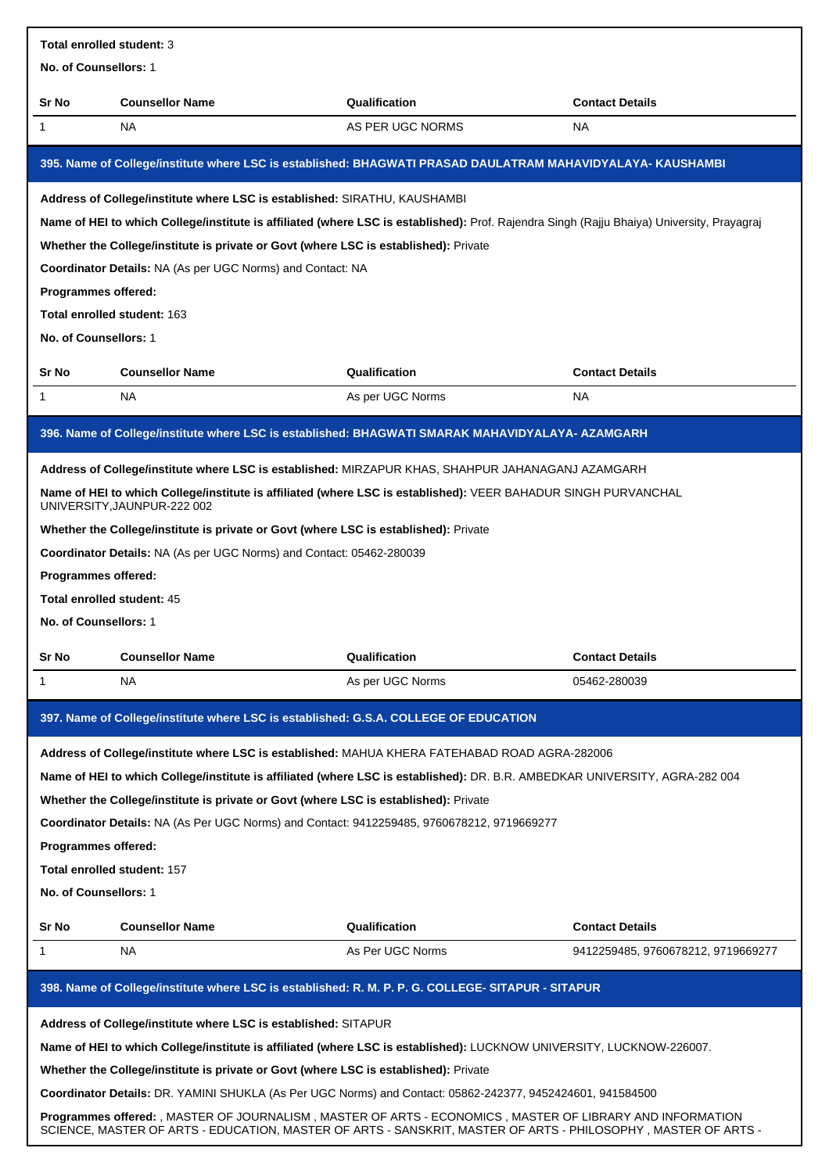| <b>Total enrolled student: 3</b>                                                                                                                                                                                             |                                                                                                                                               |                  |                                    |  |
|------------------------------------------------------------------------------------------------------------------------------------------------------------------------------------------------------------------------------|-----------------------------------------------------------------------------------------------------------------------------------------------|------------------|------------------------------------|--|
| No. of Counsellors: 1                                                                                                                                                                                                        |                                                                                                                                               |                  |                                    |  |
| Sr No                                                                                                                                                                                                                        | <b>Counsellor Name</b>                                                                                                                        | Qualification    | <b>Contact Details</b>             |  |
| 1                                                                                                                                                                                                                            | NA.                                                                                                                                           | AS PER UGC NORMS | <b>NA</b>                          |  |
|                                                                                                                                                                                                                              | 395. Name of College/institute where LSC is established: BHAGWATI PRASAD DAULATRAM MAHAVIDYALAYA- KAUSHAMBI                                   |                  |                                    |  |
|                                                                                                                                                                                                                              | Address of College/institute where LSC is established: SIRATHU, KAUSHAMBI                                                                     |                  |                                    |  |
|                                                                                                                                                                                                                              | Name of HEI to which College/institute is affiliated (where LSC is established): Prof. Rajendra Singh (Rajju Bhaiya) University, Prayagraj    |                  |                                    |  |
|                                                                                                                                                                                                                              | Whether the College/institute is private or Govt (where LSC is established): Private                                                          |                  |                                    |  |
|                                                                                                                                                                                                                              | <b>Coordinator Details: NA (As per UGC Norms) and Contact: NA</b>                                                                             |                  |                                    |  |
| <b>Programmes offered:</b>                                                                                                                                                                                                   |                                                                                                                                               |                  |                                    |  |
|                                                                                                                                                                                                                              | Total enrolled student: 163                                                                                                                   |                  |                                    |  |
| No. of Counsellors: 1                                                                                                                                                                                                        |                                                                                                                                               |                  |                                    |  |
| Sr No                                                                                                                                                                                                                        | <b>Counsellor Name</b>                                                                                                                        | Qualification    | <b>Contact Details</b>             |  |
| 1                                                                                                                                                                                                                            | NA.                                                                                                                                           | As per UGC Norms | NA.                                |  |
|                                                                                                                                                                                                                              | 396. Name of College/institute where LSC is established: BHAGWATI SMARAK MAHAVIDYALAYA- AZAMGARH                                              |                  |                                    |  |
|                                                                                                                                                                                                                              | Address of College/institute where LSC is established: MIRZAPUR KHAS, SHAHPUR JAHANAGANJ AZAMGARH                                             |                  |                                    |  |
|                                                                                                                                                                                                                              | Name of HEI to which College/institute is affiliated (where LSC is established): VEER BAHADUR SINGH PURVANCHAL<br>UNIVERSITY, JAUNPUR-222 002 |                  |                                    |  |
|                                                                                                                                                                                                                              | Whether the College/institute is private or Govt (where LSC is established): Private                                                          |                  |                                    |  |
|                                                                                                                                                                                                                              | Coordinator Details: NA (As per UGC Norms) and Contact: 05462-280039                                                                          |                  |                                    |  |
| Programmes offered:                                                                                                                                                                                                          |                                                                                                                                               |                  |                                    |  |
| Total enrolled student: 45                                                                                                                                                                                                   |                                                                                                                                               |                  |                                    |  |
| No. of Counsellors: 1                                                                                                                                                                                                        |                                                                                                                                               |                  |                                    |  |
| Sr No                                                                                                                                                                                                                        | <b>Counsellor Name</b>                                                                                                                        | Qualification    | <b>Contact Details</b>             |  |
| 1                                                                                                                                                                                                                            | NA.                                                                                                                                           | As per UGC Norms | 05462-280039                       |  |
|                                                                                                                                                                                                                              | 397. Name of College/institute where LSC is established: G.S.A. COLLEGE OF EDUCATION                                                          |                  |                                    |  |
|                                                                                                                                                                                                                              | Address of College/institute where LSC is established: MAHUA KHERA FATEHABAD ROAD AGRA-282006                                                 |                  |                                    |  |
|                                                                                                                                                                                                                              | Name of HEI to which College/institute is affiliated (where LSC is established): DR. B.R. AMBEDKAR UNIVERSITY, AGRA-282 004                   |                  |                                    |  |
|                                                                                                                                                                                                                              | Whether the College/institute is private or Govt (where LSC is established): Private                                                          |                  |                                    |  |
|                                                                                                                                                                                                                              | Coordinator Details: NA (As Per UGC Norms) and Contact: 9412259485, 9760678212, 9719669277                                                    |                  |                                    |  |
| Programmes offered:                                                                                                                                                                                                          |                                                                                                                                               |                  |                                    |  |
|                                                                                                                                                                                                                              | <b>Total enrolled student: 157</b>                                                                                                            |                  |                                    |  |
| No. of Counsellors: 1                                                                                                                                                                                                        |                                                                                                                                               |                  |                                    |  |
| Sr No                                                                                                                                                                                                                        | <b>Counsellor Name</b>                                                                                                                        | Qualification    | <b>Contact Details</b>             |  |
| 1                                                                                                                                                                                                                            | NA.                                                                                                                                           | As Per UGC Norms | 9412259485, 9760678212, 9719669277 |  |
|                                                                                                                                                                                                                              | 398. Name of College/institute where LSC is established: R. M. P. P. G. COLLEGE- SITAPUR - SITAPUR                                            |                  |                                    |  |
|                                                                                                                                                                                                                              | Address of College/institute where LSC is established: SITAPUR                                                                                |                  |                                    |  |
|                                                                                                                                                                                                                              | Name of HEI to which College/institute is affiliated (where LSC is established): LUCKNOW UNIVERSITY, LUCKNOW-226007.                          |                  |                                    |  |
|                                                                                                                                                                                                                              | Whether the College/institute is private or Govt (where LSC is established): Private                                                          |                  |                                    |  |
|                                                                                                                                                                                                                              | Coordinator Details: DR. YAMINI SHUKLA (As Per UGC Norms) and Contact: 05862-242377, 9452424601, 941584500                                    |                  |                                    |  |
| Programmes offered: , MASTER OF JOURNALISM , MASTER OF ARTS - ECONOMICS , MASTER OF LIBRARY AND INFORMATION<br>SCIENCE, MASTER OF ARTS - EDUCATION, MASTER OF ARTS - SANSKRIT, MASTER OF ARTS - PHILOSOPHY, MASTER OF ARTS - |                                                                                                                                               |                  |                                    |  |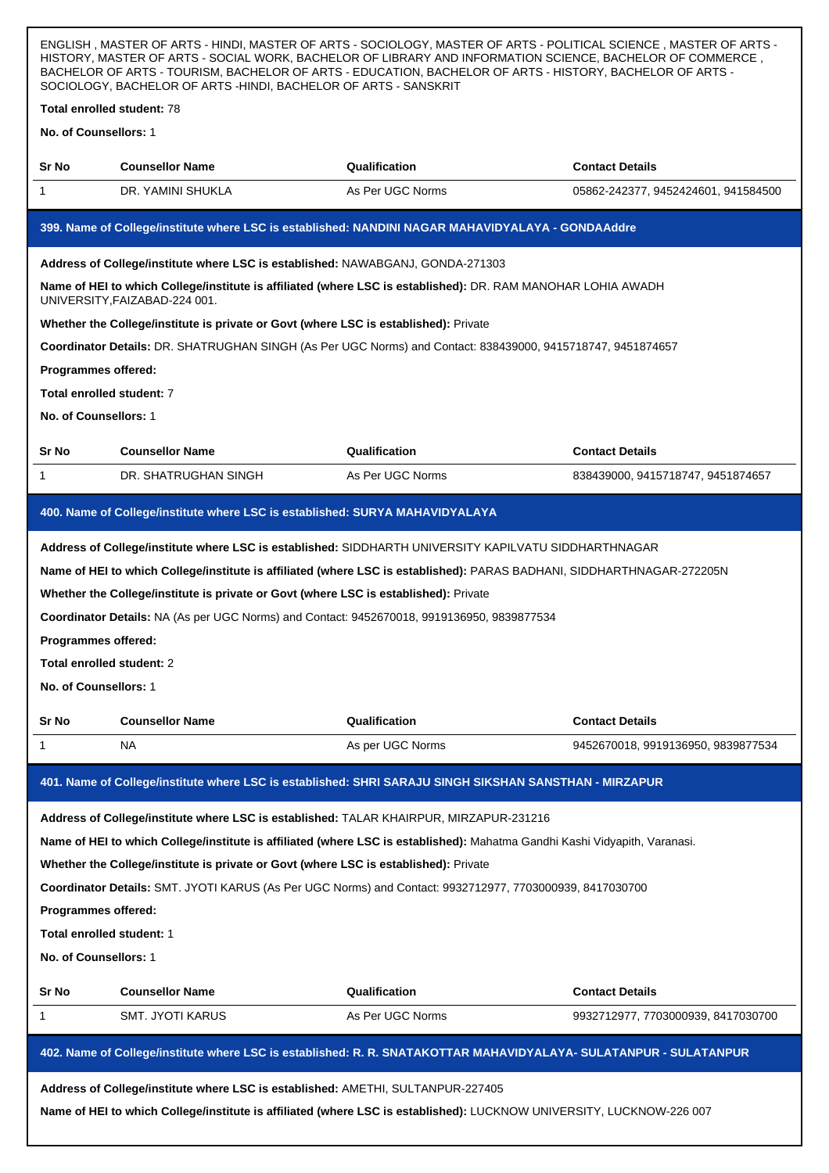| ENGLISH, MASTER OF ARTS - HINDI, MASTER OF ARTS - SOCIOLOGY, MASTER OF ARTS - POLITICAL SCIENCE, MASTER OF ARTS -<br>HISTORY, MASTER OF ARTS - SOCIAL WORK, BACHELOR OF LIBRARY AND INFORMATION SCIENCE, BACHELOR OF COMMERCE,<br>BACHELOR OF ARTS - TOURISM, BACHELOR OF ARTS - EDUCATION, BACHELOR OF ARTS - HISTORY, BACHELOR OF ARTS -<br>SOCIOLOGY, BACHELOR OF ARTS -HINDI, BACHELOR OF ARTS - SANSKRIT                                                                                         |                                                                                      |                                                                                                                   |                                     |  |
|-------------------------------------------------------------------------------------------------------------------------------------------------------------------------------------------------------------------------------------------------------------------------------------------------------------------------------------------------------------------------------------------------------------------------------------------------------------------------------------------------------|--------------------------------------------------------------------------------------|-------------------------------------------------------------------------------------------------------------------|-------------------------------------|--|
| Total enrolled student: 78                                                                                                                                                                                                                                                                                                                                                                                                                                                                            |                                                                                      |                                                                                                                   |                                     |  |
| No. of Counsellors: 1                                                                                                                                                                                                                                                                                                                                                                                                                                                                                 |                                                                                      |                                                                                                                   |                                     |  |
| Sr No                                                                                                                                                                                                                                                                                                                                                                                                                                                                                                 | <b>Counsellor Name</b>                                                               | Qualification                                                                                                     | <b>Contact Details</b>              |  |
| 1                                                                                                                                                                                                                                                                                                                                                                                                                                                                                                     | DR. YAMINI SHUKLA                                                                    | As Per UGC Norms                                                                                                  | 05862-242377, 9452424601, 941584500 |  |
|                                                                                                                                                                                                                                                                                                                                                                                                                                                                                                       |                                                                                      | 399. Name of College/institute where LSC is established: NANDINI NAGAR MAHAVIDYALAYA - GONDAAddre                 |                                     |  |
|                                                                                                                                                                                                                                                                                                                                                                                                                                                                                                       | Address of College/institute where LSC is established: NAWABGANJ, GONDA-271303       |                                                                                                                   |                                     |  |
|                                                                                                                                                                                                                                                                                                                                                                                                                                                                                                       | UNIVERSITY, FAIZABAD-224 001.                                                        | Name of HEI to which College/institute is affiliated (where LSC is established): DR. RAM MANOHAR LOHIA AWADH      |                                     |  |
|                                                                                                                                                                                                                                                                                                                                                                                                                                                                                                       | Whether the College/institute is private or Govt (where LSC is established): Private |                                                                                                                   |                                     |  |
|                                                                                                                                                                                                                                                                                                                                                                                                                                                                                                       |                                                                                      | Coordinator Details: DR. SHATRUGHAN SINGH (As Per UGC Norms) and Contact: 838439000, 9415718747, 9451874657       |                                     |  |
| Programmes offered:                                                                                                                                                                                                                                                                                                                                                                                                                                                                                   |                                                                                      |                                                                                                                   |                                     |  |
| Total enrolled student: 7                                                                                                                                                                                                                                                                                                                                                                                                                                                                             |                                                                                      |                                                                                                                   |                                     |  |
| No. of Counsellors: 1                                                                                                                                                                                                                                                                                                                                                                                                                                                                                 |                                                                                      |                                                                                                                   |                                     |  |
| Sr No                                                                                                                                                                                                                                                                                                                                                                                                                                                                                                 | <b>Counsellor Name</b>                                                               | Qualification                                                                                                     | <b>Contact Details</b>              |  |
| 1                                                                                                                                                                                                                                                                                                                                                                                                                                                                                                     | DR. SHATRUGHAN SINGH                                                                 | As Per UGC Norms                                                                                                  | 838439000, 9415718747, 9451874657   |  |
|                                                                                                                                                                                                                                                                                                                                                                                                                                                                                                       | 400. Name of College/institute where LSC is established: SURYA MAHAVIDYALAYA         |                                                                                                                   |                                     |  |
| Address of College/institute where LSC is established: SIDDHARTH UNIVERSITY KAPILVATU SIDDHARTHNAGAR<br>Name of HEI to which College/institute is affiliated (where LSC is established): PARAS BADHANI, SIDDHARTHNAGAR-272205N<br>Whether the College/institute is private or Govt (where LSC is established): Private<br>Coordinator Details: NA (As per UGC Norms) and Contact: 9452670018, 9919136950, 9839877534<br>Programmes offered:<br>Total enrolled student: 2<br>No. of Counsellors: 1     |                                                                                      |                                                                                                                   |                                     |  |
| Sr No                                                                                                                                                                                                                                                                                                                                                                                                                                                                                                 | <b>Counsellor Name</b>                                                               | Qualification                                                                                                     | <b>Contact Details</b>              |  |
| 1                                                                                                                                                                                                                                                                                                                                                                                                                                                                                                     | ΝA                                                                                   | As per UGC Norms                                                                                                  | 9452670018, 9919136950, 9839877534  |  |
|                                                                                                                                                                                                                                                                                                                                                                                                                                                                                                       |                                                                                      | 401. Name of College/institute where LSC is established: SHRI SARAJU SINGH SIKSHAN SANSTHAN - MIRZAPUR            |                                     |  |
| Address of College/institute where LSC is established: TALAR KHAIRPUR, MIRZAPUR-231216<br>Name of HEI to which College/institute is affiliated (where LSC is established): Mahatma Gandhi Kashi Vidyapith, Varanasi.<br>Whether the College/institute is private or Govt (where LSC is established): Private<br>Coordinator Details: SMT. JYOTI KARUS (As Per UGC Norms) and Contact: 9932712977, 7703000939, 8417030700<br>Programmes offered:<br>Total enrolled student: 1<br>No. of Counsellors: 1 |                                                                                      |                                                                                                                   |                                     |  |
| Sr No                                                                                                                                                                                                                                                                                                                                                                                                                                                                                                 | <b>Counsellor Name</b>                                                               | Qualification                                                                                                     | <b>Contact Details</b>              |  |
| 1                                                                                                                                                                                                                                                                                                                                                                                                                                                                                                     | SMT. JYOTI KARUS                                                                     | As Per UGC Norms                                                                                                  | 9932712977, 7703000939, 8417030700  |  |
|                                                                                                                                                                                                                                                                                                                                                                                                                                                                                                       |                                                                                      | 402. Name of College/institute where LSC is established: R. R. SNATAKOTTAR MAHAVIDYALAYA- SULATANPUR - SULATANPUR |                                     |  |
|                                                                                                                                                                                                                                                                                                                                                                                                                                                                                                       | Address of College/institute where LSC is established: AMETHI, SULTANPUR-227405      |                                                                                                                   |                                     |  |
| Name of HEI to which College/institute is affiliated (where LSC is established): LUCKNOW UNIVERSITY, LUCKNOW-226 007                                                                                                                                                                                                                                                                                                                                                                                  |                                                                                      |                                                                                                                   |                                     |  |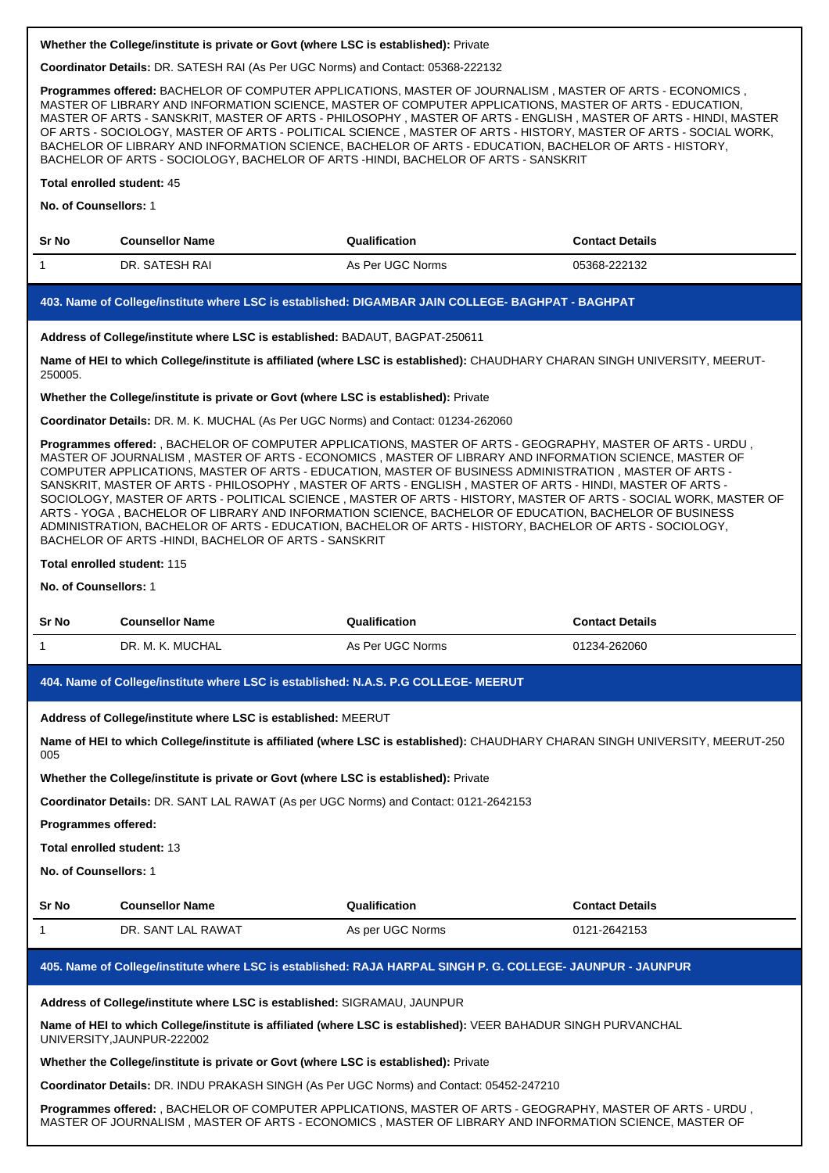**Coordinator Details:** DR. SATESH RAI (As Per UGC Norms) and Contact: 05368-222132

**Programmes offered:** BACHELOR OF COMPUTER APPLICATIONS, MASTER OF JOURNALISM , MASTER OF ARTS - ECONOMICS , MASTER OF LIBRARY AND INFORMATION SCIENCE, MASTER OF COMPUTER APPLICATIONS, MASTER OF ARTS - EDUCATION, MASTER OF ARTS - SANSKRIT, MASTER OF ARTS - PHILOSOPHY , MASTER OF ARTS - ENGLISH , MASTER OF ARTS - HINDI, MASTER OF ARTS - SOCIOLOGY, MASTER OF ARTS - POLITICAL SCIENCE , MASTER OF ARTS - HISTORY, MASTER OF ARTS - SOCIAL WORK, BACHELOR OF LIBRARY AND INFORMATION SCIENCE, BACHELOR OF ARTS - EDUCATION, BACHELOR OF ARTS - HISTORY, BACHELOR OF ARTS - SOCIOLOGY, BACHELOR OF ARTS -HINDI, BACHELOR OF ARTS - SANSKRIT

## **Total enrolled student:** 45

**No. of Counsellors:** 1

| <b>Sr No</b> | <b>Counsellor Name</b> | Qualification    | <b>Contact Details</b> |
|--------------|------------------------|------------------|------------------------|
|              | DR. SATESH RAI         | As Per UGC Norms | 05368-222132           |

#### **403. Name of College/institute where LSC is established: DIGAMBAR JAIN COLLEGE- BAGHPAT - BAGHPAT**

**Address of College/institute where LSC is established:** BADAUT, BAGPAT-250611

**Name of HEI to which College/institute is affiliated (where LSC is established):** CHAUDHARY CHARAN SINGH UNIVERSITY, MEERUT-250005.

**Whether the College/institute is private or Govt (where LSC is established):** Private

**Coordinator Details:** DR. M. K. MUCHAL (As Per UGC Norms) and Contact: 01234-262060

**Programmes offered:** , BACHELOR OF COMPUTER APPLICATIONS, MASTER OF ARTS - GEOGRAPHY, MASTER OF ARTS - URDU , MASTER OF JOURNALISM , MASTER OF ARTS - ECONOMICS , MASTER OF LIBRARY AND INFORMATION SCIENCE, MASTER OF COMPUTER APPLICATIONS, MASTER OF ARTS - EDUCATION, MASTER OF BUSINESS ADMINISTRATION , MASTER OF ARTS - SANSKRIT, MASTER OF ARTS - PHILOSOPHY , MASTER OF ARTS - ENGLISH , MASTER OF ARTS - HINDI, MASTER OF ARTS - SOCIOLOGY, MASTER OF ARTS - POLITICAL SCIENCE , MASTER OF ARTS - HISTORY, MASTER OF ARTS - SOCIAL WORK, MASTER OF ARTS - YOGA , BACHELOR OF LIBRARY AND INFORMATION SCIENCE, BACHELOR OF EDUCATION, BACHELOR OF BUSINESS ADMINISTRATION, BACHELOR OF ARTS - EDUCATION, BACHELOR OF ARTS - HISTORY, BACHELOR OF ARTS - SOCIOLOGY, BACHELOR OF ARTS -HINDI, BACHELOR OF ARTS - SANSKRIT

#### **Total enrolled student:** 115

# **No. of Counsellors:** 1

| <b>Sr No</b> | Counsellor Name       | Qualification    | Contact Details |
|--------------|-----------------------|------------------|-----------------|
|              | MUCHAL<br>DR.<br>NJ K | As Per UGC Norms | 01234-262060    |

**404. Name of College/institute where LSC is established: N.A.S. P.G COLLEGE- MEERUT**

**Address of College/institute where LSC is established:** MEERUT

**Name of HEI to which College/institute is affiliated (where LSC is established):** CHAUDHARY CHARAN SINGH UNIVERSITY, MEERUT-250 005

**Whether the College/institute is private or Govt (where LSC is established):** Private

**Coordinator Details:** DR. SANT LAL RAWAT (As per UGC Norms) and Contact: 0121-2642153

**Programmes offered:**

**Total enrolled student:** 13

**No. of Counsellors:** 1

| Sr No | <b>Counsellor Name</b> | Qualification    | <b>Contact Details</b> |
|-------|------------------------|------------------|------------------------|
|       | DR. SANT LAL RAWAT     | As per UGC Norms | 0121-2642153           |

# **405. Name of College/institute where LSC is established: RAJA HARPAL SINGH P. G. COLLEGE- JAUNPUR - JAUNPUR**

**Address of College/institute where LSC is established:** SIGRAMAU, JAUNPUR

**Name of HEI to which College/institute is affiliated (where LSC is established):** VEER BAHADUR SINGH PURVANCHAL UNIVERSITY,JAUNPUR-222002

#### **Whether the College/institute is private or Govt (where LSC is established):** Private

**Coordinator Details:** DR. INDU PRAKASH SINGH (As Per UGC Norms) and Contact: 05452-247210

**Programmes offered:** , BACHELOR OF COMPUTER APPLICATIONS, MASTER OF ARTS - GEOGRAPHY, MASTER OF ARTS - URDU , MASTER OF JOURNALISM , MASTER OF ARTS - ECONOMICS , MASTER OF LIBRARY AND INFORMATION SCIENCE, MASTER OF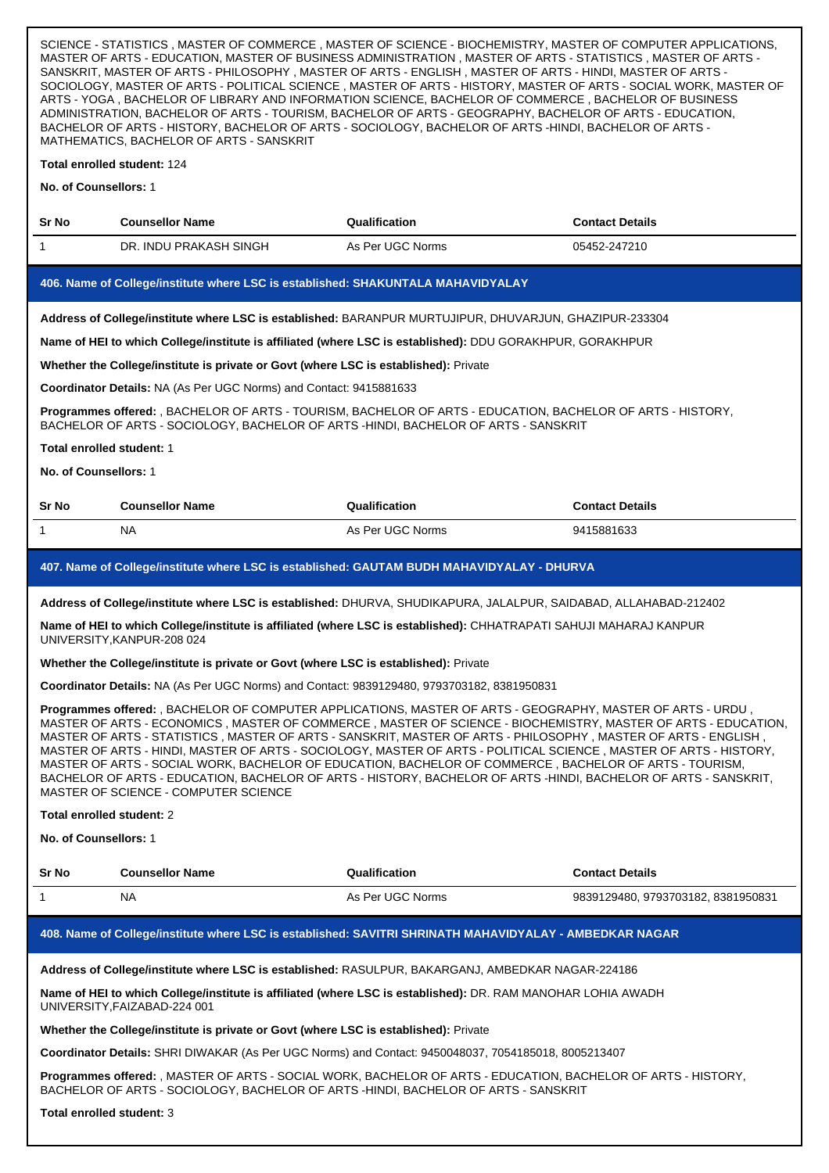SCIENCE - STATISTICS , MASTER OF COMMERCE , MASTER OF SCIENCE - BIOCHEMISTRY, MASTER OF COMPUTER APPLICATIONS, MASTER OF ARTS - EDUCATION, MASTER OF BUSINESS ADMINISTRATION , MASTER OF ARTS - STATISTICS , MASTER OF ARTS - SANSKRIT, MASTER OF ARTS - PHILOSOPHY , MASTER OF ARTS - ENGLISH , MASTER OF ARTS - HINDI, MASTER OF ARTS - SOCIOLOGY, MASTER OF ARTS - POLITICAL SCIENCE , MASTER OF ARTS - HISTORY, MASTER OF ARTS - SOCIAL WORK, MASTER OF ARTS - YOGA , BACHELOR OF LIBRARY AND INFORMATION SCIENCE, BACHELOR OF COMMERCE , BACHELOR OF BUSINESS ADMINISTRATION, BACHELOR OF ARTS - TOURISM, BACHELOR OF ARTS - GEOGRAPHY, BACHELOR OF ARTS - EDUCATION, BACHELOR OF ARTS - HISTORY, BACHELOR OF ARTS - SOCIOLOGY, BACHELOR OF ARTS -HINDI, BACHELOR OF ARTS - MATHEMATICS, BACHELOR OF ARTS - SANSKRIT

# **Total enrolled student:** 124

| <b>No. of Counsellors:</b> 1                                                                                                                                                                                                                                                                                                                                                                                                                                                                                                                                                                                                                                                                                                             |                                                                                      |                                                                                                                                                                                                   |                                    |  |  |
|------------------------------------------------------------------------------------------------------------------------------------------------------------------------------------------------------------------------------------------------------------------------------------------------------------------------------------------------------------------------------------------------------------------------------------------------------------------------------------------------------------------------------------------------------------------------------------------------------------------------------------------------------------------------------------------------------------------------------------------|--------------------------------------------------------------------------------------|---------------------------------------------------------------------------------------------------------------------------------------------------------------------------------------------------|------------------------------------|--|--|
| Sr No                                                                                                                                                                                                                                                                                                                                                                                                                                                                                                                                                                                                                                                                                                                                    | <b>Counsellor Name</b>                                                               | Qualification                                                                                                                                                                                     | <b>Contact Details</b>             |  |  |
| 1                                                                                                                                                                                                                                                                                                                                                                                                                                                                                                                                                                                                                                                                                                                                        | DR. INDU PRAKASH SINGH                                                               | As Per UGC Norms                                                                                                                                                                                  | 05452-247210                       |  |  |
|                                                                                                                                                                                                                                                                                                                                                                                                                                                                                                                                                                                                                                                                                                                                          | 406. Name of College/institute where LSC is established: SHAKUNTALA MAHAVIDYALAY     |                                                                                                                                                                                                   |                                    |  |  |
|                                                                                                                                                                                                                                                                                                                                                                                                                                                                                                                                                                                                                                                                                                                                          |                                                                                      | Address of College/institute where LSC is established: BARANPUR MURTUJIPUR, DHUVARJUN, GHAZIPUR-233304                                                                                            |                                    |  |  |
|                                                                                                                                                                                                                                                                                                                                                                                                                                                                                                                                                                                                                                                                                                                                          |                                                                                      | Name of HEI to which College/institute is affiliated (where LSC is established): DDU GORAKHPUR, GORAKHPUR                                                                                         |                                    |  |  |
|                                                                                                                                                                                                                                                                                                                                                                                                                                                                                                                                                                                                                                                                                                                                          | Whether the College/institute is private or Govt (where LSC is established): Private |                                                                                                                                                                                                   |                                    |  |  |
|                                                                                                                                                                                                                                                                                                                                                                                                                                                                                                                                                                                                                                                                                                                                          | Coordinator Details: NA (As Per UGC Norms) and Contact: 9415881633                   |                                                                                                                                                                                                   |                                    |  |  |
|                                                                                                                                                                                                                                                                                                                                                                                                                                                                                                                                                                                                                                                                                                                                          |                                                                                      | Programmes offered: , BACHELOR OF ARTS - TOURISM, BACHELOR OF ARTS - EDUCATION, BACHELOR OF ARTS - HISTORY,<br>BACHELOR OF ARTS - SOCIOLOGY, BACHELOR OF ARTS -HINDI, BACHELOR OF ARTS - SANSKRIT |                                    |  |  |
| Total enrolled student: 1                                                                                                                                                                                                                                                                                                                                                                                                                                                                                                                                                                                                                                                                                                                |                                                                                      |                                                                                                                                                                                                   |                                    |  |  |
| No. of Counsellors: 1                                                                                                                                                                                                                                                                                                                                                                                                                                                                                                                                                                                                                                                                                                                    |                                                                                      |                                                                                                                                                                                                   |                                    |  |  |
| Sr No                                                                                                                                                                                                                                                                                                                                                                                                                                                                                                                                                                                                                                                                                                                                    | <b>Counsellor Name</b>                                                               | Qualification                                                                                                                                                                                     | <b>Contact Details</b>             |  |  |
| 1                                                                                                                                                                                                                                                                                                                                                                                                                                                                                                                                                                                                                                                                                                                                        | NA.                                                                                  | As Per UGC Norms                                                                                                                                                                                  | 9415881633                         |  |  |
|                                                                                                                                                                                                                                                                                                                                                                                                                                                                                                                                                                                                                                                                                                                                          |                                                                                      | 407. Name of College/institute where LSC is established: GAUTAM BUDH MAHAVIDYALAY - DHURVA                                                                                                        |                                    |  |  |
|                                                                                                                                                                                                                                                                                                                                                                                                                                                                                                                                                                                                                                                                                                                                          |                                                                                      | Address of College/institute where LSC is established: DHURVA, SHUDIKAPURA, JALALPUR, SAIDABAD, ALLAHABAD-212402                                                                                  |                                    |  |  |
|                                                                                                                                                                                                                                                                                                                                                                                                                                                                                                                                                                                                                                                                                                                                          | UNIVERSITY, KANPUR-208 024                                                           | Name of HEI to which College/institute is affiliated (where LSC is established): CHHATRAPATI SAHUJI MAHARAJ KANPUR                                                                                |                                    |  |  |
|                                                                                                                                                                                                                                                                                                                                                                                                                                                                                                                                                                                                                                                                                                                                          | Whether the College/institute is private or Govt (where LSC is established): Private |                                                                                                                                                                                                   |                                    |  |  |
| Coordinator Details: NA (As Per UGC Norms) and Contact: 9839129480, 9793703182, 8381950831                                                                                                                                                                                                                                                                                                                                                                                                                                                                                                                                                                                                                                               |                                                                                      |                                                                                                                                                                                                   |                                    |  |  |
| Programmes offered: , BACHELOR OF COMPUTER APPLICATIONS, MASTER OF ARTS - GEOGRAPHY, MASTER OF ARTS - URDU,<br>MASTER OF ARTS - ECONOMICS, MASTER OF COMMERCE, MASTER OF SCIENCE - BIOCHEMISTRY, MASTER OF ARTS - EDUCATION,<br>MASTER OF ARTS - STATISTICS, MASTER OF ARTS - SANSKRIT, MASTER OF ARTS - PHILOSOPHY, MASTER OF ARTS - ENGLISH,<br>MASTER OF ARTS - HINDI, MASTER OF ARTS - SOCIOLOGY, MASTER OF ARTS - POLITICAL SCIENCE, MASTER OF ARTS - HISTORY,<br>MASTER OF ARTS - SOCIAL WORK, BACHELOR OF EDUCATION, BACHELOR OF COMMERCE, BACHELOR OF ARTS - TOURISM,<br>BACHELOR OF ARTS - EDUCATION, BACHELOR OF ARTS - HISTORY, BACHELOR OF ARTS -HINDI, BACHELOR OF ARTS - SANSKRIT,<br>MASTER OF SCIENCE - COMPUTER SCIENCE |                                                                                      |                                                                                                                                                                                                   |                                    |  |  |
| Total enrolled student: 2                                                                                                                                                                                                                                                                                                                                                                                                                                                                                                                                                                                                                                                                                                                |                                                                                      |                                                                                                                                                                                                   |                                    |  |  |
| No. of Counsellors: 1                                                                                                                                                                                                                                                                                                                                                                                                                                                                                                                                                                                                                                                                                                                    |                                                                                      |                                                                                                                                                                                                   |                                    |  |  |
| Sr No                                                                                                                                                                                                                                                                                                                                                                                                                                                                                                                                                                                                                                                                                                                                    | <b>Counsellor Name</b>                                                               | Qualification                                                                                                                                                                                     | <b>Contact Details</b>             |  |  |
| 1                                                                                                                                                                                                                                                                                                                                                                                                                                                                                                                                                                                                                                                                                                                                        | NA.                                                                                  | As Per UGC Norms                                                                                                                                                                                  | 9839129480, 9793703182, 8381950831 |  |  |
| 408. Name of College/institute where LSC is established: SAVITRI SHRINATH MAHAVIDYALAY - AMBEDKAR NAGAR                                                                                                                                                                                                                                                                                                                                                                                                                                                                                                                                                                                                                                  |                                                                                      |                                                                                                                                                                                                   |                                    |  |  |
| Address of College/institute where LSC is established: RASULPUR, BAKARGANJ, AMBEDKAR NAGAR-224186                                                                                                                                                                                                                                                                                                                                                                                                                                                                                                                                                                                                                                        |                                                                                      |                                                                                                                                                                                                   |                                    |  |  |
| Name of HEI to which College/institute is affiliated (where LSC is established): DR. RAM MANOHAR LOHIA AWADH<br>UNIVERSITY, FAIZABAD-224 001                                                                                                                                                                                                                                                                                                                                                                                                                                                                                                                                                                                             |                                                                                      |                                                                                                                                                                                                   |                                    |  |  |
| Whether the College/institute is private or Govt (where LSC is established): Private                                                                                                                                                                                                                                                                                                                                                                                                                                                                                                                                                                                                                                                     |                                                                                      |                                                                                                                                                                                                   |                                    |  |  |
| Coordinator Details: SHRI DIWAKAR (As Per UGC Norms) and Contact: 9450048037, 7054185018, 8005213407                                                                                                                                                                                                                                                                                                                                                                                                                                                                                                                                                                                                                                     |                                                                                      |                                                                                                                                                                                                   |                                    |  |  |
| Programmes offered: , MASTER OF ARTS - SOCIAL WORK, BACHELOR OF ARTS - EDUCATION, BACHELOR OF ARTS - HISTORY,<br>BACHELOR OF ARTS - SOCIOLOGY, BACHELOR OF ARTS -HINDI, BACHELOR OF ARTS - SANSKRIT                                                                                                                                                                                                                                                                                                                                                                                                                                                                                                                                      |                                                                                      |                                                                                                                                                                                                   |                                    |  |  |
| Total enrolled student: 3                                                                                                                                                                                                                                                                                                                                                                                                                                                                                                                                                                                                                                                                                                                |                                                                                      |                                                                                                                                                                                                   |                                    |  |  |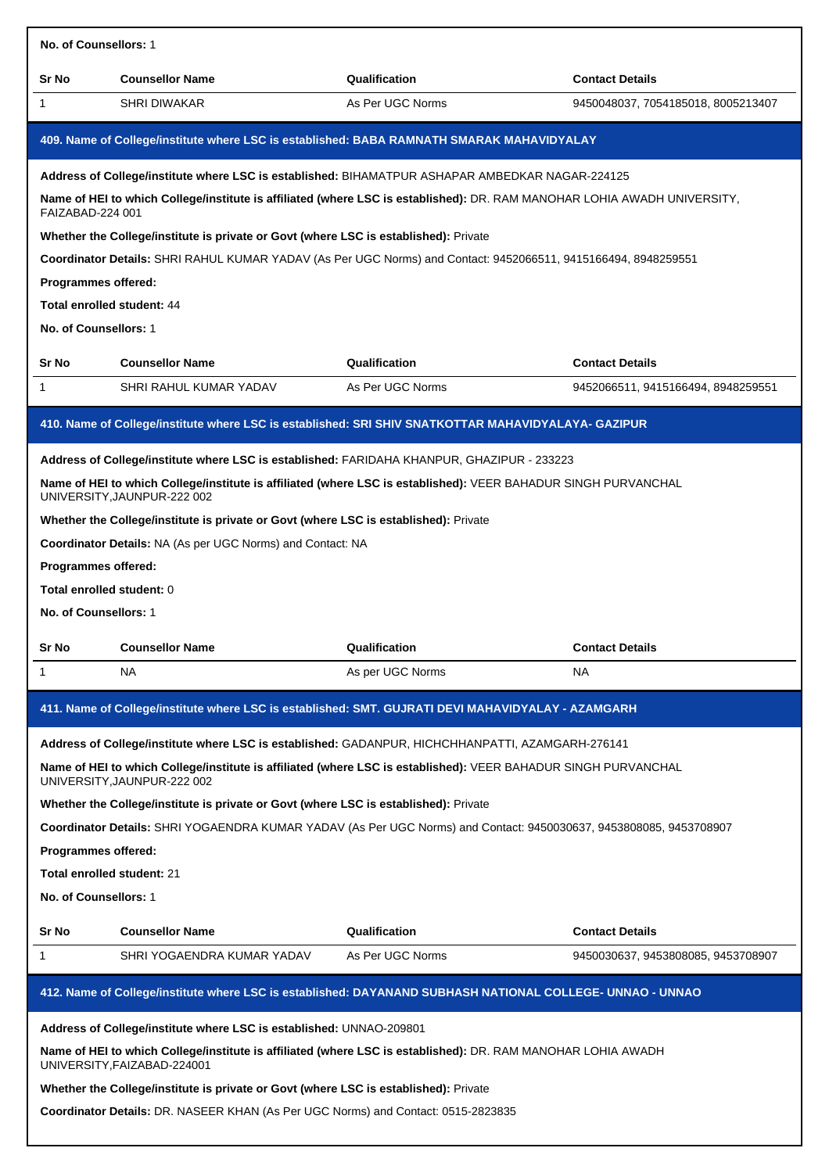| No. of Counsellors: 1                                               |                                                                                                           |                                                                                                                          |                                    |  |  |
|---------------------------------------------------------------------|-----------------------------------------------------------------------------------------------------------|--------------------------------------------------------------------------------------------------------------------------|------------------------------------|--|--|
| Sr No                                                               | <b>Counsellor Name</b>                                                                                    | Qualification                                                                                                            | <b>Contact Details</b>             |  |  |
| 1                                                                   | <b>SHRI DIWAKAR</b>                                                                                       | As Per UGC Norms                                                                                                         | 9450048037, 7054185018, 8005213407 |  |  |
|                                                                     |                                                                                                           | 409. Name of College/institute where LSC is established: BABA RAMNATH SMARAK MAHAVIDYALAY                                |                                    |  |  |
|                                                                     |                                                                                                           | Address of College/institute where LSC is established: BIHAMATPUR ASHAPAR AMBEDKAR NAGAR-224125                          |                                    |  |  |
| FAIZABAD-224 001                                                    |                                                                                                           | Name of HEI to which College/institute is affiliated (where LSC is established): DR. RAM MANOHAR LOHIA AWADH UNIVERSITY, |                                    |  |  |
|                                                                     | Whether the College/institute is private or Govt (where LSC is established): Private                      |                                                                                                                          |                                    |  |  |
|                                                                     |                                                                                                           | Coordinator Details: SHRI RAHUL KUMAR YADAV (As Per UGC Norms) and Contact: 9452066511, 9415166494, 8948259551           |                                    |  |  |
| <b>Programmes offered:</b>                                          |                                                                                                           |                                                                                                                          |                                    |  |  |
| Total enrolled student: 44<br>No. of Counsellors: 1                 |                                                                                                           |                                                                                                                          |                                    |  |  |
|                                                                     |                                                                                                           |                                                                                                                          |                                    |  |  |
| Sr No                                                               | <b>Counsellor Name</b>                                                                                    | Qualification                                                                                                            | <b>Contact Details</b>             |  |  |
| 1                                                                   | SHRI RAHUL KUMAR YADAV                                                                                    | As Per UGC Norms                                                                                                         | 9452066511, 9415166494, 8948259551 |  |  |
|                                                                     |                                                                                                           | 410. Name of College/institute where LSC is established: SRI SHIV SNATKOTTAR MAHAVIDYALAYA- GAZIPUR                      |                                    |  |  |
|                                                                     |                                                                                                           | Address of College/institute where LSC is established: FARIDAHA KHANPUR, GHAZIPUR - 233223                               |                                    |  |  |
|                                                                     | UNIVERSITY, JAUNPUR-222 002                                                                               | Name of HEI to which College/institute is affiliated (where LSC is established): VEER BAHADUR SINGH PURVANCHAL           |                                    |  |  |
|                                                                     | Whether the College/institute is private or Govt (where LSC is established): Private                      |                                                                                                                          |                                    |  |  |
|                                                                     | Coordinator Details: NA (As per UGC Norms) and Contact: NA                                                |                                                                                                                          |                                    |  |  |
| Programmes offered:                                                 |                                                                                                           |                                                                                                                          |                                    |  |  |
| Total enrolled student: 0                                           |                                                                                                           |                                                                                                                          |                                    |  |  |
| No. of Counsellors: 1                                               |                                                                                                           |                                                                                                                          |                                    |  |  |
| Sr No                                                               | <b>Counsellor Name</b>                                                                                    | Qualification                                                                                                            | <b>Contact Details</b>             |  |  |
| 1                                                                   | NA.                                                                                                       | As per UGC Norms                                                                                                         | <b>NA</b>                          |  |  |
|                                                                     |                                                                                                           | 411. Name of College/institute where LSC is established: SMT. GUJRATI DEVI MAHAVIDYALAY - AZAMGARH                       |                                    |  |  |
|                                                                     |                                                                                                           | Address of College/institute where LSC is established: GADANPUR, HICHCHHANPATTI, AZAMGARH-276141                         |                                    |  |  |
|                                                                     | UNIVERSITY, JAUNPUR-222 002                                                                               | Name of HEI to which College/institute is affiliated (where LSC is established): VEER BAHADUR SINGH PURVANCHAL           |                                    |  |  |
|                                                                     | Whether the College/institute is private or Govt (where LSC is established): Private                      |                                                                                                                          |                                    |  |  |
|                                                                     |                                                                                                           | Coordinator Details: SHRI YOGAENDRA KUMAR YADAV (As Per UGC Norms) and Contact: 9450030637, 9453808085, 9453708907       |                                    |  |  |
| Programmes offered:                                                 |                                                                                                           |                                                                                                                          |                                    |  |  |
| <b>Total enrolled student: 21</b>                                   |                                                                                                           |                                                                                                                          |                                    |  |  |
| No. of Counsellors: 1                                               |                                                                                                           |                                                                                                                          |                                    |  |  |
| Sr No                                                               | <b>Counsellor Name</b>                                                                                    | Qualification                                                                                                            | <b>Contact Details</b>             |  |  |
| 1                                                                   | SHRI YOGAENDRA KUMAR YADAV                                                                                | As Per UGC Norms                                                                                                         | 9450030637, 9453808085, 9453708907 |  |  |
|                                                                     | 412. Name of College/institute where LSC is established: DAYANAND SUBHASH NATIONAL COLLEGE- UNNAO - UNNAO |                                                                                                                          |                                    |  |  |
| Address of College/institute where LSC is established: UNNAO-209801 |                                                                                                           |                                                                                                                          |                                    |  |  |
|                                                                     | UNIVERSITY, FAIZABAD-224001                                                                               | Name of HEI to which College/institute is affiliated (where LSC is established): DR. RAM MANOHAR LOHIA AWADH             |                                    |  |  |
|                                                                     | Whether the College/institute is private or Govt (where LSC is established): Private                      |                                                                                                                          |                                    |  |  |
|                                                                     | Coordinator Details: DR. NASEER KHAN (As Per UGC Norms) and Contact: 0515-2823835                         |                                                                                                                          |                                    |  |  |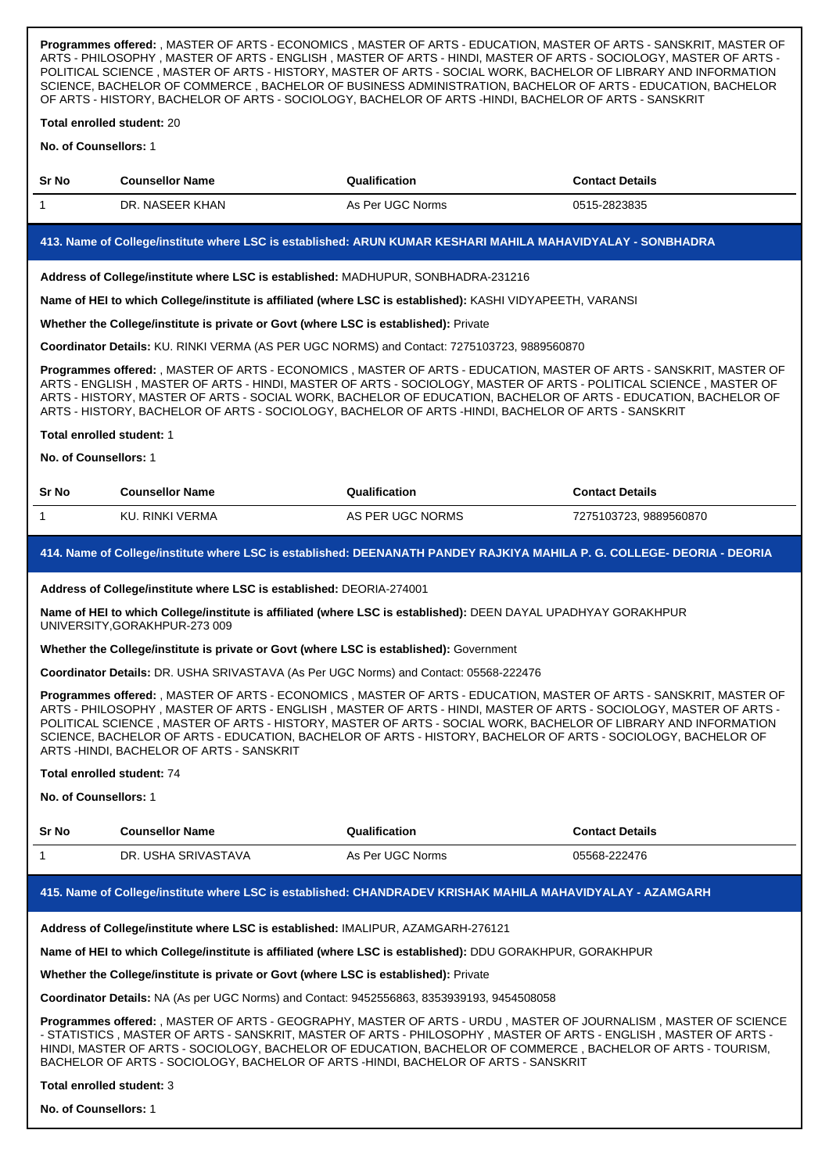**Programmes offered:** , MASTER OF ARTS - ECONOMICS , MASTER OF ARTS - EDUCATION, MASTER OF ARTS - SANSKRIT, MASTER OF ARTS - PHILOSOPHY , MASTER OF ARTS - ENGLISH , MASTER OF ARTS - HINDI, MASTER OF ARTS - SOCIOLOGY, MASTER OF ARTS - POLITICAL SCIENCE , MASTER OF ARTS - HISTORY, MASTER OF ARTS - SOCIAL WORK, BACHELOR OF LIBRARY AND INFORMATION SCIENCE, BACHELOR OF COMMERCE , BACHELOR OF BUSINESS ADMINISTRATION, BACHELOR OF ARTS - EDUCATION, BACHELOR OF ARTS - HISTORY, BACHELOR OF ARTS - SOCIOLOGY, BACHELOR OF ARTS -HINDI, BACHELOR OF ARTS - SANSKRIT

**Total enrolled student:** 20

**No. of Counsellors:** 1

| <b>Sr No</b> | <b>Counsellor Name</b> | Qualification    | <b>Contact Details</b> |
|--------------|------------------------|------------------|------------------------|
|              | DR. NASEER KHAN        | As Per UGC Norms | 0515-2823835           |

## **413. Name of College/institute where LSC is established: ARUN KUMAR KESHARI MAHILA MAHAVIDYALAY - SONBHADRA**

**Address of College/institute where LSC is established:** MADHUPUR, SONBHADRA-231216

**Name of HEI to which College/institute is affiliated (where LSC is established):** KASHI VIDYAPEETH, VARANSI

**Whether the College/institute is private or Govt (where LSC is established):** Private

**Coordinator Details:** KU. RINKI VERMA (AS PER UGC NORMS) and Contact: 7275103723, 9889560870

**Programmes offered:** , MASTER OF ARTS - ECONOMICS , MASTER OF ARTS - EDUCATION, MASTER OF ARTS - SANSKRIT, MASTER OF ARTS - ENGLISH , MASTER OF ARTS - HINDI, MASTER OF ARTS - SOCIOLOGY, MASTER OF ARTS - POLITICAL SCIENCE , MASTER OF ARTS - HISTORY, MASTER OF ARTS - SOCIAL WORK, BACHELOR OF EDUCATION, BACHELOR OF ARTS - EDUCATION, BACHELOR OF ARTS - HISTORY, BACHELOR OF ARTS - SOCIOLOGY, BACHELOR OF ARTS -HINDI, BACHELOR OF ARTS - SANSKRIT

#### **Total enrolled student:** 1

**No. of Counsellors:** 1

# **Sr No Counsellor Name Qualification Contact Details** 1 KU. RINKI VERMA AS PER UGC NORMS 7275103723, 9889560870

## **414. Name of College/institute where LSC is established: DEENANATH PANDEY RAJKIYA MAHILA P. G. COLLEGE- DEORIA - DEORIA**

#### **Address of College/institute where LSC is established:** DEORIA-274001

**Name of HEI to which College/institute is affiliated (where LSC is established):** DEEN DAYAL UPADHYAY GORAKHPUR UNIVERSITY,GORAKHPUR-273 009

## **Whether the College/institute is private or Govt (where LSC is established):** Government

**Coordinator Details:** DR. USHA SRIVASTAVA (As Per UGC Norms) and Contact: 05568-222476

**Programmes offered:** , MASTER OF ARTS - ECONOMICS , MASTER OF ARTS - EDUCATION, MASTER OF ARTS - SANSKRIT, MASTER OF ARTS - PHILOSOPHY , MASTER OF ARTS - ENGLISH , MASTER OF ARTS - HINDI, MASTER OF ARTS - SOCIOLOGY, MASTER OF ARTS - POLITICAL SCIENCE , MASTER OF ARTS - HISTORY, MASTER OF ARTS - SOCIAL WORK, BACHELOR OF LIBRARY AND INFORMATION SCIENCE, BACHELOR OF ARTS - EDUCATION, BACHELOR OF ARTS - HISTORY, BACHELOR OF ARTS - SOCIOLOGY, BACHELOR OF ARTS -HINDI, BACHELOR OF ARTS - SANSKRIT

## **Total enrolled student:** 74

**No. of Counsellors:** 1

| <b>Sr No</b> | Counsellor Name     | <b>Qualification</b> | <b>Contact Details</b> |
|--------------|---------------------|----------------------|------------------------|
|              | DR. USHA SRIVASTAVA | As Per UGC Norms     | 05568-222476           |

# **415. Name of College/institute where LSC is established: CHANDRADEV KRISHAK MAHILA MAHAVIDYALAY - AZAMGARH**

**Address of College/institute where LSC is established:** IMALIPUR, AZAMGARH-276121

**Name of HEI to which College/institute is affiliated (where LSC is established):** DDU GORAKHPUR, GORAKHPUR

**Whether the College/institute is private or Govt (where LSC is established):** Private

**Coordinator Details:** NA (As per UGC Norms) and Contact: 9452556863, 8353939193, 9454508058

**Programmes offered:** , MASTER OF ARTS - GEOGRAPHY, MASTER OF ARTS - URDU , MASTER OF JOURNALISM , MASTER OF SCIENCE - STATISTICS , MASTER OF ARTS - SANSKRIT, MASTER OF ARTS - PHILOSOPHY , MASTER OF ARTS - ENGLISH , MASTER OF ARTS - HINDI, MASTER OF ARTS - SOCIOLOGY, BACHELOR OF EDUCATION, BACHELOR OF COMMERCE , BACHELOR OF ARTS - TOURISM, BACHELOR OF ARTS - SOCIOLOGY, BACHELOR OF ARTS -HINDI, BACHELOR OF ARTS - SANSKRIT

#### **Total enrolled student:** 3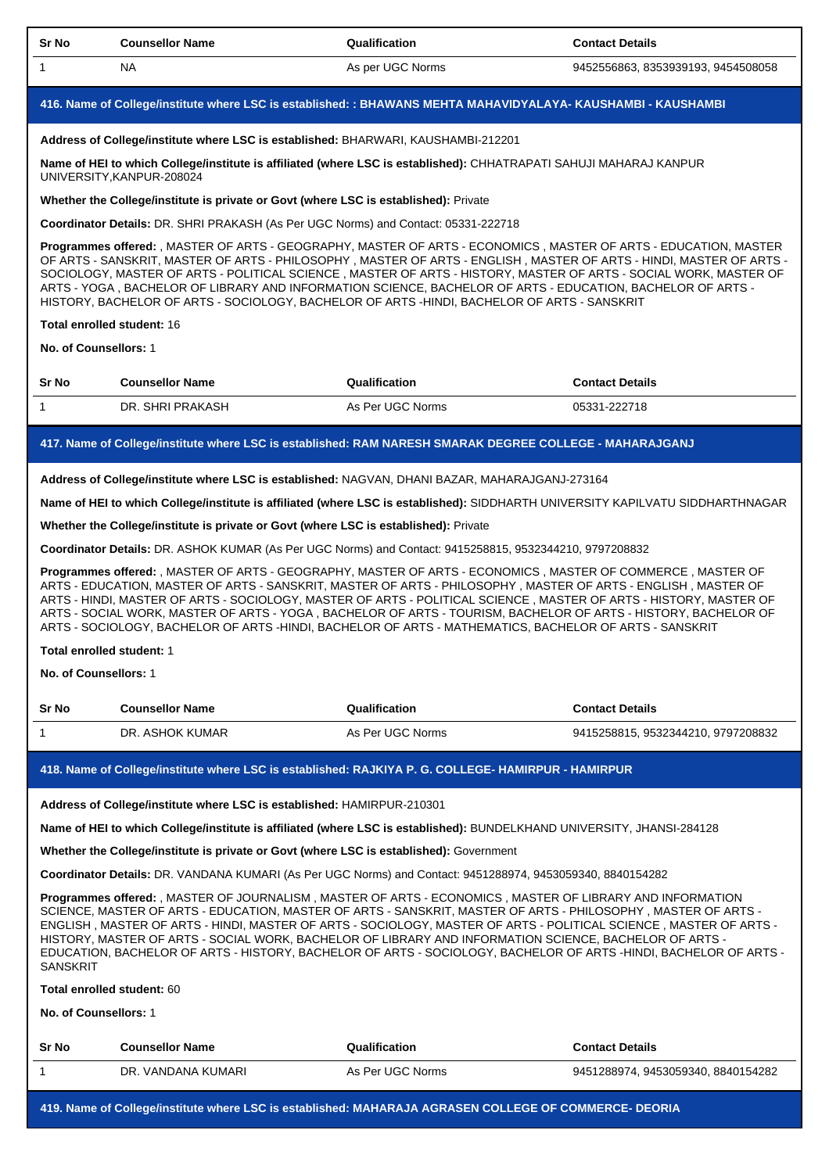| Sr No                                                                                                                                                                                                             | <b>Counsellor Name</b>                                                                                                                                                                                                                                                                                                                                                                                                                                                                                                                                                                             | Qualification                                                                                                      | <b>Contact Details</b>                                                                                                                                                                                                                                                                                                                                                                                                                                                    |  |
|-------------------------------------------------------------------------------------------------------------------------------------------------------------------------------------------------------------------|----------------------------------------------------------------------------------------------------------------------------------------------------------------------------------------------------------------------------------------------------------------------------------------------------------------------------------------------------------------------------------------------------------------------------------------------------------------------------------------------------------------------------------------------------------------------------------------------------|--------------------------------------------------------------------------------------------------------------------|---------------------------------------------------------------------------------------------------------------------------------------------------------------------------------------------------------------------------------------------------------------------------------------------------------------------------------------------------------------------------------------------------------------------------------------------------------------------------|--|
| $\mathbf{1}$                                                                                                                                                                                                      | <b>NA</b>                                                                                                                                                                                                                                                                                                                                                                                                                                                                                                                                                                                          | As per UGC Norms                                                                                                   | 9452556863, 8353939193, 9454508058                                                                                                                                                                                                                                                                                                                                                                                                                                        |  |
|                                                                                                                                                                                                                   |                                                                                                                                                                                                                                                                                                                                                                                                                                                                                                                                                                                                    | 416. Name of College/institute where LSC is established: : BHAWANS MEHTA MAHAVIDYALAYA- KAUSHAMBI - KAUSHAMBI      |                                                                                                                                                                                                                                                                                                                                                                                                                                                                           |  |
|                                                                                                                                                                                                                   |                                                                                                                                                                                                                                                                                                                                                                                                                                                                                                                                                                                                    | Address of College/institute where LSC is established: BHARWARI, KAUSHAMBI-212201                                  |                                                                                                                                                                                                                                                                                                                                                                                                                                                                           |  |
|                                                                                                                                                                                                                   | UNIVERSITY, KANPUR-208024                                                                                                                                                                                                                                                                                                                                                                                                                                                                                                                                                                          | Name of HEI to which College/institute is affiliated (where LSC is established): CHHATRAPATI SAHUJI MAHARAJ KANPUR |                                                                                                                                                                                                                                                                                                                                                                                                                                                                           |  |
|                                                                                                                                                                                                                   |                                                                                                                                                                                                                                                                                                                                                                                                                                                                                                                                                                                                    | Whether the College/institute is private or Govt (where LSC is established): Private                               |                                                                                                                                                                                                                                                                                                                                                                                                                                                                           |  |
|                                                                                                                                                                                                                   |                                                                                                                                                                                                                                                                                                                                                                                                                                                                                                                                                                                                    | Coordinator Details: DR. SHRI PRAKASH (As Per UGC Norms) and Contact: 05331-222718                                 |                                                                                                                                                                                                                                                                                                                                                                                                                                                                           |  |
|                                                                                                                                                                                                                   |                                                                                                                                                                                                                                                                                                                                                                                                                                                                                                                                                                                                    | HISTORY, BACHELOR OF ARTS - SOCIOLOGY, BACHELOR OF ARTS -HINDI, BACHELOR OF ARTS - SANSKRIT                        | Programmes offered: , MASTER OF ARTS - GEOGRAPHY, MASTER OF ARTS - ECONOMICS, MASTER OF ARTS - EDUCATION, MASTER<br>OF ARTS - SANSKRIT, MASTER OF ARTS - PHILOSOPHY, MASTER OF ARTS - ENGLISH, MASTER OF ARTS - HINDI, MASTER OF ARTS -<br>SOCIOLOGY, MASTER OF ARTS - POLITICAL SCIENCE, MASTER OF ARTS - HISTORY, MASTER OF ARTS - SOCIAL WORK, MASTER OF<br>ARTS - YOGA, BACHELOR OF LIBRARY AND INFORMATION SCIENCE, BACHELOR OF ARTS - EDUCATION, BACHELOR OF ARTS - |  |
|                                                                                                                                                                                                                   | <b>Total enrolled student: 16</b>                                                                                                                                                                                                                                                                                                                                                                                                                                                                                                                                                                  |                                                                                                                    |                                                                                                                                                                                                                                                                                                                                                                                                                                                                           |  |
|                                                                                                                                                                                                                   | No. of Counsellors: 1                                                                                                                                                                                                                                                                                                                                                                                                                                                                                                                                                                              |                                                                                                                    |                                                                                                                                                                                                                                                                                                                                                                                                                                                                           |  |
| Sr No                                                                                                                                                                                                             | <b>Counsellor Name</b>                                                                                                                                                                                                                                                                                                                                                                                                                                                                                                                                                                             | Qualification                                                                                                      | <b>Contact Details</b>                                                                                                                                                                                                                                                                                                                                                                                                                                                    |  |
| $\mathbf{1}$                                                                                                                                                                                                      | DR. SHRI PRAKASH                                                                                                                                                                                                                                                                                                                                                                                                                                                                                                                                                                                   | As Per UGC Norms                                                                                                   | 05331-222718                                                                                                                                                                                                                                                                                                                                                                                                                                                              |  |
|                                                                                                                                                                                                                   |                                                                                                                                                                                                                                                                                                                                                                                                                                                                                                                                                                                                    | 417. Name of College/institute where LSC is established: RAM NARESH SMARAK DEGREE COLLEGE - MAHARAJGANJ            |                                                                                                                                                                                                                                                                                                                                                                                                                                                                           |  |
|                                                                                                                                                                                                                   |                                                                                                                                                                                                                                                                                                                                                                                                                                                                                                                                                                                                    |                                                                                                                    |                                                                                                                                                                                                                                                                                                                                                                                                                                                                           |  |
|                                                                                                                                                                                                                   |                                                                                                                                                                                                                                                                                                                                                                                                                                                                                                                                                                                                    | Address of College/institute where LSC is established: NAGVAN, DHANI BAZAR, MAHARAJGANJ-273164                     | Name of HEI to which College/institute is affiliated (where LSC is established): SIDDHARTH UNIVERSITY KAPILVATU SIDDHARTHNAGAR                                                                                                                                                                                                                                                                                                                                            |  |
|                                                                                                                                                                                                                   |                                                                                                                                                                                                                                                                                                                                                                                                                                                                                                                                                                                                    | Whether the College/institute is private or Govt (where LSC is established): Private                               |                                                                                                                                                                                                                                                                                                                                                                                                                                                                           |  |
|                                                                                                                                                                                                                   |                                                                                                                                                                                                                                                                                                                                                                                                                                                                                                                                                                                                    | Coordinator Details: DR. ASHOK KUMAR (As Per UGC Norms) and Contact: 9415258815, 9532344210, 9797208832            |                                                                                                                                                                                                                                                                                                                                                                                                                                                                           |  |
|                                                                                                                                                                                                                   |                                                                                                                                                                                                                                                                                                                                                                                                                                                                                                                                                                                                    | ARTS - SOCIOLOGY, BACHELOR OF ARTS -HINDI, BACHELOR OF ARTS - MATHEMATICS, BACHELOR OF ARTS - SANSKRIT             | Programmes offered: , MASTER OF ARTS - GEOGRAPHY, MASTER OF ARTS - ECONOMICS, MASTER OF COMMERCE, MASTER OF<br>ARTS - EDUCATION, MASTER OF ARTS - SANSKRIT, MASTER OF ARTS - PHILOSOPHY , MASTER OF ARTS - ENGLISH , MASTER OF<br>ARTS - HINDI, MASTER OF ARTS - SOCIOLOGY, MASTER OF ARTS - POLITICAL SCIENCE , MASTER OF ARTS - HISTORY, MASTER OF<br>ARTS - SOCIAL WORK, MASTER OF ARTS - YOGA, BACHELOR OF ARTS - TOURISM, BACHELOR OF ARTS - HISTORY, BACHELOR OF    |  |
|                                                                                                                                                                                                                   | Total enrolled student: 1                                                                                                                                                                                                                                                                                                                                                                                                                                                                                                                                                                          |                                                                                                                    |                                                                                                                                                                                                                                                                                                                                                                                                                                                                           |  |
|                                                                                                                                                                                                                   | No. of Counsellors: 1                                                                                                                                                                                                                                                                                                                                                                                                                                                                                                                                                                              |                                                                                                                    |                                                                                                                                                                                                                                                                                                                                                                                                                                                                           |  |
| Sr No                                                                                                                                                                                                             | <b>Counsellor Name</b>                                                                                                                                                                                                                                                                                                                                                                                                                                                                                                                                                                             | Qualification                                                                                                      | <b>Contact Details</b>                                                                                                                                                                                                                                                                                                                                                                                                                                                    |  |
| $\mathbf{1}$                                                                                                                                                                                                      | DR. ASHOK KUMAR                                                                                                                                                                                                                                                                                                                                                                                                                                                                                                                                                                                    | As Per UGC Norms                                                                                                   | 9415258815, 9532344210, 9797208832                                                                                                                                                                                                                                                                                                                                                                                                                                        |  |
|                                                                                                                                                                                                                   |                                                                                                                                                                                                                                                                                                                                                                                                                                                                                                                                                                                                    | 418. Name of College/institute where LSC is established: RAJKIYA P. G. COLLEGE- HAMIRPUR - HAMIRPUR                |                                                                                                                                                                                                                                                                                                                                                                                                                                                                           |  |
|                                                                                                                                                                                                                   |                                                                                                                                                                                                                                                                                                                                                                                                                                                                                                                                                                                                    | Address of College/institute where LSC is established: HAMIRPUR-210301                                             |                                                                                                                                                                                                                                                                                                                                                                                                                                                                           |  |
|                                                                                                                                                                                                                   |                                                                                                                                                                                                                                                                                                                                                                                                                                                                                                                                                                                                    |                                                                                                                    |                                                                                                                                                                                                                                                                                                                                                                                                                                                                           |  |
| Name of HEI to which College/institute is affiliated (where LSC is established): BUNDELKHAND UNIVERSITY, JHANSI-284128<br>Whether the College/institute is private or Govt (where LSC is established): Government |                                                                                                                                                                                                                                                                                                                                                                                                                                                                                                                                                                                                    |                                                                                                                    |                                                                                                                                                                                                                                                                                                                                                                                                                                                                           |  |
| Coordinator Details: DR. VANDANA KUMARI (As Per UGC Norms) and Contact: 9451288974, 9453059340, 8840154282                                                                                                        |                                                                                                                                                                                                                                                                                                                                                                                                                                                                                                                                                                                                    |                                                                                                                    |                                                                                                                                                                                                                                                                                                                                                                                                                                                                           |  |
|                                                                                                                                                                                                                   | Programmes offered: , MASTER OF JOURNALISM , MASTER OF ARTS - ECONOMICS , MASTER OF LIBRARY AND INFORMATION<br>SCIENCE, MASTER OF ARTS - EDUCATION, MASTER OF ARTS - SANSKRIT, MASTER OF ARTS - PHILOSOPHY, MASTER OF ARTS -<br>ENGLISH, MASTER OF ARTS - HINDI, MASTER OF ARTS - SOCIOLOGY, MASTER OF ARTS - POLITICAL SCIENCE, MASTER OF ARTS -<br>HISTORY, MASTER OF ARTS - SOCIAL WORK, BACHELOR OF LIBRARY AND INFORMATION SCIENCE, BACHELOR OF ARTS -<br>EDUCATION, BACHELOR OF ARTS - HISTORY, BACHELOR OF ARTS - SOCIOLOGY, BACHELOR OF ARTS -HINDI, BACHELOR OF ARTS -<br><b>SANSKRIT</b> |                                                                                                                    |                                                                                                                                                                                                                                                                                                                                                                                                                                                                           |  |
|                                                                                                                                                                                                                   | Total enrolled student: 60                                                                                                                                                                                                                                                                                                                                                                                                                                                                                                                                                                         |                                                                                                                    |                                                                                                                                                                                                                                                                                                                                                                                                                                                                           |  |
|                                                                                                                                                                                                                   | No. of Counsellors: 1                                                                                                                                                                                                                                                                                                                                                                                                                                                                                                                                                                              |                                                                                                                    |                                                                                                                                                                                                                                                                                                                                                                                                                                                                           |  |

| <b>Sr No</b> | <b>Counsellor Name</b> | Qualification    | <b>Contact Details</b>           |
|--------------|------------------------|------------------|----------------------------------|
|              | DR. VANDANA KUMARI     | As Per UGC Norms | 9451288974.9453059340.8840154282 |

**419. Name of College/institute where LSC is established: MAHARAJA AGRASEN COLLEGE OF COMMERCE- DEORIA**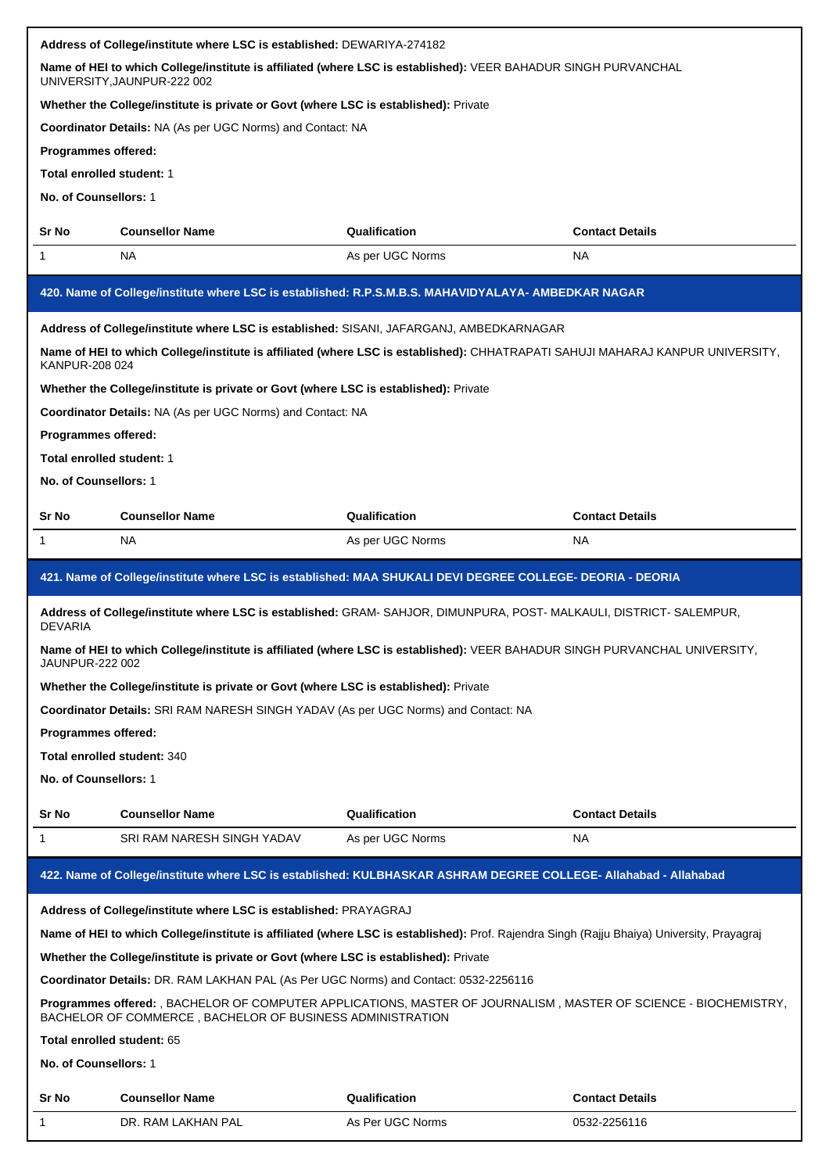|                                                                                                                                                                               | Address of College/institute where LSC is established: DEWARIYA-274182                                                                        |                  |                        |  |
|-------------------------------------------------------------------------------------------------------------------------------------------------------------------------------|-----------------------------------------------------------------------------------------------------------------------------------------------|------------------|------------------------|--|
|                                                                                                                                                                               | Name of HEI to which College/institute is affiliated (where LSC is established): VEER BAHADUR SINGH PURVANCHAL<br>UNIVERSITY, JAUNPUR-222 002 |                  |                        |  |
|                                                                                                                                                                               | Whether the College/institute is private or Govt (where LSC is established): Private                                                          |                  |                        |  |
|                                                                                                                                                                               | Coordinator Details: NA (As per UGC Norms) and Contact: NA                                                                                    |                  |                        |  |
| Programmes offered:                                                                                                                                                           |                                                                                                                                               |                  |                        |  |
| Total enrolled student: 1                                                                                                                                                     |                                                                                                                                               |                  |                        |  |
| No. of Counsellors: 1                                                                                                                                                         |                                                                                                                                               |                  |                        |  |
| <b>Sr No</b>                                                                                                                                                                  | <b>Counsellor Name</b>                                                                                                                        | Qualification    | <b>Contact Details</b> |  |
| $\mathbf 1$                                                                                                                                                                   | NA                                                                                                                                            | As per UGC Norms | NA.                    |  |
|                                                                                                                                                                               | 420. Name of College/institute where LSC is established: R.P.S.M.B.S. MAHAVIDYALAYA- AMBEDKAR NAGAR                                           |                  |                        |  |
|                                                                                                                                                                               | Address of College/institute where LSC is established: SISANI, JAFARGANJ, AMBEDKARNAGAR                                                       |                  |                        |  |
| KANPUR-208 024                                                                                                                                                                | Name of HEI to which College/institute is affiliated (where LSC is established): CHHATRAPATI SAHUJI MAHARAJ KANPUR UNIVERSITY,                |                  |                        |  |
|                                                                                                                                                                               | Whether the College/institute is private or Govt (where LSC is established): Private                                                          |                  |                        |  |
|                                                                                                                                                                               | Coordinator Details: NA (As per UGC Norms) and Contact: NA                                                                                    |                  |                        |  |
| Programmes offered:                                                                                                                                                           |                                                                                                                                               |                  |                        |  |
| Total enrolled student: 1                                                                                                                                                     |                                                                                                                                               |                  |                        |  |
| No. of Counsellors: 1                                                                                                                                                         |                                                                                                                                               |                  |                        |  |
| <b>Sr No</b>                                                                                                                                                                  | <b>Counsellor Name</b>                                                                                                                        | Qualification    | <b>Contact Details</b> |  |
| 1                                                                                                                                                                             | NA                                                                                                                                            | As per UGC Norms | NA.                    |  |
| 421. Name of College/institute where LSC is established: MAA SHUKALI DEVI DEGREE COLLEGE- DEORIA - DEORIA                                                                     |                                                                                                                                               |                  |                        |  |
| Address of College/institute where LSC is established: GRAM- SAHJOR, DIMUNPURA, POST- MALKAULI, DISTRICT- SALEMPUR,<br><b>DEVARIA</b>                                         |                                                                                                                                               |                  |                        |  |
| JAUNPUR-222 002                                                                                                                                                               | Name of HEI to which College/institute is affiliated (where LSC is established): VEER BAHADUR SINGH PURVANCHAL UNIVERSITY                     |                  |                        |  |
|                                                                                                                                                                               | Whether the College/institute is private or Govt (where LSC is established): Private                                                          |                  |                        |  |
|                                                                                                                                                                               | Coordinator Details: SRI RAM NARESH SINGH YADAV (As per UGC Norms) and Contact: NA                                                            |                  |                        |  |
| Programmes offered:                                                                                                                                                           |                                                                                                                                               |                  |                        |  |
|                                                                                                                                                                               | Total enrolled student: 340                                                                                                                   |                  |                        |  |
| No. of Counsellors: 1                                                                                                                                                         |                                                                                                                                               |                  |                        |  |
| Sr No                                                                                                                                                                         | <b>Counsellor Name</b>                                                                                                                        | Qualification    | <b>Contact Details</b> |  |
| 1                                                                                                                                                                             | SRI RAM NARESH SINGH YADAV                                                                                                                    | As per UGC Norms | NA                     |  |
| 422. Name of College/institute where LSC is established: KULBHASKAR ASHRAM DEGREE COLLEGE- Allahabad - Allahabad                                                              |                                                                                                                                               |                  |                        |  |
|                                                                                                                                                                               | Address of College/institute where LSC is established: PRAYAGRAJ                                                                              |                  |                        |  |
|                                                                                                                                                                               | Name of HEI to which College/institute is affiliated (where LSC is established): Prof. Rajendra Singh (Rajju Bhaiya) University, Prayagraj    |                  |                        |  |
| Whether the College/institute is private or Govt (where LSC is established): Private                                                                                          |                                                                                                                                               |                  |                        |  |
| Coordinator Details: DR. RAM LAKHAN PAL (As Per UGC Norms) and Contact: 0532-2256116                                                                                          |                                                                                                                                               |                  |                        |  |
| Programmes offered: , BACHELOR OF COMPUTER APPLICATIONS, MASTER OF JOURNALISM, MASTER OF SCIENCE - BIOCHEMISTRY,<br>BACHELOR OF COMMERCE, BACHELOR OF BUSINESS ADMINISTRATION |                                                                                                                                               |                  |                        |  |
| Total enrolled student: 65                                                                                                                                                    |                                                                                                                                               |                  |                        |  |
| No. of Counsellors: 1                                                                                                                                                         |                                                                                                                                               |                  |                        |  |
| Sr No                                                                                                                                                                         | <b>Counsellor Name</b>                                                                                                                        | Qualification    | <b>Contact Details</b> |  |
| 1                                                                                                                                                                             | DR. RAM LAKHAN PAL                                                                                                                            | As Per UGC Norms | 0532-2256116           |  |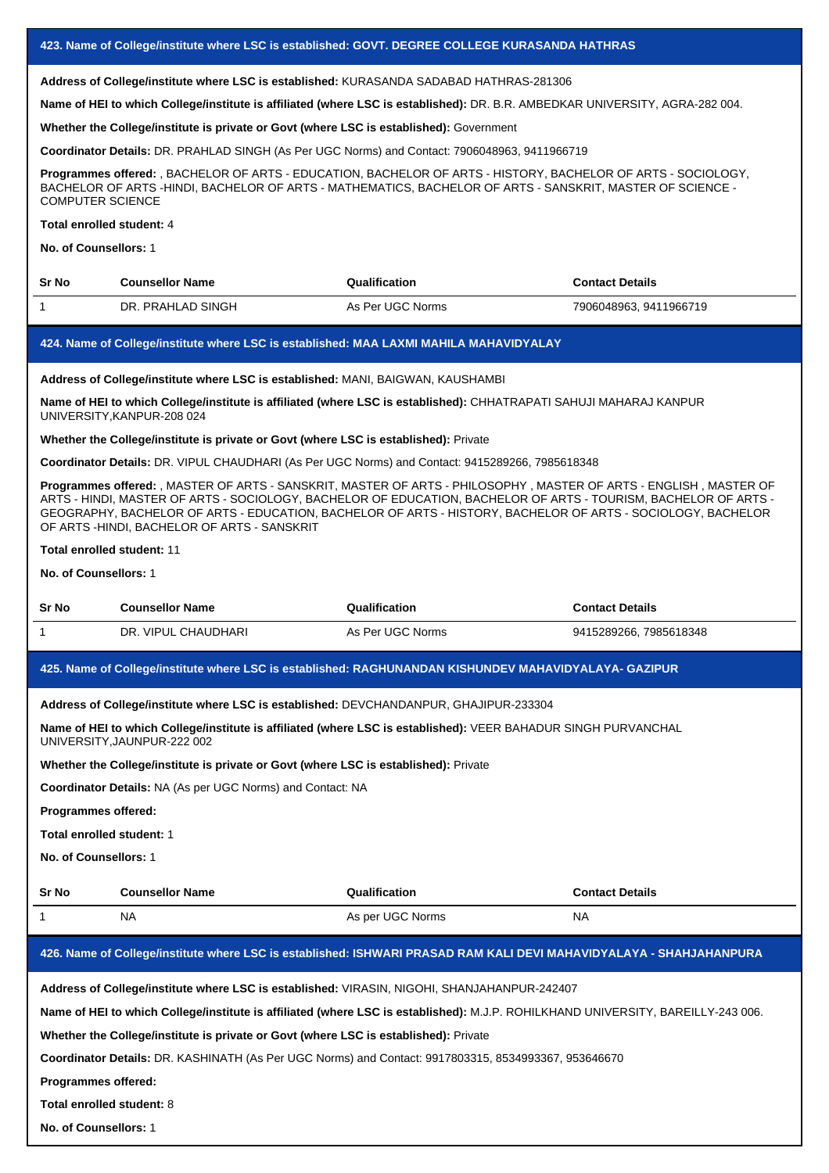**Address of College/institute where LSC is established:** KURASANDA SADABAD HATHRAS-281306

**Name of HEI to which College/institute is affiliated (where LSC is established):** DR. B.R. AMBEDKAR UNIVERSITY, AGRA-282 004.

**Whether the College/institute is private or Govt (where LSC is established):** Government

**Coordinator Details:** DR. PRAHLAD SINGH (As Per UGC Norms) and Contact: 7906048963, 9411966719

**Programmes offered:** , BACHELOR OF ARTS - EDUCATION, BACHELOR OF ARTS - HISTORY, BACHELOR OF ARTS - SOCIOLOGY, BACHELOR OF ARTS -HINDI, BACHELOR OF ARTS - MATHEMATICS, BACHELOR OF ARTS - SANSKRIT, MASTER OF SCIENCE - COMPUTER SCIENCE

## **Total enrolled student:** 4

**No. of Counsellors:** 1

| <b>Sr No</b> | <b>Counsellor Name</b> | Qualification    | <b>Contact Details</b> |
|--------------|------------------------|------------------|------------------------|
|              | DR. PRAHLAD SINGH      | As Per UGC Norms | 7906048963, 9411966719 |

# **424. Name of College/institute where LSC is established: MAA LAXMI MAHILA MAHAVIDYALAY**

#### **Address of College/institute where LSC is established:** MANI, BAIGWAN, KAUSHAMBI

**Name of HEI to which College/institute is affiliated (where LSC is established):** CHHATRAPATI SAHUJI MAHARAJ KANPUR UNIVERSITY,KANPUR-208 024

#### **Whether the College/institute is private or Govt (where LSC is established):** Private

**Coordinator Details:** DR. VIPUL CHAUDHARI (As Per UGC Norms) and Contact: 9415289266, 7985618348

**Programmes offered:** , MASTER OF ARTS - SANSKRIT, MASTER OF ARTS - PHILOSOPHY , MASTER OF ARTS - ENGLISH , MASTER OF ARTS - HINDI, MASTER OF ARTS - SOCIOLOGY, BACHELOR OF EDUCATION, BACHELOR OF ARTS - TOURISM, BACHELOR OF ARTS - GEOGRAPHY, BACHELOR OF ARTS - EDUCATION, BACHELOR OF ARTS - HISTORY, BACHELOR OF ARTS - SOCIOLOGY, BACHELOR OF ARTS -HINDI, BACHELOR OF ARTS - SANSKRIT

#### **Total enrolled student:** 11

**No. of Counsellors:** 1

| <b>Sr No</b>                                                                                          | <b>Counsellor Name</b> | Qualification    | <b>Contact Details</b> |  |  |
|-------------------------------------------------------------------------------------------------------|------------------------|------------------|------------------------|--|--|
|                                                                                                       | DR. VIPUL CHAUDHARI    | As Per UGC Norms | 9415289266.7985618348  |  |  |
| 425. Name of College/institute where LSC is established: RAGHUNANDAN KISHUNDEV MAHAVIDYALAYA- GAZIPUR |                        |                  |                        |  |  |
| Address of College/institute where LSC is established: DEVCHANDANPUR, GHAJIPUR-233304                 |                        |                  |                        |  |  |
|                                                                                                       |                        |                  |                        |  |  |

**Name of HEI to which College/institute is affiliated (where LSC is established):** VEER BAHADUR SINGH PURVANCHAL UNIVERSITY,JAUNPUR-222 002

**Whether the College/institute is private or Govt (where LSC is established):** Private

**Coordinator Details:** NA (As per UGC Norms) and Contact: NA

**Programmes offered:**

**Total enrolled student:** 1

**No. of Counsellors:** 1

| <b>Sr No</b> | <b>Counsellor Name</b> | Qualification    | <b>Contact Details</b> |
|--------------|------------------------|------------------|------------------------|
|              | N۵                     | As per UGC Norms | <b>NA</b>              |

# **426. Name of College/institute where LSC is established: ISHWARI PRASAD RAM KALI DEVI MAHAVIDYALAYA - SHAHJAHANPURA**

**Address of College/institute where LSC is established:** VIRASIN, NIGOHI, SHANJAHANPUR-242407

**Name of HEI to which College/institute is affiliated (where LSC is established):** M.J.P. ROHILKHAND UNIVERSITY, BAREILLY-243 006.

**Whether the College/institute is private or Govt (where LSC is established):** Private

**Coordinator Details:** DR. KASHINATH (As Per UGC Norms) and Contact: 9917803315, 8534993367, 953646670

**Programmes offered:**

**Total enrolled student:** 8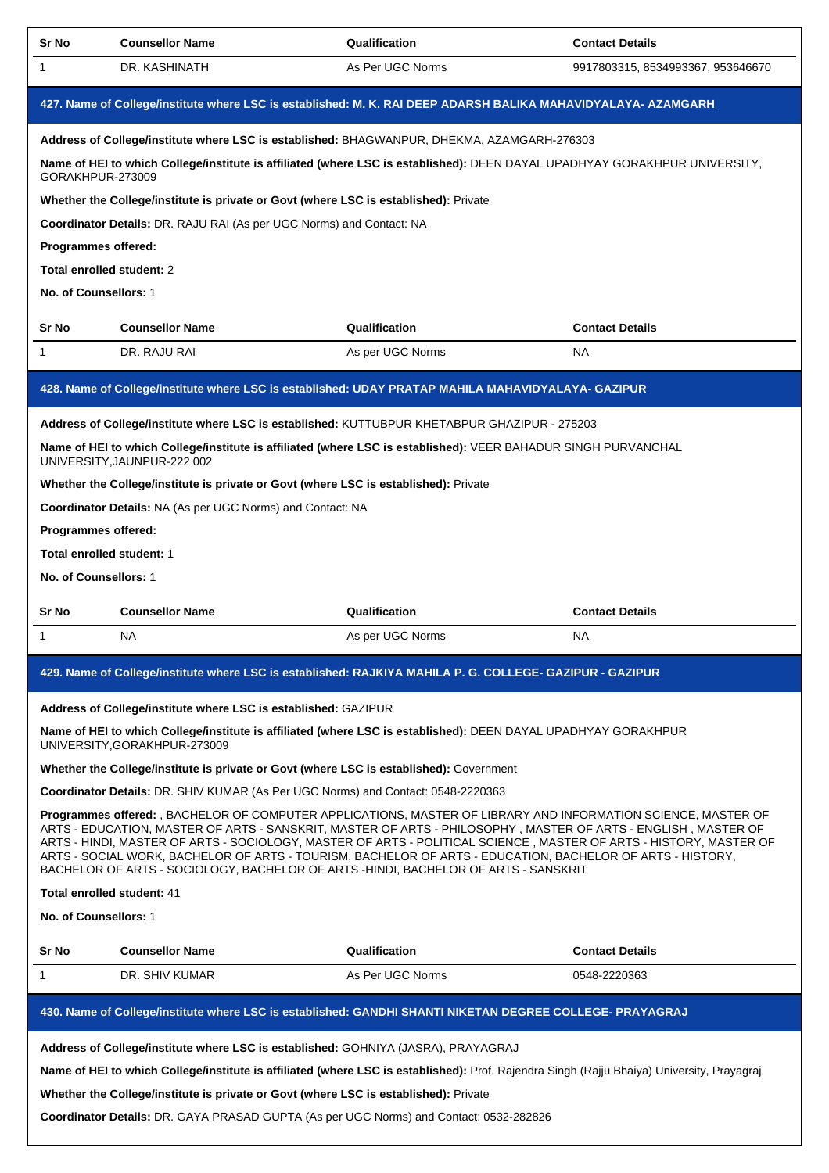| Sr No                                                                                                                                                                                                                                                                                                                                                                                                                                                                                                                                                  | <b>Counsellor Name</b>                                                                  | Qualification                                                                                                                              | <b>Contact Details</b>            |  |  |
|--------------------------------------------------------------------------------------------------------------------------------------------------------------------------------------------------------------------------------------------------------------------------------------------------------------------------------------------------------------------------------------------------------------------------------------------------------------------------------------------------------------------------------------------------------|-----------------------------------------------------------------------------------------|--------------------------------------------------------------------------------------------------------------------------------------------|-----------------------------------|--|--|
| 1                                                                                                                                                                                                                                                                                                                                                                                                                                                                                                                                                      | DR. KASHINATH                                                                           | As Per UGC Norms                                                                                                                           | 9917803315, 8534993367, 953646670 |  |  |
| 427. Name of College/institute where LSC is established: M. K. RAI DEEP ADARSH BALIKA MAHAVIDYALAYA- AZAMGARH                                                                                                                                                                                                                                                                                                                                                                                                                                          |                                                                                         |                                                                                                                                            |                                   |  |  |
|                                                                                                                                                                                                                                                                                                                                                                                                                                                                                                                                                        |                                                                                         | Address of College/institute where LSC is established: BHAGWANPUR, DHEKMA, AZAMGARH-276303                                                 |                                   |  |  |
| GORAKHPUR-273009                                                                                                                                                                                                                                                                                                                                                                                                                                                                                                                                       |                                                                                         | Name of HEI to which College/institute is affiliated (where LSC is established): DEEN DAYAL UPADHYAY GORAKHPUR UNIVERSITY,                 |                                   |  |  |
|                                                                                                                                                                                                                                                                                                                                                                                                                                                                                                                                                        | Whether the College/institute is private or Govt (where LSC is established): Private    |                                                                                                                                            |                                   |  |  |
|                                                                                                                                                                                                                                                                                                                                                                                                                                                                                                                                                        | Coordinator Details: DR. RAJU RAI (As per UGC Norms) and Contact: NA                    |                                                                                                                                            |                                   |  |  |
| Programmes offered:                                                                                                                                                                                                                                                                                                                                                                                                                                                                                                                                    |                                                                                         |                                                                                                                                            |                                   |  |  |
| Total enrolled student: 2                                                                                                                                                                                                                                                                                                                                                                                                                                                                                                                              |                                                                                         |                                                                                                                                            |                                   |  |  |
| No. of Counsellors: 1                                                                                                                                                                                                                                                                                                                                                                                                                                                                                                                                  |                                                                                         |                                                                                                                                            |                                   |  |  |
| Sr No                                                                                                                                                                                                                                                                                                                                                                                                                                                                                                                                                  | <b>Counsellor Name</b>                                                                  | Qualification                                                                                                                              | <b>Contact Details</b>            |  |  |
| 1                                                                                                                                                                                                                                                                                                                                                                                                                                                                                                                                                      | DR. RAJU RAI                                                                            | As per UGC Norms                                                                                                                           | NA.                               |  |  |
|                                                                                                                                                                                                                                                                                                                                                                                                                                                                                                                                                        |                                                                                         | 428. Name of College/institute where LSC is established: UDAY PRATAP MAHILA MAHAVIDYALAYA- GAZIPUR                                         |                                   |  |  |
|                                                                                                                                                                                                                                                                                                                                                                                                                                                                                                                                                        |                                                                                         | Address of College/institute where LSC is established: KUTTUBPUR KHETABPUR GHAZIPUR - 275203                                               |                                   |  |  |
|                                                                                                                                                                                                                                                                                                                                                                                                                                                                                                                                                        | UNIVERSITY, JAUNPUR-222 002                                                             | Name of HEI to which College/institute is affiliated (where LSC is established): VEER BAHADUR SINGH PURVANCHAL                             |                                   |  |  |
|                                                                                                                                                                                                                                                                                                                                                                                                                                                                                                                                                        | Whether the College/institute is private or Govt (where LSC is established): Private    |                                                                                                                                            |                                   |  |  |
|                                                                                                                                                                                                                                                                                                                                                                                                                                                                                                                                                        | Coordinator Details: NA (As per UGC Norms) and Contact: NA                              |                                                                                                                                            |                                   |  |  |
| Programmes offered:                                                                                                                                                                                                                                                                                                                                                                                                                                                                                                                                    |                                                                                         |                                                                                                                                            |                                   |  |  |
| Total enrolled student: 1                                                                                                                                                                                                                                                                                                                                                                                                                                                                                                                              |                                                                                         |                                                                                                                                            |                                   |  |  |
| No. of Counsellors: 1                                                                                                                                                                                                                                                                                                                                                                                                                                                                                                                                  |                                                                                         |                                                                                                                                            |                                   |  |  |
| Sr No                                                                                                                                                                                                                                                                                                                                                                                                                                                                                                                                                  | <b>Counsellor Name</b>                                                                  | Qualification                                                                                                                              | <b>Contact Details</b>            |  |  |
| 1                                                                                                                                                                                                                                                                                                                                                                                                                                                                                                                                                      | NA.                                                                                     | As per UGC Norms                                                                                                                           | NA.                               |  |  |
|                                                                                                                                                                                                                                                                                                                                                                                                                                                                                                                                                        |                                                                                         | 429. Name of College/institute where LSC is established: RAJKIYA MAHILA P. G. COLLEGE- GAZIPUR - GAZIPUR                                   |                                   |  |  |
|                                                                                                                                                                                                                                                                                                                                                                                                                                                                                                                                                        | Address of College/institute where LSC is established: GAZIPUR                          |                                                                                                                                            |                                   |  |  |
|                                                                                                                                                                                                                                                                                                                                                                                                                                                                                                                                                        | UNIVERSITY, GORAKHPUR-273009                                                            | Name of HEI to which College/institute is affiliated (where LSC is established): DEEN DAYAL UPADHYAY GORAKHPUR                             |                                   |  |  |
|                                                                                                                                                                                                                                                                                                                                                                                                                                                                                                                                                        | Whether the College/institute is private or Govt (where LSC is established): Government |                                                                                                                                            |                                   |  |  |
|                                                                                                                                                                                                                                                                                                                                                                                                                                                                                                                                                        | Coordinator Details: DR. SHIV KUMAR (As Per UGC Norms) and Contact: 0548-2220363        |                                                                                                                                            |                                   |  |  |
| Programmes offered: , BACHELOR OF COMPUTER APPLICATIONS, MASTER OF LIBRARY AND INFORMATION SCIENCE, MASTER OF<br>ARTS - EDUCATION, MASTER OF ARTS - SANSKRIT, MASTER OF ARTS - PHILOSOPHY, MASTER OF ARTS - ENGLISH, MASTER OF<br>ARTS - HINDI, MASTER OF ARTS - SOCIOLOGY, MASTER OF ARTS - POLITICAL SCIENCE, MASTER OF ARTS - HISTORY, MASTER OF<br>ARTS - SOCIAL WORK, BACHELOR OF ARTS - TOURISM, BACHELOR OF ARTS - EDUCATION, BACHELOR OF ARTS - HISTORY,<br>BACHELOR OF ARTS - SOCIOLOGY, BACHELOR OF ARTS -HINDI, BACHELOR OF ARTS - SANSKRIT |                                                                                         |                                                                                                                                            |                                   |  |  |
| Total enrolled student: 41                                                                                                                                                                                                                                                                                                                                                                                                                                                                                                                             |                                                                                         |                                                                                                                                            |                                   |  |  |
|                                                                                                                                                                                                                                                                                                                                                                                                                                                                                                                                                        | No. of Counsellors: 1                                                                   |                                                                                                                                            |                                   |  |  |
| Sr No                                                                                                                                                                                                                                                                                                                                                                                                                                                                                                                                                  | <b>Counsellor Name</b>                                                                  | Qualification                                                                                                                              | <b>Contact Details</b>            |  |  |
| $\mathbf{1}$                                                                                                                                                                                                                                                                                                                                                                                                                                                                                                                                           | DR. SHIV KUMAR                                                                          | As Per UGC Norms                                                                                                                           | 0548-2220363                      |  |  |
|                                                                                                                                                                                                                                                                                                                                                                                                                                                                                                                                                        |                                                                                         | 430. Name of College/institute where LSC is established: GANDHI SHANTI NIKETAN DEGREE COLLEGE- PRAYAGRAJ                                   |                                   |  |  |
|                                                                                                                                                                                                                                                                                                                                                                                                                                                                                                                                                        | Address of College/institute where LSC is established: GOHNIYA (JASRA), PRAYAGRAJ       |                                                                                                                                            |                                   |  |  |
|                                                                                                                                                                                                                                                                                                                                                                                                                                                                                                                                                        |                                                                                         | Name of HEI to which College/institute is affiliated (where LSC is established): Prof. Rajendra Singh (Rajju Bhaiya) University, Prayagraj |                                   |  |  |
|                                                                                                                                                                                                                                                                                                                                                                                                                                                                                                                                                        | Whether the College/institute is private or Govt (where LSC is established): Private    |                                                                                                                                            |                                   |  |  |

**Coordinator Details:** DR. GAYA PRASAD GUPTA (As per UGC Norms) and Contact: 0532-282826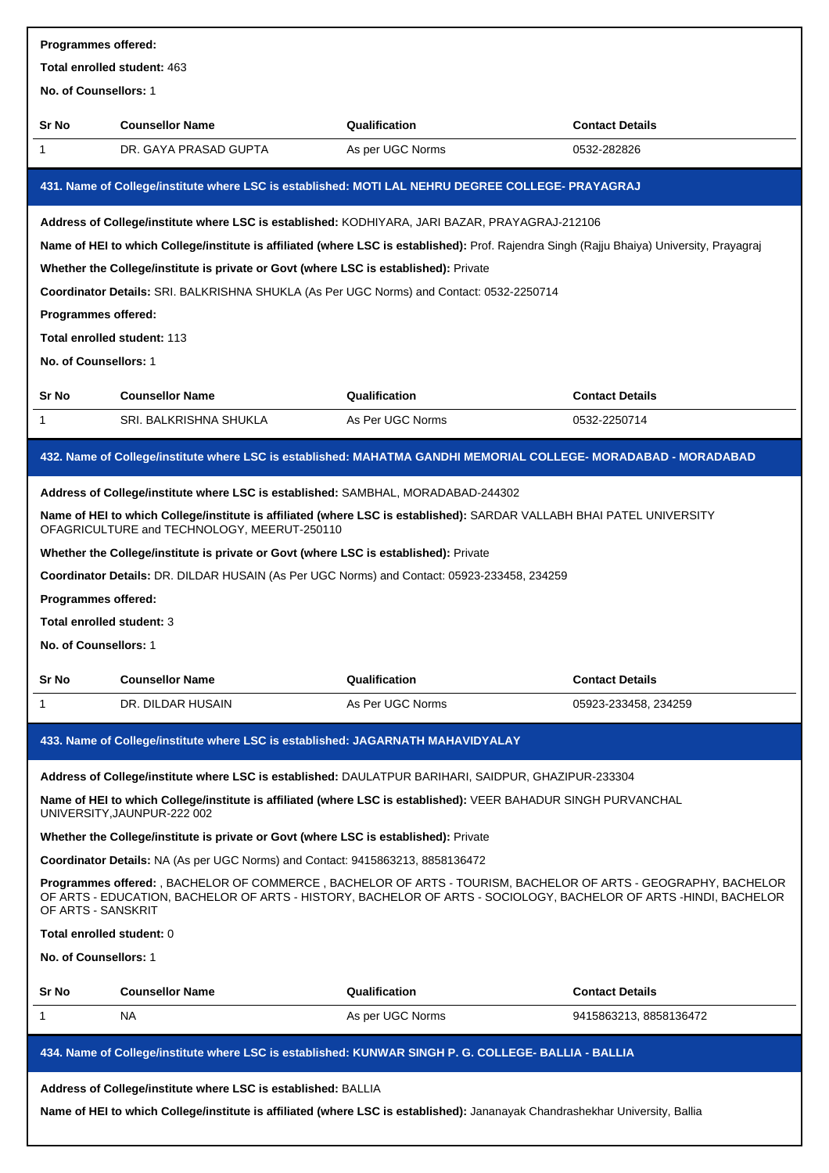| Programmes offered:                                                                                                                                                                                                                                      |                                                                                          |                                                                                                                                            |                        |  |
|----------------------------------------------------------------------------------------------------------------------------------------------------------------------------------------------------------------------------------------------------------|------------------------------------------------------------------------------------------|--------------------------------------------------------------------------------------------------------------------------------------------|------------------------|--|
| Total enrolled student: 463                                                                                                                                                                                                                              |                                                                                          |                                                                                                                                            |                        |  |
| No. of Counsellors: 1                                                                                                                                                                                                                                    |                                                                                          |                                                                                                                                            |                        |  |
| Sr No                                                                                                                                                                                                                                                    | <b>Counsellor Name</b>                                                                   | Qualification                                                                                                                              | <b>Contact Details</b> |  |
| 1                                                                                                                                                                                                                                                        | DR. GAYA PRASAD GUPTA                                                                    | As per UGC Norms                                                                                                                           | 0532-282826            |  |
|                                                                                                                                                                                                                                                          |                                                                                          | 431. Name of College/institute where LSC is established: MOTI LAL NEHRU DEGREE COLLEGE- PRAYAGRAJ                                          |                        |  |
|                                                                                                                                                                                                                                                          |                                                                                          | Address of College/institute where LSC is established: KODHIYARA, JARI BAZAR, PRAYAGRAJ-212106                                             |                        |  |
|                                                                                                                                                                                                                                                          |                                                                                          | Name of HEI to which College/institute is affiliated (where LSC is established): Prof. Rajendra Singh (Rajju Bhaiya) University, Prayagraj |                        |  |
|                                                                                                                                                                                                                                                          | Whether the College/institute is private or Govt (where LSC is established): Private     |                                                                                                                                            |                        |  |
|                                                                                                                                                                                                                                                          | Coordinator Details: SRI. BALKRISHNA SHUKLA (As Per UGC Norms) and Contact: 0532-2250714 |                                                                                                                                            |                        |  |
| Programmes offered:                                                                                                                                                                                                                                      |                                                                                          |                                                                                                                                            |                        |  |
|                                                                                                                                                                                                                                                          | Total enrolled student: 113                                                              |                                                                                                                                            |                        |  |
| No. of Counsellors: 1                                                                                                                                                                                                                                    |                                                                                          |                                                                                                                                            |                        |  |
| Sr No                                                                                                                                                                                                                                                    | <b>Counsellor Name</b>                                                                   | Qualification                                                                                                                              | <b>Contact Details</b> |  |
| 1                                                                                                                                                                                                                                                        | SRI. BALKRISHNA SHUKLA                                                                   | As Per UGC Norms                                                                                                                           | 0532-2250714           |  |
|                                                                                                                                                                                                                                                          |                                                                                          | 432. Name of College/institute where LSC is established: MAHATMA GANDHI MEMORIAL COLLEGE- MORADABAD - MORADABAD                            |                        |  |
|                                                                                                                                                                                                                                                          | Address of College/institute where LSC is established: SAMBHAL, MORADABAD-244302         |                                                                                                                                            |                        |  |
|                                                                                                                                                                                                                                                          | OFAGRICULTURE and TECHNOLOGY, MEERUT-250110                                              | Name of HEI to which College/institute is affiliated (where LSC is established): SARDAR VALLABH BHAI PATEL UNIVERSITY                      |                        |  |
|                                                                                                                                                                                                                                                          | Whether the College/institute is private or Govt (where LSC is established): Private     |                                                                                                                                            |                        |  |
|                                                                                                                                                                                                                                                          |                                                                                          | Coordinator Details: DR. DILDAR HUSAIN (As Per UGC Norms) and Contact: 05923-233458, 234259                                                |                        |  |
| Programmes offered:                                                                                                                                                                                                                                      |                                                                                          |                                                                                                                                            |                        |  |
| <b>Total enrolled student: 3</b>                                                                                                                                                                                                                         |                                                                                          |                                                                                                                                            |                        |  |
| <b>No. of Counsellors: 1</b>                                                                                                                                                                                                                             |                                                                                          |                                                                                                                                            |                        |  |
| Sr No                                                                                                                                                                                                                                                    | <b>Counsellor Name</b>                                                                   | Qualification                                                                                                                              | <b>Contact Details</b> |  |
| 1                                                                                                                                                                                                                                                        | DR. DILDAR HUSAIN                                                                        | As Per UGC Norms                                                                                                                           | 05923-233458, 234259   |  |
|                                                                                                                                                                                                                                                          | 433. Name of College/institute where LSC is established: JAGARNATH MAHAVIDYALAY          |                                                                                                                                            |                        |  |
|                                                                                                                                                                                                                                                          |                                                                                          | Address of College/institute where LSC is established: DAULATPUR BARIHARI, SAIDPUR, GHAZIPUR-233304                                        |                        |  |
|                                                                                                                                                                                                                                                          | UNIVERSITY, JAUNPUR-222 002                                                              | Name of HEI to which College/institute is affiliated (where LSC is established): VEER BAHADUR SINGH PURVANCHAL                             |                        |  |
|                                                                                                                                                                                                                                                          | Whether the College/institute is private or Govt (where LSC is established): Private     |                                                                                                                                            |                        |  |
|                                                                                                                                                                                                                                                          | Coordinator Details: NA (As per UGC Norms) and Contact: 9415863213, 8858136472           |                                                                                                                                            |                        |  |
| Programmes offered: , BACHELOR OF COMMERCE, BACHELOR OF ARTS - TOURISM, BACHELOR OF ARTS - GEOGRAPHY, BACHELOR<br>OF ARTS - EDUCATION, BACHELOR OF ARTS - HISTORY, BACHELOR OF ARTS - SOCIOLOGY, BACHELOR OF ARTS -HINDI, BACHELOR<br>OF ARTS - SANSKRIT |                                                                                          |                                                                                                                                            |                        |  |
| Total enrolled student: 0                                                                                                                                                                                                                                |                                                                                          |                                                                                                                                            |                        |  |
| No. of Counsellors: 1                                                                                                                                                                                                                                    |                                                                                          |                                                                                                                                            |                        |  |
| Sr No                                                                                                                                                                                                                                                    | <b>Counsellor Name</b>                                                                   | Qualification                                                                                                                              | <b>Contact Details</b> |  |
| 1                                                                                                                                                                                                                                                        | NA.                                                                                      | As per UGC Norms                                                                                                                           | 9415863213, 8858136472 |  |
|                                                                                                                                                                                                                                                          |                                                                                          | 434. Name of College/institute where LSC is established: KUNWAR SINGH P. G. COLLEGE- BALLIA - BALLIA                                       |                        |  |
|                                                                                                                                                                                                                                                          | Address of College/institute where LSC is established: BALLIA                            | Name of HEI to which College/institute is affiliated (where LSC is established): Jananayak Chandrashekhar University, Ballia               |                        |  |
|                                                                                                                                                                                                                                                          |                                                                                          |                                                                                                                                            |                        |  |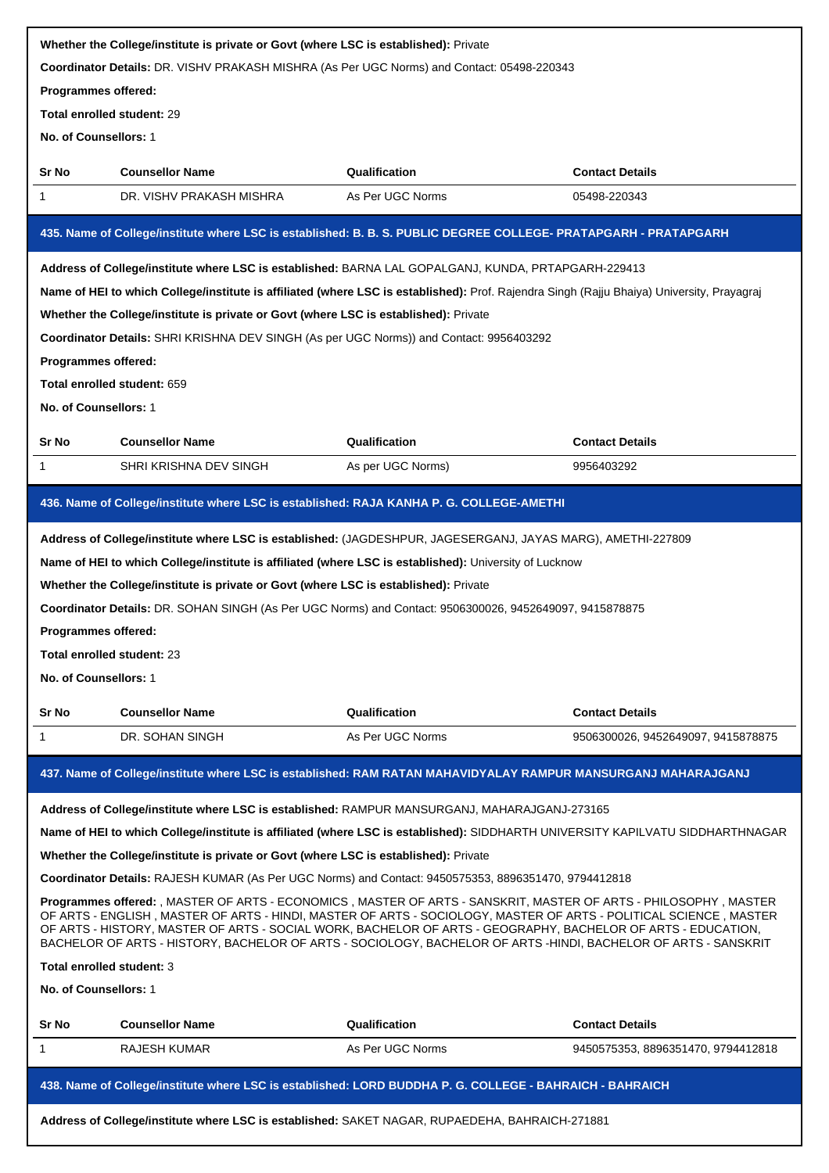| Whether the College/institute is private or Govt (where LSC is established): Private                                                                                                                                                                                                                                                                                                                                                                                        |                                                                                                                                            |                   |                                    |  |
|-----------------------------------------------------------------------------------------------------------------------------------------------------------------------------------------------------------------------------------------------------------------------------------------------------------------------------------------------------------------------------------------------------------------------------------------------------------------------------|--------------------------------------------------------------------------------------------------------------------------------------------|-------------------|------------------------------------|--|
| Coordinator Details: DR. VISHV PRAKASH MISHRA (As Per UGC Norms) and Contact: 05498-220343                                                                                                                                                                                                                                                                                                                                                                                  |                                                                                                                                            |                   |                                    |  |
| Programmes offered:<br>Total enrolled student: 29                                                                                                                                                                                                                                                                                                                                                                                                                           |                                                                                                                                            |                   |                                    |  |
|                                                                                                                                                                                                                                                                                                                                                                                                                                                                             |                                                                                                                                            |                   |                                    |  |
| No. of Counsellors: 1                                                                                                                                                                                                                                                                                                                                                                                                                                                       |                                                                                                                                            |                   |                                    |  |
| Sr No                                                                                                                                                                                                                                                                                                                                                                                                                                                                       | <b>Counsellor Name</b>                                                                                                                     | Qualification     | <b>Contact Details</b>             |  |
| 1                                                                                                                                                                                                                                                                                                                                                                                                                                                                           | DR. VISHV PRAKASH MISHRA                                                                                                                   | As Per UGC Norms  | 05498-220343                       |  |
|                                                                                                                                                                                                                                                                                                                                                                                                                                                                             | 435. Name of College/institute where LSC is established: B. B. S. PUBLIC DEGREE COLLEGE- PRATAPGARH - PRATAPGARH                           |                   |                                    |  |
|                                                                                                                                                                                                                                                                                                                                                                                                                                                                             | Address of College/institute where LSC is established: BARNA LAL GOPALGANJ, KUNDA, PRTAPGARH-229413                                        |                   |                                    |  |
|                                                                                                                                                                                                                                                                                                                                                                                                                                                                             | Name of HEI to which College/institute is affiliated (where LSC is established): Prof. Rajendra Singh (Rajju Bhaiya) University, Prayagraj |                   |                                    |  |
|                                                                                                                                                                                                                                                                                                                                                                                                                                                                             | Whether the College/institute is private or Govt (where LSC is established): Private                                                       |                   |                                    |  |
|                                                                                                                                                                                                                                                                                                                                                                                                                                                                             | Coordinator Details: SHRI KRISHNA DEV SINGH (As per UGC Norms)) and Contact: 9956403292                                                    |                   |                                    |  |
| Programmes offered:                                                                                                                                                                                                                                                                                                                                                                                                                                                         |                                                                                                                                            |                   |                                    |  |
|                                                                                                                                                                                                                                                                                                                                                                                                                                                                             | Total enrolled student: 659                                                                                                                |                   |                                    |  |
| No. of Counsellors: 1                                                                                                                                                                                                                                                                                                                                                                                                                                                       |                                                                                                                                            |                   |                                    |  |
| <b>Sr No</b>                                                                                                                                                                                                                                                                                                                                                                                                                                                                | <b>Counsellor Name</b>                                                                                                                     | Qualification     | <b>Contact Details</b>             |  |
| 1                                                                                                                                                                                                                                                                                                                                                                                                                                                                           | SHRI KRISHNA DEV SINGH                                                                                                                     | As per UGC Norms) | 9956403292                         |  |
|                                                                                                                                                                                                                                                                                                                                                                                                                                                                             | 436. Name of College/institute where LSC is established: RAJA KANHA P. G. COLLEGE-AMETHI                                                   |                   |                                    |  |
|                                                                                                                                                                                                                                                                                                                                                                                                                                                                             |                                                                                                                                            |                   |                                    |  |
|                                                                                                                                                                                                                                                                                                                                                                                                                                                                             | Address of College/institute where LSC is established: (JAGDESHPUR, JAGESERGANJ, JAYAS MARG), AMETHI-227809                                |                   |                                    |  |
|                                                                                                                                                                                                                                                                                                                                                                                                                                                                             | Name of HEI to which College/institute is affiliated (where LSC is established): University of Lucknow                                     |                   |                                    |  |
|                                                                                                                                                                                                                                                                                                                                                                                                                                                                             | Whether the College/institute is private or Govt (where LSC is established): Private                                                       |                   |                                    |  |
|                                                                                                                                                                                                                                                                                                                                                                                                                                                                             | Coordinator Details: DR. SOHAN SINGH (As Per UGC Norms) and Contact: 9506300026, 9452649097, 9415878875                                    |                   |                                    |  |
| <b>Programmes offered:</b>                                                                                                                                                                                                                                                                                                                                                                                                                                                  |                                                                                                                                            |                   |                                    |  |
| Total enrolled student: 23                                                                                                                                                                                                                                                                                                                                                                                                                                                  |                                                                                                                                            |                   |                                    |  |
| No. of Counsellors: 1                                                                                                                                                                                                                                                                                                                                                                                                                                                       |                                                                                                                                            |                   |                                    |  |
| Sr No                                                                                                                                                                                                                                                                                                                                                                                                                                                                       | <b>Counsellor Name</b>                                                                                                                     | Qualification     | <b>Contact Details</b>             |  |
| $\mathbf 1$                                                                                                                                                                                                                                                                                                                                                                                                                                                                 | DR. SOHAN SINGH                                                                                                                            | As Per UGC Norms  | 9506300026, 9452649097, 9415878875 |  |
|                                                                                                                                                                                                                                                                                                                                                                                                                                                                             | 437. Name of College/institute where LSC is established: RAM RATAN MAHAVIDYALAY RAMPUR MANSURGANJ MAHARAJGANJ                              |                   |                                    |  |
|                                                                                                                                                                                                                                                                                                                                                                                                                                                                             | Address of College/institute where LSC is established: RAMPUR MANSURGANJ, MAHARAJGANJ-273165                                               |                   |                                    |  |
|                                                                                                                                                                                                                                                                                                                                                                                                                                                                             | Name of HEI to which College/institute is affiliated (where LSC is established): SIDDHARTH UNIVERSITY KAPILVATU SIDDHARTHNAGAR             |                   |                                    |  |
|                                                                                                                                                                                                                                                                                                                                                                                                                                                                             | Whether the College/institute is private or Govt (where LSC is established): Private                                                       |                   |                                    |  |
|                                                                                                                                                                                                                                                                                                                                                                                                                                                                             | Coordinator Details: RAJESH KUMAR (As Per UGC Norms) and Contact: 9450575353, 8896351470, 9794412818                                       |                   |                                    |  |
| Programmes offered: , MASTER OF ARTS - ECONOMICS , MASTER OF ARTS - SANSKRIT, MASTER OF ARTS - PHILOSOPHY , MASTER<br>OF ARTS - ENGLISH , MASTER OF ARTS - HINDI, MASTER OF ARTS - SOCIOLOGY, MASTER OF ARTS - POLITICAL SCIENCE , MASTER<br>OF ARTS - HISTORY, MASTER OF ARTS - SOCIAL WORK, BACHELOR OF ARTS - GEOGRAPHY, BACHELOR OF ARTS - EDUCATION,<br>BACHELOR OF ARTS - HISTORY, BACHELOR OF ARTS - SOCIOLOGY, BACHELOR OF ARTS -HINDI, BACHELOR OF ARTS - SANSKRIT |                                                                                                                                            |                   |                                    |  |
| Total enrolled student: 3                                                                                                                                                                                                                                                                                                                                                                                                                                                   |                                                                                                                                            |                   |                                    |  |
| No. of Counsellors: 1                                                                                                                                                                                                                                                                                                                                                                                                                                                       |                                                                                                                                            |                   |                                    |  |
| Sr No                                                                                                                                                                                                                                                                                                                                                                                                                                                                       | <b>Counsellor Name</b>                                                                                                                     | Qualification     | <b>Contact Details</b>             |  |
| 1                                                                                                                                                                                                                                                                                                                                                                                                                                                                           | RAJESH KUMAR                                                                                                                               | As Per UGC Norms  | 9450575353, 8896351470, 9794412818 |  |
|                                                                                                                                                                                                                                                                                                                                                                                                                                                                             | 438. Name of College/institute where LSC is established: LORD BUDDHA P. G. COLLEGE - BAHRAICH - BAHRAICH                                   |                   |                                    |  |
|                                                                                                                                                                                                                                                                                                                                                                                                                                                                             | Address of College/institute where LSC is established: SAKET NAGAR, RUPAEDEHA, BAHRAICH-271881                                             |                   |                                    |  |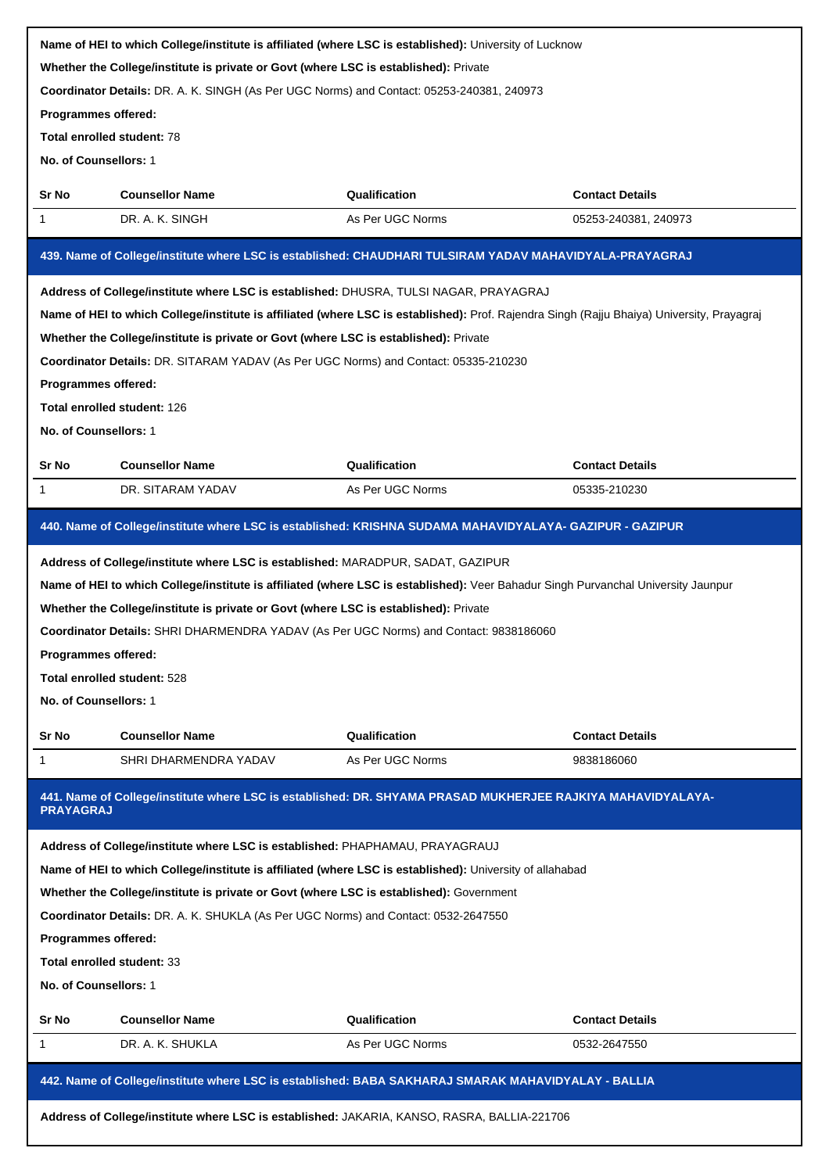| Name of HEI to which College/institute is affiliated (where LSC is established): University of Lucknow |                                                                                                                                            |                                   |                                        |  |  |
|--------------------------------------------------------------------------------------------------------|--------------------------------------------------------------------------------------------------------------------------------------------|-----------------------------------|----------------------------------------|--|--|
| Whether the College/institute is private or Govt (where LSC is established): Private                   |                                                                                                                                            |                                   |                                        |  |  |
|                                                                                                        | Coordinator Details: DR. A. K. SINGH (As Per UGC Norms) and Contact: 05253-240381, 240973<br>Programmes offered:                           |                                   |                                        |  |  |
| Total enrolled student: 78                                                                             |                                                                                                                                            |                                   |                                        |  |  |
| No. of Counsellors: 1                                                                                  |                                                                                                                                            |                                   |                                        |  |  |
|                                                                                                        |                                                                                                                                            |                                   |                                        |  |  |
| Sr No                                                                                                  | <b>Counsellor Name</b>                                                                                                                     | Qualification                     | <b>Contact Details</b>                 |  |  |
| 1                                                                                                      | DR. A. K. SINGH                                                                                                                            | As Per UGC Norms                  | 05253-240381, 240973                   |  |  |
|                                                                                                        | 439. Name of College/institute where LSC is established: CHAUDHARI TULSIRAM YADAV MAHAVIDYALA-PRAYAGRAJ                                    |                                   |                                        |  |  |
|                                                                                                        | Address of College/institute where LSC is established: DHUSRA, TULSI NAGAR, PRAYAGRAJ                                                      |                                   |                                        |  |  |
|                                                                                                        | Name of HEI to which College/institute is affiliated (where LSC is established): Prof. Rajendra Singh (Rajju Bhaiya) University, Prayagraj |                                   |                                        |  |  |
|                                                                                                        | Whether the College/institute is private or Govt (where LSC is established): Private                                                       |                                   |                                        |  |  |
|                                                                                                        | Coordinator Details: DR. SITARAM YADAV (As Per UGC Norms) and Contact: 05335-210230                                                        |                                   |                                        |  |  |
| Programmes offered:                                                                                    |                                                                                                                                            |                                   |                                        |  |  |
|                                                                                                        | Total enrolled student: 126                                                                                                                |                                   |                                        |  |  |
| No. of Counsellors: 1                                                                                  |                                                                                                                                            |                                   |                                        |  |  |
| <b>Sr No</b>                                                                                           | <b>Counsellor Name</b>                                                                                                                     | Qualification                     | <b>Contact Details</b>                 |  |  |
| 1                                                                                                      | DR. SITARAM YADAV                                                                                                                          | As Per UGC Norms                  | 05335-210230                           |  |  |
|                                                                                                        | 440. Name of College/institute where LSC is established: KRISHNA SUDAMA MAHAVIDYALAYA- GAZIPUR - GAZIPUR                                   |                                   |                                        |  |  |
|                                                                                                        | Address of College/institute where LSC is established: MARADPUR, SADAT, GAZIPUR                                                            |                                   |                                        |  |  |
|                                                                                                        | Name of HEI to which College/institute is affiliated (where LSC is established): Veer Bahadur Singh Purvanchal University Jaunpur          |                                   |                                        |  |  |
|                                                                                                        | Whether the College/institute is private or Govt (where LSC is established): Private                                                       |                                   |                                        |  |  |
|                                                                                                        | <b>Coordinator Details:</b> SHRI DHARMENDRA YADAV (As Per UGC Norms) and Contact: 9838186060                                               |                                   |                                        |  |  |
| Programmes offered:                                                                                    |                                                                                                                                            |                                   |                                        |  |  |
|                                                                                                        | <b>Total enrolled student: 528</b>                                                                                                         |                                   |                                        |  |  |
| No. of Counsellors: 1                                                                                  |                                                                                                                                            |                                   |                                        |  |  |
| Sr No                                                                                                  | <b>Counsellor Name</b>                                                                                                                     | Qualification                     | <b>Contact Details</b>                 |  |  |
| 1                                                                                                      | SHRI DHARMENDRA YADAV                                                                                                                      | As Per UGC Norms                  | 9838186060                             |  |  |
| <b>PRAYAGRAJ</b>                                                                                       | 441. Name of College/institute where LSC is established: DR. SHYAMA PRASAD MUKHERJEE RAJKIYA MAHAVIDYALAYA-                                |                                   |                                        |  |  |
|                                                                                                        | Address of College/institute where LSC is established: PHAPHAMAU, PRAYAGRAUJ                                                               |                                   |                                        |  |  |
|                                                                                                        | Name of HEI to which College/institute is affiliated (where LSC is established): University of allahabad                                   |                                   |                                        |  |  |
|                                                                                                        | Whether the College/institute is private or Govt (where LSC is established): Government                                                    |                                   |                                        |  |  |
|                                                                                                        | Coordinator Details: DR. A. K. SHUKLA (As Per UGC Norms) and Contact: 0532-2647550                                                         |                                   |                                        |  |  |
| Programmes offered:                                                                                    |                                                                                                                                            |                                   |                                        |  |  |
| Total enrolled student: 33                                                                             |                                                                                                                                            |                                   |                                        |  |  |
| No. of Counsellors: 1                                                                                  |                                                                                                                                            |                                   |                                        |  |  |
|                                                                                                        |                                                                                                                                            |                                   |                                        |  |  |
| Sr No<br>1                                                                                             | <b>Counsellor Name</b><br>DR. A. K. SHUKLA                                                                                                 | Qualification<br>As Per UGC Norms | <b>Contact Details</b><br>0532-2647550 |  |  |
|                                                                                                        |                                                                                                                                            |                                   |                                        |  |  |
|                                                                                                        | 442. Name of College/institute where LSC is established: BABA SAKHARAJ SMARAK MAHAVIDYALAY - BALLIA                                        |                                   |                                        |  |  |
|                                                                                                        | Address of College/institute where LSC is established: JAKARIA, KANSO, RASRA, BALLIA-221706                                                |                                   |                                        |  |  |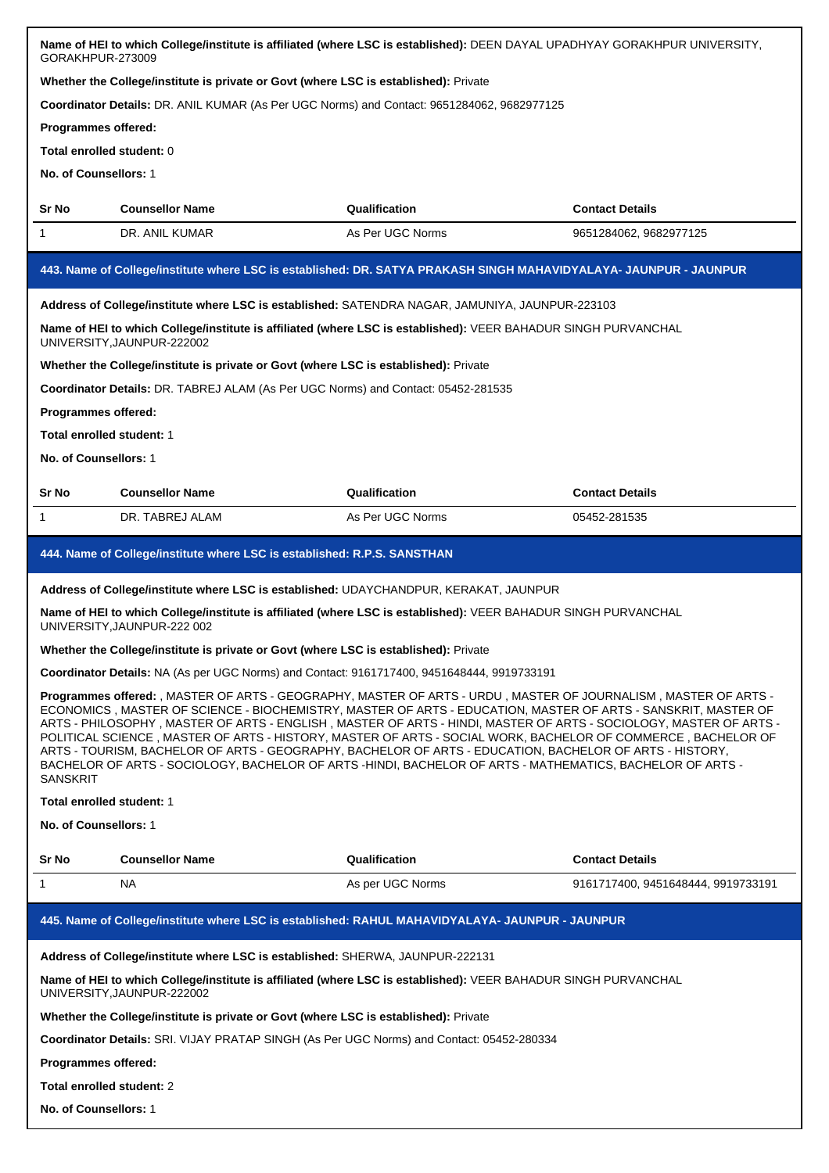| Name of HEI to which College/institute is affiliated (where LSC is established): DEEN DAYAL UPADHYAY GORAKHPUR UNIVERSITY,<br>GORAKHPUR-273009                                                                                                                                                                                                                                                                                                                                                                                                                                                                                                                                                                   |                                                                                                                                               |                  |                                    |  |
|------------------------------------------------------------------------------------------------------------------------------------------------------------------------------------------------------------------------------------------------------------------------------------------------------------------------------------------------------------------------------------------------------------------------------------------------------------------------------------------------------------------------------------------------------------------------------------------------------------------------------------------------------------------------------------------------------------------|-----------------------------------------------------------------------------------------------------------------------------------------------|------------------|------------------------------------|--|
| Whether the College/institute is private or Govt (where LSC is established): Private                                                                                                                                                                                                                                                                                                                                                                                                                                                                                                                                                                                                                             |                                                                                                                                               |                  |                                    |  |
| Coordinator Details: DR. ANIL KUMAR (As Per UGC Norms) and Contact: 9651284062, 9682977125                                                                                                                                                                                                                                                                                                                                                                                                                                                                                                                                                                                                                       |                                                                                                                                               |                  |                                    |  |
| <b>Programmes offered:</b>                                                                                                                                                                                                                                                                                                                                                                                                                                                                                                                                                                                                                                                                                       |                                                                                                                                               |                  |                                    |  |
| Total enrolled student: 0                                                                                                                                                                                                                                                                                                                                                                                                                                                                                                                                                                                                                                                                                        |                                                                                                                                               |                  |                                    |  |
| No. of Counsellors: 1                                                                                                                                                                                                                                                                                                                                                                                                                                                                                                                                                                                                                                                                                            |                                                                                                                                               |                  |                                    |  |
| Sr No                                                                                                                                                                                                                                                                                                                                                                                                                                                                                                                                                                                                                                                                                                            | <b>Counsellor Name</b>                                                                                                                        | Qualification    | <b>Contact Details</b>             |  |
| $\mathbf{1}$                                                                                                                                                                                                                                                                                                                                                                                                                                                                                                                                                                                                                                                                                                     | DR. ANIL KUMAR                                                                                                                                | As Per UGC Norms | 9651284062, 9682977125             |  |
|                                                                                                                                                                                                                                                                                                                                                                                                                                                                                                                                                                                                                                                                                                                  | 443. Name of College/institute where LSC is established: DR. SATYA PRAKASH SINGH MAHAVIDYALAYA- JAUNPUR - JAUNPUR                             |                  |                                    |  |
|                                                                                                                                                                                                                                                                                                                                                                                                                                                                                                                                                                                                                                                                                                                  | Address of College/institute where LSC is established: SATENDRA NAGAR, JAMUNIYA, JAUNPUR-223103                                               |                  |                                    |  |
|                                                                                                                                                                                                                                                                                                                                                                                                                                                                                                                                                                                                                                                                                                                  | Name of HEI to which College/institute is affiliated (where LSC is established): VEER BAHADUR SINGH PURVANCHAL<br>UNIVERSITY, JAUNPUR-222002  |                  |                                    |  |
|                                                                                                                                                                                                                                                                                                                                                                                                                                                                                                                                                                                                                                                                                                                  | Whether the College/institute is private or Govt (where LSC is established): Private                                                          |                  |                                    |  |
|                                                                                                                                                                                                                                                                                                                                                                                                                                                                                                                                                                                                                                                                                                                  | Coordinator Details: DR. TABREJ ALAM (As Per UGC Norms) and Contact: 05452-281535                                                             |                  |                                    |  |
| Programmes offered:                                                                                                                                                                                                                                                                                                                                                                                                                                                                                                                                                                                                                                                                                              |                                                                                                                                               |                  |                                    |  |
| <b>Total enrolled student: 1</b>                                                                                                                                                                                                                                                                                                                                                                                                                                                                                                                                                                                                                                                                                 |                                                                                                                                               |                  |                                    |  |
| No. of Counsellors: 1                                                                                                                                                                                                                                                                                                                                                                                                                                                                                                                                                                                                                                                                                            |                                                                                                                                               |                  |                                    |  |
| Sr No                                                                                                                                                                                                                                                                                                                                                                                                                                                                                                                                                                                                                                                                                                            | <b>Counsellor Name</b>                                                                                                                        | Qualification    | <b>Contact Details</b>             |  |
| $\mathbf{1}$                                                                                                                                                                                                                                                                                                                                                                                                                                                                                                                                                                                                                                                                                                     | DR. TABREJ ALAM                                                                                                                               | As Per UGC Norms | 05452-281535                       |  |
|                                                                                                                                                                                                                                                                                                                                                                                                                                                                                                                                                                                                                                                                                                                  | 444. Name of College/institute where LSC is established: R.P.S. SANSTHAN                                                                      |                  |                                    |  |
|                                                                                                                                                                                                                                                                                                                                                                                                                                                                                                                                                                                                                                                                                                                  | Address of College/institute where LSC is established: UDAYCHANDPUR, KERAKAT, JAUNPUR                                                         |                  |                                    |  |
|                                                                                                                                                                                                                                                                                                                                                                                                                                                                                                                                                                                                                                                                                                                  | Name of HEI to which College/institute is affiliated (where LSC is established): VEER BAHADUR SINGH PURVANCHAL<br>UNIVERSITY, JAUNPUR-222 002 |                  |                                    |  |
|                                                                                                                                                                                                                                                                                                                                                                                                                                                                                                                                                                                                                                                                                                                  | Whether the College/institute is private or Govt (where LSC is established): Private                                                          |                  |                                    |  |
|                                                                                                                                                                                                                                                                                                                                                                                                                                                                                                                                                                                                                                                                                                                  | Coordinator Details: NA (As per UGC Norms) and Contact: 9161717400, 9451648444, 9919733191                                                    |                  |                                    |  |
| Programmes offered: , MASTER OF ARTS - GEOGRAPHY, MASTER OF ARTS - URDU, MASTER OF JOURNALISM, MASTER OF ARTS -<br>ECONOMICS, MASTER OF SCIENCE - BIOCHEMISTRY, MASTER OF ARTS - EDUCATION, MASTER OF ARTS - SANSKRIT, MASTER OF<br>ARTS - PHILOSOPHY, MASTER OF ARTS - ENGLISH, MASTER OF ARTS - HINDI, MASTER OF ARTS - SOCIOLOGY, MASTER OF ARTS -<br>POLITICAL SCIENCE, MASTER OF ARTS - HISTORY, MASTER OF ARTS - SOCIAL WORK, BACHELOR OF COMMERCE, BACHELOR OF<br>ARTS - TOURISM, BACHELOR OF ARTS - GEOGRAPHY, BACHELOR OF ARTS - EDUCATION, BACHELOR OF ARTS - HISTORY,<br>BACHELOR OF ARTS - SOCIOLOGY, BACHELOR OF ARTS -HINDI, BACHELOR OF ARTS - MATHEMATICS, BACHELOR OF ARTS -<br><b>SANSKRIT</b> |                                                                                                                                               |                  |                                    |  |
| Total enrolled student: 1                                                                                                                                                                                                                                                                                                                                                                                                                                                                                                                                                                                                                                                                                        |                                                                                                                                               |                  |                                    |  |
| No. of Counsellors: 1                                                                                                                                                                                                                                                                                                                                                                                                                                                                                                                                                                                                                                                                                            |                                                                                                                                               |                  |                                    |  |
| Sr No                                                                                                                                                                                                                                                                                                                                                                                                                                                                                                                                                                                                                                                                                                            | <b>Counsellor Name</b>                                                                                                                        | Qualification    | <b>Contact Details</b>             |  |
| $\mathbf{1}$                                                                                                                                                                                                                                                                                                                                                                                                                                                                                                                                                                                                                                                                                                     | <b>NA</b>                                                                                                                                     | As per UGC Norms | 9161717400, 9451648444, 9919733191 |  |
| 445. Name of College/institute where LSC is established: RAHUL MAHAVIDYALAYA- JAUNPUR - JAUNPUR                                                                                                                                                                                                                                                                                                                                                                                                                                                                                                                                                                                                                  |                                                                                                                                               |                  |                                    |  |
|                                                                                                                                                                                                                                                                                                                                                                                                                                                                                                                                                                                                                                                                                                                  |                                                                                                                                               |                  |                                    |  |
|                                                                                                                                                                                                                                                                                                                                                                                                                                                                                                                                                                                                                                                                                                                  | Address of College/institute where LSC is established: SHERWA, JAUNPUR-222131                                                                 |                  |                                    |  |
|                                                                                                                                                                                                                                                                                                                                                                                                                                                                                                                                                                                                                                                                                                                  | Name of HEI to which College/institute is affiliated (where LSC is established): VEER BAHADUR SINGH PURVANCHAL<br>UNIVERSITY, JAUNPUR-222002  |                  |                                    |  |
|                                                                                                                                                                                                                                                                                                                                                                                                                                                                                                                                                                                                                                                                                                                  | Whether the College/institute is private or Govt (where LSC is established): Private                                                          |                  |                                    |  |
|                                                                                                                                                                                                                                                                                                                                                                                                                                                                                                                                                                                                                                                                                                                  | Coordinator Details: SRI. VIJAY PRATAP SINGH (As Per UGC Norms) and Contact: 05452-280334                                                     |                  |                                    |  |
| Programmes offered:                                                                                                                                                                                                                                                                                                                                                                                                                                                                                                                                                                                                                                                                                              |                                                                                                                                               |                  |                                    |  |
| Total enrolled student: 2                                                                                                                                                                                                                                                                                                                                                                                                                                                                                                                                                                                                                                                                                        |                                                                                                                                               |                  |                                    |  |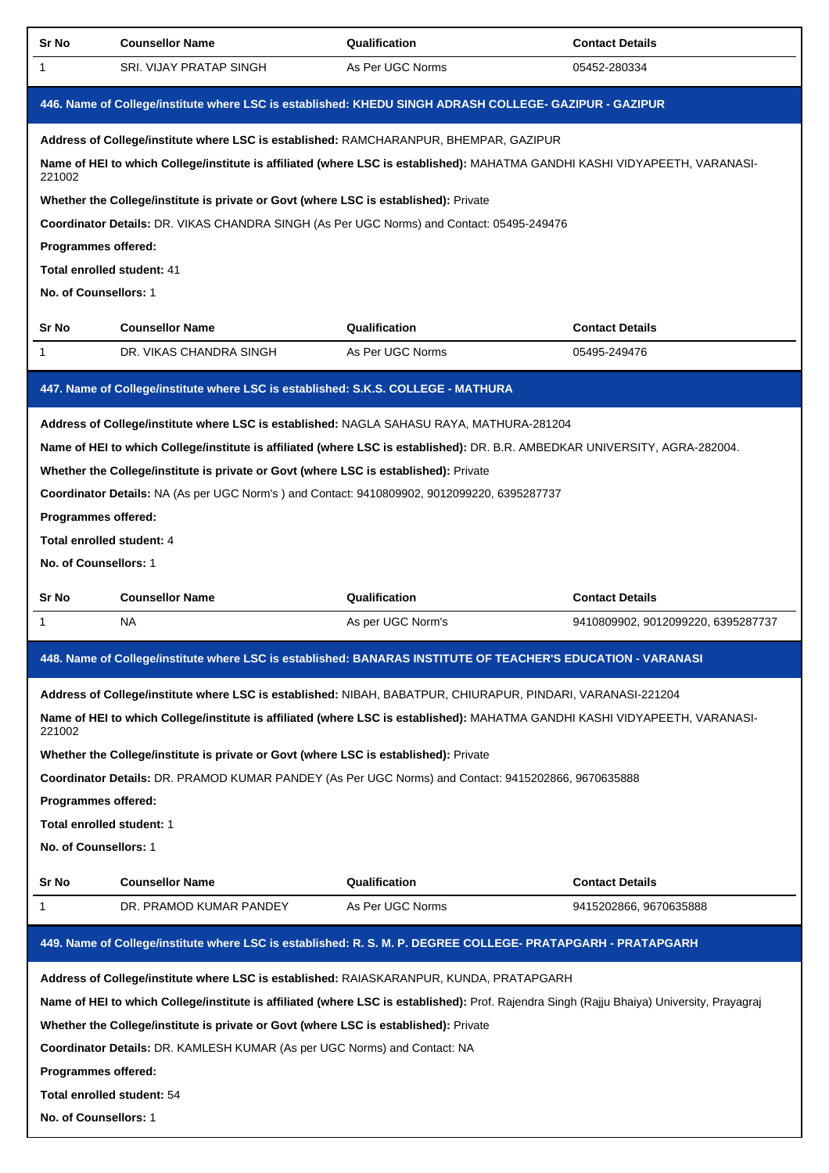| Sr No                                                                                                        | <b>Counsellor Name</b>                                                                       | Qualification                                                                                                                              | <b>Contact Details</b>             |
|--------------------------------------------------------------------------------------------------------------|----------------------------------------------------------------------------------------------|--------------------------------------------------------------------------------------------------------------------------------------------|------------------------------------|
| 1                                                                                                            | <b>SRI. VIJAY PRATAP SINGH</b>                                                               | As Per UGC Norms                                                                                                                           | 05452-280334                       |
|                                                                                                              |                                                                                              | 446. Name of College/institute where LSC is established: KHEDU SINGH ADRASH COLLEGE- GAZIPUR - GAZIPUR                                     |                                    |
|                                                                                                              | Address of College/institute where LSC is established: RAMCHARANPUR, BHEMPAR, GAZIPUR        |                                                                                                                                            |                                    |
| 221002                                                                                                       |                                                                                              | Name of HEI to which College/institute is affiliated (where LSC is established): MAHATMA GANDHI KASHI VIDYAPEETH, VARANASI-                |                                    |
|                                                                                                              | Whether the College/institute is private or Govt (where LSC is established): Private         |                                                                                                                                            |                                    |
|                                                                                                              |                                                                                              | Coordinator Details: DR. VIKAS CHANDRA SINGH (As Per UGC Norms) and Contact: 05495-249476                                                  |                                    |
| Programmes offered:                                                                                          |                                                                                              |                                                                                                                                            |                                    |
| Total enrolled student: 41                                                                                   |                                                                                              |                                                                                                                                            |                                    |
| No. of Counsellors: 1                                                                                        |                                                                                              |                                                                                                                                            |                                    |
| Sr No                                                                                                        | <b>Counsellor Name</b>                                                                       | Qualification                                                                                                                              | <b>Contact Details</b>             |
| -1                                                                                                           | DR. VIKAS CHANDRA SINGH                                                                      | As Per UGC Norms                                                                                                                           | 05495-249476                       |
|                                                                                                              | 447. Name of College/institute where LSC is established: S.K.S. COLLEGE - MATHURA            |                                                                                                                                            |                                    |
|                                                                                                              |                                                                                              | Address of College/institute where LSC is established: NAGLA SAHASU RAYA, MATHURA-281204                                                   |                                    |
|                                                                                                              |                                                                                              | Name of HEI to which College/institute is affiliated (where LSC is established): DR. B.R. AMBEDKAR UNIVERSITY, AGRA-282004.                |                                    |
|                                                                                                              | Whether the College/institute is private or Govt (where LSC is established): Private         |                                                                                                                                            |                                    |
|                                                                                                              | Coordinator Details: NA (As per UGC Norm's ) and Contact: 9410809902, 9012099220, 6395287737 |                                                                                                                                            |                                    |
| Programmes offered:                                                                                          |                                                                                              |                                                                                                                                            |                                    |
| Total enrolled student: 4                                                                                    |                                                                                              |                                                                                                                                            |                                    |
| No. of Counsellors: 1                                                                                        |                                                                                              |                                                                                                                                            |                                    |
| Sr No                                                                                                        | <b>Counsellor Name</b>                                                                       | Qualification                                                                                                                              | <b>Contact Details</b>             |
| 1                                                                                                            | NA.                                                                                          | As per UGC Norm's                                                                                                                          | 9410809902, 9012099220, 6395287737 |
| 448. Name of College/institute where LSC is established: BANARAS INSTITUTE OF TEACHER'S EDUCATION - VARANASI |                                                                                              |                                                                                                                                            |                                    |
|                                                                                                              |                                                                                              |                                                                                                                                            |                                    |
|                                                                                                              |                                                                                              | Address of College/institute where LSC is established: NIBAH, BABATPUR, CHIURAPUR, PINDARI, VARANASI-221204                                |                                    |
| 221002                                                                                                       |                                                                                              | Name of HEI to which College/institute is affiliated (where LSC is established): MAHATMA GANDHI KASHI VIDYAPEETH, VARANASI-                |                                    |
|                                                                                                              | Whether the College/institute is private or Govt (where LSC is established): Private         |                                                                                                                                            |                                    |
|                                                                                                              |                                                                                              | Coordinator Details: DR. PRAMOD KUMAR PANDEY (As Per UGC Norms) and Contact: 9415202866, 9670635888                                        |                                    |
| Programmes offered:                                                                                          |                                                                                              |                                                                                                                                            |                                    |
| Total enrolled student: 1                                                                                    |                                                                                              |                                                                                                                                            |                                    |
| No. of Counsellors: 1                                                                                        |                                                                                              |                                                                                                                                            |                                    |
| Sr No                                                                                                        | <b>Counsellor Name</b>                                                                       | Qualification                                                                                                                              | <b>Contact Details</b>             |
| 1                                                                                                            | DR. PRAMOD KUMAR PANDEY                                                                      | As Per UGC Norms                                                                                                                           | 9415202866, 9670635888             |
|                                                                                                              |                                                                                              | 449. Name of College/institute where LSC is established: R. S. M. P. DEGREE COLLEGE- PRATAPGARH - PRATAPGARH                               |                                    |
|                                                                                                              |                                                                                              | Address of College/institute where LSC is established: RAIASKARANPUR, KUNDA, PRATAPGARH                                                    |                                    |
|                                                                                                              |                                                                                              | Name of HEI to which College/institute is affiliated (where LSC is established): Prof. Rajendra Singh (Rajju Bhaiya) University, Prayagraj |                                    |
|                                                                                                              | Whether the College/institute is private or Govt (where LSC is established): Private         |                                                                                                                                            |                                    |
|                                                                                                              | Coordinator Details: DR. KAMLESH KUMAR (As per UGC Norms) and Contact: NA                    |                                                                                                                                            |                                    |
| Programmes offered:                                                                                          |                                                                                              |                                                                                                                                            |                                    |
| Total enrolled student: 54                                                                                   |                                                                                              |                                                                                                                                            |                                    |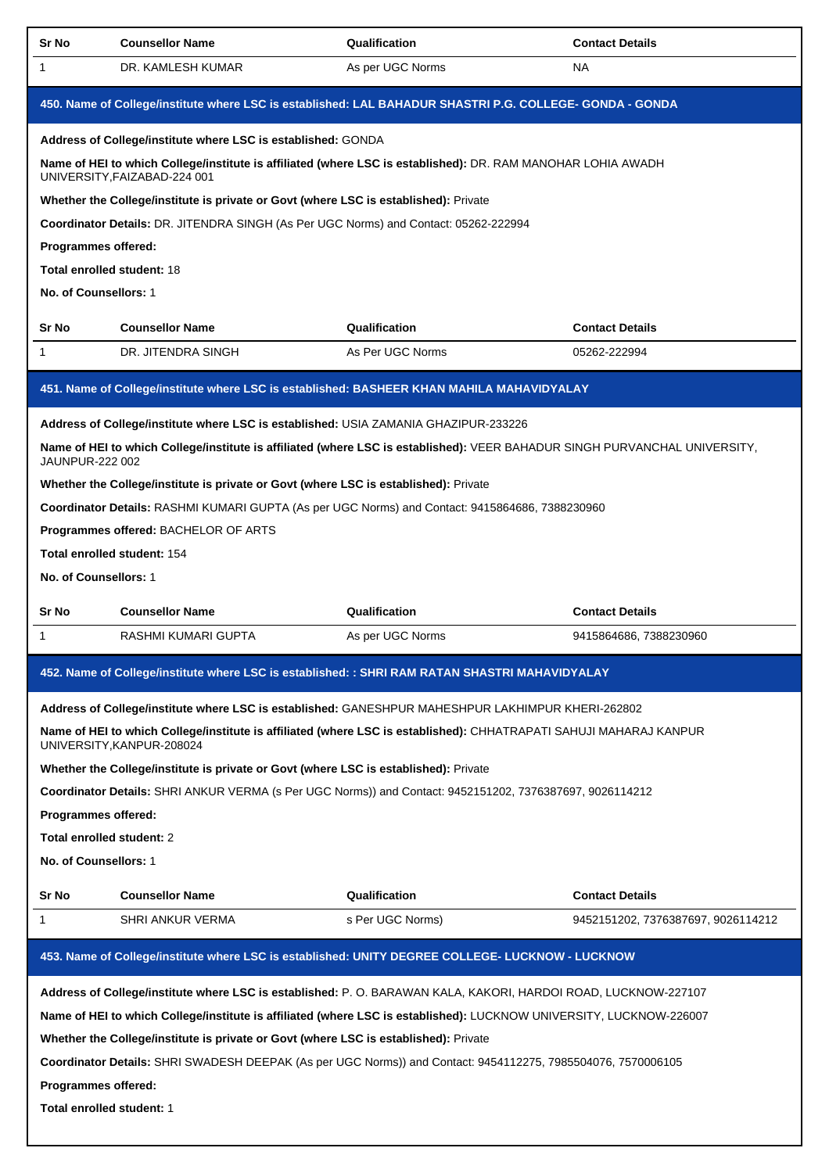| Sr No                                                                                                    | <b>Counsellor Name</b>                                                               | Qualification                                                                                                                                                                                                                         | <b>Contact Details</b>                                                                                                                                                                                                  |  |  |  |  |
|----------------------------------------------------------------------------------------------------------|--------------------------------------------------------------------------------------|---------------------------------------------------------------------------------------------------------------------------------------------------------------------------------------------------------------------------------------|-------------------------------------------------------------------------------------------------------------------------------------------------------------------------------------------------------------------------|--|--|--|--|
| 1                                                                                                        | DR. KAMLESH KUMAR                                                                    | As per UGC Norms                                                                                                                                                                                                                      | NA                                                                                                                                                                                                                      |  |  |  |  |
| 450. Name of College/institute where LSC is established: LAL BAHADUR SHASTRI P.G. COLLEGE- GONDA - GONDA |                                                                                      |                                                                                                                                                                                                                                       |                                                                                                                                                                                                                         |  |  |  |  |
|                                                                                                          | Address of College/institute where LSC is established: GONDA                         |                                                                                                                                                                                                                                       |                                                                                                                                                                                                                         |  |  |  |  |
|                                                                                                          | UNIVERSITY, FAIZABAD-224 001                                                         | Name of HEI to which College/institute is affiliated (where LSC is established): DR. RAM MANOHAR LOHIA AWADH                                                                                                                          |                                                                                                                                                                                                                         |  |  |  |  |
|                                                                                                          | Whether the College/institute is private or Govt (where LSC is established): Private |                                                                                                                                                                                                                                       |                                                                                                                                                                                                                         |  |  |  |  |
|                                                                                                          | Coordinator Details: DR. JITENDRA SINGH (As Per UGC Norms) and Contact: 05262-222994 |                                                                                                                                                                                                                                       |                                                                                                                                                                                                                         |  |  |  |  |
| Programmes offered:                                                                                      |                                                                                      |                                                                                                                                                                                                                                       |                                                                                                                                                                                                                         |  |  |  |  |
| <b>Total enrolled student: 18</b>                                                                        |                                                                                      |                                                                                                                                                                                                                                       |                                                                                                                                                                                                                         |  |  |  |  |
| No. of Counsellors: 1                                                                                    |                                                                                      |                                                                                                                                                                                                                                       |                                                                                                                                                                                                                         |  |  |  |  |
| Sr No                                                                                                    | <b>Counsellor Name</b>                                                               | Qualification                                                                                                                                                                                                                         | <b>Contact Details</b>                                                                                                                                                                                                  |  |  |  |  |
| 1                                                                                                        | DR. JITENDRA SINGH                                                                   | As Per UGC Norms                                                                                                                                                                                                                      | 05262-222994                                                                                                                                                                                                            |  |  |  |  |
|                                                                                                          |                                                                                      | 451. Name of College/institute where LSC is established: BASHEER KHAN MAHILA MAHAVIDYALAY                                                                                                                                             |                                                                                                                                                                                                                         |  |  |  |  |
|                                                                                                          | Address of College/institute where LSC is established: USIA ZAMANIA GHAZIPUR-233226  |                                                                                                                                                                                                                                       |                                                                                                                                                                                                                         |  |  |  |  |
| JAUNPUR-222 002                                                                                          |                                                                                      | Name of HEI to which College/institute is affiliated (where LSC is established): VEER BAHADUR SINGH PURVANCHAL UNIVERSITY,                                                                                                            |                                                                                                                                                                                                                         |  |  |  |  |
|                                                                                                          | Whether the College/institute is private or Govt (where LSC is established): Private |                                                                                                                                                                                                                                       |                                                                                                                                                                                                                         |  |  |  |  |
|                                                                                                          |                                                                                      | Coordinator Details: RASHMI KUMARI GUPTA (As per UGC Norms) and Contact: 9415864686, 7388230960                                                                                                                                       |                                                                                                                                                                                                                         |  |  |  |  |
|                                                                                                          | Programmes offered: BACHELOR OF ARTS                                                 |                                                                                                                                                                                                                                       |                                                                                                                                                                                                                         |  |  |  |  |
|                                                                                                          | <b>Total enrolled student: 154</b>                                                   |                                                                                                                                                                                                                                       |                                                                                                                                                                                                                         |  |  |  |  |
| No. of Counsellors: 1                                                                                    |                                                                                      |                                                                                                                                                                                                                                       |                                                                                                                                                                                                                         |  |  |  |  |
| Sr No                                                                                                    | <b>Counsellor Name</b>                                                               | Qualification                                                                                                                                                                                                                         | <b>Contact Details</b>                                                                                                                                                                                                  |  |  |  |  |
| 1                                                                                                        | RASHMI KUMARI GUPTA                                                                  | As per UGC Norms                                                                                                                                                                                                                      | 9415864686, 7388230960                                                                                                                                                                                                  |  |  |  |  |
| 452. Name of College/institute where LSC is established: : SHRI RAM RATAN SHASTRI MAHAVIDYALAY           |                                                                                      |                                                                                                                                                                                                                                       |                                                                                                                                                                                                                         |  |  |  |  |
|                                                                                                          |                                                                                      |                                                                                                                                                                                                                                       |                                                                                                                                                                                                                         |  |  |  |  |
|                                                                                                          |                                                                                      |                                                                                                                                                                                                                                       | Address of College/institute where LSC is established: GANESHPUR MAHESHPUR LAKHIMPUR KHERI-262802<br>Name of HEI to which College/institute is affiliated (where LSC is established): CHHATRAPATI SAHUJI MAHARAJ KANPUR |  |  |  |  |
|                                                                                                          |                                                                                      |                                                                                                                                                                                                                                       |                                                                                                                                                                                                                         |  |  |  |  |
|                                                                                                          | UNIVERSITY, KANPUR-208024                                                            |                                                                                                                                                                                                                                       |                                                                                                                                                                                                                         |  |  |  |  |
|                                                                                                          | Whether the College/institute is private or Govt (where LSC is established): Private | Coordinator Details: SHRI ANKUR VERMA (s Per UGC Norms)) and Contact: 9452151202, 7376387697, 9026114212                                                                                                                              |                                                                                                                                                                                                                         |  |  |  |  |
| Programmes offered:                                                                                      |                                                                                      |                                                                                                                                                                                                                                       |                                                                                                                                                                                                                         |  |  |  |  |
| Total enrolled student: 2                                                                                |                                                                                      |                                                                                                                                                                                                                                       |                                                                                                                                                                                                                         |  |  |  |  |
| No. of Counsellors: 1                                                                                    |                                                                                      |                                                                                                                                                                                                                                       |                                                                                                                                                                                                                         |  |  |  |  |
| Sr No                                                                                                    | <b>Counsellor Name</b>                                                               | Qualification                                                                                                                                                                                                                         | <b>Contact Details</b>                                                                                                                                                                                                  |  |  |  |  |
| 1                                                                                                        | SHRI ANKUR VERMA                                                                     | s Per UGC Norms)                                                                                                                                                                                                                      | 9452151202, 7376387697, 9026114212                                                                                                                                                                                      |  |  |  |  |
|                                                                                                          |                                                                                      | 453. Name of College/institute where LSC is established: UNITY DEGREE COLLEGE- LUCKNOW - LUCKNOW                                                                                                                                      |                                                                                                                                                                                                                         |  |  |  |  |
|                                                                                                          |                                                                                      |                                                                                                                                                                                                                                       |                                                                                                                                                                                                                         |  |  |  |  |
|                                                                                                          |                                                                                      | Address of College/institute where LSC is established: P. O. BARAWAN KALA, KAKORI, HARDOI ROAD, LUCKNOW-227107<br>Name of HEI to which College/institute is affiliated (where LSC is established): LUCKNOW UNIVERSITY, LUCKNOW-226007 |                                                                                                                                                                                                                         |  |  |  |  |
|                                                                                                          | Whether the College/institute is private or Govt (where LSC is established): Private |                                                                                                                                                                                                                                       |                                                                                                                                                                                                                         |  |  |  |  |
|                                                                                                          |                                                                                      | Coordinator Details: SHRI SWADESH DEEPAK (As per UGC Norms)) and Contact: 9454112275, 7985504076, 7570006105                                                                                                                          |                                                                                                                                                                                                                         |  |  |  |  |
| Programmes offered:                                                                                      |                                                                                      |                                                                                                                                                                                                                                       |                                                                                                                                                                                                                         |  |  |  |  |
| Total enrolled student: 1                                                                                |                                                                                      |                                                                                                                                                                                                                                       |                                                                                                                                                                                                                         |  |  |  |  |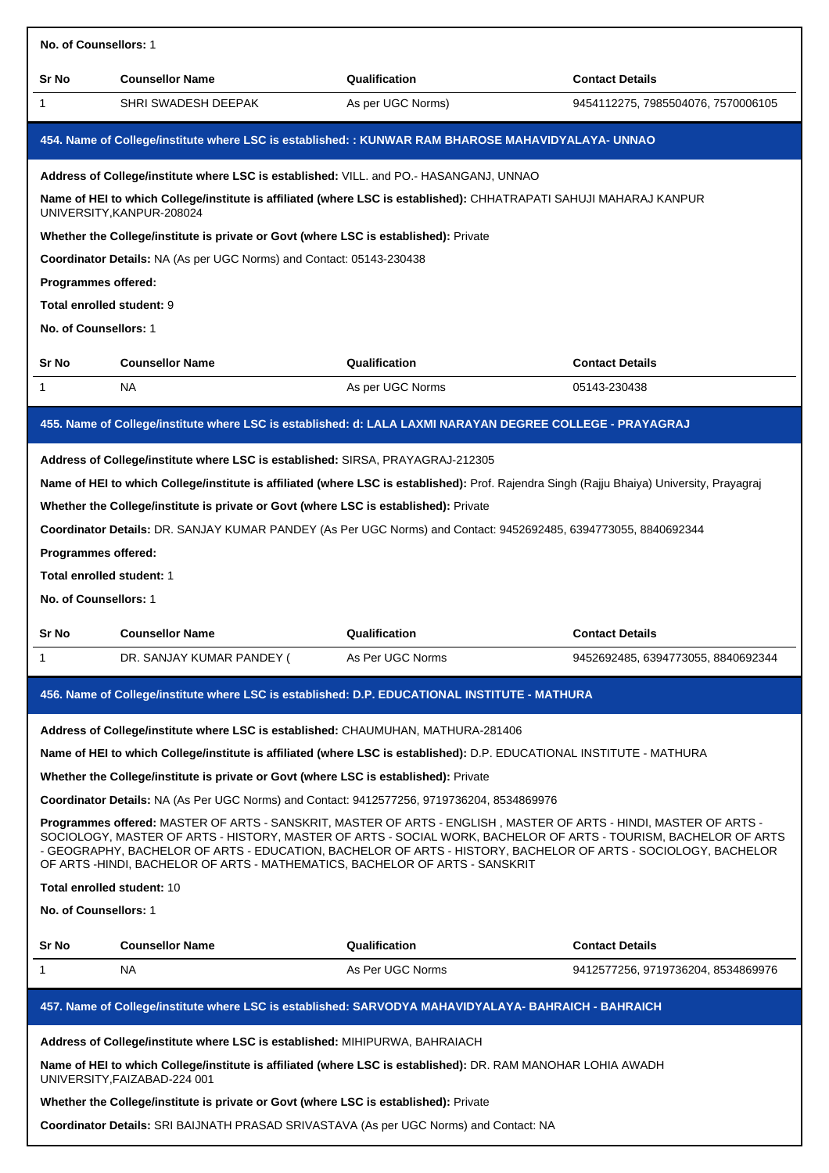| No. of Counsellors: 1                                                                                                                                                                                                                                                                                                                                                                                                                                                                                                                                                                                                                                                                                                                                                                                                                                                                           |                                                                                                                                                                                                                                                                                                                                                                                                                                                                                                                      |                                   |                                        |  |
|-------------------------------------------------------------------------------------------------------------------------------------------------------------------------------------------------------------------------------------------------------------------------------------------------------------------------------------------------------------------------------------------------------------------------------------------------------------------------------------------------------------------------------------------------------------------------------------------------------------------------------------------------------------------------------------------------------------------------------------------------------------------------------------------------------------------------------------------------------------------------------------------------|----------------------------------------------------------------------------------------------------------------------------------------------------------------------------------------------------------------------------------------------------------------------------------------------------------------------------------------------------------------------------------------------------------------------------------------------------------------------------------------------------------------------|-----------------------------------|----------------------------------------|--|
| Sr No                                                                                                                                                                                                                                                                                                                                                                                                                                                                                                                                                                                                                                                                                                                                                                                                                                                                                           | <b>Counsellor Name</b>                                                                                                                                                                                                                                                                                                                                                                                                                                                                                               | Qualification                     | <b>Contact Details</b>                 |  |
| 1                                                                                                                                                                                                                                                                                                                                                                                                                                                                                                                                                                                                                                                                                                                                                                                                                                                                                               | SHRI SWADESH DEEPAK                                                                                                                                                                                                                                                                                                                                                                                                                                                                                                  | As per UGC Norms)                 | 9454112275, 7985504076, 7570006105     |  |
|                                                                                                                                                                                                                                                                                                                                                                                                                                                                                                                                                                                                                                                                                                                                                                                                                                                                                                 | 454. Name of College/institute where LSC is established: : KUNWAR RAM BHAROSE MAHAVIDYALAYA- UNNAO                                                                                                                                                                                                                                                                                                                                                                                                                   |                                   |                                        |  |
| Programmes offered:<br>Total enrolled student: 9<br>No. of Counsellors: 1<br>Sr No<br>1                                                                                                                                                                                                                                                                                                                                                                                                                                                                                                                                                                                                                                                                                                                                                                                                         | Address of College/institute where LSC is established: VILL. and PO.- HASANGANJ, UNNAO<br>Name of HEI to which College/institute is affiliated (where LSC is established): CHHATRAPATI SAHUJI MAHARAJ KANPUR<br>UNIVERSITY, KANPUR-208024<br>Whether the College/institute is private or Govt (where LSC is established): Private<br>Coordinator Details: NA (As per UGC Norms) and Contact: 05143-230438<br><b>Counsellor Name</b><br>NA.                                                                           | Qualification<br>As per UGC Norms | <b>Contact Details</b><br>05143-230438 |  |
|                                                                                                                                                                                                                                                                                                                                                                                                                                                                                                                                                                                                                                                                                                                                                                                                                                                                                                 | 455. Name of College/institute where LSC is established: d: LALA LAXMI NARAYAN DEGREE COLLEGE - PRAYAGRAJ                                                                                                                                                                                                                                                                                                                                                                                                            |                                   |                                        |  |
|                                                                                                                                                                                                                                                                                                                                                                                                                                                                                                                                                                                                                                                                                                                                                                                                                                                                                                 | Address of College/institute where LSC is established: SIRSA, PRAYAGRAJ-212305<br>Name of HEI to which College/institute is affiliated (where LSC is established): Prof. Rajendra Singh (Rajju Bhaiya) University, Prayagraj<br>Whether the College/institute is private or Govt (where LSC is established): Private<br>Coordinator Details: DR. SANJAY KUMAR PANDEY (As Per UGC Norms) and Contact: 9452692485, 6394773055, 8840692344<br>Programmes offered:<br>Total enrolled student: 1<br>No. of Counsellors: 1 |                                   |                                        |  |
| Sr No                                                                                                                                                                                                                                                                                                                                                                                                                                                                                                                                                                                                                                                                                                                                                                                                                                                                                           | <b>Counsellor Name</b>                                                                                                                                                                                                                                                                                                                                                                                                                                                                                               | Qualification                     | <b>Contact Details</b>                 |  |
| 1                                                                                                                                                                                                                                                                                                                                                                                                                                                                                                                                                                                                                                                                                                                                                                                                                                                                                               | DR. SANJAY KUMAR PANDEY (                                                                                                                                                                                                                                                                                                                                                                                                                                                                                            | As Per UGC Norms                  | 9452692485, 6394773055, 8840692344     |  |
|                                                                                                                                                                                                                                                                                                                                                                                                                                                                                                                                                                                                                                                                                                                                                                                                                                                                                                 | 456. Name of College/institute where LSC is established: D.P. EDUCATIONAL INSTITUTE - MATHURA                                                                                                                                                                                                                                                                                                                                                                                                                        |                                   |                                        |  |
| Address of College/institute where LSC is established: CHAUMUHAN, MATHURA-281406<br>Name of HEI to which College/institute is affiliated (where LSC is established): D.P. EDUCATIONAL INSTITUTE - MATHURA<br>Whether the College/institute is private or Govt (where LSC is established): Private<br>Coordinator Details: NA (As Per UGC Norms) and Contact: 9412577256, 9719736204, 8534869976<br>Programmes offered: MASTER OF ARTS - SANSKRIT, MASTER OF ARTS - ENGLISH, MASTER OF ARTS - HINDI, MASTER OF ARTS -<br>SOCIOLOGY, MASTER OF ARTS - HISTORY, MASTER OF ARTS - SOCIAL WORK, BACHELOR OF ARTS - TOURISM, BACHELOR OF ARTS<br>- GEOGRAPHY, BACHELOR OF ARTS - EDUCATION, BACHELOR OF ARTS - HISTORY, BACHELOR OF ARTS - SOCIOLOGY, BACHELOR<br>OF ARTS - HINDI, BACHELOR OF ARTS - MATHEMATICS, BACHELOR OF ARTS - SANSKRIT<br>Total enrolled student: 10<br>No. of Counsellors: 1 |                                                                                                                                                                                                                                                                                                                                                                                                                                                                                                                      |                                   |                                        |  |
| Sr No                                                                                                                                                                                                                                                                                                                                                                                                                                                                                                                                                                                                                                                                                                                                                                                                                                                                                           | <b>Counsellor Name</b>                                                                                                                                                                                                                                                                                                                                                                                                                                                                                               | Qualification                     | <b>Contact Details</b>                 |  |
| 1                                                                                                                                                                                                                                                                                                                                                                                                                                                                                                                                                                                                                                                                                                                                                                                                                                                                                               | NA.                                                                                                                                                                                                                                                                                                                                                                                                                                                                                                                  | As Per UGC Norms                  | 9412577256, 9719736204, 8534869976     |  |
|                                                                                                                                                                                                                                                                                                                                                                                                                                                                                                                                                                                                                                                                                                                                                                                                                                                                                                 | 457. Name of College/institute where LSC is established: SARVODYA MAHAVIDYALAYA- BAHRAICH - BAHRAICH                                                                                                                                                                                                                                                                                                                                                                                                                 |                                   |                                        |  |
| Address of College/institute where LSC is established: MIHIPURWA, BAHRAIACH<br>Name of HEI to which College/institute is affiliated (where LSC is established): DR. RAM MANOHAR LOHIA AWADH<br>UNIVERSITY, FAIZABAD-224 001<br>Whether the College/institute is private or Govt (where LSC is established): Private<br>Coordinator Details: SRI BAIJNATH PRASAD SRIVASTAVA (As per UGC Norms) and Contact: NA                                                                                                                                                                                                                                                                                                                                                                                                                                                                                   |                                                                                                                                                                                                                                                                                                                                                                                                                                                                                                                      |                                   |                                        |  |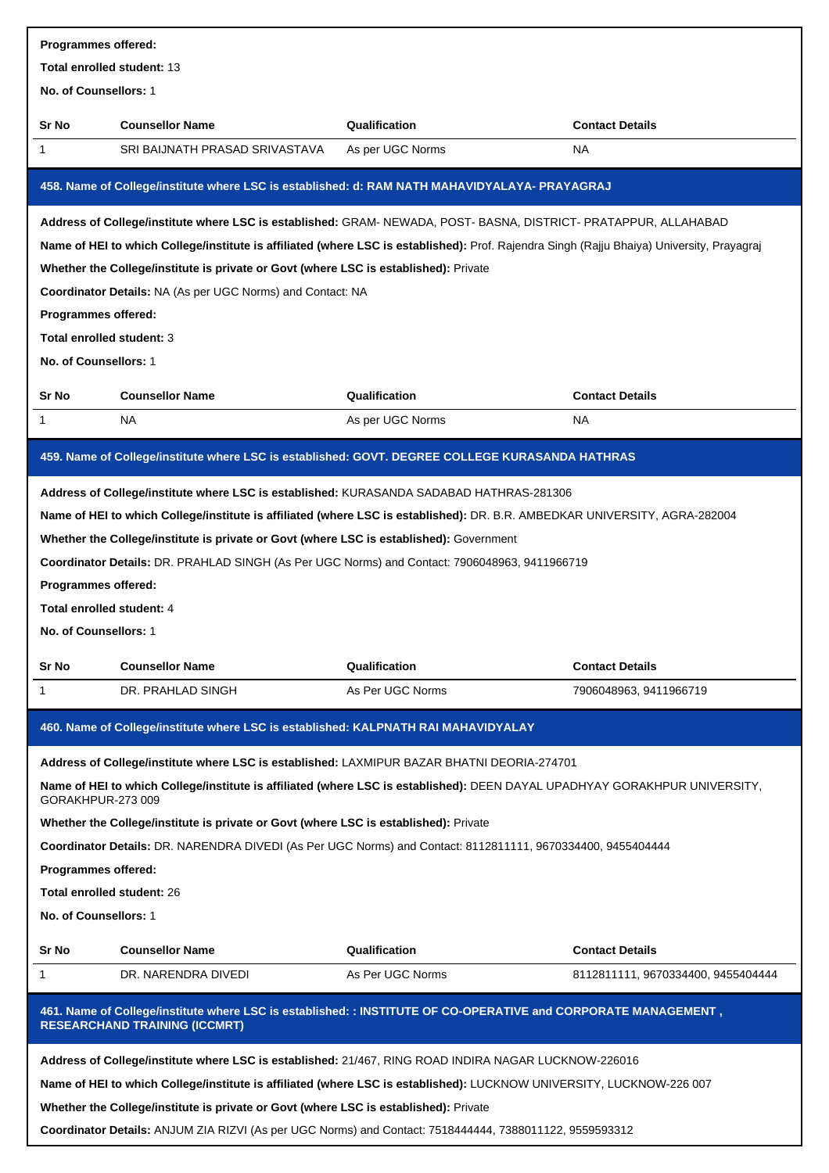| Programmes offered:               |                                                                                                                                                        |                  |                                    |  |
|-----------------------------------|--------------------------------------------------------------------------------------------------------------------------------------------------------|------------------|------------------------------------|--|
| Total enrolled student: 13        |                                                                                                                                                        |                  |                                    |  |
| No. of Counsellors: 1             |                                                                                                                                                        |                  |                                    |  |
| Sr No                             | <b>Counsellor Name</b>                                                                                                                                 | Qualification    | <b>Contact Details</b>             |  |
| 1                                 | SRI BAIJNATH PRASAD SRIVASTAVA                                                                                                                         | As per UGC Norms | NA.                                |  |
|                                   | 458. Name of College/institute where LSC is established: d: RAM NATH MAHAVIDYALAYA- PRAYAGRAJ                                                          |                  |                                    |  |
|                                   | Address of College/institute where LSC is established: GRAM- NEWADA, POST- BASNA, DISTRICT- PRATAPPUR, ALLAHABAD                                       |                  |                                    |  |
|                                   | Name of HEI to which College/institute is affiliated (where LSC is established): Prof. Rajendra Singh (Rajju Bhaiya) University, Prayagraj             |                  |                                    |  |
|                                   | Whether the College/institute is private or Govt (where LSC is established): Private                                                                   |                  |                                    |  |
|                                   | Coordinator Details: NA (As per UGC Norms) and Contact: NA                                                                                             |                  |                                    |  |
| Programmes offered:               |                                                                                                                                                        |                  |                                    |  |
| Total enrolled student: 3         |                                                                                                                                                        |                  |                                    |  |
| No. of Counsellors: 1             |                                                                                                                                                        |                  |                                    |  |
| Sr No                             | <b>Counsellor Name</b>                                                                                                                                 | Qualification    | <b>Contact Details</b>             |  |
| 1                                 | NA.                                                                                                                                                    | As per UGC Norms | <b>NA</b>                          |  |
|                                   | 459. Name of College/institute where LSC is established: GOVT. DEGREE COLLEGE KURASANDA HATHRAS                                                        |                  |                                    |  |
|                                   | Address of College/institute where LSC is established: KURASANDA SADABAD HATHRAS-281306                                                                |                  |                                    |  |
|                                   | Name of HEI to which College/institute is affiliated (where LSC is established): DR. B.R. AMBEDKAR UNIVERSITY, AGRA-282004                             |                  |                                    |  |
|                                   | Whether the College/institute is private or Govt (where LSC is established): Government                                                                |                  |                                    |  |
|                                   | Coordinator Details: DR. PRAHLAD SINGH (As Per UGC Norms) and Contact: 7906048963, 9411966719                                                          |                  |                                    |  |
| Programmes offered:               |                                                                                                                                                        |                  |                                    |  |
| Total enrolled student: 4         |                                                                                                                                                        |                  |                                    |  |
| No. of Counsellors: 1             |                                                                                                                                                        |                  |                                    |  |
|                                   |                                                                                                                                                        |                  |                                    |  |
| Sr No                             | <b>Counsellor Name</b>                                                                                                                                 | Qualification    | <b>Contact Details</b>             |  |
| 1                                 | DR. PRAHLAD SINGH                                                                                                                                      | As Per UGC Norms | 7906048963, 9411966719             |  |
|                                   | 460. Name of College/institute where LSC is established: KALPNATH RAI MAHAVIDYALAY                                                                     |                  |                                    |  |
|                                   | Address of College/institute where LSC is established: LAXMIPUR BAZAR BHATNI DEORIA-274701                                                             |                  |                                    |  |
| GORAKHPUR-273009                  | Name of HEI to which College/institute is affiliated (where LSC is established): DEEN DAYAL UPADHYAY GORAKHPUR UNIVERSITY,                             |                  |                                    |  |
|                                   | Whether the College/institute is private or Govt (where LSC is established): Private                                                                   |                  |                                    |  |
|                                   | Coordinator Details: DR. NARENDRA DIVEDI (As Per UGC Norms) and Contact: 8112811111, 9670334400, 9455404444                                            |                  |                                    |  |
| Programmes offered:               |                                                                                                                                                        |                  |                                    |  |
| <b>Total enrolled student: 26</b> |                                                                                                                                                        |                  |                                    |  |
| No. of Counsellors: 1             |                                                                                                                                                        |                  |                                    |  |
| Sr No                             | <b>Counsellor Name</b>                                                                                                                                 | Qualification    | <b>Contact Details</b>             |  |
| 1                                 | DR. NARENDRA DIVEDI                                                                                                                                    | As Per UGC Norms | 8112811111, 9670334400, 9455404444 |  |
|                                   | 461. Name of College/institute where LSC is established: : INSTITUTE OF CO-OPERATIVE and CORPORATE MANAGEMENT,<br><b>RESEARCHAND TRAINING (ICCMRT)</b> |                  |                                    |  |
|                                   | Address of College/institute where LSC is established: 21/467, RING ROAD INDIRA NAGAR LUCKNOW-226016                                                   |                  |                                    |  |
|                                   | Name of HEI to which College/institute is affiliated (where LSC is established): LUCKNOW UNIVERSITY, LUCKNOW-226 007                                   |                  |                                    |  |
|                                   | Whether the College/institute is private or Govt (where LSC is established): Private                                                                   |                  |                                    |  |
|                                   |                                                                                                                                                        |                  |                                    |  |

**Coordinator Details:** ANJUM ZIA RIZVI (As per UGC Norms) and Contact: 7518444444, 7388011122, 9559593312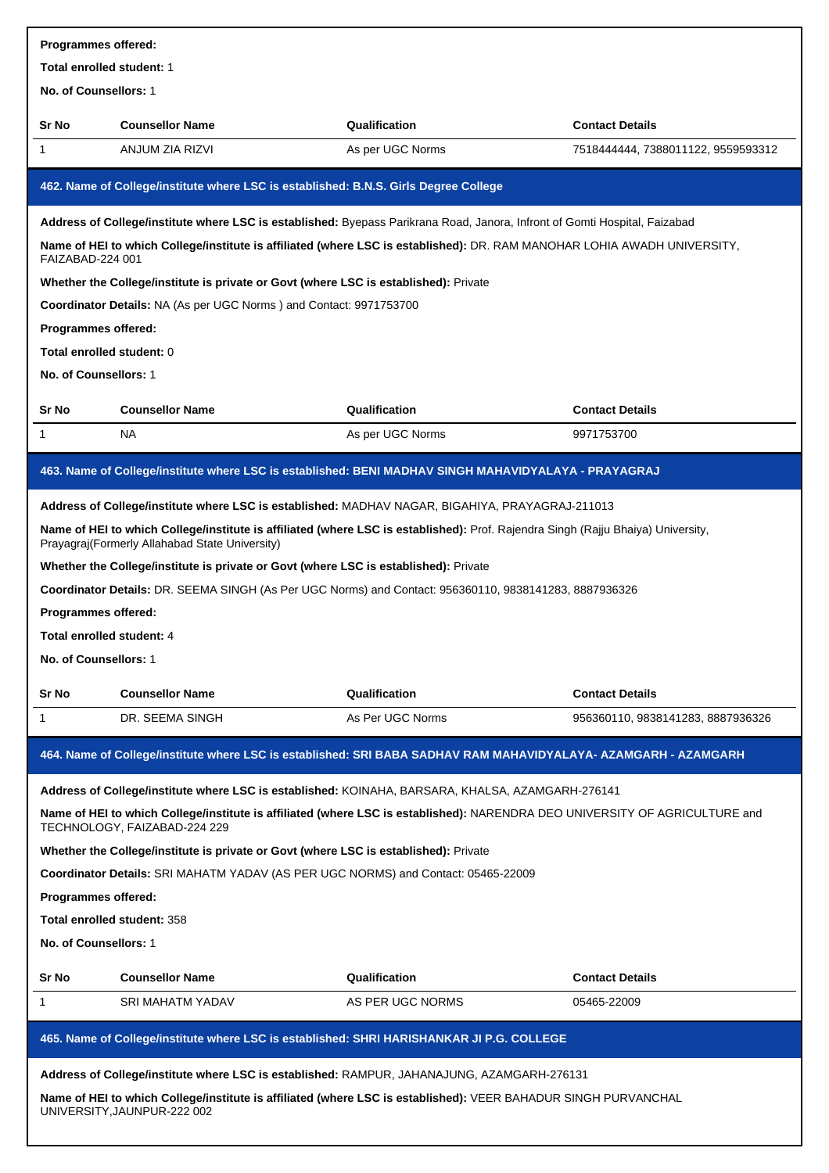| <b>Programmes offered:</b>                                                                                                                    |                                                                                                                                                                                     |                  |                                    |  |  |
|-----------------------------------------------------------------------------------------------------------------------------------------------|-------------------------------------------------------------------------------------------------------------------------------------------------------------------------------------|------------------|------------------------------------|--|--|
| Total enrolled student: 1                                                                                                                     |                                                                                                                                                                                     |                  |                                    |  |  |
| No. of Counsellors: 1                                                                                                                         |                                                                                                                                                                                     |                  |                                    |  |  |
| Sr No                                                                                                                                         | <b>Counsellor Name</b>                                                                                                                                                              | Qualification    | <b>Contact Details</b>             |  |  |
| 1                                                                                                                                             | ANJUM ZIA RIZVI                                                                                                                                                                     | As per UGC Norms | 7518444444, 7388011122, 9559593312 |  |  |
|                                                                                                                                               | 462. Name of College/institute where LSC is established: B.N.S. Girls Degree College                                                                                                |                  |                                    |  |  |
|                                                                                                                                               | Address of College/institute where LSC is established: Byepass Parikrana Road, Janora, Infront of Gomti Hospital, Faizabad                                                          |                  |                                    |  |  |
| FAIZABAD-224 001                                                                                                                              | Name of HEI to which College/institute is affiliated (where LSC is established): DR. RAM MANOHAR LOHIA AWADH UNIVERSITY,                                                            |                  |                                    |  |  |
|                                                                                                                                               | Whether the College/institute is private or Govt (where LSC is established): Private                                                                                                |                  |                                    |  |  |
|                                                                                                                                               | Coordinator Details: NA (As per UGC Norms) and Contact: 9971753700                                                                                                                  |                  |                                    |  |  |
| Programmes offered:                                                                                                                           |                                                                                                                                                                                     |                  |                                    |  |  |
| Total enrolled student: 0                                                                                                                     |                                                                                                                                                                                     |                  |                                    |  |  |
| No. of Counsellors: 1                                                                                                                         |                                                                                                                                                                                     |                  |                                    |  |  |
| <b>Sr No</b>                                                                                                                                  | <b>Counsellor Name</b>                                                                                                                                                              | Qualification    | <b>Contact Details</b>             |  |  |
| 1                                                                                                                                             | NA                                                                                                                                                                                  | As per UGC Norms | 9971753700                         |  |  |
|                                                                                                                                               | 463. Name of College/institute where LSC is established: BENI MADHAV SINGH MAHAVIDYALAYA - PRAYAGRAJ                                                                                |                  |                                    |  |  |
|                                                                                                                                               | Address of College/institute where LSC is established: MADHAV NAGAR, BIGAHIYA, PRAYAGRAJ-211013                                                                                     |                  |                                    |  |  |
|                                                                                                                                               | Name of HEI to which College/institute is affiliated (where LSC is established): Prof. Rajendra Singh (Rajju Bhaiya) University,<br>Prayagraj (Formerly Allahabad State University) |                  |                                    |  |  |
|                                                                                                                                               | Whether the College/institute is private or Govt (where LSC is established): Private                                                                                                |                  |                                    |  |  |
|                                                                                                                                               | Coordinator Details: DR. SEEMA SINGH (As Per UGC Norms) and Contact: 956360110, 9838141283, 8887936326                                                                              |                  |                                    |  |  |
| Programmes offered:                                                                                                                           |                                                                                                                                                                                     |                  |                                    |  |  |
| Total enrolled student: 4                                                                                                                     |                                                                                                                                                                                     |                  |                                    |  |  |
| No. of Counsellors: 1                                                                                                                         |                                                                                                                                                                                     |                  |                                    |  |  |
| Sr No                                                                                                                                         | <b>Counsellor Name</b>                                                                                                                                                              | Qualification    | <b>Contact Details</b>             |  |  |
| 1                                                                                                                                             | DR. SEEMA SINGH                                                                                                                                                                     | As Per UGC Norms | 956360110, 9838141283, 8887936326  |  |  |
|                                                                                                                                               | 464. Name of College/institute where LSC is established: SRI BABA SADHAV RAM MAHAVIDYALAYA- AZAMGARH - AZAMGARH                                                                     |                  |                                    |  |  |
|                                                                                                                                               | Address of College/institute where LSC is established: KOINAHA, BARSARA, KHALSA, AZAMGARH-276141                                                                                    |                  |                                    |  |  |
|                                                                                                                                               | Name of HEI to which College/institute is affiliated (where LSC is established): NARENDRA DEO UNIVERSITY OF AGRICULTURE and<br>TECHNOLOGY, FAIZABAD-224 229                         |                  |                                    |  |  |
|                                                                                                                                               | Whether the College/institute is private or Govt (where LSC is established): Private                                                                                                |                  |                                    |  |  |
|                                                                                                                                               | Coordinator Details: SRI MAHATM YADAV (AS PER UGC NORMS) and Contact: 05465-22009                                                                                                   |                  |                                    |  |  |
| Programmes offered:                                                                                                                           |                                                                                                                                                                                     |                  |                                    |  |  |
|                                                                                                                                               | Total enrolled student: 358                                                                                                                                                         |                  |                                    |  |  |
| No. of Counsellors: 1                                                                                                                         |                                                                                                                                                                                     |                  |                                    |  |  |
| <b>Sr No</b>                                                                                                                                  | <b>Counsellor Name</b>                                                                                                                                                              | Qualification    | <b>Contact Details</b>             |  |  |
| 1                                                                                                                                             | SRI MAHATM YADAV                                                                                                                                                                    | AS PER UGC NORMS | 05465-22009                        |  |  |
|                                                                                                                                               | 465. Name of College/institute where LSC is established: SHRI HARISHANKAR JI P.G. COLLEGE                                                                                           |                  |                                    |  |  |
|                                                                                                                                               | Address of College/institute where LSC is established: RAMPUR, JAHANAJUNG, AZAMGARH-276131                                                                                          |                  |                                    |  |  |
| Name of HEI to which College/institute is affiliated (where LSC is established): VEER BAHADUR SINGH PURVANCHAL<br>UNIVERSITY, JAUNPUR-222 002 |                                                                                                                                                                                     |                  |                                    |  |  |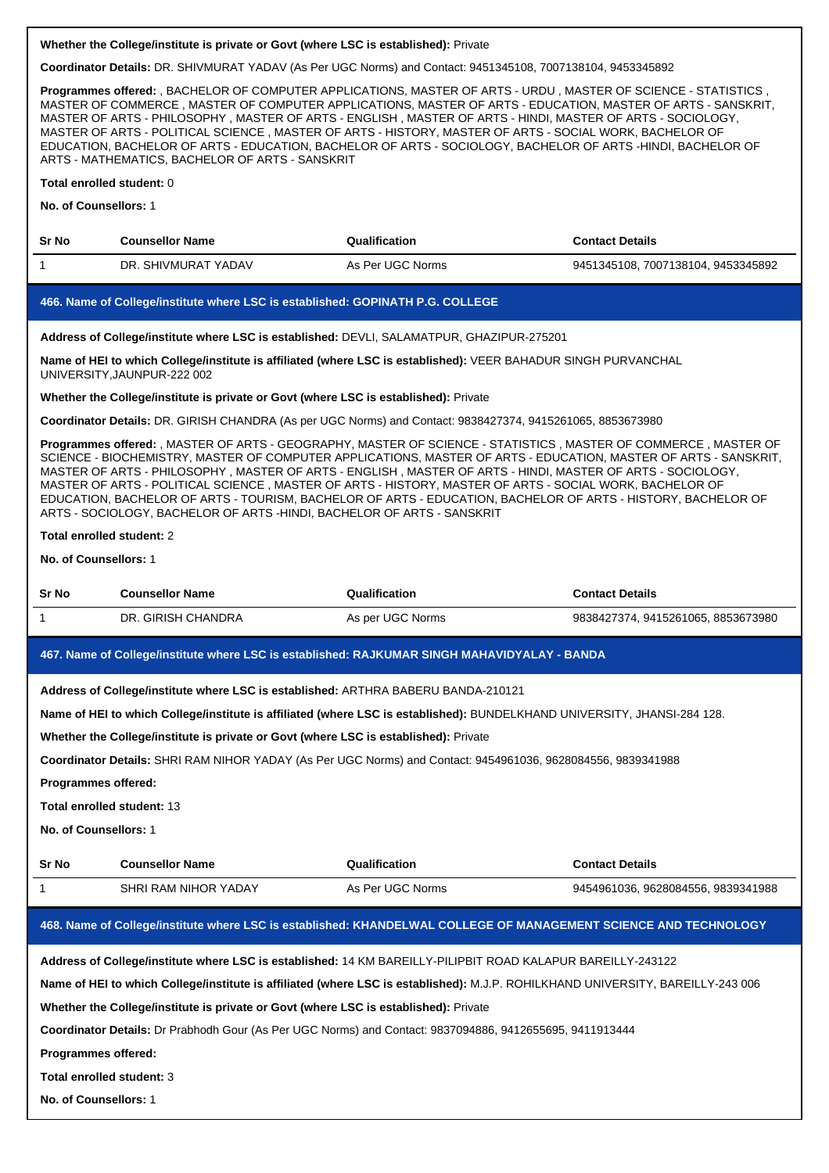**Coordinator Details:** DR. SHIVMURAT YADAV (As Per UGC Norms) and Contact: 9451345108, 7007138104, 9453345892

**Programmes offered:** , BACHELOR OF COMPUTER APPLICATIONS, MASTER OF ARTS - URDU , MASTER OF SCIENCE - STATISTICS , MASTER OF COMMERCE , MASTER OF COMPUTER APPLICATIONS, MASTER OF ARTS - EDUCATION, MASTER OF ARTS - SANSKRIT, MASTER OF ARTS - PHILOSOPHY , MASTER OF ARTS - ENGLISH , MASTER OF ARTS - HINDI, MASTER OF ARTS - SOCIOLOGY, MASTER OF ARTS - POLITICAL SCIENCE , MASTER OF ARTS - HISTORY, MASTER OF ARTS - SOCIAL WORK, BACHELOR OF EDUCATION, BACHELOR OF ARTS - EDUCATION, BACHELOR OF ARTS - SOCIOLOGY, BACHELOR OF ARTS -HINDI, BACHELOR OF ARTS - MATHEMATICS, BACHELOR OF ARTS - SANSKRIT

#### **Total enrolled student:** 0

## **No. of Counsellors:** 1

| Sr No | <b>Counsellor Name</b> | Qualification    | <b>Contact Details</b>             |
|-------|------------------------|------------------|------------------------------------|
|       | DR. SHIVMURAT YADAV    | As Per UGC Norms | 9451345108, 7007138104, 9453345892 |

## **466. Name of College/institute where LSC is established: GOPINATH P.G. COLLEGE**

#### **Address of College/institute where LSC is established:** DEVLI, SALAMATPUR, GHAZIPUR-275201

**Name of HEI to which College/institute is affiliated (where LSC is established):** VEER BAHADUR SINGH PURVANCHAL UNIVERSITY,JAUNPUR-222 002

## **Whether the College/institute is private or Govt (where LSC is established):** Private

**Coordinator Details:** DR. GIRISH CHANDRA (As per UGC Norms) and Contact: 9838427374, 9415261065, 8853673980

**Programmes offered:** , MASTER OF ARTS - GEOGRAPHY, MASTER OF SCIENCE - STATISTICS , MASTER OF COMMERCE , MASTER OF SCIENCE - BIOCHEMISTRY, MASTER OF COMPUTER APPLICATIONS, MASTER OF ARTS - EDUCATION, MASTER OF ARTS - SANSKRIT, MASTER OF ARTS - PHILOSOPHY , MASTER OF ARTS - ENGLISH , MASTER OF ARTS - HINDI, MASTER OF ARTS - SOCIOLOGY, MASTER OF ARTS - POLITICAL SCIENCE , MASTER OF ARTS - HISTORY, MASTER OF ARTS - SOCIAL WORK, BACHELOR OF EDUCATION, BACHELOR OF ARTS - TOURISM, BACHELOR OF ARTS - EDUCATION, BACHELOR OF ARTS - HISTORY, BACHELOR OF ARTS - SOCIOLOGY, BACHELOR OF ARTS -HINDI, BACHELOR OF ARTS - SANSKRIT

#### **Total enrolled student:** 2

**No. of Counsellors:** 1

| Sr No | <b>Counsellor Name</b> | Qualification    | <b>Contact Details</b>           |
|-------|------------------------|------------------|----------------------------------|
|       | DR. GIRISH CHANDRA     | As per UGC Norms | 9838427374.9415261065.8853673980 |

# **467. Name of College/institute where LSC is established: RAJKUMAR SINGH MAHAVIDYALAY - BANDA**

**Address of College/institute where LSC is established:** ARTHRA BABERU BANDA-210121

**Name of HEI to which College/institute is affiliated (where LSC is established):** BUNDELKHAND UNIVERSITY, JHANSI-284 128.

**Whether the College/institute is private or Govt (where LSC is established):** Private

**Coordinator Details:** SHRI RAM NIHOR YADAY (As Per UGC Norms) and Contact: 9454961036, 9628084556, 9839341988

**Programmes offered:**

**Total enrolled student:** 13

**No. of Counsellors:** 1

| <b>Sr No</b> | <b>Counsellor Name</b> | <b>Qualification</b> | <b>Contact Details</b>           |
|--------------|------------------------|----------------------|----------------------------------|
|              | SHRI RAM NIHOR YADAY   | As Per UGC Norms     | 9454961036.9628084556.9839341988 |

# **468. Name of College/institute where LSC is established: KHANDELWAL COLLEGE OF MANAGEMENT SCIENCE AND TECHNOLOGY**

**Address of College/institute where LSC is established:** 14 KM BAREILLY-PILIPBIT ROAD KALAPUR BAREILLY-243122

**Name of HEI to which College/institute is affiliated (where LSC is established):** M.J.P. ROHILKHAND UNIVERSITY, BAREILLY-243 006

**Whether the College/institute is private or Govt (where LSC is established):** Private

**Coordinator Details:** Dr Prabhodh Gour (As Per UGC Norms) and Contact: 9837094886, 9412655695, 9411913444

**Programmes offered:**

**Total enrolled student:** 3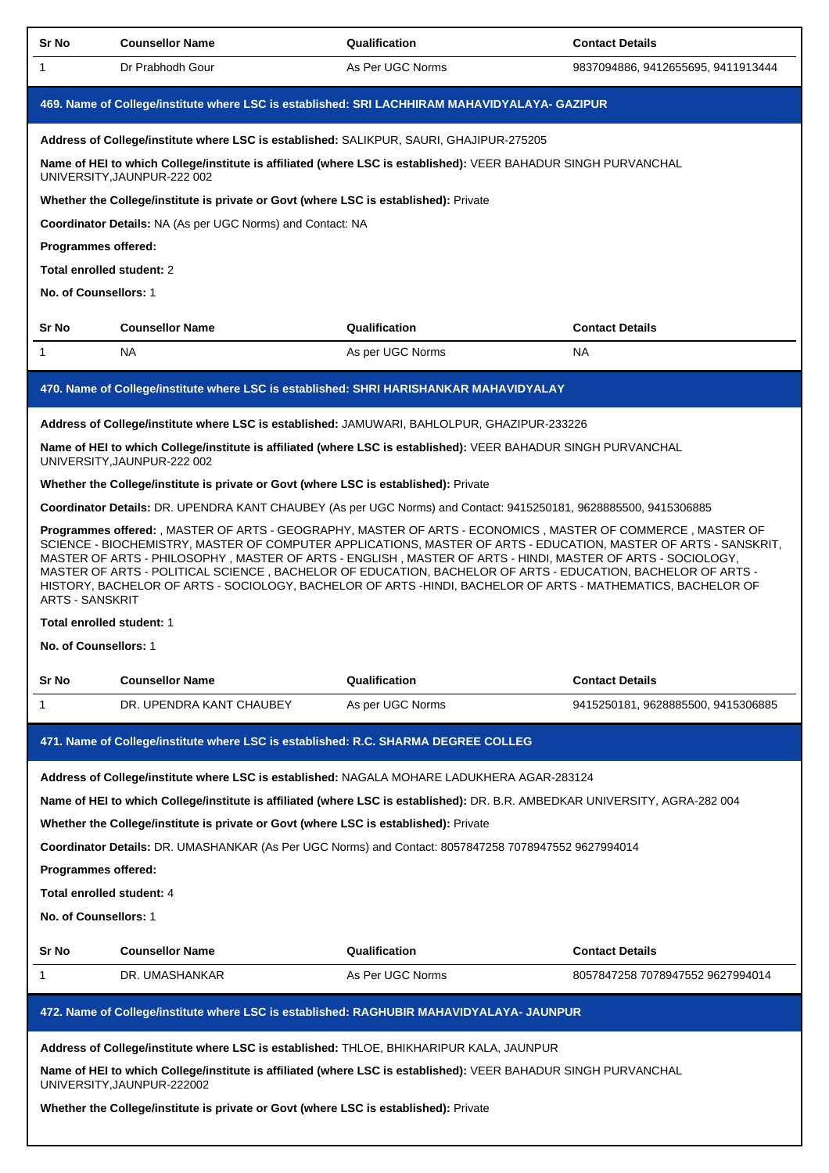| Sr No                                                             | <b>Counsellor Name</b>                                                                                                                        | Qualification    | <b>Contact Details</b>                                                                                                                                                                                                                                                                                                                                                                                                                                                                                                                                                     |  |  |  |
|-------------------------------------------------------------------|-----------------------------------------------------------------------------------------------------------------------------------------------|------------------|----------------------------------------------------------------------------------------------------------------------------------------------------------------------------------------------------------------------------------------------------------------------------------------------------------------------------------------------------------------------------------------------------------------------------------------------------------------------------------------------------------------------------------------------------------------------------|--|--|--|
| $\mathbf{1}$                                                      | Dr Prabhodh Gour                                                                                                                              | As Per UGC Norms | 9837094886, 9412655695, 9411913444                                                                                                                                                                                                                                                                                                                                                                                                                                                                                                                                         |  |  |  |
|                                                                   | 469. Name of College/institute where LSC is established: SRI LACHHIRAM MAHAVIDYALAYA- GAZIPUR                                                 |                  |                                                                                                                                                                                                                                                                                                                                                                                                                                                                                                                                                                            |  |  |  |
|                                                                   | Address of College/institute where LSC is established: SALIKPUR, SAURI, GHAJIPUR-275205                                                       |                  |                                                                                                                                                                                                                                                                                                                                                                                                                                                                                                                                                                            |  |  |  |
|                                                                   | Name of HEI to which College/institute is affiliated (where LSC is established): VEER BAHADUR SINGH PURVANCHAL<br>UNIVERSITY, JAUNPUR-222 002 |                  |                                                                                                                                                                                                                                                                                                                                                                                                                                                                                                                                                                            |  |  |  |
|                                                                   | Whether the College/institute is private or Govt (where LSC is established): Private                                                          |                  |                                                                                                                                                                                                                                                                                                                                                                                                                                                                                                                                                                            |  |  |  |
| <b>Coordinator Details: NA (As per UGC Norms) and Contact: NA</b> |                                                                                                                                               |                  |                                                                                                                                                                                                                                                                                                                                                                                                                                                                                                                                                                            |  |  |  |
|                                                                   | Programmes offered:                                                                                                                           |                  |                                                                                                                                                                                                                                                                                                                                                                                                                                                                                                                                                                            |  |  |  |
|                                                                   | Total enrolled student: 2                                                                                                                     |                  |                                                                                                                                                                                                                                                                                                                                                                                                                                                                                                                                                                            |  |  |  |
|                                                                   | No. of Counsellors: 1                                                                                                                         |                  |                                                                                                                                                                                                                                                                                                                                                                                                                                                                                                                                                                            |  |  |  |
| Sr No                                                             | <b>Counsellor Name</b>                                                                                                                        | Qualification    | <b>Contact Details</b>                                                                                                                                                                                                                                                                                                                                                                                                                                                                                                                                                     |  |  |  |
| 1                                                                 | <b>NA</b>                                                                                                                                     | As per UGC Norms | <b>NA</b>                                                                                                                                                                                                                                                                                                                                                                                                                                                                                                                                                                  |  |  |  |
|                                                                   |                                                                                                                                               |                  |                                                                                                                                                                                                                                                                                                                                                                                                                                                                                                                                                                            |  |  |  |
|                                                                   | 470. Name of College/institute where LSC is established: SHRI HARISHANKAR MAHAVIDYALAY                                                        |                  |                                                                                                                                                                                                                                                                                                                                                                                                                                                                                                                                                                            |  |  |  |
|                                                                   | Address of College/institute where LSC is established: JAMUWARI, BAHLOLPUR, GHAZIPUR-233226                                                   |                  |                                                                                                                                                                                                                                                                                                                                                                                                                                                                                                                                                                            |  |  |  |
|                                                                   | Name of HEI to which College/institute is affiliated (where LSC is established): VEER BAHADUR SINGH PURVANCHAL<br>UNIVERSITY, JAUNPUR-222 002 |                  |                                                                                                                                                                                                                                                                                                                                                                                                                                                                                                                                                                            |  |  |  |
|                                                                   | Whether the College/institute is private or Govt (where LSC is established): Private                                                          |                  |                                                                                                                                                                                                                                                                                                                                                                                                                                                                                                                                                                            |  |  |  |
|                                                                   | Coordinator Details: DR. UPENDRA KANT CHAUBEY (As per UGC Norms) and Contact: 9415250181, 9628885500, 9415306885                              |                  |                                                                                                                                                                                                                                                                                                                                                                                                                                                                                                                                                                            |  |  |  |
| <b>ARTS - SANSKRIT</b>                                            |                                                                                                                                               |                  | Programmes offered: , MASTER OF ARTS - GEOGRAPHY, MASTER OF ARTS - ECONOMICS, MASTER OF COMMERCE, MASTER OF<br>SCIENCE - BIOCHEMISTRY, MASTER OF COMPUTER APPLICATIONS, MASTER OF ARTS - EDUCATION, MASTER OF ARTS - SANSKRIT,<br>MASTER OF ARTS - PHILOSOPHY, MASTER OF ARTS - ENGLISH, MASTER OF ARTS - HINDI, MASTER OF ARTS - SOCIOLOGY,<br>MASTER OF ARTS - POLITICAL SCIENCE, BACHELOR OF EDUCATION, BACHELOR OF ARTS - EDUCATION, BACHELOR OF ARTS -<br>HISTORY, BACHELOR OF ARTS - SOCIOLOGY, BACHELOR OF ARTS -HINDI, BACHELOR OF ARTS - MATHEMATICS, BACHELOR OF |  |  |  |
|                                                                   | Total enrolled student: 1                                                                                                                     |                  |                                                                                                                                                                                                                                                                                                                                                                                                                                                                                                                                                                            |  |  |  |
|                                                                   | <b>No. of Counsellors: 1</b>                                                                                                                  |                  |                                                                                                                                                                                                                                                                                                                                                                                                                                                                                                                                                                            |  |  |  |
| Sr No                                                             | <b>Counsellor Name</b>                                                                                                                        | Qualification    | <b>Contact Details</b>                                                                                                                                                                                                                                                                                                                                                                                                                                                                                                                                                     |  |  |  |
| 1                                                                 | DR. UPENDRA KANT CHAUBEY                                                                                                                      | As per UGC Norms | 9415250181, 9628885500, 9415306885                                                                                                                                                                                                                                                                                                                                                                                                                                                                                                                                         |  |  |  |
|                                                                   |                                                                                                                                               |                  |                                                                                                                                                                                                                                                                                                                                                                                                                                                                                                                                                                            |  |  |  |
|                                                                   | 471. Name of College/institute where LSC is established: R.C. SHARMA DEGREE COLLEG                                                            |                  |                                                                                                                                                                                                                                                                                                                                                                                                                                                                                                                                                                            |  |  |  |
|                                                                   | Address of College/institute where LSC is established: NAGALA MOHARE LADUKHERA AGAR-283124                                                    |                  |                                                                                                                                                                                                                                                                                                                                                                                                                                                                                                                                                                            |  |  |  |
|                                                                   |                                                                                                                                               |                  | Name of HEI to which College/institute is affiliated (where LSC is established): DR. B.R. AMBEDKAR UNIVERSITY, AGRA-282 004                                                                                                                                                                                                                                                                                                                                                                                                                                                |  |  |  |
|                                                                   | Whether the College/institute is private or Govt (where LSC is established): Private                                                          |                  |                                                                                                                                                                                                                                                                                                                                                                                                                                                                                                                                                                            |  |  |  |
|                                                                   | Coordinator Details: DR. UMASHANKAR (As Per UGC Norms) and Contact: 8057847258 7078947552 9627994014                                          |                  |                                                                                                                                                                                                                                                                                                                                                                                                                                                                                                                                                                            |  |  |  |
|                                                                   | Programmes offered:                                                                                                                           |                  |                                                                                                                                                                                                                                                                                                                                                                                                                                                                                                                                                                            |  |  |  |
|                                                                   | Total enrolled student: 4                                                                                                                     |                  |                                                                                                                                                                                                                                                                                                                                                                                                                                                                                                                                                                            |  |  |  |
|                                                                   | No. of Counsellors: 1                                                                                                                         |                  |                                                                                                                                                                                                                                                                                                                                                                                                                                                                                                                                                                            |  |  |  |
|                                                                   |                                                                                                                                               |                  |                                                                                                                                                                                                                                                                                                                                                                                                                                                                                                                                                                            |  |  |  |
| Sr No                                                             | <b>Counsellor Name</b>                                                                                                                        | Qualification    | <b>Contact Details</b>                                                                                                                                                                                                                                                                                                                                                                                                                                                                                                                                                     |  |  |  |
| 1                                                                 | DR. UMASHANKAR                                                                                                                                | As Per UGC Norms | 8057847258 7078947552 9627994014                                                                                                                                                                                                                                                                                                                                                                                                                                                                                                                                           |  |  |  |
|                                                                   | 472. Name of College/institute where LSC is established: RAGHUBIR MAHAVIDYALAYA- JAUNPUR                                                      |                  |                                                                                                                                                                                                                                                                                                                                                                                                                                                                                                                                                                            |  |  |  |
|                                                                   | Address of College/institute where LSC is established: THLOE, BHIKHARIPUR KALA, JAUNPUR                                                       |                  |                                                                                                                                                                                                                                                                                                                                                                                                                                                                                                                                                                            |  |  |  |
|                                                                   | Name of HEI to which College/institute is affiliated (where LSC is established): VEER BAHADUR SINGH PURVANCHAL                                |                  |                                                                                                                                                                                                                                                                                                                                                                                                                                                                                                                                                                            |  |  |  |
|                                                                   | UNIVERSITY, JAUNPUR-222002                                                                                                                    |                  |                                                                                                                                                                                                                                                                                                                                                                                                                                                                                                                                                                            |  |  |  |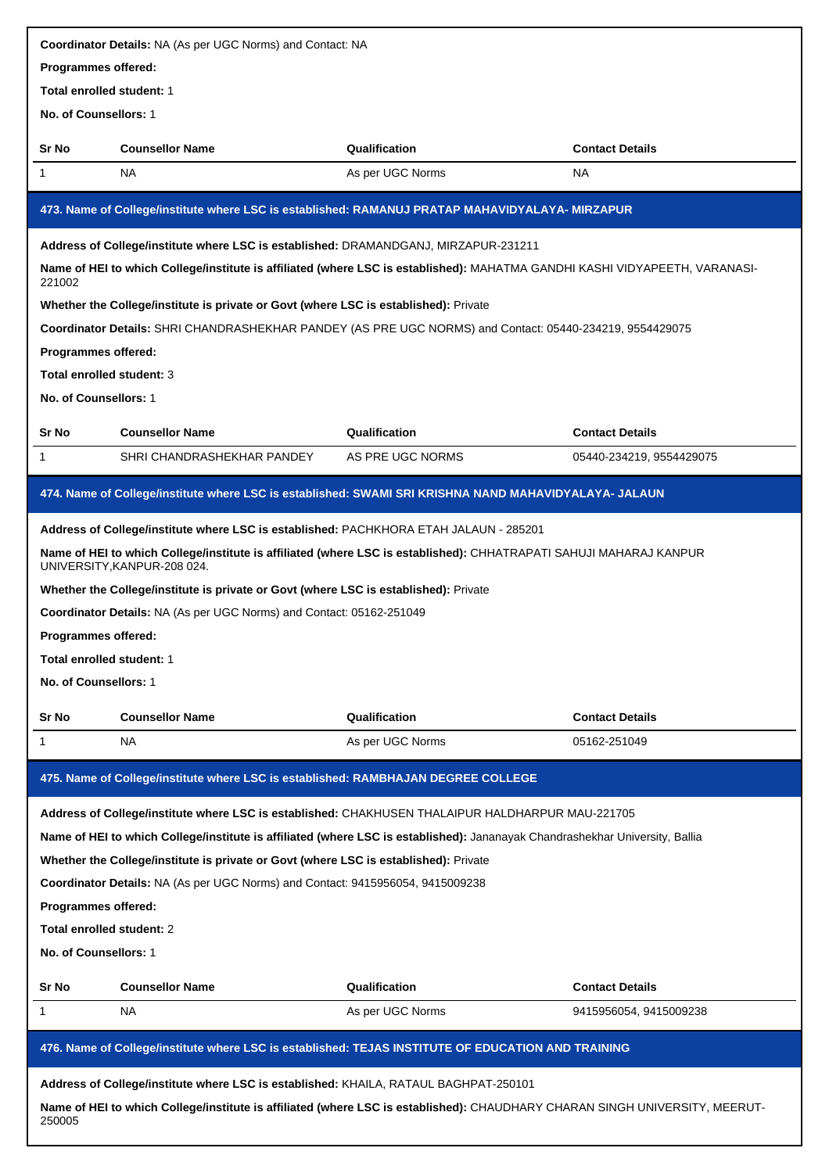|                                  | <b>Coordinator Details: NA (As per UGC Norms) and Contact: NA</b>                                                                                 |                  |                          |  |  |
|----------------------------------|---------------------------------------------------------------------------------------------------------------------------------------------------|------------------|--------------------------|--|--|
| Programmes offered:              |                                                                                                                                                   |                  |                          |  |  |
| <b>Total enrolled student: 1</b> |                                                                                                                                                   |                  |                          |  |  |
| No. of Counsellors: 1            |                                                                                                                                                   |                  |                          |  |  |
| Sr No                            | <b>Counsellor Name</b>                                                                                                                            | Qualification    | <b>Contact Details</b>   |  |  |
| 1                                | NA                                                                                                                                                | As per UGC Norms | <b>NA</b>                |  |  |
|                                  | 473. Name of College/institute where LSC is established: RAMANUJ PRATAP MAHAVIDYALAYA- MIRZAPUR                                                   |                  |                          |  |  |
|                                  | Address of College/institute where LSC is established: DRAMANDGANJ, MIRZAPUR-231211                                                               |                  |                          |  |  |
| 221002                           | Name of HEI to which College/institute is affiliated (where LSC is established): MAHATMA GANDHI KASHI VIDYAPEETH, VARANASI-                       |                  |                          |  |  |
|                                  | Whether the College/institute is private or Govt (where LSC is established): Private                                                              |                  |                          |  |  |
|                                  | <b>Coordinator Details:</b> SHRI CHANDRASHEKHAR PANDEY (AS PRE UGC NORMS) and Contact: 05440-234219, 9554429075                                   |                  |                          |  |  |
| Programmes offered:              |                                                                                                                                                   |                  |                          |  |  |
| Total enrolled student: 3        |                                                                                                                                                   |                  |                          |  |  |
| No. of Counsellors: 1            |                                                                                                                                                   |                  |                          |  |  |
| Sr No                            | <b>Counsellor Name</b>                                                                                                                            | Qualification    | <b>Contact Details</b>   |  |  |
| 1                                | SHRI CHANDRASHEKHAR PANDEY                                                                                                                        | AS PRE UGC NORMS | 05440-234219, 9554429075 |  |  |
|                                  | 474. Name of College/institute where LSC is established: SWAMI SRI KRISHNA NAND MAHAVIDYALAYA- JALAUN                                             |                  |                          |  |  |
|                                  |                                                                                                                                                   |                  |                          |  |  |
|                                  | Address of College/institute where LSC is established: PACHKHORA ETAH JALAUN - 285201                                                             |                  |                          |  |  |
|                                  | Name of HEI to which College/institute is affiliated (where LSC is established): CHHATRAPATI SAHUJI MAHARAJ KANPUR<br>UNIVERSITY, KANPUR-208 024. |                  |                          |  |  |
|                                  | Whether the College/institute is private or Govt (where LSC is established): Private                                                              |                  |                          |  |  |
|                                  | Coordinator Details: NA (As per UGC Norms) and Contact: 05162-251049                                                                              |                  |                          |  |  |
| Programmes offered:              |                                                                                                                                                   |                  |                          |  |  |
| Total enrolled student: 1        |                                                                                                                                                   |                  |                          |  |  |
| No. of Counsellors: 1            |                                                                                                                                                   |                  |                          |  |  |
| Sr No                            | <b>Counsellor Name</b>                                                                                                                            | Qualification    | <b>Contact Details</b>   |  |  |
| 1                                | NA                                                                                                                                                | As per UGC Norms | 05162-251049             |  |  |
|                                  | 475. Name of College/institute where LSC is established: RAMBHAJAN DEGREE COLLEGE                                                                 |                  |                          |  |  |
|                                  | Address of College/institute where LSC is established: CHAKHUSEN THALAIPUR HALDHARPUR MAU-221705                                                  |                  |                          |  |  |
|                                  | Name of HEI to which College/institute is affiliated (where LSC is established): Jananayak Chandrashekhar University, Ballia                      |                  |                          |  |  |
|                                  | Whether the College/institute is private or Govt (where LSC is established): Private                                                              |                  |                          |  |  |
|                                  | Coordinator Details: NA (As per UGC Norms) and Contact: 9415956054, 9415009238                                                                    |                  |                          |  |  |
| Programmes offered:              |                                                                                                                                                   |                  |                          |  |  |
| Total enrolled student: 2        |                                                                                                                                                   |                  |                          |  |  |
| No. of Counsellors: 1            |                                                                                                                                                   |                  |                          |  |  |
| Sr No                            | <b>Counsellor Name</b>                                                                                                                            | Qualification    | <b>Contact Details</b>   |  |  |
| 1                                | NА                                                                                                                                                | As per UGC Norms | 9415956054, 9415009238   |  |  |
|                                  |                                                                                                                                                   |                  |                          |  |  |
|                                  | 476. Name of College/institute where LSC is established: TEJAS INSTITUTE OF EDUCATION AND TRAINING                                                |                  |                          |  |  |
|                                  | Address of College/institute where LSC is established: KHAILA, RATAUL BAGHPAT-250101                                                              |                  |                          |  |  |
| 250005                           | Name of HEI to which College/institute is affiliated (where LSC is established): CHAUDHARY CHARAN SINGH UNIVERSITY, MEERUT-                       |                  |                          |  |  |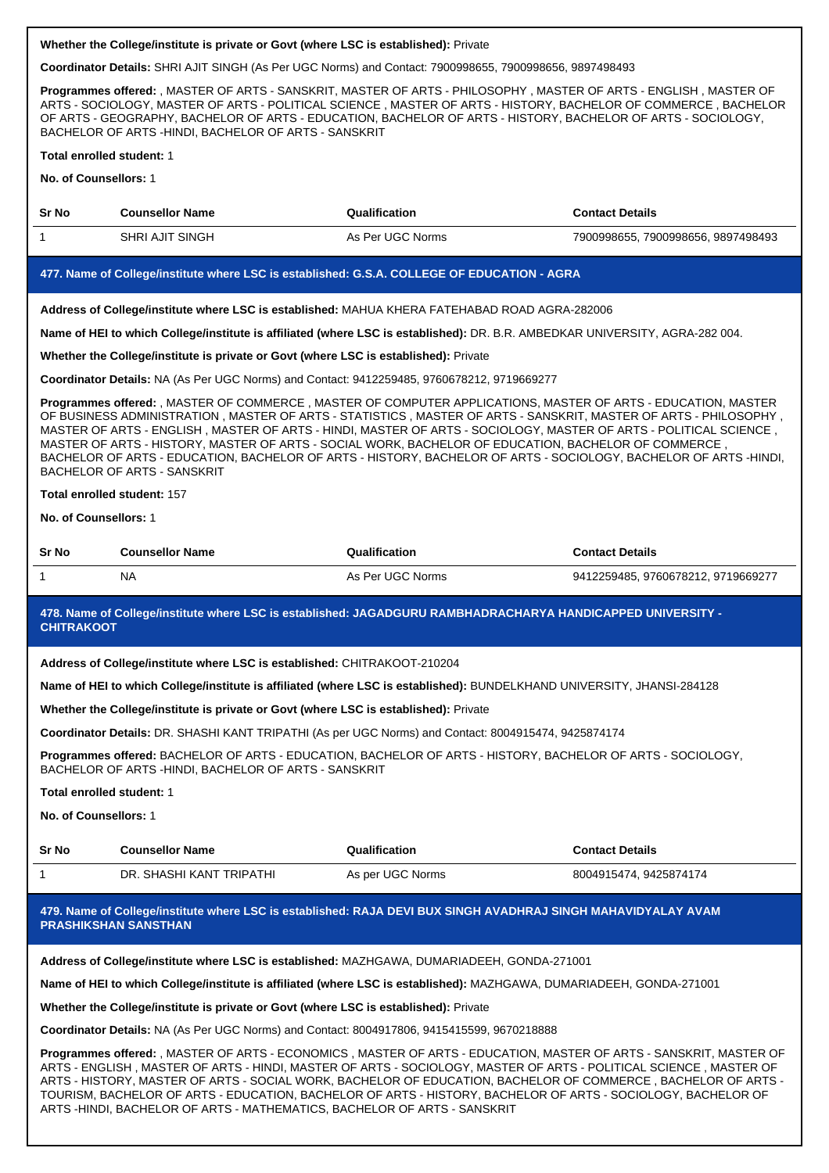**Coordinator Details:** SHRI AJIT SINGH (As Per UGC Norms) and Contact: 7900998655, 7900998656, 9897498493

**Programmes offered:** , MASTER OF ARTS - SANSKRIT, MASTER OF ARTS - PHILOSOPHY , MASTER OF ARTS - ENGLISH , MASTER OF ARTS - SOCIOLOGY, MASTER OF ARTS - POLITICAL SCIENCE , MASTER OF ARTS - HISTORY, BACHELOR OF COMMERCE , BACHELOR OF ARTS - GEOGRAPHY, BACHELOR OF ARTS - EDUCATION, BACHELOR OF ARTS - HISTORY, BACHELOR OF ARTS - SOCIOLOGY, BACHELOR OF ARTS -HINDI, BACHELOR OF ARTS - SANSKRIT

#### **Total enrolled student:** 1

**No. of Counsellors:** 1

| <b>Sr No</b> | <b>Counsellor Name</b> | Qualification    | <b>Contact Details</b>             |
|--------------|------------------------|------------------|------------------------------------|
|              | <b>SHRI AJIT SINGH</b> | As Per UGC Norms | 7900998655, 7900998656, 9897498493 |

#### **477. Name of College/institute where LSC is established: G.S.A. COLLEGE OF EDUCATION - AGRA**

**Address of College/institute where LSC is established:** MAHUA KHERA FATEHABAD ROAD AGRA-282006

**Name of HEI to which College/institute is affiliated (where LSC is established):** DR. B.R. AMBEDKAR UNIVERSITY, AGRA-282 004.

#### **Whether the College/institute is private or Govt (where LSC is established):** Private

**Coordinator Details:** NA (As Per UGC Norms) and Contact: 9412259485, 9760678212, 9719669277

**Programmes offered:** , MASTER OF COMMERCE , MASTER OF COMPUTER APPLICATIONS, MASTER OF ARTS - EDUCATION, MASTER OF BUSINESS ADMINISTRATION , MASTER OF ARTS - STATISTICS , MASTER OF ARTS - SANSKRIT, MASTER OF ARTS - PHILOSOPHY , MASTER OF ARTS - ENGLISH , MASTER OF ARTS - HINDI, MASTER OF ARTS - SOCIOLOGY, MASTER OF ARTS - POLITICAL SCIENCE , MASTER OF ARTS - HISTORY, MASTER OF ARTS - SOCIAL WORK, BACHELOR OF EDUCATION, BACHELOR OF COMMERCE , BACHELOR OF ARTS - EDUCATION, BACHELOR OF ARTS - HISTORY, BACHELOR OF ARTS - SOCIOLOGY, BACHELOR OF ARTS -HINDI, BACHELOR OF ARTS - SANSKRIT

#### **Total enrolled student:** 157

**No. of Counsellors:** 1

| <b>Sr No</b> | <b>Counsellor Name</b> | Qualification    | Contact Details                    |
|--------------|------------------------|------------------|------------------------------------|
|              | NA                     | As Per UGC Norms | 9412259485, 9760678212, 9719669277 |

#### **478. Name of College/institute where LSC is established: JAGADGURU RAMBHADRACHARYA HANDICAPPED UNIVERSITY - CHITRAKOOT**

**Address of College/institute where LSC is established:** CHITRAKOOT-210204

**Name of HEI to which College/institute is affiliated (where LSC is established):** BUNDELKHAND UNIVERSITY, JHANSI-284128

## **Whether the College/institute is private or Govt (where LSC is established):** Private

**Coordinator Details:** DR. SHASHI KANT TRIPATHI (As per UGC Norms) and Contact: 8004915474, 9425874174

**Programmes offered:** BACHELOR OF ARTS - EDUCATION, BACHELOR OF ARTS - HISTORY, BACHELOR OF ARTS - SOCIOLOGY, BACHELOR OF ARTS -HINDI, BACHELOR OF ARTS - SANSKRIT

#### **Total enrolled student:** 1

**No. of Counsellors:** 1

| Sr No | <b>Counsellor Name</b>   | Qualification    | <b>Contact Details</b> |
|-------|--------------------------|------------------|------------------------|
|       | DR. SHASHI KANT TRIPATHI | As per UGC Norms | 8004915474, 9425874174 |

# **479. Name of College/institute where LSC is established: RAJA DEVI BUX SINGH AVADHRAJ SINGH MAHAVIDYALAY AVAM PRASHIKSHAN SANSTHAN**

**Address of College/institute where LSC is established:** MAZHGAWA, DUMARIADEEH, GONDA-271001

**Name of HEI to which College/institute is affiliated (where LSC is established):** MAZHGAWA, DUMARIADEEH, GONDA-271001

**Whether the College/institute is private or Govt (where LSC is established):** Private

**Coordinator Details:** NA (As Per UGC Norms) and Contact: 8004917806, 9415415599, 9670218888

**Programmes offered:** , MASTER OF ARTS - ECONOMICS , MASTER OF ARTS - EDUCATION, MASTER OF ARTS - SANSKRIT, MASTER OF ARTS - ENGLISH , MASTER OF ARTS - HINDI, MASTER OF ARTS - SOCIOLOGY, MASTER OF ARTS - POLITICAL SCIENCE , MASTER OF ARTS - HISTORY, MASTER OF ARTS - SOCIAL WORK, BACHELOR OF EDUCATION, BACHELOR OF COMMERCE , BACHELOR OF ARTS - TOURISM, BACHELOR OF ARTS - EDUCATION, BACHELOR OF ARTS - HISTORY, BACHELOR OF ARTS - SOCIOLOGY, BACHELOR OF ARTS -HINDI, BACHELOR OF ARTS - MATHEMATICS, BACHELOR OF ARTS - SANSKRIT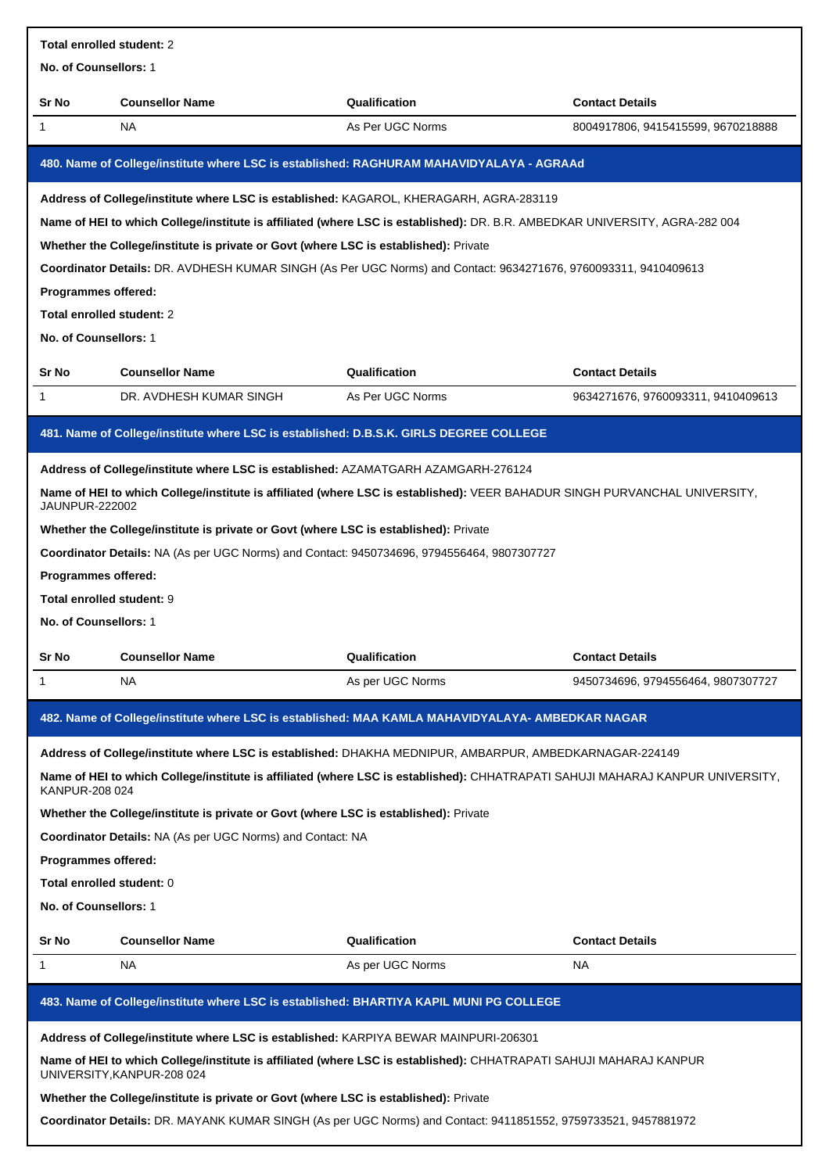| Total enrolled student: 2                          |                                                                                            |                                                                                                                                |                                    |  |
|----------------------------------------------------|--------------------------------------------------------------------------------------------|--------------------------------------------------------------------------------------------------------------------------------|------------------------------------|--|
| No. of Counsellors: 1                              |                                                                                            |                                                                                                                                |                                    |  |
| Sr No                                              | <b>Counsellor Name</b>                                                                     | Qualification                                                                                                                  | <b>Contact Details</b>             |  |
| 1                                                  | <b>NA</b>                                                                                  | As Per UGC Norms                                                                                                               | 8004917806, 9415415599, 9670218888 |  |
|                                                    |                                                                                            | 480. Name of College/institute where LSC is established: RAGHURAM MAHAVIDYALAYA - AGRAAd                                       |                                    |  |
|                                                    | Address of College/institute where LSC is established: KAGAROL, KHERAGARH, AGRA-283119     |                                                                                                                                |                                    |  |
|                                                    |                                                                                            | Name of HEI to which College/institute is affiliated (where LSC is established): DR. B.R. AMBEDKAR UNIVERSITY, AGRA-282 004    |                                    |  |
|                                                    | Whether the College/institute is private or Govt (where LSC is established): Private       |                                                                                                                                |                                    |  |
|                                                    |                                                                                            | Coordinator Details: DR. AVDHESH KUMAR SINGH (As Per UGC Norms) and Contact: 9634271676, 9760093311, 9410409613                |                                    |  |
| Programmes offered:                                |                                                                                            |                                                                                                                                |                                    |  |
| Total enrolled student: 2<br>No. of Counsellors: 1 |                                                                                            |                                                                                                                                |                                    |  |
|                                                    |                                                                                            |                                                                                                                                |                                    |  |
| Sr No                                              | <b>Counsellor Name</b>                                                                     | Qualification                                                                                                                  | <b>Contact Details</b>             |  |
| $\mathbf{1}$                                       | DR. AVDHESH KUMAR SINGH                                                                    | As Per UGC Norms                                                                                                               | 9634271676, 9760093311, 9410409613 |  |
|                                                    | 481. Name of College/institute where LSC is established: D.B.S.K. GIRLS DEGREE COLLEGE     |                                                                                                                                |                                    |  |
|                                                    | Address of College/institute where LSC is established: AZAMATGARH AZAMGARH-276124          |                                                                                                                                |                                    |  |
| <b>JAUNPUR-222002</b>                              |                                                                                            | Name of HEI to which College/institute is affiliated (where LSC is established): VEER BAHADUR SINGH PURVANCHAL UNIVERSITY,     |                                    |  |
|                                                    | Whether the College/institute is private or Govt (where LSC is established): Private       |                                                                                                                                |                                    |  |
|                                                    | Coordinator Details: NA (As per UGC Norms) and Contact: 9450734696, 9794556464, 9807307727 |                                                                                                                                |                                    |  |
| Programmes offered:                                |                                                                                            |                                                                                                                                |                                    |  |
| Total enrolled student: 9                          |                                                                                            |                                                                                                                                |                                    |  |
| No. of Counsellors: 1                              |                                                                                            |                                                                                                                                |                                    |  |
| Sr No                                              | <b>Counsellor Name</b>                                                                     | Qualification                                                                                                                  | <b>Contact Details</b>             |  |
| 1                                                  | NA                                                                                         | As per UGC Norms                                                                                                               | 9450734696, 9794556464, 9807307727 |  |
|                                                    |                                                                                            | 482. Name of College/institute where LSC is established: MAA KAMLA MAHAVIDYALAYA- AMBEDKAR NAGAR                               |                                    |  |
|                                                    |                                                                                            | Address of College/institute where LSC is established: DHAKHA MEDNIPUR, AMBARPUR, AMBEDKARNAGAR-224149                         |                                    |  |
| KANPUR-208 024                                     |                                                                                            | Name of HEI to which College/institute is affiliated (where LSC is established): CHHATRAPATI SAHUJI MAHARAJ KANPUR UNIVERSITY, |                                    |  |
|                                                    | Whether the College/institute is private or Govt (where LSC is established): Private       |                                                                                                                                |                                    |  |
|                                                    | Coordinator Details: NA (As per UGC Norms) and Contact: NA                                 |                                                                                                                                |                                    |  |
| Programmes offered:                                |                                                                                            |                                                                                                                                |                                    |  |
| Total enrolled student: 0                          |                                                                                            |                                                                                                                                |                                    |  |
| No. of Counsellors: 1                              |                                                                                            |                                                                                                                                |                                    |  |
| Sr No                                              | <b>Counsellor Name</b>                                                                     | Qualification                                                                                                                  | <b>Contact Details</b>             |  |
| 1                                                  | <b>NA</b>                                                                                  | As per UGC Norms                                                                                                               | NA                                 |  |
|                                                    | 483. Name of College/institute where LSC is established: BHARTIYA KAPIL MUNI PG COLLEGE    |                                                                                                                                |                                    |  |
|                                                    | Address of College/institute where LSC is established: KARPIYA BEWAR MAINPURI-206301       |                                                                                                                                |                                    |  |
|                                                    |                                                                                            | Name of HEI to which College/institute is affiliated (where LSC is established): CHHATRAPATI SAHUJI MAHARAJ KANPUR             |                                    |  |
|                                                    | UNIVERSITY, KANPUR-208 024                                                                 |                                                                                                                                |                                    |  |
|                                                    | Whether the College/institute is private or Govt (where LSC is established): Private       |                                                                                                                                |                                    |  |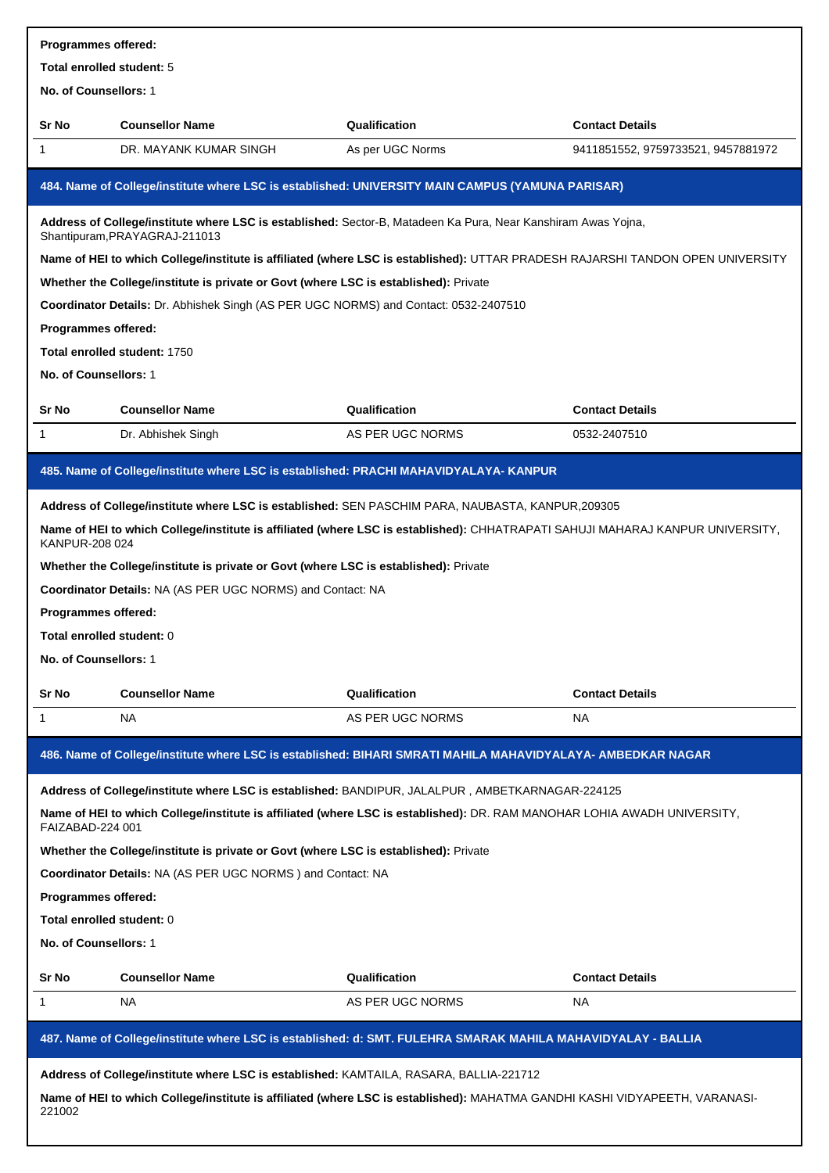| <b>Programmes offered:</b> |                                                                                                                                                |                  |                                    |  |  |  |
|----------------------------|------------------------------------------------------------------------------------------------------------------------------------------------|------------------|------------------------------------|--|--|--|
| Total enrolled student: 5  |                                                                                                                                                |                  |                                    |  |  |  |
| No. of Counsellors: 1      |                                                                                                                                                |                  |                                    |  |  |  |
| <b>Sr No</b>               | <b>Counsellor Name</b>                                                                                                                         | Qualification    | <b>Contact Details</b>             |  |  |  |
| 1                          | DR. MAYANK KUMAR SINGH                                                                                                                         | As per UGC Norms | 9411851552, 9759733521, 9457881972 |  |  |  |
|                            | 484. Name of College/institute where LSC is established: UNIVERSITY MAIN CAMPUS (YAMUNA PARISAR)                                               |                  |                                    |  |  |  |
|                            | Address of College/institute where LSC is established: Sector-B, Matadeen Ka Pura, Near Kanshiram Awas Yojna,<br>Shantipuram, PRAYAGRAJ-211013 |                  |                                    |  |  |  |
|                            | Name of HEI to which College/institute is affiliated (where LSC is established): UTTAR PRADESH RAJARSHI TANDON OPEN UNIVERSITY                 |                  |                                    |  |  |  |
|                            | Whether the College/institute is private or Govt (where LSC is established): Private                                                           |                  |                                    |  |  |  |
|                            | <b>Coordinator Details:</b> Dr. Abhishek Singh (AS PER UGC NORMS) and Contact: 0532-2407510                                                    |                  |                                    |  |  |  |
| Programmes offered:        |                                                                                                                                                |                  |                                    |  |  |  |
|                            | Total enrolled student: 1750                                                                                                                   |                  |                                    |  |  |  |
| No. of Counsellors: 1      |                                                                                                                                                |                  |                                    |  |  |  |
| <b>Sr No</b>               | <b>Counsellor Name</b>                                                                                                                         | Qualification    | <b>Contact Details</b>             |  |  |  |
| 1                          | Dr. Abhishek Singh                                                                                                                             | AS PER UGC NORMS | 0532-2407510                       |  |  |  |
|                            | 485. Name of College/institute where LSC is established: PRACHI MAHAVIDYALAYA-KANPUR                                                           |                  |                                    |  |  |  |
|                            | Address of College/institute where LSC is established: SEN PASCHIM PARA, NAUBASTA, KANPUR,209305                                               |                  |                                    |  |  |  |
| KANPUR-208 024             | Name of HEI to which College/institute is affiliated (where LSC is established): CHHATRAPATI SAHUJI MAHARAJ KANPUR UNIVERSITY,                 |                  |                                    |  |  |  |
|                            | Whether the College/institute is private or Govt (where LSC is established): Private                                                           |                  |                                    |  |  |  |
|                            | Coordinator Details: NA (AS PER UGC NORMS) and Contact: NA                                                                                     |                  |                                    |  |  |  |
| Programmes offered:        |                                                                                                                                                |                  |                                    |  |  |  |
| Total enrolled student: 0  |                                                                                                                                                |                  |                                    |  |  |  |
| No. of Counsellors: 1      |                                                                                                                                                |                  |                                    |  |  |  |
| Sr No                      | <b>Counsellor Name</b>                                                                                                                         | Qualification    | <b>Contact Details</b>             |  |  |  |
| 1                          | NA                                                                                                                                             | AS PER UGC NORMS | NA.                                |  |  |  |
|                            | 486. Name of College/institute where LSC is established: BIHARI SMRATI MAHILA MAHAVIDYALAYA- AMBEDKAR NAGAR                                    |                  |                                    |  |  |  |
|                            |                                                                                                                                                |                  |                                    |  |  |  |
|                            | Address of College/institute where LSC is established: BANDIPUR, JALALPUR, AMBETKARNAGAR-224125                                                |                  |                                    |  |  |  |
| FAIZABAD-224 001           | Name of HEI to which College/institute is affiliated (where LSC is established): DR. RAM MANOHAR LOHIA AWADH UNIVERSITY,                       |                  |                                    |  |  |  |
|                            | Whether the College/institute is private or Govt (where LSC is established): Private                                                           |                  |                                    |  |  |  |
|                            | Coordinator Details: NA (AS PER UGC NORMS) and Contact: NA                                                                                     |                  |                                    |  |  |  |
| Programmes offered:        |                                                                                                                                                |                  |                                    |  |  |  |
| Total enrolled student: 0  |                                                                                                                                                |                  |                                    |  |  |  |
| No. of Counsellors: 1      |                                                                                                                                                |                  |                                    |  |  |  |
| <b>Sr No</b>               | <b>Counsellor Name</b>                                                                                                                         | Qualification    | <b>Contact Details</b>             |  |  |  |
| 1                          | NA                                                                                                                                             | AS PER UGC NORMS | NA                                 |  |  |  |
|                            | 487. Name of College/institute where LSC is established: d: SMT. FULEHRA SMARAK MAHILA MAHAVIDYALAY - BALLIA                                   |                  |                                    |  |  |  |
|                            | Address of College/institute where LSC is established: KAMTAILA, RASARA, BALLIA-221712                                                         |                  |                                    |  |  |  |
| 221002                     | Name of HEI to which College/institute is affiliated (where LSC is established): MAHATMA GANDHI KASHI VIDYAPEETH, VARANASI-                    |                  |                                    |  |  |  |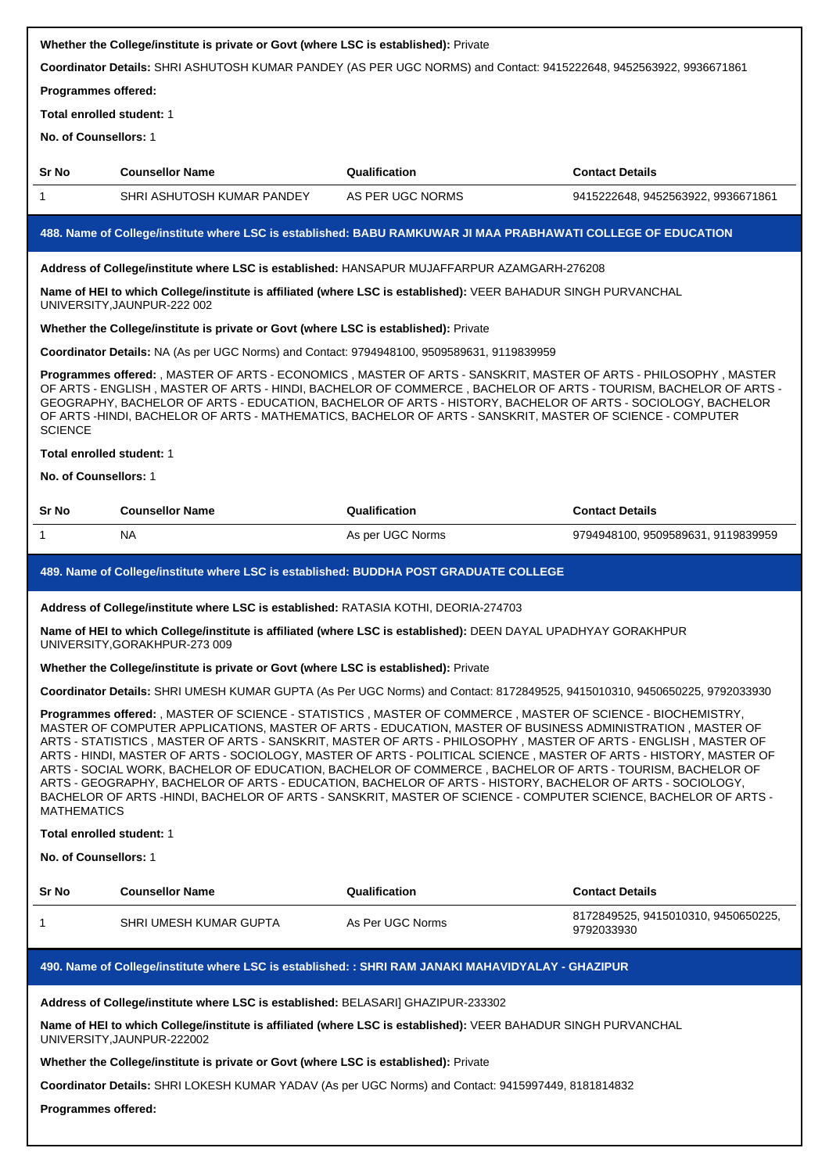| Whether the College/institute is private or Govt (where LSC is established): Private<br>Coordinator Details: SHRI ASHUTOSH KUMAR PANDEY (AS PER UGC NORMS) and Contact: 9415222648, 9452563922, 9936671861                                                                                                                                                                                                                                                                                                                                                                                                                                                                                                                                                                                                                                                                                                                                                    |                                                                                                                                                                                                                                        |                  |                                                   |  |
|---------------------------------------------------------------------------------------------------------------------------------------------------------------------------------------------------------------------------------------------------------------------------------------------------------------------------------------------------------------------------------------------------------------------------------------------------------------------------------------------------------------------------------------------------------------------------------------------------------------------------------------------------------------------------------------------------------------------------------------------------------------------------------------------------------------------------------------------------------------------------------------------------------------------------------------------------------------|----------------------------------------------------------------------------------------------------------------------------------------------------------------------------------------------------------------------------------------|------------------|---------------------------------------------------|--|
|                                                                                                                                                                                                                                                                                                                                                                                                                                                                                                                                                                                                                                                                                                                                                                                                                                                                                                                                                               |                                                                                                                                                                                                                                        |                  |                                                   |  |
| Programmes offered:                                                                                                                                                                                                                                                                                                                                                                                                                                                                                                                                                                                                                                                                                                                                                                                                                                                                                                                                           |                                                                                                                                                                                                                                        |                  |                                                   |  |
| Total enrolled student: 1                                                                                                                                                                                                                                                                                                                                                                                                                                                                                                                                                                                                                                                                                                                                                                                                                                                                                                                                     |                                                                                                                                                                                                                                        |                  |                                                   |  |
| No. of Counsellors: 1                                                                                                                                                                                                                                                                                                                                                                                                                                                                                                                                                                                                                                                                                                                                                                                                                                                                                                                                         |                                                                                                                                                                                                                                        |                  |                                                   |  |
| Sr No                                                                                                                                                                                                                                                                                                                                                                                                                                                                                                                                                                                                                                                                                                                                                                                                                                                                                                                                                         | <b>Counsellor Name</b>                                                                                                                                                                                                                 | Qualification    | <b>Contact Details</b>                            |  |
| $\mathbf{1}$                                                                                                                                                                                                                                                                                                                                                                                                                                                                                                                                                                                                                                                                                                                                                                                                                                                                                                                                                  | SHRI ASHUTOSH KUMAR PANDEY                                                                                                                                                                                                             | AS PER UGC NORMS | 9415222648, 9452563922, 9936671861                |  |
|                                                                                                                                                                                                                                                                                                                                                                                                                                                                                                                                                                                                                                                                                                                                                                                                                                                                                                                                                               | 488. Name of College/institute where LSC is established: BABU RAMKUWAR JI MAA PRABHAWATI COLLEGE OF EDUCATION                                                                                                                          |                  |                                                   |  |
|                                                                                                                                                                                                                                                                                                                                                                                                                                                                                                                                                                                                                                                                                                                                                                                                                                                                                                                                                               | Address of College/institute where LSC is established: HANSAPUR MUJAFFARPUR AZAMGARH-276208                                                                                                                                            |                  |                                                   |  |
|                                                                                                                                                                                                                                                                                                                                                                                                                                                                                                                                                                                                                                                                                                                                                                                                                                                                                                                                                               | Name of HEI to which College/institute is affiliated (where LSC is established): VEER BAHADUR SINGH PURVANCHAL<br>UNIVERSITY, JAUNPUR-222 002                                                                                          |                  |                                                   |  |
|                                                                                                                                                                                                                                                                                                                                                                                                                                                                                                                                                                                                                                                                                                                                                                                                                                                                                                                                                               | Whether the College/institute is private or Govt (where LSC is established): Private                                                                                                                                                   |                  |                                                   |  |
|                                                                                                                                                                                                                                                                                                                                                                                                                                                                                                                                                                                                                                                                                                                                                                                                                                                                                                                                                               | Coordinator Details: NA (As per UGC Norms) and Contact: 9794948100, 9509589631, 9119839959                                                                                                                                             |                  |                                                   |  |
| Programmes offered: , MASTER OF ARTS - ECONOMICS , MASTER OF ARTS - SANSKRIT, MASTER OF ARTS - PHILOSOPHY , MASTER<br>OF ARTS - ENGLISH, MASTER OF ARTS - HINDI, BACHELOR OF COMMERCE, BACHELOR OF ARTS - TOURISM, BACHELOR OF ARTS -<br>GEOGRAPHY, BACHELOR OF ARTS - EDUCATION, BACHELOR OF ARTS - HISTORY, BACHELOR OF ARTS - SOCIOLOGY, BACHELOR<br>OF ARTS -HINDI, BACHELOR OF ARTS - MATHEMATICS, BACHELOR OF ARTS - SANSKRIT, MASTER OF SCIENCE - COMPUTER<br><b>SCIENCE</b>                                                                                                                                                                                                                                                                                                                                                                                                                                                                           |                                                                                                                                                                                                                                        |                  |                                                   |  |
| Total enrolled student: 1                                                                                                                                                                                                                                                                                                                                                                                                                                                                                                                                                                                                                                                                                                                                                                                                                                                                                                                                     |                                                                                                                                                                                                                                        |                  |                                                   |  |
| No. of Counsellors: 1                                                                                                                                                                                                                                                                                                                                                                                                                                                                                                                                                                                                                                                                                                                                                                                                                                                                                                                                         |                                                                                                                                                                                                                                        |                  |                                                   |  |
| Sr No                                                                                                                                                                                                                                                                                                                                                                                                                                                                                                                                                                                                                                                                                                                                                                                                                                                                                                                                                         | <b>Counsellor Name</b>                                                                                                                                                                                                                 | Qualification    | <b>Contact Details</b>                            |  |
| $\mathbf{1}$                                                                                                                                                                                                                                                                                                                                                                                                                                                                                                                                                                                                                                                                                                                                                                                                                                                                                                                                                  | <b>NA</b>                                                                                                                                                                                                                              | As per UGC Norms | 9794948100, 9509589631, 9119839959                |  |
|                                                                                                                                                                                                                                                                                                                                                                                                                                                                                                                                                                                                                                                                                                                                                                                                                                                                                                                                                               | 489. Name of College/institute where LSC is established: BUDDHA POST GRADUATE COLLEGE                                                                                                                                                  |                  |                                                   |  |
|                                                                                                                                                                                                                                                                                                                                                                                                                                                                                                                                                                                                                                                                                                                                                                                                                                                                                                                                                               | Address of College/institute where LSC is established: RATASIA KOTHI, DEORIA-274703<br>Name of HEI to which College/institute is affiliated (where LSC is established): DEEN DAYAL UPADHYAY GORAKHPUR<br>UNIVERSITY, GORAKHPUR-273 009 |                  |                                                   |  |
|                                                                                                                                                                                                                                                                                                                                                                                                                                                                                                                                                                                                                                                                                                                                                                                                                                                                                                                                                               | Whether the College/institute is private or Govt (where LSC is established): Private                                                                                                                                                   |                  |                                                   |  |
|                                                                                                                                                                                                                                                                                                                                                                                                                                                                                                                                                                                                                                                                                                                                                                                                                                                                                                                                                               |                                                                                                                                                                                                                                        |                  |                                                   |  |
| Coordinator Details: SHRI UMESH KUMAR GUPTA (As Per UGC Norms) and Contact: 8172849525, 9415010310, 9450650225, 9792033930<br>Programmes offered: , MASTER OF SCIENCE - STATISTICS , MASTER OF COMMERCE , MASTER OF SCIENCE - BIOCHEMISTRY,<br>MASTER OF COMPUTER APPLICATIONS, MASTER OF ARTS - EDUCATION, MASTER OF BUSINESS ADMINISTRATION, MASTER OF<br>ARTS - STATISTICS, MASTER OF ARTS - SANSKRIT, MASTER OF ARTS - PHILOSOPHY, MASTER OF ARTS - ENGLISH, MASTER OF<br>ARTS - HINDI, MASTER OF ARTS - SOCIOLOGY, MASTER OF ARTS - POLITICAL SCIENCE, MASTER OF ARTS - HISTORY, MASTER OF<br>ARTS - SOCIAL WORK, BACHELOR OF EDUCATION, BACHELOR OF COMMERCE, BACHELOR OF ARTS - TOURISM, BACHELOR OF<br>ARTS - GEOGRAPHY, BACHELOR OF ARTS - EDUCATION, BACHELOR OF ARTS - HISTORY, BACHELOR OF ARTS - SOCIOLOGY,<br>BACHELOR OF ARTS-HINDI, BACHELOR OF ARTS-SANSKRIT, MASTER OF SCIENCE - COMPUTER SCIENCE, BACHELOR OF ARTS -<br><b>MATHEMATICS</b> |                                                                                                                                                                                                                                        |                  |                                                   |  |
| Total enrolled student: 1                                                                                                                                                                                                                                                                                                                                                                                                                                                                                                                                                                                                                                                                                                                                                                                                                                                                                                                                     |                                                                                                                                                                                                                                        |                  |                                                   |  |
| No. of Counsellors: 1                                                                                                                                                                                                                                                                                                                                                                                                                                                                                                                                                                                                                                                                                                                                                                                                                                                                                                                                         |                                                                                                                                                                                                                                        |                  |                                                   |  |
| Sr No                                                                                                                                                                                                                                                                                                                                                                                                                                                                                                                                                                                                                                                                                                                                                                                                                                                                                                                                                         | <b>Counsellor Name</b>                                                                                                                                                                                                                 | Qualification    | <b>Contact Details</b>                            |  |
| 1                                                                                                                                                                                                                                                                                                                                                                                                                                                                                                                                                                                                                                                                                                                                                                                                                                                                                                                                                             | SHRI UMESH KUMAR GUPTA                                                                                                                                                                                                                 | As Per UGC Norms | 8172849525, 9415010310, 9450650225,<br>9792033930 |  |
|                                                                                                                                                                                                                                                                                                                                                                                                                                                                                                                                                                                                                                                                                                                                                                                                                                                                                                                                                               | 490. Name of College/institute where LSC is established: : SHRI RAM JANAKI MAHAVIDYALAY - GHAZIPUR                                                                                                                                     |                  |                                                   |  |
|                                                                                                                                                                                                                                                                                                                                                                                                                                                                                                                                                                                                                                                                                                                                                                                                                                                                                                                                                               | Address of College/institute where LSC is established: BELASARI] GHAZIPUR-233302                                                                                                                                                       |                  |                                                   |  |
|                                                                                                                                                                                                                                                                                                                                                                                                                                                                                                                                                                                                                                                                                                                                                                                                                                                                                                                                                               | Name of HEI to which College/institute is affiliated (where LSC is established): VEER BAHADUR SINGH PURVANCHAL<br>UNIVERSITY, JAUNPUR-222002                                                                                           |                  |                                                   |  |
|                                                                                                                                                                                                                                                                                                                                                                                                                                                                                                                                                                                                                                                                                                                                                                                                                                                                                                                                                               | Whether the College/institute is private or Govt (where LSC is established): Private                                                                                                                                                   |                  |                                                   |  |
|                                                                                                                                                                                                                                                                                                                                                                                                                                                                                                                                                                                                                                                                                                                                                                                                                                                                                                                                                               |                                                                                                                                                                                                                                        |                  |                                                   |  |
|                                                                                                                                                                                                                                                                                                                                                                                                                                                                                                                                                                                                                                                                                                                                                                                                                                                                                                                                                               | Coordinator Details: SHRI LOKESH KUMAR YADAV (As per UGC Norms) and Contact: 9415997449, 8181814832<br>Programmes offered:                                                                                                             |                  |                                                   |  |
|                                                                                                                                                                                                                                                                                                                                                                                                                                                                                                                                                                                                                                                                                                                                                                                                                                                                                                                                                               |                                                                                                                                                                                                                                        |                  |                                                   |  |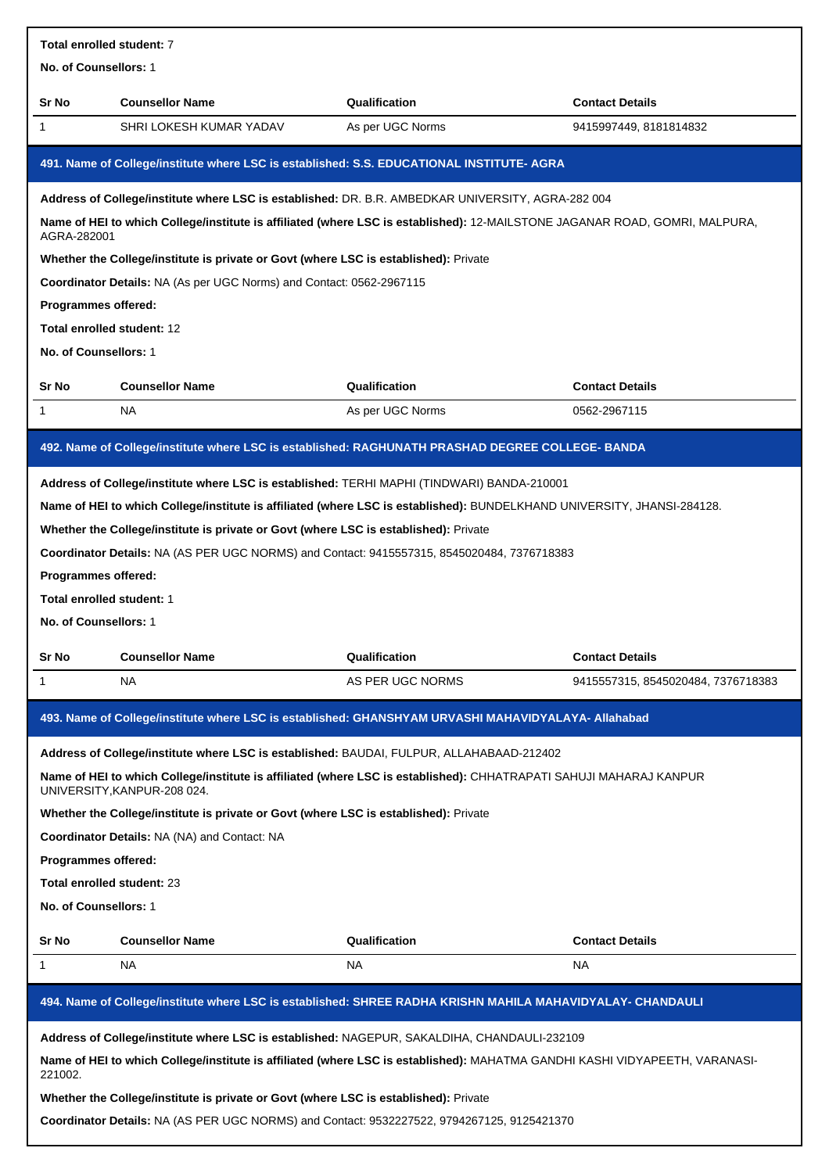| Total enrolled student: 7  |                                                                                          |                                                                                                                             |                                    |  |  |  |  |
|----------------------------|------------------------------------------------------------------------------------------|-----------------------------------------------------------------------------------------------------------------------------|------------------------------------|--|--|--|--|
| No. of Counsellors: 1      |                                                                                          |                                                                                                                             |                                    |  |  |  |  |
| Sr No                      | <b>Counsellor Name</b>                                                                   | Qualification                                                                                                               | <b>Contact Details</b>             |  |  |  |  |
| 1                          | SHRI LOKESH KUMAR YADAV                                                                  | As per UGC Norms                                                                                                            | 9415997449, 8181814832             |  |  |  |  |
|                            |                                                                                          | 491. Name of College/institute where LSC is established: S.S. EDUCATIONAL INSTITUTE- AGRA                                   |                                    |  |  |  |  |
|                            |                                                                                          | Address of College/institute where LSC is established: DR. B.R. AMBEDKAR UNIVERSITY, AGRA-282 004                           |                                    |  |  |  |  |
| AGRA-282001                |                                                                                          | Name of HEI to which College/institute is affiliated (where LSC is established): 12-MAILSTONE JAGANAR ROAD, GOMRI, MALPURA, |                                    |  |  |  |  |
|                            | Whether the College/institute is private or Govt (where LSC is established): Private     |                                                                                                                             |                                    |  |  |  |  |
|                            | Coordinator Details: NA (As per UGC Norms) and Contact: 0562-2967115                     |                                                                                                                             |                                    |  |  |  |  |
| Programmes offered:        |                                                                                          |                                                                                                                             |                                    |  |  |  |  |
| Total enrolled student: 12 |                                                                                          |                                                                                                                             |                                    |  |  |  |  |
| No. of Counsellors: 1      |                                                                                          |                                                                                                                             |                                    |  |  |  |  |
| Sr No                      | <b>Counsellor Name</b>                                                                   | Qualification                                                                                                               | <b>Contact Details</b>             |  |  |  |  |
| 1                          | <b>NA</b>                                                                                | As per UGC Norms                                                                                                            | 0562-2967115                       |  |  |  |  |
|                            |                                                                                          | 492. Name of College/institute where LSC is established: RAGHUNATH PRASHAD DEGREE COLLEGE- BANDA                            |                                    |  |  |  |  |
|                            |                                                                                          | Address of College/institute where LSC is established: TERHI MAPHI (TINDWARI) BANDA-210001                                  |                                    |  |  |  |  |
|                            |                                                                                          | Name of HEI to which College/institute is affiliated (where LSC is established): BUNDELKHAND UNIVERSITY, JHANSI-284128.     |                                    |  |  |  |  |
|                            | Whether the College/institute is private or Govt (where LSC is established): Private     |                                                                                                                             |                                    |  |  |  |  |
|                            |                                                                                          | Coordinator Details: NA (AS PER UGC NORMS) and Contact: 9415557315, 8545020484, 7376718383                                  |                                    |  |  |  |  |
| Programmes offered:        |                                                                                          |                                                                                                                             |                                    |  |  |  |  |
| Total enrolled student: 1  |                                                                                          |                                                                                                                             |                                    |  |  |  |  |
| No. of Counsellors: 1      |                                                                                          |                                                                                                                             |                                    |  |  |  |  |
| Sr No                      | <b>Counsellor Name</b>                                                                   | Qualification                                                                                                               | <b>Contact Details</b>             |  |  |  |  |
| 1                          | NA                                                                                       | AS PER UGC NORMS                                                                                                            | 9415557315, 8545020484, 7376718383 |  |  |  |  |
|                            |                                                                                          | 493. Name of College/institute where LSC is established: GHANSHYAM URVASHI MAHAVIDYALAYA- Allahabad                         |                                    |  |  |  |  |
|                            | Address of College/institute where LSC is established: BAUDAI, FULPUR, ALLAHABAAD-212402 |                                                                                                                             |                                    |  |  |  |  |
|                            | UNIVERSITY, KANPUR-208 024.                                                              | Name of HEI to which College/institute is affiliated (where LSC is established): CHHATRAPATI SAHUJI MAHARAJ KANPUR          |                                    |  |  |  |  |
|                            | Whether the College/institute is private or Govt (where LSC is established): Private     |                                                                                                                             |                                    |  |  |  |  |
|                            | Coordinator Details: NA (NA) and Contact: NA                                             |                                                                                                                             |                                    |  |  |  |  |
| Programmes offered:        |                                                                                          |                                                                                                                             |                                    |  |  |  |  |
|                            |                                                                                          |                                                                                                                             | Total enrolled student: 23         |  |  |  |  |
| No. of Counsellors: 1      |                                                                                          |                                                                                                                             |                                    |  |  |  |  |
|                            |                                                                                          |                                                                                                                             |                                    |  |  |  |  |
| Sr No                      | <b>Counsellor Name</b>                                                                   | Qualification                                                                                                               | <b>Contact Details</b>             |  |  |  |  |
| 1                          | NA                                                                                       | NA                                                                                                                          | NA.                                |  |  |  |  |
|                            |                                                                                          | 494. Name of College/institute where LSC is established: SHREE RADHA KRISHN MAHILA MAHAVIDYALAY- CHANDAULI                  |                                    |  |  |  |  |
|                            |                                                                                          | Address of College/institute where LSC is established: NAGEPUR, SAKALDIHA, CHANDAULI-232109                                 |                                    |  |  |  |  |
| 221002.                    |                                                                                          | Name of HEI to which College/institute is affiliated (where LSC is established): MAHATMA GANDHI KASHI VIDYAPEETH, VARANASI- |                                    |  |  |  |  |
|                            | Whether the College/institute is private or Govt (where LSC is established): Private     |                                                                                                                             |                                    |  |  |  |  |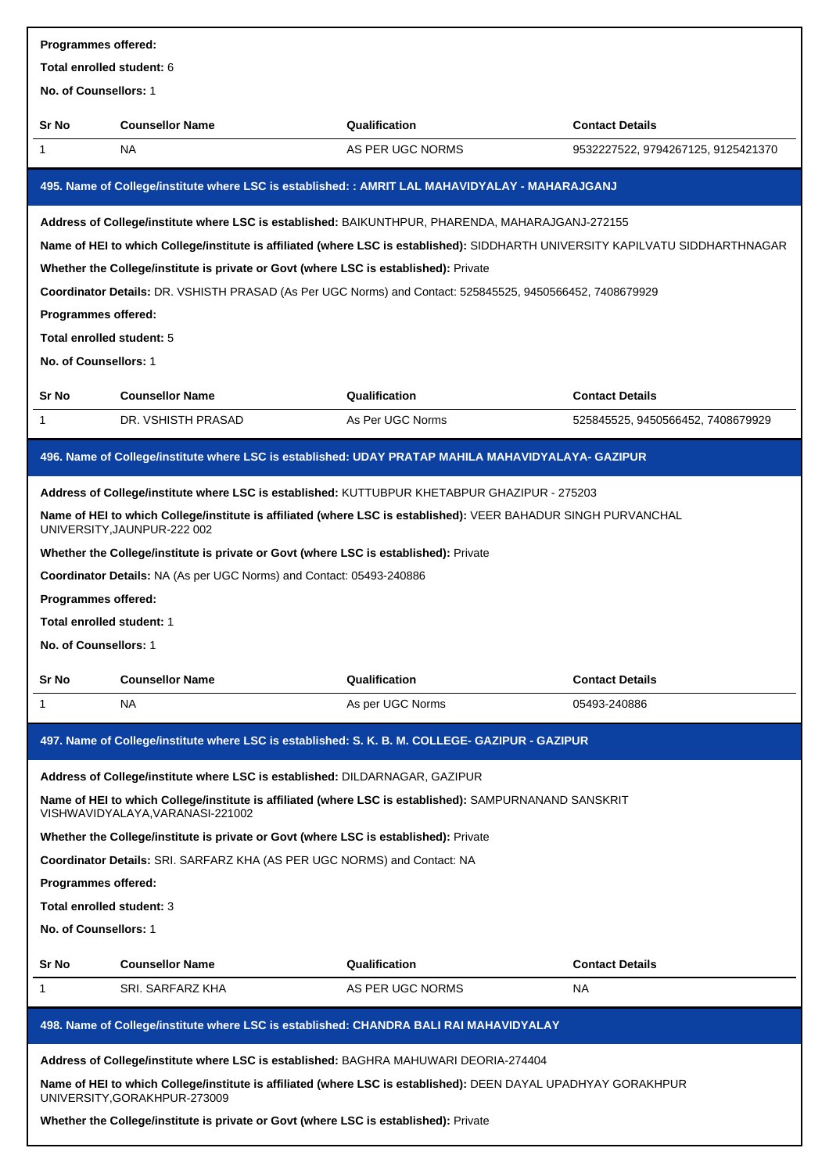| Programmes offered:                                                                  |                                                                                        |                                                                                                                                |                                    |  |  |  |  |  |
|--------------------------------------------------------------------------------------|----------------------------------------------------------------------------------------|--------------------------------------------------------------------------------------------------------------------------------|------------------------------------|--|--|--|--|--|
| Total enrolled student: 6                                                            |                                                                                        |                                                                                                                                |                                    |  |  |  |  |  |
| No. of Counsellors: 1                                                                |                                                                                        |                                                                                                                                |                                    |  |  |  |  |  |
| Sr No                                                                                | <b>Counsellor Name</b>                                                                 | Qualification                                                                                                                  | <b>Contact Details</b>             |  |  |  |  |  |
| 1                                                                                    | NA                                                                                     | AS PER UGC NORMS                                                                                                               | 9532227522, 9794267125, 9125421370 |  |  |  |  |  |
|                                                                                      |                                                                                        |                                                                                                                                |                                    |  |  |  |  |  |
|                                                                                      |                                                                                        | 495. Name of College/institute where LSC is established: : AMRIT LAL MAHAVIDYALAY - MAHARAJGANJ                                |                                    |  |  |  |  |  |
|                                                                                      |                                                                                        | Address of College/institute where LSC is established: BAIKUNTHPUR, PHARENDA, MAHARAJGANJ-272155                               |                                    |  |  |  |  |  |
|                                                                                      |                                                                                        | Name of HEI to which College/institute is affiliated (where LSC is established): SIDDHARTH UNIVERSITY KAPILVATU SIDDHARTHNAGAR |                                    |  |  |  |  |  |
|                                                                                      | Whether the College/institute is private or Govt (where LSC is established): Private   |                                                                                                                                |                                    |  |  |  |  |  |
|                                                                                      |                                                                                        | Coordinator Details: DR. VSHISTH PRASAD (As Per UGC Norms) and Contact: 525845525, 9450566452, 7408679929                      |                                    |  |  |  |  |  |
| Programmes offered:                                                                  |                                                                                        |                                                                                                                                |                                    |  |  |  |  |  |
| Total enrolled student: 5                                                            |                                                                                        |                                                                                                                                |                                    |  |  |  |  |  |
| No. of Counsellors: 1                                                                |                                                                                        |                                                                                                                                |                                    |  |  |  |  |  |
|                                                                                      |                                                                                        |                                                                                                                                |                                    |  |  |  |  |  |
| Sr No                                                                                | <b>Counsellor Name</b>                                                                 | Qualification                                                                                                                  | <b>Contact Details</b>             |  |  |  |  |  |
| 1                                                                                    | DR. VSHISTH PRASAD                                                                     | As Per UGC Norms                                                                                                               | 525845525, 9450566452, 7408679929  |  |  |  |  |  |
|                                                                                      |                                                                                        | 496. Name of College/institute where LSC is established: UDAY PRATAP MAHILA MAHAVIDYALAYA- GAZIPUR                             |                                    |  |  |  |  |  |
|                                                                                      |                                                                                        |                                                                                                                                |                                    |  |  |  |  |  |
|                                                                                      |                                                                                        | Address of College/institute where LSC is established: KUTTUBPUR KHETABPUR GHAZIPUR - 275203                                   |                                    |  |  |  |  |  |
|                                                                                      | UNIVERSITY, JAUNPUR-222 002                                                            | Name of HEI to which College/institute is affiliated (where LSC is established): VEER BAHADUR SINGH PURVANCHAL                 |                                    |  |  |  |  |  |
|                                                                                      | Whether the College/institute is private or Govt (where LSC is established): Private   |                                                                                                                                |                                    |  |  |  |  |  |
|                                                                                      | Coordinator Details: NA (As per UGC Norms) and Contact: 05493-240886                   |                                                                                                                                |                                    |  |  |  |  |  |
| Programmes offered:                                                                  |                                                                                        |                                                                                                                                |                                    |  |  |  |  |  |
| Total enrolled student: 1                                                            |                                                                                        |                                                                                                                                |                                    |  |  |  |  |  |
| <b>No. of Counsellors:</b> 1                                                         |                                                                                        |                                                                                                                                |                                    |  |  |  |  |  |
| Sr No                                                                                | <b>Counsellor Name</b>                                                                 | Qualification                                                                                                                  | <b>Contact Details</b>             |  |  |  |  |  |
| 1                                                                                    | NA.                                                                                    | As per UGC Norms                                                                                                               | 05493-240886                       |  |  |  |  |  |
|                                                                                      |                                                                                        |                                                                                                                                |                                    |  |  |  |  |  |
|                                                                                      |                                                                                        | 497. Name of College/institute where LSC is established: S. K. B. M. COLLEGE- GAZIPUR - GAZIPUR                                |                                    |  |  |  |  |  |
|                                                                                      | Address of College/institute where LSC is established: DILDARNAGAR, GAZIPUR            |                                                                                                                                |                                    |  |  |  |  |  |
|                                                                                      |                                                                                        | Name of HEI to which College/institute is affiliated (where LSC is established): SAMPURNANAND SANSKRIT                         |                                    |  |  |  |  |  |
|                                                                                      | VISHWAVIDYALAYA, VARANASI-221002                                                       |                                                                                                                                |                                    |  |  |  |  |  |
|                                                                                      | Whether the College/institute is private or Govt (where LSC is established): Private   |                                                                                                                                |                                    |  |  |  |  |  |
|                                                                                      | <b>Coordinator Details: SRI. SARFARZ KHA (AS PER UGC NORMS) and Contact: NA</b>        |                                                                                                                                |                                    |  |  |  |  |  |
| <b>Programmes offered:</b>                                                           |                                                                                        |                                                                                                                                |                                    |  |  |  |  |  |
| Total enrolled student: 3                                                            |                                                                                        |                                                                                                                                |                                    |  |  |  |  |  |
| No. of Counsellors: 1                                                                |                                                                                        |                                                                                                                                |                                    |  |  |  |  |  |
| Sr No                                                                                | <b>Counsellor Name</b>                                                                 | Qualification                                                                                                                  | <b>Contact Details</b>             |  |  |  |  |  |
| 1                                                                                    | SRI. SARFARZ KHA                                                                       | AS PER UGC NORMS                                                                                                               | NA.                                |  |  |  |  |  |
|                                                                                      |                                                                                        |                                                                                                                                |                                    |  |  |  |  |  |
|                                                                                      | 498. Name of College/institute where LSC is established: CHANDRA BALI RAI MAHAVIDYALAY |                                                                                                                                |                                    |  |  |  |  |  |
|                                                                                      | Address of College/institute where LSC is established: BAGHRA MAHUWARI DEORIA-274404   |                                                                                                                                |                                    |  |  |  |  |  |
|                                                                                      | UNIVERSITY, GORAKHPUR-273009                                                           | Name of HEI to which College/institute is affiliated (where LSC is established): DEEN DAYAL UPADHYAY GORAKHPUR                 |                                    |  |  |  |  |  |
| Whether the College/institute is private or Govt (where LSC is established): Private |                                                                                        |                                                                                                                                |                                    |  |  |  |  |  |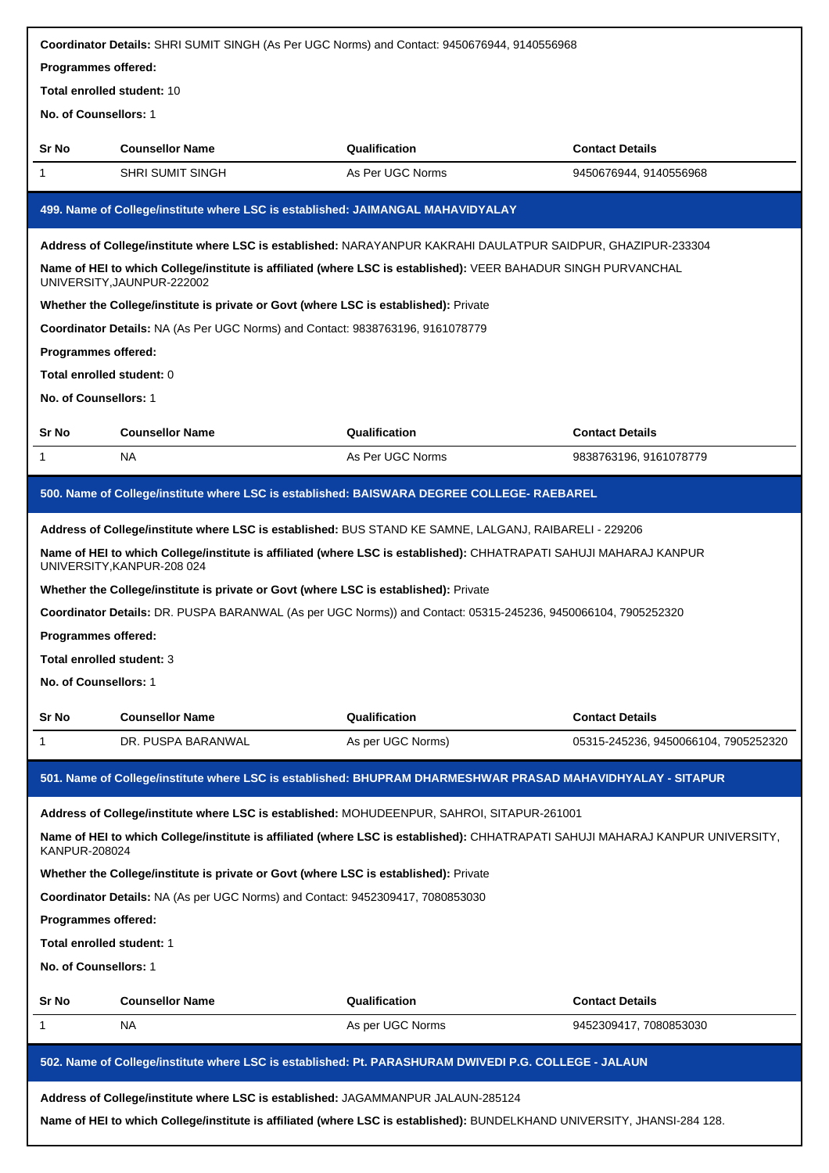| Coordinator Details: SHRI SUMIT SINGH (As Per UGC Norms) and Contact: 9450676944, 9140556968 |                                                                                                                                                  |                   |                                                                                                                                |  |  |  |  |  |
|----------------------------------------------------------------------------------------------|--------------------------------------------------------------------------------------------------------------------------------------------------|-------------------|--------------------------------------------------------------------------------------------------------------------------------|--|--|--|--|--|
|                                                                                              | Programmes offered:                                                                                                                              |                   |                                                                                                                                |  |  |  |  |  |
|                                                                                              | Total enrolled student: 10                                                                                                                       |                   |                                                                                                                                |  |  |  |  |  |
|                                                                                              | No. of Counsellors: 1                                                                                                                            |                   |                                                                                                                                |  |  |  |  |  |
| Sr No                                                                                        | <b>Counsellor Name</b>                                                                                                                           | Qualification     | <b>Contact Details</b>                                                                                                         |  |  |  |  |  |
| 1                                                                                            | SHRI SUMIT SINGH                                                                                                                                 | As Per UGC Norms  | 9450676944, 9140556968                                                                                                         |  |  |  |  |  |
|                                                                                              | 499. Name of College/institute where LSC is established: JAIMANGAL MAHAVIDYALAY                                                                  |                   |                                                                                                                                |  |  |  |  |  |
|                                                                                              | Address of College/institute where LSC is established: NARAYANPUR KAKRAHI DAULATPUR SAIDPUR, GHAZIPUR-233304                                     |                   |                                                                                                                                |  |  |  |  |  |
|                                                                                              | Name of HEI to which College/institute is affiliated (where LSC is established): VEER BAHADUR SINGH PURVANCHAL<br>UNIVERSITY, JAUNPUR-222002     |                   |                                                                                                                                |  |  |  |  |  |
|                                                                                              | Whether the College/institute is private or Govt (where LSC is established): Private                                                             |                   |                                                                                                                                |  |  |  |  |  |
|                                                                                              | Coordinator Details: NA (As Per UGC Norms) and Contact: 9838763196, 9161078779                                                                   |                   |                                                                                                                                |  |  |  |  |  |
| Programmes offered:                                                                          |                                                                                                                                                  |                   |                                                                                                                                |  |  |  |  |  |
| Total enrolled student: 0                                                                    |                                                                                                                                                  |                   |                                                                                                                                |  |  |  |  |  |
| No. of Counsellors: 1                                                                        |                                                                                                                                                  |                   |                                                                                                                                |  |  |  |  |  |
| Sr No                                                                                        | <b>Counsellor Name</b>                                                                                                                           | Qualification     | <b>Contact Details</b>                                                                                                         |  |  |  |  |  |
| 1                                                                                            | <b>NA</b>                                                                                                                                        | As Per UGC Norms  | 9838763196, 9161078779                                                                                                         |  |  |  |  |  |
|                                                                                              | 500. Name of College/institute where LSC is established: BAISWARA DEGREE COLLEGE- RAEBAREL                                                       |                   |                                                                                                                                |  |  |  |  |  |
|                                                                                              | Address of College/institute where LSC is established: BUS STAND KE SAMNE, LALGANJ, RAIBARELI - 229206                                           |                   |                                                                                                                                |  |  |  |  |  |
|                                                                                              | Name of HEI to which College/institute is affiliated (where LSC is established): CHHATRAPATI SAHUJI MAHARAJ KANPUR<br>UNIVERSITY, KANPUR-208 024 |                   |                                                                                                                                |  |  |  |  |  |
|                                                                                              | Whether the College/institute is private or Govt (where LSC is established): Private                                                             |                   |                                                                                                                                |  |  |  |  |  |
|                                                                                              | Coordinator Details: DR. PUSPA BARANWAL (As per UGC Norms)) and Contact: 05315-245236, 9450066104, 7905252320                                    |                   |                                                                                                                                |  |  |  |  |  |
| Programmes offered:                                                                          |                                                                                                                                                  |                   |                                                                                                                                |  |  |  |  |  |
| Total enrolled student: 3                                                                    |                                                                                                                                                  |                   |                                                                                                                                |  |  |  |  |  |
| No. of Counsellors: 1                                                                        |                                                                                                                                                  |                   |                                                                                                                                |  |  |  |  |  |
| Sr No                                                                                        | <b>Counsellor Name</b>                                                                                                                           | Qualification     | <b>Contact Details</b>                                                                                                         |  |  |  |  |  |
| 1                                                                                            | DR. PUSPA BARANWAL                                                                                                                               | As per UGC Norms) | 05315-245236, 9450066104, 7905252320                                                                                           |  |  |  |  |  |
|                                                                                              | 501. Name of College/institute where LSC is established: BHUPRAM DHARMESHWAR PRASAD MAHAVIDHYALAY - SITAPUR                                      |                   |                                                                                                                                |  |  |  |  |  |
|                                                                                              | Address of College/institute where LSC is established: MOHUDEENPUR, SAHROI, SITAPUR-261001                                                       |                   |                                                                                                                                |  |  |  |  |  |
| <b>KANPUR-208024</b>                                                                         |                                                                                                                                                  |                   | Name of HEI to which College/institute is affiliated (where LSC is established): CHHATRAPATI SAHUJI MAHARAJ KANPUR UNIVERSITY, |  |  |  |  |  |
|                                                                                              | Whether the College/institute is private or Govt (where LSC is established): Private                                                             |                   |                                                                                                                                |  |  |  |  |  |
|                                                                                              | Coordinator Details: NA (As per UGC Norms) and Contact: 9452309417, 7080853030                                                                   |                   |                                                                                                                                |  |  |  |  |  |
| Programmes offered:                                                                          |                                                                                                                                                  |                   |                                                                                                                                |  |  |  |  |  |
| Total enrolled student: 1                                                                    |                                                                                                                                                  |                   |                                                                                                                                |  |  |  |  |  |
| No. of Counsellors: 1                                                                        |                                                                                                                                                  |                   |                                                                                                                                |  |  |  |  |  |
| Sr No                                                                                        | <b>Counsellor Name</b>                                                                                                                           | Qualification     | <b>Contact Details</b>                                                                                                         |  |  |  |  |  |
| 1                                                                                            | <b>NA</b>                                                                                                                                        | As per UGC Norms  | 9452309417, 7080853030                                                                                                         |  |  |  |  |  |
|                                                                                              | 502. Name of College/institute where LSC is established: Pt. PARASHURAM DWIVEDI P.G. COLLEGE - JALAUN                                            |                   |                                                                                                                                |  |  |  |  |  |
|                                                                                              |                                                                                                                                                  |                   |                                                                                                                                |  |  |  |  |  |
|                                                                                              | Address of College/institute where LSC is established: JAGAMMANPUR JALAUN-285124                                                                 |                   |                                                                                                                                |  |  |  |  |  |
|                                                                                              | Name of HEI to which College/institute is affiliated (where LSC is established): BUNDELKHAND UNIVERSITY, JHANSI-284 128.                         |                   |                                                                                                                                |  |  |  |  |  |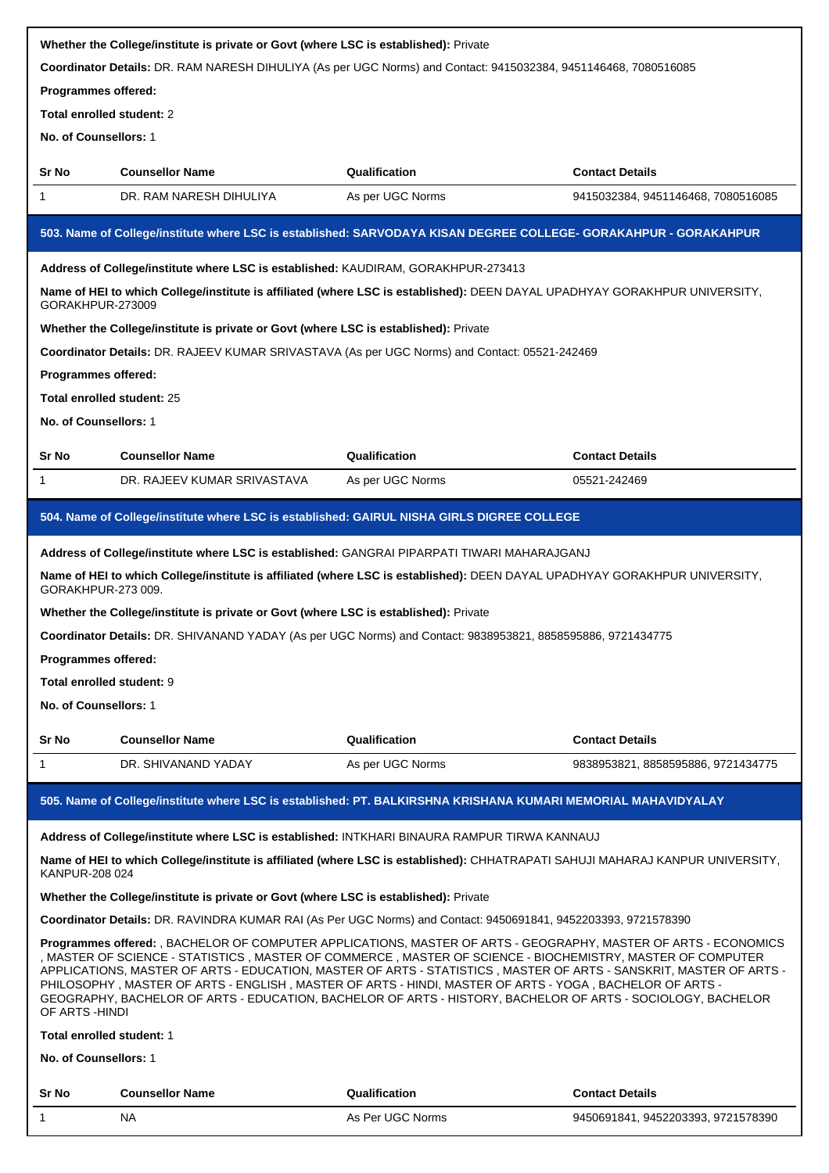|                                                                                                             |                                                                                                                 | Whether the College/institute is private or Govt (where LSC is established): Private |                                                                                                                                                                                                                                                                                                                                                                                                                                                                      |  |  |  |  |  |
|-------------------------------------------------------------------------------------------------------------|-----------------------------------------------------------------------------------------------------------------|--------------------------------------------------------------------------------------|----------------------------------------------------------------------------------------------------------------------------------------------------------------------------------------------------------------------------------------------------------------------------------------------------------------------------------------------------------------------------------------------------------------------------------------------------------------------|--|--|--|--|--|
|                                                                                                             | Coordinator Details: DR. RAM NARESH DIHULIYA (As per UGC Norms) and Contact: 9415032384, 9451146468, 7080516085 |                                                                                      |                                                                                                                                                                                                                                                                                                                                                                                                                                                                      |  |  |  |  |  |
| Programmes offered:                                                                                         |                                                                                                                 |                                                                                      |                                                                                                                                                                                                                                                                                                                                                                                                                                                                      |  |  |  |  |  |
| Total enrolled student: 2                                                                                   |                                                                                                                 |                                                                                      |                                                                                                                                                                                                                                                                                                                                                                                                                                                                      |  |  |  |  |  |
|                                                                                                             | No. of Counsellors: 1                                                                                           |                                                                                      |                                                                                                                                                                                                                                                                                                                                                                                                                                                                      |  |  |  |  |  |
| Sr No                                                                                                       | <b>Counsellor Name</b>                                                                                          | Qualification                                                                        | <b>Contact Details</b>                                                                                                                                                                                                                                                                                                                                                                                                                                               |  |  |  |  |  |
| 1                                                                                                           | DR. RAM NARESH DIHULIYA                                                                                         | As per UGC Norms                                                                     | 9415032384, 9451146468, 7080516085                                                                                                                                                                                                                                                                                                                                                                                                                                   |  |  |  |  |  |
|                                                                                                             |                                                                                                                 |                                                                                      | 503. Name of College/institute where LSC is established: SARVODAYA KISAN DEGREE COLLEGE- GORAKAHPUR - GORAKAHPUR                                                                                                                                                                                                                                                                                                                                                     |  |  |  |  |  |
|                                                                                                             | Address of College/institute where LSC is established: KAUDIRAM, GORAKHPUR-273413                               |                                                                                      |                                                                                                                                                                                                                                                                                                                                                                                                                                                                      |  |  |  |  |  |
| GORAKHPUR-273009                                                                                            |                                                                                                                 |                                                                                      | Name of HEI to which College/institute is affiliated (where LSC is established): DEEN DAYAL UPADHYAY GORAKHPUR UNIVERSITY,                                                                                                                                                                                                                                                                                                                                           |  |  |  |  |  |
|                                                                                                             | Whether the College/institute is private or Govt (where LSC is established): Private                            |                                                                                      |                                                                                                                                                                                                                                                                                                                                                                                                                                                                      |  |  |  |  |  |
|                                                                                                             | Coordinator Details: DR. RAJEEV KUMAR SRIVASTAVA (As per UGC Norms) and Contact: 05521-242469                   |                                                                                      |                                                                                                                                                                                                                                                                                                                                                                                                                                                                      |  |  |  |  |  |
| <b>Programmes offered:</b>                                                                                  |                                                                                                                 |                                                                                      |                                                                                                                                                                                                                                                                                                                                                                                                                                                                      |  |  |  |  |  |
| Total enrolled student: 25                                                                                  |                                                                                                                 |                                                                                      |                                                                                                                                                                                                                                                                                                                                                                                                                                                                      |  |  |  |  |  |
| No. of Counsellors: 1                                                                                       |                                                                                                                 |                                                                                      |                                                                                                                                                                                                                                                                                                                                                                                                                                                                      |  |  |  |  |  |
| Sr No                                                                                                       | <b>Counsellor Name</b>                                                                                          | Qualification                                                                        | <b>Contact Details</b>                                                                                                                                                                                                                                                                                                                                                                                                                                               |  |  |  |  |  |
| 1                                                                                                           | DR. RAJEEV KUMAR SRIVASTAVA                                                                                     | As per UGC Norms                                                                     | 05521-242469                                                                                                                                                                                                                                                                                                                                                                                                                                                         |  |  |  |  |  |
|                                                                                                             |                                                                                                                 |                                                                                      |                                                                                                                                                                                                                                                                                                                                                                                                                                                                      |  |  |  |  |  |
|                                                                                                             | 504. Name of College/institute where LSC is established: GAIRUL NISHA GIRLS DIGREE COLLEGE                      |                                                                                      |                                                                                                                                                                                                                                                                                                                                                                                                                                                                      |  |  |  |  |  |
|                                                                                                             | Address of College/institute where LSC is established: GANGRAI PIPARPATI TIWARI MAHARAJGANJ                     |                                                                                      |                                                                                                                                                                                                                                                                                                                                                                                                                                                                      |  |  |  |  |  |
| GORAKHPUR-273 009.                                                                                          |                                                                                                                 |                                                                                      | Name of HEI to which College/institute is affiliated (where LSC is established): DEEN DAYAL UPADHYAY GORAKHPUR UNIVERSITY,                                                                                                                                                                                                                                                                                                                                           |  |  |  |  |  |
|                                                                                                             |                                                                                                                 |                                                                                      |                                                                                                                                                                                                                                                                                                                                                                                                                                                                      |  |  |  |  |  |
| Whether the College/institute is private or Govt (where LSC is established): Private                        |                                                                                                                 |                                                                                      |                                                                                                                                                                                                                                                                                                                                                                                                                                                                      |  |  |  |  |  |
| Coordinator Details: DR. SHIVANAND YADAY (As per UGC Norms) and Contact: 9838953821, 8858595886, 9721434775 |                                                                                                                 |                                                                                      |                                                                                                                                                                                                                                                                                                                                                                                                                                                                      |  |  |  |  |  |
| Programmes offered:                                                                                         |                                                                                                                 |                                                                                      |                                                                                                                                                                                                                                                                                                                                                                                                                                                                      |  |  |  |  |  |
| Total enrolled student: 9                                                                                   |                                                                                                                 |                                                                                      |                                                                                                                                                                                                                                                                                                                                                                                                                                                                      |  |  |  |  |  |
| No. of Counsellors: 1                                                                                       |                                                                                                                 |                                                                                      |                                                                                                                                                                                                                                                                                                                                                                                                                                                                      |  |  |  |  |  |
|                                                                                                             |                                                                                                                 |                                                                                      |                                                                                                                                                                                                                                                                                                                                                                                                                                                                      |  |  |  |  |  |
| Sr No                                                                                                       | <b>Counsellor Name</b>                                                                                          | Qualification                                                                        | <b>Contact Details</b>                                                                                                                                                                                                                                                                                                                                                                                                                                               |  |  |  |  |  |
| 1                                                                                                           | DR. SHIVANAND YADAY                                                                                             | As per UGC Norms                                                                     | 9838953821, 8858595886, 9721434775                                                                                                                                                                                                                                                                                                                                                                                                                                   |  |  |  |  |  |
|                                                                                                             | 505. Name of College/institute where LSC is established: PT. BALKIRSHNA KRISHANA KUMARI MEMORIAL MAHAVIDYALAY   |                                                                                      |                                                                                                                                                                                                                                                                                                                                                                                                                                                                      |  |  |  |  |  |
|                                                                                                             | Address of College/institute where LSC is established: INTKHARI BINAURA RAMPUR TIRWA KANNAUJ                    |                                                                                      |                                                                                                                                                                                                                                                                                                                                                                                                                                                                      |  |  |  |  |  |
| KANPUR-208 024                                                                                              |                                                                                                                 |                                                                                      | Name of HEI to which College/institute is affiliated (where LSC is established): CHHATRAPATI SAHUJI MAHARAJ KANPUR UNIVERSITY,                                                                                                                                                                                                                                                                                                                                       |  |  |  |  |  |
|                                                                                                             | Whether the College/institute is private or Govt (where LSC is established): Private                            |                                                                                      |                                                                                                                                                                                                                                                                                                                                                                                                                                                                      |  |  |  |  |  |
|                                                                                                             | Coordinator Details: DR. RAVINDRA KUMAR RAI (As Per UGC Norms) and Contact: 9450691841, 9452203393, 9721578390  |                                                                                      |                                                                                                                                                                                                                                                                                                                                                                                                                                                                      |  |  |  |  |  |
| OF ARTS - HINDI                                                                                             | PHILOSOPHY, MASTER OF ARTS - ENGLISH, MASTER OF ARTS - HINDI, MASTER OF ARTS - YOGA, BACHELOR OF ARTS -         |                                                                                      | Programmes offered: , BACHELOR OF COMPUTER APPLICATIONS, MASTER OF ARTS - GEOGRAPHY, MASTER OF ARTS - ECONOMICS<br>, MASTER OF SCIENCE - STATISTICS , MASTER OF COMMERCE , MASTER OF SCIENCE - BIOCHEMISTRY, MASTER OF COMPUTER<br>APPLICATIONS, MASTER OF ARTS - EDUCATION, MASTER OF ARTS - STATISTICS, MASTER OF ARTS - SANSKRIT, MASTER OF ARTS -<br>GEOGRAPHY, BACHELOR OF ARTS - EDUCATION, BACHELOR OF ARTS - HISTORY, BACHELOR OF ARTS - SOCIOLOGY, BACHELOR |  |  |  |  |  |
| <b>Total enrolled student: 1</b>                                                                            |                                                                                                                 |                                                                                      |                                                                                                                                                                                                                                                                                                                                                                                                                                                                      |  |  |  |  |  |
| No. of Counsellors: 1                                                                                       |                                                                                                                 |                                                                                      |                                                                                                                                                                                                                                                                                                                                                                                                                                                                      |  |  |  |  |  |
| Sr No                                                                                                       | <b>Counsellor Name</b>                                                                                          | Qualification                                                                        | <b>Contact Details</b>                                                                                                                                                                                                                                                                                                                                                                                                                                               |  |  |  |  |  |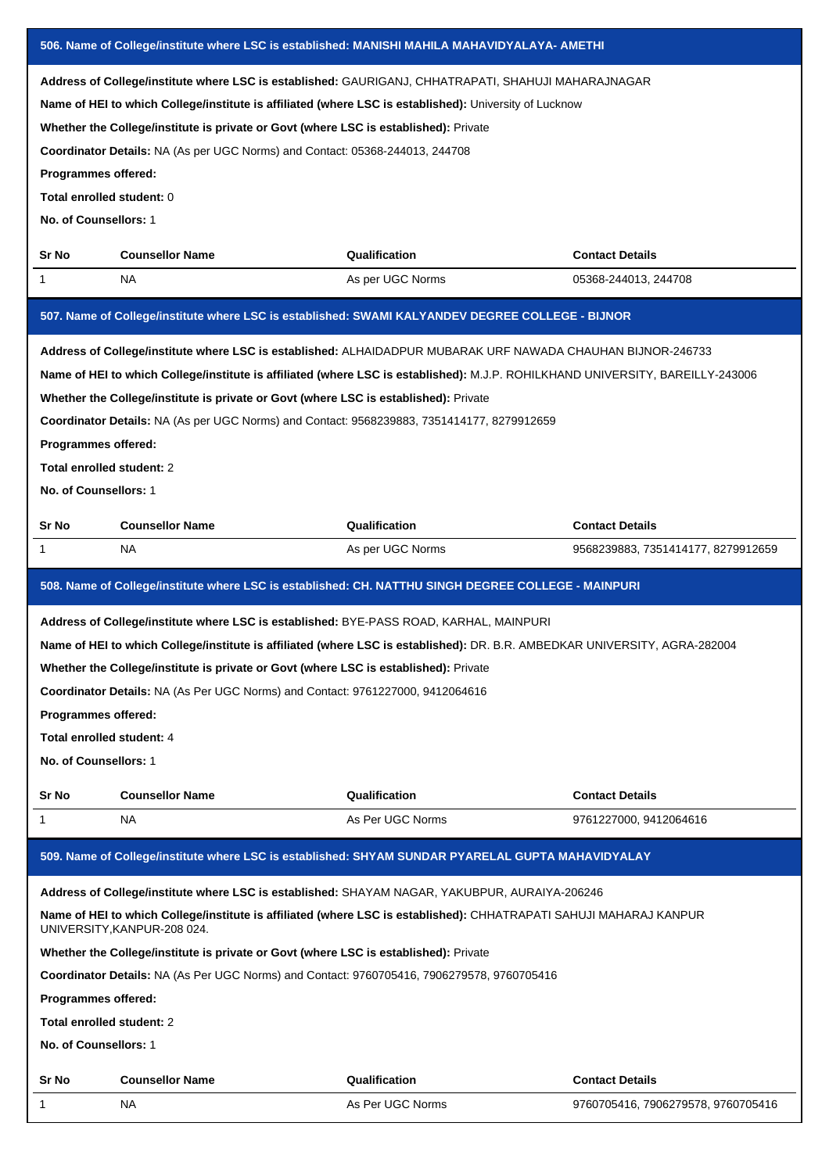|                                                                                                                                                                                                                                                                                                                                                                                                                                                                    | 506. Name of College/institute where LSC is established: MANISHI MAHILA MAHAVIDYALAYA- AMETHI                                                                                                                                                                                                                                                                                                                                                                                                                    |                                                                                                                                                                                                                     |                                    |  |  |  |  |
|--------------------------------------------------------------------------------------------------------------------------------------------------------------------------------------------------------------------------------------------------------------------------------------------------------------------------------------------------------------------------------------------------------------------------------------------------------------------|------------------------------------------------------------------------------------------------------------------------------------------------------------------------------------------------------------------------------------------------------------------------------------------------------------------------------------------------------------------------------------------------------------------------------------------------------------------------------------------------------------------|---------------------------------------------------------------------------------------------------------------------------------------------------------------------------------------------------------------------|------------------------------------|--|--|--|--|
| Address of College/institute where LSC is established: GAURIGANJ, CHHATRAPATI, SHAHUJI MAHARAJNAGAR<br>Name of HEI to which College/institute is affiliated (where LSC is established): University of Lucknow<br>Whether the College/institute is private or Govt (where LSC is established): Private<br>Coordinator Details: NA (As per UGC Norms) and Contact: 05368-244013, 244708<br>Programmes offered:<br>Total enrolled student: 0<br>No. of Counsellors: 1 |                                                                                                                                                                                                                                                                                                                                                                                                                                                                                                                  |                                                                                                                                                                                                                     |                                    |  |  |  |  |
| Sr No                                                                                                                                                                                                                                                                                                                                                                                                                                                              | <b>Counsellor Name</b>                                                                                                                                                                                                                                                                                                                                                                                                                                                                                           | Qualification                                                                                                                                                                                                       | <b>Contact Details</b>             |  |  |  |  |
| 1                                                                                                                                                                                                                                                                                                                                                                                                                                                                  | NA.                                                                                                                                                                                                                                                                                                                                                                                                                                                                                                              | As per UGC Norms                                                                                                                                                                                                    | 05368-244013, 244708               |  |  |  |  |
|                                                                                                                                                                                                                                                                                                                                                                                                                                                                    |                                                                                                                                                                                                                                                                                                                                                                                                                                                                                                                  | 507. Name of College/institute where LSC is established: SWAMI KALYANDEV DEGREE COLLEGE - BIJNOR                                                                                                                    |                                    |  |  |  |  |
|                                                                                                                                                                                                                                                                                                                                                                                                                                                                    | Address of College/institute where LSC is established: ALHAIDADPUR MUBARAK URF NAWADA CHAUHAN BIJNOR-246733<br>Name of HEI to which College/institute is affiliated (where LSC is established): M.J.P. ROHILKHAND UNIVERSITY, BAREILLY-243006<br>Whether the College/institute is private or Govt (where LSC is established): Private<br>Coordinator Details: NA (As per UGC Norms) and Contact: 9568239883, 7351414177, 8279912659<br>Programmes offered:<br>Total enrolled student: 2<br>No. of Counsellors: 1 |                                                                                                                                                                                                                     |                                    |  |  |  |  |
| Sr No                                                                                                                                                                                                                                                                                                                                                                                                                                                              | <b>Counsellor Name</b>                                                                                                                                                                                                                                                                                                                                                                                                                                                                                           | Qualification                                                                                                                                                                                                       | <b>Contact Details</b>             |  |  |  |  |
| 1                                                                                                                                                                                                                                                                                                                                                                                                                                                                  | NA                                                                                                                                                                                                                                                                                                                                                                                                                                                                                                               | As per UGC Norms                                                                                                                                                                                                    | 9568239883, 7351414177, 8279912659 |  |  |  |  |
| 508. Name of College/institute where LSC is established: CH. NATTHU SINGH DEGREE COLLEGE - MAINPURI                                                                                                                                                                                                                                                                                                                                                                |                                                                                                                                                                                                                                                                                                                                                                                                                                                                                                                  |                                                                                                                                                                                                                     |                                    |  |  |  |  |
|                                                                                                                                                                                                                                                                                                                                                                                                                                                                    |                                                                                                                                                                                                                                                                                                                                                                                                                                                                                                                  |                                                                                                                                                                                                                     |                                    |  |  |  |  |
| Programmes offered:<br>Total enrolled student: 4<br>No. of Counsellors: 1                                                                                                                                                                                                                                                                                                                                                                                          | Address of College/institute where LSC is established: BYE-PASS ROAD, KARHAL, MAINPURI<br>Whether the College/institute is private or Govt (where LSC is established): Private<br>Coordinator Details: NA (As Per UGC Norms) and Contact: 9761227000, 9412064616                                                                                                                                                                                                                                                 | Name of HEI to which College/institute is affiliated (where LSC is established): DR. B.R. AMBEDKAR UNIVERSITY, AGRA-282004                                                                                          |                                    |  |  |  |  |
| Sr No                                                                                                                                                                                                                                                                                                                                                                                                                                                              | <b>Counsellor Name</b>                                                                                                                                                                                                                                                                                                                                                                                                                                                                                           | Qualification                                                                                                                                                                                                       | <b>Contact Details</b>             |  |  |  |  |
| 1                                                                                                                                                                                                                                                                                                                                                                                                                                                                  | NA.                                                                                                                                                                                                                                                                                                                                                                                                                                                                                                              | As Per UGC Norms                                                                                                                                                                                                    | 9761227000, 9412064616             |  |  |  |  |
|                                                                                                                                                                                                                                                                                                                                                                                                                                                                    |                                                                                                                                                                                                                                                                                                                                                                                                                                                                                                                  | 509. Name of College/institute where LSC is established: SHYAM SUNDAR PYARELAL GUPTA MAHAVIDYALAY                                                                                                                   |                                    |  |  |  |  |
| Programmes offered:<br>Total enrolled student: 2<br>No. of Counsellors: 1                                                                                                                                                                                                                                                                                                                                                                                          | UNIVERSITY, KANPUR-208 024.<br>Whether the College/institute is private or Govt (where LSC is established): Private<br>Coordinator Details: NA (As Per UGC Norms) and Contact: 9760705416, 7906279578, 9760705416                                                                                                                                                                                                                                                                                                | Address of College/institute where LSC is established: SHAYAM NAGAR, YAKUBPUR, AURAIYA-206246<br>Name of HEI to which College/institute is affiliated (where LSC is established): CHHATRAPATI SAHUJI MAHARAJ KANPUR |                                    |  |  |  |  |
| Sr No                                                                                                                                                                                                                                                                                                                                                                                                                                                              | <b>Counsellor Name</b>                                                                                                                                                                                                                                                                                                                                                                                                                                                                                           | Qualification                                                                                                                                                                                                       | <b>Contact Details</b>             |  |  |  |  |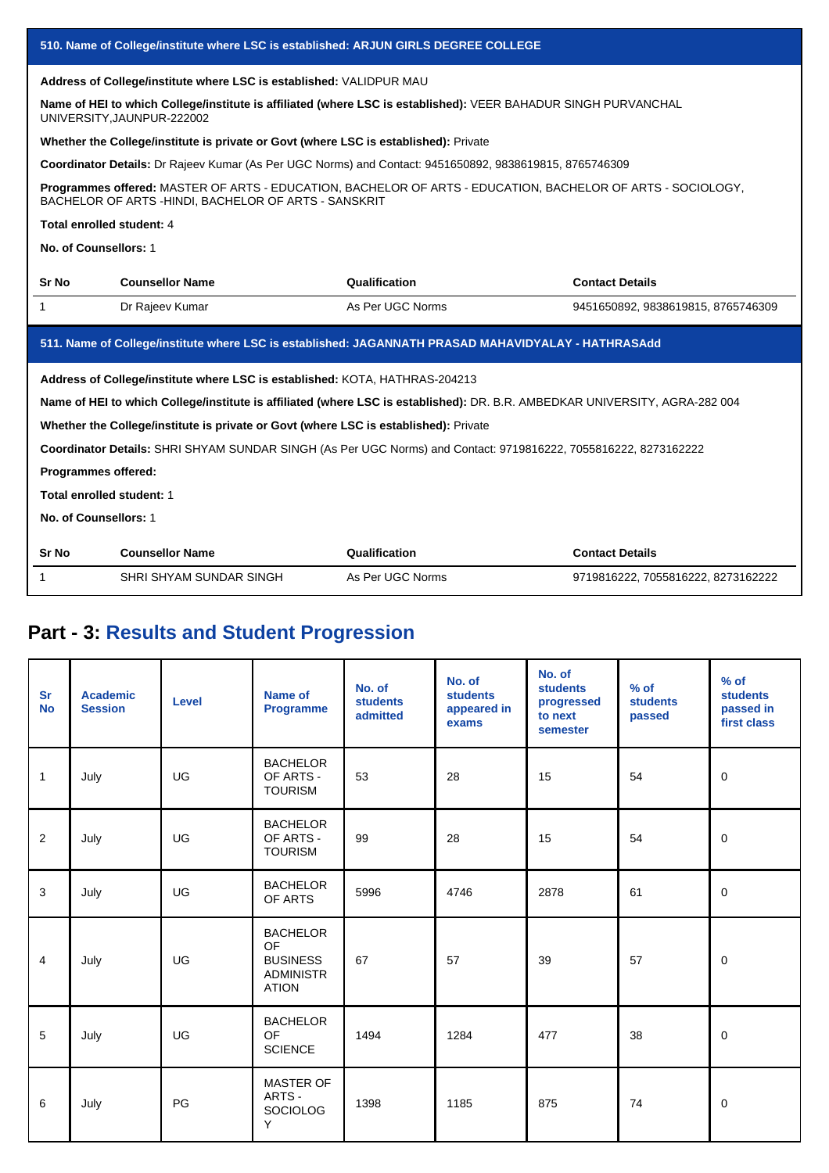|                           | 510. Name of College/institute where LSC is established: ARJUN GIRLS DEGREE COLLEGE                                                          |                                                                                                                             |                                    |  |  |  |  |  |
|---------------------------|----------------------------------------------------------------------------------------------------------------------------------------------|-----------------------------------------------------------------------------------------------------------------------------|------------------------------------|--|--|--|--|--|
|                           | Address of College/institute where LSC is established: VALIDPUR MAU                                                                          |                                                                                                                             |                                    |  |  |  |  |  |
|                           | Name of HEI to which College/institute is affiliated (where LSC is established): VEER BAHADUR SINGH PURVANCHAL<br>UNIVERSITY, JAUNPUR-222002 |                                                                                                                             |                                    |  |  |  |  |  |
|                           | Whether the College/institute is private or Govt (where LSC is established): Private                                                         |                                                                                                                             |                                    |  |  |  |  |  |
|                           |                                                                                                                                              | Coordinator Details: Dr Rajeev Kumar (As Per UGC Norms) and Contact: 9451650892, 9838619815, 8765746309                     |                                    |  |  |  |  |  |
|                           | BACHELOR OF ARTS - HINDI, BACHELOR OF ARTS - SANSKRIT                                                                                        | Programmes offered: MASTER OF ARTS - EDUCATION, BACHELOR OF ARTS - EDUCATION, BACHELOR OF ARTS - SOCIOLOGY,                 |                                    |  |  |  |  |  |
| Total enrolled student: 4 |                                                                                                                                              |                                                                                                                             |                                    |  |  |  |  |  |
| No. of Counsellors: 1     |                                                                                                                                              |                                                                                                                             |                                    |  |  |  |  |  |
| Sr No                     | <b>Counsellor Name</b>                                                                                                                       | Qualification                                                                                                               | <b>Contact Details</b>             |  |  |  |  |  |
| 1                         | Dr Rajeev Kumar                                                                                                                              | As Per UGC Norms                                                                                                            | 9451650892, 9838619815, 8765746309 |  |  |  |  |  |
|                           |                                                                                                                                              | 511. Name of College/institute where LSC is established: JAGANNATH PRASAD MAHAVIDYALAY - HATHRASAdd                         |                                    |  |  |  |  |  |
|                           | Address of College/institute where LSC is established: KOTA, HATHRAS-204213                                                                  |                                                                                                                             |                                    |  |  |  |  |  |
|                           |                                                                                                                                              | Name of HEI to which College/institute is affiliated (where LSC is established): DR. B.R. AMBEDKAR UNIVERSITY, AGRA-282 004 |                                    |  |  |  |  |  |
|                           | Whether the College/institute is private or Govt (where LSC is established): Private                                                         |                                                                                                                             |                                    |  |  |  |  |  |
|                           |                                                                                                                                              | Coordinator Details: SHRI SHYAM SUNDAR SINGH (As Per UGC Norms) and Contact: 9719816222, 7055816222, 8273162222             |                                    |  |  |  |  |  |
| Programmes offered:       |                                                                                                                                              |                                                                                                                             |                                    |  |  |  |  |  |
| Total enrolled student: 1 |                                                                                                                                              |                                                                                                                             |                                    |  |  |  |  |  |
| No. of Counsellors: 1     |                                                                                                                                              |                                                                                                                             |                                    |  |  |  |  |  |
| <b>Sr No</b>              | <b>Counsellor Name</b>                                                                                                                       | Qualification                                                                                                               | <b>Contact Details</b>             |  |  |  |  |  |
| 1                         | SHRI SHYAM SUNDAR SINGH                                                                                                                      | As Per UGC Norms                                                                                                            | 9719816222, 7055816222, 8273162222 |  |  |  |  |  |

# **Part - 3: Results and Student Progression**

| <b>Sr</b><br><b>No</b> | <b>Academic</b><br><b>Session</b> | <b>Level</b> | Name of<br><b>Programme</b>                                                  | No. of<br><b>students</b><br>admitted | No. of<br><b>students</b><br>appeared in<br>exams | No. of<br><b>students</b><br>progressed<br>to next<br>semester | $%$ of<br><b>students</b><br>passed | $%$ of<br><b>students</b><br>passed in<br>first class |
|------------------------|-----------------------------------|--------------|------------------------------------------------------------------------------|---------------------------------------|---------------------------------------------------|----------------------------------------------------------------|-------------------------------------|-------------------------------------------------------|
| $\mathbf{1}$           | July                              | UG           | <b>BACHELOR</b><br>OF ARTS -<br><b>TOURISM</b>                               | 53                                    | 28                                                | 15                                                             | 54                                  | $\mathbf 0$                                           |
| 2                      | July                              | UG           | <b>BACHELOR</b><br>OF ARTS -<br><b>TOURISM</b>                               | 99                                    | 28                                                | 15                                                             | 54                                  | $\mathbf 0$                                           |
| 3                      | July                              | UG           | <b>BACHELOR</b><br>OF ARTS                                                   | 5996                                  | 4746                                              | 2878                                                           | 61                                  | $\mathbf 0$                                           |
| $\overline{4}$         | July                              | UG           | <b>BACHELOR</b><br>OF<br><b>BUSINESS</b><br><b>ADMINISTR</b><br><b>ATION</b> | 67                                    | 57                                                | 39                                                             | 57                                  | $\mathbf 0$                                           |
| 5                      | July                              | UG           | <b>BACHELOR</b><br><b>OF</b><br><b>SCIENCE</b>                               | 1494                                  | 1284                                              | 477                                                            | 38                                  | $\mathbf 0$                                           |
| 6                      | July                              | PG           | <b>MASTER OF</b><br>ARTS -<br><b>SOCIOLOG</b><br>Y                           | 1398                                  | 1185                                              | 875                                                            | 74                                  | 0                                                     |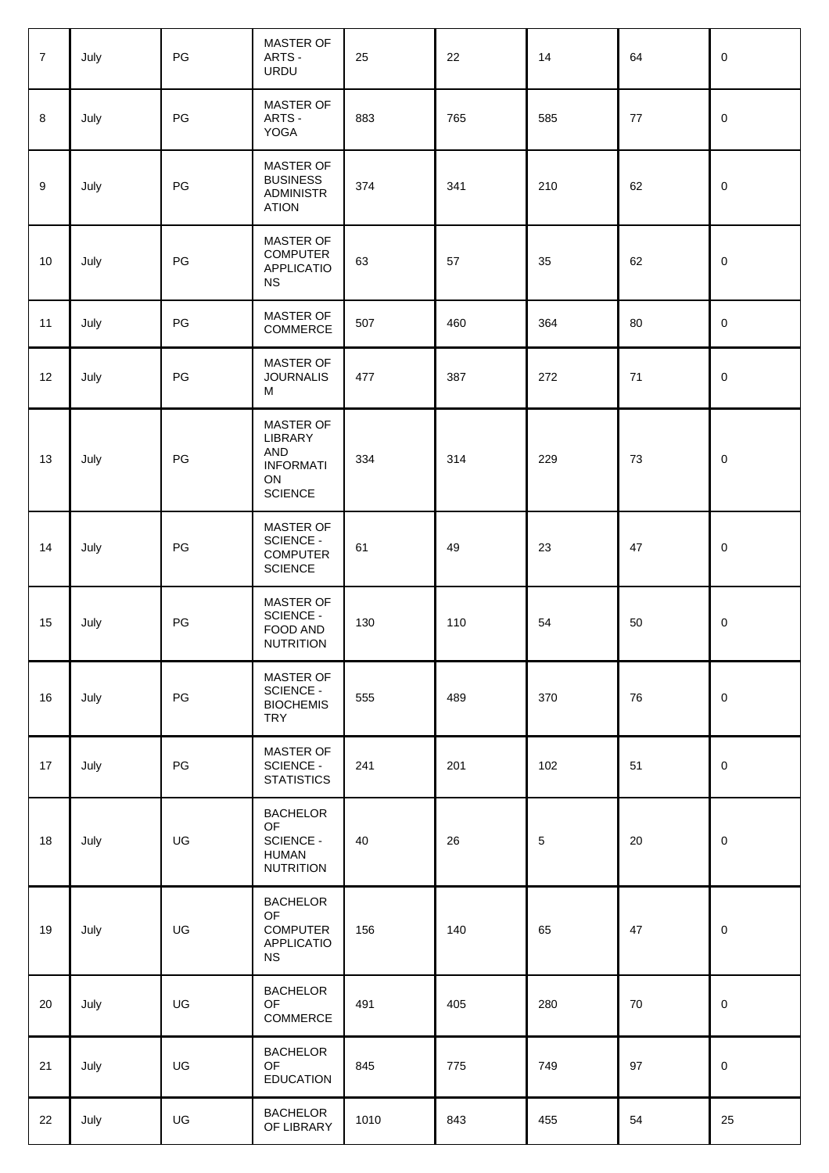| $\overline{7}$ | July | PG | MASTER OF<br>ARTS -<br>URDU                                                    | 25   | 22  | 14         | 64     | $\mathbf 0$         |
|----------------|------|----|--------------------------------------------------------------------------------|------|-----|------------|--------|---------------------|
| 8              | July | PG | MASTER OF<br>ARTS -<br>YOGA                                                    | 883  | 765 | 585        | $77\,$ | $\pmb{0}$           |
| 9              | July | PG | MASTER OF<br><b>BUSINESS</b><br><b>ADMINISTR</b><br><b>ATION</b>               | 374  | 341 | 210        | 62     | $\mathsf{O}\xspace$ |
| 10             | July | PG | MASTER OF<br><b>COMPUTER</b><br><b>APPLICATIO</b><br><b>NS</b>                 | 63   | 57  | 35         | 62     | $\mathsf{O}\xspace$ |
| 11             | July | PG | MASTER OF<br>COMMERCE                                                          | 507  | 460 | 364        | 80     | $\mathsf{O}\xspace$ |
| 12             | July | PG | MASTER OF<br><b>JOURNALIS</b><br>M                                             | 477  | 387 | 272        | 71     | $\pmb{0}$           |
| 13             | July | PG | MASTER OF<br>LIBRARY<br><b>AND</b><br><b>INFORMATI</b><br>ON<br><b>SCIENCE</b> | 334  | 314 | 229        | 73     | $\mathsf{O}\xspace$ |
| 14             | July | PG | MASTER OF<br><b>SCIENCE -</b><br><b>COMPUTER</b><br><b>SCIENCE</b>             | 61   | 49  | 23         | 47     | $\mathbf 0$         |
| 15             | July | PG | MASTER OF<br>SCIENCE -<br>FOOD AND<br><b>NUTRITION</b>                         | 130  | 110 | 54         | 50     | $\pmb{0}$           |
| 16             | July | PG | MASTER OF<br>SCIENCE -<br><b>BIOCHEMIS</b><br><b>TRY</b>                       | 555  | 489 | 370        | 76     | $\mathsf{O}\xspace$ |
| 17             | July | PG | MASTER OF<br>SCIENCE -<br><b>STATISTICS</b>                                    | 241  | 201 | 102        | 51     | $\mathbf 0$         |
| 18             | July | UG | <b>BACHELOR</b><br><b>OF</b><br>SCIENCE -<br><b>HUMAN</b><br><b>NUTRITION</b>  | 40   | 26  | $\sqrt{5}$ | 20     | $\mathsf{O}\xspace$ |
| 19             | July | UG | <b>BACHELOR</b><br>OF<br><b>COMPUTER</b><br><b>APPLICATIO</b><br><b>NS</b>     | 156  | 140 | 65         | 47     | $\pmb{0}$           |
| 20             | July | UG | <b>BACHELOR</b><br>OF<br>COMMERCE                                              | 491  | 405 | 280        | $70\,$ | $\mathsf{O}\xspace$ |
| 21             | July | UG | <b>BACHELOR</b><br>OF<br><b>EDUCATION</b>                                      | 845  | 775 | 749        | 97     | $\mathsf{O}\xspace$ |
| 22             | July | UG | <b>BACHELOR</b><br>OF LIBRARY                                                  | 1010 | 843 | 455        | 54     | 25                  |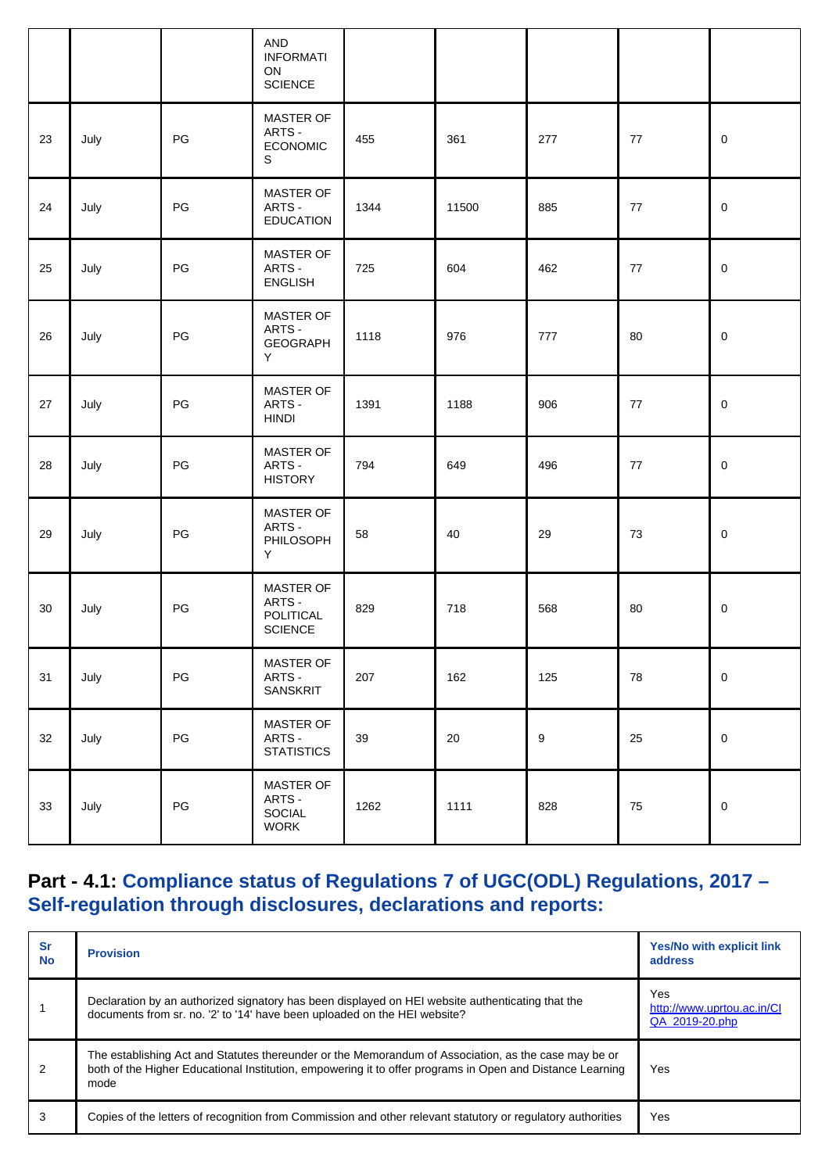|    |      |               | <b>AND</b><br><b>INFORMATI</b><br>ON<br><b>SCIENCE</b> |      |       |     |            |           |
|----|------|---------------|--------------------------------------------------------|------|-------|-----|------------|-----------|
| 23 | July | PG            | <b>MASTER OF</b><br>ARTS -<br><b>ECONOMIC</b><br>S     | 455  | 361   | 277 | 77         | 0         |
| 24 | July | PG            | MASTER OF<br>ARTS -<br><b>EDUCATION</b>                | 1344 | 11500 | 885 | 77         | 0         |
| 25 | July | PG            | MASTER OF<br>ARTS -<br><b>ENGLISH</b>                  | 725  | 604   | 462 | 77         | 0         |
| 26 | July | PG            | MASTER OF<br>ARTS -<br>GEOGRAPH<br>Y                   | 1118 | 976   | 777 | 80         | 0         |
| 27 | July | PG            | MASTER OF<br>ARTS -<br><b>HINDI</b>                    | 1391 | 1188  | 906 | 77         | 0         |
| 28 | July | PG            | <b>MASTER OF</b><br>ARTS -<br><b>HISTORY</b>           | 794  | 649   | 496 | 77         | 0         |
| 29 | July | PG            | MASTER OF<br>ARTS -<br>PHILOSOPH<br>Y                  | 58   | 40    | 29  | 73         | 0         |
| 30 | July | PG            | MASTER OF<br>ARTS -<br>POLITICAL<br><b>SCIENCE</b>     | 829  | 718   | 568 | 80         | 0         |
| 31 | July | PG            | MASTER OF<br>ARTS -<br>SANSKRIT                        | 207  | 162   | 125 | 78         | $\pmb{0}$ |
| 32 | July | $\mathsf{PG}$ | MASTER OF<br>ARTS -<br><b>STATISTICS</b>               | 39   | 20    | 9   | 25         | 0         |
| 33 | July | $\mathsf{PG}$ | MASTER OF<br>ARTS -<br>SOCIAL<br><b>WORK</b>           | 1262 | 1111  | 828 | ${\bf 75}$ | 0         |

## **Part - 4.1: Compliance status of Regulations 7 of UGC(ODL) Regulations, 2017 – Self-regulation through disclosures, declarations and reports:**

| <b>Sr</b><br><b>No</b> | <b>Provision</b>                                                                                                                                                                                                          | <b>Yes/No with explicit link</b><br>address         |
|------------------------|---------------------------------------------------------------------------------------------------------------------------------------------------------------------------------------------------------------------------|-----------------------------------------------------|
|                        | Declaration by an authorized signatory has been displayed on HEI website authenticating that the<br>documents from sr. no. '2' to '14' have been uploaded on the HEI website?                                             | Yes<br>http://www.uprtou.ac.in/Cl<br>QA 2019-20.php |
| 2                      | The establishing Act and Statutes thereunder or the Memorandum of Association, as the case may be or<br>both of the Higher Educational Institution, empowering it to offer programs in Open and Distance Learning<br>mode | Yes                                                 |
| 3                      | Copies of the letters of recognition from Commission and other relevant statutory or regulatory authorities                                                                                                               | Yes                                                 |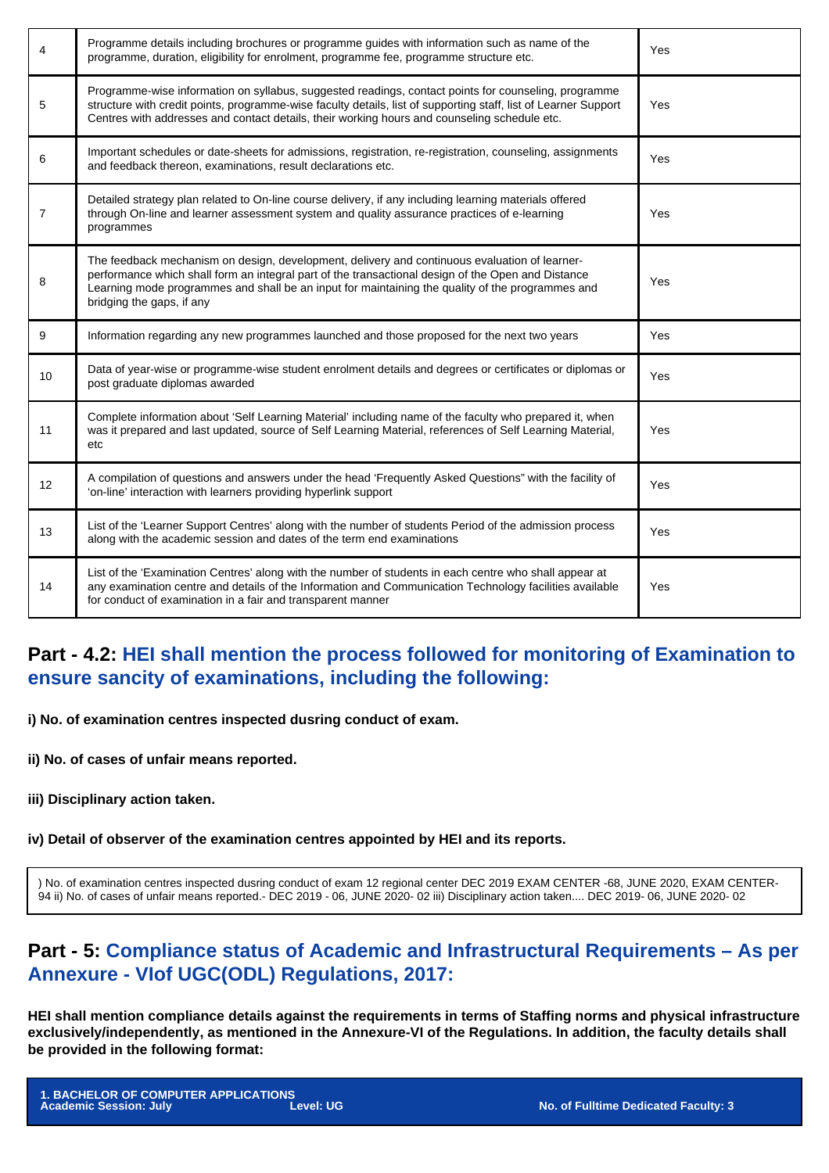| 4              | Programme details including brochures or programme guides with information such as name of the<br>programme, duration, eligibility for enrolment, programme fee, programme structure etc.                                                                                                                                            | Yes |
|----------------|--------------------------------------------------------------------------------------------------------------------------------------------------------------------------------------------------------------------------------------------------------------------------------------------------------------------------------------|-----|
| 5              | Programme-wise information on syllabus, suggested readings, contact points for counseling, programme<br>structure with credit points, programme-wise faculty details, list of supporting staff, list of Learner Support<br>Centres with addresses and contact details, their working hours and counseling schedule etc.              | Yes |
| 6              | Important schedules or date-sheets for admissions, registration, re-registration, counseling, assignments<br>and feedback thereon, examinations, result declarations etc.                                                                                                                                                            | Yes |
| $\overline{7}$ | Detailed strategy plan related to On-line course delivery, if any including learning materials offered<br>through On-line and learner assessment system and quality assurance practices of e-learning<br>programmes                                                                                                                  | Yes |
| 8              | The feedback mechanism on design, development, delivery and continuous evaluation of learner-<br>performance which shall form an integral part of the transactional design of the Open and Distance<br>Learning mode programmes and shall be an input for maintaining the quality of the programmes and<br>bridging the gaps, if any | Yes |
| 9              | Information regarding any new programmes launched and those proposed for the next two years                                                                                                                                                                                                                                          | Yes |
| 10             | Data of year-wise or programme-wise student enrolment details and degrees or certificates or diplomas or<br>post graduate diplomas awarded                                                                                                                                                                                           | Yes |
| 11             | Complete information about 'Self Learning Material' including name of the faculty who prepared it, when<br>was it prepared and last updated, source of Self Learning Material, references of Self Learning Material,<br>etc                                                                                                          | Yes |
| 12             | A compilation of questions and answers under the head 'Frequently Asked Questions" with the facility of<br>'on-line' interaction with learners providing hyperlink support                                                                                                                                                           | Yes |
| 13             | List of the 'Learner Support Centres' along with the number of students Period of the admission process<br>along with the academic session and dates of the term end examinations                                                                                                                                                    | Yes |
| 14             | List of the 'Examination Centres' along with the number of students in each centre who shall appear at<br>any examination centre and details of the Information and Communication Technology facilities available<br>for conduct of examination in a fair and transparent manner                                                     | Yes |

#### **Part - 4.2: HEI shall mention the process followed for monitoring of Examination to ensure sancity of examinations, including the following:**

**i) No. of examination centres inspected dusring conduct of exam.**

**ii) No. of cases of unfair means reported.**

**iii) Disciplinary action taken.**

#### **iv) Detail of observer of the examination centres appointed by HEI and its reports.**

) No. of examination centres inspected dusring conduct of exam 12 regional center DEC 2019 EXAM CENTER -68, JUNE 2020, EXAM CENTER-94 ii) No. of cases of unfair means reported.- DEC 2019 - 06, JUNE 2020- 02 iii) Disciplinary action taken.... DEC 2019- 06, JUNE 2020- 02

#### **Part - 5: Compliance status of Academic and Infrastructural Requirements – As per Annexure - VIof UGC(ODL) Regulations, 2017:**

**HEI shall mention compliance details against the requirements in terms of Staffing norms and physical infrastructure exclusively/independently, as mentioned in the Annexure-VI of the Regulations. In addition, the faculty details shall be provided in the following format:**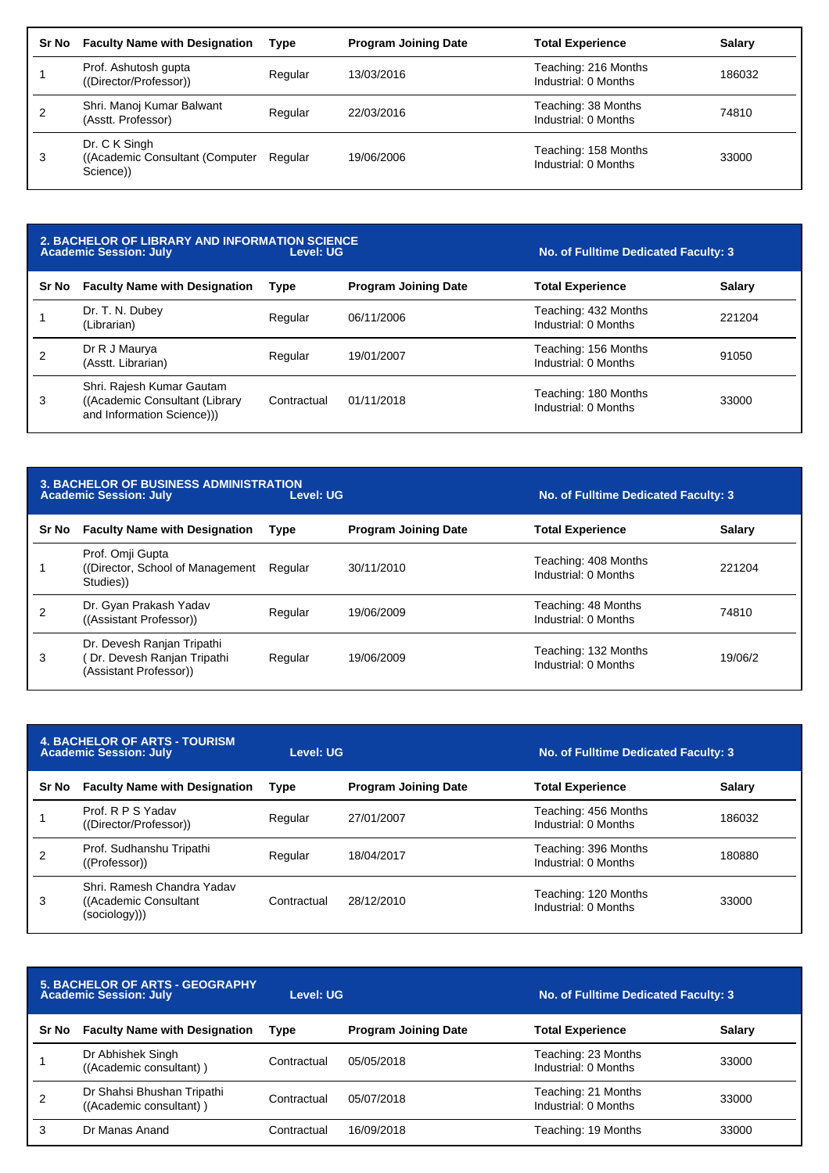| Sr No | <b>Faculty Name with Designation</b>                           | Type    | <b>Program Joining Date</b> | <b>Total Experience</b>                      | <b>Salary</b> |
|-------|----------------------------------------------------------------|---------|-----------------------------|----------------------------------------------|---------------|
|       | Prof. Ashutosh gupta<br>((Director/Professor))                 | Regular | 13/03/2016                  | Teaching: 216 Months<br>Industrial: 0 Months | 186032        |
|       | Shri. Manoj Kumar Balwant<br>(Asstt. Professor)                | Regular | 22/03/2016                  | Teaching: 38 Months<br>Industrial: 0 Months  | 74810         |
| 3     | Dr. C K Singh<br>((Academic Consultant (Computer)<br>Science)) | Regular | 19/06/2006                  | Teaching: 158 Months<br>Industrial: 0 Months | 33000         |

| 2. BACHELOR OF LIBRARY AND INFORMATION SCIENCE<br><b>Academic Session: July</b><br>Level: UG |                                                                                            |             |                             | No. of Fulltime Dedicated Faculty: 3         |               |
|----------------------------------------------------------------------------------------------|--------------------------------------------------------------------------------------------|-------------|-----------------------------|----------------------------------------------|---------------|
| <b>Sr No</b>                                                                                 | <b>Faculty Name with Designation</b>                                                       | <b>Type</b> | <b>Program Joining Date</b> | <b>Total Experience</b>                      | <b>Salary</b> |
|                                                                                              | Dr. T. N. Dubey<br>(Librarian)                                                             | Regular     | 06/11/2006                  | Teaching: 432 Months<br>Industrial: 0 Months | 221204        |
|                                                                                              | Dr R J Maurya<br>(Asstt. Librarian)                                                        | Regular     | 19/01/2007                  | Teaching: 156 Months<br>Industrial: 0 Months | 91050         |
| 3                                                                                            | Shri. Rajesh Kumar Gautam<br>((Academic Consultant (Library)<br>and Information Science))) | Contractual | 01/11/2018                  | Teaching: 180 Months<br>Industrial: 0 Months | 33000         |

|       | <b>3. BACHELOR OF BUSINESS ADMINISTRATION</b><br><b>Academic Session: July</b>     | Level: UG   |                             | No. of Fulltime Dedicated Faculty: 3         |               |
|-------|------------------------------------------------------------------------------------|-------------|-----------------------------|----------------------------------------------|---------------|
| Sr No | <b>Faculty Name with Designation</b>                                               | <b>Type</b> | <b>Program Joining Date</b> | <b>Total Experience</b>                      | <b>Salary</b> |
|       | Prof. Omji Gupta<br>(Director, School of Management)<br>Studies))                  | Regular     | 30/11/2010                  | Teaching: 408 Months<br>Industrial: 0 Months | 221204        |
|       | Dr. Gyan Prakash Yadav<br>((Assistant Professor))                                  | Regular     | 19/06/2009                  | Teaching: 48 Months<br>Industrial: 0 Months  | 74810         |
| 3     | Dr. Devesh Ranjan Tripathi<br>Dr. Devesh Ranjan Tripathi<br>(Assistant Professor)) | Regular     | 19/06/2009                  | Teaching: 132 Months<br>Industrial: 0 Months | 19/06/2       |

| <b>4. BACHELOR OF ARTS - TOURISM</b><br><b>Academic Session: July</b> |                                                                       | Level: UG   |                             | No. of Fulltime Dedicated Faculty: 3         |               |
|-----------------------------------------------------------------------|-----------------------------------------------------------------------|-------------|-----------------------------|----------------------------------------------|---------------|
| Sr No                                                                 | <b>Faculty Name with Designation</b>                                  | <b>Type</b> | <b>Program Joining Date</b> | <b>Total Experience</b>                      | <b>Salary</b> |
|                                                                       | Prof. R P S Yadav<br>((Director/Professor))                           | Regular     | 27/01/2007                  | Teaching: 456 Months<br>Industrial: 0 Months | 186032        |
|                                                                       | Prof. Sudhanshu Tripathi<br>((Professor))                             | Regular     | 18/04/2017                  | Teaching: 396 Months<br>Industrial: 0 Months | 180880        |
| 3                                                                     | Shri, Ramesh Chandra Yadav<br>((Academic Consultant)<br>(sociology))) | Contractual | 28/12/2010                  | Teaching: 120 Months<br>Industrial: 0 Months | 33000         |

| <b>5. BACHELOR OF ARTS - GEOGRAPHY</b><br><b>Academic Session: July</b> |                                                       | Level: UG   |                             | No. of Fulltime Dedicated Faculty: 3        |               |
|-------------------------------------------------------------------------|-------------------------------------------------------|-------------|-----------------------------|---------------------------------------------|---------------|
| Sr No                                                                   | <b>Faculty Name with Designation</b>                  | <b>Type</b> | <b>Program Joining Date</b> | <b>Total Experience</b>                     | <b>Salary</b> |
|                                                                         | Dr Abhishek Singh<br>((Academic consultant))          | Contractual | 05/05/2018                  | Teaching: 23 Months<br>Industrial: 0 Months | 33000         |
| 2                                                                       | Dr Shahsi Bhushan Tripathi<br>((Academic consultant)) | Contractual | 05/07/2018                  | Teaching: 21 Months<br>Industrial: 0 Months | 33000         |
| 3                                                                       | Dr Manas Anand                                        | Contractual | 16/09/2018                  | Teaching: 19 Months                         | 33000         |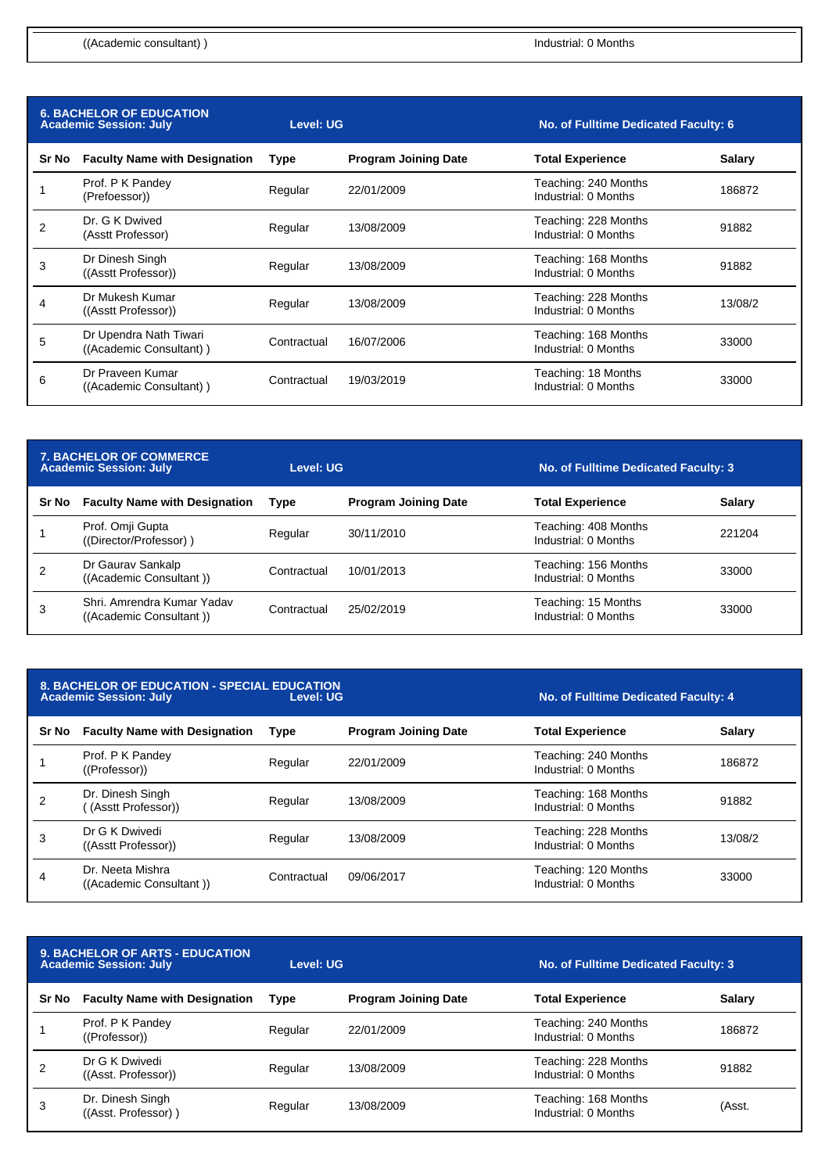**No. of Fulltime Dedicated Faculty: 4** 

| <b>6. BACHELOR OF EDUCATION</b><br><b>Academic Session: July</b> |                                                   | <b>Level: UG</b> |                             | No. of Fulltime Dedicated Faculty: 6         |               |
|------------------------------------------------------------------|---------------------------------------------------|------------------|-----------------------------|----------------------------------------------|---------------|
| Sr No                                                            | <b>Faculty Name with Designation</b>              | Type             | <b>Program Joining Date</b> | <b>Total Experience</b>                      | <b>Salary</b> |
|                                                                  | Prof. P K Pandey<br>(Prefoessor))                 | Regular          | 22/01/2009                  | Teaching: 240 Months<br>Industrial: 0 Months | 186872        |
| 2                                                                | Dr. G K Dwived<br>(Asstt Professor)               | Regular          | 13/08/2009                  | Teaching: 228 Months<br>Industrial: 0 Months | 91882         |
| 3                                                                | Dr Dinesh Singh<br>((Asstt Professor))            | Regular          | 13/08/2009                  | Teaching: 168 Months<br>Industrial: 0 Months | 91882         |
| 4                                                                | Dr Mukesh Kumar<br>((Asstt Professor))            | Regular          | 13/08/2009                  | Teaching: 228 Months<br>Industrial: 0 Months | 13/08/2       |
| 5                                                                | Dr Upendra Nath Tiwari<br>((Academic Consultant)) | Contractual      | 16/07/2006                  | Teaching: 168 Months<br>Industrial: 0 Months | 33000         |
| 6                                                                | Dr Praveen Kumar<br>((Academic Consultant))       | Contractual      | 19/03/2019                  | Teaching: 18 Months<br>Industrial: 0 Months  | 33000         |

| <b>7. BACHELOR OF COMMERCE</b><br><b>Academic Session: July</b> |                                                       | Level: UG   |                             | No. of Fulltime Dedicated Faculty: 3         |               |
|-----------------------------------------------------------------|-------------------------------------------------------|-------------|-----------------------------|----------------------------------------------|---------------|
| Sr No                                                           | <b>Faculty Name with Designation</b>                  | <b>Type</b> | <b>Program Joining Date</b> | <b>Total Experience</b>                      | <b>Salary</b> |
|                                                                 | Prof. Omji Gupta<br>((Director/Professor))            | Regular     | 30/11/2010                  | Teaching: 408 Months<br>Industrial: 0 Months | 221204        |
|                                                                 | Dr Gaurav Sankalp<br>((Academic Consultant))          | Contractual | 10/01/2013                  | Teaching: 156 Months<br>Industrial: 0 Months | 33000         |
| 3                                                               | Shri, Amrendra Kumar Yadav<br>((Academic Consultant)) | Contractual | 25/02/2019                  | Teaching: 15 Months<br>Industrial: 0 Months  | 33000         |

| <b>8. BACHELOR OF EDUCATION - SPECIAL EDUCATION</b> |           |
|-----------------------------------------------------|-----------|
| <b>Academic Session: July</b>                       | Level: UG |

| Sr No | <b>Faculty Name with Designation</b>        | Type        | <b>Program Joining Date</b> | <b>Total Experience</b>                      | <b>Salary</b> |
|-------|---------------------------------------------|-------------|-----------------------------|----------------------------------------------|---------------|
|       | Prof. P K Pandey<br>((Professor))           | Regular     | 22/01/2009                  | Teaching: 240 Months<br>Industrial: 0 Months | 186872        |
|       | Dr. Dinesh Singh<br>(Asstt Professor))      | Regular     | 13/08/2009                  | Teaching: 168 Months<br>Industrial: 0 Months | 91882         |
| 3     | Dr G K Dwivedi<br>((Asstt Professor))       | Regular     | 13/08/2009                  | Teaching: 228 Months<br>Industrial: 0 Months | 13/08/2       |
| 4     | Dr. Neeta Mishra<br>((Academic Consultant)) | Contractual | 09/06/2017                  | Teaching: 120 Months<br>Industrial: 0 Months | 33000         |

| <b>9. BACHELOR OF ARTS - EDUCATION</b><br><b>Academic Session: July</b> |                                         | Level: UG   |                             | No. of Fulltime Dedicated Faculty: 3         |               |
|-------------------------------------------------------------------------|-----------------------------------------|-------------|-----------------------------|----------------------------------------------|---------------|
| Sr No                                                                   | <b>Faculty Name with Designation</b>    | <b>Type</b> | <b>Program Joining Date</b> | <b>Total Experience</b>                      | <b>Salary</b> |
|                                                                         | Prof. P K Pandey<br>((Professor))       | Regular     | 22/01/2009                  | Teaching: 240 Months<br>Industrial: 0 Months | 186872        |
| 2                                                                       | Dr G K Dwivedi<br>((Asst. Professor))   | Regular     | 13/08/2009                  | Teaching: 228 Months<br>Industrial: 0 Months | 91882         |
| 3                                                                       | Dr. Dinesh Singh<br>((Asst. Professor)) | Regular     | 13/08/2009                  | Teaching: 168 Months<br>Industrial: 0 Months | (Asst.        |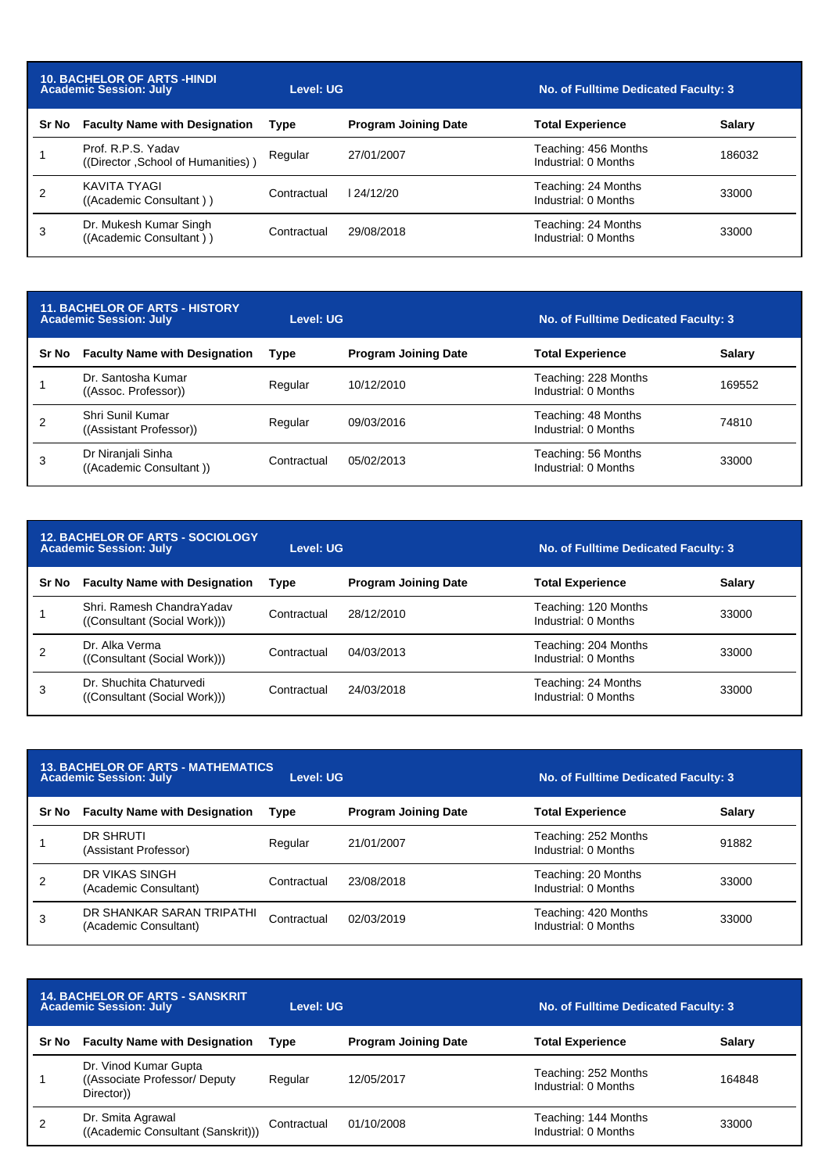| <b>10. BACHELOR OF ARTS -HINDI</b><br><b>Academic Session: July</b> |                                                          | Level: UG   |                             | No. of Fulltime Dedicated Faculty: 3         |        |
|---------------------------------------------------------------------|----------------------------------------------------------|-------------|-----------------------------|----------------------------------------------|--------|
| Sr No                                                               | <b>Faculty Name with Designation</b>                     | Type        | <b>Program Joining Date</b> | <b>Total Experience</b>                      | Salary |
|                                                                     | Prof. R.P.S. Yadav<br>((Director, School of Humanities)) | Regular     | 27/01/2007                  | Teaching: 456 Months<br>Industrial: 0 Months | 186032 |
|                                                                     | KAVITA TYAGI<br>((Academic Consultant))                  | Contractual | 124/12/20                   | Teaching: 24 Months<br>Industrial: 0 Months  | 33000  |
| 3                                                                   | Dr. Mukesh Kumar Singh<br>((Academic Consultant))        | Contractual | 29/08/2018                  | Teaching: 24 Months<br>Industrial: 0 Months  | 33000  |

| <b>11. BACHELOR OF ARTS - HISTORY</b><br><b>Academic Session: July</b> |                                               | Level: UG   |                             | No. of Fulltime Dedicated Faculty: 3         |               |
|------------------------------------------------------------------------|-----------------------------------------------|-------------|-----------------------------|----------------------------------------------|---------------|
| Sr No                                                                  | <b>Faculty Name with Designation</b>          | <b>Type</b> | <b>Program Joining Date</b> | <b>Total Experience</b>                      | <b>Salary</b> |
|                                                                        | Dr. Santosha Kumar<br>((Assoc. Professor))    | Regular     | 10/12/2010                  | Teaching: 228 Months<br>Industrial: 0 Months | 169552        |
| 2                                                                      | Shri Sunil Kumar<br>((Assistant Professor))   | Regular     | 09/03/2016                  | Teaching: 48 Months<br>Industrial: 0 Months  | 74810         |
| 3                                                                      | Dr Niranjali Sinha<br>((Academic Consultant)) | Contractual | 05/02/2013                  | Teaching: 56 Months<br>Industrial: 0 Months  | 33000         |

| <b>12. BACHELOR OF ARTS - SOCIOLOGY</b><br><b>Academic Session: July</b> |                                                            | Level: UG   |                             | No. of Fulltime Dedicated Faculty: 3         |        |
|--------------------------------------------------------------------------|------------------------------------------------------------|-------------|-----------------------------|----------------------------------------------|--------|
| Sr No                                                                    | <b>Faculty Name with Designation</b>                       | <b>Type</b> | <b>Program Joining Date</b> | <b>Total Experience</b>                      | Salary |
|                                                                          | Shri, Ramesh Chandra Yadav<br>((Consultant (Social Work))) | Contractual | 28/12/2010                  | Teaching: 120 Months<br>Industrial: 0 Months | 33000  |
|                                                                          | Dr. Alka Verma<br>((Consultant (Social Work)))             | Contractual | 04/03/2013                  | Teaching: 204 Months<br>Industrial: 0 Months | 33000  |
| 3                                                                        | Dr. Shuchita Chaturvedi<br>((Consultant (Social Work)))    | Contractual | 24/03/2018                  | Teaching: 24 Months<br>Industrial: 0 Months  | 33000  |

| <b>13. BACHELOR OF ARTS - MATHEMATICS</b><br><b>Academic Session: July</b><br>Level: UG |                                                    |             |                             | No. of Fulltime Dedicated Faculty: 3         |               |
|-----------------------------------------------------------------------------------------|----------------------------------------------------|-------------|-----------------------------|----------------------------------------------|---------------|
| Sr No                                                                                   | <b>Faculty Name with Designation</b>               | <b>Type</b> | <b>Program Joining Date</b> | <b>Total Experience</b>                      | <b>Salary</b> |
|                                                                                         | DR SHRUTI<br>(Assistant Professor)                 | Regular     | 21/01/2007                  | Teaching: 252 Months<br>Industrial: 0 Months | 91882         |
| 2                                                                                       | DR VIKAS SINGH<br>(Academic Consultant)            | Contractual | 23/08/2018                  | Teaching: 20 Months<br>Industrial: 0 Months  | 33000         |
| 3                                                                                       | DR SHANKAR SARAN TRIPATHI<br>(Academic Consultant) | Contractual | 02/03/2019                  | Teaching: 420 Months<br>Industrial: 0 Months | 33000         |

| <b>14. BACHELOR OF ARTS - SANSKRIT</b><br><b>Academic Session: July</b> |                                                                       | Level: UG   |                             | No. of Fulltime Dedicated Faculty: 3         |               |
|-------------------------------------------------------------------------|-----------------------------------------------------------------------|-------------|-----------------------------|----------------------------------------------|---------------|
| Sr No                                                                   | <b>Faculty Name with Designation</b>                                  | <b>Type</b> | <b>Program Joining Date</b> | <b>Total Experience</b>                      | <b>Salary</b> |
|                                                                         | Dr. Vinod Kumar Gupta<br>((Associate Professor/ Deputy)<br>Director)) | Regular     | 12/05/2017                  | Teaching: 252 Months<br>Industrial: 0 Months | 164848        |
| 2                                                                       | Dr. Smita Agrawal<br>((Academic Consultant (Sanskrit)))               | Contractual | 01/10/2008                  | Teaching: 144 Months<br>Industrial: 0 Months | 33000         |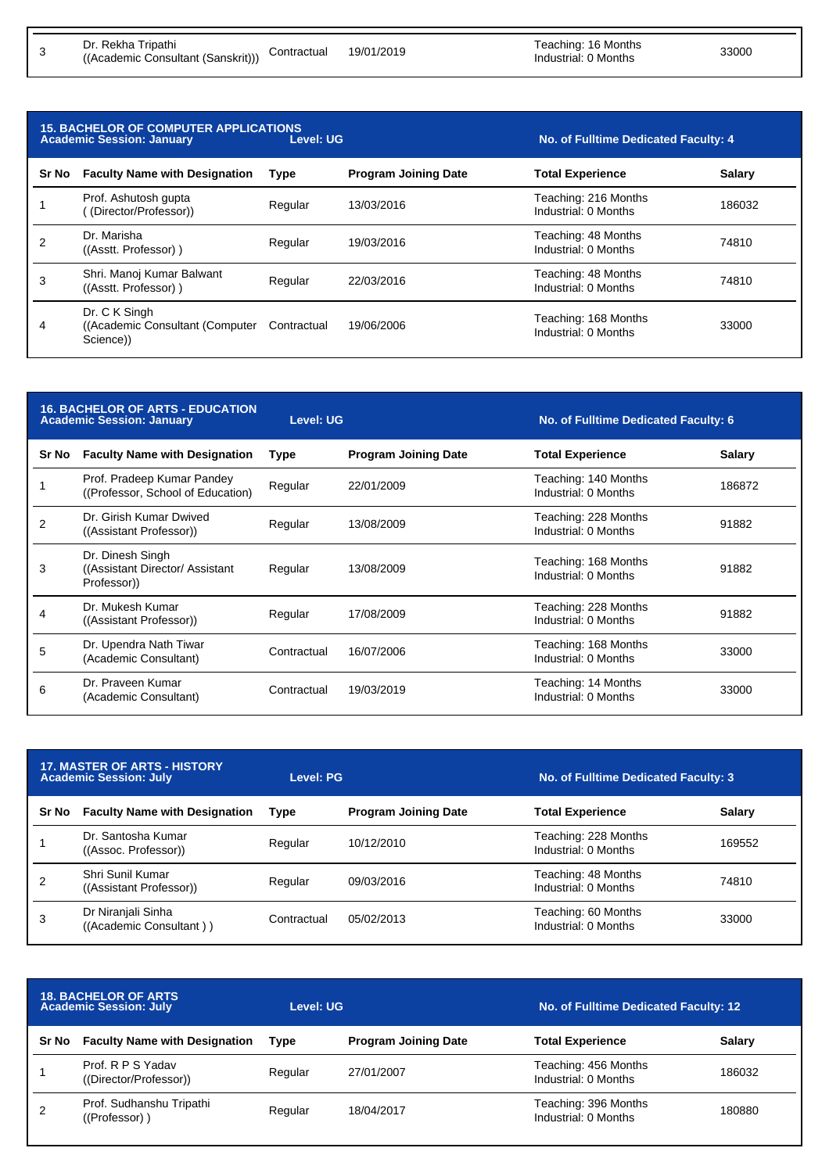3

| <b>15. BACHELOR OF COMPUTER APPLICATIONS</b><br>Level: UG<br><b>Academic Session: January</b> |                                                                |             |                             | No. of Fulltime Dedicated Faculty: 4         |               |
|-----------------------------------------------------------------------------------------------|----------------------------------------------------------------|-------------|-----------------------------|----------------------------------------------|---------------|
| Sr No                                                                                         | <b>Faculty Name with Designation</b>                           | <b>Type</b> | <b>Program Joining Date</b> | <b>Total Experience</b>                      | <b>Salary</b> |
|                                                                                               | Prof. Ashutosh gupta<br>(Director/Professor))                  | Regular     | 13/03/2016                  | Teaching: 216 Months<br>Industrial: 0 Months | 186032        |
| $\overline{2}$                                                                                | Dr. Marisha<br>((Asstt. Professor))                            | Regular     | 19/03/2016                  | Teaching: 48 Months<br>Industrial: 0 Months  | 74810         |
| 3                                                                                             | Shri. Manoj Kumar Balwant<br>((Asstt. Professor))              | Regular     | 22/03/2016                  | Teaching: 48 Months<br>Industrial: 0 Months  | 74810         |
| 4                                                                                             | Dr. C K Singh<br>((Academic Consultant (Computer)<br>Science)) | Contractual | 19/06/2006                  | Teaching: 168 Months<br>Industrial: 0 Months | 33000         |

| <b>16. BACHELOR OF ARTS - EDUCATION</b><br><b>Academic Session: January</b> |                                                                    | Level: UG   |                             | No. of Fulltime Dedicated Faculty: 6         |               |
|-----------------------------------------------------------------------------|--------------------------------------------------------------------|-------------|-----------------------------|----------------------------------------------|---------------|
| Sr No                                                                       | <b>Faculty Name with Designation</b>                               | Type        | <b>Program Joining Date</b> | <b>Total Experience</b>                      | <b>Salary</b> |
|                                                                             | Prof. Pradeep Kumar Pandey<br>((Professor, School of Education)    | Regular     | 22/01/2009                  | Teaching: 140 Months<br>Industrial: 0 Months | 186872        |
| $\overline{2}$                                                              | Dr. Girish Kumar Dwived<br>((Assistant Professor))                 | Regular     | 13/08/2009                  | Teaching: 228 Months<br>Industrial: 0 Months | 91882         |
| 3                                                                           | Dr. Dinesh Singh<br>((Assistant Director/ Assistant<br>Professor)) | Regular     | 13/08/2009                  | Teaching: 168 Months<br>Industrial: 0 Months | 91882         |
|                                                                             | Dr. Mukesh Kumar<br>((Assistant Professor))                        | Regular     | 17/08/2009                  | Teaching: 228 Months<br>Industrial: 0 Months | 91882         |
| 5                                                                           | Dr. Upendra Nath Tiwar<br>(Academic Consultant)                    | Contractual | 16/07/2006                  | Teaching: 168 Months<br>Industrial: 0 Months | 33000         |
| 6                                                                           | Dr. Praveen Kumar<br>(Academic Consultant)                         | Contractual | 19/03/2019                  | Teaching: 14 Months<br>Industrial: 0 Months  | 33000         |

| <b>17. MASTER OF ARTS - HISTORY</b><br><b>Academic Session: July</b> |                                               | Level: PG   |                             | No. of Fulltime Dedicated Faculty: 3         |               |
|----------------------------------------------------------------------|-----------------------------------------------|-------------|-----------------------------|----------------------------------------------|---------------|
| Sr No                                                                | <b>Faculty Name with Designation</b>          | Type        | <b>Program Joining Date</b> | <b>Total Experience</b>                      | <b>Salary</b> |
|                                                                      | Dr. Santosha Kumar<br>((Assoc. Professor))    | Regular     | 10/12/2010                  | Teaching: 228 Months<br>Industrial: 0 Months | 169552        |
|                                                                      | Shri Sunil Kumar<br>((Assistant Professor))   | Regular     | 09/03/2016                  | Teaching: 48 Months<br>Industrial: 0 Months  | 74810         |
| 3                                                                    | Dr Niranjali Sinha<br>((Academic Consultant)) | Contractual | 05/02/2013                  | Teaching: 60 Months<br>Industrial: 0 Months  | 33000         |

| <b>18. BACHELOR OF ARTS</b><br><b>Academic Session: July</b> |                                             | Level: UG |                             | No. of Fulltime Dedicated Faculty: 12        |               |
|--------------------------------------------------------------|---------------------------------------------|-----------|-----------------------------|----------------------------------------------|---------------|
| Sr No                                                        | <b>Faculty Name with Designation</b>        | Tvpe      | <b>Program Joining Date</b> | <b>Total Experience</b>                      | <b>Salary</b> |
|                                                              | Prof. R P S Yadav<br>((Director/Professor)) | Regular   | 27/01/2007                  | Teaching: 456 Months<br>Industrial: 0 Months | 186032        |
| 2                                                            | Prof. Sudhanshu Tripathi<br>((Professor) )  | Regular   | 18/04/2017                  | Teaching: 396 Months<br>Industrial: 0 Months | 180880        |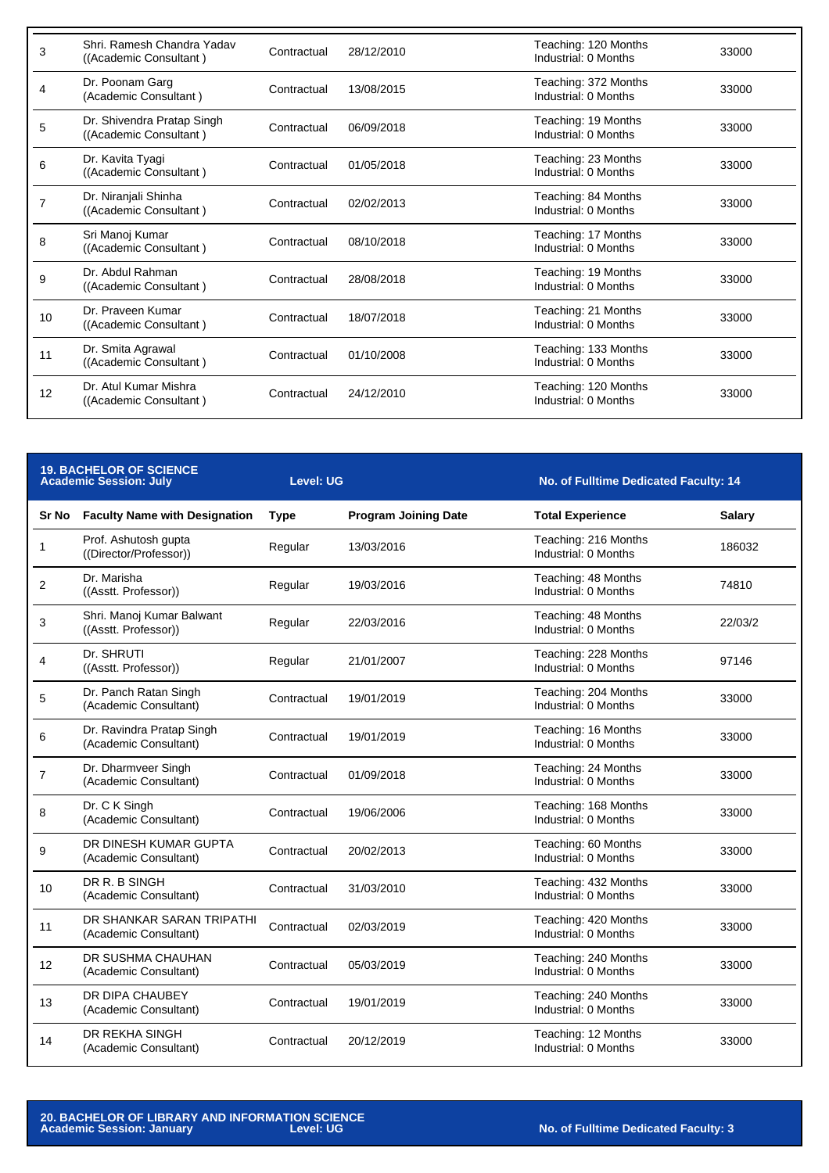| 3  | Shri, Ramesh Chandra Yadav<br>((Academic Consultant) | Contractual | 28/12/2010 | Teaching: 120 Months<br>Industrial: 0 Months | 33000 |
|----|------------------------------------------------------|-------------|------------|----------------------------------------------|-------|
| 4  | Dr. Poonam Garg<br>(Academic Consultant)             | Contractual | 13/08/2015 | Teaching: 372 Months<br>Industrial: 0 Months | 33000 |
| 5  | Dr. Shivendra Pratap Singh<br>((Academic Consultant) | Contractual | 06/09/2018 | Teaching: 19 Months<br>Industrial: 0 Months  | 33000 |
| 6  | Dr. Kavita Tyagi<br>((Academic Consultant)           | Contractual | 01/05/2018 | Teaching: 23 Months<br>Industrial: 0 Months  | 33000 |
|    | Dr. Niranjali Shinha<br>((Academic Consultant)       | Contractual | 02/02/2013 | Teaching: 84 Months<br>Industrial: 0 Months  | 33000 |
| 8  | Sri Manoj Kumar<br>((Academic Consultant)            | Contractual | 08/10/2018 | Teaching: 17 Months<br>Industrial: 0 Months  | 33000 |
| 9  | Dr. Abdul Rahman<br>((Academic Consultant)           | Contractual | 28/08/2018 | Teaching: 19 Months<br>Industrial: 0 Months  | 33000 |
| 10 | Dr. Praveen Kumar<br>((Academic Consultant)          | Contractual | 18/07/2018 | Teaching: 21 Months<br>Industrial: 0 Months  | 33000 |
| 11 | Dr. Smita Agrawal<br>((Academic Consultant)          | Contractual | 01/10/2008 | Teaching: 133 Months<br>Industrial: 0 Months | 33000 |
| 12 | Dr. Atul Kumar Mishra<br>((Academic Consultant)      | Contractual | 24/12/2010 | Teaching: 120 Months<br>Industrial: 0 Months | 33000 |

|                | <b>19. BACHELOR OF SCIENCE</b><br><b>Academic Session: July</b> | <b>Level: UG</b> |                             | No. of Fulltime Dedicated Faculty: 14        |               |
|----------------|-----------------------------------------------------------------|------------------|-----------------------------|----------------------------------------------|---------------|
| Sr No          | <b>Faculty Name with Designation</b>                            | <b>Type</b>      | <b>Program Joining Date</b> | <b>Total Experience</b>                      | <b>Salary</b> |
| 1              | Prof. Ashutosh gupta<br>((Director/Professor))                  | Regular          | 13/03/2016                  | Teaching: 216 Months<br>Industrial: 0 Months | 186032        |
| $\overline{2}$ | Dr. Marisha<br>((Asstt. Professor))                             | Regular          | 19/03/2016                  | Teaching: 48 Months<br>Industrial: 0 Months  | 74810         |
| 3              | Shri. Manoj Kumar Balwant<br>((Asstt. Professor))               | Regular          | 22/03/2016                  | Teaching: 48 Months<br>Industrial: 0 Months  | 22/03/2       |
| 4              | Dr. SHRUTI<br>((Asstt. Professor))                              | Regular          | 21/01/2007                  | Teaching: 228 Months<br>Industrial: 0 Months | 97146         |
| 5              | Dr. Panch Ratan Singh<br>(Academic Consultant)                  | Contractual      | 19/01/2019                  | Teaching: 204 Months<br>Industrial: 0 Months | 33000         |
| 6              | Dr. Ravindra Pratap Singh<br>(Academic Consultant)              | Contractual      | 19/01/2019                  | Teaching: 16 Months<br>Industrial: 0 Months  | 33000         |
| $\overline{7}$ | Dr. Dharmveer Singh<br>(Academic Consultant)                    | Contractual      | 01/09/2018                  | Teaching: 24 Months<br>Industrial: 0 Months  | 33000         |
| 8              | Dr. C K Singh<br>(Academic Consultant)                          | Contractual      | 19/06/2006                  | Teaching: 168 Months<br>Industrial: 0 Months | 33000         |
| 9              | DR DINESH KUMAR GUPTA<br>(Academic Consultant)                  | Contractual      | 20/02/2013                  | Teaching: 60 Months<br>Industrial: 0 Months  | 33000         |
| 10             | DR R. B SINGH<br>(Academic Consultant)                          | Contractual      | 31/03/2010                  | Teaching: 432 Months<br>Industrial: 0 Months | 33000         |
| 11             | DR SHANKAR SARAN TRIPATHI<br>(Academic Consultant)              | Contractual      | 02/03/2019                  | Teaching: 420 Months<br>Industrial: 0 Months | 33000         |
| 12             | DR SUSHMA CHAUHAN<br>(Academic Consultant)                      | Contractual      | 05/03/2019                  | Teaching: 240 Months<br>Industrial: 0 Months | 33000         |
| 13             | DR DIPA CHAUBEY<br>(Academic Consultant)                        | Contractual      | 19/01/2019                  | Teaching: 240 Months<br>Industrial: 0 Months | 33000         |
| 14             | DR REKHA SINGH<br>(Academic Consultant)                         | Contractual      | 20/12/2019                  | Teaching: 12 Months<br>Industrial: 0 Months  | 33000         |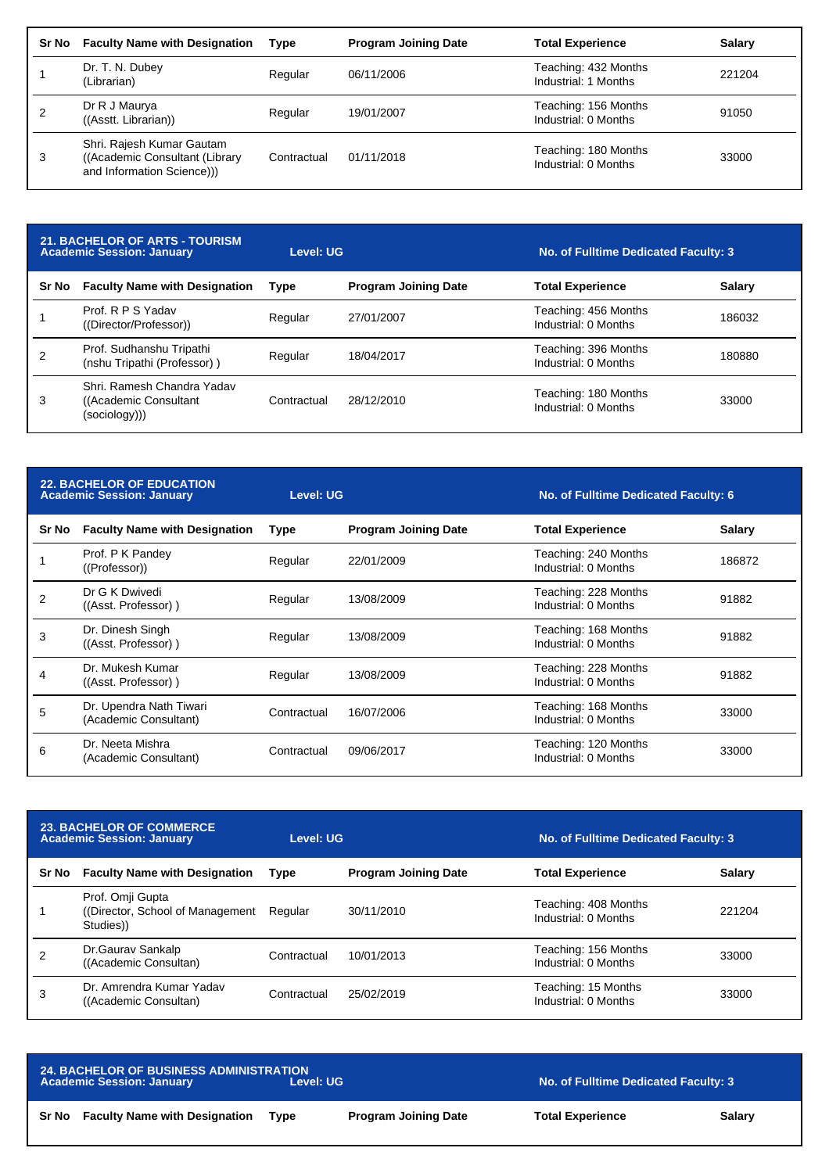| Sr No | <b>Faculty Name with Designation</b>                                                      | <b>Type</b> | <b>Program Joining Date</b> | <b>Total Experience</b>                      | <b>Salary</b> |
|-------|-------------------------------------------------------------------------------------------|-------------|-----------------------------|----------------------------------------------|---------------|
|       | Dr. T. N. Dubey<br>(Librarian)                                                            | Regular     | 06/11/2006                  | Teaching: 432 Months<br>Industrial: 1 Months | 221204        |
|       | Dr R J Maurya<br>((Asstt. Librarian))                                                     | Regular     | 19/01/2007                  | Teaching: 156 Months<br>Industrial: 0 Months | 91050         |
| 3     | Shri. Rajesh Kumar Gautam<br>((Academic Consultant (Library)<br>and Information Science)) | Contractual | 01/11/2018                  | Teaching: 180 Months<br>Industrial: 0 Months | 33000         |

| <b>21. BACHELOR OF ARTS - TOURISM</b><br><b>Academic Session: January</b> |                                                                       | Level: UG   |                             | No. of Fulltime Dedicated Faculty: 3         |               |
|---------------------------------------------------------------------------|-----------------------------------------------------------------------|-------------|-----------------------------|----------------------------------------------|---------------|
| Sr No                                                                     | <b>Faculty Name with Designation</b>                                  | <b>Type</b> | <b>Program Joining Date</b> | <b>Total Experience</b>                      | <b>Salary</b> |
|                                                                           | Prof. R P S Yadav<br>((Director/Professor))                           | Regular     | 27/01/2007                  | Teaching: 456 Months<br>Industrial: 0 Months | 186032        |
|                                                                           | Prof. Sudhanshu Tripathi<br>(nshu Tripathi (Professor))               | Regular     | 18/04/2017                  | Teaching: 396 Months<br>Industrial: 0 Months | 180880        |
| 3                                                                         | Shri, Ramesh Chandra Yadav<br>((Academic Consultant)<br>(sociology))) | Contractual | 28/12/2010                  | Teaching: 180 Months<br>Industrial: 0 Months | 33000         |

| <b>22. BACHELOR OF EDUCATION</b><br><b>Academic Session: January</b> |                                                  | Level: UG   |                             | <b>No. of Fulltime Dedicated Faculty: 6</b>  |               |
|----------------------------------------------------------------------|--------------------------------------------------|-------------|-----------------------------|----------------------------------------------|---------------|
| Sr No                                                                | <b>Faculty Name with Designation</b>             | Type        | <b>Program Joining Date</b> | <b>Total Experience</b>                      | <b>Salary</b> |
|                                                                      | Prof. P K Pandey<br>((Professor))                | Regular     | 22/01/2009                  | Teaching: 240 Months<br>Industrial: 0 Months | 186872        |
| $\overline{2}$                                                       | Dr G K Dwivedi<br>((Asst. Professor))            | Regular     | 13/08/2009                  | Teaching: 228 Months<br>Industrial: 0 Months | 91882         |
| 3                                                                    | Dr. Dinesh Singh<br>((Asst. Professor))          | Regular     | 13/08/2009                  | Teaching: 168 Months<br>Industrial: 0 Months | 91882         |
| 4                                                                    | Dr. Mukesh Kumar<br>((Asst. Professor))          | Regular     | 13/08/2009                  | Teaching: 228 Months<br>Industrial: 0 Months | 91882         |
| 5                                                                    | Dr. Upendra Nath Tiwari<br>(Academic Consultant) | Contractual | 16/07/2006                  | Teaching: 168 Months<br>Industrial: 0 Months | 33000         |
| 6                                                                    | Dr. Neeta Mishra<br>(Academic Consultant)        | Contractual | 09/06/2017                  | Teaching: 120 Months<br>Industrial: 0 Months | 33000         |

| <b>23. BACHELOR OF COMMERCE</b><br><b>Academic Session: January</b> |                                                                   | Level: UG   |                             | No. of Fulltime Dedicated Faculty: 3         |               |
|---------------------------------------------------------------------|-------------------------------------------------------------------|-------------|-----------------------------|----------------------------------------------|---------------|
| Sr No                                                               | <b>Faculty Name with Designation</b>                              | Type        | <b>Program Joining Date</b> | <b>Total Experience</b>                      | <b>Salary</b> |
|                                                                     | Prof. Omji Gupta<br>((Director, School of Management)<br>Studies) | Regular     | 30/11/2010                  | Teaching: 408 Months<br>Industrial: 0 Months | 221204        |
|                                                                     | Dr.Gaurav Sankalp<br>((Academic Consultan)                        | Contractual | 10/01/2013                  | Teaching: 156 Months<br>Industrial: 0 Months | 33000         |
| 3                                                                   | Dr. Amrendra Kumar Yadav<br>((Academic Consultan)                 | Contractual | 25/02/2019                  | Teaching: 15 Months<br>Industrial: 0 Months  | 33000         |

| <b>24. BACHELOR OF BUSINESS ADMINISTRATION</b><br><b>Academic Session: January</b><br>Level: UG |      |                             | No. of Fulltime Dedicated Faculty: 3 |        |
|-------------------------------------------------------------------------------------------------|------|-----------------------------|--------------------------------------|--------|
| <b>Faculty Name with Designation</b><br>Sr No                                                   | Tvpe | <b>Program Joining Date</b> | <b>Total Experience</b>              | Salary |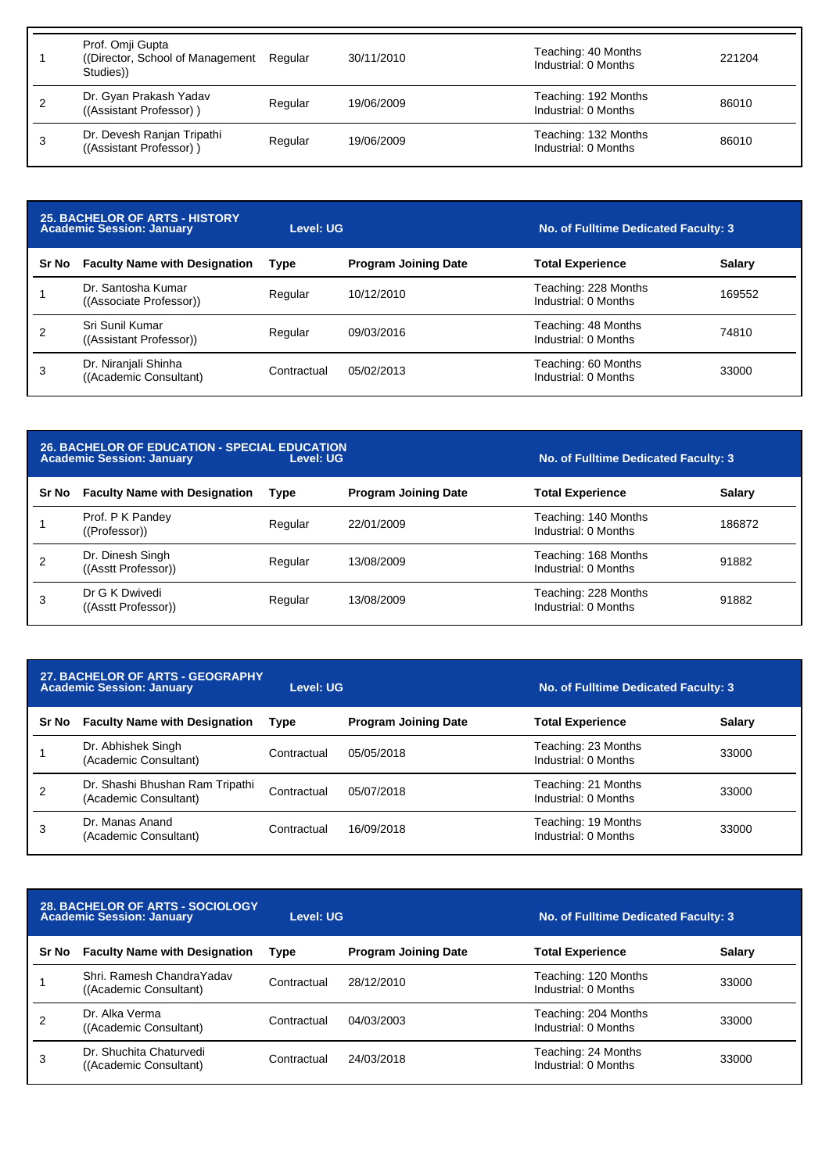|   | Prof. Omji Gupta<br>(Director, School of Management)<br>Studies)) | Regular | 30/11/2010 | Teaching: 40 Months<br>Industrial: 0 Months  | 221204 |
|---|-------------------------------------------------------------------|---------|------------|----------------------------------------------|--------|
|   | Dr. Gyan Prakash Yadav<br>((Assistant Professor))                 | Regular | 19/06/2009 | Teaching: 192 Months<br>Industrial: 0 Months | 86010  |
| 3 | Dr. Devesh Ranjan Tripathi<br>((Assistant Professor))             | Regular | 19/06/2009 | Teaching: 132 Months<br>Industrial: 0 Months | 86010  |

| <b>25. BACHELOR OF ARTS - HISTORY</b><br><b>Academic Session: January</b> |                                                | Level: UG   |                             | No. of Fulltime Dedicated Faculty: 3         |               |
|---------------------------------------------------------------------------|------------------------------------------------|-------------|-----------------------------|----------------------------------------------|---------------|
| <b>Sr No</b>                                                              | <b>Faculty Name with Designation</b>           | Type        | <b>Program Joining Date</b> | <b>Total Experience</b>                      | <b>Salary</b> |
|                                                                           | Dr. Santosha Kumar<br>((Associate Professor))  | Regular     | 10/12/2010                  | Teaching: 228 Months<br>Industrial: 0 Months | 169552        |
|                                                                           | Sri Sunil Kumar<br>((Assistant Professor))     | Regular     | 09/03/2016                  | Teaching: 48 Months<br>Industrial: 0 Months  | 74810         |
| 3                                                                         | Dr. Niranjali Shinha<br>((Academic Consultant) | Contractual | 05/02/2013                  | Teaching: 60 Months<br>Industrial: 0 Months  | 33000         |

|       | <b>26. BACHELOR OF EDUCATION - SPECIAL EDUCATION</b><br><b>Academic Session: January</b> | Level: UG   | No. of Fulltime Dedicated Faculty: 3 |                                              |               |
|-------|------------------------------------------------------------------------------------------|-------------|--------------------------------------|----------------------------------------------|---------------|
| Sr No | <b>Faculty Name with Designation</b>                                                     | <b>Type</b> | <b>Program Joining Date</b>          | <b>Total Experience</b>                      | <b>Salary</b> |
|       | Prof. P K Pandey<br>((Professor))                                                        | Regular     | 22/01/2009                           | Teaching: 140 Months<br>Industrial: 0 Months | 186872        |
|       | Dr. Dinesh Singh<br>((Asstt Professor))                                                  | Regular     | 13/08/2009                           | Teaching: 168 Months<br>Industrial: 0 Months | 91882         |
| 3     | Dr G K Dwivedi<br>((Asstt Professor))                                                    | Regular     | 13/08/2009                           | Teaching: 228 Months<br>Industrial: 0 Months | 91882         |

| 27. BACHELOR OF ARTS - GEOGRAPHY<br><b>Academic Session: January</b> |                                                          | Level: UG   |                             | No. of Fulltime Dedicated Faculty: 3        |               |
|----------------------------------------------------------------------|----------------------------------------------------------|-------------|-----------------------------|---------------------------------------------|---------------|
| Sr No                                                                | <b>Faculty Name with Designation</b>                     | Type        | <b>Program Joining Date</b> | <b>Total Experience</b>                     | <b>Salary</b> |
|                                                                      | Dr. Abhishek Singh<br>(Academic Consultant)              | Contractual | 05/05/2018                  | Teaching: 23 Months<br>Industrial: 0 Months | 33000         |
| 2                                                                    | Dr. Shashi Bhushan Ram Tripathi<br>(Academic Consultant) | Contractual | 05/07/2018                  | Teaching: 21 Months<br>Industrial: 0 Months | 33000         |
| 3                                                                    | Dr. Manas Anand<br>(Academic Consultant)                 | Contractual | 16/09/2018                  | Teaching: 19 Months<br>Industrial: 0 Months | 33000         |

| <b>28. BACHELOR OF ARTS - SOCIOLOGY</b><br><b>Academic Session: January</b> |                                                      | Level: UG   |                             | No. of Fulltime Dedicated Faculty: 3         |               |
|-----------------------------------------------------------------------------|------------------------------------------------------|-------------|-----------------------------|----------------------------------------------|---------------|
| Sr No                                                                       | <b>Faculty Name with Designation</b>                 | Type        | <b>Program Joining Date</b> | <b>Total Experience</b>                      | <b>Salary</b> |
|                                                                             | Shri, Ramesh Chandra Yadav<br>((Academic Consultant) | Contractual | 28/12/2010                  | Teaching: 120 Months<br>Industrial: 0 Months | 33000         |
|                                                                             | Dr. Alka Verma<br>((Academic Consultant)             | Contractual | 04/03/2003                  | Teaching: 204 Months<br>Industrial: 0 Months | 33000         |
|                                                                             | Dr. Shuchita Chaturvedi<br>((Academic Consultant)    | Contractual | 24/03/2018                  | Teaching: 24 Months<br>Industrial: 0 Months  | 33000         |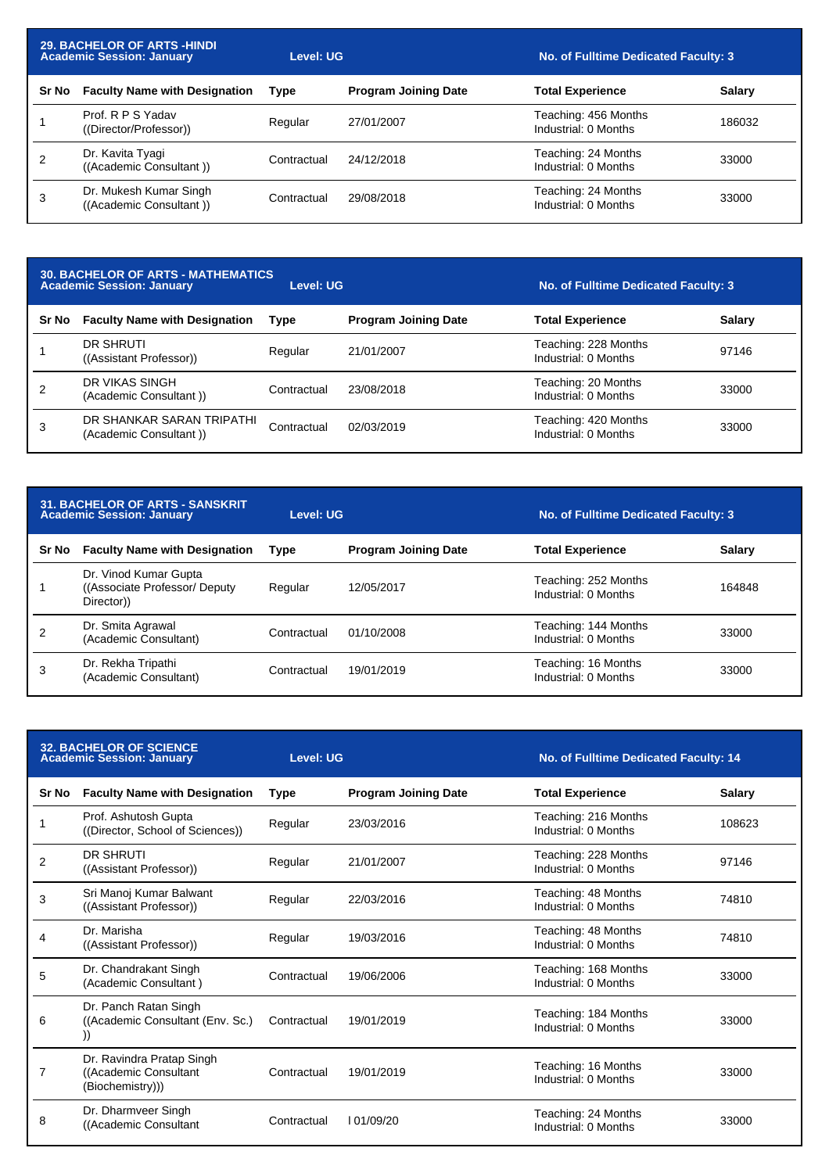| <b>29. BACHELOR OF ARTS -HINDI</b><br><b>Academic Session: January</b> |                                                   | Level: UG   |                             | No. of Fulltime Dedicated Faculty: 3         |               |
|------------------------------------------------------------------------|---------------------------------------------------|-------------|-----------------------------|----------------------------------------------|---------------|
| Sr No                                                                  | <b>Faculty Name with Designation</b>              | Type        | <b>Program Joining Date</b> | <b>Total Experience</b>                      | <b>Salary</b> |
|                                                                        | Prof. R P S Yadav<br>((Director/Professor))       | Regular     | 27/01/2007                  | Teaching: 456 Months<br>Industrial: 0 Months | 186032        |
| 2                                                                      | Dr. Kavita Tyagi<br>((Academic Consultant))       | Contractual | 24/12/2018                  | Teaching: 24 Months<br>Industrial: 0 Months  | 33000         |
| 3                                                                      | Dr. Mukesh Kumar Singh<br>((Academic Consultant)) | Contractual | 29/08/2018                  | Teaching: 24 Months<br>Industrial: 0 Months  | 33000         |

## **30. BACHELOR OF ARTS - MATHEMATICS Academic Session: January Level: UG No. of Fulltime Dedicated Faculty: 3**

| Sr No | <b>Faculty Name with Designation</b>                | Type        | <b>Program Joining Date</b> | <b>Total Experience</b>                      | <b>Salary</b> |
|-------|-----------------------------------------------------|-------------|-----------------------------|----------------------------------------------|---------------|
|       | DR SHRUTI<br>((Assistant Professor))                | Regular     | 21/01/2007                  | Teaching: 228 Months<br>Industrial: 0 Months | 97146         |
|       | DR VIKAS SINGH<br>(Academic Consultant))            | Contractual | 23/08/2018                  | Teaching: 20 Months<br>Industrial: 0 Months  | 33000         |
|       | DR SHANKAR SARAN TRIPATHI<br>(Academic Consultant)) | Contractual | 02/03/2019                  | Teaching: 420 Months<br>Industrial: 0 Months | 33000         |

| <b>31. BACHELOR OF ARTS - SANSKRIT</b><br><b>Academic Session: January</b> |                                                                      | Level: UG   |                             | No. of Fulltime Dedicated Faculty: 3         |               |
|----------------------------------------------------------------------------|----------------------------------------------------------------------|-------------|-----------------------------|----------------------------------------------|---------------|
| Sr No                                                                      | <b>Faculty Name with Designation</b>                                 | <b>Type</b> | <b>Program Joining Date</b> | <b>Total Experience</b>                      | <b>Salary</b> |
|                                                                            | Dr. Vinod Kumar Gupta<br>((Associate Professor/ Deputy)<br>Director) | Regular     | 12/05/2017                  | Teaching: 252 Months<br>Industrial: 0 Months | 164848        |
|                                                                            | Dr. Smita Agrawal<br>(Academic Consultant)                           | Contractual | 01/10/2008                  | Teaching: 144 Months<br>Industrial: 0 Months | 33000         |
| 3                                                                          | Dr. Rekha Tripathi<br>(Academic Consultant)                          | Contractual | 19/01/2019                  | Teaching: 16 Months<br>Industrial: 0 Months  | 33000         |

| <b>32. BACHELOR OF SCIENCE</b><br><b>Academic Session: January</b> |                                                                         | <b>Level: UG</b> |                             | No. of Fulltime Dedicated Faculty: 14        |               |
|--------------------------------------------------------------------|-------------------------------------------------------------------------|------------------|-----------------------------|----------------------------------------------|---------------|
| <b>Sr No</b>                                                       | <b>Faculty Name with Designation</b>                                    | <b>Type</b>      | <b>Program Joining Date</b> | <b>Total Experience</b>                      | <b>Salary</b> |
|                                                                    | Prof. Ashutosh Gupta<br>((Director, School of Sciences))                | Regular          | 23/03/2016                  | Teaching: 216 Months<br>Industrial: 0 Months | 108623        |
| $\overline{2}$                                                     | DR SHRUTI<br>((Assistant Professor))                                    | Regular          | 21/01/2007                  | Teaching: 228 Months<br>Industrial: 0 Months | 97146         |
| 3                                                                  | Sri Manoj Kumar Balwant<br>((Assistant Professor))                      | Regular          | 22/03/2016                  | Teaching: 48 Months<br>Industrial: 0 Months  | 74810         |
| 4                                                                  | Dr. Marisha<br>((Assistant Professor))                                  | Regular          | 19/03/2016                  | Teaching: 48 Months<br>Industrial: 0 Months  | 74810         |
| 5                                                                  | Dr. Chandrakant Singh<br>(Academic Consultant)                          | Contractual      | 19/06/2006                  | Teaching: 168 Months<br>Industrial: 0 Months | 33000         |
| 6                                                                  | Dr. Panch Ratan Singh<br>((Academic Consultant (Env. Sc.)               | Contractual      | 19/01/2019                  | Teaching: 184 Months<br>Industrial: 0 Months | 33000         |
| 7                                                                  | Dr. Ravindra Pratap Singh<br>((Academic Consultant)<br>(Biochemistry))) | Contractual      | 19/01/2019                  | Teaching: 16 Months<br>Industrial: 0 Months  | 33000         |
| 8                                                                  | Dr. Dharmveer Singh<br>((Academic Consultant                            | Contractual      | 101/09/20                   | Teaching: 24 Months<br>Industrial: 0 Months  | 33000         |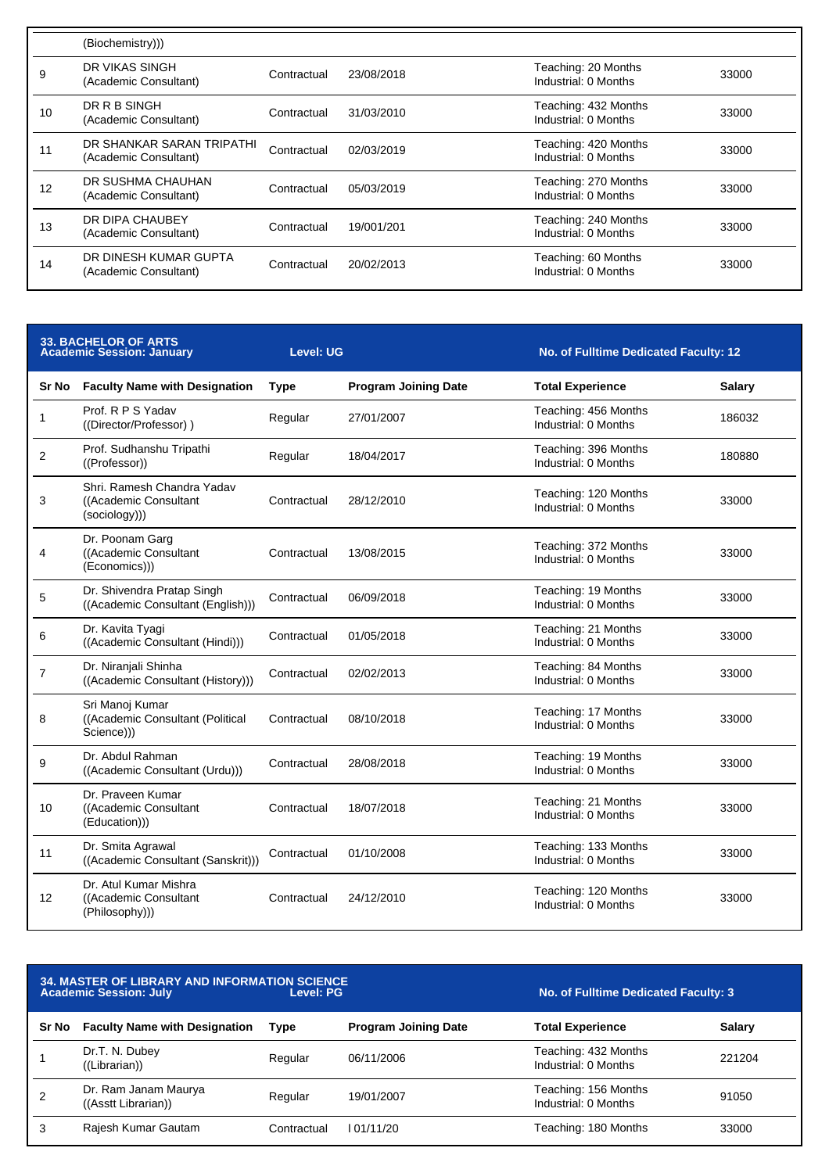|    | (Biochemistry)))                                   |             |            |                                              |       |
|----|----------------------------------------------------|-------------|------------|----------------------------------------------|-------|
| 9  | DR VIKAS SINGH<br>(Academic Consultant)            | Contractual | 23/08/2018 | Teaching: 20 Months<br>Industrial: 0 Months  | 33000 |
| 10 | DR R B SINGH<br>(Academic Consultant)              | Contractual | 31/03/2010 | Teaching: 432 Months<br>Industrial: 0 Months | 33000 |
|    | DR SHANKAR SARAN TRIPATHI<br>(Academic Consultant) | Contractual | 02/03/2019 | Teaching: 420 Months<br>Industrial: 0 Months | 33000 |
| 12 | DR SUSHMA CHAUHAN<br>(Academic Consultant)         | Contractual | 05/03/2019 | Teaching: 270 Months<br>Industrial: 0 Months | 33000 |
| 13 | DR DIPA CHAUBEY<br>(Academic Consultant)           | Contractual | 19/001/201 | Teaching: 240 Months<br>Industrial: 0 Months | 33000 |
| 14 | DR DINESH KUMAR GUPTA<br>(Academic Consultant)     | Contractual | 20/02/2013 | Teaching: 60 Months<br>Industrial: 0 Months  | 33000 |
|    |                                                    |             |            |                                              |       |

|                | <b>33. BACHELOR OF ARTS</b><br><b>Academic Session: January</b>      | <b>Level: UG</b> |                             | No. of Fulltime Dedicated Faculty: 12        |               |
|----------------|----------------------------------------------------------------------|------------------|-----------------------------|----------------------------------------------|---------------|
| Sr No          | <b>Faculty Name with Designation</b>                                 | <b>Type</b>      | <b>Program Joining Date</b> | <b>Total Experience</b>                      | <b>Salary</b> |
| 1              | Prof. R P S Yadav<br>((Director/Professor))                          | Regular          | 27/01/2007                  | Teaching: 456 Months<br>Industrial: 0 Months | 186032        |
| 2              | Prof. Sudhanshu Tripathi<br>((Professor))                            | Regular          | 18/04/2017                  | Teaching: 396 Months<br>Industrial: 0 Months | 180880        |
| 3              | Shri. Ramesh Chandra Yadav<br>((Academic Consultant<br>(sociology))) | Contractual      | 28/12/2010                  | Teaching: 120 Months<br>Industrial: 0 Months | 33000         |
| 4              | Dr. Poonam Garg<br>((Academic Consultant<br>(Economics)))            | Contractual      | 13/08/2015                  | Teaching: 372 Months<br>Industrial: 0 Months | 33000         |
| 5              | Dr. Shivendra Pratap Singh<br>((Academic Consultant (English)))      | Contractual      | 06/09/2018                  | Teaching: 19 Months<br>Industrial: 0 Months  | 33000         |
| 6              | Dr. Kavita Tyagi<br>((Academic Consultant (Hindi)))                  | Contractual      | 01/05/2018                  | Teaching: 21 Months<br>Industrial: 0 Months  | 33000         |
| $\overline{7}$ | Dr. Niranjali Shinha<br>((Academic Consultant (History)))            | Contractual      | 02/02/2013                  | Teaching: 84 Months<br>Industrial: 0 Months  | 33000         |
| 8              | Sri Manoj Kumar<br>((Academic Consultant (Political<br>Science)))    | Contractual      | 08/10/2018                  | Teaching: 17 Months<br>Industrial: 0 Months  | 33000         |
| 9              | Dr. Abdul Rahman<br>((Academic Consultant (Urdu)))                   | Contractual      | 28/08/2018                  | Teaching: 19 Months<br>Industrial: 0 Months  | 33000         |
| 10             | Dr. Praveen Kumar<br>((Academic Consultant<br>(Education)))          | Contractual      | 18/07/2018                  | Teaching: 21 Months<br>Industrial: 0 Months  | 33000         |
| 11             | Dr. Smita Agrawal<br>((Academic Consultant (Sanskrit)))              | Contractual      | 01/10/2008                  | Teaching: 133 Months<br>Industrial: 0 Months | 33000         |
| 12             | Dr. Atul Kumar Mishra<br>((Academic Consultant<br>(Philosophy)))     | Contractual      | 24/12/2010                  | Teaching: 120 Months<br>Industrial: 0 Months | 33000         |

| <b>34. MASTER OF LIBRARY AND INFORMATION SCIENCE</b><br><b>Academic Session: July</b><br>Level: PG |                                             |             |                             | No. of Fulltime Dedicated Faculty: 3         |               |  |
|----------------------------------------------------------------------------------------------------|---------------------------------------------|-------------|-----------------------------|----------------------------------------------|---------------|--|
| Sr No                                                                                              | <b>Faculty Name with Designation</b>        | Type        | <b>Program Joining Date</b> | <b>Total Experience</b>                      | <b>Salary</b> |  |
|                                                                                                    | Dr.T. N. Dubey<br>((Libration))             | Regular     | 06/11/2006                  | Teaching: 432 Months<br>Industrial: 0 Months | 221204        |  |
| 2                                                                                                  | Dr. Ram Janam Maurya<br>((Asstt Librarian)) | Regular     | 19/01/2007                  | Teaching: 156 Months<br>Industrial: 0 Months | 91050         |  |
| 3                                                                                                  | Rajesh Kumar Gautam                         | Contractual | 01/11/20                    | Teaching: 180 Months                         | 33000         |  |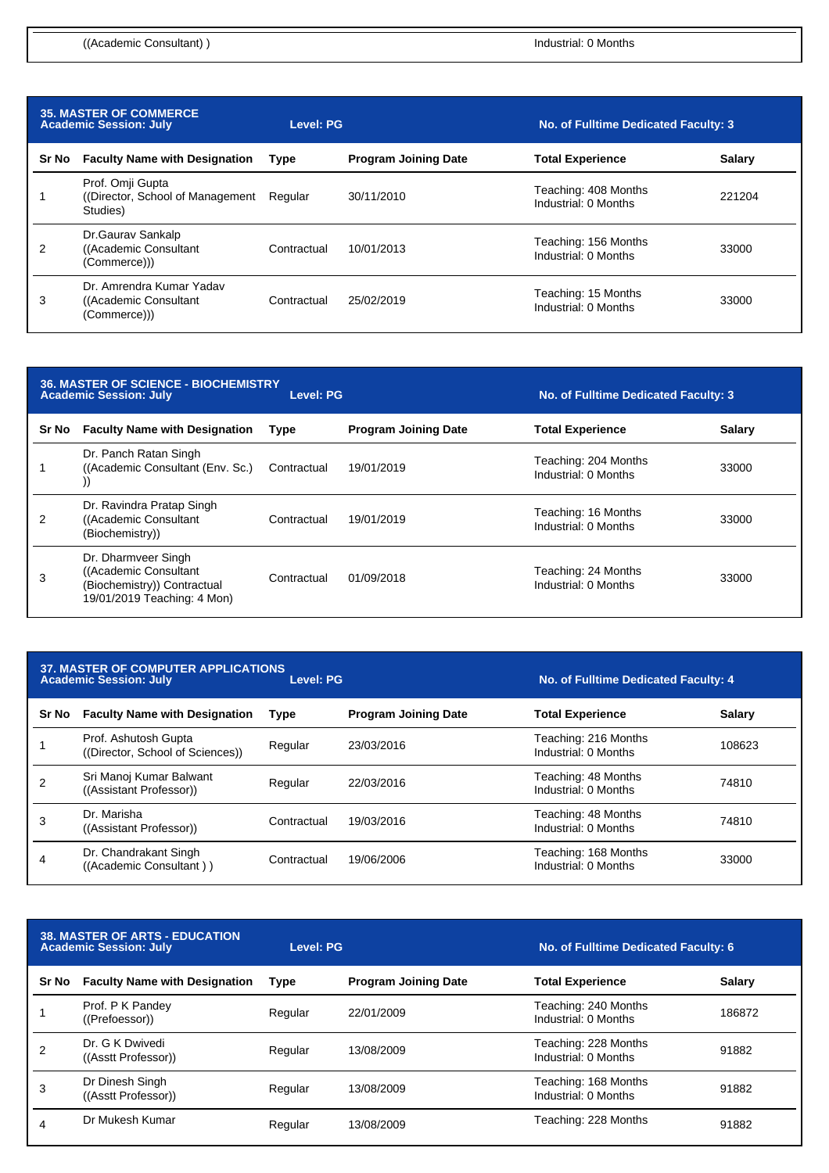| <b>35. MASTER OF COMMERCE</b><br><b>Academic Session: July</b> |                                                                    | Level: PG   |                             | No. of Fulltime Dedicated Faculty: 3         |               |
|----------------------------------------------------------------|--------------------------------------------------------------------|-------------|-----------------------------|----------------------------------------------|---------------|
| Sr No                                                          | <b>Faculty Name with Designation</b>                               | <b>Type</b> | <b>Program Joining Date</b> | <b>Total Experience</b>                      | <b>Salary</b> |
|                                                                | Prof. Omji Gupta<br>(Director, School of Management)<br>Studies)   | Regular     | 30/11/2010                  | Teaching: 408 Months<br>Industrial: 0 Months | 221204        |
| 2                                                              | Dr.Gaurav Sankalp<br>((Academic Consultant)<br>(Commerce))         | Contractual | 10/01/2013                  | Teaching: 156 Months<br>Industrial: 0 Months | 33000         |
| 3                                                              | Dr. Amrendra Kumar Yadav<br>((Academic Consultant)<br>(Commerce))) | Contractual | 25/02/2019                  | Teaching: 15 Months<br>Industrial: 0 Months  | 33000         |

| <b>36. MASTER OF SCIENCE - BIOCHEMISTRY</b><br><b>Level: PG</b><br><b>Academic Session: July</b> |                                                                                                             |             |                             | No. of Fulltime Dedicated Faculty: 3         |               |
|--------------------------------------------------------------------------------------------------|-------------------------------------------------------------------------------------------------------------|-------------|-----------------------------|----------------------------------------------|---------------|
| Sr No                                                                                            | <b>Faculty Name with Designation</b>                                                                        | <b>Type</b> | <b>Program Joining Date</b> | <b>Total Experience</b>                      | <b>Salary</b> |
|                                                                                                  | Dr. Panch Ratan Singh<br>((Academic Consultant (Env. Sc.)                                                   | Contractual | 19/01/2019                  | Teaching: 204 Months<br>Industrial: 0 Months | 33000         |
| 2                                                                                                | Dr. Ravindra Pratap Singh<br>((Academic Consultant)<br>(Biochemistry))                                      | Contractual | 19/01/2019                  | Teaching: 16 Months<br>Industrial: 0 Months  | 33000         |
| 3                                                                                                | Dr. Dharmveer Singh<br>((Academic Consultant)<br>(Biochemistry)) Contractual<br>19/01/2019 Teaching: 4 Mon) | Contractual | 01/09/2018                  | Teaching: 24 Months<br>Industrial: 0 Months  | 33000         |

### **37. MASTER OF COMPUTER APPLICATIONS Academic Session: July Level: PG No. of Fulltime Dedicated Faculty: 4**

| <b>ACQUETTING OFSSIOTI.</b> UNIV |                                                          | LGVGI. I U  |                             | <b>NO.</b> Of Funding Deurcated Faculty. 4   |               |
|----------------------------------|----------------------------------------------------------|-------------|-----------------------------|----------------------------------------------|---------------|
| Sr No                            | <b>Faculty Name with Designation</b>                     | <b>Type</b> | <b>Program Joining Date</b> | <b>Total Experience</b>                      | <b>Salary</b> |
|                                  | Prof. Ashutosh Gupta<br>((Director, School of Sciences)) | Regular     | 23/03/2016                  | Teaching: 216 Months<br>Industrial: 0 Months | 108623        |
|                                  | Sri Manoj Kumar Balwant<br>((Assistant Professor))       | Regular     | 22/03/2016                  | Teaching: 48 Months<br>Industrial: 0 Months  | 74810         |
| 3                                | Dr. Marisha<br>((Assistant Professor))                   | Contractual | 19/03/2016                  | Teaching: 48 Months<br>Industrial: 0 Months  | 74810         |
| 4                                | Dr. Chandrakant Singh<br>((Academic Consultant))         | Contractual | 19/06/2006                  | Teaching: 168 Months<br>Industrial: 0 Months | 33000         |

| <b>38. MASTER OF ARTS - EDUCATION</b><br><b>Academic Session: July</b> |                                        | Level: PG   |                             | No. of Fulltime Dedicated Faculty: 6         |               |
|------------------------------------------------------------------------|----------------------------------------|-------------|-----------------------------|----------------------------------------------|---------------|
| Sr No                                                                  | <b>Faculty Name with Designation</b>   | <b>Type</b> | <b>Program Joining Date</b> | <b>Total Experience</b>                      | <b>Salary</b> |
|                                                                        | Prof. P K Pandey<br>((Prefoessor))     | Regular     | 22/01/2009                  | Teaching: 240 Months<br>Industrial: 0 Months | 186872        |
| 2                                                                      | Dr. G K Dwivedi<br>((Asstt Professor)) | Regular     | 13/08/2009                  | Teaching: 228 Months<br>Industrial: 0 Months | 91882         |
| 3                                                                      | Dr Dinesh Singh<br>((Asstt Professor)) | Regular     | 13/08/2009                  | Teaching: 168 Months<br>Industrial: 0 Months | 91882         |
|                                                                        | Dr Mukesh Kumar                        | Regular     | 13/08/2009                  | Teaching: 228 Months                         | 91882         |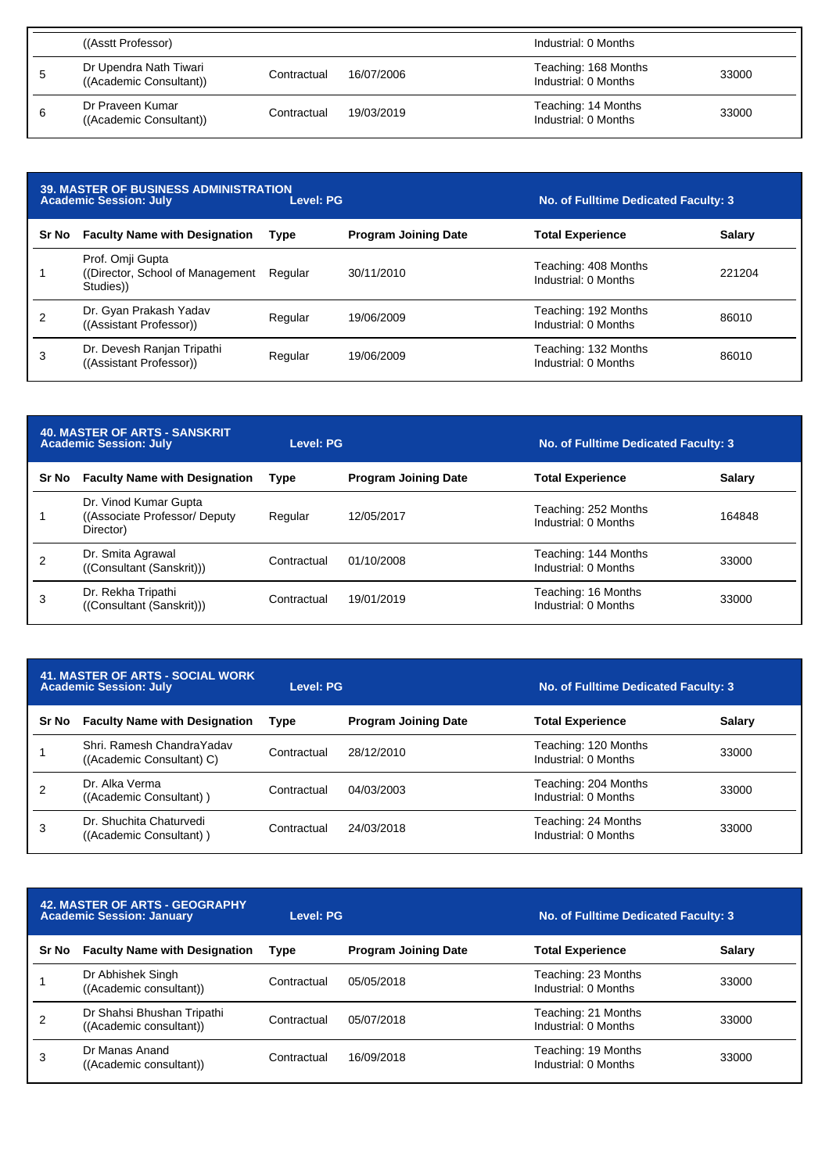| ((Asstt Professor)                                |             |            | Industrial: 0 Months                         |       |
|---------------------------------------------------|-------------|------------|----------------------------------------------|-------|
| Dr Upendra Nath Tiwari<br>((Academic Consultant)) | Contractual | 16/07/2006 | Teaching: 168 Months<br>Industrial: 0 Months | 33000 |
| Dr Praveen Kumar<br>((Academic Consultant))       | Contractual | 19/03/2019 | Teaching: 14 Months<br>Industrial: 0 Months  | 33000 |

| <b>39. MASTER OF BUSINESS ADMINISTRATION</b><br>Level: PG<br><b>Academic Session: July</b> |                                                                   |             |                             | No. of Fulltime Dedicated Faculty: 3         |               |  |
|--------------------------------------------------------------------------------------------|-------------------------------------------------------------------|-------------|-----------------------------|----------------------------------------------|---------------|--|
| Sr No                                                                                      | <b>Faculty Name with Designation</b>                              | <b>Type</b> | <b>Program Joining Date</b> | <b>Total Experience</b>                      | <b>Salary</b> |  |
|                                                                                            | Prof. Omji Gupta<br>(Director, School of Management)<br>Studies)) | Regular     | 30/11/2010                  | Teaching: 408 Months<br>Industrial: 0 Months | 221204        |  |
| 2                                                                                          | Dr. Gyan Prakash Yadav<br>((Assistant Professor))                 | Regular     | 19/06/2009                  | Teaching: 192 Months<br>Industrial: 0 Months | 86010         |  |
| 3                                                                                          | Dr. Devesh Ranjan Tripathi<br>((Assistant Professor))             | Regular     | 19/06/2009                  | Teaching: 132 Months<br>Industrial: 0 Months | 86010         |  |

| <b>40. MASTER OF ARTS - SANSKRIT</b><br><b>Academic Session: July</b> |                                                                      | Level: PG   |                             | No. of Fulltime Dedicated Faculty: 3         |               |
|-----------------------------------------------------------------------|----------------------------------------------------------------------|-------------|-----------------------------|----------------------------------------------|---------------|
| Sr No                                                                 | <b>Faculty Name with Designation</b>                                 | Type        | <b>Program Joining Date</b> | <b>Total Experience</b>                      | <b>Salary</b> |
|                                                                       | Dr. Vinod Kumar Gupta<br>((Associate Professor/ Deputy)<br>Director) | Regular     | 12/05/2017                  | Teaching: 252 Months<br>Industrial: 0 Months | 164848        |
|                                                                       | Dr. Smita Agrawal<br>((Consultant (Sanskrit)))                       | Contractual | 01/10/2008                  | Teaching: 144 Months<br>Industrial: 0 Months | 33000         |
| 3                                                                     | Dr. Rekha Tripathi<br>((Consultant (Sanskrit)))                      | Contractual | 19/01/2019                  | Teaching: 16 Months<br>Industrial: 0 Months  | 33000         |

| <b>41. MASTER OF ARTS - SOCIAL WORK</b><br><b>Academic Session: July</b> |                                                         | Level: PG   |                             | No. of Fulltime Dedicated Faculty: 3         |               |
|--------------------------------------------------------------------------|---------------------------------------------------------|-------------|-----------------------------|----------------------------------------------|---------------|
| Sr No                                                                    | <b>Faculty Name with Designation</b>                    | <b>Type</b> | <b>Program Joining Date</b> | <b>Total Experience</b>                      | <b>Salary</b> |
|                                                                          | Shri, Ramesh Chandra Yadav<br>((Academic Consultant) C) | Contractual | 28/12/2010                  | Teaching: 120 Months<br>Industrial: 0 Months | 33000         |
|                                                                          | Dr. Alka Verma<br>((Academic Consultant))               | Contractual | 04/03/2003                  | Teaching: 204 Months<br>Industrial: 0 Months | 33000         |
| 3                                                                        | Dr. Shuchita Chaturvedi<br>((Academic Consultant))      | Contractual | 24/03/2018                  | Teaching: 24 Months<br>Industrial: 0 Months  | 33000         |

| <b>42. MASTER OF ARTS - GEOGRAPHY</b><br><b>Academic Session: January</b> |                                                       | Level: PG   |                             | No. of Fulltime Dedicated Faculty: 3        |               |
|---------------------------------------------------------------------------|-------------------------------------------------------|-------------|-----------------------------|---------------------------------------------|---------------|
| Sr No                                                                     | <b>Faculty Name with Designation</b>                  | <b>Type</b> | <b>Program Joining Date</b> | <b>Total Experience</b>                     | <b>Salary</b> |
|                                                                           | Dr Abhishek Singh<br>((Academic consultant))          | Contractual | 05/05/2018                  | Teaching: 23 Months<br>Industrial: 0 Months | 33000         |
|                                                                           | Dr Shahsi Bhushan Tripathi<br>((Academic consultant)) | Contractual | 05/07/2018                  | Teaching: 21 Months<br>Industrial: 0 Months | 33000         |
| 3                                                                         | Dr Manas Anand<br>((Academic consultant))             | Contractual | 16/09/2018                  | Teaching: 19 Months<br>Industrial: 0 Months | 33000         |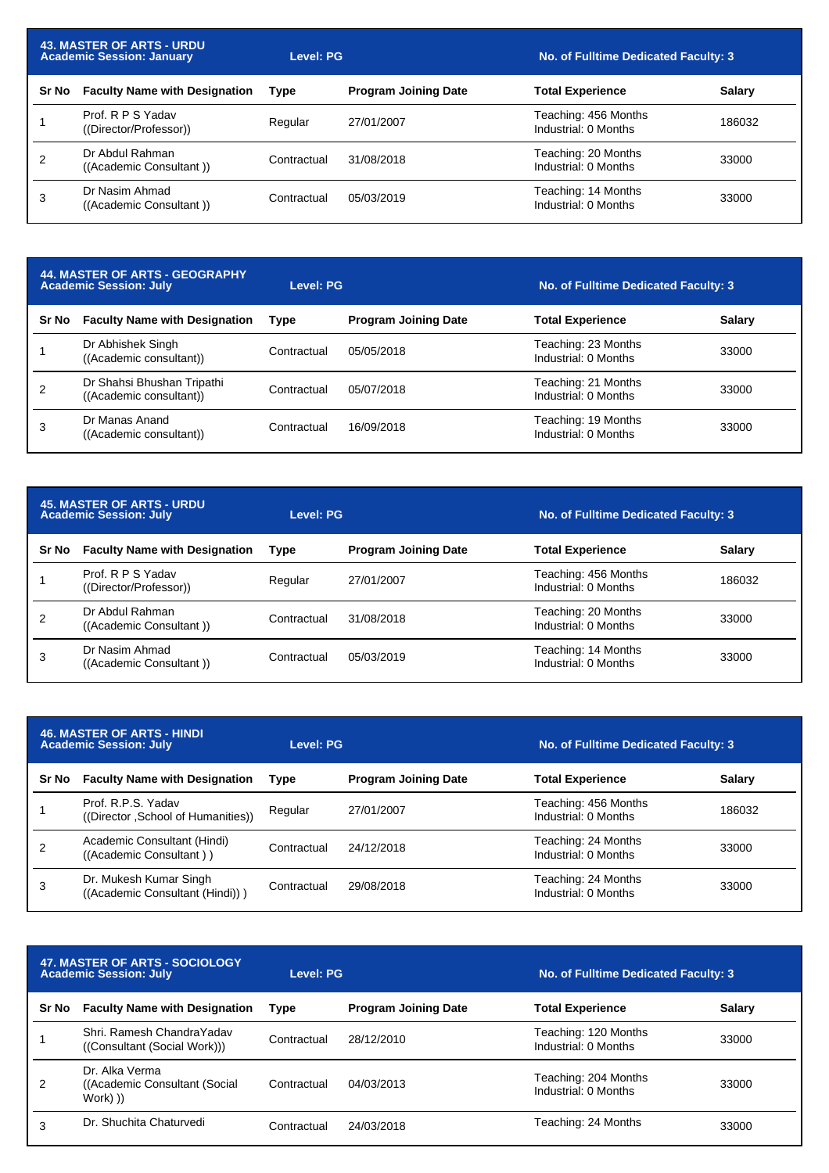| <b>43. MASTER OF ARTS - URDU</b><br><b>Academic Session: January</b> |                                             | <b>Level: PG</b> |                             | No. of Fulltime Dedicated Faculty: 3         |               |
|----------------------------------------------------------------------|---------------------------------------------|------------------|-----------------------------|----------------------------------------------|---------------|
| Sr No                                                                | <b>Faculty Name with Designation</b>        | Type             | <b>Program Joining Date</b> | <b>Total Experience</b>                      | <b>Salary</b> |
|                                                                      | Prof. R P S Yadav<br>((Director/Professor)) | Regular          | 27/01/2007                  | Teaching: 456 Months<br>Industrial: 0 Months | 186032        |
|                                                                      | Dr Abdul Rahman<br>((Academic Consultant))  | Contractual      | 31/08/2018                  | Teaching: 20 Months<br>Industrial: 0 Months  | 33000         |
| 3                                                                    | Dr Nasim Ahmad<br>((Academic Consultant))   | Contractual      | 05/03/2019                  | Teaching: 14 Months<br>Industrial: 0 Months  | 33000         |

| <b>44. MASTER OF ARTS - GEOGRAPHY</b><br><b>Academic Session: July</b> |                                                       | Level: PG   |                             | No. of Fulltime Dedicated Faculty: 3        |               |
|------------------------------------------------------------------------|-------------------------------------------------------|-------------|-----------------------------|---------------------------------------------|---------------|
| Sr No                                                                  | <b>Faculty Name with Designation</b>                  | Type        | <b>Program Joining Date</b> | <b>Total Experience</b>                     | <b>Salary</b> |
|                                                                        | Dr Abhishek Singh<br>((Academic consultant))          | Contractual | 05/05/2018                  | Teaching: 23 Months<br>Industrial: 0 Months | 33000         |
|                                                                        | Dr Shahsi Bhushan Tripathi<br>((Academic consultant)) | Contractual | 05/07/2018                  | Teaching: 21 Months<br>Industrial: 0 Months | 33000         |
| 3                                                                      | Dr Manas Anand<br>((Academic consultant))             | Contractual | 16/09/2018                  | Teaching: 19 Months<br>Industrial: 0 Months | 33000         |

| <b>45. MASTER OF ARTS - URDU</b><br><b>Academic Session: July</b> |                                             | Level: PG   |                             | No. of Fulltime Dedicated Faculty: 3         |        |
|-------------------------------------------------------------------|---------------------------------------------|-------------|-----------------------------|----------------------------------------------|--------|
| <b>Sr No</b>                                                      | <b>Faculty Name with Designation</b>        | Type        | <b>Program Joining Date</b> | <b>Total Experience</b>                      | Salary |
|                                                                   | Prof. R P S Yadav<br>((Director/Professor)) | Regular     | 27/01/2007                  | Teaching: 456 Months<br>Industrial: 0 Months | 186032 |
|                                                                   | Dr Abdul Rahman<br>((Academic Consultant))  | Contractual | 31/08/2018                  | Teaching: 20 Months<br>Industrial: 0 Months  | 33000  |
| 3                                                                 | Dr Nasim Ahmad<br>((Academic Consultant))   | Contractual | 05/03/2019                  | Teaching: 14 Months<br>Industrial: 0 Months  | 33000  |

| <b>46. MASTER OF ARTS - HINDI</b><br><b>Academic Session: July</b> |                                                           | Level: PG   |                             | No. of Fulltime Dedicated Faculty: 3         |               |
|--------------------------------------------------------------------|-----------------------------------------------------------|-------------|-----------------------------|----------------------------------------------|---------------|
| Sr No                                                              | <b>Faculty Name with Designation</b>                      | Type        | <b>Program Joining Date</b> | <b>Total Experience</b>                      | <b>Salary</b> |
|                                                                    | Prof. R.P.S. Yadav<br>((Director, School of Humanities))  | Regular     | 27/01/2007                  | Teaching: 456 Months<br>Industrial: 0 Months | 186032        |
|                                                                    | Academic Consultant (Hindi)<br>((Academic Consultant))    | Contractual | 24/12/2018                  | Teaching: 24 Months<br>Industrial: 0 Months  | 33000         |
| 3                                                                  | Dr. Mukesh Kumar Singh<br>((Academic Consultant (Hindi))) | Contractual | 29/08/2018                  | Teaching: 24 Months<br>Industrial: 0 Months  | 33000         |

| 47. MASTER OF ARTS - SOCIOLOGY<br><b>Academic Session: July</b> |                                                              | Level: PG   |                             | No. of Fulltime Dedicated Faculty: 3         |               |
|-----------------------------------------------------------------|--------------------------------------------------------------|-------------|-----------------------------|----------------------------------------------|---------------|
| Sr No                                                           | <b>Faculty Name with Designation</b>                         | Type        | <b>Program Joining Date</b> | <b>Total Experience</b>                      | <b>Salary</b> |
|                                                                 | Shri, Ramesh Chandra Yadav<br>((Consultant (Social Work)))   | Contractual | 28/12/2010                  | Teaching: 120 Months<br>Industrial: 0 Months | 33000         |
| 2                                                               | Dr. Alka Verma<br>((Academic Consultant (Social)<br>Work) )) | Contractual | 04/03/2013                  | Teaching: 204 Months<br>Industrial: 0 Months | 33000         |
|                                                                 | Dr. Shuchita Chaturvedi                                      | Contractual | 24/03/2018                  | Teaching: 24 Months                          | 33000         |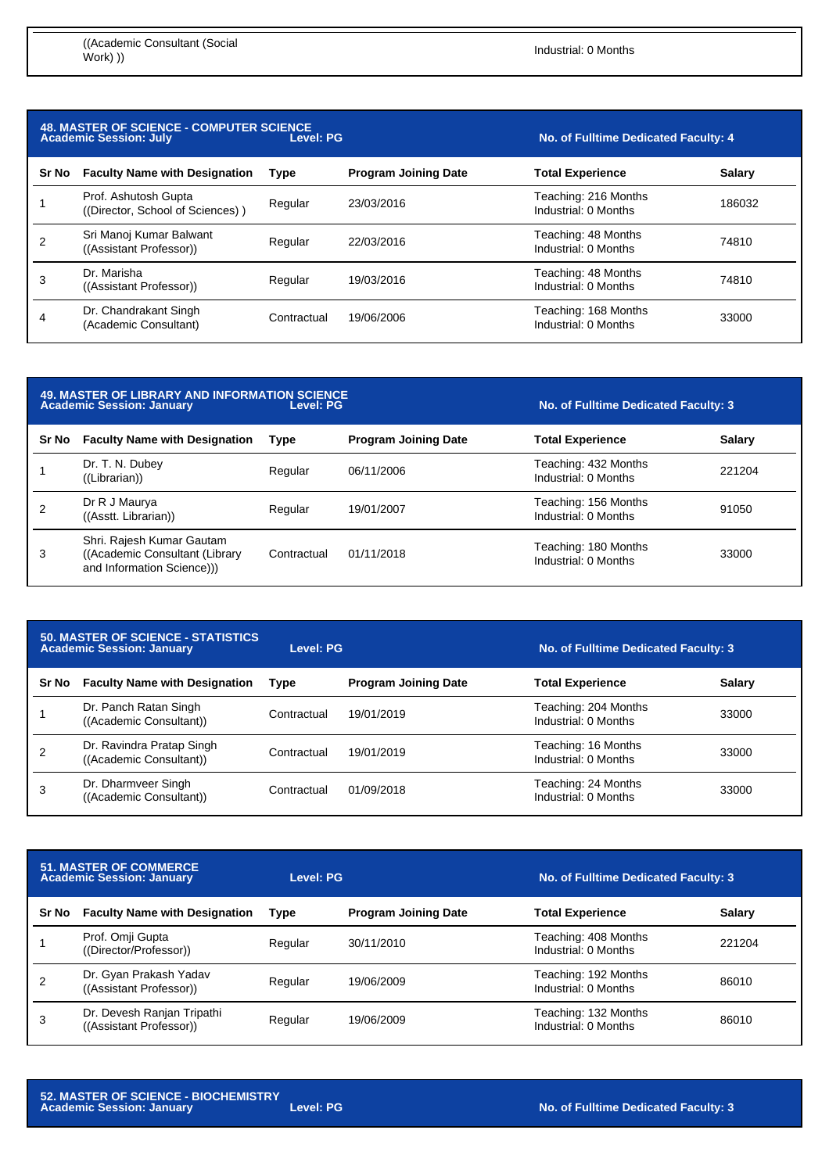| <b>48. MASTER OF SCIENCE - COMPUTER SCIENCE</b><br>Level: PG<br><b>Academic Session: July</b> |                                                          |             |                             | No. of Fulltime Dedicated Faculty: 4         |               |
|-----------------------------------------------------------------------------------------------|----------------------------------------------------------|-------------|-----------------------------|----------------------------------------------|---------------|
| Sr No                                                                                         | <b>Faculty Name with Designation</b>                     | <b>Type</b> | <b>Program Joining Date</b> | <b>Total Experience</b>                      | <b>Salary</b> |
|                                                                                               | Prof. Ashutosh Gupta<br>((Director, School of Sciences)) | Regular     | 23/03/2016                  | Teaching: 216 Months<br>Industrial: 0 Months | 186032        |
| 2                                                                                             | Sri Manoj Kumar Balwant<br>((Assistant Professor))       | Regular     | 22/03/2016                  | Teaching: 48 Months<br>Industrial: 0 Months  | 74810         |
| 3                                                                                             | Dr. Marisha<br>((Assistant Professor))                   | Regular     | 19/03/2016                  | Teaching: 48 Months<br>Industrial: 0 Months  | 74810         |
| 4                                                                                             | Dr. Chandrakant Singh<br>(Academic Consultant)           | Contractual | 19/06/2006                  | Teaching: 168 Months<br>Industrial: 0 Months | 33000         |

| <b>49. MASTER OF LIBRARY AND INFORMATION SCIENCE</b><br>Level: PG<br><b>Academic Session: January</b> |                                                                                            |             |                             | No. of Fulltime Dedicated Faculty: 3         |               |
|-------------------------------------------------------------------------------------------------------|--------------------------------------------------------------------------------------------|-------------|-----------------------------|----------------------------------------------|---------------|
| Sr No                                                                                                 | <b>Faculty Name with Designation</b>                                                       | Type        | <b>Program Joining Date</b> | <b>Total Experience</b>                      | <b>Salary</b> |
|                                                                                                       | Dr. T. N. Dubey<br>((Librarian))                                                           | Regular     | 06/11/2006                  | Teaching: 432 Months<br>Industrial: 0 Months | 221204        |
| 2                                                                                                     | Dr R J Maurya<br>((Asstt. Librarian))                                                      | Regular     | 19/01/2007                  | Teaching: 156 Months<br>Industrial: 0 Months | 91050         |
| 3                                                                                                     | Shri. Rajesh Kumar Gautam<br>((Academic Consultant (Library)<br>and Information Science))) | Contractual | 01/11/2018                  | Teaching: 180 Months<br>Industrial: 0 Months | 33000         |

| <b>50. MASTER OF SCIENCE - STATISTICS</b><br><b>Academic Session: January</b> |                                                      | Level: PG   |                             | No. of Fulltime Dedicated Faculty: 3         |               |
|-------------------------------------------------------------------------------|------------------------------------------------------|-------------|-----------------------------|----------------------------------------------|---------------|
| Sr No                                                                         | <b>Faculty Name with Designation</b>                 | Type        | <b>Program Joining Date</b> | <b>Total Experience</b>                      | <b>Salary</b> |
|                                                                               | Dr. Panch Ratan Singh<br>((Academic Consultant))     | Contractual | 19/01/2019                  | Teaching: 204 Months<br>Industrial: 0 Months | 33000         |
|                                                                               | Dr. Ravindra Pratap Singh<br>((Academic Consultant)) | Contractual | 19/01/2019                  | Teaching: 16 Months<br>Industrial: 0 Months  | 33000         |
| 3                                                                             | Dr. Dharmveer Singh<br>((Academic Consultant))       | Contractual | 01/09/2018                  | Teaching: 24 Months<br>Industrial: 0 Months  | 33000         |

| <b>51. MASTER OF COMMERCE</b><br><b>Academic Session: January</b> |                                                       | Level: PG |                             | No. of Fulltime Dedicated Faculty: 3         |               |
|-------------------------------------------------------------------|-------------------------------------------------------|-----------|-----------------------------|----------------------------------------------|---------------|
| Sr No                                                             | <b>Faculty Name with Designation</b>                  | Type      | <b>Program Joining Date</b> | <b>Total Experience</b>                      | <b>Salary</b> |
|                                                                   | Prof. Omji Gupta<br>((Director/Professor))            | Regular   | 30/11/2010                  | Teaching: 408 Months<br>Industrial: 0 Months | 221204        |
|                                                                   | Dr. Gyan Prakash Yadav<br>((Assistant Professor))     | Regular   | 19/06/2009                  | Teaching: 192 Months<br>Industrial: 0 Months | 86010         |
| 3                                                                 | Dr. Devesh Ranjan Tripathi<br>((Assistant Professor)) | Regular   | 19/06/2009                  | Teaching: 132 Months<br>Industrial: 0 Months | 86010         |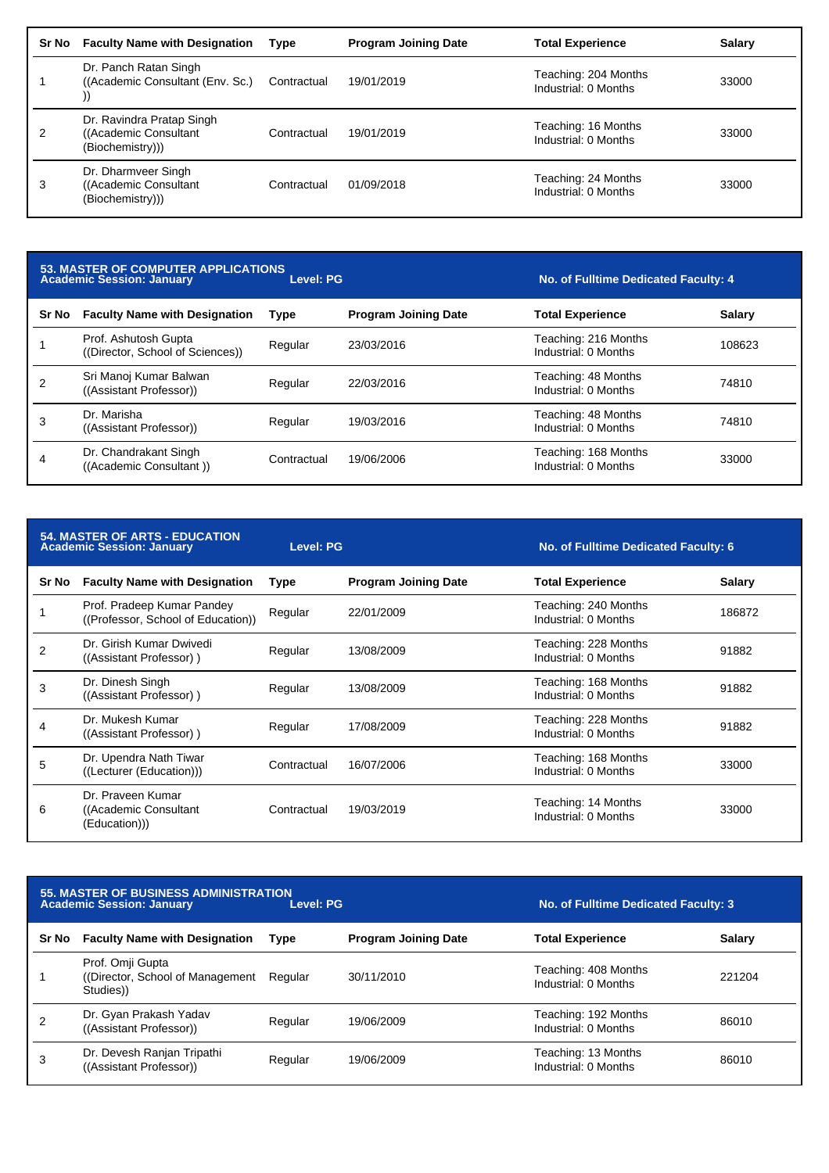| Sr No | <b>Faculty Name with Designation</b>                                    | <b>Type</b> | <b>Program Joining Date</b> | <b>Total Experience</b>                      | <b>Salary</b> |
|-------|-------------------------------------------------------------------------|-------------|-----------------------------|----------------------------------------------|---------------|
|       | Dr. Panch Ratan Singh<br>((Academic Consultant (Env. Sc.)               | Contractual | 19/01/2019                  | Teaching: 204 Months<br>Industrial: 0 Months | 33000         |
| 2     | Dr. Ravindra Pratap Singh<br>((Academic Consultant)<br>(Biochemistry))) | Contractual | 19/01/2019                  | Teaching: 16 Months<br>Industrial: 0 Months  | 33000         |
| 3     | Dr. Dharmveer Singh<br>((Academic Consultant)<br>(Biochemistry))        | Contractual | 01/09/2018                  | Teaching: 24 Months<br>Industrial: 0 Months  | 33000         |

| <b>53. MASTER OF COMPUTER APPLICATIONS</b><br>Level: PG<br><b>Academic Session: January</b> |                                                          |             |                             | No. of Fulltime Dedicated Faculty: 4         |               |
|---------------------------------------------------------------------------------------------|----------------------------------------------------------|-------------|-----------------------------|----------------------------------------------|---------------|
| Sr No                                                                                       | <b>Faculty Name with Designation</b>                     | <b>Type</b> | <b>Program Joining Date</b> | <b>Total Experience</b>                      | <b>Salary</b> |
|                                                                                             | Prof. Ashutosh Gupta<br>((Director, School of Sciences)) | Regular     | 23/03/2016                  | Teaching: 216 Months<br>Industrial: 0 Months | 108623        |
| 2                                                                                           | Sri Manoj Kumar Balwan<br>((Assistant Professor))        | Regular     | 22/03/2016                  | Teaching: 48 Months<br>Industrial: 0 Months  | 74810         |
| 3                                                                                           | Dr. Marisha<br>((Assistant Professor))                   | Regular     | 19/03/2016                  | Teaching: 48 Months<br>Industrial: 0 Months  | 74810         |
| 4                                                                                           | Dr. Chandrakant Singh<br>((Academic Consultant))         | Contractual | 19/06/2006                  | Teaching: 168 Months<br>Industrial: 0 Months | 33000         |

| <b>54. MASTER OF ARTS - EDUCATION</b><br><b>Academic Session: January</b> |                                                                  | <b>Level: PG</b> |                             | No. of Fulltime Dedicated Faculty: 6         |               |
|---------------------------------------------------------------------------|------------------------------------------------------------------|------------------|-----------------------------|----------------------------------------------|---------------|
| Sr No                                                                     | <b>Faculty Name with Designation</b>                             | Type             | <b>Program Joining Date</b> | <b>Total Experience</b>                      | <b>Salary</b> |
|                                                                           | Prof. Pradeep Kumar Pandey<br>((Professor, School of Education)) | Regular          | 22/01/2009                  | Teaching: 240 Months<br>Industrial: 0 Months | 186872        |
| 2                                                                         | Dr. Girish Kumar Dwivedi<br>((Assistant Professor))              | Regular          | 13/08/2009                  | Teaching: 228 Months<br>Industrial: 0 Months | 91882         |
| 3                                                                         | Dr. Dinesh Singh<br>((Assistant Professor))                      | Regular          | 13/08/2009                  | Teaching: 168 Months<br>Industrial: 0 Months | 91882         |
| 4                                                                         | Dr. Mukesh Kumar<br>((Assistant Professor))                      | Regular          | 17/08/2009                  | Teaching: 228 Months<br>Industrial: 0 Months | 91882         |
| 5                                                                         | Dr. Upendra Nath Tiwar<br>((Lecturer (Education)))               | Contractual      | 16/07/2006                  | Teaching: 168 Months<br>Industrial: 0 Months | 33000         |
| 6                                                                         | Dr. Praveen Kumar<br>((Academic Consultant)<br>(Education))      | Contractual      | 19/03/2019                  | Teaching: 14 Months<br>Industrial: 0 Months  | 33000         |

|       | <b>55. MASTER OF BUSINESS ADMINISTRATION</b><br><b>Academic Session: January</b> | No. of Fulltime Dedicated Faculty: 3 |                             |                                              |               |
|-------|----------------------------------------------------------------------------------|--------------------------------------|-----------------------------|----------------------------------------------|---------------|
| Sr No | <b>Faculty Name with Designation</b>                                             | <b>Type</b>                          | <b>Program Joining Date</b> | <b>Total Experience</b>                      | <b>Salary</b> |
|       | Prof. Omji Gupta<br>(Director, School of Management)<br>Studies)                 | Regular                              | 30/11/2010                  | Teaching: 408 Months<br>Industrial: 0 Months | 221204        |
|       | Dr. Gyan Prakash Yadav<br>((Assistant Professor))                                | Regular                              | 19/06/2009                  | Teaching: 192 Months<br>Industrial: 0 Months | 86010         |
| 3     | Dr. Devesh Ranjan Tripathi<br>((Assistant Professor))                            | Regular                              | 19/06/2009                  | Teaching: 13 Months<br>Industrial: 0 Months  | 86010         |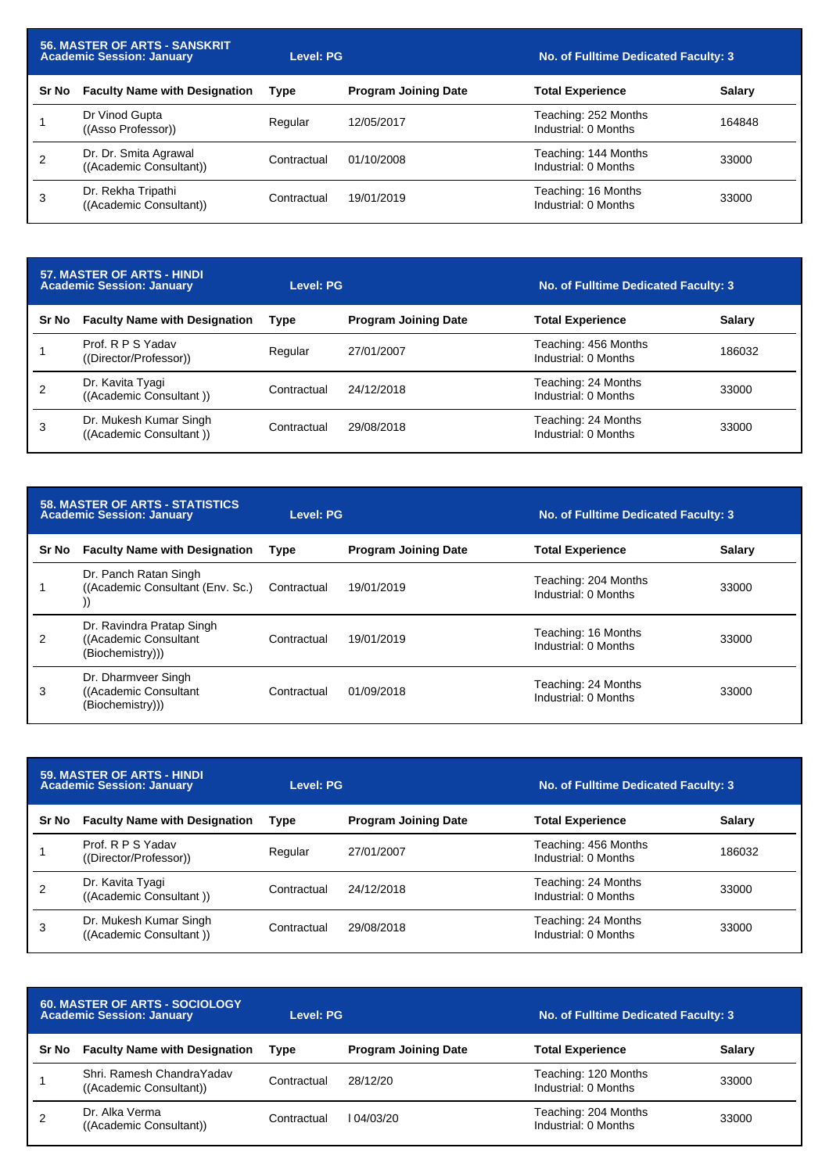| <b>56. MASTER OF ARTS - SANSKRIT</b><br>Academic Session: January |                                                  | Level: PG   |                             | No. of Fulltime Dedicated Faculty: 3         |               |
|-------------------------------------------------------------------|--------------------------------------------------|-------------|-----------------------------|----------------------------------------------|---------------|
| Sr No                                                             | <b>Faculty Name with Designation</b>             | <b>Type</b> | <b>Program Joining Date</b> | <b>Total Experience</b>                      | <b>Salary</b> |
|                                                                   | Dr Vinod Gupta<br>((Asso Professor))             | Regular     | 12/05/2017                  | Teaching: 252 Months<br>Industrial: 0 Months | 164848        |
| 2                                                                 | Dr. Dr. Smita Agrawal<br>((Academic Consultant)) | Contractual | 01/10/2008                  | Teaching: 144 Months<br>Industrial: 0 Months | 33000         |
| 3                                                                 | Dr. Rekha Tripathi<br>((Academic Consultant))    | Contractual | 19/01/2019                  | Teaching: 16 Months<br>Industrial: 0 Months  | 33000         |

| 57. MASTER OF ARTS - HINDI<br><b>Academic Session: January</b> |                                                   | Level: PG   |                             | No. of Fulltime Dedicated Faculty: 3         |               |
|----------------------------------------------------------------|---------------------------------------------------|-------------|-----------------------------|----------------------------------------------|---------------|
| Sr No                                                          | <b>Faculty Name with Designation</b>              | Type        | <b>Program Joining Date</b> | <b>Total Experience</b>                      | <b>Salary</b> |
|                                                                | Prof. R P S Yadav<br>((Director/Professor))       | Regular     | 27/01/2007                  | Teaching: 456 Months<br>Industrial: 0 Months | 186032        |
|                                                                | Dr. Kavita Tyagi<br>((Academic Consultant))       | Contractual | 24/12/2018                  | Teaching: 24 Months<br>Industrial: 0 Months  | 33000         |
| 3                                                              | Dr. Mukesh Kumar Singh<br>((Academic Consultant)) | Contractual | 29/08/2018                  | Teaching: 24 Months<br>Industrial: 0 Months  | 33000         |

| <b>58. MASTER OF ARTS - STATISTICS</b><br><b>Academic Session: January</b> |                                                                         | <b>Level: PG</b> |                             | No. of Fulltime Dedicated Faculty: 3         |               |
|----------------------------------------------------------------------------|-------------------------------------------------------------------------|------------------|-----------------------------|----------------------------------------------|---------------|
| Sr No                                                                      | <b>Faculty Name with Designation</b>                                    | <b>Type</b>      | <b>Program Joining Date</b> | <b>Total Experience</b>                      | <b>Salary</b> |
|                                                                            | Dr. Panch Ratan Singh<br>((Academic Consultant (Env. Sc.)               | Contractual      | 19/01/2019                  | Teaching: 204 Months<br>Industrial: 0 Months | 33000         |
| 2                                                                          | Dr. Ravindra Pratap Singh<br>((Academic Consultant)<br>(Biochemistry))) | Contractual      | 19/01/2019                  | Teaching: 16 Months<br>Industrial: 0 Months  | 33000         |
| 3                                                                          | Dr. Dharmveer Singh<br>((Academic Consultant<br>(Biochemistry)))        | Contractual      | 01/09/2018                  | Teaching: 24 Months<br>Industrial: 0 Months  | 33000         |

| <b>59. MASTER OF ARTS - HINDI</b><br><b>Academic Session: January</b> |                                                   | <b>Level: PG</b> |                             | No. of Fulltime Dedicated Faculty: 3         |               |
|-----------------------------------------------------------------------|---------------------------------------------------|------------------|-----------------------------|----------------------------------------------|---------------|
| Sr No                                                                 | <b>Faculty Name with Designation</b>              | Type             | <b>Program Joining Date</b> | <b>Total Experience</b>                      | <b>Salary</b> |
|                                                                       | Prof. R P S Yadav<br>((Director/Professor))       | Regular          | 27/01/2007                  | Teaching: 456 Months<br>Industrial: 0 Months | 186032        |
|                                                                       | Dr. Kavita Tyagi<br>((Academic Consultant))       | Contractual      | 24/12/2018                  | Teaching: 24 Months<br>Industrial: 0 Months  | 33000         |
| 3                                                                     | Dr. Mukesh Kumar Singh<br>((Academic Consultant)) | Contractual      | 29/08/2018                  | Teaching: 24 Months<br>Industrial: 0 Months  | 33000         |

| <b>60. MASTER OF ARTS - SOCIOLOGY</b><br><b>Academic Session: January</b> |                                                       | Level: PG   |                             | No. of Fulltime Dedicated Faculty: 3         |               |
|---------------------------------------------------------------------------|-------------------------------------------------------|-------------|-----------------------------|----------------------------------------------|---------------|
| Sr No                                                                     | <b>Faculty Name with Designation</b>                  | Tvpe        | <b>Program Joining Date</b> | <b>Total Experience</b>                      | <b>Salary</b> |
|                                                                           | Shri, Ramesh Chandra Yadav<br>((Academic Consultant)) | Contractual | 28/12/20                    | Teaching: 120 Months<br>Industrial: 0 Months | 33000         |
| 2                                                                         | Dr. Alka Verma<br>((Academic Consultant))             | Contractual | 104/03/20                   | Teaching: 204 Months<br>Industrial: 0 Months | 33000         |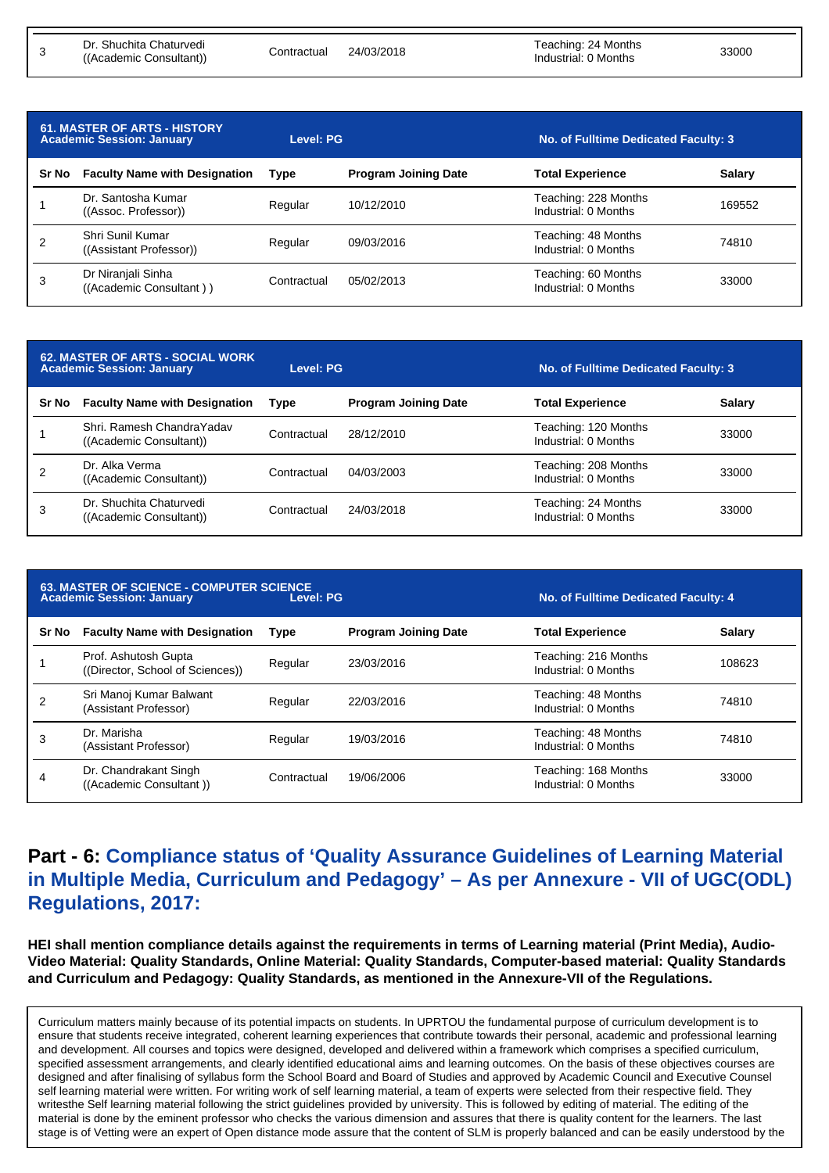3

| <b>61. MASTER OF ARTS - HISTORY</b><br><b>Academic Session: January</b> |                                               | <b>Level: PG</b> |                             | No. of Fulltime Dedicated Faculty: 3         |               |
|-------------------------------------------------------------------------|-----------------------------------------------|------------------|-----------------------------|----------------------------------------------|---------------|
| Sr No                                                                   | <b>Faculty Name with Designation</b>          | <b>Type</b>      | <b>Program Joining Date</b> | <b>Total Experience</b>                      | <b>Salary</b> |
|                                                                         | Dr. Santosha Kumar<br>((Assoc. Professor))    | Regular          | 10/12/2010                  | Teaching: 228 Months<br>Industrial: 0 Months | 169552        |
| 2                                                                       | Shri Sunil Kumar<br>((Assistant Professor))   | Regular          | 09/03/2016                  | Teaching: 48 Months<br>Industrial: 0 Months  | 74810         |
| 3                                                                       | Dr Niranjali Sinha<br>((Academic Consultant)) | Contractual      | 05/02/2013                  | Teaching: 60 Months<br>Industrial: 0 Months  | 33000         |

| <b>62. MASTER OF ARTS - SOCIAL WORK</b><br><b>Academic Session: January</b> |                                                       | <b>Level: PG</b> |                             | No. of Fulltime Dedicated Faculty: 3         |               |
|-----------------------------------------------------------------------------|-------------------------------------------------------|------------------|-----------------------------|----------------------------------------------|---------------|
| Sr No                                                                       | <b>Faculty Name with Designation</b>                  | Type             | <b>Program Joining Date</b> | <b>Total Experience</b>                      | <b>Salary</b> |
|                                                                             | Shri, Ramesh Chandra Yadav<br>((Academic Consultant)) | Contractual      | 28/12/2010                  | Teaching: 120 Months<br>Industrial: 0 Months | 33000         |
| 2                                                                           | Dr. Alka Verma<br>((Academic Consultant))             | Contractual      | 04/03/2003                  | Teaching: 208 Months<br>Industrial: 0 Months | 33000         |
| 3                                                                           | Dr. Shuchita Chaturvedi<br>((Academic Consultant))    | Contractual      | 24/03/2018                  | Teaching: 24 Months<br>Industrial: 0 Months  | 33000         |

| <b>63. MASTER OF SCIENCE - COMPUTER SCIENCE</b><br>Level: PG<br><b>Academic Session: January</b> |                                                          |             | No. of Fulltime Dedicated Faculty: 4 |                                              |               |
|--------------------------------------------------------------------------------------------------|----------------------------------------------------------|-------------|--------------------------------------|----------------------------------------------|---------------|
| Sr No                                                                                            | <b>Faculty Name with Designation</b>                     | <b>Type</b> | <b>Program Joining Date</b>          | <b>Total Experience</b>                      | <b>Salary</b> |
|                                                                                                  | Prof. Ashutosh Gupta<br>((Director, School of Sciences)) | Regular     | 23/03/2016                           | Teaching: 216 Months<br>Industrial: 0 Months | 108623        |
|                                                                                                  | Sri Manoj Kumar Balwant<br>(Assistant Professor)         | Regular     | 22/03/2016                           | Teaching: 48 Months<br>Industrial: 0 Months  | 74810         |
| 3                                                                                                | Dr. Marisha<br>(Assistant Professor)                     | Regular     | 19/03/2016                           | Teaching: 48 Months<br>Industrial: 0 Months  | 74810         |
| 4                                                                                                | Dr. Chandrakant Singh<br>((Academic Consultant))         | Contractual | 19/06/2006                           | Teaching: 168 Months<br>Industrial: 0 Months | 33000         |

### **Part - 6: Compliance status of 'Quality Assurance Guidelines of Learning Material in Multiple Media, Curriculum and Pedagogy' – As per Annexure - VII of UGC(ODL) Regulations, 2017:**

**HEI shall mention compliance details against the requirements in terms of Learning material (Print Media), Audio-Video Material: Quality Standards, Online Material: Quality Standards, Computer-based material: Quality Standards and Curriculum and Pedagogy: Quality Standards, as mentioned in the Annexure-VII of the Regulations.**

Curriculum matters mainly because of its potential impacts on students. In UPRTOU the fundamental purpose of curriculum development is to ensure that students receive integrated, coherent learning experiences that contribute towards their personal, academic and professional learning and development. All courses and topics were designed, developed and delivered within a framework which comprises a specified curriculum, specified assessment arrangements, and clearly identified educational aims and learning outcomes. On the basis of these objectives courses are designed and after finalising of syllabus form the School Board and Board of Studies and approved by Academic Council and Executive Counsel self learning material were written. For writing work of self learning material, a team of experts were selected from their respective field. They writesthe Self learning material following the strict guidelines provided by university. This is followed by editing of material. The editing of the material is done by the eminent professor who checks the various dimension and assures that there is quality content for the learners. The last stage is of Vetting were an expert of Open distance mode assure that the content of SLM is properly balanced and can be easily understood by the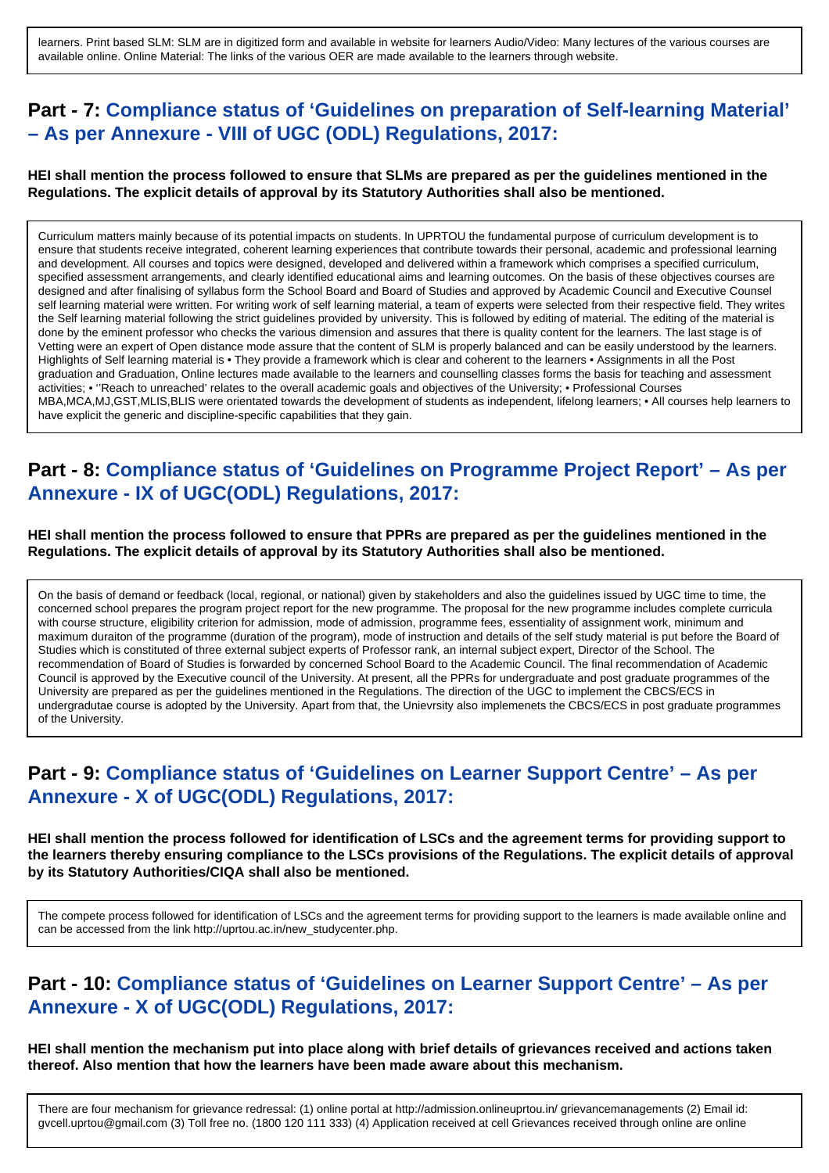learners. Print based SLM: SLM are in digitized form and available in website for learners Audio/Video: Many lectures of the various courses are available online. Online Material: The links of the various OER are made available to the learners through website.

### **Part - 7: Compliance status of 'Guidelines on preparation of Self-learning Material' – As per Annexure - VIII of UGC (ODL) Regulations, 2017:**

#### **HEI shall mention the process followed to ensure that SLMs are prepared as per the guidelines mentioned in the Regulations. The explicit details of approval by its Statutory Authorities shall also be mentioned.**

Curriculum matters mainly because of its potential impacts on students. In UPRTOU the fundamental purpose of curriculum development is to ensure that students receive integrated, coherent learning experiences that contribute towards their personal, academic and professional learning and development. All courses and topics were designed, developed and delivered within a framework which comprises a specified curriculum, specified assessment arrangements, and clearly identified educational aims and learning outcomes. On the basis of these objectives courses are designed and after finalising of syllabus form the School Board and Board of Studies and approved by Academic Council and Executive Counsel self learning material were written. For writing work of self learning material, a team of experts were selected from their respective field. They writes the Self learning material following the strict guidelines provided by university. This is followed by editing of material. The editing of the material is done by the eminent professor who checks the various dimension and assures that there is quality content for the learners. The last stage is of Vetting were an expert of Open distance mode assure that the content of SLM is properly balanced and can be easily understood by the learners. Highlights of Self learning material is • They provide a framework which is clear and coherent to the learners • Assignments in all the Post graduation and Graduation, Online lectures made available to the learners and counselling classes forms the basis for teaching and assessment activities; • ''Reach to unreached' relates to the overall academic goals and objectives of the University; • Professional Courses MBA,MCA,MJ,GST,MLIS,BLIS were orientated towards the development of students as independent, lifelong learners; • All courses help learners to have explicit the generic and discipline-specific capabilities that they gain.

#### **Part - 8: Compliance status of 'Guidelines on Programme Project Report' – As per Annexure - IX of UGC(ODL) Regulations, 2017:**

**HEI shall mention the process followed to ensure that PPRs are prepared as per the guidelines mentioned in the Regulations. The explicit details of approval by its Statutory Authorities shall also be mentioned.**

On the basis of demand or feedback (local, regional, or national) given by stakeholders and also the guidelines issued by UGC time to time, the concerned school prepares the program project report for the new programme. The proposal for the new programme includes complete curricula with course structure, eligibility criterion for admission, mode of admission, programme fees, essentiality of assignment work, minimum and maximum duraiton of the programme (duration of the program), mode of instruction and details of the self study material is put before the Board of Studies which is constituted of three external subject experts of Professor rank, an internal subject expert, Director of the School. The recommendation of Board of Studies is forwarded by concerned School Board to the Academic Council. The final recommendation of Academic Council is approved by the Executive council of the University. At present, all the PPRs for undergraduate and post graduate programmes of the University are prepared as per the guidelines mentioned in the Regulations. The direction of the UGC to implement the CBCS/ECS in undergradutae course is adopted by the University. Apart from that, the Unievrsity also implemenets the CBCS/ECS in post graduate programmes of the University.

#### **Part - 9: Compliance status of 'Guidelines on Learner Support Centre' – As per Annexure - X of UGC(ODL) Regulations, 2017:**

**HEI shall mention the process followed for identification of LSCs and the agreement terms for providing support to the learners thereby ensuring compliance to the LSCs provisions of the Regulations. The explicit details of approval by its Statutory Authorities/CIQA shall also be mentioned.**

The compete process followed for identification of LSCs and the agreement terms for providing support to the learners is made available online and can be accessed from the link http://uprtou.ac.in/new\_studycenter.php.

#### **Part - 10: Compliance status of 'Guidelines on Learner Support Centre' – As per Annexure - X of UGC(ODL) Regulations, 2017:**

**HEI shall mention the mechanism put into place along with brief details of grievances received and actions taken thereof. Also mention that how the learners have been made aware about this mechanism.**

There are four mechanism for grievance redressal: (1) online portal at http://admission.onlineuprtou.in/ grievancemanagements (2) Email id: gvcell.uprtou@gmail.com (3) Toll free no. (1800 120 111 333) (4) Application received at cell Grievances received through online are online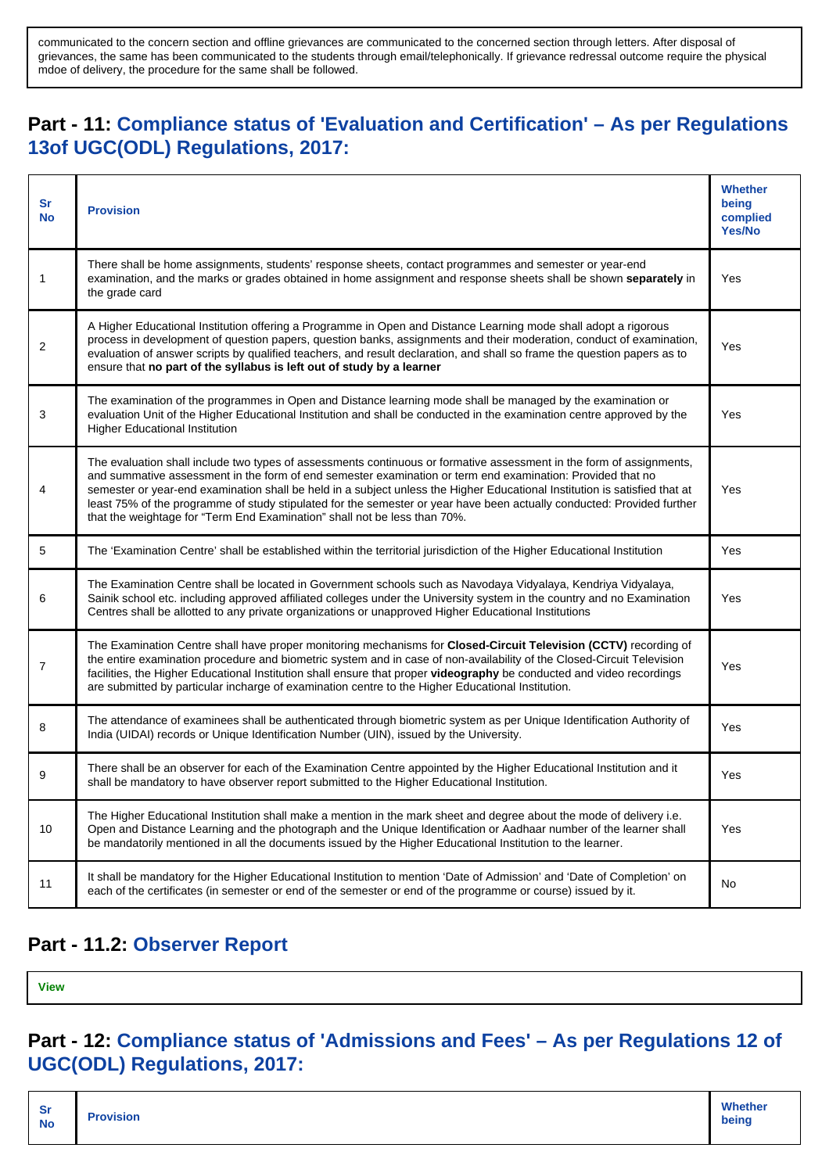communicated to the concern section and offline grievances are communicated to the concerned section through letters. After disposal of grievances, the same has been communicated to the students through email/telephonically. If grievance redressal outcome require the physical mdoe of delivery, the procedure for the same shall be followed.

## **Part - 11: Compliance status of 'Evaluation and Certification' – As per Regulations 13of UGC(ODL) Regulations, 2017:**

| Sr<br><b>No</b> | <b>Provision</b>                                                                                                                                                                                                                                                                                                                                                                                                                                                                                                                                                        | <b>Whether</b><br>being<br>complied<br><b>Yes/No</b> |
|-----------------|-------------------------------------------------------------------------------------------------------------------------------------------------------------------------------------------------------------------------------------------------------------------------------------------------------------------------------------------------------------------------------------------------------------------------------------------------------------------------------------------------------------------------------------------------------------------------|------------------------------------------------------|
| 1               | There shall be home assignments, students' response sheets, contact programmes and semester or year-end<br>examination, and the marks or grades obtained in home assignment and response sheets shall be shown separately in<br>the grade card                                                                                                                                                                                                                                                                                                                          | Yes                                                  |
| $\overline{2}$  | A Higher Educational Institution offering a Programme in Open and Distance Learning mode shall adopt a rigorous<br>process in development of question papers, question banks, assignments and their moderation, conduct of examination,<br>evaluation of answer scripts by qualified teachers, and result declaration, and shall so frame the question papers as to<br>ensure that no part of the syllabus is left out of study by a learner                                                                                                                            | Yes                                                  |
| 3               | The examination of the programmes in Open and Distance learning mode shall be managed by the examination or<br>evaluation Unit of the Higher Educational Institution and shall be conducted in the examination centre approved by the<br><b>Higher Educational Institution</b>                                                                                                                                                                                                                                                                                          | Yes                                                  |
| 4               | The evaluation shall include two types of assessments continuous or formative assessment in the form of assignments,<br>and summative assessment in the form of end semester examination or term end examination: Provided that no<br>semester or year-end examination shall be held in a subject unless the Higher Educational Institution is satisfied that at<br>least 75% of the programme of study stipulated for the semester or year have been actually conducted: Provided further<br>that the weightage for "Term End Examination" shall not be less than 70%. | Yes                                                  |
| 5               | The 'Examination Centre' shall be established within the territorial jurisdiction of the Higher Educational Institution                                                                                                                                                                                                                                                                                                                                                                                                                                                 | Yes                                                  |
| 6               | The Examination Centre shall be located in Government schools such as Navodaya Vidyalaya, Kendriya Vidyalaya,<br>Sainik school etc. including approved affiliated colleges under the University system in the country and no Examination<br>Centres shall be allotted to any private organizations or unapproved Higher Educational Institutions                                                                                                                                                                                                                        | Yes                                                  |
| $\overline{7}$  | The Examination Centre shall have proper monitoring mechanisms for Closed-Circuit Television (CCTV) recording of<br>the entire examination procedure and biometric system and in case of non-availability of the Closed-Circuit Television<br>facilities, the Higher Educational Institution shall ensure that proper videography be conducted and video recordings<br>are submitted by particular incharge of examination centre to the Higher Educational Institution.                                                                                                | Yes                                                  |
| 8               | The attendance of examinees shall be authenticated through biometric system as per Unique Identification Authority of<br>India (UIDAI) records or Unique Identification Number (UIN), issued by the University.                                                                                                                                                                                                                                                                                                                                                         | Yes                                                  |
| 9               | There shall be an observer for each of the Examination Centre appointed by the Higher Educational Institution and it<br>shall be mandatory to have observer report submitted to the Higher Educational Institution.                                                                                                                                                                                                                                                                                                                                                     | Yes                                                  |
| 10              | The Higher Educational Institution shall make a mention in the mark sheet and degree about the mode of delivery i.e.<br>Open and Distance Learning and the photograph and the Unique Identification or Aadhaar number of the learner shall<br>be mandatorily mentioned in all the documents issued by the Higher Educational Institution to the learner.                                                                                                                                                                                                                | Yes                                                  |
| 11              | It shall be mandatory for the Higher Educational Institution to mention 'Date of Admission' and 'Date of Completion' on<br>each of the certificates (in semester or end of the semester or end of the programme or course) issued by it.                                                                                                                                                                                                                                                                                                                                | No                                                   |

#### **Part - 11.2: Observer Report**

**[View](http://deb.ugc.ac.in/Uploads/ODL/HEI-U-0546/CIQA/2019-20_Observer_5528.pdf)**

### **Part - 12: Compliance status of 'Admissions and Fees' – As per Regulations 12 of UGC(ODL) Regulations, 2017:**

| <b>Whether</b><br><b>Sr</b><br><b>Provision</b><br>being<br><b>No</b> |
|-----------------------------------------------------------------------|
|-----------------------------------------------------------------------|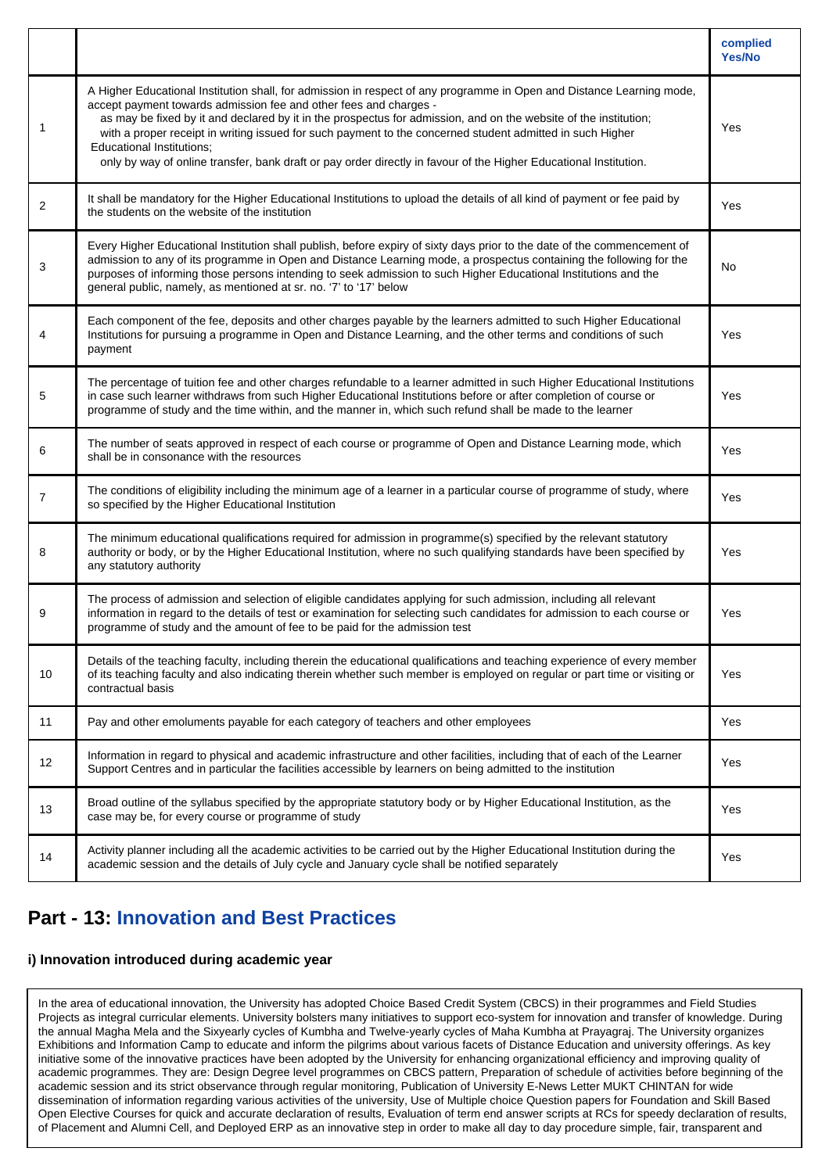|                |                                                                                                                                                                                                                                                                                                                                                                                                                                                                                                                                                                                      | complied<br>Yes/No |
|----------------|--------------------------------------------------------------------------------------------------------------------------------------------------------------------------------------------------------------------------------------------------------------------------------------------------------------------------------------------------------------------------------------------------------------------------------------------------------------------------------------------------------------------------------------------------------------------------------------|--------------------|
| 1              | A Higher Educational Institution shall, for admission in respect of any programme in Open and Distance Learning mode,<br>accept payment towards admission fee and other fees and charges -<br>as may be fixed by it and declared by it in the prospectus for admission, and on the website of the institution;<br>with a proper receipt in writing issued for such payment to the concerned student admitted in such Higher<br><b>Educational Institutions;</b><br>only by way of online transfer, bank draft or pay order directly in favour of the Higher Educational Institution. | Yes                |
| $\overline{2}$ | It shall be mandatory for the Higher Educational Institutions to upload the details of all kind of payment or fee paid by<br>the students on the website of the institution                                                                                                                                                                                                                                                                                                                                                                                                          | Yes                |
| 3              | Every Higher Educational Institution shall publish, before expiry of sixty days prior to the date of the commencement of<br>admission to any of its programme in Open and Distance Learning mode, a prospectus containing the following for the<br>purposes of informing those persons intending to seek admission to such Higher Educational Institutions and the<br>general public, namely, as mentioned at sr. no. '7' to '17' below                                                                                                                                              | No                 |
| 4              | Each component of the fee, deposits and other charges payable by the learners admitted to such Higher Educational<br>Institutions for pursuing a programme in Open and Distance Learning, and the other terms and conditions of such<br>payment                                                                                                                                                                                                                                                                                                                                      | Yes                |
| 5              | The percentage of tuition fee and other charges refundable to a learner admitted in such Higher Educational Institutions<br>in case such learner withdraws from such Higher Educational Institutions before or after completion of course or<br>programme of study and the time within, and the manner in, which such refund shall be made to the learner                                                                                                                                                                                                                            | Yes                |
| 6              | The number of seats approved in respect of each course or programme of Open and Distance Learning mode, which<br>shall be in consonance with the resources                                                                                                                                                                                                                                                                                                                                                                                                                           | Yes                |
| $\overline{7}$ | The conditions of eligibility including the minimum age of a learner in a particular course of programme of study, where<br>so specified by the Higher Educational Institution                                                                                                                                                                                                                                                                                                                                                                                                       | Yes                |
| 8              | The minimum educational qualifications required for admission in programme(s) specified by the relevant statutory<br>authority or body, or by the Higher Educational Institution, where no such qualifying standards have been specified by<br>any statutory authority                                                                                                                                                                                                                                                                                                               | Yes                |
| 9              | The process of admission and selection of eligible candidates applying for such admission, including all relevant<br>information in regard to the details of test or examination for selecting such candidates for admission to each course or<br>programme of study and the amount of fee to be paid for the admission test                                                                                                                                                                                                                                                         | Yes                |
| 10             | Details of the teaching faculty, including therein the educational qualifications and teaching experience of every member<br>of its teaching faculty and also indicating therein whether such member is employed on regular or part time or visiting or<br>contractual basis                                                                                                                                                                                                                                                                                                         | Yes                |
| 11             | Pay and other emoluments payable for each category of teachers and other employees                                                                                                                                                                                                                                                                                                                                                                                                                                                                                                   | Yes                |
| 12             | Information in regard to physical and academic infrastructure and other facilities, including that of each of the Learner<br>Support Centres and in particular the facilities accessible by learners on being admitted to the institution                                                                                                                                                                                                                                                                                                                                            | Yes                |
| 13             | Broad outline of the syllabus specified by the appropriate statutory body or by Higher Educational Institution, as the<br>case may be, for every course or programme of study                                                                                                                                                                                                                                                                                                                                                                                                        | Yes                |
| 14             | Activity planner including all the academic activities to be carried out by the Higher Educational Institution during the<br>academic session and the details of July cycle and January cycle shall be notified separately                                                                                                                                                                                                                                                                                                                                                           | Yes                |

### **Part - 13: Innovation and Best Practices**

#### **i) Innovation introduced during academic year**

In the area of educational innovation, the University has adopted Choice Based Credit System (CBCS) in their programmes and Field Studies Projects as integral curricular elements. University bolsters many initiatives to support eco-system for innovation and transfer of knowledge. During the annual Magha Mela and the Sixyearly cycles of Kumbha and Twelve-yearly cycles of Maha Kumbha at Prayagraj. The University organizes Exhibitions and Information Camp to educate and inform the pilgrims about various facets of Distance Education and university offerings. As key initiative some of the innovative practices have been adopted by the University for enhancing organizational efficiency and improving quality of academic programmes. They are: Design Degree level programmes on CBCS pattern, Preparation of schedule of activities before beginning of the academic session and its strict observance through regular monitoring, Publication of University E-News Letter MUKT CHINTAN for wide dissemination of information regarding various activities of the university, Use of Multiple choice Question papers for Foundation and Skill Based Open Elective Courses for quick and accurate declaration of results, Evaluation of term end answer scripts at RCs for speedy declaration of results, of Placement and Alumni Cell, and Deployed ERP as an innovative step in order to make all day to day procedure simple, fair, transparent and